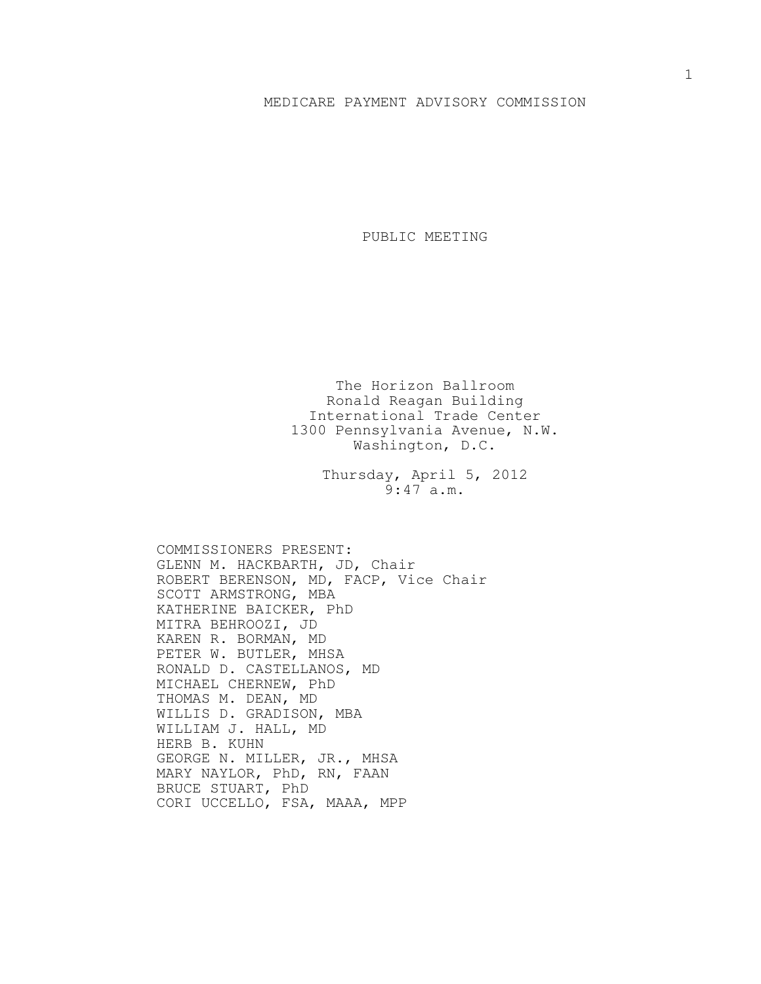## MEDICARE PAYMENT ADVISORY COMMISSION

PUBLIC MEETING

The Horizon Ballroom Ronald Reagan Building International Trade Center 1300 Pennsylvania Avenue, N.W. Washington, D.C.

> Thursday, April 5, 2012 9:47 a.m.

COMMISSIONERS PRESENT: GLENN M. HACKBARTH, JD, Chair ROBERT BERENSON, MD, FACP, Vice Chair SCOTT ARMSTRONG, MBA KATHERINE BAICKER, PhD MITRA BEHROOZI, JD KAREN R. BORMAN, MD PETER W. BUTLER, MHSA RONALD D. CASTELLANOS, MD MICHAEL CHERNEW, PhD THOMAS M. DEAN, MD WILLIS D. GRADISON, MBA WILLIAM J. HALL, MD HERB B. KUHN GEORGE N. MILLER, JR., MHSA MARY NAYLOR, PhD, RN, FAAN BRUCE STUART, PhD CORI UCCELLO, FSA, MAAA, MPP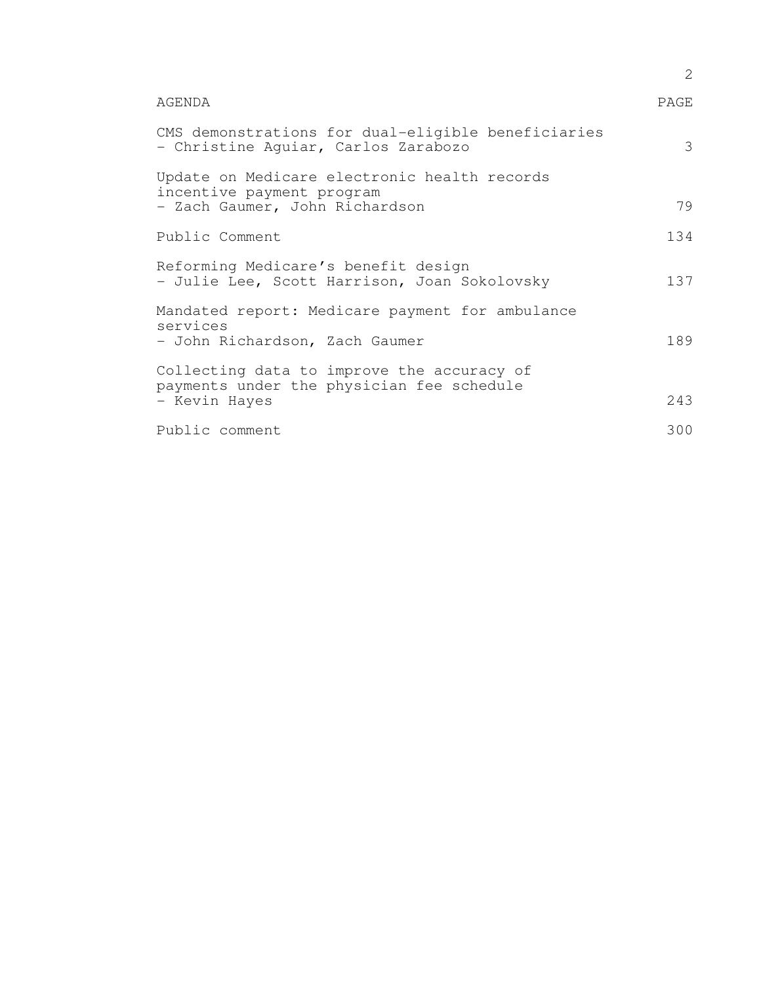|                                                                                                             | $\overline{2}$ |
|-------------------------------------------------------------------------------------------------------------|----------------|
| AGENDA                                                                                                      | PAGE           |
| CMS demonstrations for dual-eligible beneficiaries<br>- Christine Aquiar, Carlos Zarabozo                   | 3              |
| Update on Medicare electronic health records<br>incentive payment program<br>- Zach Gaumer, John Richardson | 79             |
| Public Comment                                                                                              | 134            |
| Reforming Medicare's benefit design<br>- Julie Lee, Scott Harrison, Joan Sokolovsky                         | 137            |
| Mandated report: Medicare payment for ambulance<br>services<br>- John Richardson, Zach Gaumer               | 189            |
| Collecting data to improve the accuracy of<br>payments under the physician fee schedule<br>- Kevin Hayes    | 243            |
| Public comment                                                                                              | 300            |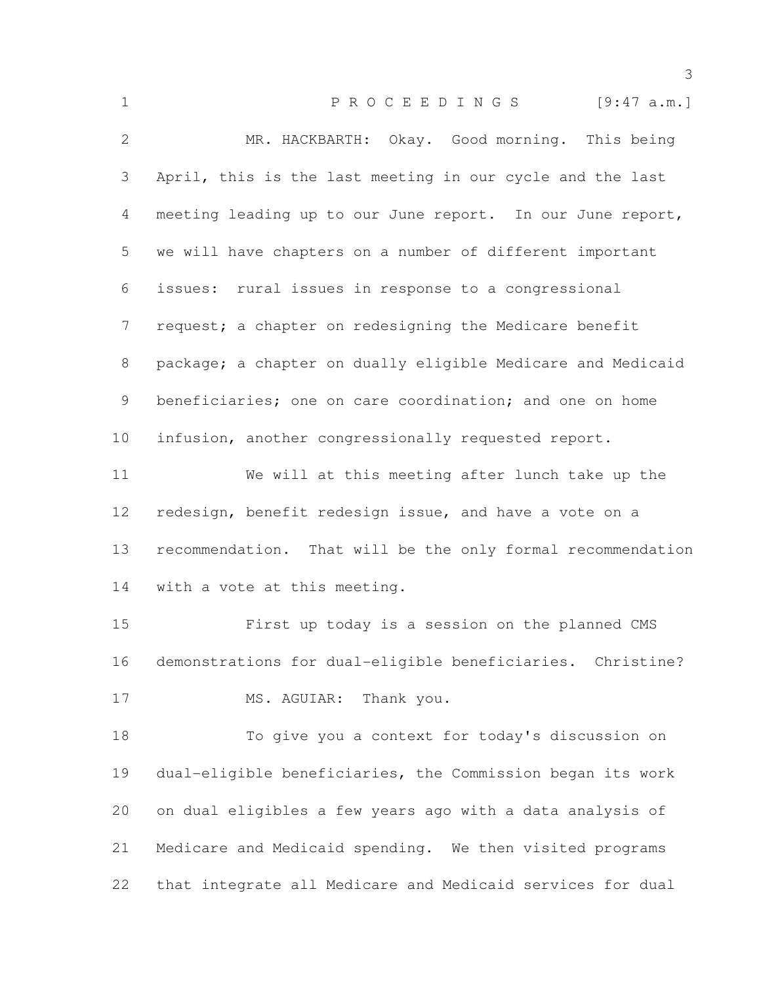| $\mathbf 1$  | PROCEEDINGS [9:47 a.m.]                                     |
|--------------|-------------------------------------------------------------|
| $\mathbf{2}$ | MR. HACKBARTH: Okay. Good morning. This being               |
| 3            | April, this is the last meeting in our cycle and the last   |
| 4            | meeting leading up to our June report. In our June report,  |
| 5            | we will have chapters on a number of different important    |
| 6            | issues: rural issues in response to a congressional         |
| 7            | request; a chapter on redesigning the Medicare benefit      |
| 8            | package; a chapter on dually eligible Medicare and Medicaid |
| 9            | beneficiaries; one on care coordination; and one on home    |
| 10           | infusion, another congressionally requested report.         |
| 11           | We will at this meeting after lunch take up the             |
| 12           | redesign, benefit redesign issue, and have a vote on a      |
| 13           | recommendation. That will be the only formal recommendation |
| 14           | with a vote at this meeting.                                |
| 15           | First up today is a session on the planned CMS              |
| 16           | demonstrations for dual-eligible beneficiaries. Christine?  |
| 17           | MS. AGUIAR: Thank you.                                      |
| 18           | To give you a context for today's discussion on             |
| 19           | dual-eligible beneficiaries, the Commission began its work  |
| 20           | on dual eligibles a few years ago with a data analysis of   |
| 21           | Medicare and Medicaid spending. We then visited programs    |
| 22           | that integrate all Medicare and Medicaid services for dual  |
|              |                                                             |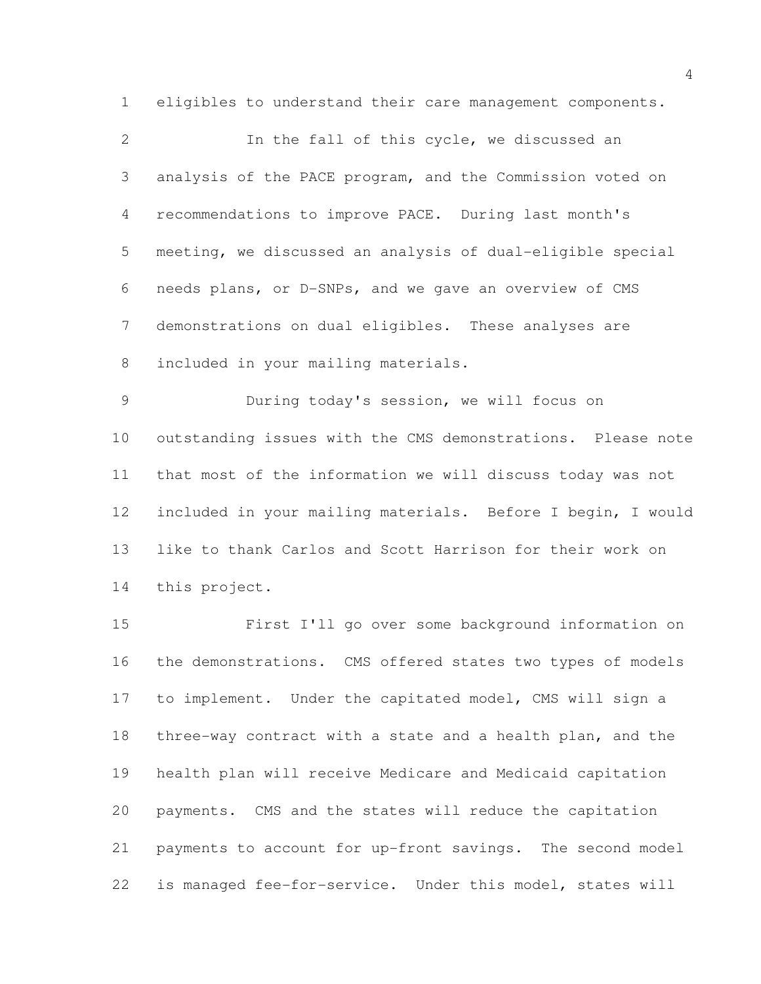eligibles to understand their care management components.

| 2              | In the fall of this cycle, we discussed an                  |
|----------------|-------------------------------------------------------------|
| 3              | analysis of the PACE program, and the Commission voted on   |
| $\overline{4}$ | recommendations to improve PACE. During last month's        |
| 5              | meeting, we discussed an analysis of dual-eligible special  |
| 6              | needs plans, or D-SNPs, and we gave an overview of CMS      |
| $7\phantom{.}$ | demonstrations on dual eligibles. These analyses are        |
| 8              | included in your mailing materials.                         |
| 9              | During today's session, we will focus on                    |
| 10             | outstanding issues with the CMS demonstrations. Please note |
| 11             | that most of the information we will discuss today was not  |
| 12             | included in your mailing materials. Before I begin, I would |

 like to thank Carlos and Scott Harrison for their work on this project.

 First I'll go over some background information on the demonstrations. CMS offered states two types of models to implement. Under the capitated model, CMS will sign a three-way contract with a state and a health plan, and the health plan will receive Medicare and Medicaid capitation payments. CMS and the states will reduce the capitation payments to account for up-front savings. The second model is managed fee-for-service. Under this model, states will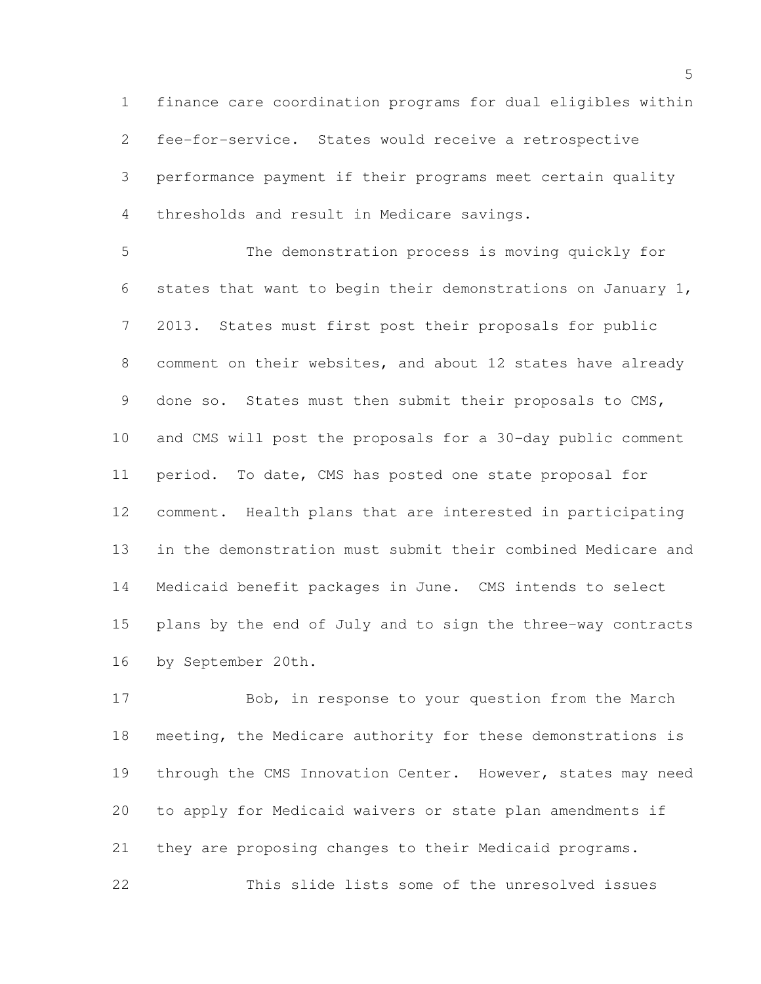finance care coordination programs for dual eligibles within fee-for-service. States would receive a retrospective performance payment if their programs meet certain quality thresholds and result in Medicare savings.

 The demonstration process is moving quickly for states that want to begin their demonstrations on January 1, 2013. States must first post their proposals for public comment on their websites, and about 12 states have already done so. States must then submit their proposals to CMS, and CMS will post the proposals for a 30-day public comment period. To date, CMS has posted one state proposal for comment. Health plans that are interested in participating in the demonstration must submit their combined Medicare and Medicaid benefit packages in June. CMS intends to select plans by the end of July and to sign the three-way contracts by September 20th.

 Bob, in response to your question from the March meeting, the Medicare authority for these demonstrations is through the CMS Innovation Center. However, states may need to apply for Medicaid waivers or state plan amendments if they are proposing changes to their Medicaid programs. This slide lists some of the unresolved issues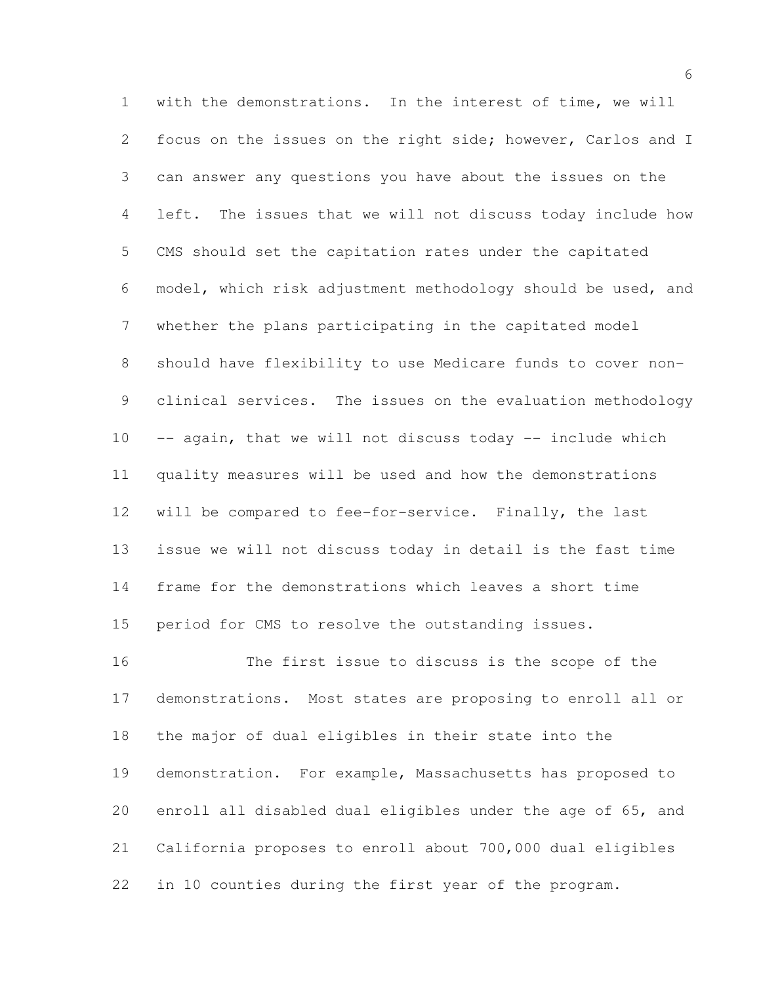with the demonstrations. In the interest of time, we will focus on the issues on the right side; however, Carlos and I can answer any questions you have about the issues on the left. The issues that we will not discuss today include how CMS should set the capitation rates under the capitated model, which risk adjustment methodology should be used, and whether the plans participating in the capitated model should have flexibility to use Medicare funds to cover non- clinical services. The issues on the evaluation methodology -- again, that we will not discuss today -- include which quality measures will be used and how the demonstrations will be compared to fee-for-service. Finally, the last issue we will not discuss today in detail is the fast time frame for the demonstrations which leaves a short time period for CMS to resolve the outstanding issues. The first issue to discuss is the scope of the

 demonstrations. Most states are proposing to enroll all or the major of dual eligibles in their state into the demonstration. For example, Massachusetts has proposed to enroll all disabled dual eligibles under the age of 65, and California proposes to enroll about 700,000 dual eligibles in 10 counties during the first year of the program.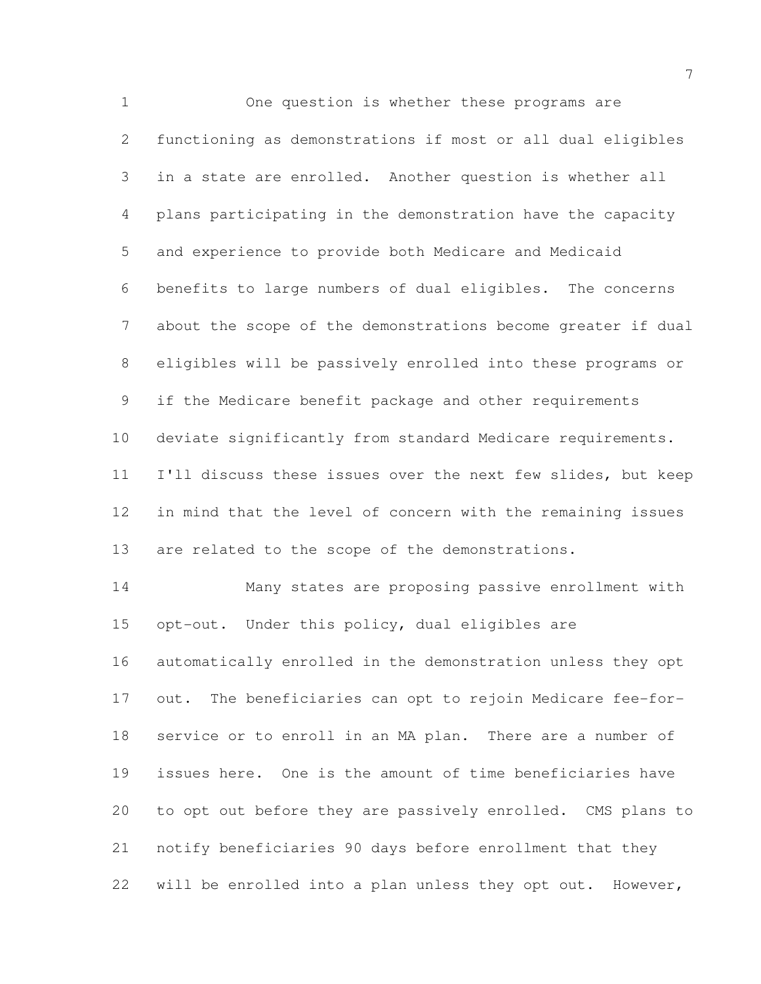One question is whether these programs are functioning as demonstrations if most or all dual eligibles in a state are enrolled. Another question is whether all plans participating in the demonstration have the capacity and experience to provide both Medicare and Medicaid benefits to large numbers of dual eligibles. The concerns about the scope of the demonstrations become greater if dual eligibles will be passively enrolled into these programs or if the Medicare benefit package and other requirements deviate significantly from standard Medicare requirements. I'll discuss these issues over the next few slides, but keep in mind that the level of concern with the remaining issues are related to the scope of the demonstrations. Many states are proposing passive enrollment with opt-out. Under this policy, dual eligibles are automatically enrolled in the demonstration unless they opt out. The beneficiaries can opt to rejoin Medicare fee-for-service or to enroll in an MA plan. There are a number of

 to opt out before they are passively enrolled. CMS plans to notify beneficiaries 90 days before enrollment that they will be enrolled into a plan unless they opt out. However,

issues here. One is the amount of time beneficiaries have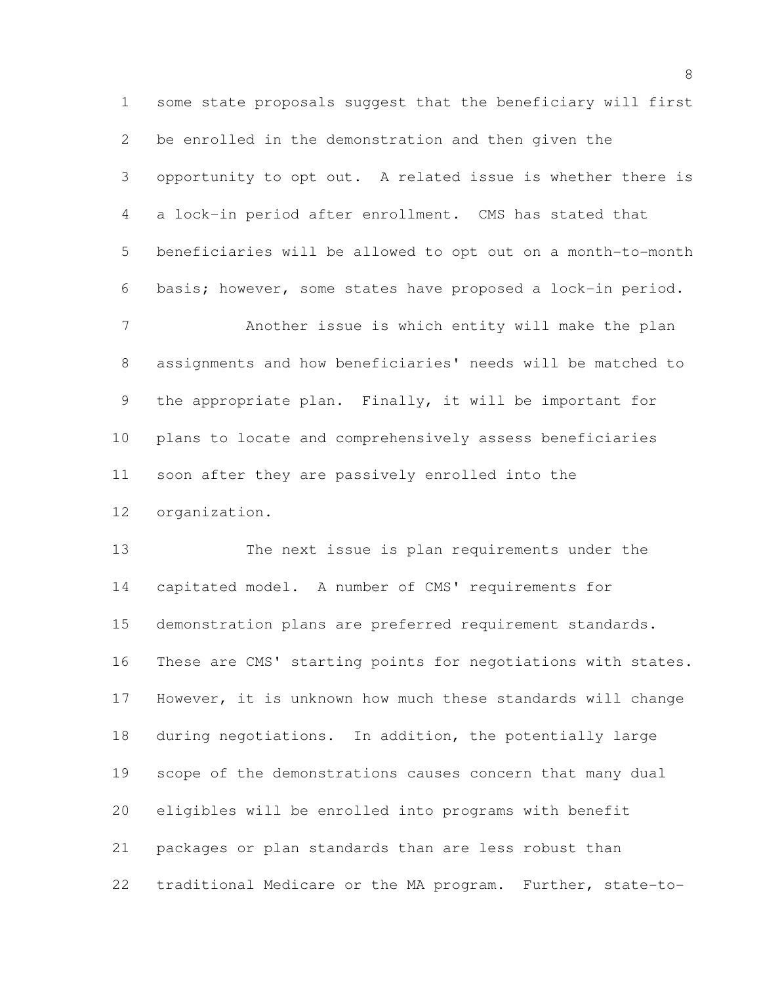some state proposals suggest that the beneficiary will first be enrolled in the demonstration and then given the opportunity to opt out. A related issue is whether there is a lock-in period after enrollment. CMS has stated that beneficiaries will be allowed to opt out on a month-to-month basis; however, some states have proposed a lock-in period. Another issue is which entity will make the plan assignments and how beneficiaries' needs will be matched to the appropriate plan. Finally, it will be important for plans to locate and comprehensively assess beneficiaries soon after they are passively enrolled into the

organization.

 The next issue is plan requirements under the capitated model. A number of CMS' requirements for demonstration plans are preferred requirement standards. These are CMS' starting points for negotiations with states. However, it is unknown how much these standards will change during negotiations. In addition, the potentially large scope of the demonstrations causes concern that many dual eligibles will be enrolled into programs with benefit packages or plan standards than are less robust than traditional Medicare or the MA program. Further, state-to-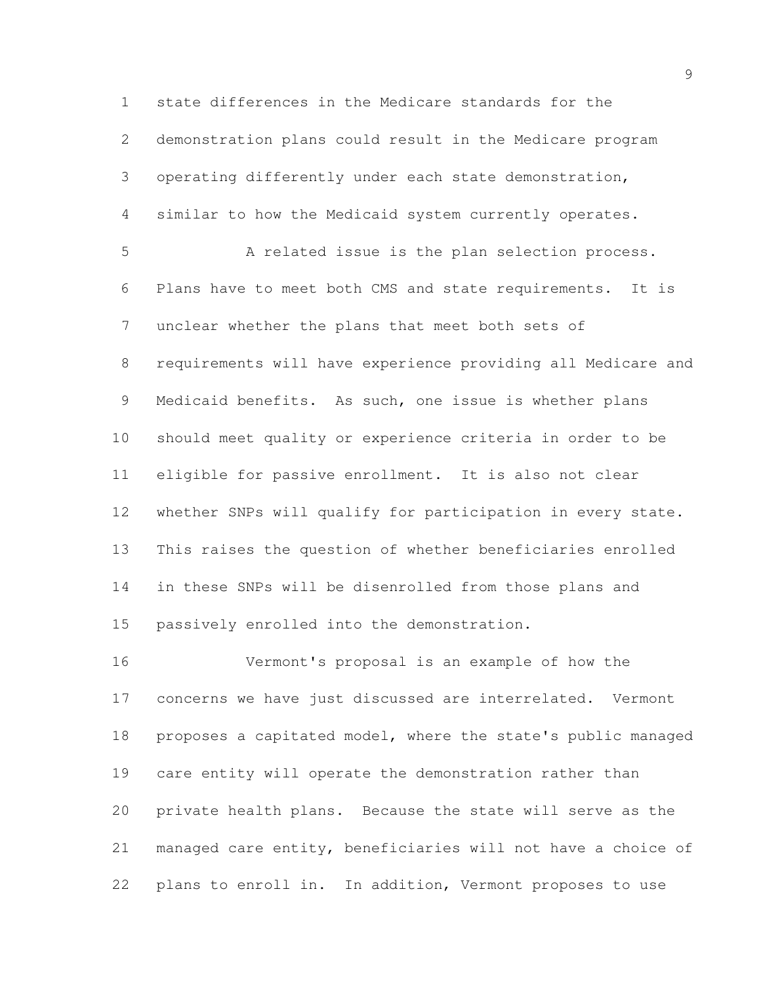state differences in the Medicare standards for the demonstration plans could result in the Medicare program operating differently under each state demonstration, similar to how the Medicaid system currently operates. A related issue is the plan selection process. Plans have to meet both CMS and state requirements. It is unclear whether the plans that meet both sets of requirements will have experience providing all Medicare and Medicaid benefits. As such, one issue is whether plans should meet quality or experience criteria in order to be eligible for passive enrollment. It is also not clear whether SNPs will qualify for participation in every state. This raises the question of whether beneficiaries enrolled in these SNPs will be disenrolled from those plans and passively enrolled into the demonstration.

 Vermont's proposal is an example of how the concerns we have just discussed are interrelated. Vermont proposes a capitated model, where the state's public managed care entity will operate the demonstration rather than private health plans. Because the state will serve as the managed care entity, beneficiaries will not have a choice of plans to enroll in. In addition, Vermont proposes to use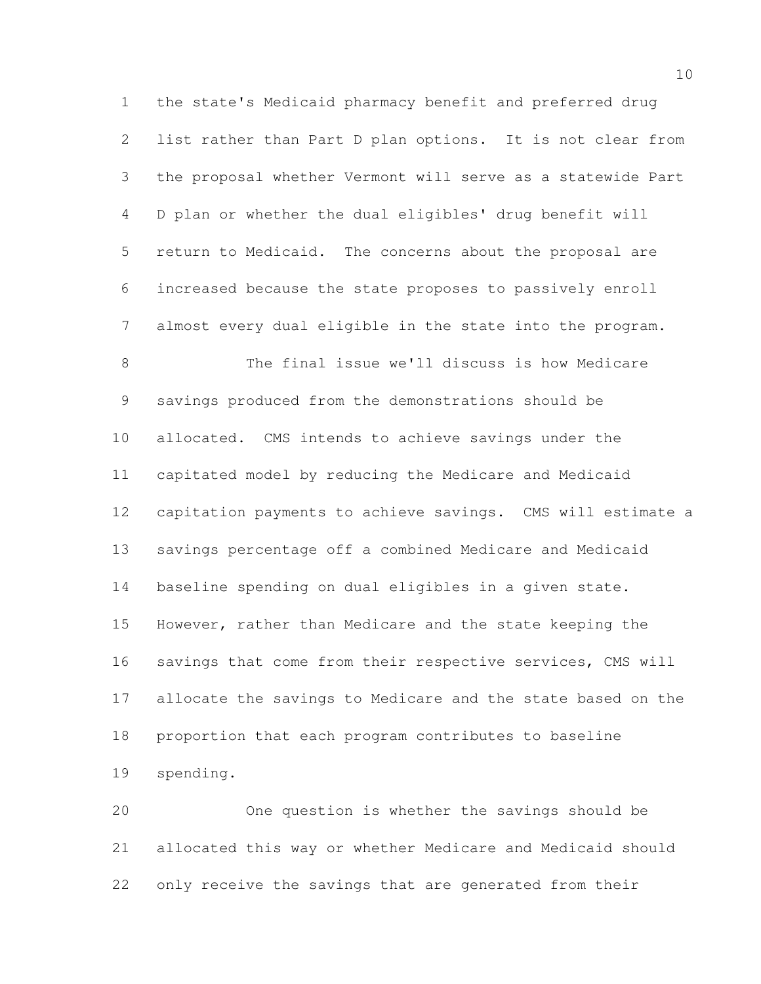the state's Medicaid pharmacy benefit and preferred drug list rather than Part D plan options. It is not clear from the proposal whether Vermont will serve as a statewide Part D plan or whether the dual eligibles' drug benefit will return to Medicaid. The concerns about the proposal are increased because the state proposes to passively enroll almost every dual eligible in the state into the program. The final issue we'll discuss is how Medicare savings produced from the demonstrations should be allocated. CMS intends to achieve savings under the capitated model by reducing the Medicare and Medicaid capitation payments to achieve savings. CMS will estimate a savings percentage off a combined Medicare and Medicaid baseline spending on dual eligibles in a given state. However, rather than Medicare and the state keeping the 16 savings that come from their respective services, CMS will allocate the savings to Medicare and the state based on the proportion that each program contributes to baseline spending.

 One question is whether the savings should be allocated this way or whether Medicare and Medicaid should only receive the savings that are generated from their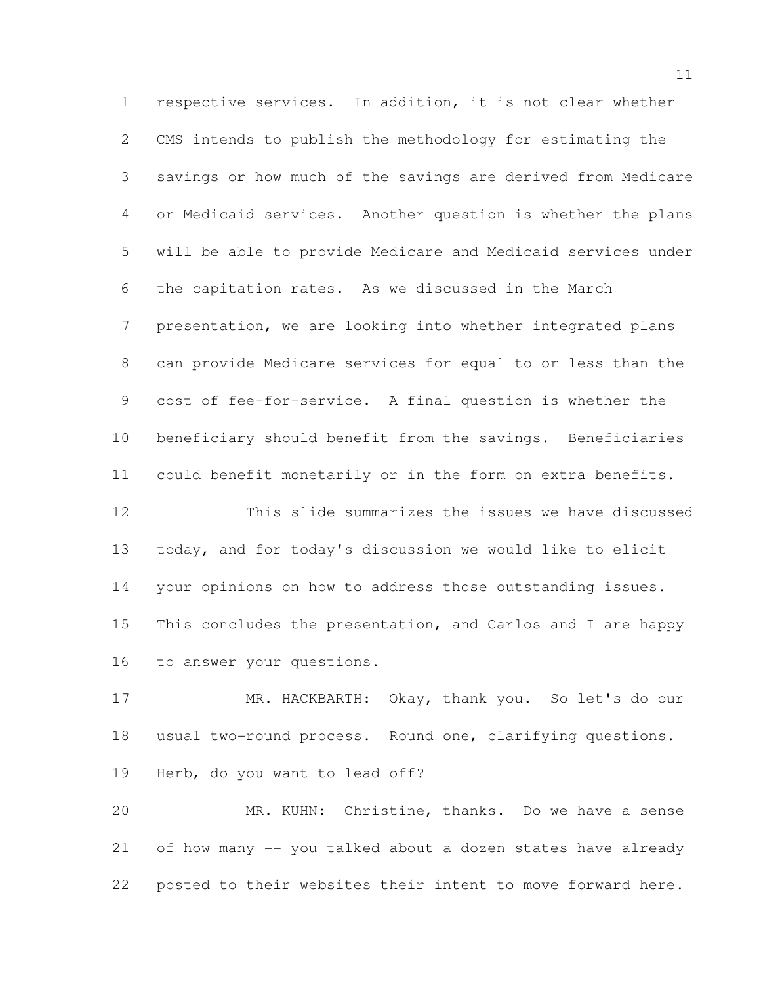respective services. In addition, it is not clear whether CMS intends to publish the methodology for estimating the savings or how much of the savings are derived from Medicare or Medicaid services. Another question is whether the plans will be able to provide Medicare and Medicaid services under the capitation rates. As we discussed in the March presentation, we are looking into whether integrated plans can provide Medicare services for equal to or less than the cost of fee-for-service. A final question is whether the beneficiary should benefit from the savings. Beneficiaries could benefit monetarily or in the form on extra benefits.

 This slide summarizes the issues we have discussed today, and for today's discussion we would like to elicit your opinions on how to address those outstanding issues. This concludes the presentation, and Carlos and I are happy to answer your questions.

 MR. HACKBARTH: Okay, thank you. So let's do our usual two-round process. Round one, clarifying questions. Herb, do you want to lead off?

 MR. KUHN: Christine, thanks. Do we have a sense of how many -- you talked about a dozen states have already posted to their websites their intent to move forward here.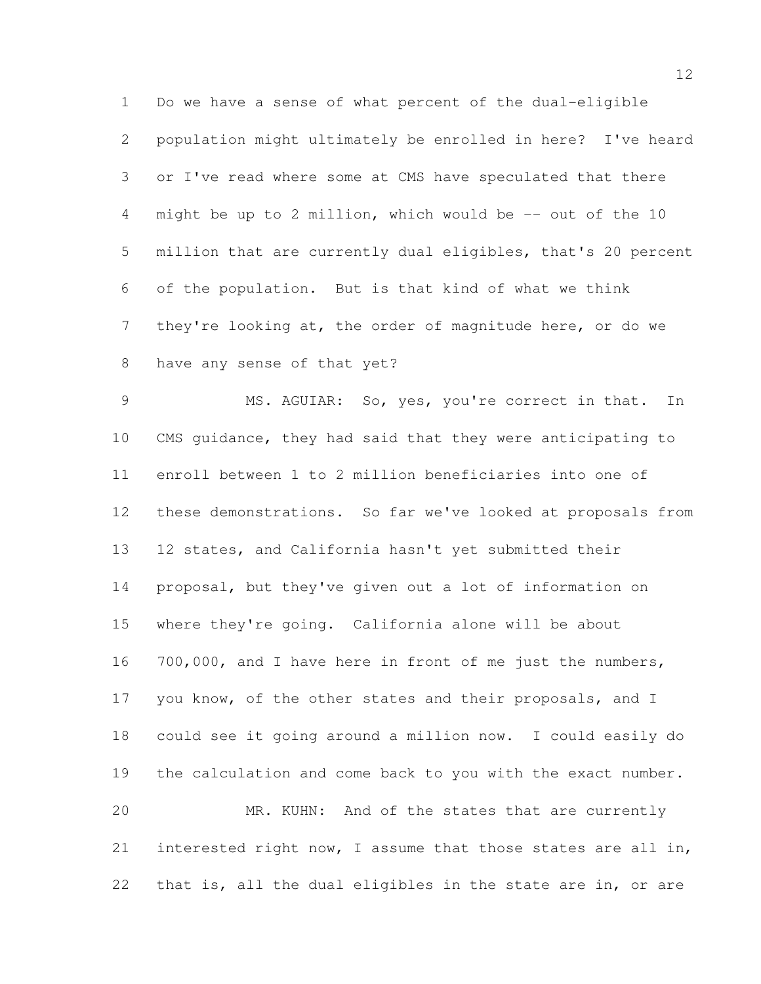Do we have a sense of what percent of the dual-eligible population might ultimately be enrolled in here? I've heard or I've read where some at CMS have speculated that there might be up to 2 million, which would be -- out of the 10 million that are currently dual eligibles, that's 20 percent of the population. But is that kind of what we think they're looking at, the order of magnitude here, or do we have any sense of that yet?

 MS. AGUIAR: So, yes, you're correct in that. In CMS guidance, they had said that they were anticipating to enroll between 1 to 2 million beneficiaries into one of these demonstrations. So far we've looked at proposals from 12 states, and California hasn't yet submitted their proposal, but they've given out a lot of information on where they're going. California alone will be about 700,000, and I have here in front of me just the numbers, you know, of the other states and their proposals, and I could see it going around a million now. I could easily do the calculation and come back to you with the exact number. MR. KUHN: And of the states that are currently interested right now, I assume that those states are all in, that is, all the dual eligibles in the state are in, or are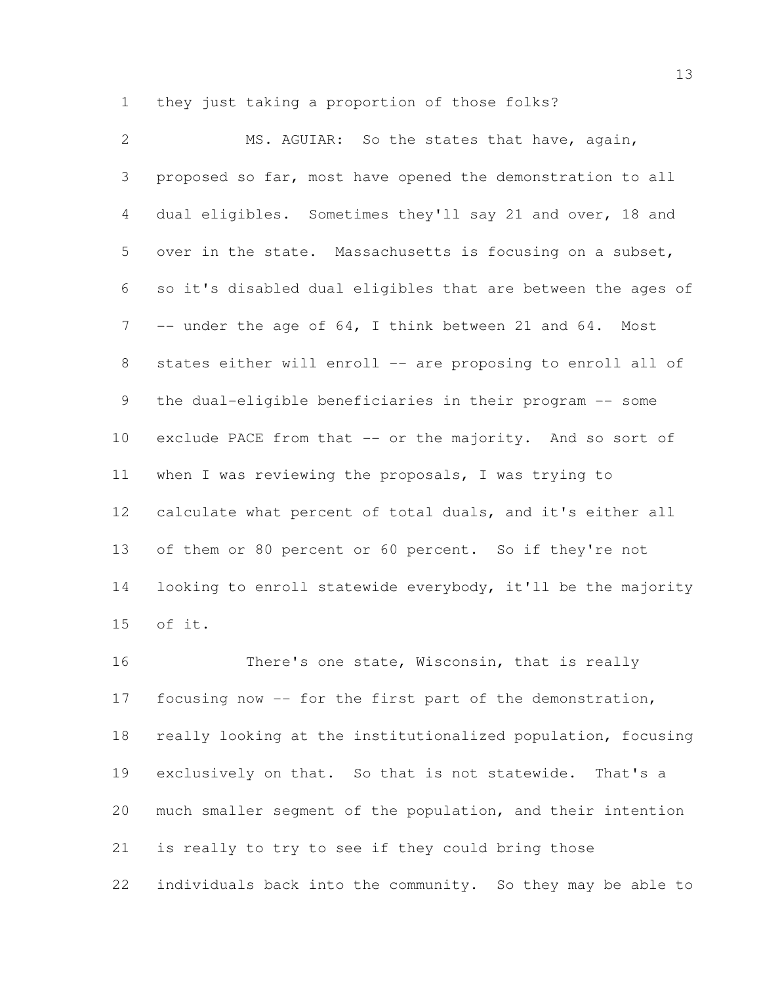they just taking a proportion of those folks?

 MS. AGUIAR: So the states that have, again, proposed so far, most have opened the demonstration to all dual eligibles. Sometimes they'll say 21 and over, 18 and over in the state. Massachusetts is focusing on a subset, so it's disabled dual eligibles that are between the ages of 7 -- under the age of 64, I think between 21 and 64. Most 8 states either will enroll -- are proposing to enroll all of the dual-eligible beneficiaries in their program -- some 10 exclude PACE from that -- or the majority. And so sort of when I was reviewing the proposals, I was trying to calculate what percent of total duals, and it's either all of them or 80 percent or 60 percent. So if they're not looking to enroll statewide everybody, it'll be the majority of it.

 There's one state, Wisconsin, that is really focusing now -- for the first part of the demonstration, really looking at the institutionalized population, focusing exclusively on that. So that is not statewide. That's a much smaller segment of the population, and their intention is really to try to see if they could bring those individuals back into the community. So they may be able to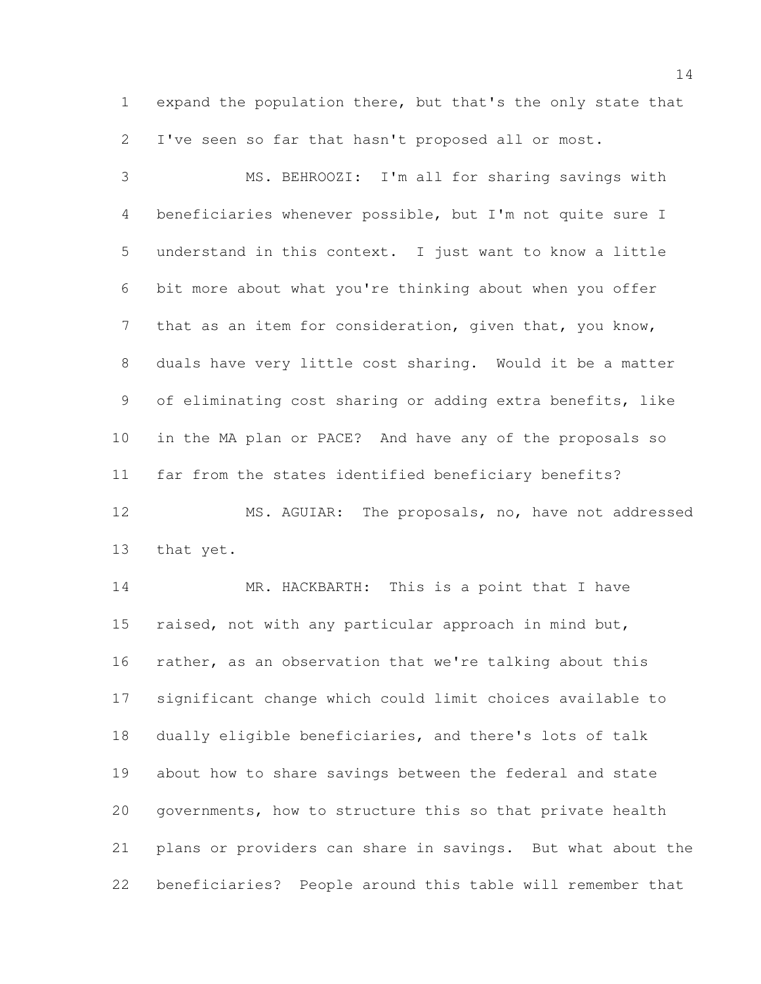expand the population there, but that's the only state that I've seen so far that hasn't proposed all or most.

 MS. BEHROOZI: I'm all for sharing savings with beneficiaries whenever possible, but I'm not quite sure I understand in this context. I just want to know a little bit more about what you're thinking about when you offer that as an item for consideration, given that, you know, duals have very little cost sharing. Would it be a matter of eliminating cost sharing or adding extra benefits, like in the MA plan or PACE? And have any of the proposals so far from the states identified beneficiary benefits? MS. AGUIAR: The proposals, no, have not addressed

that yet.

14 MR. HACKBARTH: This is a point that I have 15 raised, not with any particular approach in mind but, rather, as an observation that we're talking about this significant change which could limit choices available to dually eligible beneficiaries, and there's lots of talk about how to share savings between the federal and state governments, how to structure this so that private health plans or providers can share in savings. But what about the beneficiaries? People around this table will remember that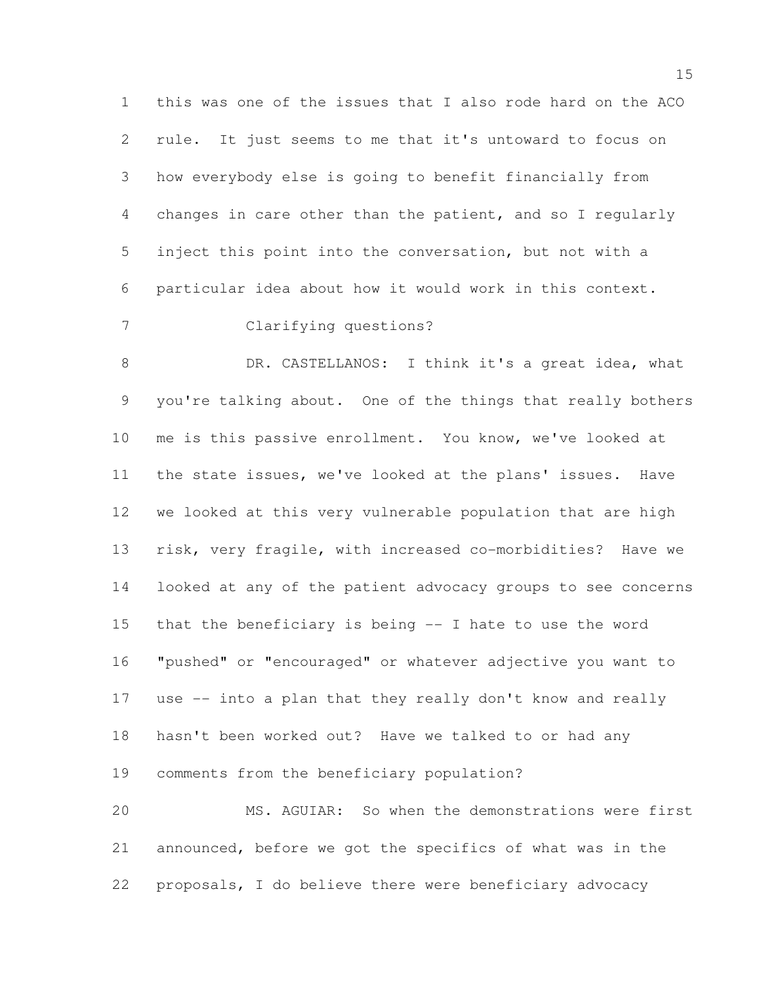this was one of the issues that I also rode hard on the ACO rule. It just seems to me that it's untoward to focus on how everybody else is going to benefit financially from changes in care other than the patient, and so I regularly inject this point into the conversation, but not with a particular idea about how it would work in this context. Clarifying questions? 8 DR. CASTELLANOS: I think it's a great idea, what you're talking about. One of the things that really bothers me is this passive enrollment. You know, we've looked at the state issues, we've looked at the plans' issues. Have we looked at this very vulnerable population that are high risk, very fragile, with increased co-morbidities? Have we

 looked at any of the patient advocacy groups to see concerns that the beneficiary is being -- I hate to use the word "pushed" or "encouraged" or whatever adjective you want to use -- into a plan that they really don't know and really hasn't been worked out? Have we talked to or had any comments from the beneficiary population?

 MS. AGUIAR: So when the demonstrations were first announced, before we got the specifics of what was in the proposals, I do believe there were beneficiary advocacy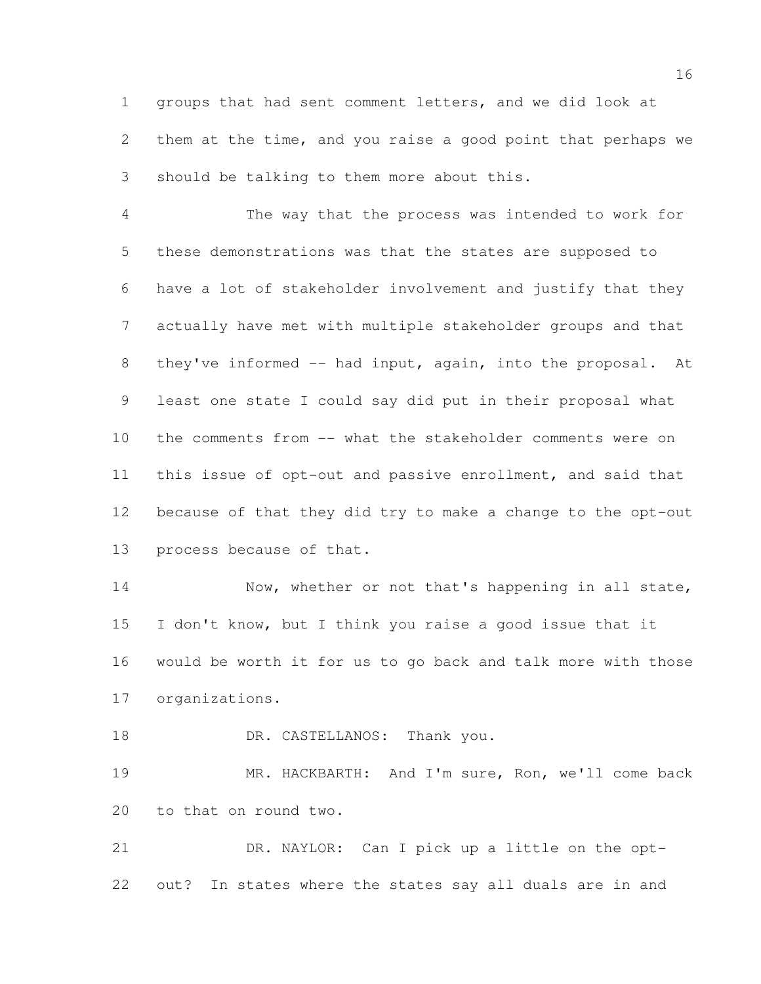groups that had sent comment letters, and we did look at them at the time, and you raise a good point that perhaps we should be talking to them more about this.

 The way that the process was intended to work for these demonstrations was that the states are supposed to have a lot of stakeholder involvement and justify that they actually have met with multiple stakeholder groups and that they've informed -- had input, again, into the proposal. At least one state I could say did put in their proposal what the comments from -- what the stakeholder comments were on this issue of opt-out and passive enrollment, and said that because of that they did try to make a change to the opt-out process because of that.

14 Now, whether or not that's happening in all state, I don't know, but I think you raise a good issue that it would be worth it for us to go back and talk more with those organizations.

18 DR. CASTELLANOS: Thank you.

 MR. HACKBARTH: And I'm sure, Ron, we'll come back to that on round two.

 DR. NAYLOR: Can I pick up a little on the opt-out? In states where the states say all duals are in and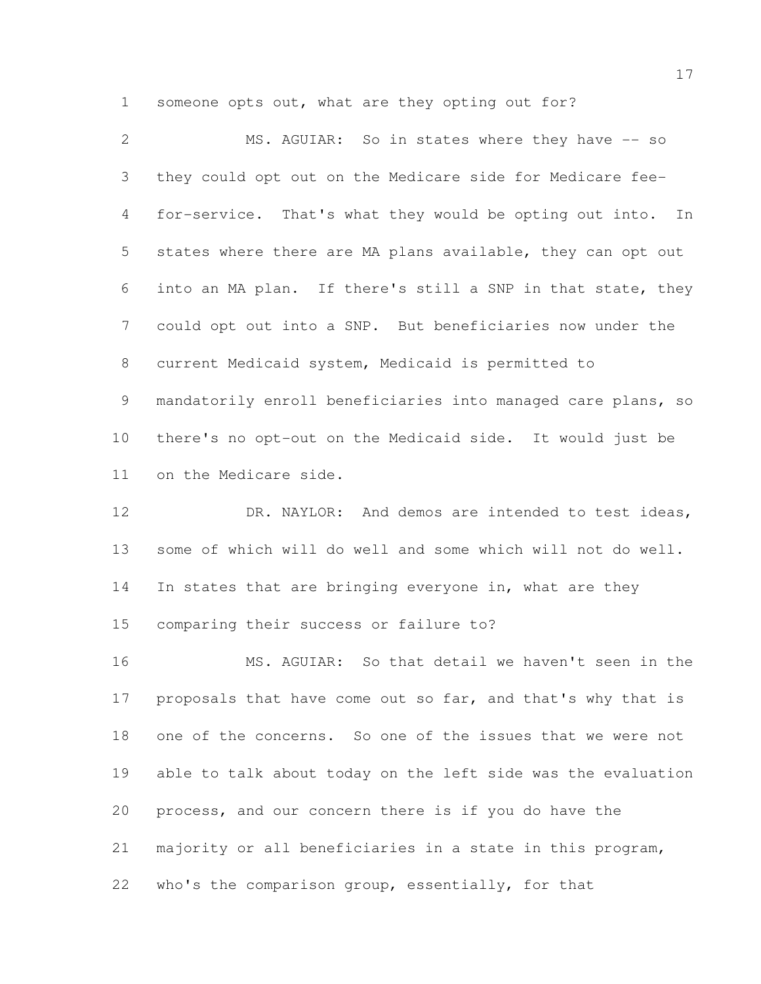someone opts out, what are they opting out for?

| 2              | MS. AGUIAR: So in states where they have -- so               |
|----------------|--------------------------------------------------------------|
| 3 <sup>7</sup> | they could opt out on the Medicare side for Medicare fee-    |
| 4              | for-service. That's what they would be opting out into. In   |
| 5 <sup>5</sup> | states where there are MA plans available, they can opt out  |
| 6              | into an MA plan. If there's still a SNP in that state, they  |
| 7 <sup>7</sup> | could opt out into a SNP. But beneficiaries now under the    |
| 8              | current Medicaid system, Medicaid is permitted to            |
| 9              | mandatorily enroll beneficiaries into managed care plans, so |
| 10             | there's no opt-out on the Medicaid side. It would just be    |
| 11             | on the Medicare side.                                        |

12 DR. NAYLOR: And demos are intended to test ideas, some of which will do well and some which will not do well. In states that are bringing everyone in, what are they comparing their success or failure to?

 MS. AGUIAR: So that detail we haven't seen in the 17 proposals that have come out so far, and that's why that is one of the concerns. So one of the issues that we were not able to talk about today on the left side was the evaluation process, and our concern there is if you do have the majority or all beneficiaries in a state in this program, who's the comparison group, essentially, for that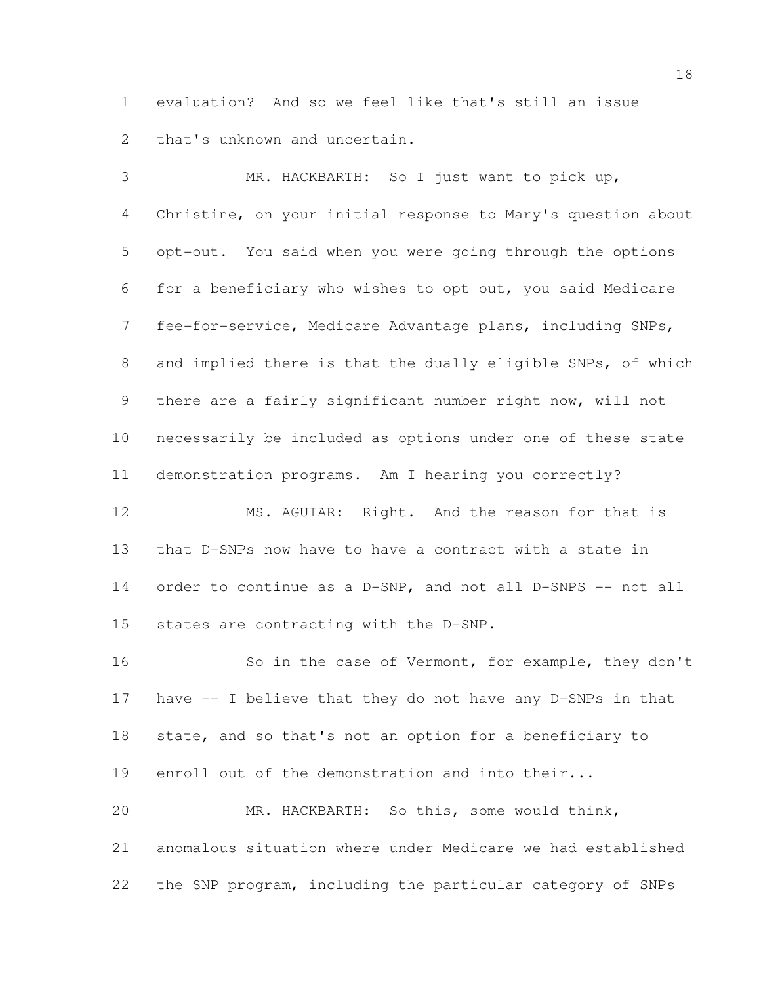evaluation? And so we feel like that's still an issue that's unknown and uncertain.

 MR. HACKBARTH: So I just want to pick up, Christine, on your initial response to Mary's question about opt-out. You said when you were going through the options for a beneficiary who wishes to opt out, you said Medicare fee-for-service, Medicare Advantage plans, including SNPs, and implied there is that the dually eligible SNPs, of which there are a fairly significant number right now, will not necessarily be included as options under one of these state demonstration programs. Am I hearing you correctly? MS. AGUIAR: Right. And the reason for that is that D-SNPs now have to have a contract with a state in order to continue as a D-SNP, and not all D-SNPS -- not all states are contracting with the D-SNP. 16 So in the case of Vermont, for example, they don't have -- I believe that they do not have any D-SNPs in that state, and so that's not an option for a beneficiary to

enroll out of the demonstration and into their...

 MR. HACKBARTH: So this, some would think, anomalous situation where under Medicare we had established the SNP program, including the particular category of SNPs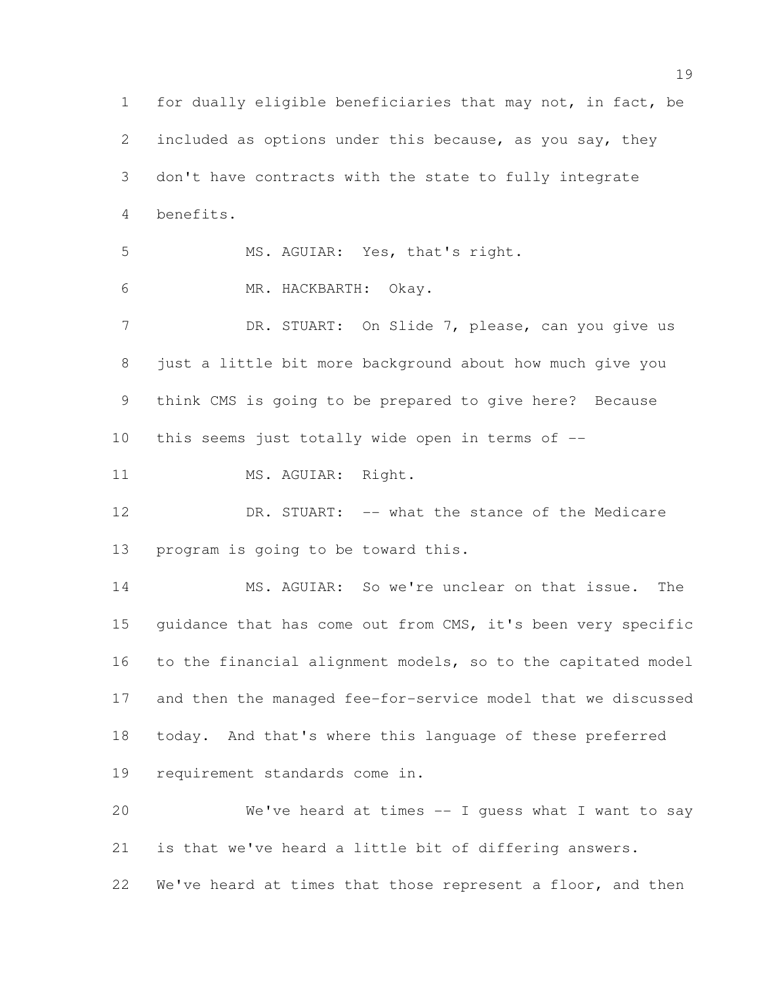for dually eligible beneficiaries that may not, in fact, be included as options under this because, as you say, they don't have contracts with the state to fully integrate benefits. MS. AGUIAR: Yes, that's right. MR. HACKBARTH: Okay. 7 DR. STUART: On Slide 7, please, can you give us just a little bit more background about how much give you think CMS is going to be prepared to give here? Because this seems just totally wide open in terms of -- 11 MS. AGUIAR: Right. 12 DR. STUART: -- what the stance of the Medicare program is going to be toward this. MS. AGUIAR: So we're unclear on that issue. The guidance that has come out from CMS, it's been very specific to the financial alignment models, so to the capitated model and then the managed fee-for-service model that we discussed today. And that's where this language of these preferred requirement standards come in. We've heard at times -- I guess what I want to say is that we've heard a little bit of differing answers. 22 We've heard at times that those represent a floor, and then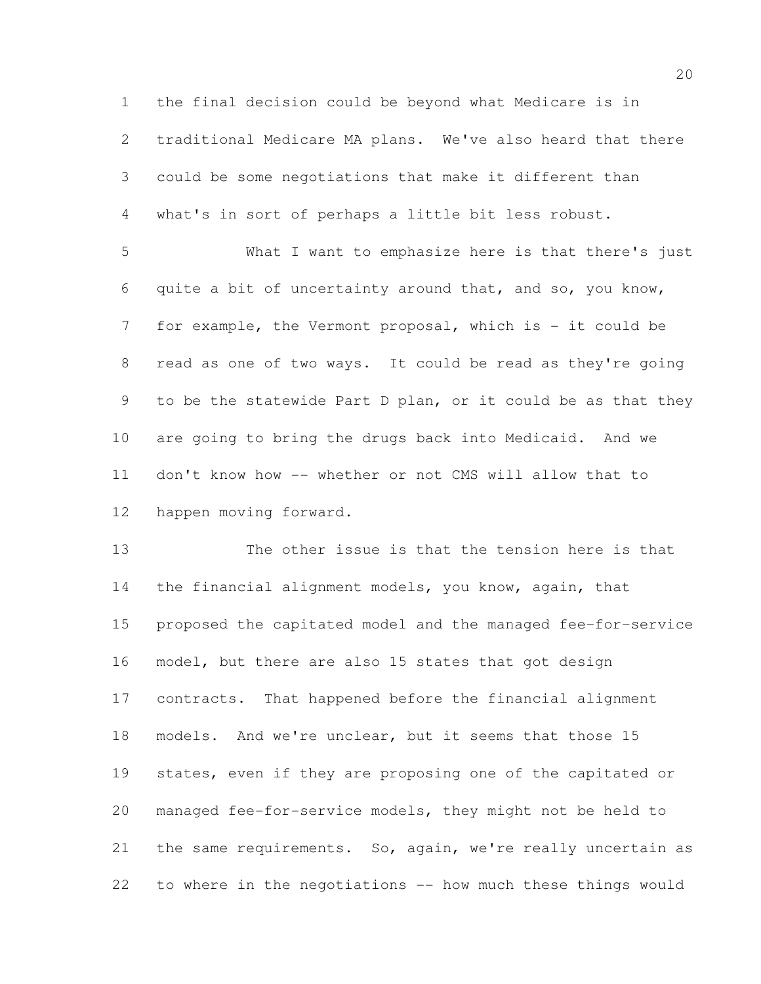the final decision could be beyond what Medicare is in traditional Medicare MA plans. We've also heard that there could be some negotiations that make it different than what's in sort of perhaps a little bit less robust.

 What I want to emphasize here is that there's just quite a bit of uncertainty around that, and so, you know, 7 for example, the Vermont proposal, which is - it could be read as one of two ways. It could be read as they're going to be the statewide Part D plan, or it could be as that they are going to bring the drugs back into Medicaid. And we don't know how -- whether or not CMS will allow that to happen moving forward.

 The other issue is that the tension here is that the financial alignment models, you know, again, that proposed the capitated model and the managed fee-for-service model, but there are also 15 states that got design contracts. That happened before the financial alignment models. And we're unclear, but it seems that those 15 states, even if they are proposing one of the capitated or managed fee-for-service models, they might not be held to 21 the same requirements. So, again, we're really uncertain as to where in the negotiations -- how much these things would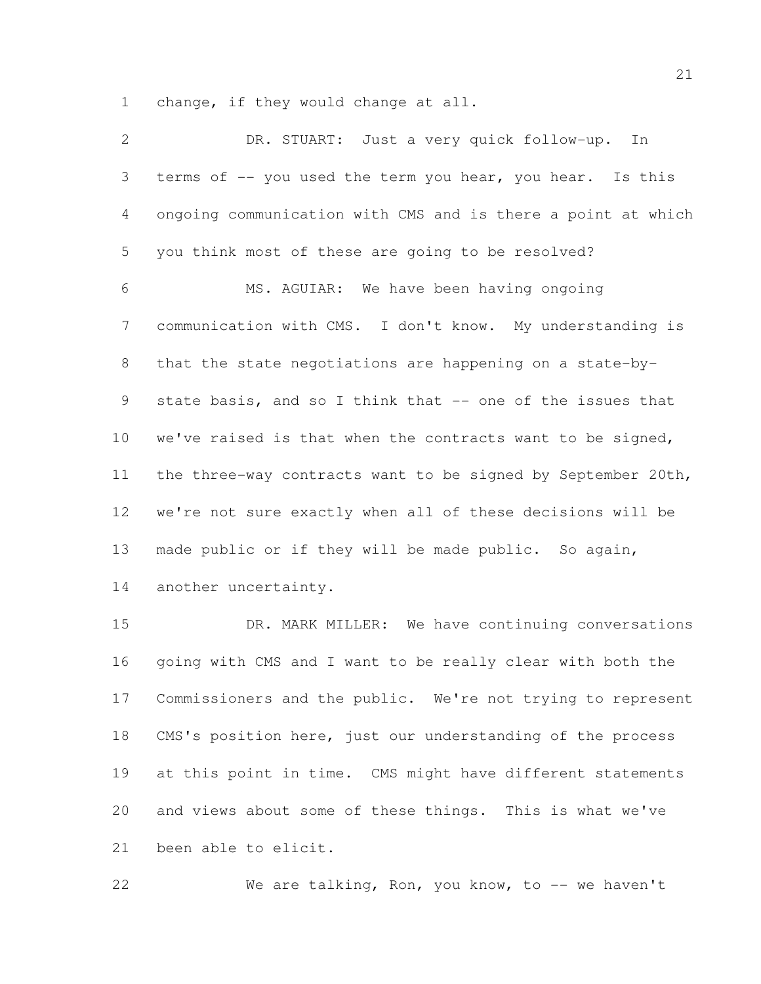change, if they would change at all.

| 2               | DR. STUART: Just a very quick follow-up. In                  |
|-----------------|--------------------------------------------------------------|
| 3               | terms of -- you used the term you hear, you hear. Is this    |
| 4               | ongoing communication with CMS and is there a point at which |
| 5               | you think most of these are going to be resolved?            |
| 6               | MS. AGUIAR: We have been having ongoing                      |
| $7\phantom{.0}$ | communication with CMS. I don't know. My understanding is    |
| 8               | that the state negotiations are happening on a state-by-     |
| 9               | state basis, and so I think that -- one of the issues that   |
| 10              | we've raised is that when the contracts want to be signed,   |
| 11              | the three-way contracts want to be signed by September 20th, |
| 12              | we're not sure exactly when all of these decisions will be   |
| 13              | made public or if they will be made public. So again,        |
| 14              | another uncertainty.                                         |
| 15              | We have continuing conversations<br>DR. MARK MILLER:         |

 going with CMS and I want to be really clear with both the Commissioners and the public. We're not trying to represent CMS's position here, just our understanding of the process at this point in time. CMS might have different statements and views about some of these things. This is what we've been able to elicit.

22 We are talking, Ron, you know, to -- we haven't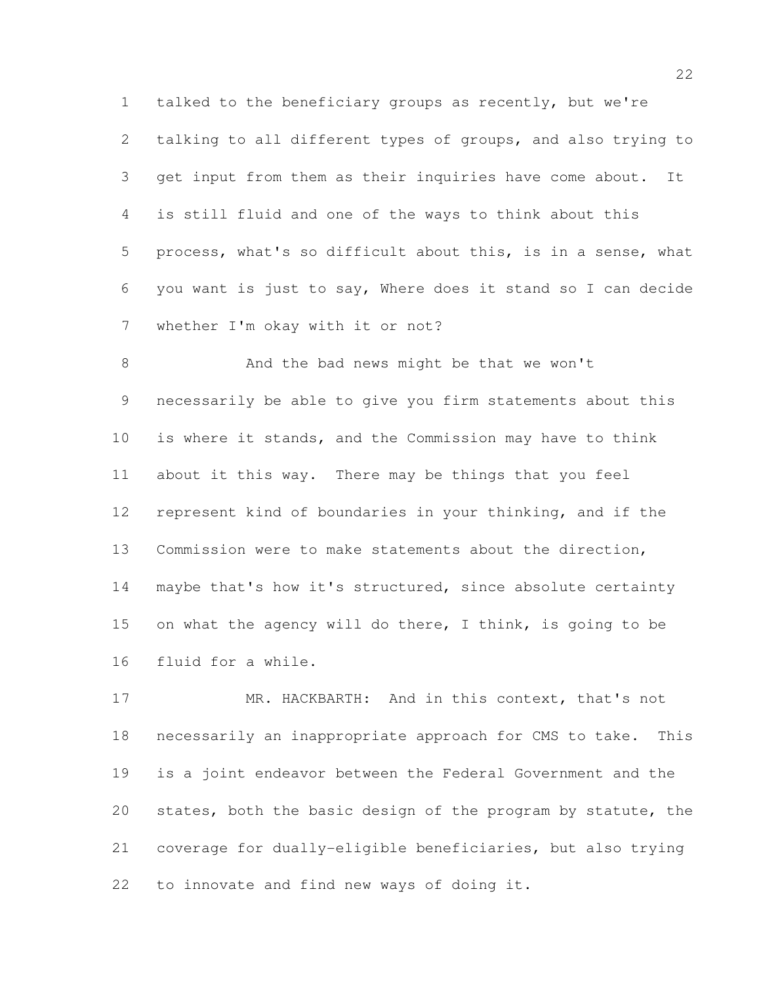talked to the beneficiary groups as recently, but we're talking to all different types of groups, and also trying to get input from them as their inquiries have come about. It is still fluid and one of the ways to think about this process, what's so difficult about this, is in a sense, what you want is just to say, Where does it stand so I can decide whether I'm okay with it or not?

 And the bad news might be that we won't necessarily be able to give you firm statements about this is where it stands, and the Commission may have to think about it this way. There may be things that you feel represent kind of boundaries in your thinking, and if the Commission were to make statements about the direction, 14 maybe that's how it's structured, since absolute certainty on what the agency will do there, I think, is going to be fluid for a while.

 MR. HACKBARTH: And in this context, that's not necessarily an inappropriate approach for CMS to take. This is a joint endeavor between the Federal Government and the states, both the basic design of the program by statute, the coverage for dually-eligible beneficiaries, but also trying to innovate and find new ways of doing it.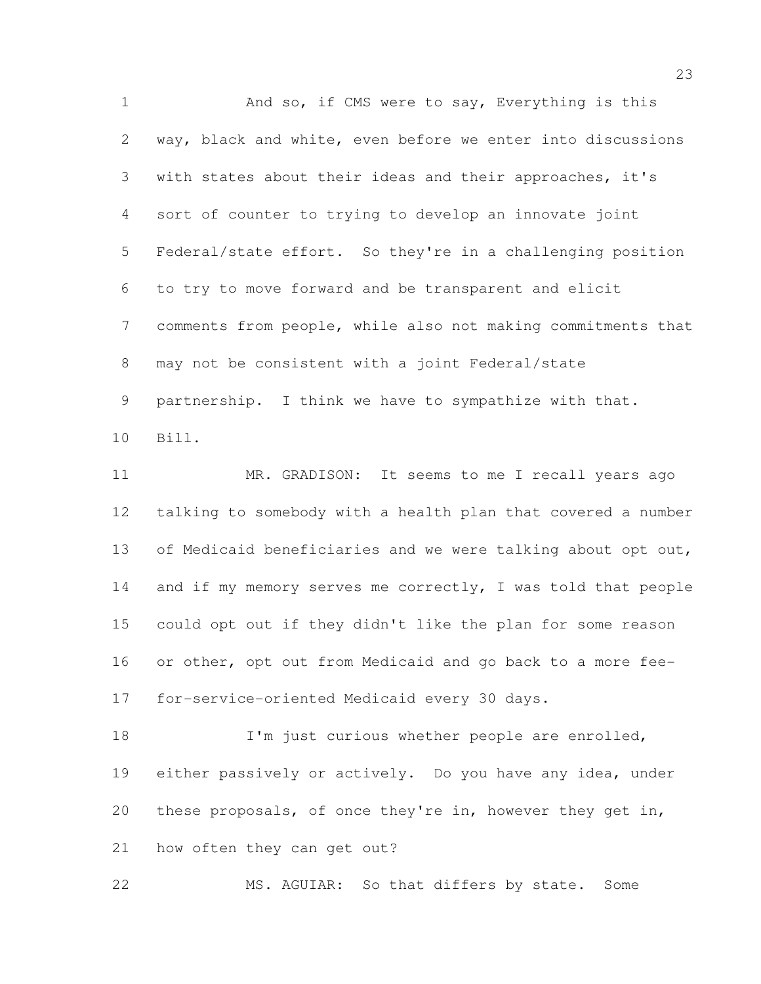1 And so, if CMS were to say, Everything is this way, black and white, even before we enter into discussions with states about their ideas and their approaches, it's sort of counter to trying to develop an innovate joint Federal/state effort. So they're in a challenging position to try to move forward and be transparent and elicit comments from people, while also not making commitments that may not be consistent with a joint Federal/state partnership. I think we have to sympathize with that. Bill. MR. GRADISON: It seems to me I recall years ago talking to somebody with a health plan that covered a number 13 of Medicaid beneficiaries and we were talking about opt out, 14 and if my memory serves me correctly, I was told that people could opt out if they didn't like the plan for some reason or other, opt out from Medicaid and go back to a more fee-for-service-oriented Medicaid every 30 days.

**I'm** just curious whether people are enrolled, either passively or actively. Do you have any idea, under these proposals, of once they're in, however they get in, how often they can get out?

MS. AGUIAR: So that differs by state. Some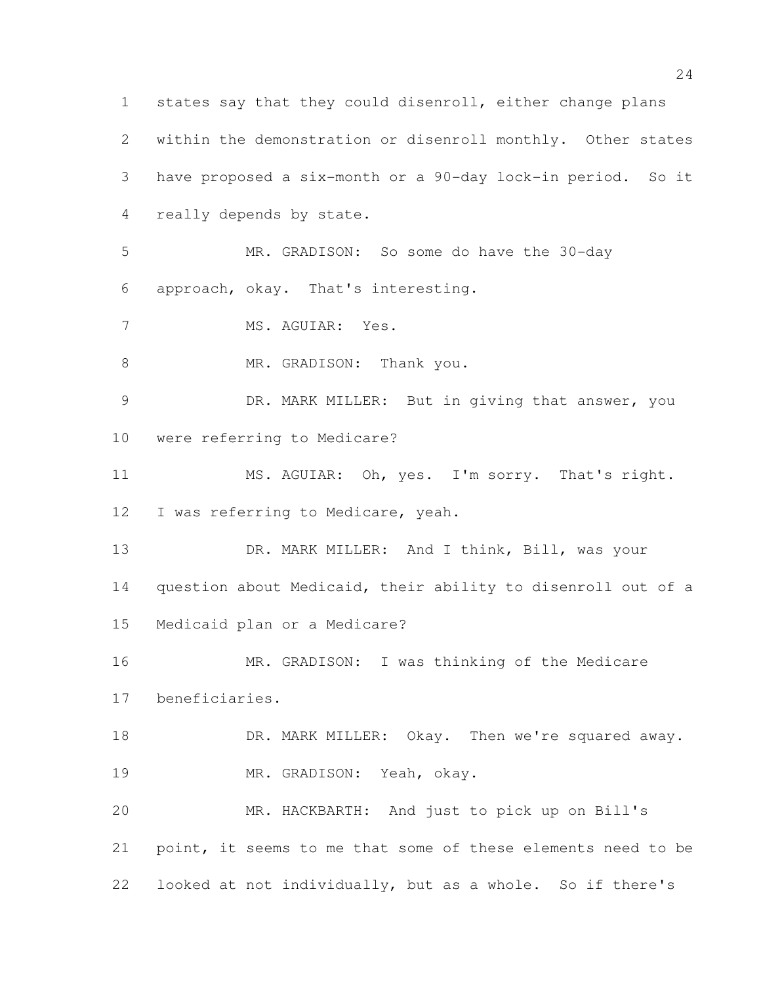states say that they could disenroll, either change plans within the demonstration or disenroll monthly. Other states have proposed a six-month or a 90-day lock-in period. So it really depends by state. MR. GRADISON: So some do have the 30-day approach, okay. That's interesting. MS. AGUIAR: Yes. 8 MR. GRADISON: Thank you. DR. MARK MILLER: But in giving that answer, you were referring to Medicare? 11 MS. AGUIAR: Oh, yes. I'm sorry. That's right. I was referring to Medicare, yeah. DR. MARK MILLER: And I think, Bill, was your question about Medicaid, their ability to disenroll out of a Medicaid plan or a Medicare? MR. GRADISON: I was thinking of the Medicare beneficiaries. **DR. MARK MILLER:** Okay. Then we're squared away. MR. GRADISON: Yeah, okay. MR. HACKBARTH: And just to pick up on Bill's point, it seems to me that some of these elements need to be looked at not individually, but as a whole. So if there's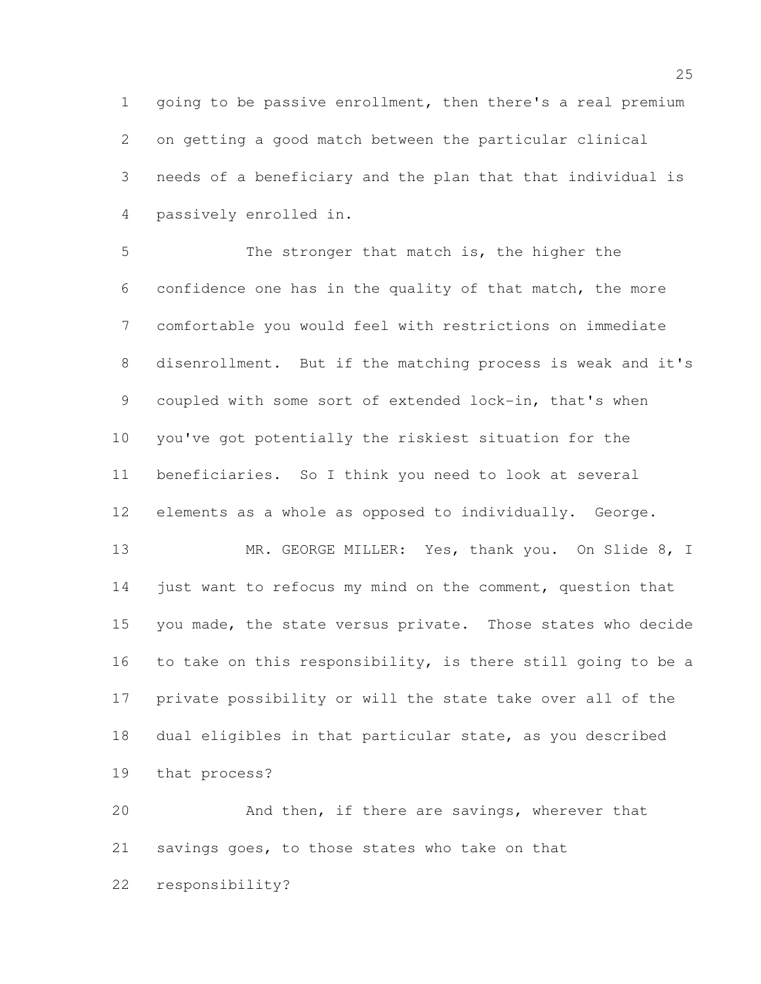going to be passive enrollment, then there's a real premium on getting a good match between the particular clinical needs of a beneficiary and the plan that that individual is passively enrolled in.

 The stronger that match is, the higher the confidence one has in the quality of that match, the more comfortable you would feel with restrictions on immediate disenrollment. But if the matching process is weak and it's coupled with some sort of extended lock-in, that's when you've got potentially the riskiest situation for the beneficiaries. So I think you need to look at several elements as a whole as opposed to individually. George.

13 MR. GEORGE MILLER: Yes, thank you. On Slide 8, I 14 just want to refocus my mind on the comment, question that you made, the state versus private. Those states who decide to take on this responsibility, is there still going to be a private possibility or will the state take over all of the dual eligibles in that particular state, as you described that process?

 And then, if there are savings, wherever that savings goes, to those states who take on that responsibility?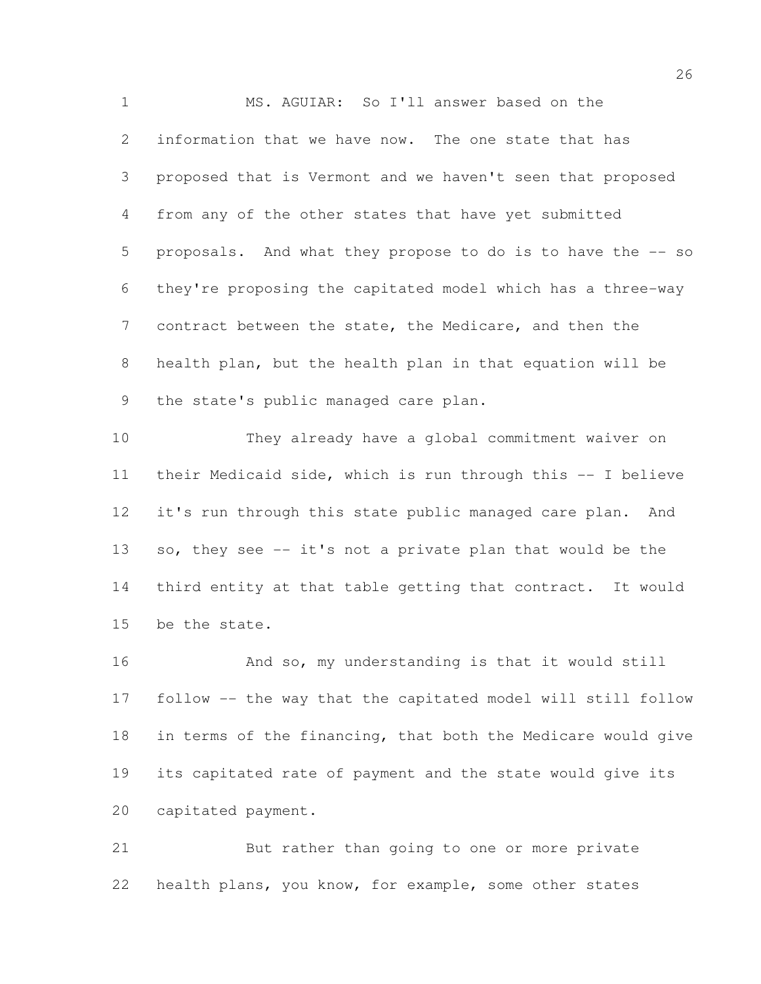MS. AGUIAR: So I'll answer based on the information that we have now. The one state that has proposed that is Vermont and we haven't seen that proposed from any of the other states that have yet submitted proposals. And what they propose to do is to have the -- so they're proposing the capitated model which has a three-way contract between the state, the Medicare, and then the health plan, but the health plan in that equation will be the state's public managed care plan.

 They already have a global commitment waiver on their Medicaid side, which is run through this -- I believe it's run through this state public managed care plan. And so, they see -- it's not a private plan that would be the third entity at that table getting that contract. It would be the state.

 And so, my understanding is that it would still follow -- the way that the capitated model will still follow in terms of the financing, that both the Medicare would give its capitated rate of payment and the state would give its capitated payment.

 But rather than going to one or more private health plans, you know, for example, some other states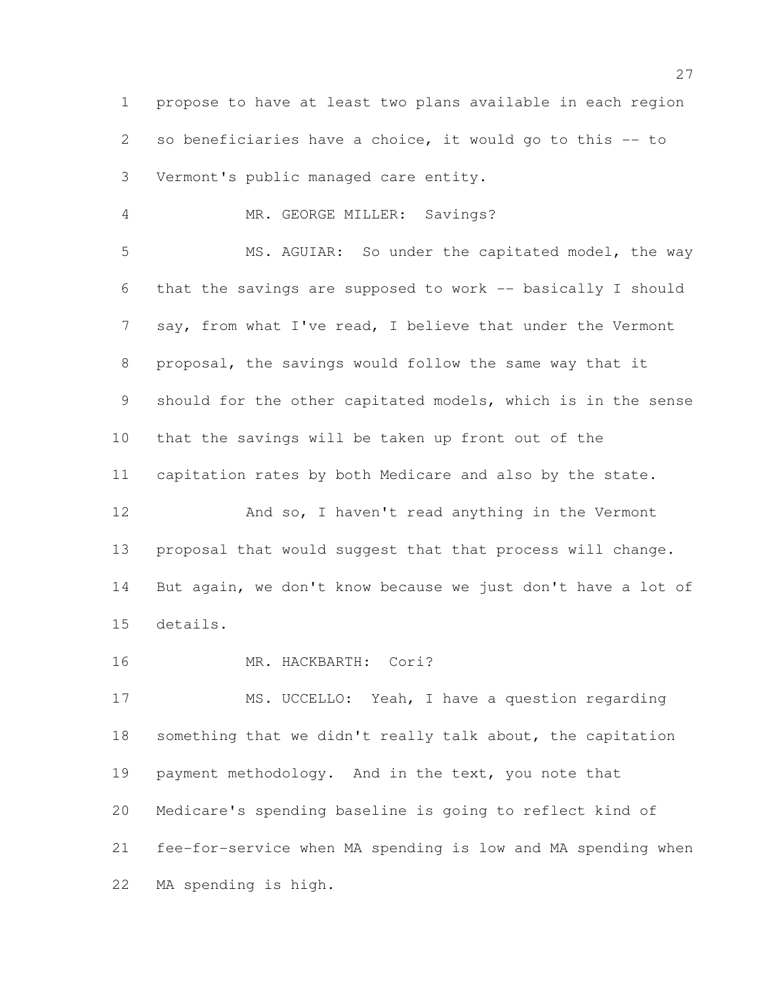propose to have at least two plans available in each region so beneficiaries have a choice, it would go to this -- to Vermont's public managed care entity.

MR. GEORGE MILLER: Savings?

 MS. AGUIAR: So under the capitated model, the way that the savings are supposed to work -- basically I should 7 say, from what I've read, I believe that under the Vermont proposal, the savings would follow the same way that it should for the other capitated models, which is in the sense that the savings will be taken up front out of the capitation rates by both Medicare and also by the state. 12 And so, I haven't read anything in the Vermont

 proposal that would suggest that that process will change. But again, we don't know because we just don't have a lot of details.

16 MR. HACKBARTH: Cori?

 MS. UCCELLO: Yeah, I have a question regarding something that we didn't really talk about, the capitation payment methodology. And in the text, you note that Medicare's spending baseline is going to reflect kind of fee-for-service when MA spending is low and MA spending when MA spending is high.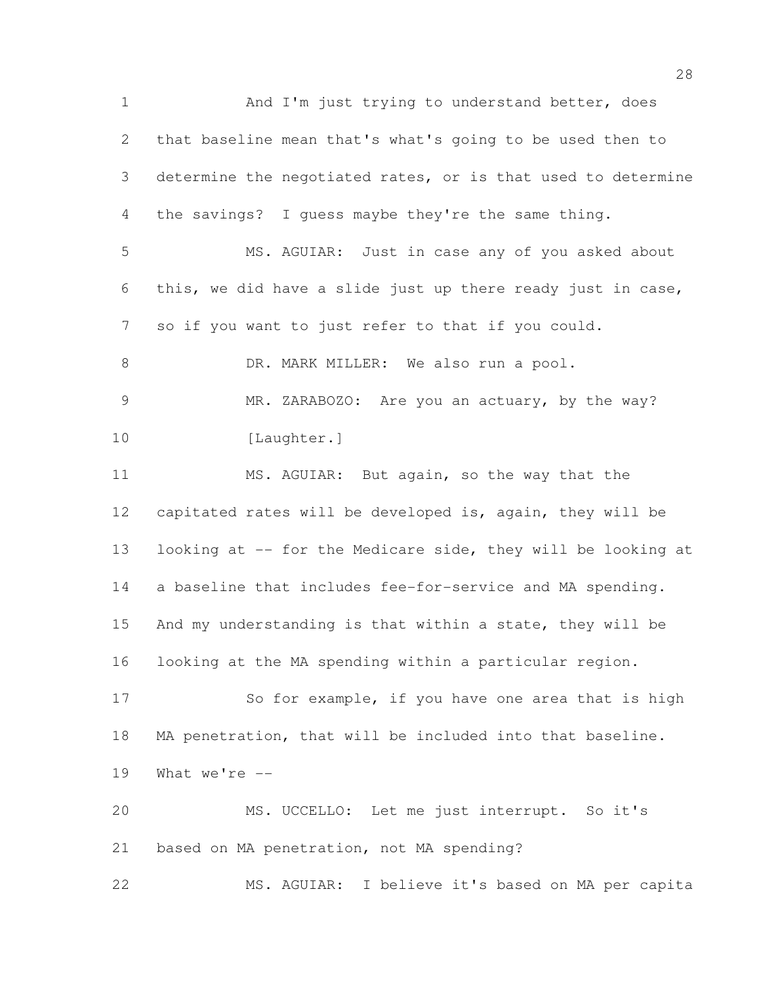1 And I'm just trying to understand better, does that baseline mean that's what's going to be used then to determine the negotiated rates, or is that used to determine the savings? I guess maybe they're the same thing. MS. AGUIAR: Just in case any of you asked about this, we did have a slide just up there ready just in case, so if you want to just refer to that if you could. 8 DR. MARK MILLER: We also run a pool. MR. ZARABOZO: Are you an actuary, by the way? 10 [Laughter.] MS. AGUIAR: But again, so the way that the capitated rates will be developed is, again, they will be 13 looking at -- for the Medicare side, they will be looking at a baseline that includes fee-for-service and MA spending. And my understanding is that within a state, they will be looking at the MA spending within a particular region. 17 So for example, if you have one area that is high MA penetration, that will be included into that baseline. What we're -- MS. UCCELLO: Let me just interrupt. So it's based on MA penetration, not MA spending? MS. AGUIAR: I believe it's based on MA per capita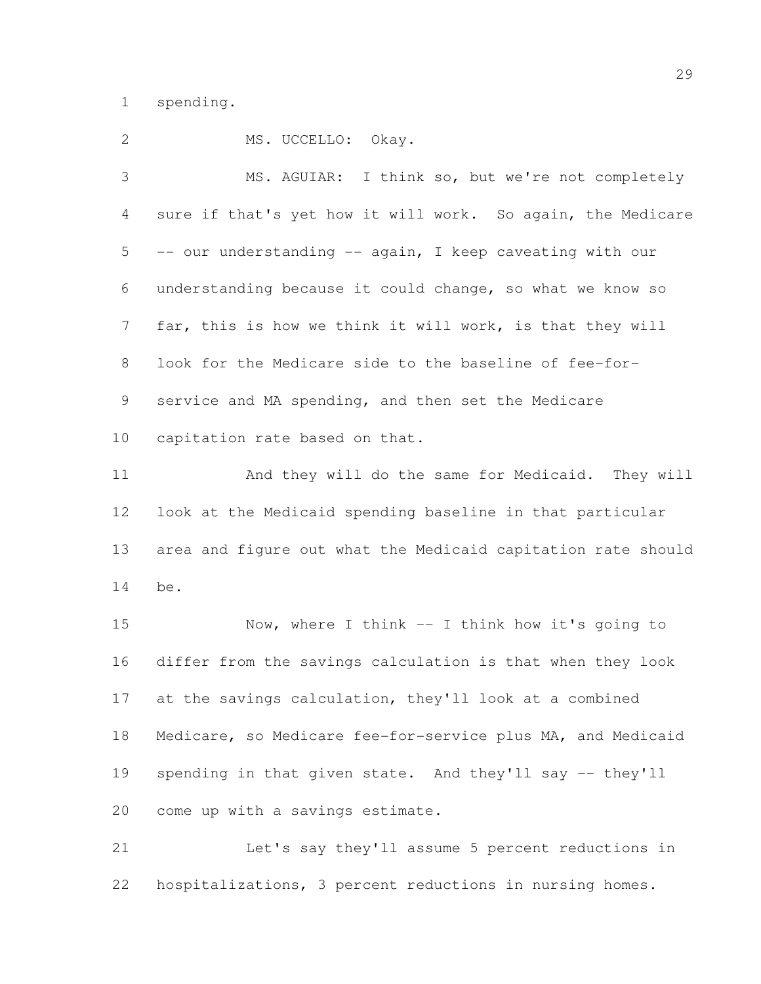spending.

2 MS. UCCELLO: Okay. MS. AGUIAR: I think so, but we're not completely sure if that's yet how it will work. So again, the Medicare -- our understanding -- again, I keep caveating with our understanding because it could change, so what we know so far, this is how we think it will work, is that they will look for the Medicare side to the baseline of fee-for- service and MA spending, and then set the Medicare capitation rate based on that. And they will do the same for Medicaid. They will look at the Medicaid spending baseline in that particular area and figure out what the Medicaid capitation rate should be. Now, where I think -- I think how it's going to differ from the savings calculation is that when they look at the savings calculation, they'll look at a combined Medicare, so Medicare fee-for-service plus MA, and Medicaid spending in that given state. And they'll say -- they'll come up with a savings estimate.

 Let's say they'll assume 5 percent reductions in hospitalizations, 3 percent reductions in nursing homes.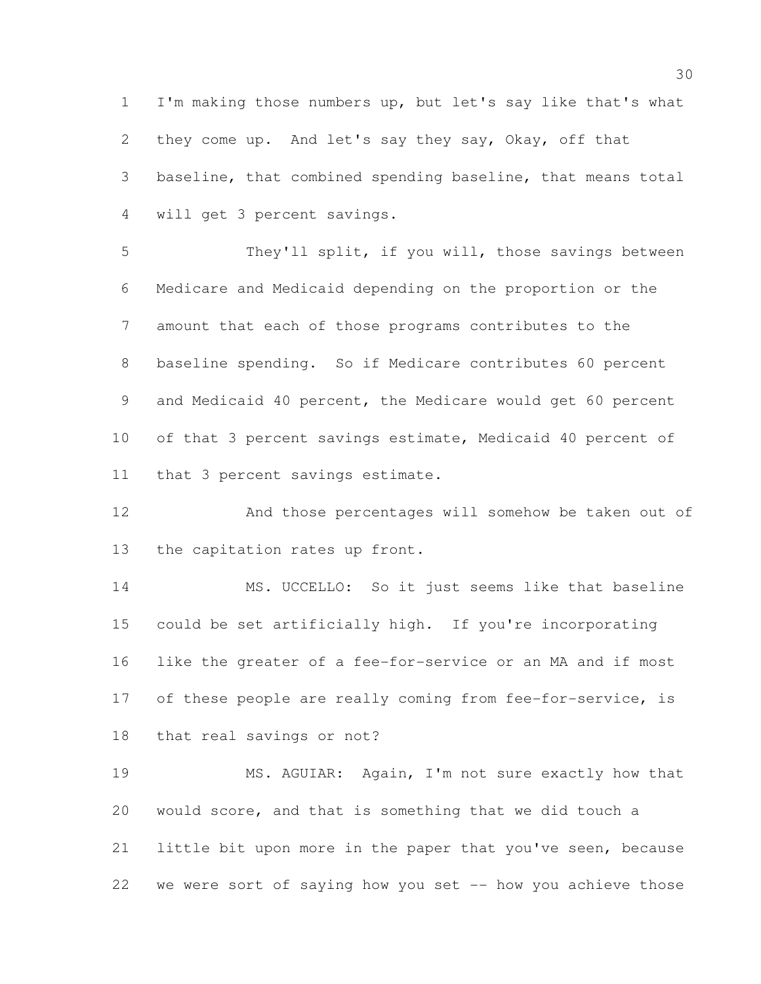I'm making those numbers up, but let's say like that's what they come up. And let's say they say, Okay, off that baseline, that combined spending baseline, that means total will get 3 percent savings.

 They'll split, if you will, those savings between Medicare and Medicaid depending on the proportion or the amount that each of those programs contributes to the baseline spending. So if Medicare contributes 60 percent and Medicaid 40 percent, the Medicare would get 60 percent 10 of that 3 percent savings estimate, Medicaid 40 percent of that 3 percent savings estimate.

 And those percentages will somehow be taken out of the capitation rates up front.

 MS. UCCELLO: So it just seems like that baseline could be set artificially high. If you're incorporating like the greater of a fee-for-service or an MA and if most 17 of these people are really coming from fee-for-service, is that real savings or not?

 MS. AGUIAR: Again, I'm not sure exactly how that would score, and that is something that we did touch a little bit upon more in the paper that you've seen, because we were sort of saying how you set -- how you achieve those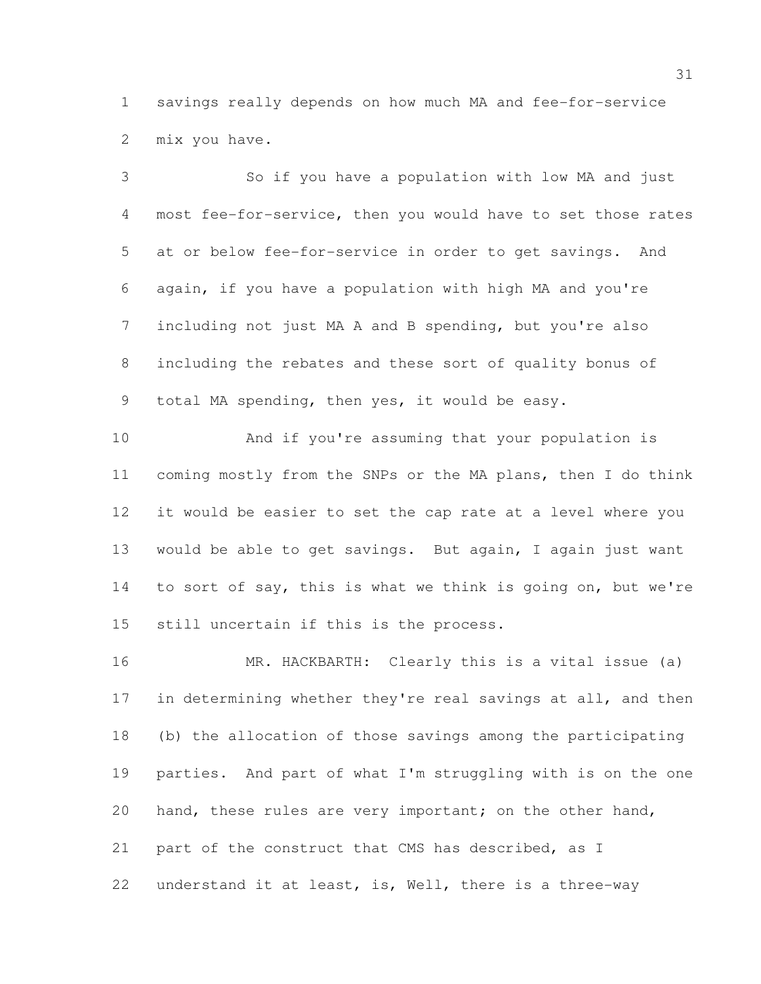savings really depends on how much MA and fee-for-service mix you have.

 So if you have a population with low MA and just most fee-for-service, then you would have to set those rates at or below fee-for-service in order to get savings. And again, if you have a population with high MA and you're including not just MA A and B spending, but you're also including the rebates and these sort of quality bonus of total MA spending, then yes, it would be easy.

 And if you're assuming that your population is coming mostly from the SNPs or the MA plans, then I do think it would be easier to set the cap rate at a level where you would be able to get savings. But again, I again just want to sort of say, this is what we think is going on, but we're still uncertain if this is the process.

 MR. HACKBARTH: Clearly this is a vital issue (a) 17 in determining whether they're real savings at all, and then (b) the allocation of those savings among the participating parties. And part of what I'm struggling with is on the one 20 hand, these rules are very important; on the other hand, part of the construct that CMS has described, as I understand it at least, is, Well, there is a three-way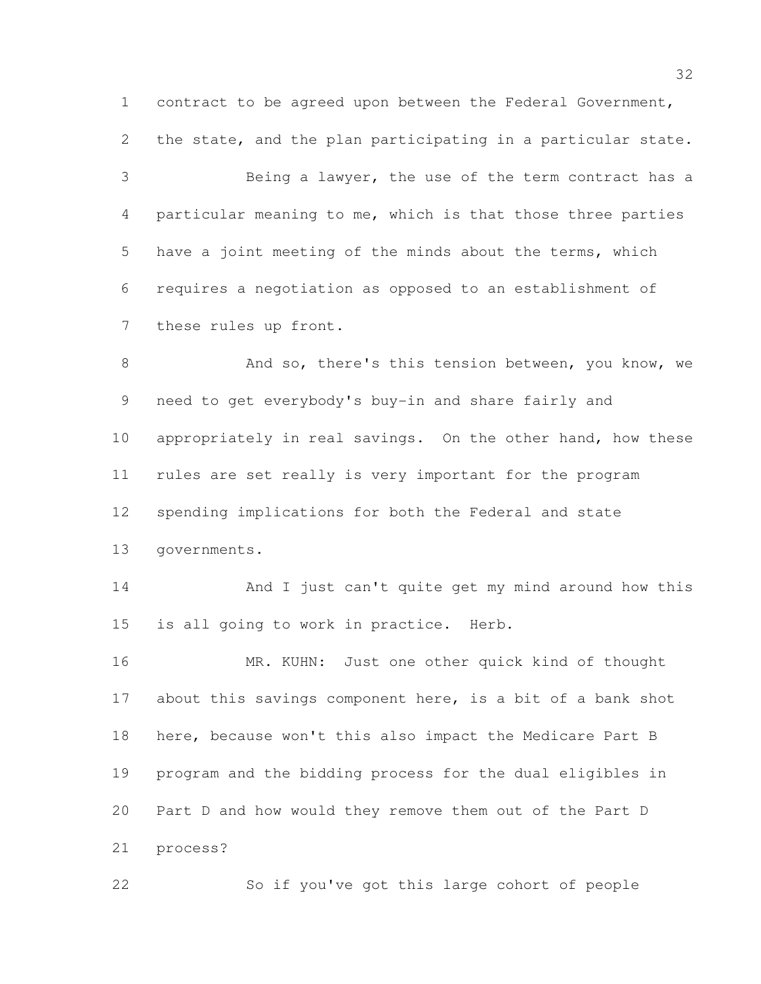contract to be agreed upon between the Federal Government, the state, and the plan participating in a particular state.

 Being a lawyer, the use of the term contract has a particular meaning to me, which is that those three parties have a joint meeting of the minds about the terms, which requires a negotiation as opposed to an establishment of these rules up front.

8 And so, there's this tension between, you know, we need to get everybody's buy-in and share fairly and appropriately in real savings. On the other hand, how these rules are set really is very important for the program spending implications for both the Federal and state governments.

 And I just can't quite get my mind around how this is all going to work in practice. Herb.

 MR. KUHN: Just one other quick kind of thought about this savings component here, is a bit of a bank shot here, because won't this also impact the Medicare Part B program and the bidding process for the dual eligibles in Part D and how would they remove them out of the Part D process?

So if you've got this large cohort of people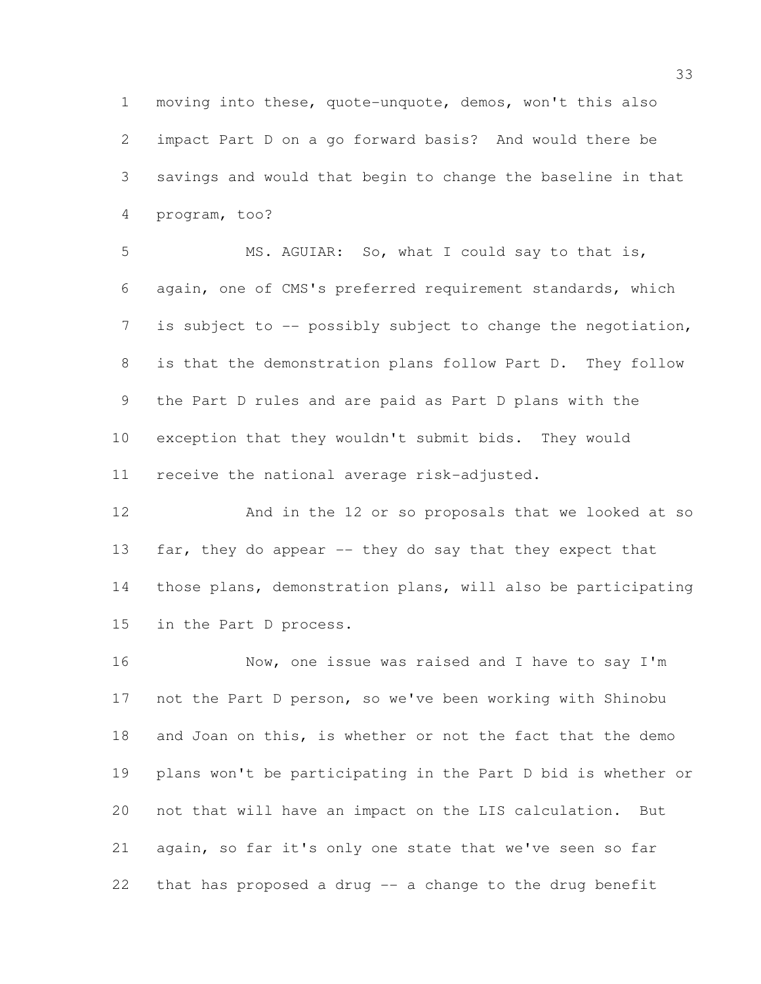moving into these, quote-unquote, demos, won't this also impact Part D on a go forward basis? And would there be savings and would that begin to change the baseline in that program, too?

 MS. AGUIAR: So, what I could say to that is, again, one of CMS's preferred requirement standards, which 7 is subject to -- possibly subject to change the negotiation, is that the demonstration plans follow Part D. They follow the Part D rules and are paid as Part D plans with the exception that they wouldn't submit bids. They would receive the national average risk-adjusted.

 And in the 12 or so proposals that we looked at so 13 far, they do appear -- they do say that they expect that those plans, demonstration plans, will also be participating in the Part D process.

 Now, one issue was raised and I have to say I'm not the Part D person, so we've been working with Shinobu and Joan on this, is whether or not the fact that the demo plans won't be participating in the Part D bid is whether or not that will have an impact on the LIS calculation. But again, so far it's only one state that we've seen so far that has proposed a drug -- a change to the drug benefit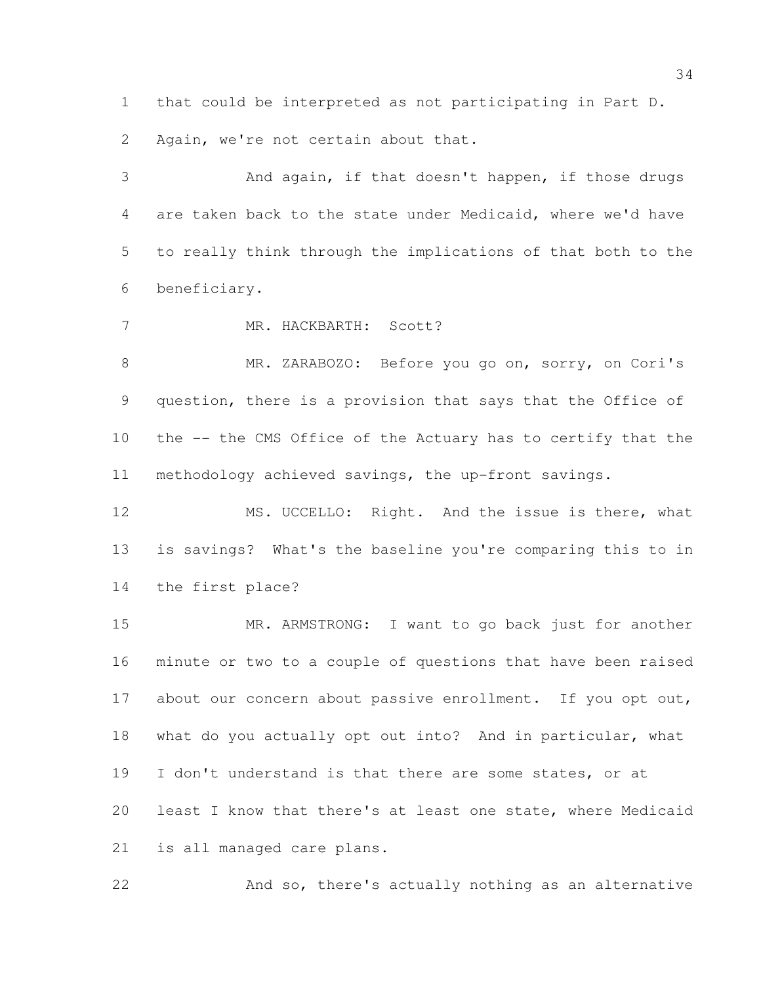that could be interpreted as not participating in Part D.

Again, we're not certain about that.

 And again, if that doesn't happen, if those drugs are taken back to the state under Medicaid, where we'd have to really think through the implications of that both to the beneficiary.

7 MR. HACKBARTH: Scott?

 MR. ZARABOZO: Before you go on, sorry, on Cori's question, there is a provision that says that the Office of the -- the CMS Office of the Actuary has to certify that the methodology achieved savings, the up-front savings.

12 MS. UCCELLO: Right. And the issue is there, what is savings? What's the baseline you're comparing this to in the first place?

 MR. ARMSTRONG: I want to go back just for another minute or two to a couple of questions that have been raised 17 about our concern about passive enrollment. If you opt out, what do you actually opt out into? And in particular, what I don't understand is that there are some states, or at least I know that there's at least one state, where Medicaid is all managed care plans.

And so, there's actually nothing as an alternative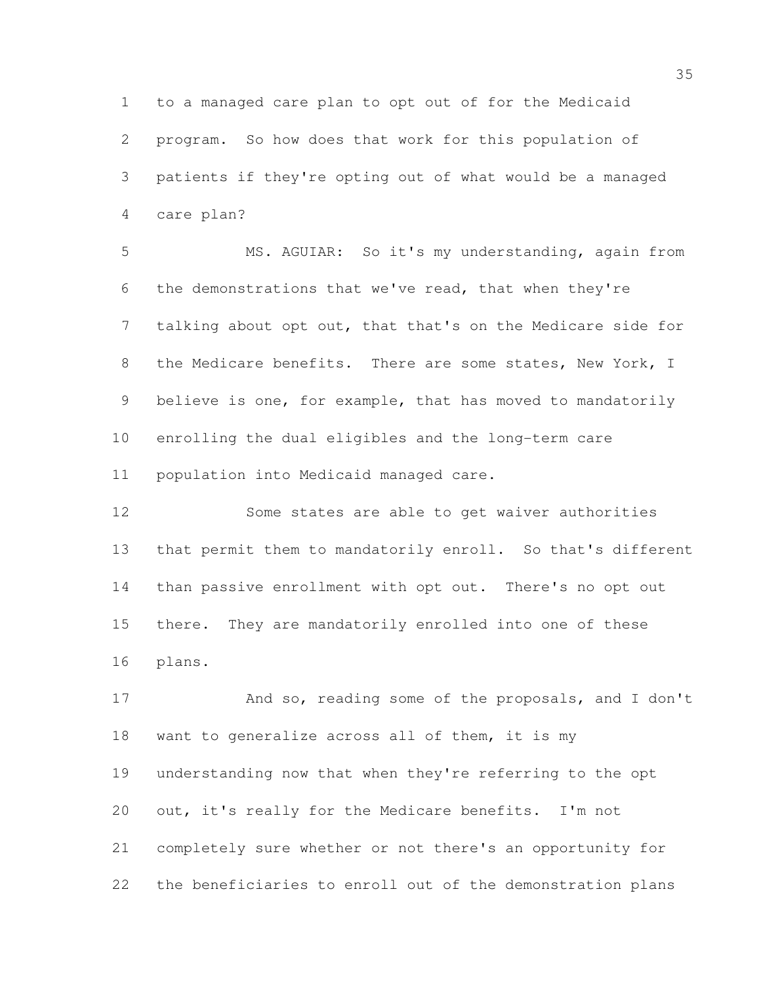to a managed care plan to opt out of for the Medicaid program. So how does that work for this population of patients if they're opting out of what would be a managed care plan?

 MS. AGUIAR: So it's my understanding, again from the demonstrations that we've read, that when they're talking about opt out, that that's on the Medicare side for the Medicare benefits. There are some states, New York, I believe is one, for example, that has moved to mandatorily enrolling the dual eligibles and the long-term care population into Medicaid managed care.

 Some states are able to get waiver authorities that permit them to mandatorily enroll. So that's different than passive enrollment with opt out. There's no opt out there. They are mandatorily enrolled into one of these plans.

 And so, reading some of the proposals, and I don't want to generalize across all of them, it is my understanding now that when they're referring to the opt out, it's really for the Medicare benefits. I'm not completely sure whether or not there's an opportunity for the beneficiaries to enroll out of the demonstration plans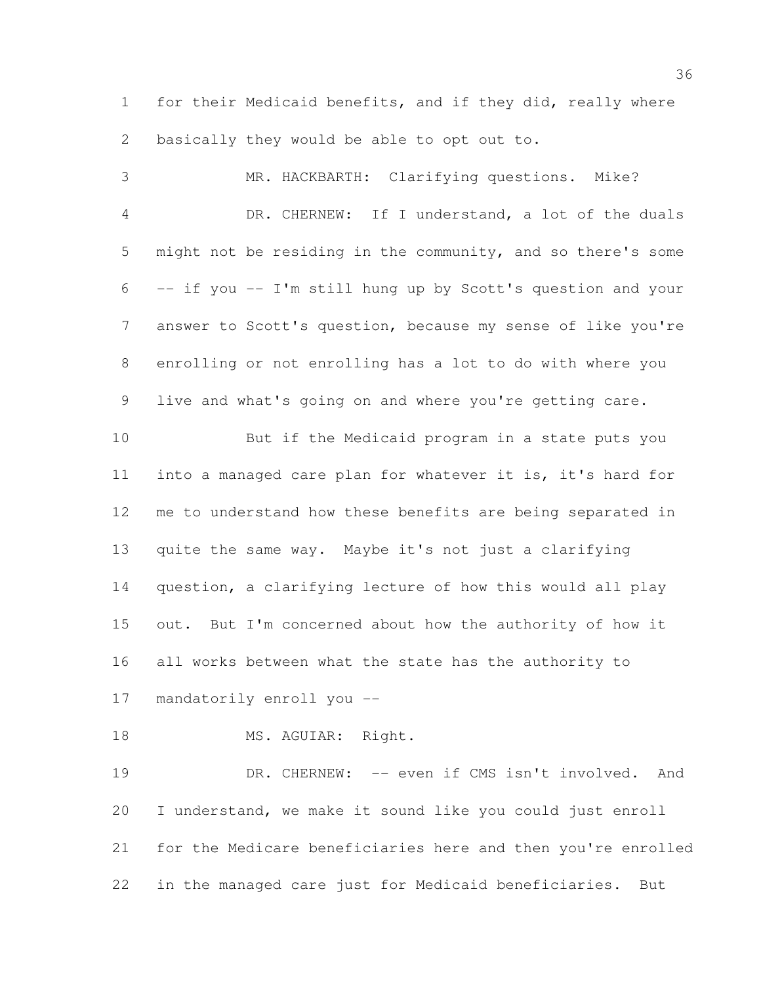for their Medicaid benefits, and if they did, really where basically they would be able to opt out to.

 MR. HACKBARTH: Clarifying questions. Mike? DR. CHERNEW: If I understand, a lot of the duals might not be residing in the community, and so there's some -- if you -- I'm still hung up by Scott's question and your answer to Scott's question, because my sense of like you're enrolling or not enrolling has a lot to do with where you live and what's going on and where you're getting care. But if the Medicaid program in a state puts you into a managed care plan for whatever it is, it's hard for me to understand how these benefits are being separated in quite the same way. Maybe it's not just a clarifying question, a clarifying lecture of how this would all play out. But I'm concerned about how the authority of how it all works between what the state has the authority to mandatorily enroll you -- 18 MS. AGUIAR: Right.

19 DR. CHERNEW: -- even if CMS isn't involved. And I understand, we make it sound like you could just enroll for the Medicare beneficiaries here and then you're enrolled in the managed care just for Medicaid beneficiaries. But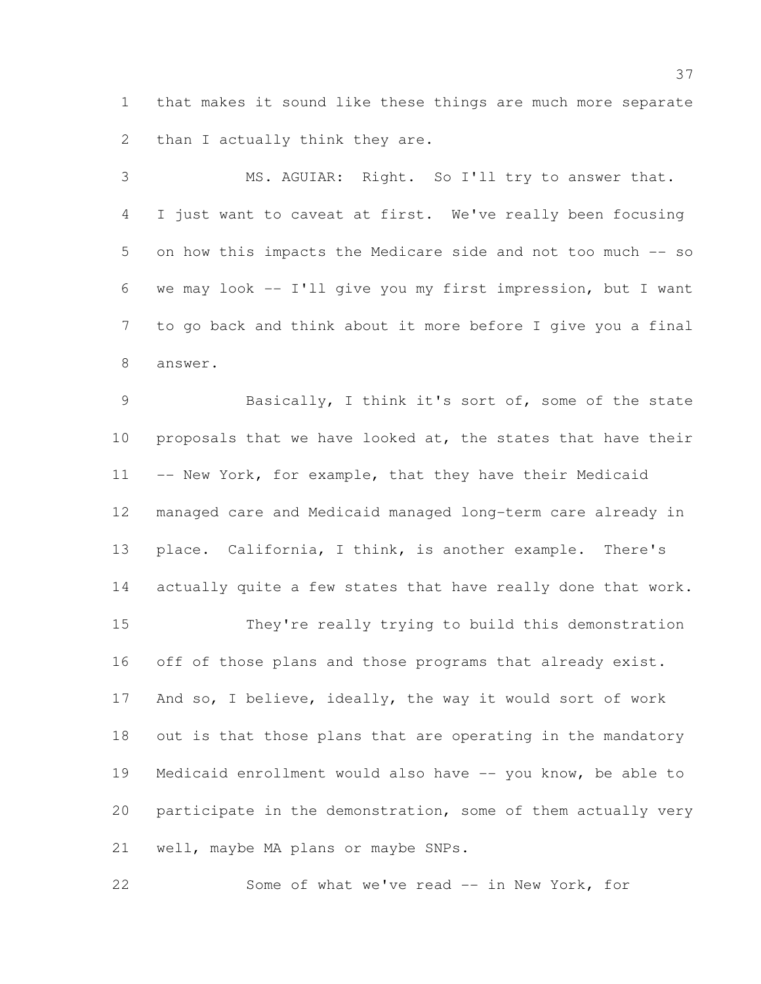that makes it sound like these things are much more separate 2 than I actually think they are.

 MS. AGUIAR: Right. So I'll try to answer that. I just want to caveat at first. We've really been focusing on how this impacts the Medicare side and not too much -- so we may look -- I'll give you my first impression, but I want to go back and think about it more before I give you a final answer.

 Basically, I think it's sort of, some of the state 10 proposals that we have looked at, the states that have their 11 -- New York, for example, that they have their Medicaid managed care and Medicaid managed long-term care already in place. California, I think, is another example. There's 14 actually quite a few states that have really done that work. They're really trying to build this demonstration 16 off of those plans and those programs that already exist.

 And so, I believe, ideally, the way it would sort of work out is that those plans that are operating in the mandatory Medicaid enrollment would also have -- you know, be able to participate in the demonstration, some of them actually very well, maybe MA plans or maybe SNPs.

22 Some of what we've read -- in New York, for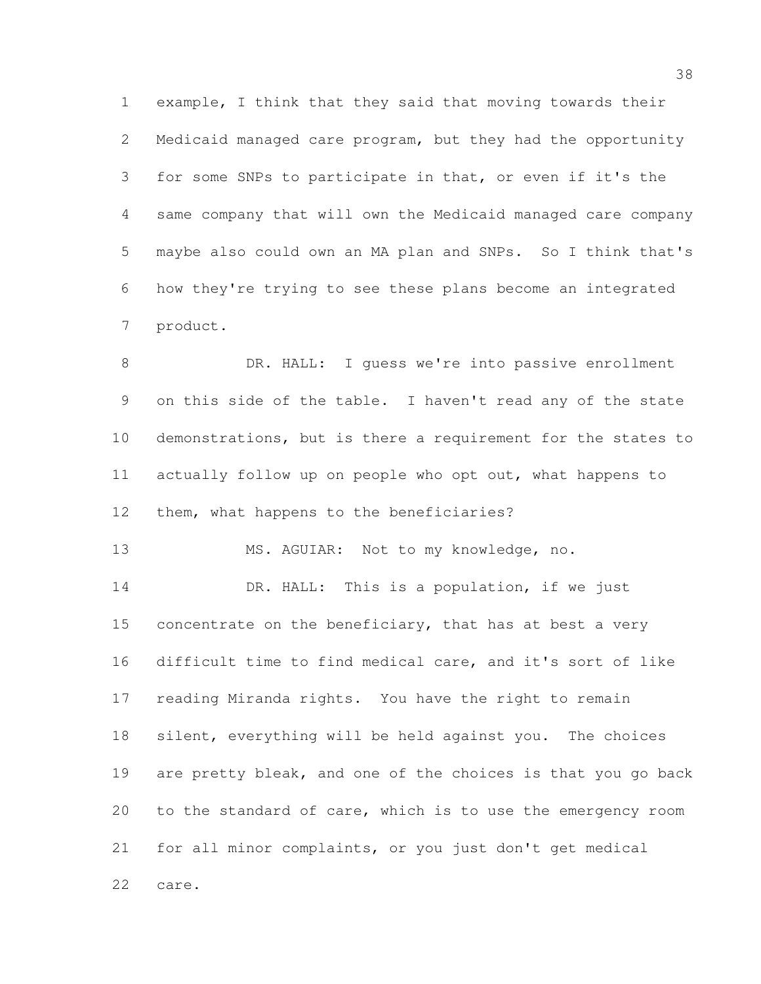example, I think that they said that moving towards their Medicaid managed care program, but they had the opportunity for some SNPs to participate in that, or even if it's the same company that will own the Medicaid managed care company maybe also could own an MA plan and SNPs. So I think that's how they're trying to see these plans become an integrated product.

 DR. HALL: I guess we're into passive enrollment on this side of the table. I haven't read any of the state demonstrations, but is there a requirement for the states to actually follow up on people who opt out, what happens to 12 them, what happens to the beneficiaries?

MS. AGUIAR: Not to my knowledge, no.

14 DR. HALL: This is a population, if we just 15 concentrate on the beneficiary, that has at best a very difficult time to find medical care, and it's sort of like reading Miranda rights. You have the right to remain silent, everything will be held against you. The choices are pretty bleak, and one of the choices is that you go back to the standard of care, which is to use the emergency room for all minor complaints, or you just don't get medical care.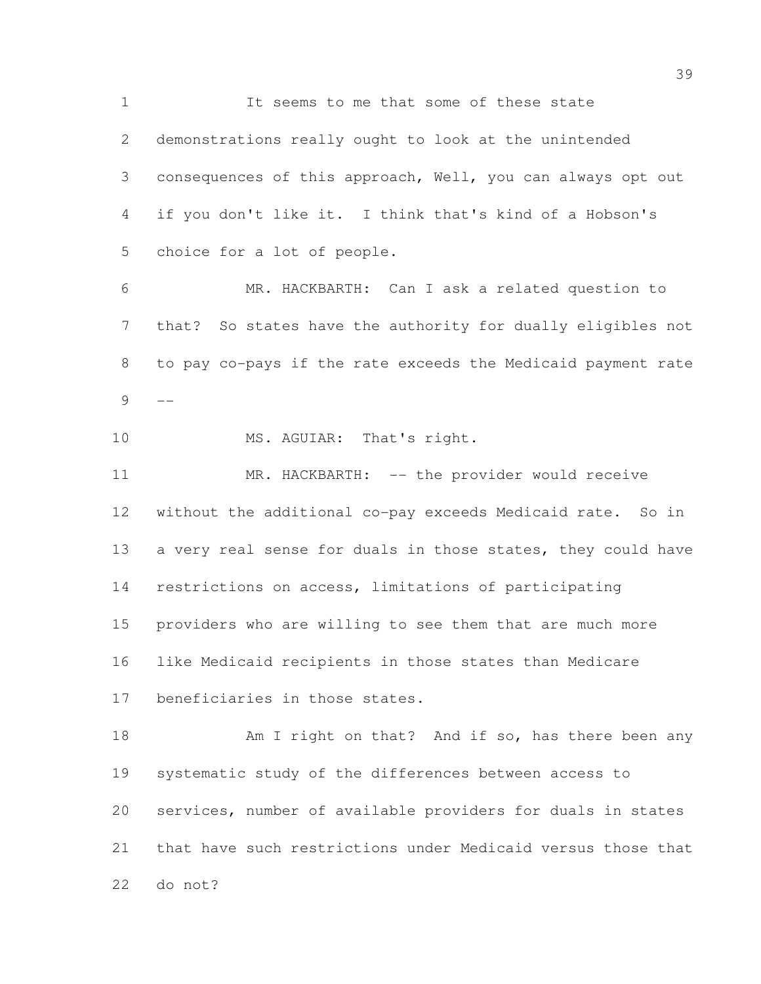1 It seems to me that some of these state demonstrations really ought to look at the unintended consequences of this approach, Well, you can always opt out if you don't like it. I think that's kind of a Hobson's choice for a lot of people. MR. HACKBARTH: Can I ask a related question to that? So states have the authority for dually eligibles not to pay co-pays if the rate exceeds the Medicaid payment rate  $9 - -$ 10 MS. AGUIAR: That's right. 11 MR. HACKBARTH: -- the provider would receive without the additional co-pay exceeds Medicaid rate. So in 13 a very real sense for duals in those states, they could have restrictions on access, limitations of participating providers who are willing to see them that are much more like Medicaid recipients in those states than Medicare beneficiaries in those states. 18 Am I right on that? And if so, has there been any systematic study of the differences between access to services, number of available providers for duals in states that have such restrictions under Medicaid versus those that

do not?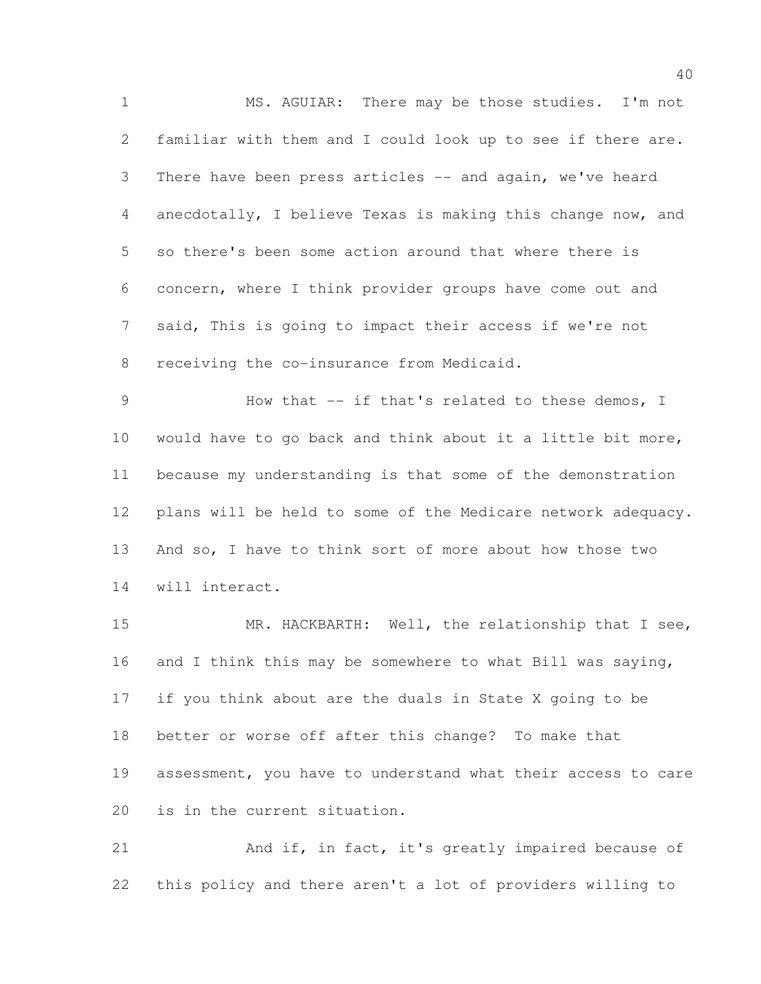MS. AGUIAR: There may be those studies. I'm not familiar with them and I could look up to see if there are. 3 There have been press articles -- and again, we've heard anecdotally, I believe Texas is making this change now, and so there's been some action around that where there is concern, where I think provider groups have come out and said, This is going to impact their access if we're not receiving the co-insurance from Medicaid.

9 How that -- if that's related to these demos, I would have to go back and think about it a little bit more, because my understanding is that some of the demonstration plans will be held to some of the Medicare network adequacy. And so, I have to think sort of more about how those two will interact.

15 MR. HACKBARTH: Well, the relationship that I see, and I think this may be somewhere to what Bill was saying, if you think about are the duals in State X going to be better or worse off after this change? To make that assessment, you have to understand what their access to care is in the current situation.

21 And if, in fact, it's greatly impaired because of this policy and there aren't a lot of providers willing to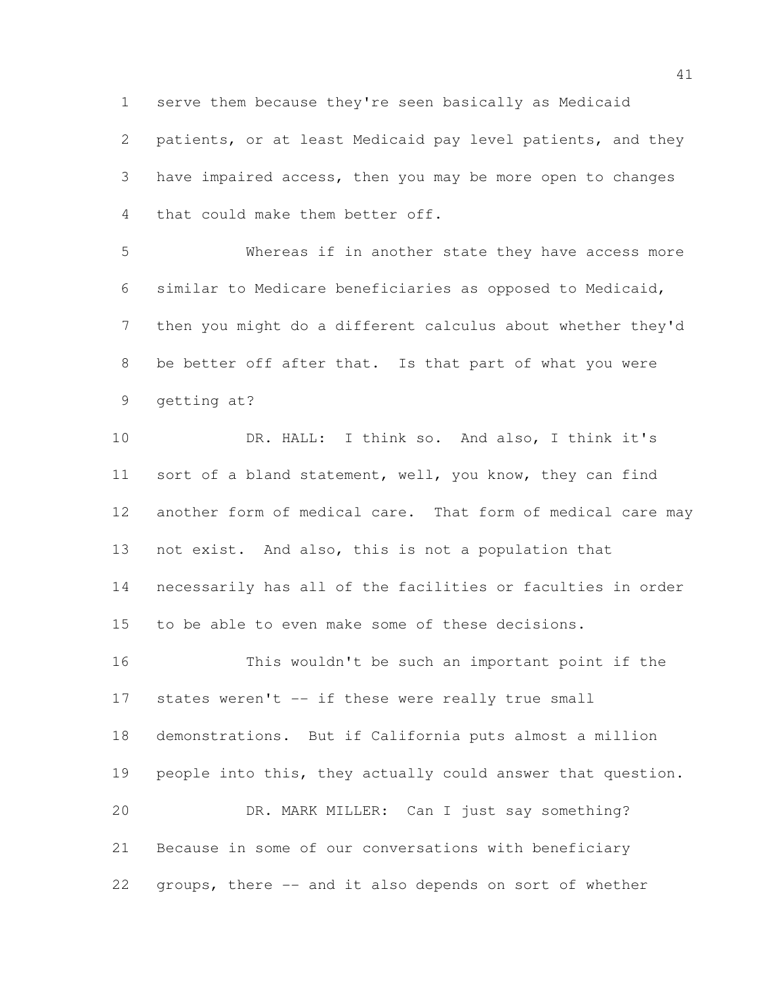serve them because they're seen basically as Medicaid patients, or at least Medicaid pay level patients, and they have impaired access, then you may be more open to changes that could make them better off.

 Whereas if in another state they have access more similar to Medicare beneficiaries as opposed to Medicaid, then you might do a different calculus about whether they'd be better off after that. Is that part of what you were getting at?

 DR. HALL: I think so. And also, I think it's sort of a bland statement, well, you know, they can find another form of medical care. That form of medical care may not exist. And also, this is not a population that necessarily has all of the facilities or faculties in order to be able to even make some of these decisions. This wouldn't be such an important point if the

 states weren't -- if these were really true small demonstrations. But if California puts almost a million people into this, they actually could answer that question. DR. MARK MILLER: Can I just say something? Because in some of our conversations with beneficiary groups, there -- and it also depends on sort of whether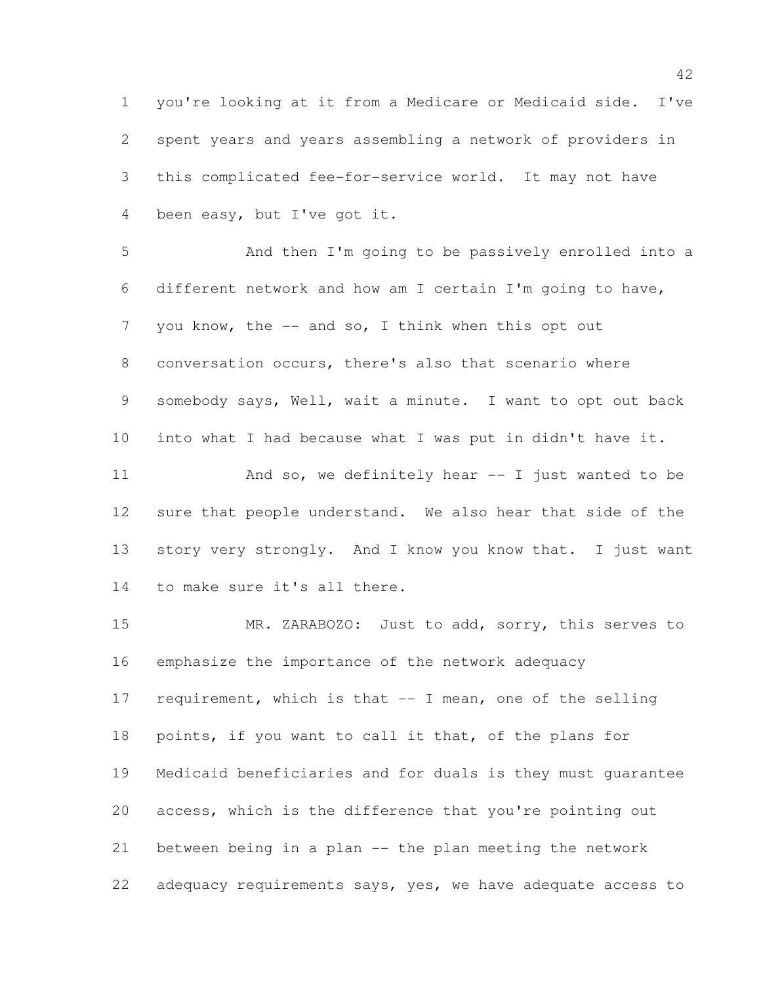you're looking at it from a Medicare or Medicaid side. I've spent years and years assembling a network of providers in this complicated fee-for-service world. It may not have been easy, but I've got it.

 And then I'm going to be passively enrolled into a different network and how am I certain I'm going to have, 7 you know, the -- and so, I think when this opt out conversation occurs, there's also that scenario where somebody says, Well, wait a minute. I want to opt out back into what I had because what I was put in didn't have it. And so, we definitely hear -- I just wanted to be sure that people understand. We also hear that side of the story very strongly. And I know you know that. I just want to make sure it's all there.

 MR. ZARABOZO: Just to add, sorry, this serves to emphasize the importance of the network adequacy requirement, which is that -- I mean, one of the selling points, if you want to call it that, of the plans for Medicaid beneficiaries and for duals is they must guarantee access, which is the difference that you're pointing out between being in a plan -- the plan meeting the network adequacy requirements says, yes, we have adequate access to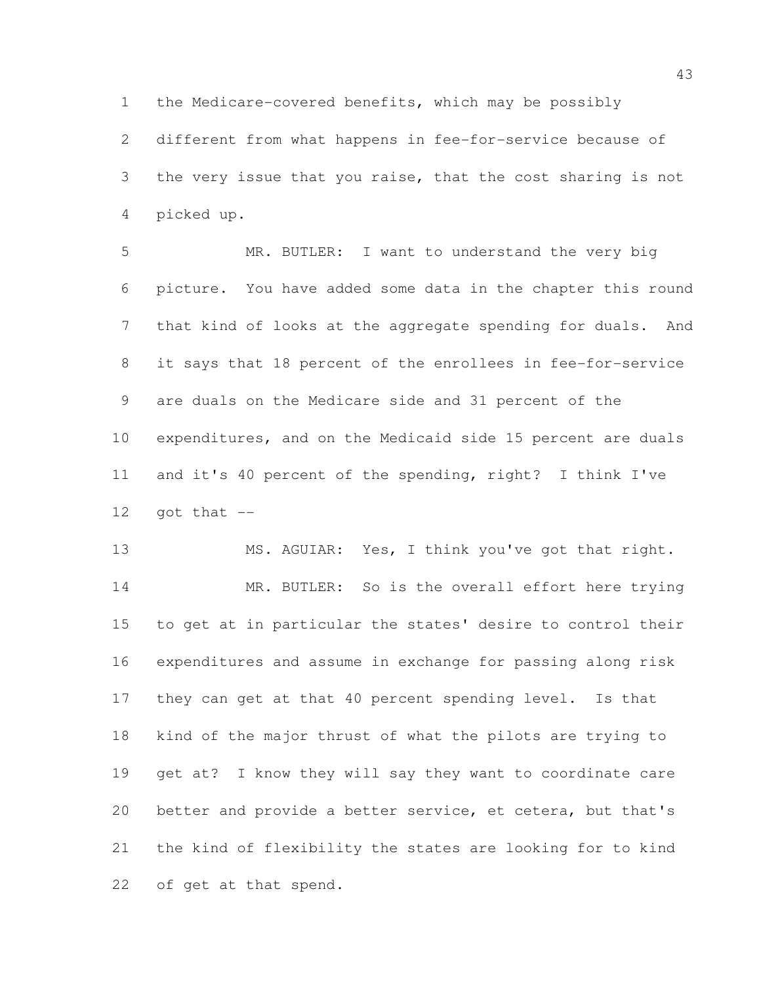the Medicare-covered benefits, which may be possibly

 different from what happens in fee-for-service because of 3 the very issue that you raise, that the cost sharing is not picked up.

 MR. BUTLER: I want to understand the very big picture. You have added some data in the chapter this round that kind of looks at the aggregate spending for duals. And it says that 18 percent of the enrollees in fee-for-service are duals on the Medicare side and 31 percent of the expenditures, and on the Medicaid side 15 percent are duals and it's 40 percent of the spending, right? I think I've got that  $-$ 

 MS. AGUIAR: Yes, I think you've got that right. 14 MR. BUTLER: So is the overall effort here trying to get at in particular the states' desire to control their expenditures and assume in exchange for passing along risk they can get at that 40 percent spending level. Is that kind of the major thrust of what the pilots are trying to get at? I know they will say they want to coordinate care better and provide a better service, et cetera, but that's the kind of flexibility the states are looking for to kind of get at that spend.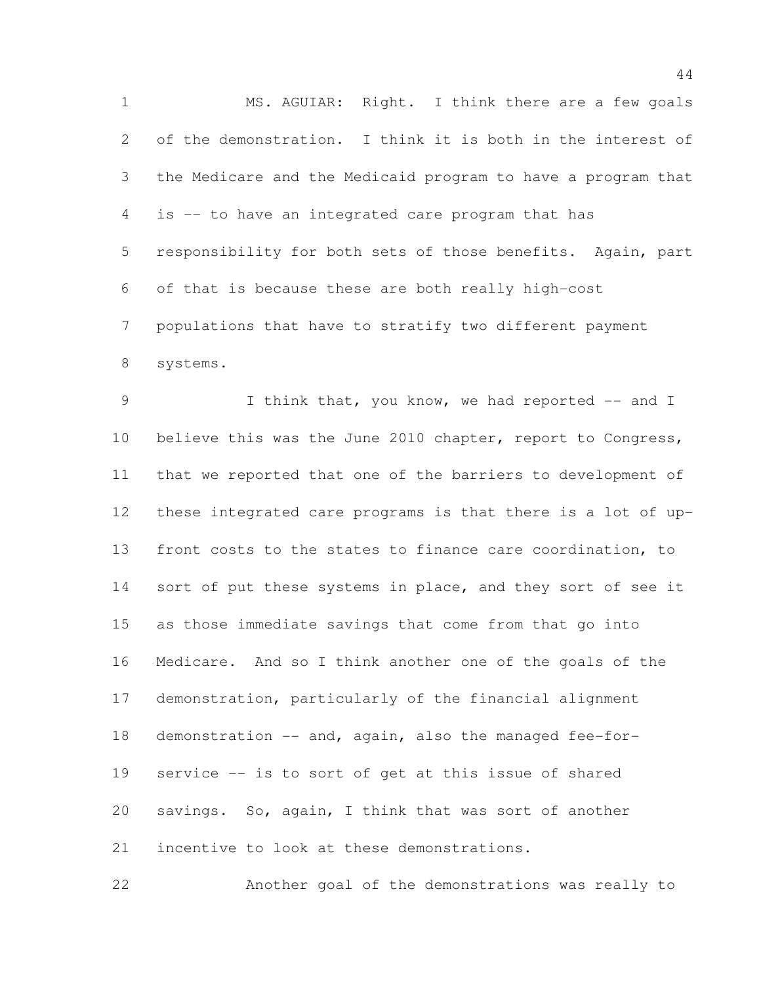MS. AGUIAR: Right. I think there are a few goals of the demonstration. I think it is both in the interest of the Medicare and the Medicaid program to have a program that is -- to have an integrated care program that has responsibility for both sets of those benefits. Again, part of that is because these are both really high-cost populations that have to stratify two different payment systems.

9 1 I think that, you know, we had reported -- and I believe this was the June 2010 chapter, report to Congress, that we reported that one of the barriers to development of these integrated care programs is that there is a lot of up- front costs to the states to finance care coordination, to 14 sort of put these systems in place, and they sort of see it as those immediate savings that come from that go into Medicare. And so I think another one of the goals of the demonstration, particularly of the financial alignment demonstration -- and, again, also the managed fee-for- service -- is to sort of get at this issue of shared savings. So, again, I think that was sort of another incentive to look at these demonstrations.

Another goal of the demonstrations was really to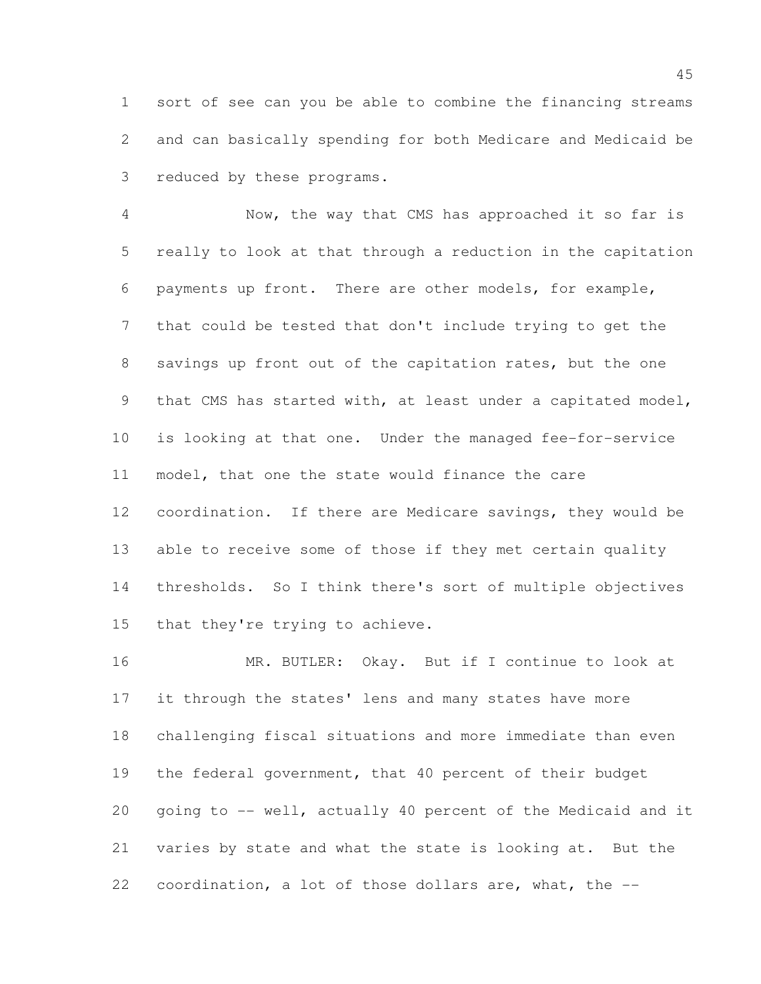sort of see can you be able to combine the financing streams and can basically spending for both Medicare and Medicaid be reduced by these programs.

 Now, the way that CMS has approached it so far is really to look at that through a reduction in the capitation payments up front. There are other models, for example, that could be tested that don't include trying to get the savings up front out of the capitation rates, but the one that CMS has started with, at least under a capitated model, is looking at that one. Under the managed fee-for-service model, that one the state would finance the care coordination. If there are Medicare savings, they would be able to receive some of those if they met certain quality thresholds. So I think there's sort of multiple objectives that they're trying to achieve.

 MR. BUTLER: Okay. But if I continue to look at it through the states' lens and many states have more challenging fiscal situations and more immediate than even the federal government, that 40 percent of their budget going to -- well, actually 40 percent of the Medicaid and it varies by state and what the state is looking at. But the coordination, a lot of those dollars are, what, the --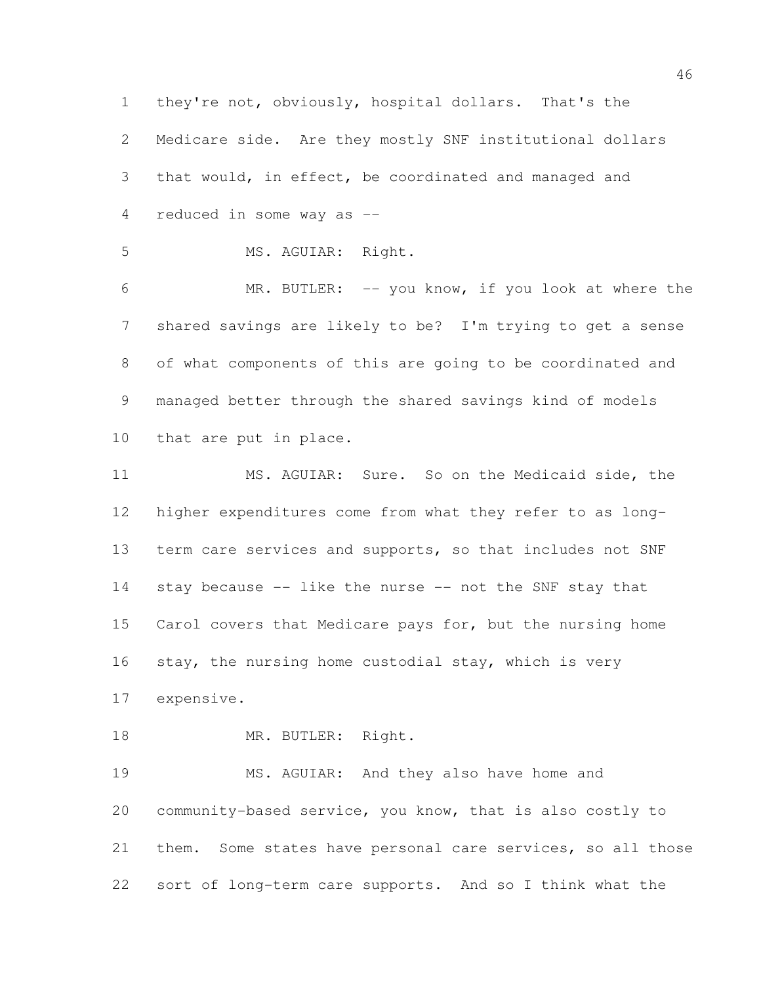they're not, obviously, hospital dollars. That's the Medicare side. Are they mostly SNF institutional dollars that would, in effect, be coordinated and managed and reduced in some way as -- MS. AGUIAR: Right. MR. BUTLER: -- you know, if you look at where the shared savings are likely to be? I'm trying to get a sense of what components of this are going to be coordinated and managed better through the shared savings kind of models that are put in place. MS. AGUIAR: Sure. So on the Medicaid side, the higher expenditures come from what they refer to as long- term care services and supports, so that includes not SNF stay because -- like the nurse -- not the SNF stay that Carol covers that Medicare pays for, but the nursing home stay, the nursing home custodial stay, which is very expensive. 18 MR. BUTLER: Right. MS. AGUIAR: And they also have home and community-based service, you know, that is also costly to them. Some states have personal care services, so all those sort of long-term care supports. And so I think what the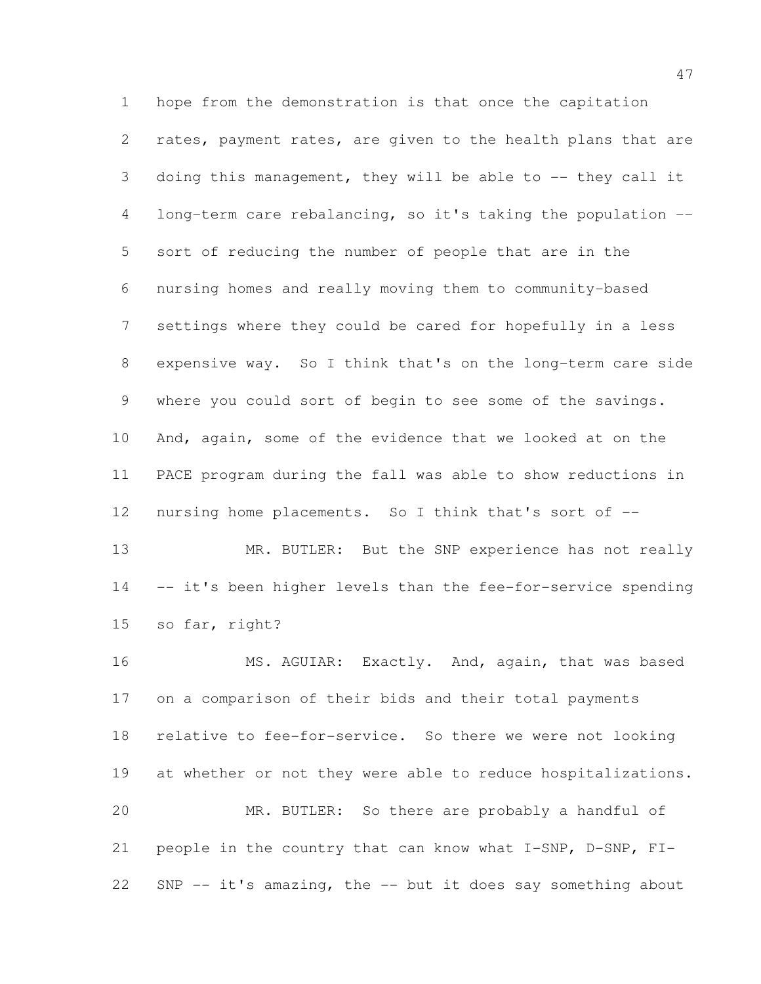hope from the demonstration is that once the capitation rates, payment rates, are given to the health plans that are doing this management, they will be able to -- they call it long-term care rebalancing, so it's taking the population -- sort of reducing the number of people that are in the nursing homes and really moving them to community-based settings where they could be cared for hopefully in a less expensive way. So I think that's on the long-term care side where you could sort of begin to see some of the savings. And, again, some of the evidence that we looked at on the PACE program during the fall was able to show reductions in 12 nursing home placements. So I think that's sort of --13 MR. BUTLER: But the SNP experience has not really

14 -- it's been higher levels than the fee-for-service spending so far, right?

16 MS. AGUIAR: Exactly. And, again, that was based on a comparison of their bids and their total payments relative to fee-for-service. So there we were not looking 19 at whether or not they were able to reduce hospitalizations. MR. BUTLER: So there are probably a handful of people in the country that can know what I-SNP, D-SNP, FI-SNP -- it's amazing, the -- but it does say something about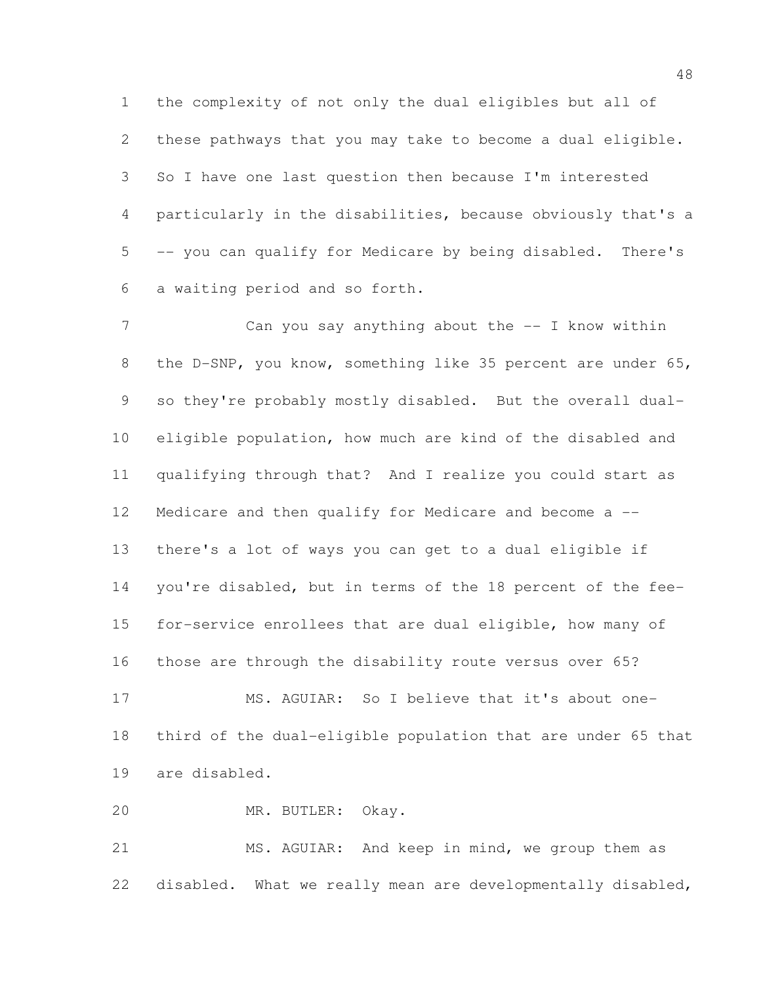the complexity of not only the dual eligibles but all of these pathways that you may take to become a dual eligible. So I have one last question then because I'm interested particularly in the disabilities, because obviously that's a -- you can qualify for Medicare by being disabled. There's a waiting period and so forth.

7 Can you say anything about the -- I know within the D-SNP, you know, something like 35 percent are under 65, so they're probably mostly disabled. But the overall dual- eligible population, how much are kind of the disabled and qualifying through that? And I realize you could start as 12 Medicare and then qualify for Medicare and become a -- there's a lot of ways you can get to a dual eligible if you're disabled, but in terms of the 18 percent of the fee- for-service enrollees that are dual eligible, how many of those are through the disability route versus over 65? MS. AGUIAR: So I believe that it's about one-third of the dual-eligible population that are under 65 that

are disabled.

MR. BUTLER: Okay.

 MS. AGUIAR: And keep in mind, we group them as disabled. What we really mean are developmentally disabled,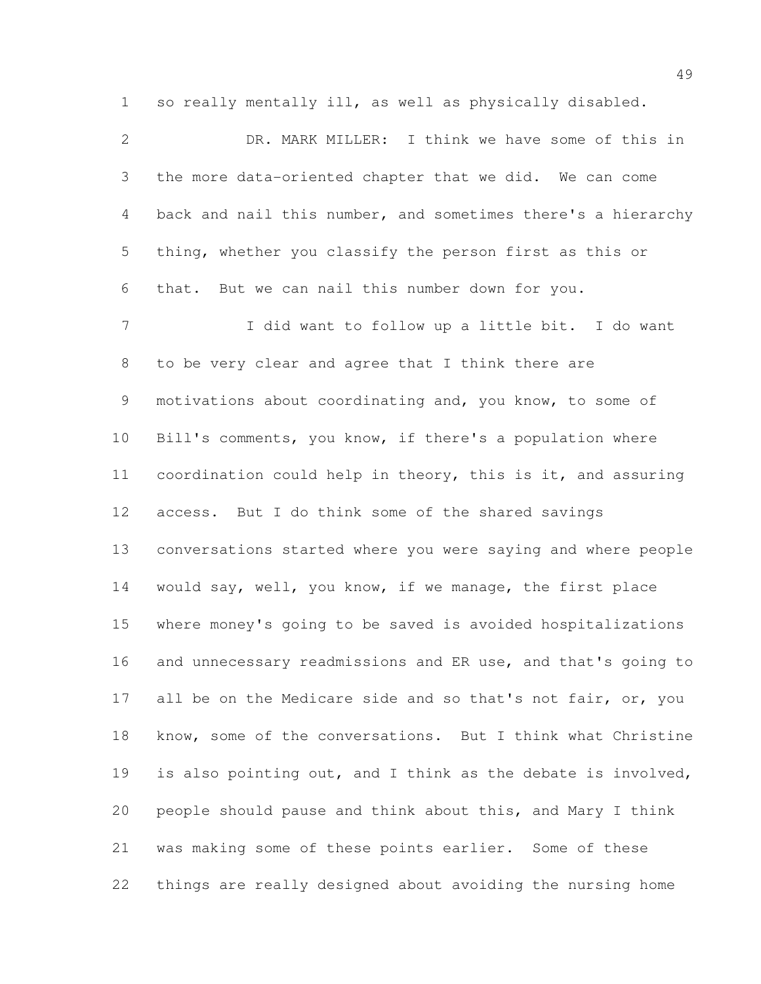so really mentally ill, as well as physically disabled.

 DR. MARK MILLER: I think we have some of this in the more data-oriented chapter that we did. We can come back and nail this number, and sometimes there's a hierarchy thing, whether you classify the person first as this or that. But we can nail this number down for you. I did want to follow up a little bit. I do want to be very clear and agree that I think there are motivations about coordinating and, you know, to some of Bill's comments, you know, if there's a population where coordination could help in theory, this is it, and assuring access. But I do think some of the shared savings conversations started where you were saying and where people would say, well, you know, if we manage, the first place where money's going to be saved is avoided hospitalizations and unnecessary readmissions and ER use, and that's going to 17 all be on the Medicare side and so that's not fair, or, you know, some of the conversations. But I think what Christine is also pointing out, and I think as the debate is involved, people should pause and think about this, and Mary I think was making some of these points earlier. Some of these things are really designed about avoiding the nursing home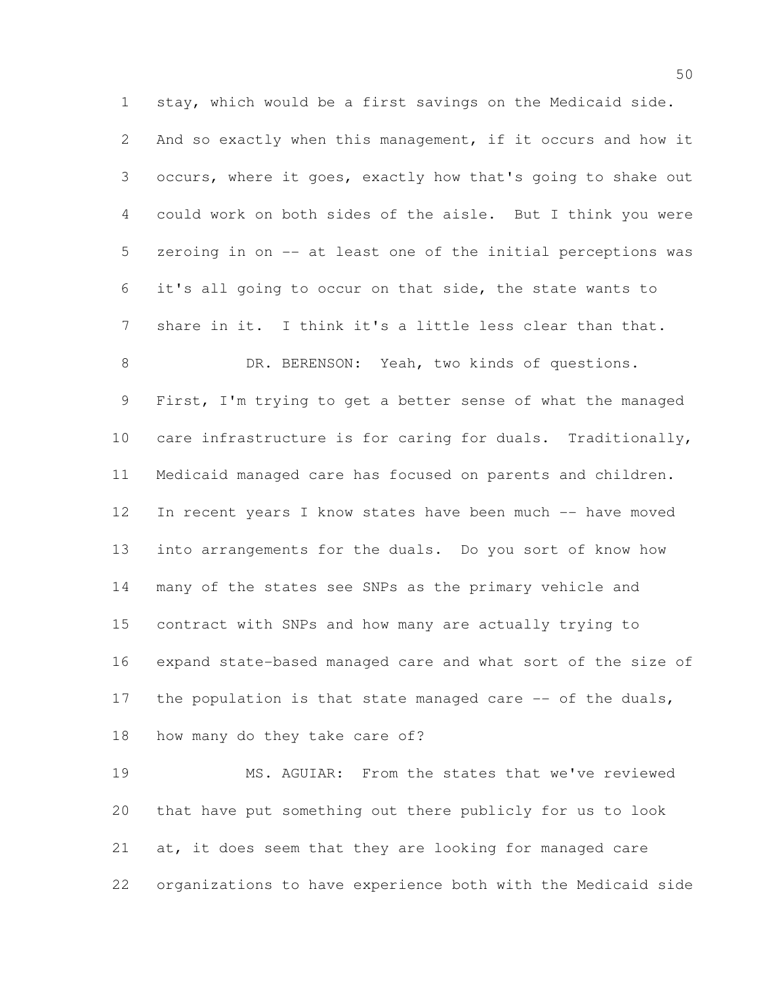stay, which would be a first savings on the Medicaid side. And so exactly when this management, if it occurs and how it occurs, where it goes, exactly how that's going to shake out could work on both sides of the aisle. But I think you were zeroing in on -- at least one of the initial perceptions was it's all going to occur on that side, the state wants to share in it. I think it's a little less clear than that. 8 DR. BERENSON: Yeah, two kinds of questions. First, I'm trying to get a better sense of what the managed care infrastructure is for caring for duals. Traditionally, Medicaid managed care has focused on parents and children. In recent years I know states have been much -- have moved into arrangements for the duals. Do you sort of know how many of the states see SNPs as the primary vehicle and contract with SNPs and how many are actually trying to expand state-based managed care and what sort of the size of 17 the population is that state managed care -- of the duals, how many do they take care of?

 MS. AGUIAR: From the states that we've reviewed that have put something out there publicly for us to look at, it does seem that they are looking for managed care organizations to have experience both with the Medicaid side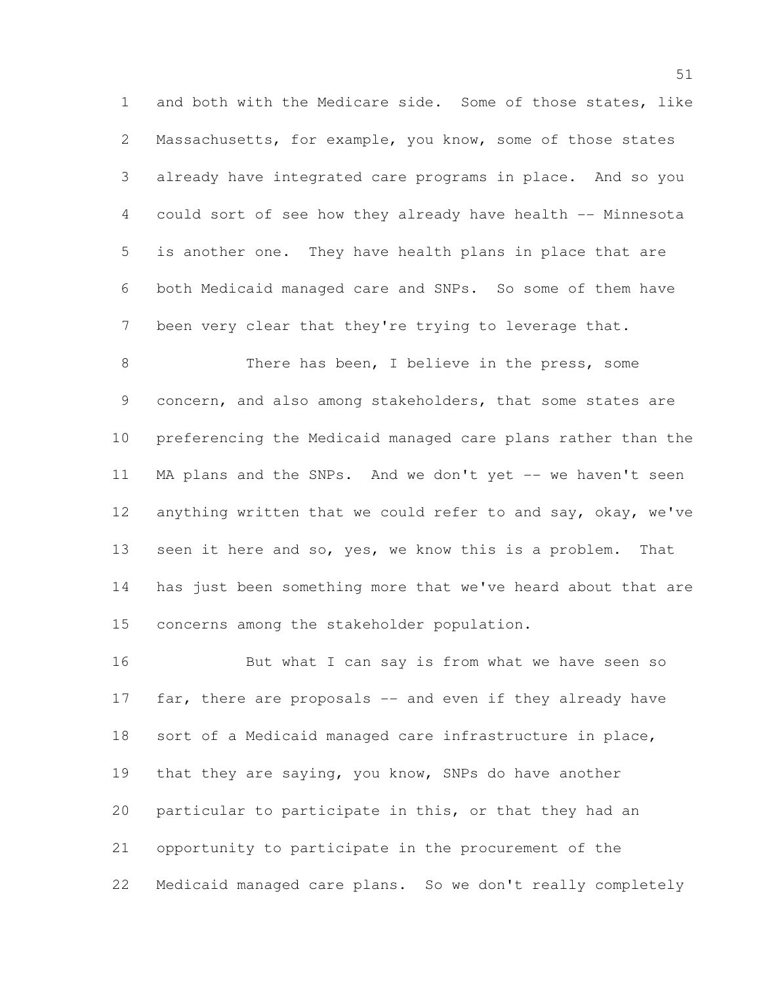and both with the Medicare side. Some of those states, like Massachusetts, for example, you know, some of those states already have integrated care programs in place. And so you 4 could sort of see how they already have health -- Minnesota is another one. They have health plans in place that are both Medicaid managed care and SNPs. So some of them have been very clear that they're trying to leverage that.

 There has been, I believe in the press, some concern, and also among stakeholders, that some states are preferencing the Medicaid managed care plans rather than the MA plans and the SNPs. And we don't yet -- we haven't seen 12 anything written that we could refer to and say, okay, we've seen it here and so, yes, we know this is a problem. That has just been something more that we've heard about that are concerns among the stakeholder population.

16 But what I can say is from what we have seen so 17 far, there are proposals -- and even if they already have sort of a Medicaid managed care infrastructure in place, that they are saying, you know, SNPs do have another particular to participate in this, or that they had an opportunity to participate in the procurement of the Medicaid managed care plans. So we don't really completely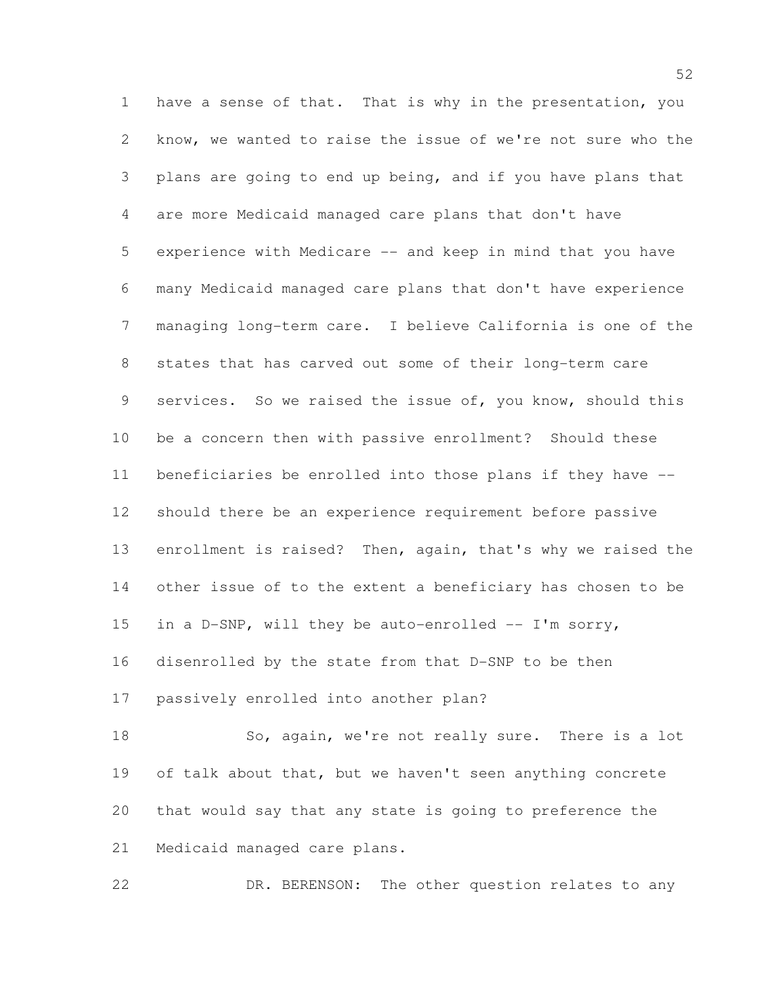have a sense of that. That is why in the presentation, you know, we wanted to raise the issue of we're not sure who the plans are going to end up being, and if you have plans that are more Medicaid managed care plans that don't have experience with Medicare -- and keep in mind that you have many Medicaid managed care plans that don't have experience managing long-term care. I believe California is one of the states that has carved out some of their long-term care 9 services. So we raised the issue of, you know, should this be a concern then with passive enrollment? Should these beneficiaries be enrolled into those plans if they have -- should there be an experience requirement before passive enrollment is raised? Then, again, that's why we raised the other issue of to the extent a beneficiary has chosen to be 15 in a D-SNP, will they be auto-enrolled -- I'm sorry, disenrolled by the state from that D-SNP to be then passively enrolled into another plan? 18 So, again, we're not really sure. There is a lot

19 of talk about that, but we haven't seen anything concrete that would say that any state is going to preference the Medicaid managed care plans.

22 DR. BERENSON: The other question relates to any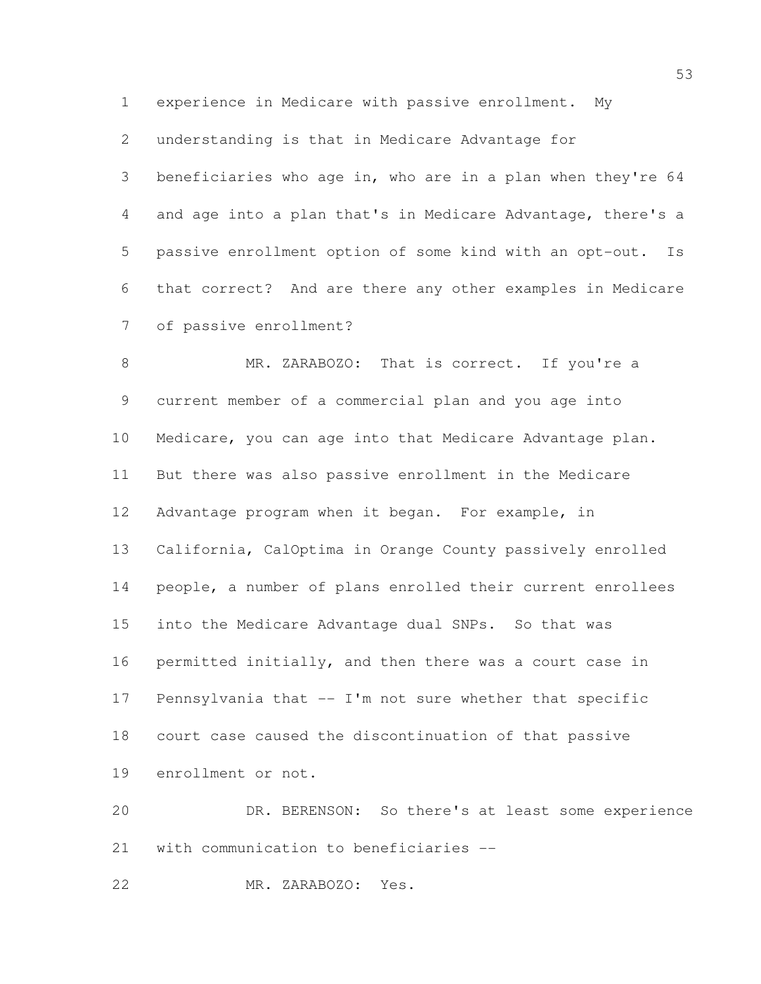experience in Medicare with passive enrollment. My

understanding is that in Medicare Advantage for

 beneficiaries who age in, who are in a plan when they're 64 and age into a plan that's in Medicare Advantage, there's a passive enrollment option of some kind with an opt-out. Is that correct? And are there any other examples in Medicare of passive enrollment?

8 MR. ZARABOZO: That is correct. If you're a current member of a commercial plan and you age into Medicare, you can age into that Medicare Advantage plan. But there was also passive enrollment in the Medicare Advantage program when it began. For example, in California, CalOptima in Orange County passively enrolled people, a number of plans enrolled their current enrollees into the Medicare Advantage dual SNPs. So that was permitted initially, and then there was a court case in Pennsylvania that -- I'm not sure whether that specific court case caused the discontinuation of that passive enrollment or not.

 DR. BERENSON: So there's at least some experience with communication to beneficiaries --

MR. ZARABOZO: Yes.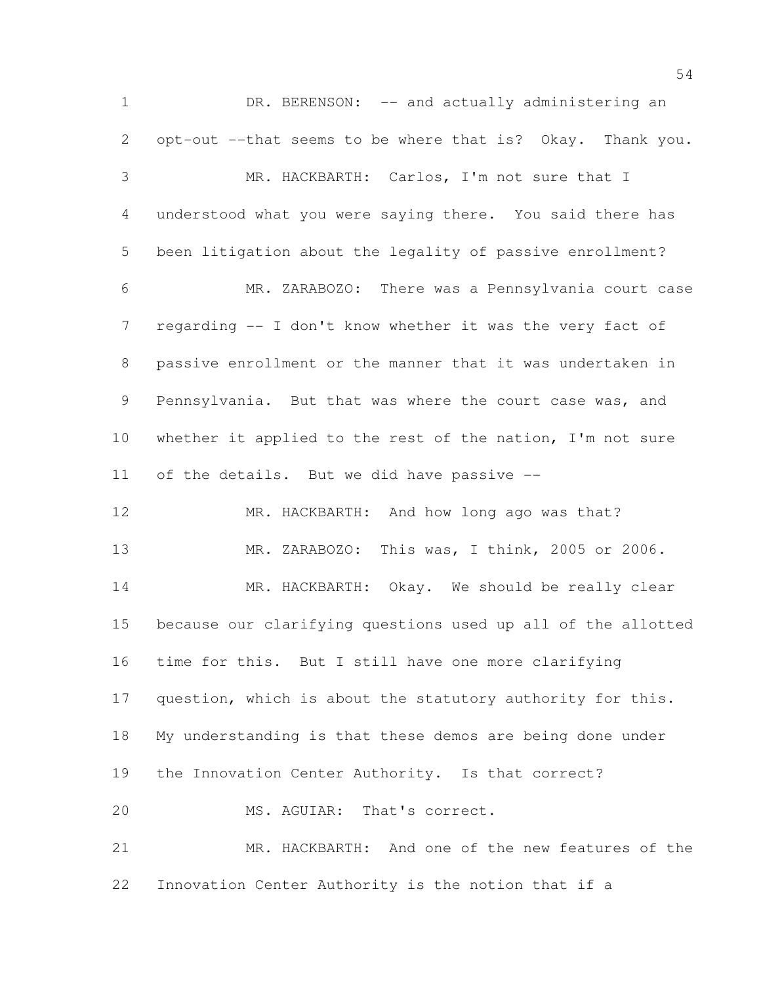1 DR. BERENSON: -- and actually administering an opt-out --that seems to be where that is? Okay. Thank you. MR. HACKBARTH: Carlos, I'm not sure that I understood what you were saying there. You said there has been litigation about the legality of passive enrollment? MR. ZARABOZO: There was a Pennsylvania court case regarding -- I don't know whether it was the very fact of passive enrollment or the manner that it was undertaken in Pennsylvania. But that was where the court case was, and 10 whether it applied to the rest of the nation, I'm not sure of the details. But we did have passive -- 12 MR. HACKBARTH: And how long ago was that? MR. ZARABOZO: This was, I think, 2005 or 2006. 14 MR. HACKBARTH: Okay. We should be really clear because our clarifying questions used up all of the allotted time for this. But I still have one more clarifying question, which is about the statutory authority for this. My understanding is that these demos are being done under the Innovation Center Authority. Is that correct? 20 MS. AGUIAR: That's correct. MR. HACKBARTH: And one of the new features of the Innovation Center Authority is the notion that if a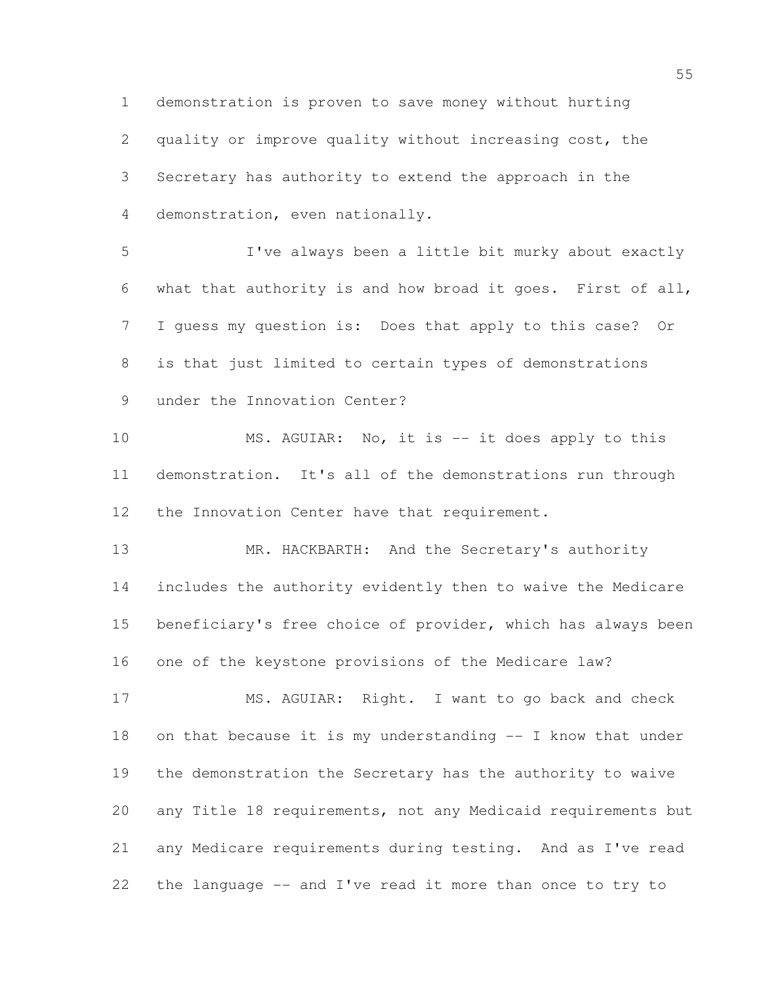demonstration is proven to save money without hurting quality or improve quality without increasing cost, the Secretary has authority to extend the approach in the demonstration, even nationally.

 I've always been a little bit murky about exactly what that authority is and how broad it goes. First of all, I guess my question is: Does that apply to this case? Or is that just limited to certain types of demonstrations under the Innovation Center?

 MS. AGUIAR: No, it is -- it does apply to this demonstration. It's all of the demonstrations run through the Innovation Center have that requirement.

 MR. HACKBARTH: And the Secretary's authority includes the authority evidently then to waive the Medicare 15 beneficiary's free choice of provider, which has always been one of the keystone provisions of the Medicare law?

 MS. AGUIAR: Right. I want to go back and check on that because it is my understanding -- I know that under the demonstration the Secretary has the authority to waive any Title 18 requirements, not any Medicaid requirements but any Medicare requirements during testing. And as I've read the language -- and I've read it more than once to try to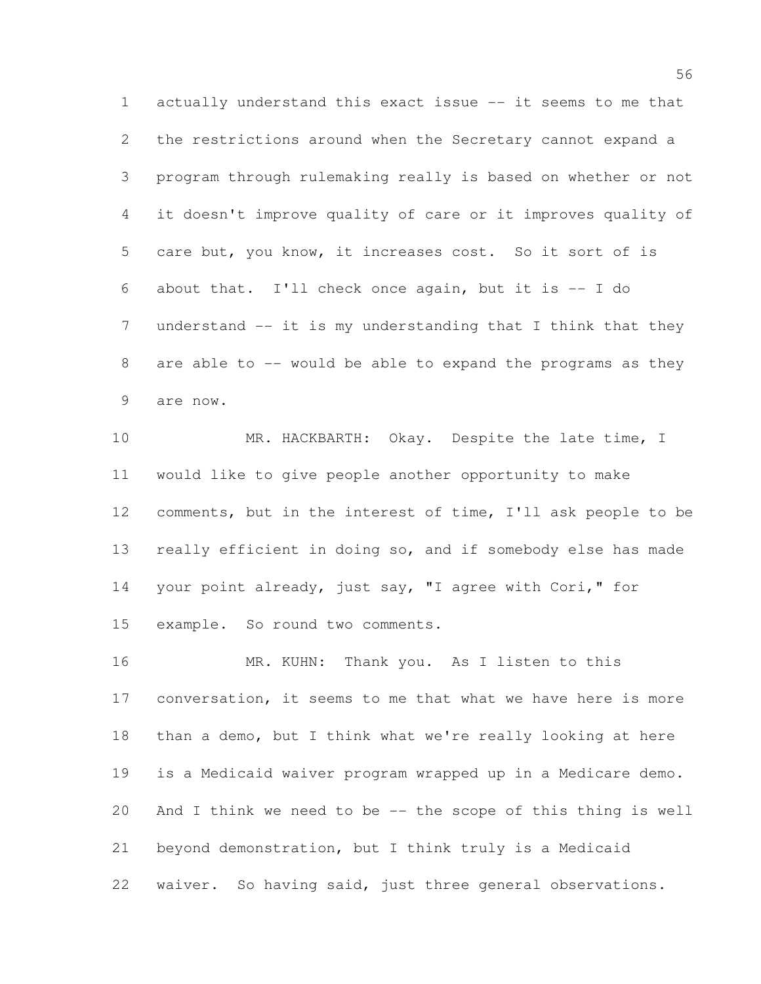actually understand this exact issue -- it seems to me that the restrictions around when the Secretary cannot expand a program through rulemaking really is based on whether or not it doesn't improve quality of care or it improves quality of care but, you know, it increases cost. So it sort of is about that. I'll check once again, but it is -- I do 7 understand -- it is my understanding that I think that they are able to -- would be able to expand the programs as they are now.

 MR. HACKBARTH: Okay. Despite the late time, I would like to give people another opportunity to make comments, but in the interest of time, I'll ask people to be really efficient in doing so, and if somebody else has made your point already, just say, "I agree with Cori," for example. So round two comments.

 MR. KUHN: Thank you. As I listen to this conversation, it seems to me that what we have here is more than a demo, but I think what we're really looking at here is a Medicaid waiver program wrapped up in a Medicare demo. And I think we need to be -- the scope of this thing is well beyond demonstration, but I think truly is a Medicaid waiver. So having said, just three general observations.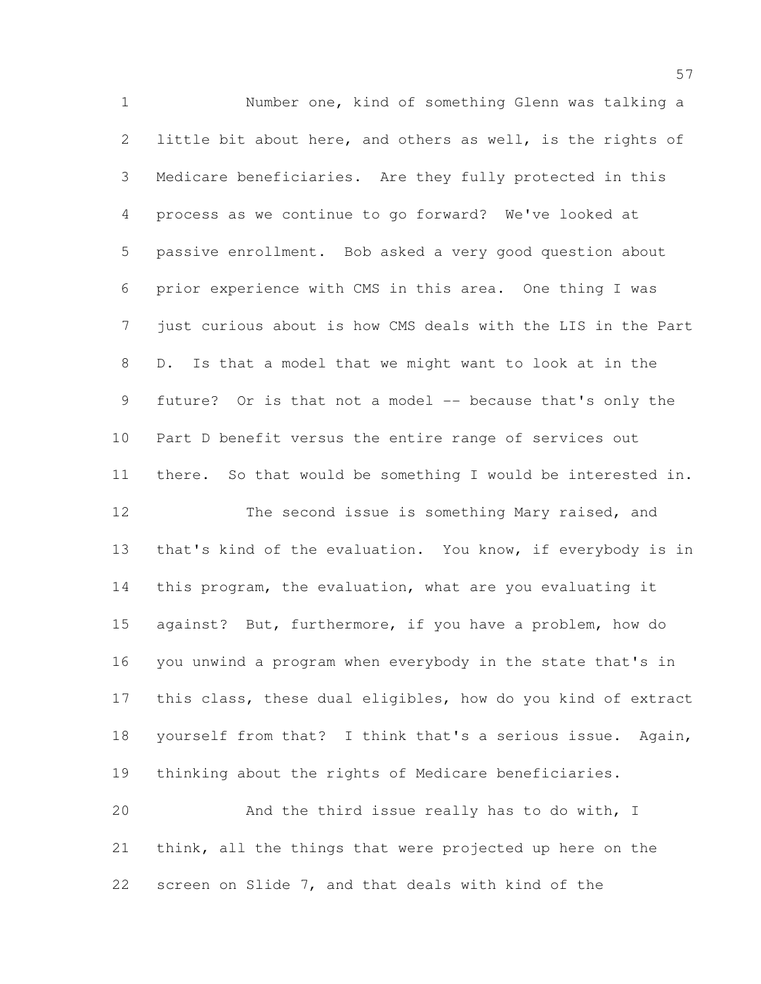Number one, kind of something Glenn was talking a little bit about here, and others as well, is the rights of Medicare beneficiaries. Are they fully protected in this process as we continue to go forward? We've looked at passive enrollment. Bob asked a very good question about prior experience with CMS in this area. One thing I was just curious about is how CMS deals with the LIS in the Part D. Is that a model that we might want to look at in the future? Or is that not a model -- because that's only the Part D benefit versus the entire range of services out there. So that would be something I would be interested in. 12 The second issue is something Mary raised, and that's kind of the evaluation. You know, if everybody is in this program, the evaluation, what are you evaluating it against? But, furthermore, if you have a problem, how do you unwind a program when everybody in the state that's in this class, these dual eligibles, how do you kind of extract yourself from that? I think that's a serious issue. Again, thinking about the rights of Medicare beneficiaries. And the third issue really has to do with, I think, all the things that were projected up here on the screen on Slide 7, and that deals with kind of the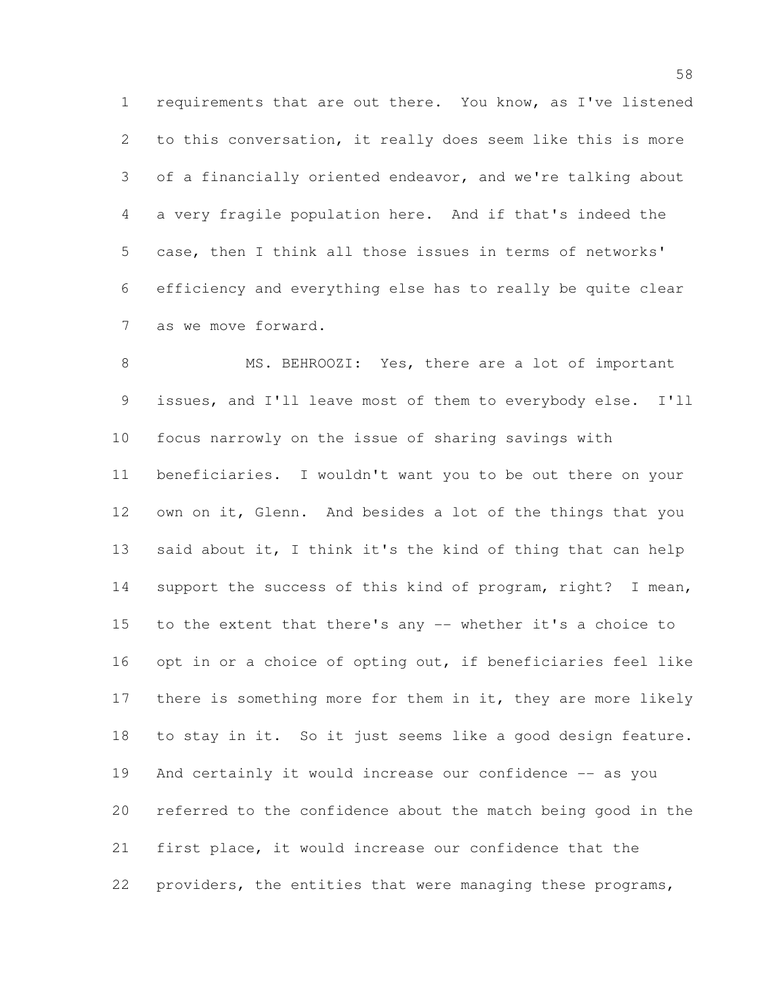requirements that are out there. You know, as I've listened to this conversation, it really does seem like this is more of a financially oriented endeavor, and we're talking about a very fragile population here. And if that's indeed the case, then I think all those issues in terms of networks' efficiency and everything else has to really be quite clear as we move forward.

8 MS. BEHROOZI: Yes, there are a lot of important issues, and I'll leave most of them to everybody else. I'll focus narrowly on the issue of sharing savings with beneficiaries. I wouldn't want you to be out there on your own on it, Glenn. And besides a lot of the things that you 13 said about it, I think it's the kind of thing that can help support the success of this kind of program, right? I mean, to the extent that there's any -- whether it's a choice to opt in or a choice of opting out, if beneficiaries feel like 17 there is something more for them in it, they are more likely to stay in it. So it just seems like a good design feature. And certainly it would increase our confidence -- as you referred to the confidence about the match being good in the first place, it would increase our confidence that the providers, the entities that were managing these programs,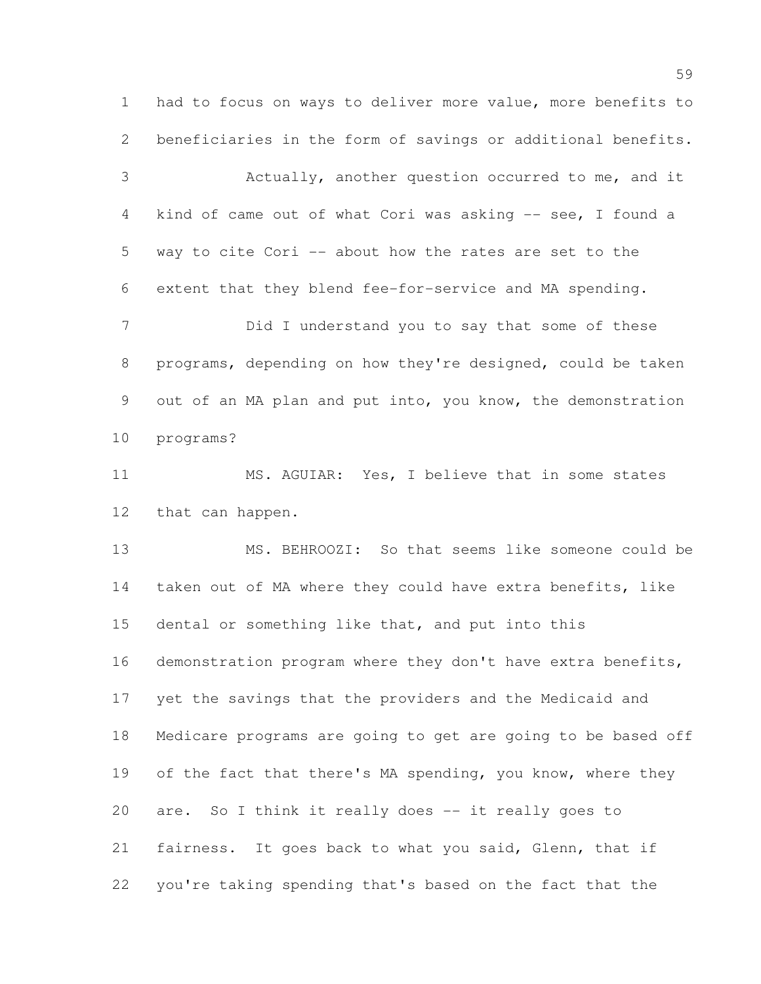had to focus on ways to deliver more value, more benefits to beneficiaries in the form of savings or additional benefits.

 Actually, another question occurred to me, and it kind of came out of what Cori was asking -- see, I found a way to cite Cori -- about how the rates are set to the extent that they blend fee-for-service and MA spending.

 Did I understand you to say that some of these programs, depending on how they're designed, could be taken out of an MA plan and put into, you know, the demonstration programs?

 MS. AGUIAR: Yes, I believe that in some states that can happen.

 MS. BEHROOZI: So that seems like someone could be taken out of MA where they could have extra benefits, like dental or something like that, and put into this demonstration program where they don't have extra benefits, yet the savings that the providers and the Medicaid and Medicare programs are going to get are going to be based off 19 of the fact that there's MA spending, you know, where they are. So I think it really does -- it really goes to fairness. It goes back to what you said, Glenn, that if you're taking spending that's based on the fact that the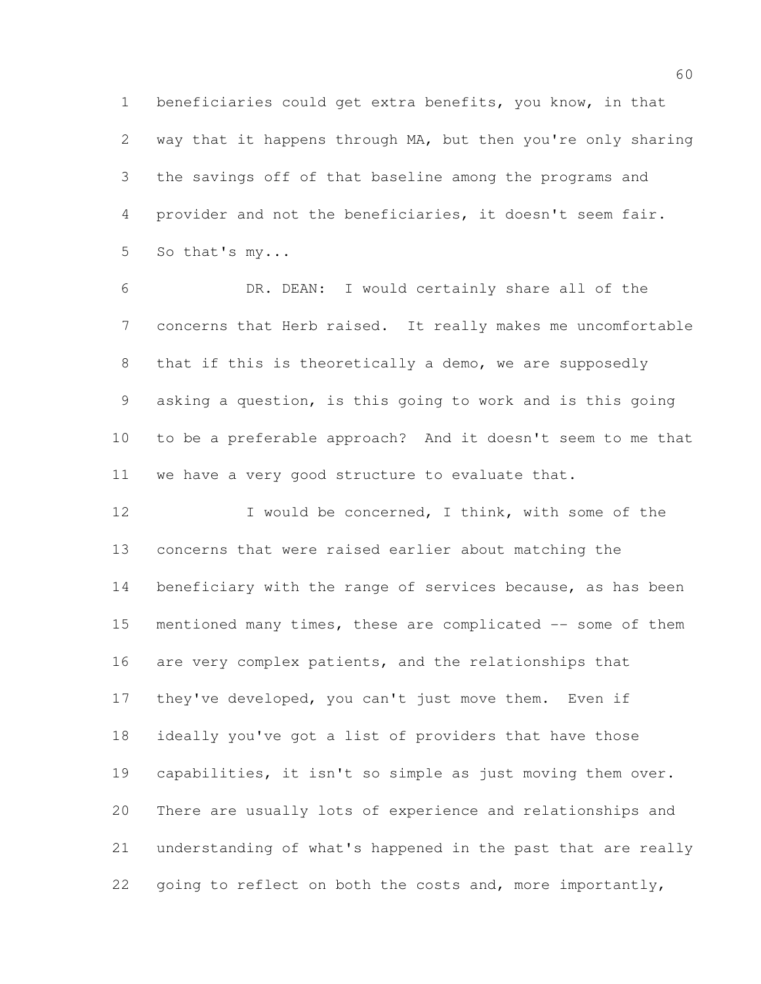beneficiaries could get extra benefits, you know, in that way that it happens through MA, but then you're only sharing the savings off of that baseline among the programs and provider and not the beneficiaries, it doesn't seem fair. So that's my...

 DR. DEAN: I would certainly share all of the concerns that Herb raised. It really makes me uncomfortable that if this is theoretically a demo, we are supposedly asking a question, is this going to work and is this going to be a preferable approach? And it doesn't seem to me that we have a very good structure to evaluate that.

12 I would be concerned, I think, with some of the concerns that were raised earlier about matching the 14 beneficiary with the range of services because, as has been 15 mentioned many times, these are complicated -- some of them are very complex patients, and the relationships that they've developed, you can't just move them. Even if ideally you've got a list of providers that have those capabilities, it isn't so simple as just moving them over. There are usually lots of experience and relationships and understanding of what's happened in the past that are really 22 going to reflect on both the costs and, more importantly,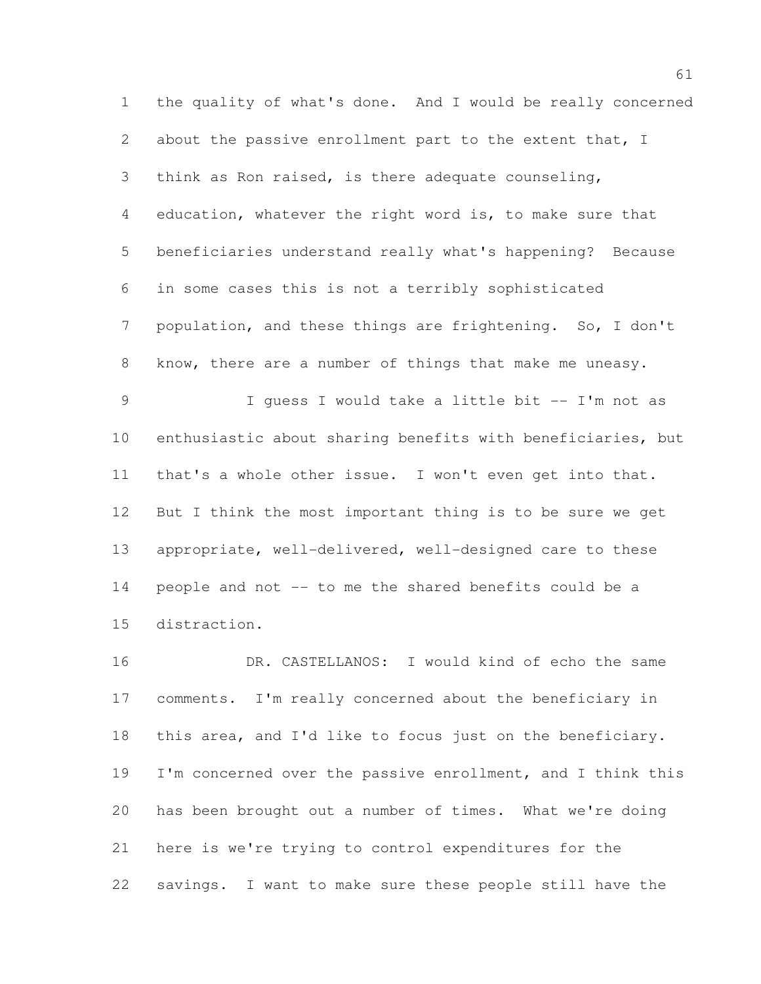the quality of what's done. And I would be really concerned about the passive enrollment part to the extent that, I think as Ron raised, is there adequate counseling, education, whatever the right word is, to make sure that beneficiaries understand really what's happening? Because in some cases this is not a terribly sophisticated population, and these things are frightening. So, I don't know, there are a number of things that make me uneasy. I guess I would take a little bit -- I'm not as enthusiastic about sharing benefits with beneficiaries, but that's a whole other issue. I won't even get into that. But I think the most important thing is to be sure we get appropriate, well-delivered, well-designed care to these people and not -- to me the shared benefits could be a distraction.

 DR. CASTELLANOS: I would kind of echo the same comments. I'm really concerned about the beneficiary in this area, and I'd like to focus just on the beneficiary. I'm concerned over the passive enrollment, and I think this has been brought out a number of times. What we're doing here is we're trying to control expenditures for the savings. I want to make sure these people still have the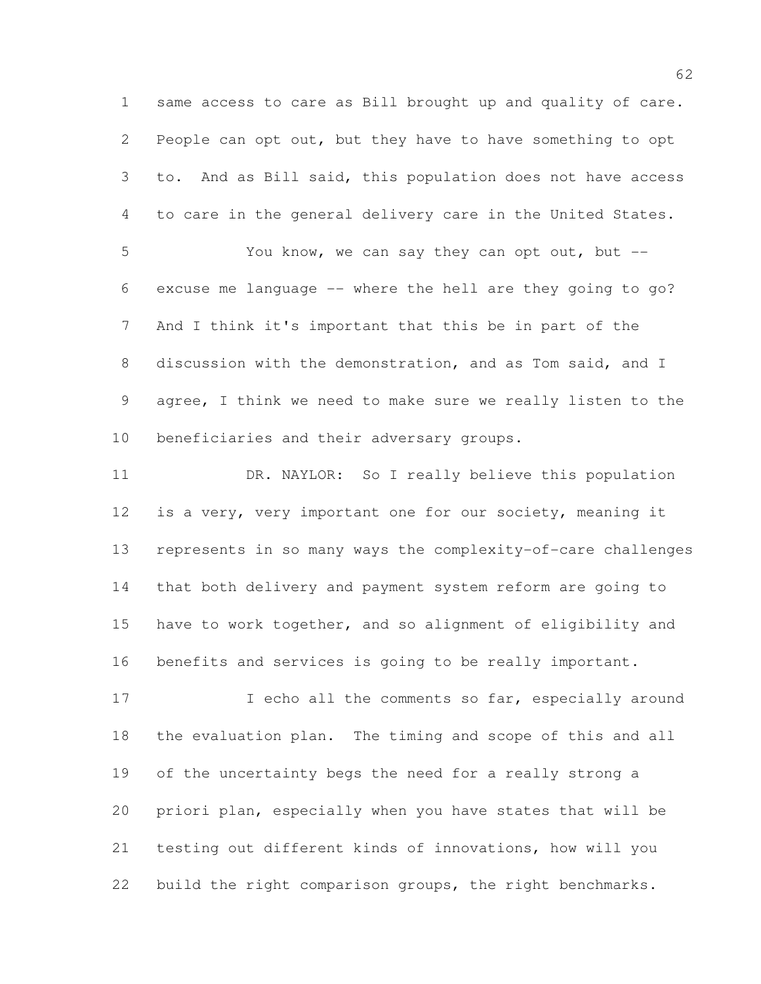same access to care as Bill brought up and quality of care. People can opt out, but they have to have something to opt to. And as Bill said, this population does not have access to care in the general delivery care in the United States.

 You know, we can say they can opt out, but -- excuse me language -- where the hell are they going to go? And I think it's important that this be in part of the discussion with the demonstration, and as Tom said, and I agree, I think we need to make sure we really listen to the beneficiaries and their adversary groups.

 DR. NAYLOR: So I really believe this population is a very, very important one for our society, meaning it represents in so many ways the complexity-of-care challenges that both delivery and payment system reform are going to have to work together, and so alignment of eligibility and benefits and services is going to be really important.

17 10 I echo all the comments so far, especially around the evaluation plan. The timing and scope of this and all of the uncertainty begs the need for a really strong a priori plan, especially when you have states that will be testing out different kinds of innovations, how will you build the right comparison groups, the right benchmarks.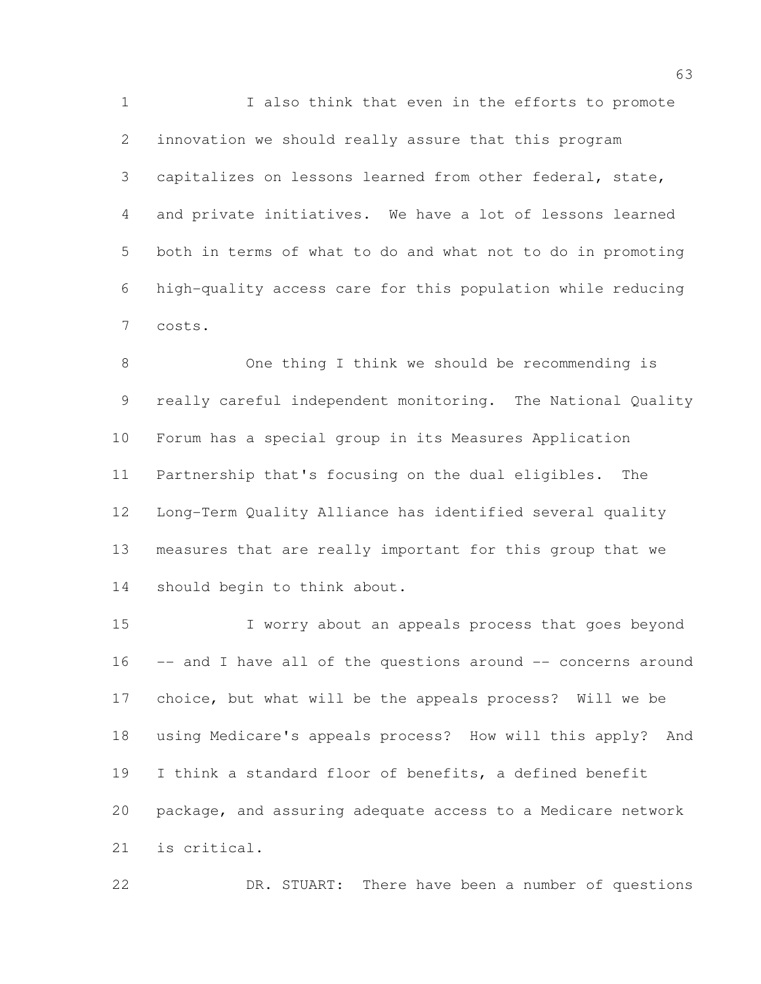I also think that even in the efforts to promote innovation we should really assure that this program capitalizes on lessons learned from other federal, state, and private initiatives. We have a lot of lessons learned both in terms of what to do and what not to do in promoting high-quality access care for this population while reducing costs.

 One thing I think we should be recommending is really careful independent monitoring. The National Quality Forum has a special group in its Measures Application Partnership that's focusing on the dual eligibles. The Long-Term Quality Alliance has identified several quality measures that are really important for this group that we should begin to think about.

15 I worry about an appeals process that goes beyond -- and I have all of the questions around -- concerns around choice, but what will be the appeals process? Will we be using Medicare's appeals process? How will this apply? And I think a standard floor of benefits, a defined benefit package, and assuring adequate access to a Medicare network is critical.

DR. STUART: There have been a number of questions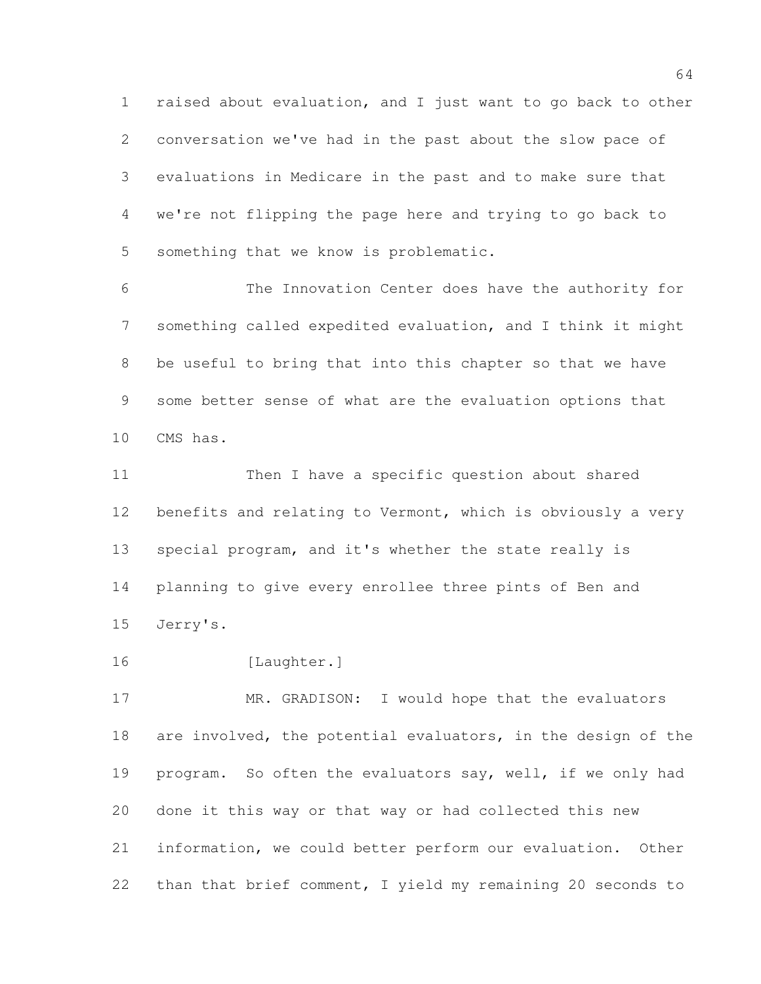raised about evaluation, and I just want to go back to other conversation we've had in the past about the slow pace of evaluations in Medicare in the past and to make sure that we're not flipping the page here and trying to go back to something that we know is problematic.

 The Innovation Center does have the authority for something called expedited evaluation, and I think it might be useful to bring that into this chapter so that we have some better sense of what are the evaluation options that CMS has.

 Then I have a specific question about shared 12 benefits and relating to Vermont, which is obviously a very special program, and it's whether the state really is planning to give every enrollee three pints of Ben and Jerry's.

16 [Laughter.]

 MR. GRADISON: I would hope that the evaluators are involved, the potential evaluators, in the design of the program. So often the evaluators say, well, if we only had done it this way or that way or had collected this new information, we could better perform our evaluation. Other than that brief comment, I yield my remaining 20 seconds to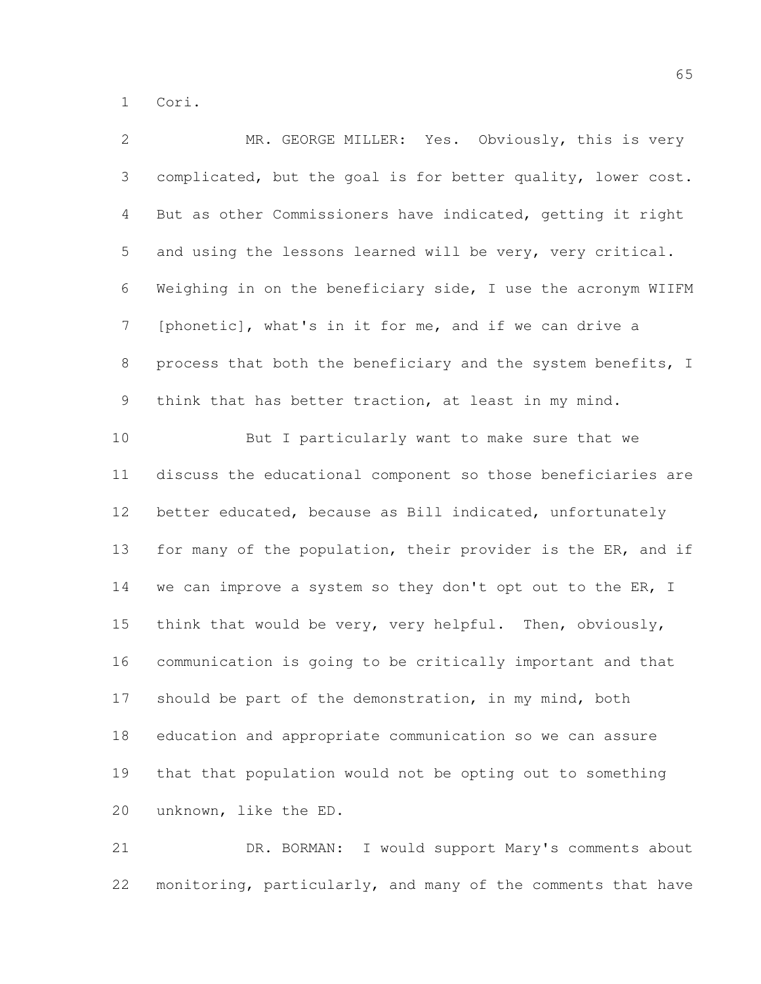Cori.

| $\mathbf{2}$   | MR. GEORGE MILLER: Yes. Obviously, this is very              |
|----------------|--------------------------------------------------------------|
| $\mathfrak{Z}$ | complicated, but the goal is for better quality, lower cost. |
| 4              | But as other Commissioners have indicated, getting it right  |
| 5              | and using the lessons learned will be very, very critical.   |
| 6              | Weighing in on the beneficiary side, I use the acronym WIIFM |
| $\overline{7}$ | [phonetic], what's in it for me, and if we can drive a       |
| 8              | process that both the beneficiary and the system benefits, I |
| 9              | think that has better traction, at least in my mind.         |
| 10             | But I particularly want to make sure that we                 |
| 11             | discuss the educational component so those beneficiaries are |
| 12             | better educated, because as Bill indicated, unfortunately    |
| 13             | for many of the population, their provider is the ER, and if |
| 14             | we can improve a system so they don't opt out to the ER, I   |
| 15             | think that would be very, very helpful. Then, obviously,     |
| 16             | communication is going to be critically important and that   |
| 17             | should be part of the demonstration, in my mind, both        |
| 18             | education and appropriate communication so we can assure     |
| 19             | that that population would not be opting out to something    |
| 20             | unknown, like the ED.                                        |
|                |                                                              |

 DR. BORMAN: I would support Mary's comments about monitoring, particularly, and many of the comments that have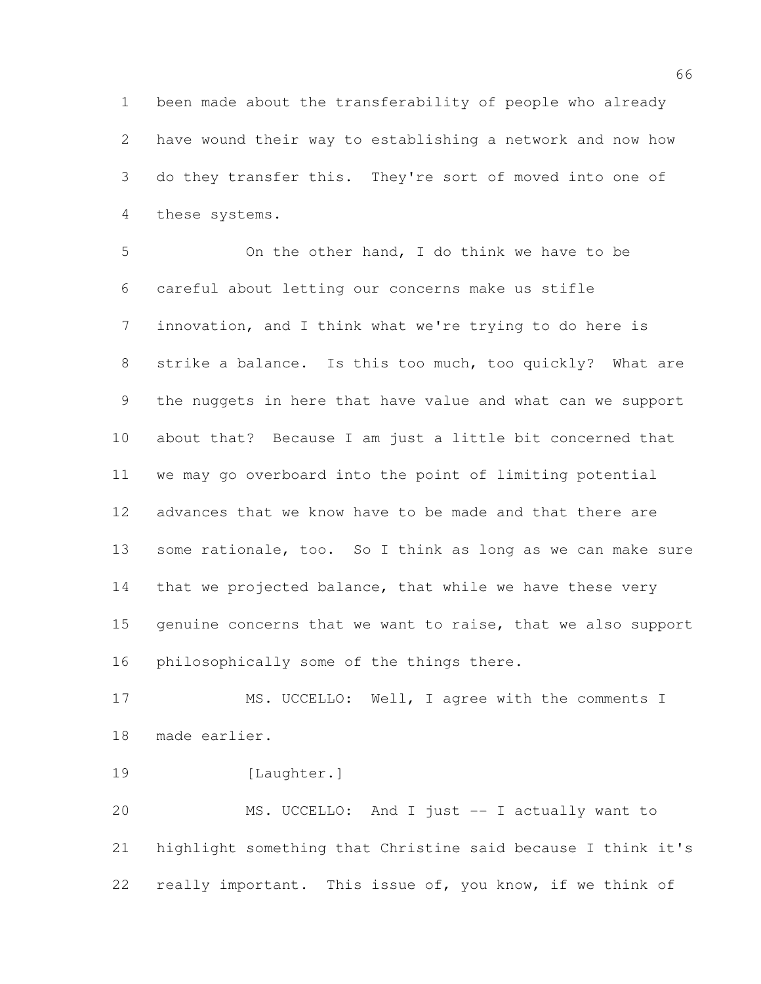been made about the transferability of people who already have wound their way to establishing a network and now how do they transfer this. They're sort of moved into one of these systems.

 On the other hand, I do think we have to be careful about letting our concerns make us stifle innovation, and I think what we're trying to do here is strike a balance. Is this too much, too quickly? What are the nuggets in here that have value and what can we support about that? Because I am just a little bit concerned that we may go overboard into the point of limiting potential advances that we know have to be made and that there are 13 some rationale, too. So I think as long as we can make sure 14 that we projected balance, that while we have these very genuine concerns that we want to raise, that we also support philosophically some of the things there.

17 MS. UCCELLO: Well, I agree with the comments I made earlier.

22 really important. This issue of, you know, if we think of

19 [Laughter.] MS. UCCELLO: And I just -- I actually want to highlight something that Christine said because I think it's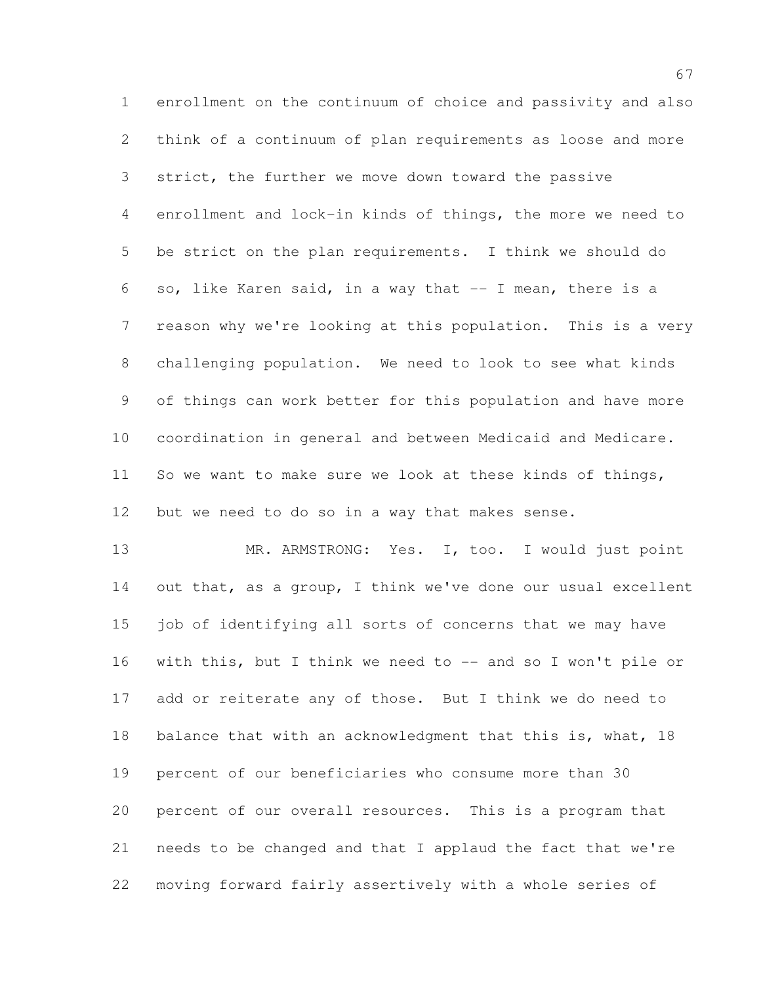enrollment on the continuum of choice and passivity and also think of a continuum of plan requirements as loose and more 3 strict, the further we move down toward the passive enrollment and lock-in kinds of things, the more we need to be strict on the plan requirements. I think we should do so, like Karen said, in a way that -- I mean, there is a reason why we're looking at this population. This is a very challenging population. We need to look to see what kinds of things can work better for this population and have more coordination in general and between Medicaid and Medicare. So we want to make sure we look at these kinds of things, but we need to do so in a way that makes sense.

13 MR. ARMSTRONG: Yes. I, too. I would just point out that, as a group, I think we've done our usual excellent job of identifying all sorts of concerns that we may have 16 with this, but I think we need to -- and so I won't pile or add or reiterate any of those. But I think we do need to balance that with an acknowledgment that this is, what, 18 percent of our beneficiaries who consume more than 30 percent of our overall resources. This is a program that needs to be changed and that I applaud the fact that we're moving forward fairly assertively with a whole series of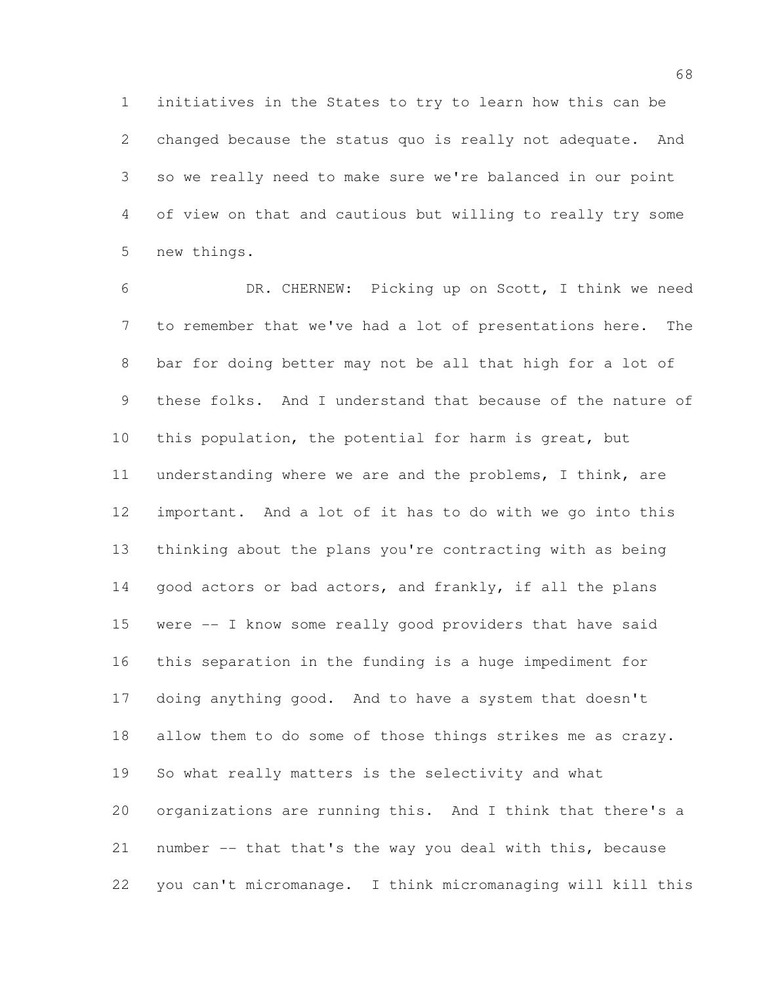initiatives in the States to try to learn how this can be changed because the status quo is really not adequate. And so we really need to make sure we're balanced in our point of view on that and cautious but willing to really try some new things.

 DR. CHERNEW: Picking up on Scott, I think we need to remember that we've had a lot of presentations here. The bar for doing better may not be all that high for a lot of these folks. And I understand that because of the nature of this population, the potential for harm is great, but understanding where we are and the problems, I think, are important. And a lot of it has to do with we go into this thinking about the plans you're contracting with as being 14 good actors or bad actors, and frankly, if all the plans were -- I know some really good providers that have said this separation in the funding is a huge impediment for doing anything good. And to have a system that doesn't allow them to do some of those things strikes me as crazy. So what really matters is the selectivity and what organizations are running this. And I think that there's a number -- that that's the way you deal with this, because you can't micromanage. I think micromanaging will kill this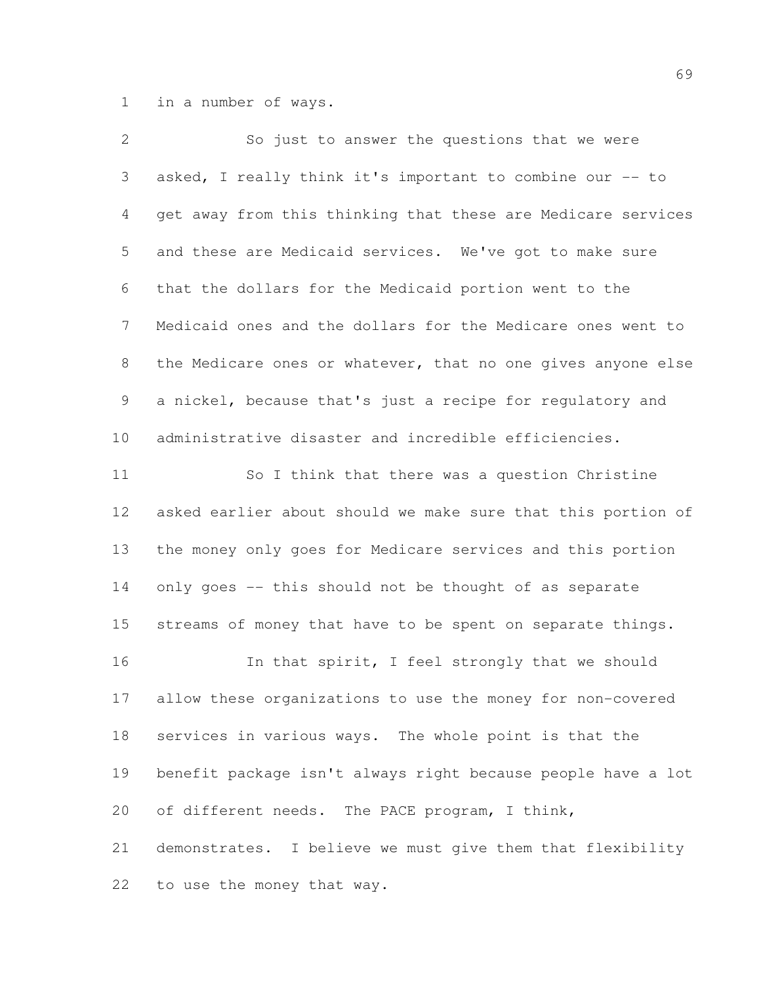in a number of ways.

| $\mathbf{2}$   | So just to answer the questions that we were                 |
|----------------|--------------------------------------------------------------|
| 3              | asked, I really think it's important to combine our -- to    |
| 4              | get away from this thinking that these are Medicare services |
| 5              | and these are Medicaid services. We've got to make sure      |
| 6              | that the dollars for the Medicaid portion went to the        |
| $\overline{7}$ | Medicaid ones and the dollars for the Medicare ones went to  |
| 8              | the Medicare ones or whatever, that no one gives anyone else |
| 9              | a nickel, because that's just a recipe for regulatory and    |
| 10             | administrative disaster and incredible efficiencies.         |
| 11             | So I think that there was a question Christine               |
| 12             | asked earlier about should we make sure that this portion of |
| 13             | the money only goes for Medicare services and this portion   |
| 14             | only goes -- this should not be thought of as separate       |
| 15             | streams of money that have to be spent on separate things.   |
| 16             | In that spirit, I feel strongly that we should               |
| 17             | allow these organizations to use the money for non-covered   |
| 18             | services in various ways. The whole point is that the        |
| 19             | benefit package isn't always right because people have a lot |
| 20             | of different needs. The PACE program, I think,               |
| 21             | demonstrates. I believe we must give them that flexibility   |
| 22             | to use the money that way.                                   |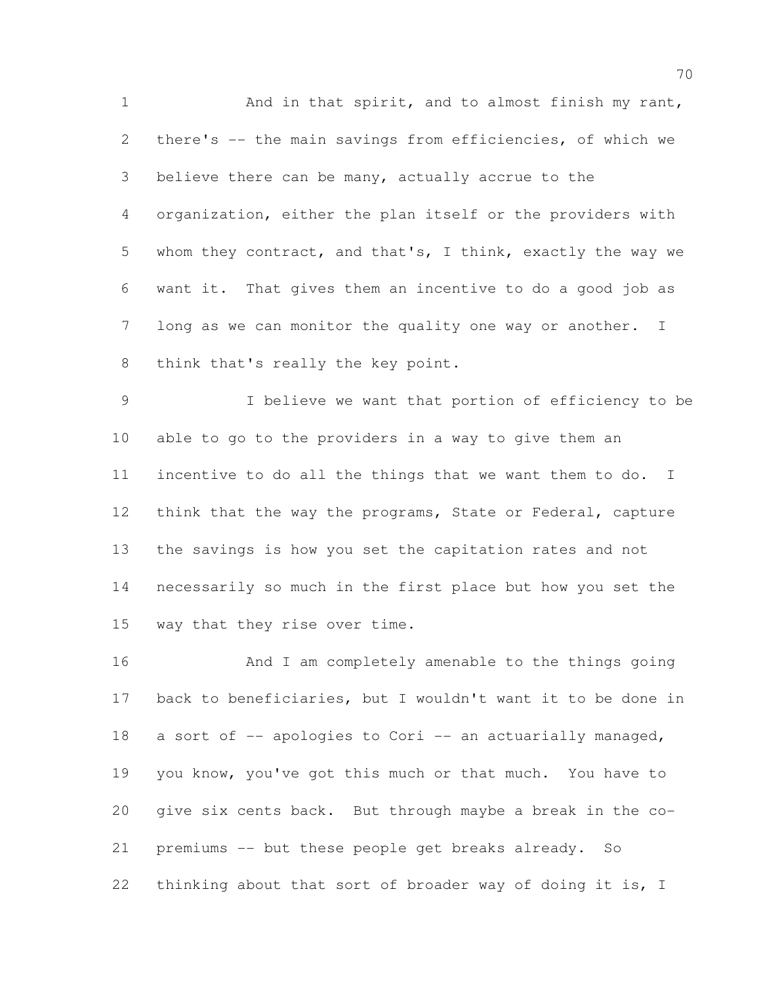1 And in that spirit, and to almost finish my rant, there's -- the main savings from efficiencies, of which we believe there can be many, actually accrue to the organization, either the plan itself or the providers with whom they contract, and that's, I think, exactly the way we want it. That gives them an incentive to do a good job as long as we can monitor the quality one way or another. I think that's really the key point.

 I believe we want that portion of efficiency to be able to go to the providers in a way to give them an incentive to do all the things that we want them to do. I 12 think that the way the programs, State or Federal, capture the savings is how you set the capitation rates and not necessarily so much in the first place but how you set the way that they rise over time.

 And I am completely amenable to the things going back to beneficiaries, but I wouldn't want it to be done in 18 a sort of -- apologies to Cori -- an actuarially managed, you know, you've got this much or that much. You have to give six cents back. But through maybe a break in the co- premiums -- but these people get breaks already. So 22 thinking about that sort of broader way of doing it is, I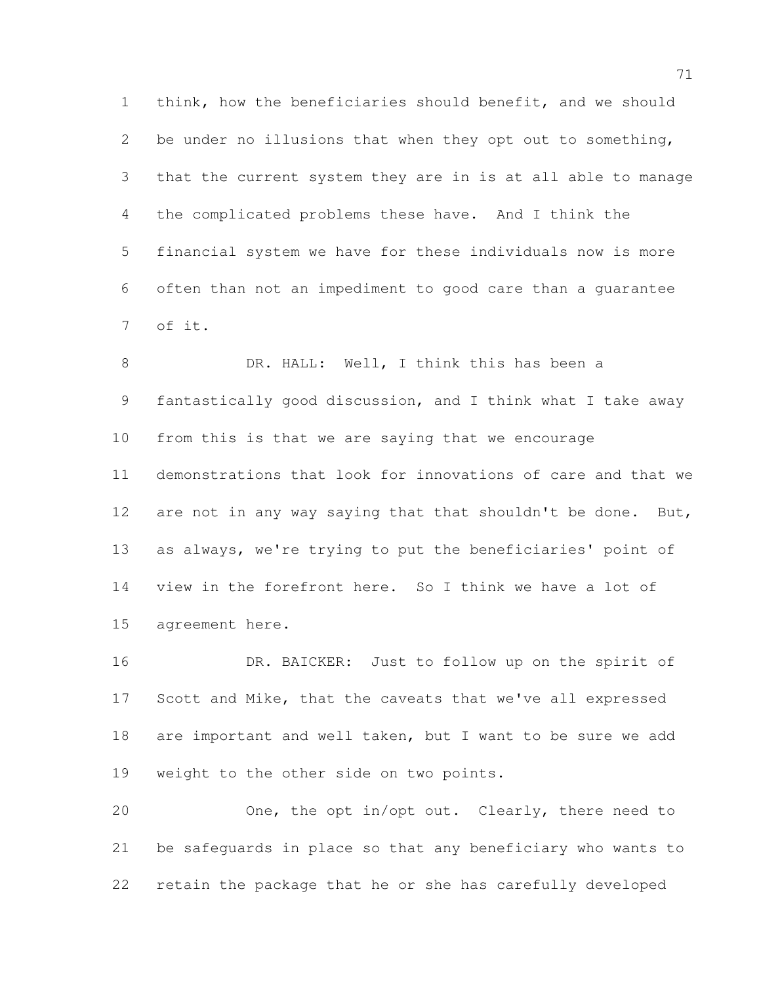think, how the beneficiaries should benefit, and we should be under no illusions that when they opt out to something, that the current system they are in is at all able to manage the complicated problems these have. And I think the financial system we have for these individuals now is more often than not an impediment to good care than a guarantee of it.

 DR. HALL: Well, I think this has been a fantastically good discussion, and I think what I take away from this is that we are saying that we encourage demonstrations that look for innovations of care and that we 12 are not in any way saying that that shouldn't be done. But, as always, we're trying to put the beneficiaries' point of view in the forefront here. So I think we have a lot of agreement here.

 DR. BAICKER: Just to follow up on the spirit of Scott and Mike, that the caveats that we've all expressed are important and well taken, but I want to be sure we add weight to the other side on two points.

 One, the opt in/opt out. Clearly, there need to be safeguards in place so that any beneficiary who wants to retain the package that he or she has carefully developed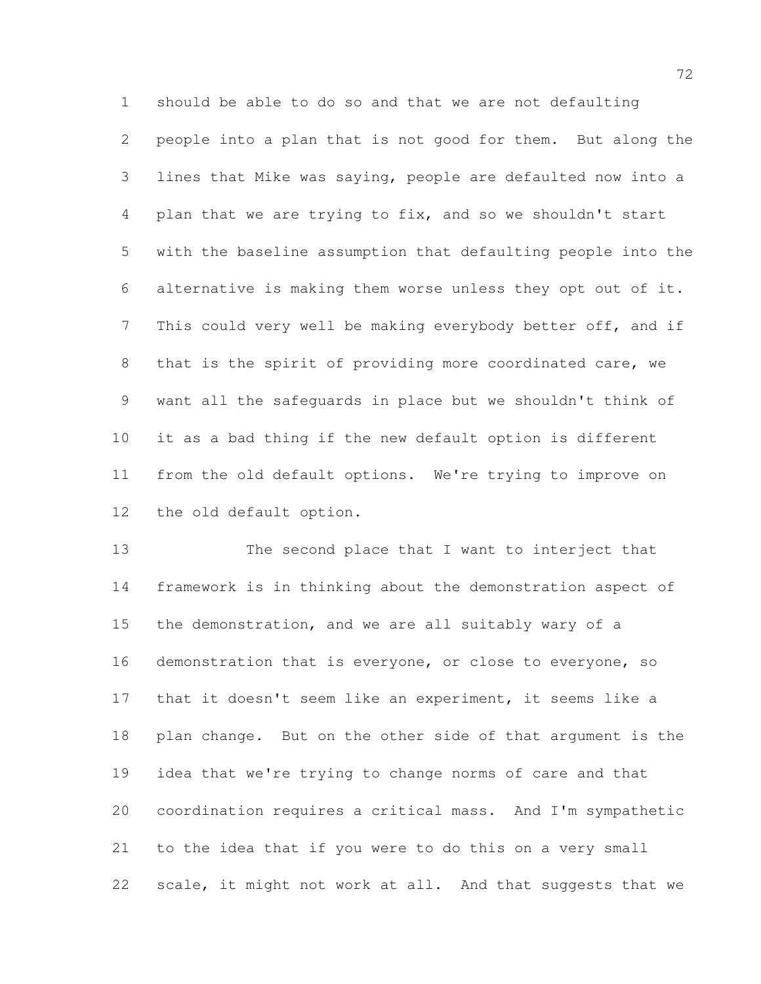should be able to do so and that we are not defaulting people into a plan that is not good for them. But along the lines that Mike was saying, people are defaulted now into a plan that we are trying to fix, and so we shouldn't start with the baseline assumption that defaulting people into the alternative is making them worse unless they opt out of it. 7 This could very well be making everybody better off, and if that is the spirit of providing more coordinated care, we want all the safeguards in place but we shouldn't think of it as a bad thing if the new default option is different from the old default options. We're trying to improve on the old default option.

 The second place that I want to interject that framework is in thinking about the demonstration aspect of the demonstration, and we are all suitably wary of a demonstration that is everyone, or close to everyone, so that it doesn't seem like an experiment, it seems like a plan change. But on the other side of that argument is the idea that we're trying to change norms of care and that coordination requires a critical mass. And I'm sympathetic to the idea that if you were to do this on a very small scale, it might not work at all. And that suggests that we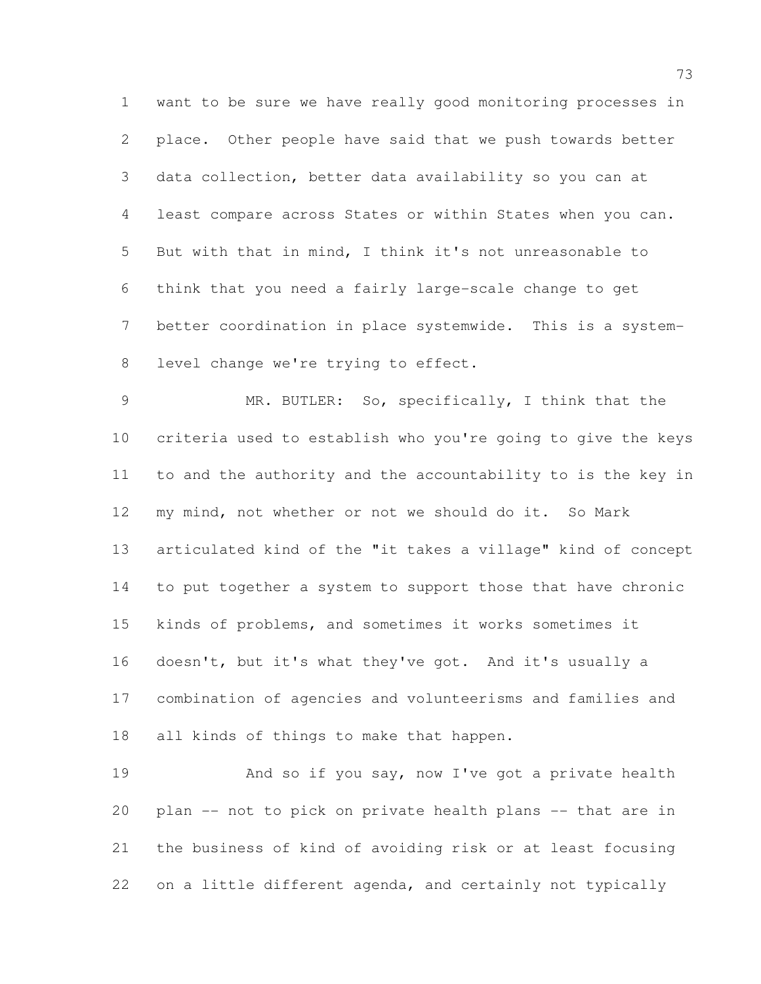want to be sure we have really good monitoring processes in place. Other people have said that we push towards better data collection, better data availability so you can at least compare across States or within States when you can. But with that in mind, I think it's not unreasonable to think that you need a fairly large-scale change to get better coordination in place systemwide. This is a system-8 level change we're trying to effect.

 MR. BUTLER: So, specifically, I think that the criteria used to establish who you're going to give the keys to and the authority and the accountability to is the key in my mind, not whether or not we should do it. So Mark articulated kind of the "it takes a village" kind of concept to put together a system to support those that have chronic kinds of problems, and sometimes it works sometimes it doesn't, but it's what they've got. And it's usually a combination of agencies and volunteerisms and families and all kinds of things to make that happen.

19 And so if you say, now I've got a private health plan -- not to pick on private health plans -- that are in the business of kind of avoiding risk or at least focusing on a little different agenda, and certainly not typically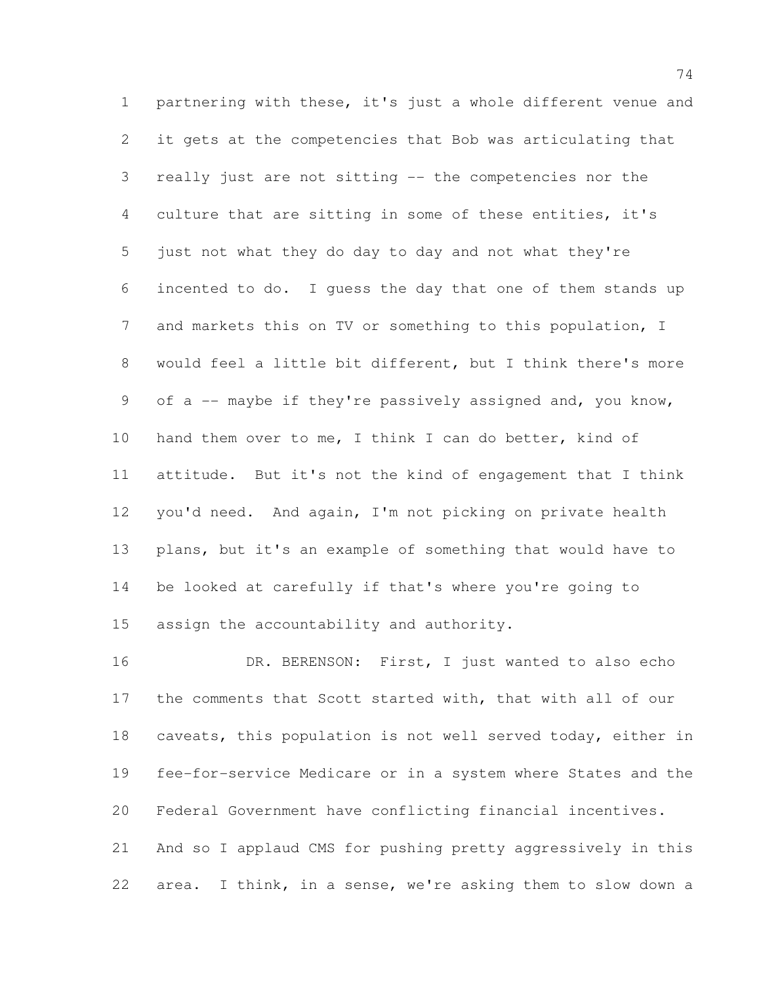partnering with these, it's just a whole different venue and it gets at the competencies that Bob was articulating that really just are not sitting -- the competencies nor the culture that are sitting in some of these entities, it's just not what they do day to day and not what they're incented to do. I guess the day that one of them stands up and markets this on TV or something to this population, I would feel a little bit different, but I think there's more of a -- maybe if they're passively assigned and, you know, hand them over to me, I think I can do better, kind of attitude. But it's not the kind of engagement that I think you'd need. And again, I'm not picking on private health plans, but it's an example of something that would have to be looked at carefully if that's where you're going to assign the accountability and authority.

16 DR. BERENSON: First, I just wanted to also echo the comments that Scott started with, that with all of our caveats, this population is not well served today, either in fee-for-service Medicare or in a system where States and the Federal Government have conflicting financial incentives. And so I applaud CMS for pushing pretty aggressively in this area. I think, in a sense, we're asking them to slow down a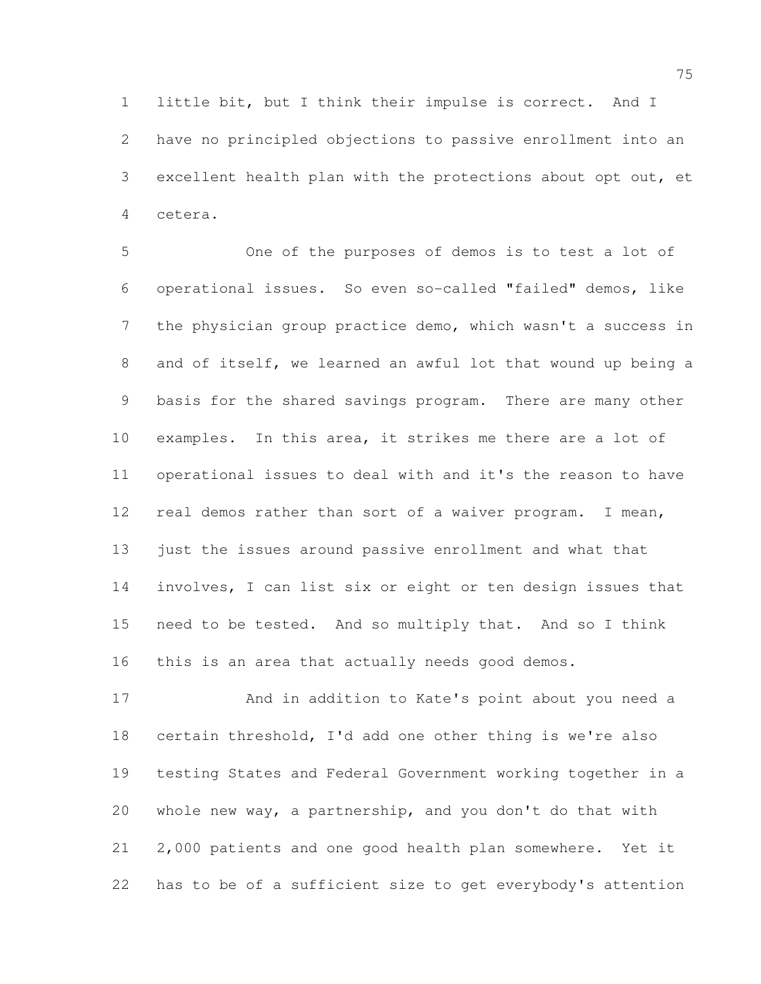little bit, but I think their impulse is correct. And I have no principled objections to passive enrollment into an excellent health plan with the protections about opt out, et cetera.

 One of the purposes of demos is to test a lot of operational issues. So even so-called "failed" demos, like the physician group practice demo, which wasn't a success in and of itself, we learned an awful lot that wound up being a basis for the shared savings program. There are many other examples. In this area, it strikes me there are a lot of operational issues to deal with and it's the reason to have real demos rather than sort of a waiver program. I mean, just the issues around passive enrollment and what that involves, I can list six or eight or ten design issues that need to be tested. And so multiply that. And so I think this is an area that actually needs good demos.

 And in addition to Kate's point about you need a certain threshold, I'd add one other thing is we're also testing States and Federal Government working together in a whole new way, a partnership, and you don't do that with 2,000 patients and one good health plan somewhere. Yet it has to be of a sufficient size to get everybody's attention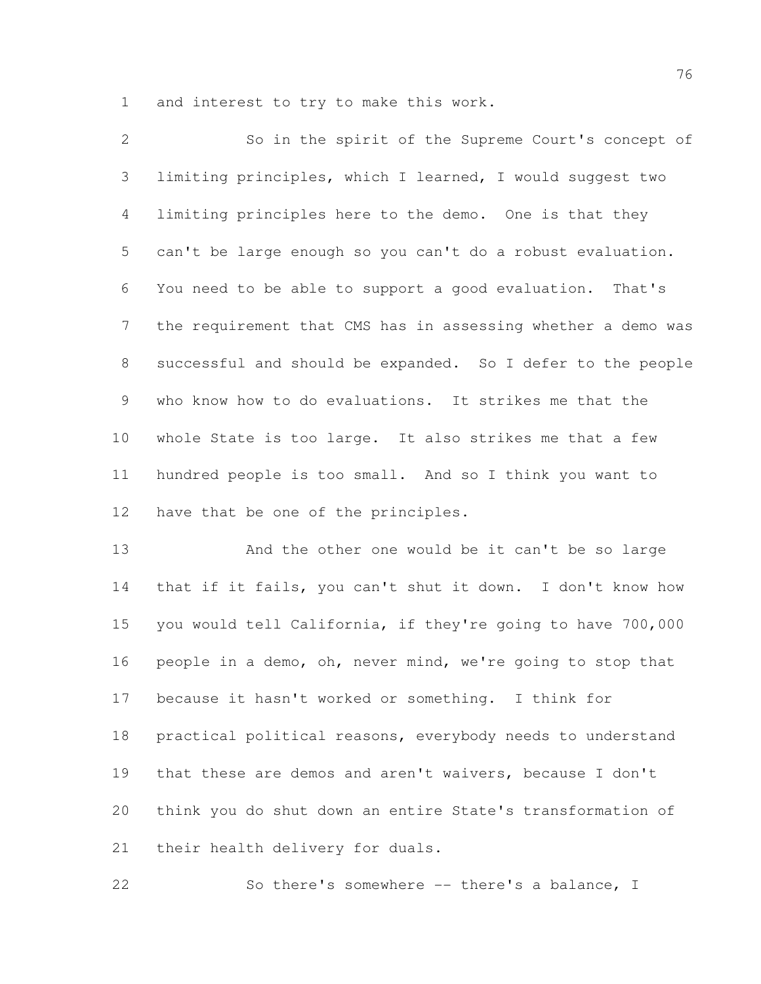and interest to try to make this work.

 So in the spirit of the Supreme Court's concept of limiting principles, which I learned, I would suggest two limiting principles here to the demo. One is that they can't be large enough so you can't do a robust evaluation. You need to be able to support a good evaluation. That's the requirement that CMS has in assessing whether a demo was successful and should be expanded. So I defer to the people who know how to do evaluations. It strikes me that the whole State is too large. It also strikes me that a few hundred people is too small. And so I think you want to have that be one of the principles.

 And the other one would be it can't be so large that if it fails, you can't shut it down. I don't know how you would tell California, if they're going to have 700,000 people in a demo, oh, never mind, we're going to stop that because it hasn't worked or something. I think for practical political reasons, everybody needs to understand that these are demos and aren't waivers, because I don't think you do shut down an entire State's transformation of their health delivery for duals.

So there's somewhere -- there's a balance, I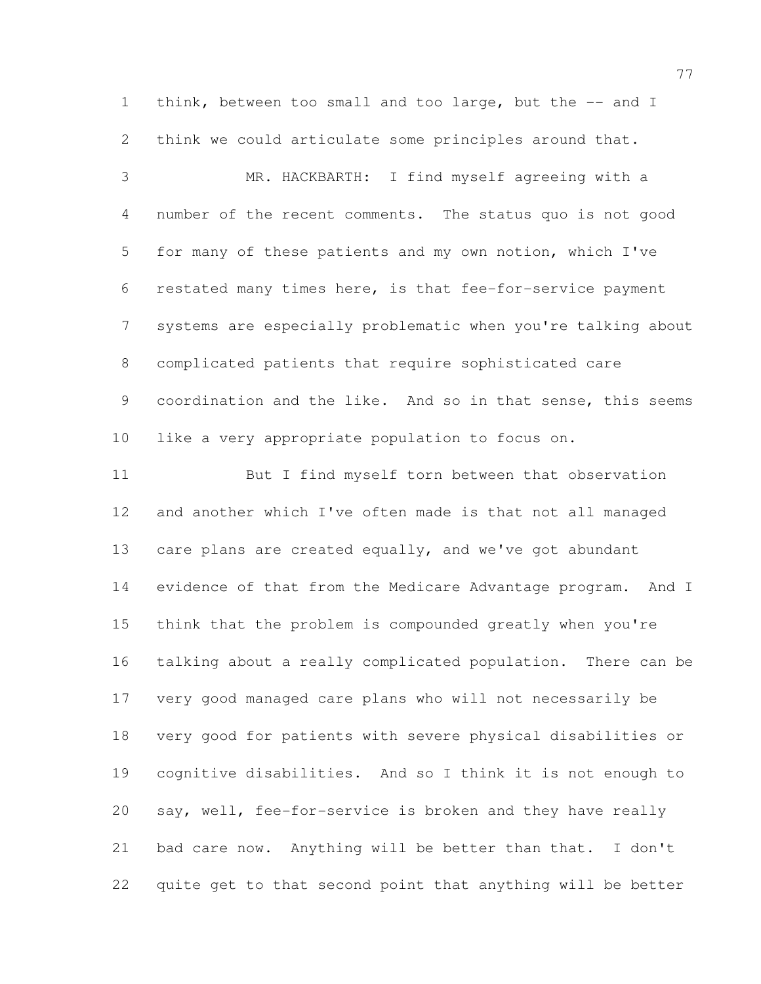1 think, between too small and too large, but the -- and I think we could articulate some principles around that.

 MR. HACKBARTH: I find myself agreeing with a number of the recent comments. The status quo is not good for many of these patients and my own notion, which I've restated many times here, is that fee-for-service payment systems are especially problematic when you're talking about complicated patients that require sophisticated care coordination and the like. And so in that sense, this seems like a very appropriate population to focus on.

 But I find myself torn between that observation and another which I've often made is that not all managed 13 care plans are created equally, and we've got abundant evidence of that from the Medicare Advantage program. And I think that the problem is compounded greatly when you're talking about a really complicated population. There can be very good managed care plans who will not necessarily be very good for patients with severe physical disabilities or cognitive disabilities. And so I think it is not enough to say, well, fee-for-service is broken and they have really bad care now. Anything will be better than that. I don't quite get to that second point that anything will be better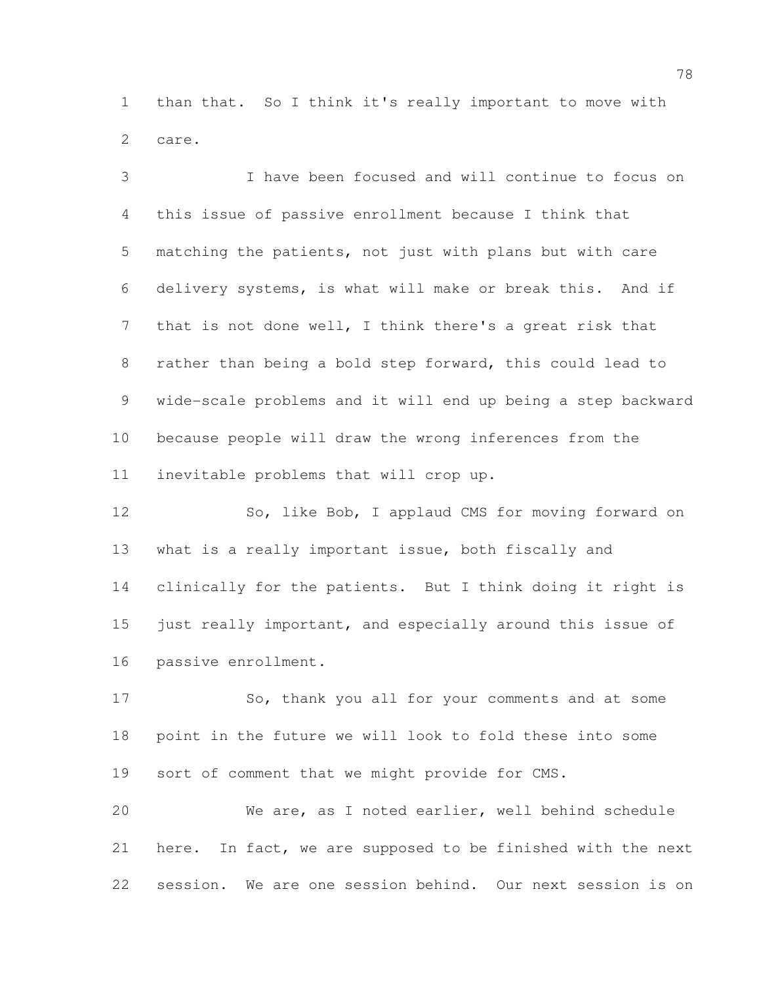than that. So I think it's really important to move with care.

 I have been focused and will continue to focus on this issue of passive enrollment because I think that matching the patients, not just with plans but with care delivery systems, is what will make or break this. And if that is not done well, I think there's a great risk that rather than being a bold step forward, this could lead to wide-scale problems and it will end up being a step backward because people will draw the wrong inferences from the inevitable problems that will crop up.

12 So, like Bob, I applaud CMS for moving forward on what is a really important issue, both fiscally and clinically for the patients. But I think doing it right is 15 just really important, and especially around this issue of passive enrollment.

 So, thank you all for your comments and at some point in the future we will look to fold these into some sort of comment that we might provide for CMS.

 We are, as I noted earlier, well behind schedule here. In fact, we are supposed to be finished with the next session. We are one session behind. Our next session is on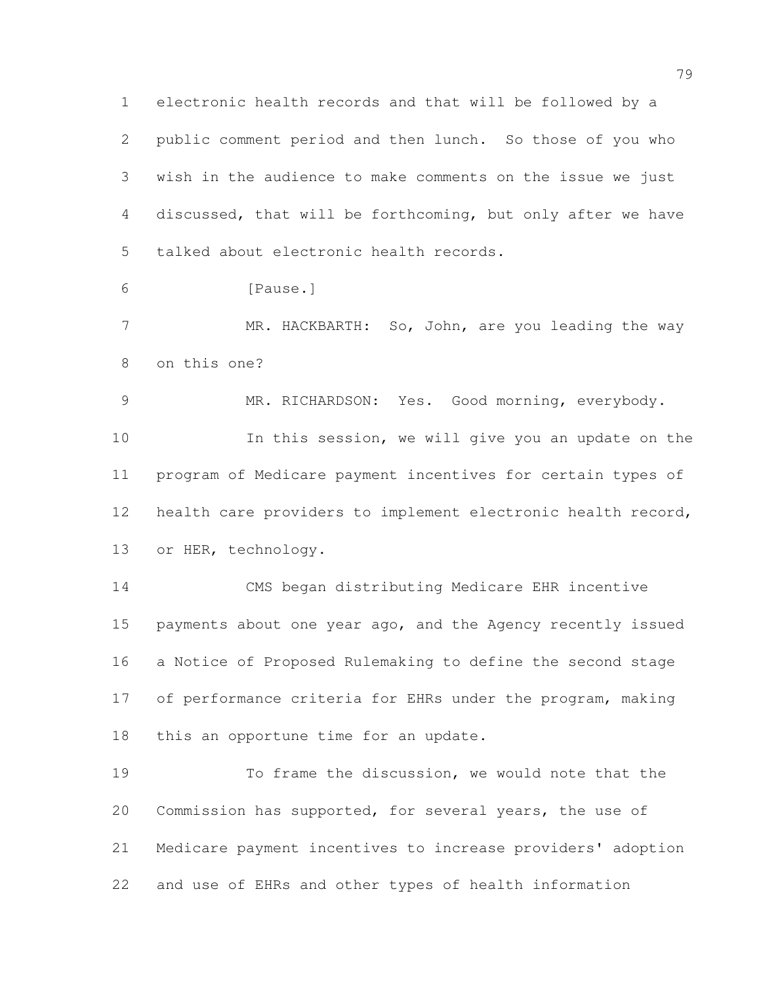electronic health records and that will be followed by a public comment period and then lunch. So those of you who wish in the audience to make comments on the issue we just discussed, that will be forthcoming, but only after we have talked about electronic health records.

[Pause.]

7 MR. HACKBARTH: So, John, are you leading the way on this one?

MR. RICHARDSON: Yes. Good morning, everybody.

 In this session, we will give you an update on the program of Medicare payment incentives for certain types of health care providers to implement electronic health record, or HER, technology.

 CMS began distributing Medicare EHR incentive payments about one year ago, and the Agency recently issued a Notice of Proposed Rulemaking to define the second stage of performance criteria for EHRs under the program, making this an opportune time for an update.

 To frame the discussion, we would note that the Commission has supported, for several years, the use of Medicare payment incentives to increase providers' adoption and use of EHRs and other types of health information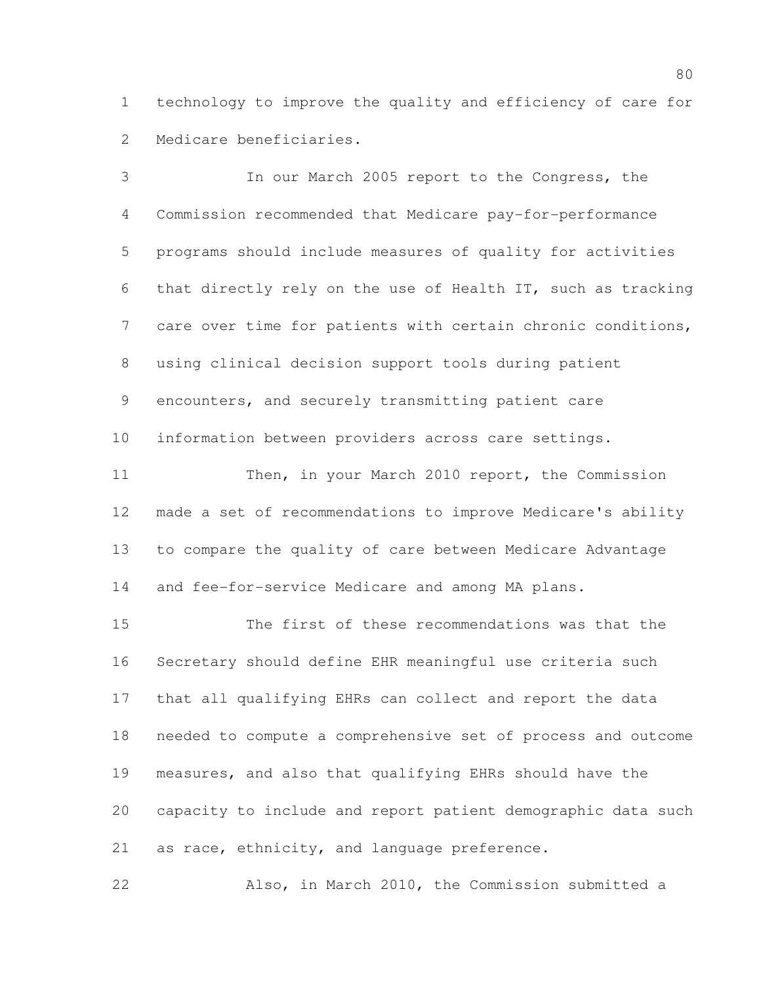technology to improve the quality and efficiency of care for Medicare beneficiaries.

 In our March 2005 report to the Congress, the Commission recommended that Medicare pay-for-performance programs should include measures of quality for activities that directly rely on the use of Health IT, such as tracking care over time for patients with certain chronic conditions, using clinical decision support tools during patient encounters, and securely transmitting patient care information between providers across care settings. Then, in your March 2010 report, the Commission made a set of recommendations to improve Medicare's ability to compare the quality of care between Medicare Advantage and fee-for-service Medicare and among MA plans.

 The first of these recommendations was that the Secretary should define EHR meaningful use criteria such that all qualifying EHRs can collect and report the data needed to compute a comprehensive set of process and outcome measures, and also that qualifying EHRs should have the capacity to include and report patient demographic data such as race, ethnicity, and language preference.

Also, in March 2010, the Commission submitted a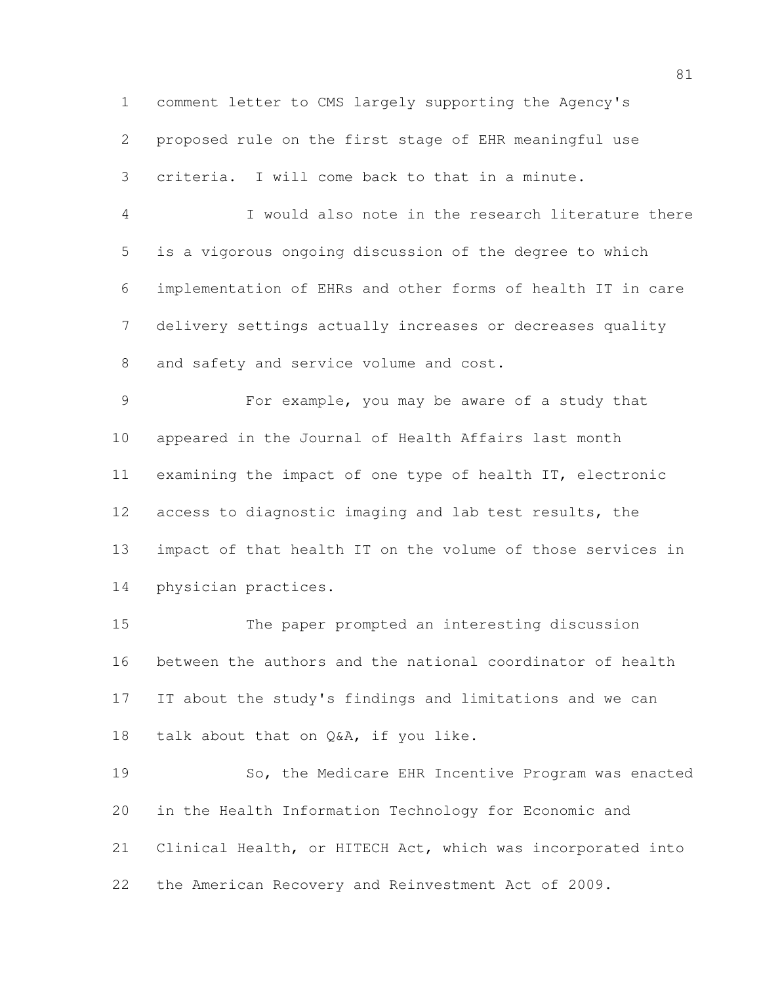comment letter to CMS largely supporting the Agency's proposed rule on the first stage of EHR meaningful use criteria. I will come back to that in a minute.

 I would also note in the research literature there is a vigorous ongoing discussion of the degree to which implementation of EHRs and other forms of health IT in care delivery settings actually increases or decreases quality 8 and safety and service volume and cost.

 For example, you may be aware of a study that appeared in the Journal of Health Affairs last month examining the impact of one type of health IT, electronic access to diagnostic imaging and lab test results, the impact of that health IT on the volume of those services in physician practices.

 The paper prompted an interesting discussion between the authors and the national coordinator of health IT about the study's findings and limitations and we can talk about that on Q&A, if you like.

 So, the Medicare EHR Incentive Program was enacted in the Health Information Technology for Economic and Clinical Health, or HITECH Act, which was incorporated into the American Recovery and Reinvestment Act of 2009.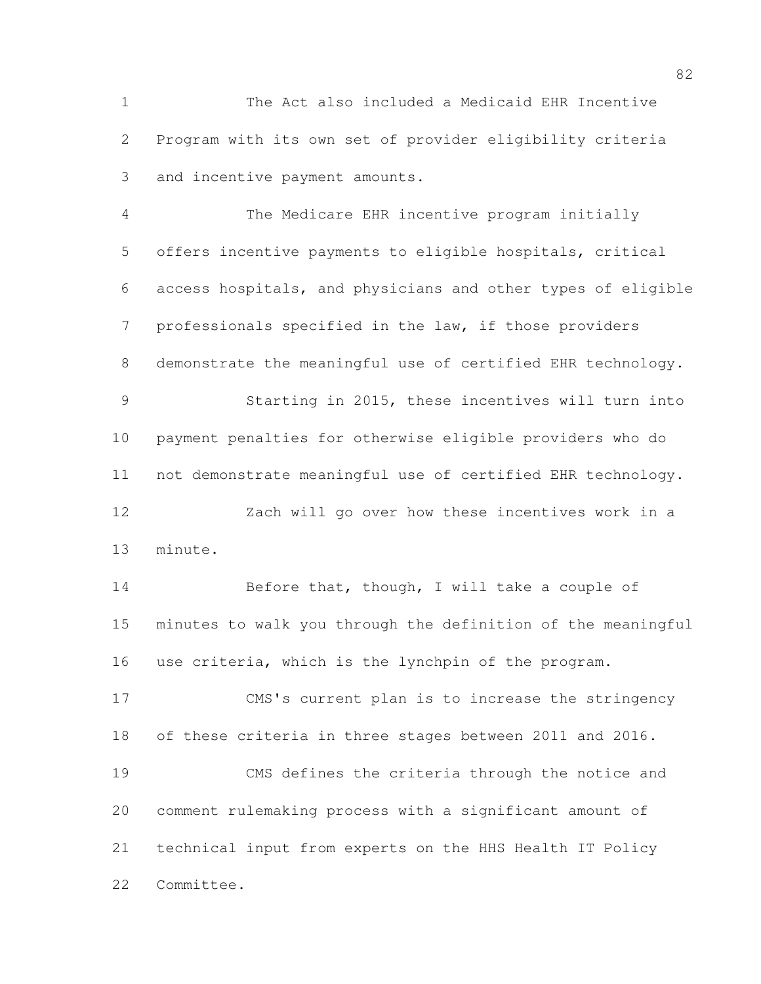The Act also included a Medicaid EHR Incentive Program with its own set of provider eligibility criteria and incentive payment amounts.

 The Medicare EHR incentive program initially offers incentive payments to eligible hospitals, critical access hospitals, and physicians and other types of eligible professionals specified in the law, if those providers demonstrate the meaningful use of certified EHR technology. Starting in 2015, these incentives will turn into payment penalties for otherwise eligible providers who do not demonstrate meaningful use of certified EHR technology. Zach will go over how these incentives work in a minute.

14 Before that, though, I will take a couple of minutes to walk you through the definition of the meaningful use criteria, which is the lynchpin of the program.

 CMS's current plan is to increase the stringency of these criteria in three stages between 2011 and 2016. CMS defines the criteria through the notice and comment rulemaking process with a significant amount of technical input from experts on the HHS Health IT Policy Committee.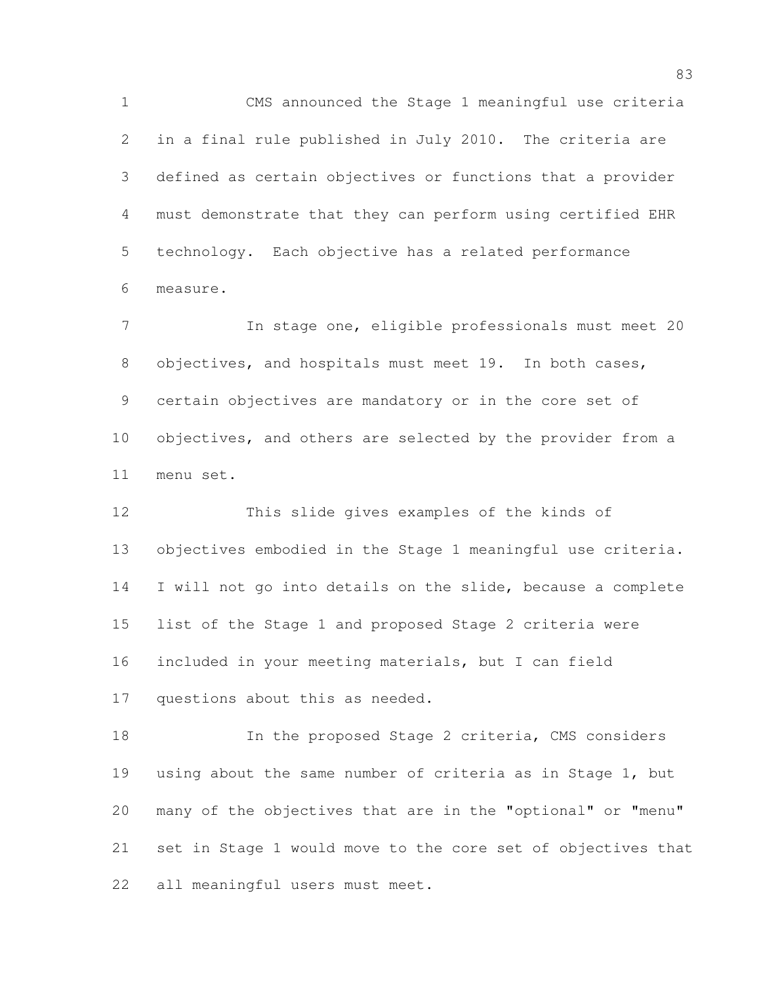CMS announced the Stage 1 meaningful use criteria in a final rule published in July 2010. The criteria are defined as certain objectives or functions that a provider must demonstrate that they can perform using certified EHR technology. Each objective has a related performance measure.

 In stage one, eligible professionals must meet 20 8 objectives, and hospitals must meet 19. In both cases, certain objectives are mandatory or in the core set of objectives, and others are selected by the provider from a menu set.

 This slide gives examples of the kinds of objectives embodied in the Stage 1 meaningful use criteria. I will not go into details on the slide, because a complete list of the Stage 1 and proposed Stage 2 criteria were included in your meeting materials, but I can field questions about this as needed.

 In the proposed Stage 2 criteria, CMS considers using about the same number of criteria as in Stage 1, but many of the objectives that are in the "optional" or "menu" set in Stage 1 would move to the core set of objectives that all meaningful users must meet.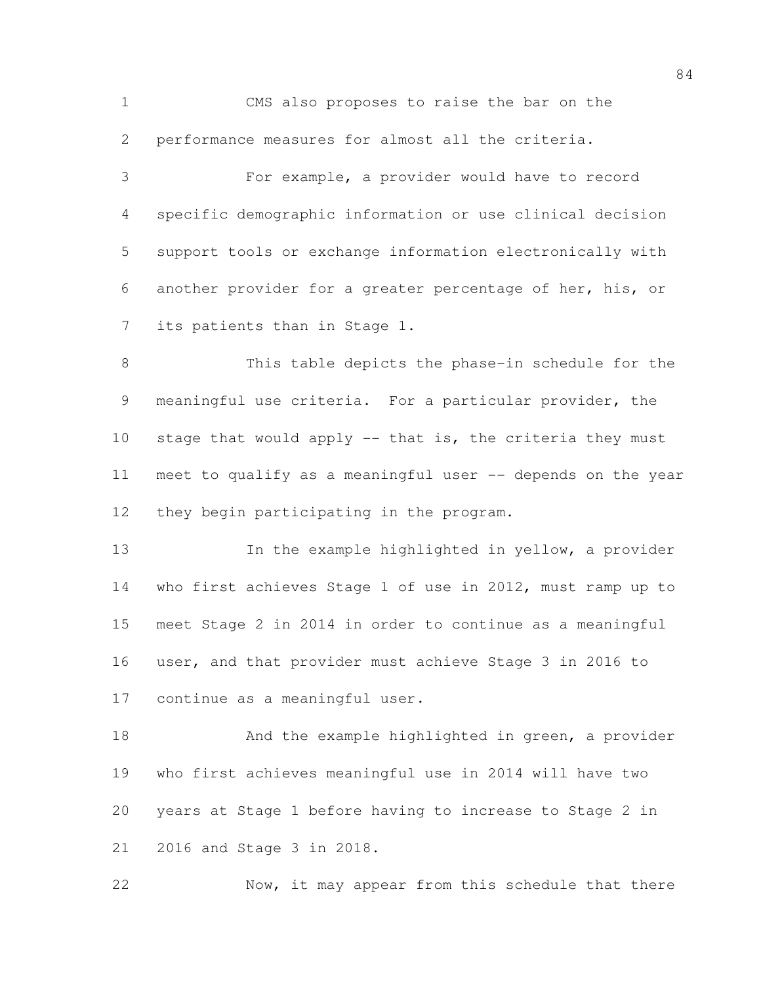CMS also proposes to raise the bar on the performance measures for almost all the criteria.

 For example, a provider would have to record specific demographic information or use clinical decision support tools or exchange information electronically with another provider for a greater percentage of her, his, or its patients than in Stage 1.

 This table depicts the phase-in schedule for the meaningful use criteria. For a particular provider, the stage that would apply -- that is, the criteria they must meet to qualify as a meaningful user -- depends on the year they begin participating in the program.

 In the example highlighted in yellow, a provider who first achieves Stage 1 of use in 2012, must ramp up to meet Stage 2 in 2014 in order to continue as a meaningful user, and that provider must achieve Stage 3 in 2016 to continue as a meaningful user.

18 And the example highlighted in green, a provider who first achieves meaningful use in 2014 will have two years at Stage 1 before having to increase to Stage 2 in 2016 and Stage 3 in 2018.

22 Now, it may appear from this schedule that there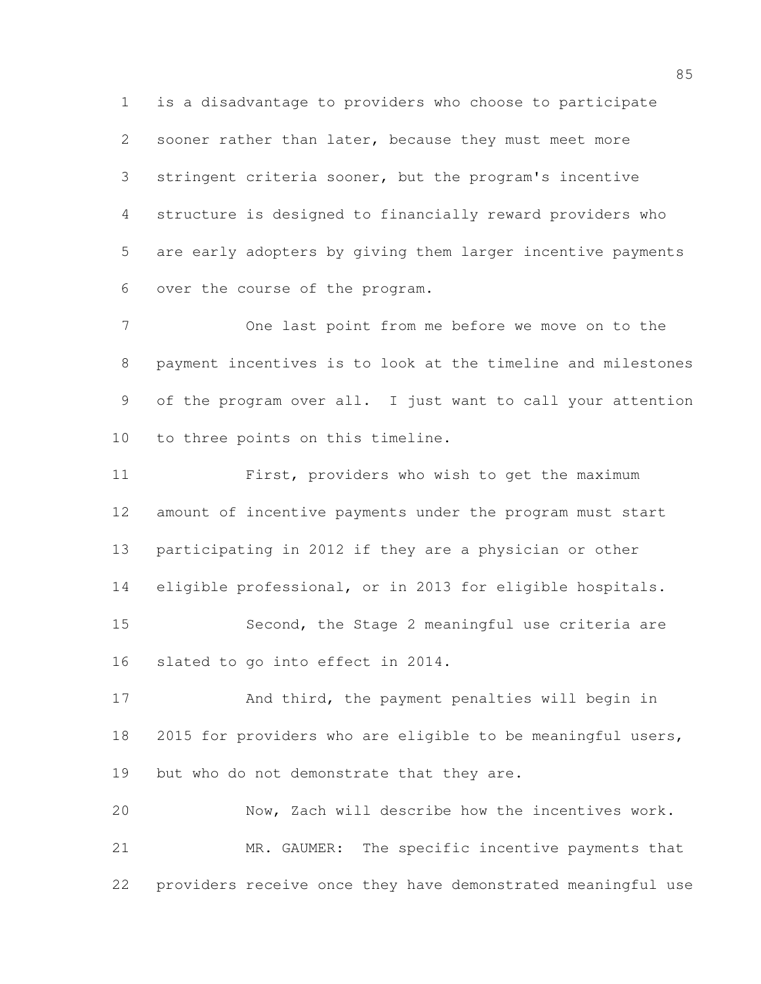is a disadvantage to providers who choose to participate sooner rather than later, because they must meet more stringent criteria sooner, but the program's incentive structure is designed to financially reward providers who are early adopters by giving them larger incentive payments over the course of the program.

 One last point from me before we move on to the payment incentives is to look at the timeline and milestones of the program over all. I just want to call your attention to three points on this timeline.

 First, providers who wish to get the maximum amount of incentive payments under the program must start participating in 2012 if they are a physician or other eligible professional, or in 2013 for eligible hospitals. Second, the Stage 2 meaningful use criteria are slated to go into effect in 2014.

17 And third, the payment penalties will begin in 2015 for providers who are eligible to be meaningful users, 19 but who do not demonstrate that they are.

 Now, Zach will describe how the incentives work. MR. GAUMER: The specific incentive payments that providers receive once they have demonstrated meaningful use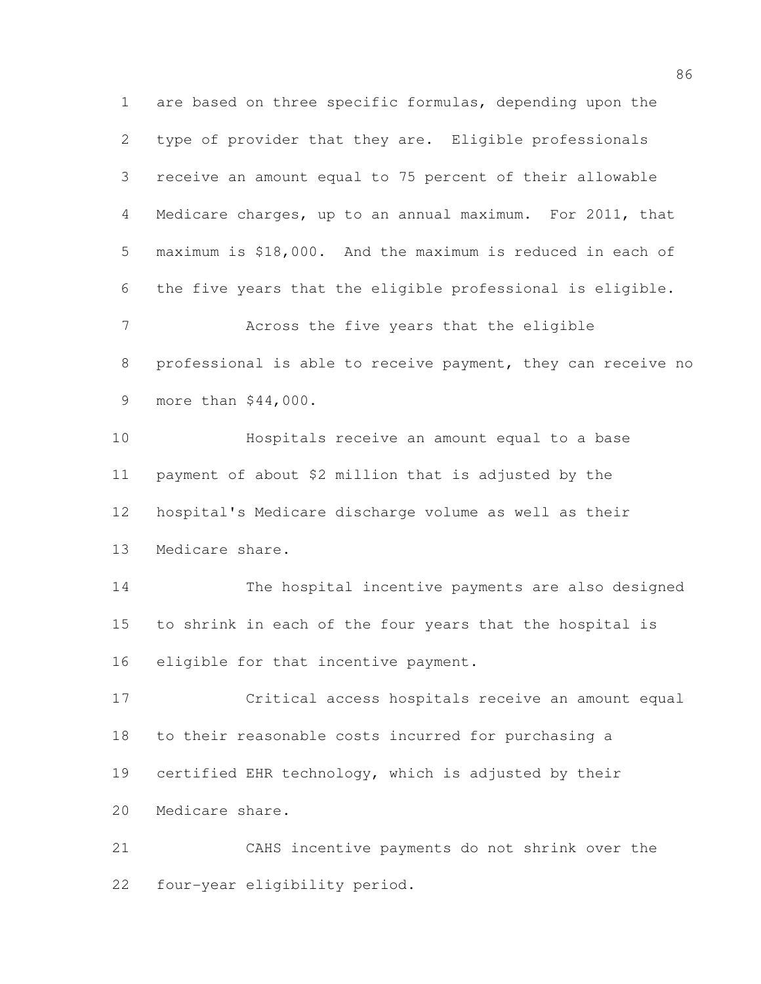are based on three specific formulas, depending upon the type of provider that they are. Eligible professionals receive an amount equal to 75 percent of their allowable Medicare charges, up to an annual maximum. For 2011, that maximum is \$18,000. And the maximum is reduced in each of the five years that the eligible professional is eligible. Across the five years that the eligible professional is able to receive payment, they can receive no more than \$44,000. Hospitals receive an amount equal to a base payment of about \$2 million that is adjusted by the hospital's Medicare discharge volume as well as their Medicare share. The hospital incentive payments are also designed to shrink in each of the four years that the hospital is eligible for that incentive payment. Critical access hospitals receive an amount equal to their reasonable costs incurred for purchasing a certified EHR technology, which is adjusted by their Medicare share. CAHS incentive payments do not shrink over the four-year eligibility period.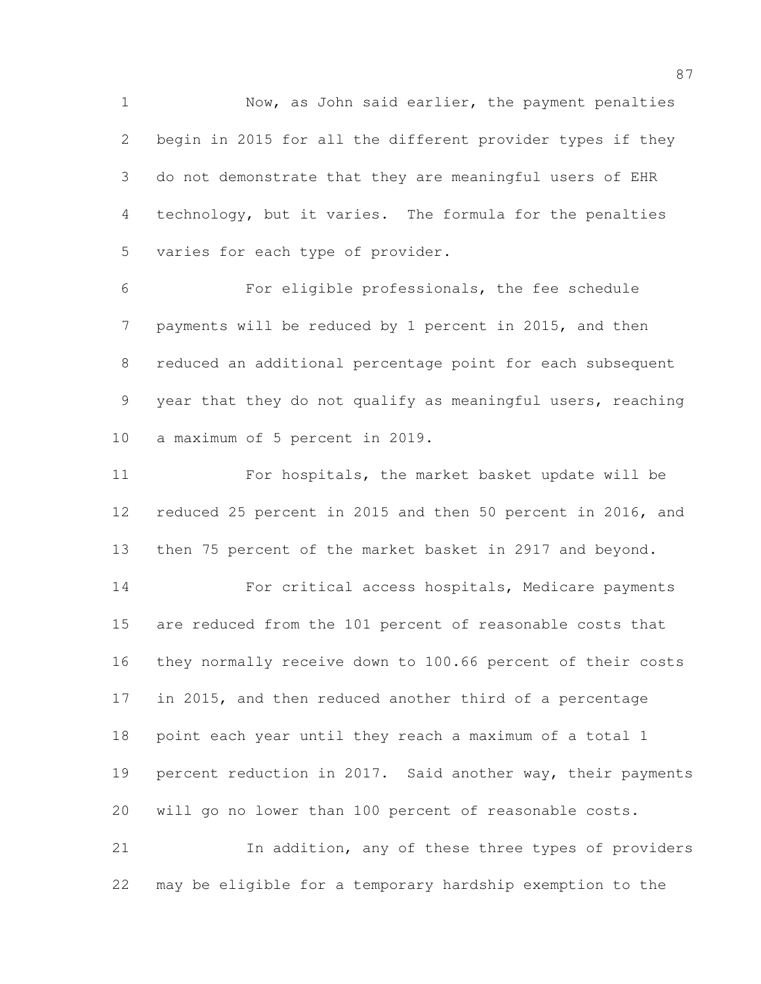1 Now, as John said earlier, the payment penalties begin in 2015 for all the different provider types if they do not demonstrate that they are meaningful users of EHR technology, but it varies. The formula for the penalties varies for each type of provider.

 For eligible professionals, the fee schedule payments will be reduced by 1 percent in 2015, and then reduced an additional percentage point for each subsequent year that they do not qualify as meaningful users, reaching a maximum of 5 percent in 2019.

 For hospitals, the market basket update will be reduced 25 percent in 2015 and then 50 percent in 2016, and then 75 percent of the market basket in 2917 and beyond.

 For critical access hospitals, Medicare payments are reduced from the 101 percent of reasonable costs that they normally receive down to 100.66 percent of their costs in 2015, and then reduced another third of a percentage point each year until they reach a maximum of a total 1 percent reduction in 2017. Said another way, their payments will go no lower than 100 percent of reasonable costs. In addition, any of these three types of providers

may be eligible for a temporary hardship exemption to the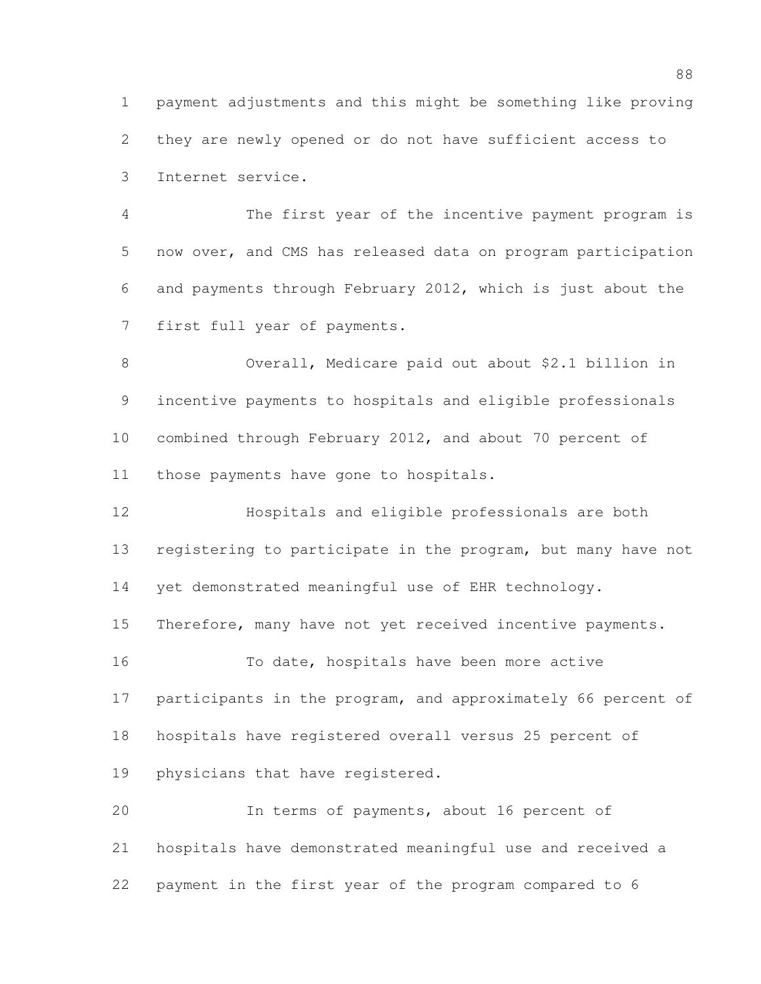payment adjustments and this might be something like proving they are newly opened or do not have sufficient access to Internet service.

 The first year of the incentive payment program is now over, and CMS has released data on program participation and payments through February 2012, which is just about the first full year of payments.

 Overall, Medicare paid out about \$2.1 billion in incentive payments to hospitals and eligible professionals combined through February 2012, and about 70 percent of those payments have gone to hospitals.

 Hospitals and eligible professionals are both 13 registering to participate in the program, but many have not yet demonstrated meaningful use of EHR technology. 15 Therefore, many have not yet received incentive payments. To date, hospitals have been more active participants in the program, and approximately 66 percent of hospitals have registered overall versus 25 percent of physicians that have registered. In terms of payments, about 16 percent of hospitals have demonstrated meaningful use and received a

payment in the first year of the program compared to 6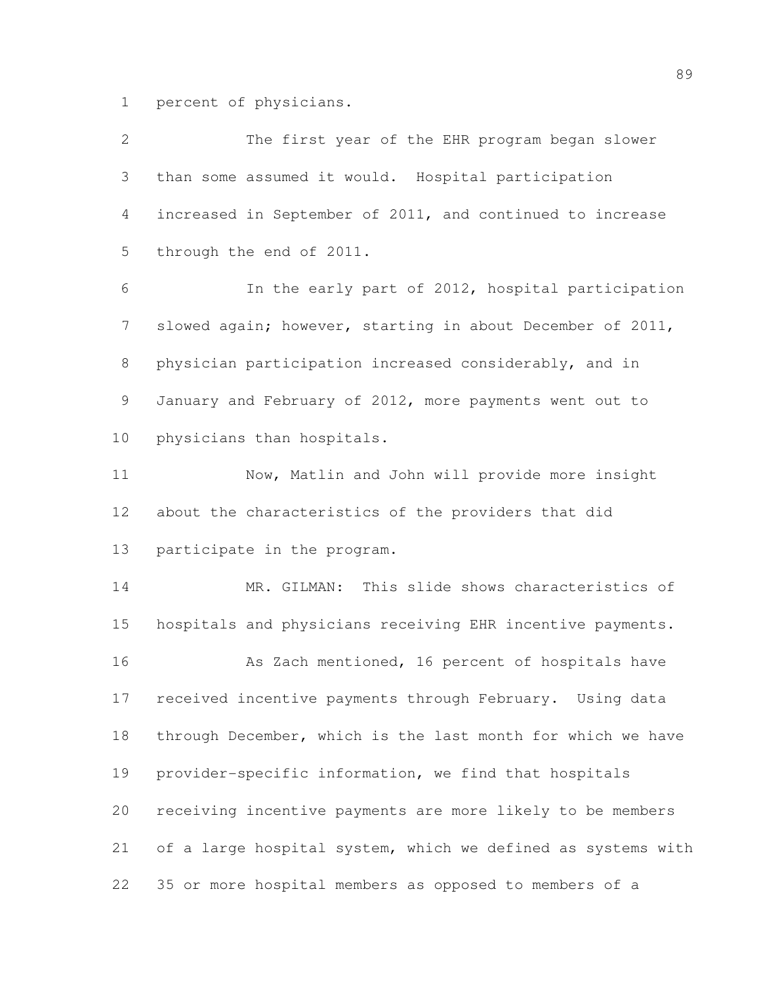percent of physicians.

| $\overline{2}$ | The first year of the EHR program began slower               |
|----------------|--------------------------------------------------------------|
| 3              | than some assumed it would. Hospital participation           |
| 4              | increased in September of 2011, and continued to increase    |
| 5              | through the end of 2011.                                     |
| 6              | In the early part of 2012, hospital participation            |
| 7              | slowed again; however, starting in about December of 2011,   |
| 8              | physician participation increased considerably, and in       |
| 9              | January and February of 2012, more payments went out to      |
| 10             | physicians than hospitals.                                   |
| 11             | Now, Matlin and John will provide more insight               |
| 12             | about the characteristics of the providers that did          |
| 13             | participate in the program.                                  |
| 14             | MR. GILMAN: This slide shows characteristics of              |
| 15             | hospitals and physicians receiving EHR incentive payments.   |
| 16             | As Zach mentioned, 16 percent of hospitals have              |
| 17             | received incentive payments through February. Using data     |
| 18             | through December, which is the last month for which we have  |
| 19             | provider-specific information, we find that hospitals        |
| 20             | receiving incentive payments are more likely to be members   |
| 21             | of a large hospital system, which we defined as systems with |
| 22             | 35 or more hospital members as opposed to members of a       |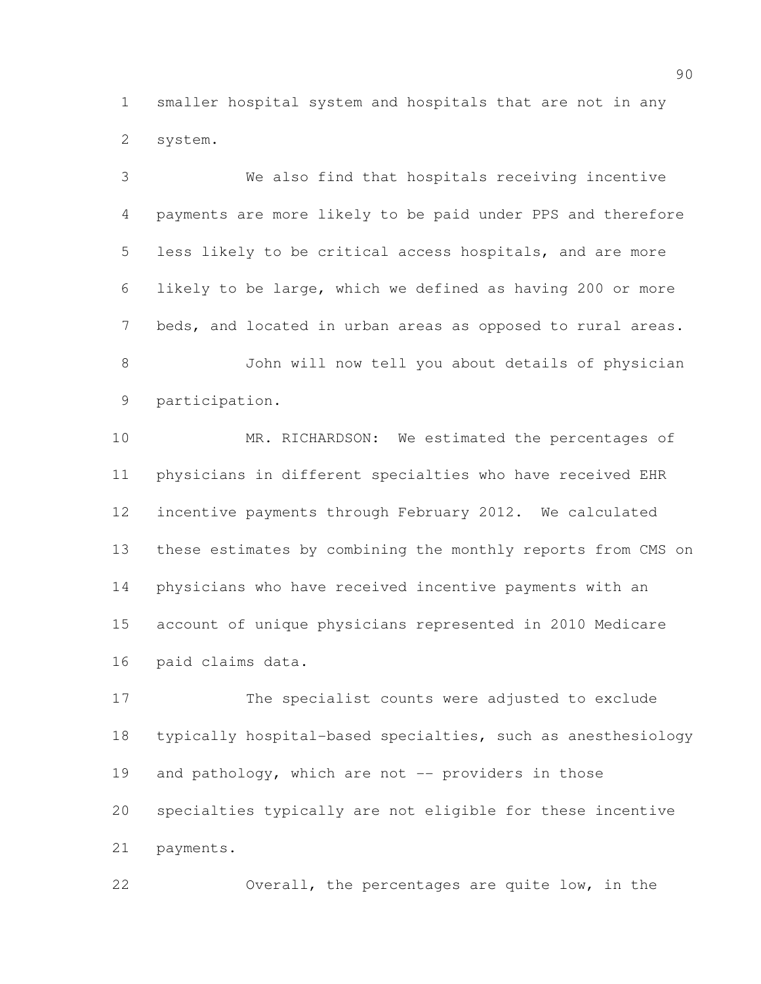smaller hospital system and hospitals that are not in any system.

 We also find that hospitals receiving incentive payments are more likely to be paid under PPS and therefore less likely to be critical access hospitals, and are more likely to be large, which we defined as having 200 or more beds, and located in urban areas as opposed to rural areas. John will now tell you about details of physician participation. MR. RICHARDSON: We estimated the percentages of physicians in different specialties who have received EHR incentive payments through February 2012. We calculated these estimates by combining the monthly reports from CMS on physicians who have received incentive payments with an account of unique physicians represented in 2010 Medicare paid claims data.

 The specialist counts were adjusted to exclude typically hospital-based specialties, such as anesthesiology 19 and pathology, which are not -- providers in those specialties typically are not eligible for these incentive payments.

Overall, the percentages are quite low, in the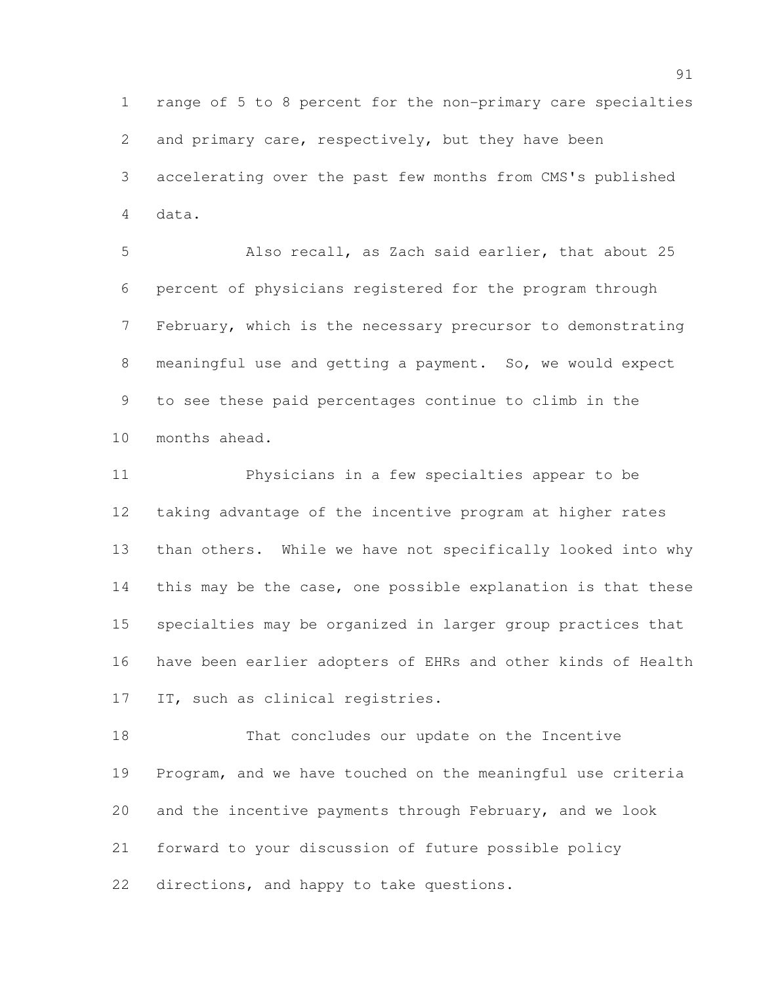range of 5 to 8 percent for the non-primary care specialties and primary care, respectively, but they have been accelerating over the past few months from CMS's published data.

 Also recall, as Zach said earlier, that about 25 percent of physicians registered for the program through February, which is the necessary precursor to demonstrating meaningful use and getting a payment. So, we would expect to see these paid percentages continue to climb in the months ahead.

 Physicians in a few specialties appear to be taking advantage of the incentive program at higher rates than others. While we have not specifically looked into why this may be the case, one possible explanation is that these specialties may be organized in larger group practices that have been earlier adopters of EHRs and other kinds of Health IT, such as clinical registries.

 That concludes our update on the Incentive Program, and we have touched on the meaningful use criteria and the incentive payments through February, and we look forward to your discussion of future possible policy directions, and happy to take questions.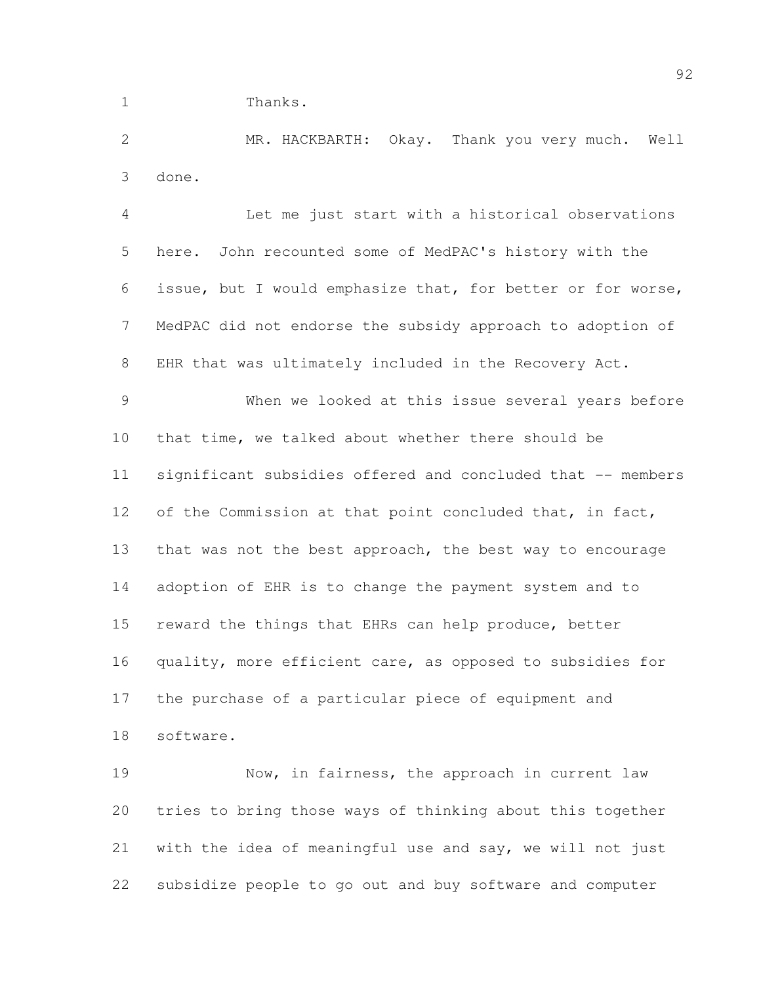Thanks.

 MR. HACKBARTH: Okay. Thank you very much. Well done.

 Let me just start with a historical observations here. John recounted some of MedPAC's history with the issue, but I would emphasize that, for better or for worse, MedPAC did not endorse the subsidy approach to adoption of EHR that was ultimately included in the Recovery Act. When we looked at this issue several years before that time, we talked about whether there should be significant subsidies offered and concluded that -- members 12 of the Commission at that point concluded that, in fact, 13 that was not the best approach, the best way to encourage adoption of EHR is to change the payment system and to reward the things that EHRs can help produce, better quality, more efficient care, as opposed to subsidies for the purchase of a particular piece of equipment and software.

 Now, in fairness, the approach in current law tries to bring those ways of thinking about this together with the idea of meaningful use and say, we will not just subsidize people to go out and buy software and computer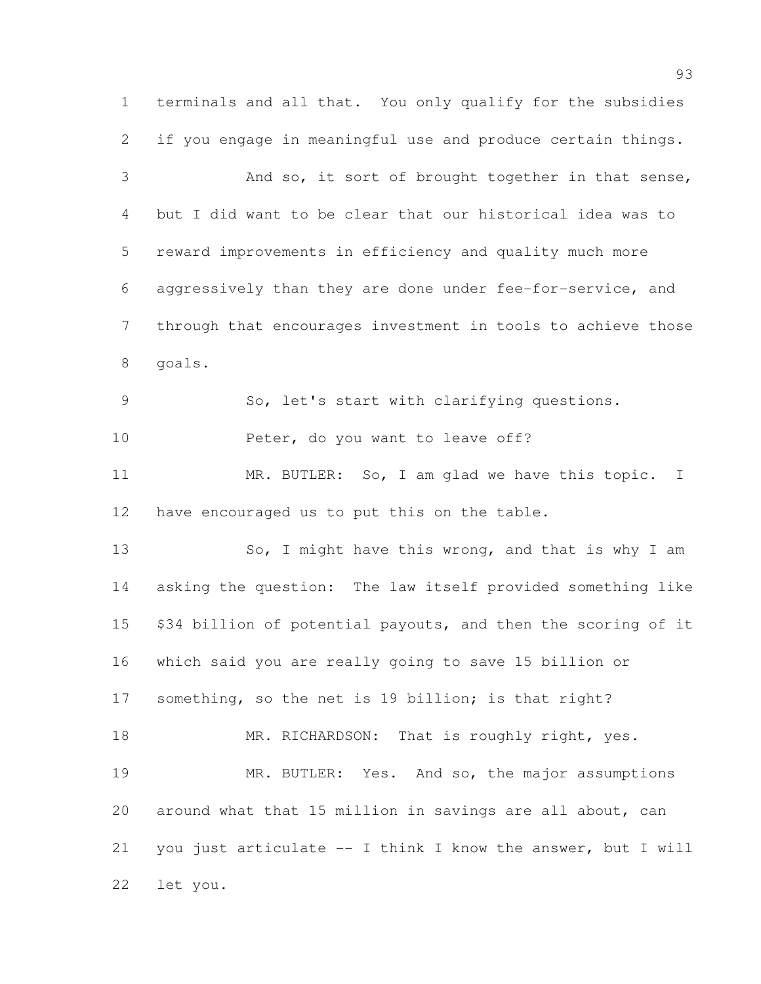terminals and all that. You only qualify for the subsidies if you engage in meaningful use and produce certain things. 3 And so, it sort of brought together in that sense, but I did want to be clear that our historical idea was to reward improvements in efficiency and quality much more aggressively than they are done under fee-for-service, and through that encourages investment in tools to achieve those goals. So, let's start with clarifying questions. 10 Peter, do you want to leave off? 11 MR. BUTLER: So, I am glad we have this topic. I have encouraged us to put this on the table. 13 So, I might have this wrong, and that is why I am asking the question: The law itself provided something like \$34 billion of potential payouts, and then the scoring of it which said you are really going to save 15 billion or 17 something, so the net is 19 billion; is that right? 18 MR. RICHARDSON: That is roughly right, yes. 19 MR. BUTLER: Yes. And so, the major assumptions around what that 15 million in savings are all about, can you just articulate -- I think I know the answer, but I will let you.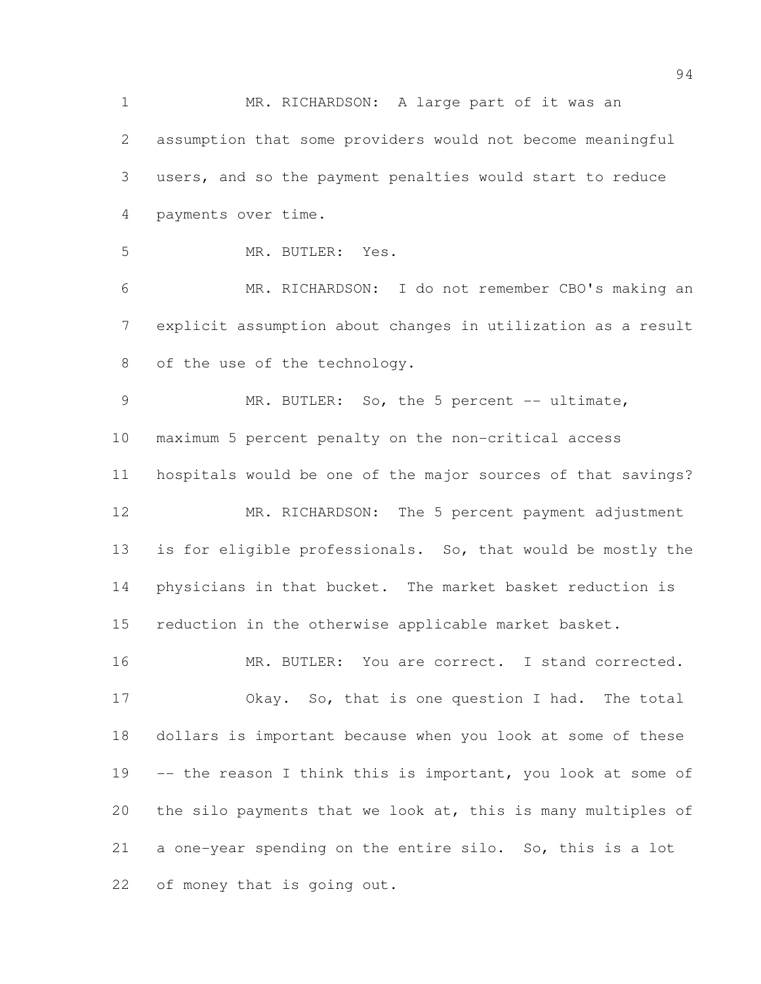MR. RICHARDSON: A large part of it was an assumption that some providers would not become meaningful users, and so the payment penalties would start to reduce payments over time. MR. BUTLER: Yes. MR. RICHARDSON: I do not remember CBO's making an explicit assumption about changes in utilization as a result 8 of the use of the technology. 9 MR. BUTLER: So, the 5 percent -- ultimate, maximum 5 percent penalty on the non-critical access hospitals would be one of the major sources of that savings? MR. RICHARDSON: The 5 percent payment adjustment is for eligible professionals. So, that would be mostly the physicians in that bucket. The market basket reduction is reduction in the otherwise applicable market basket. 16 MR. BUTLER: You are correct. I stand corrected. Okay. So, that is one question I had. The total dollars is important because when you look at some of these 19 -- the reason I think this is important, you look at some of the silo payments that we look at, this is many multiples of a one-year spending on the entire silo. So, this is a lot of money that is going out.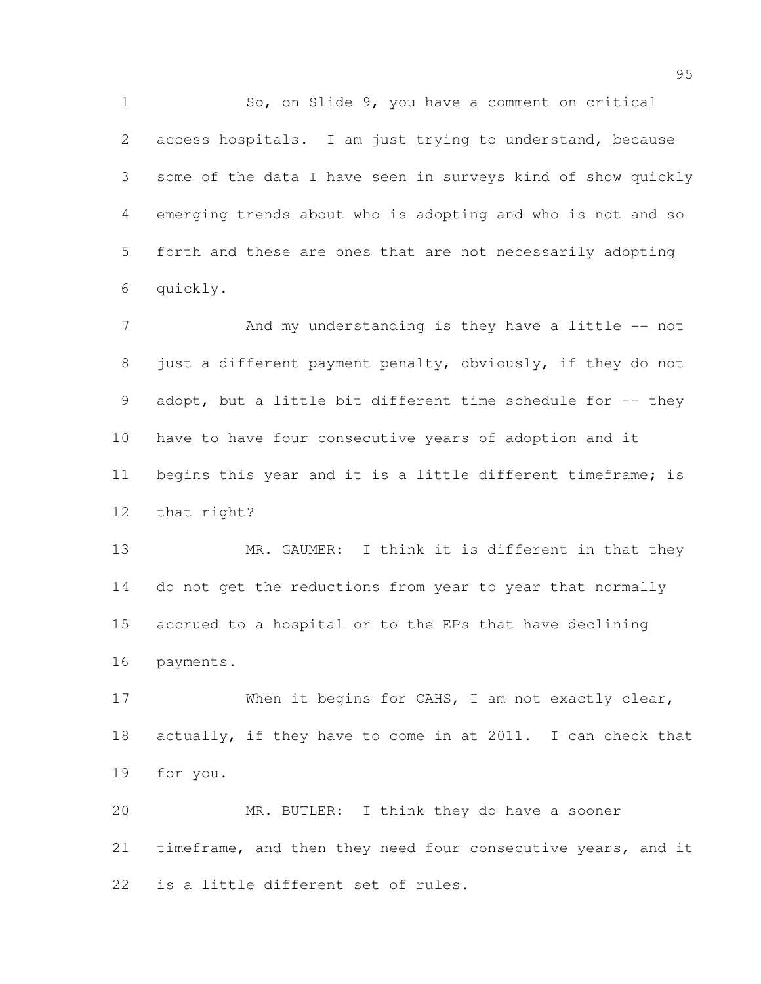1 So, on Slide 9, you have a comment on critical access hospitals. I am just trying to understand, because some of the data I have seen in surveys kind of show quickly emerging trends about who is adopting and who is not and so forth and these are ones that are not necessarily adopting quickly.

7 And my understanding is they have a little -- not just a different payment penalty, obviously, if they do not 9 adopt, but a little bit different time schedule for -- they have to have four consecutive years of adoption and it 11 begins this year and it is a little different timeframe; is that right?

13 MR. GAUMER: I think it is different in that they do not get the reductions from year to year that normally accrued to a hospital or to the EPs that have declining payments.

17 When it begins for CAHS, I am not exactly clear, actually, if they have to come in at 2011. I can check that for you.

 MR. BUTLER: I think they do have a sooner 21 timeframe, and then they need four consecutive years, and it is a little different set of rules.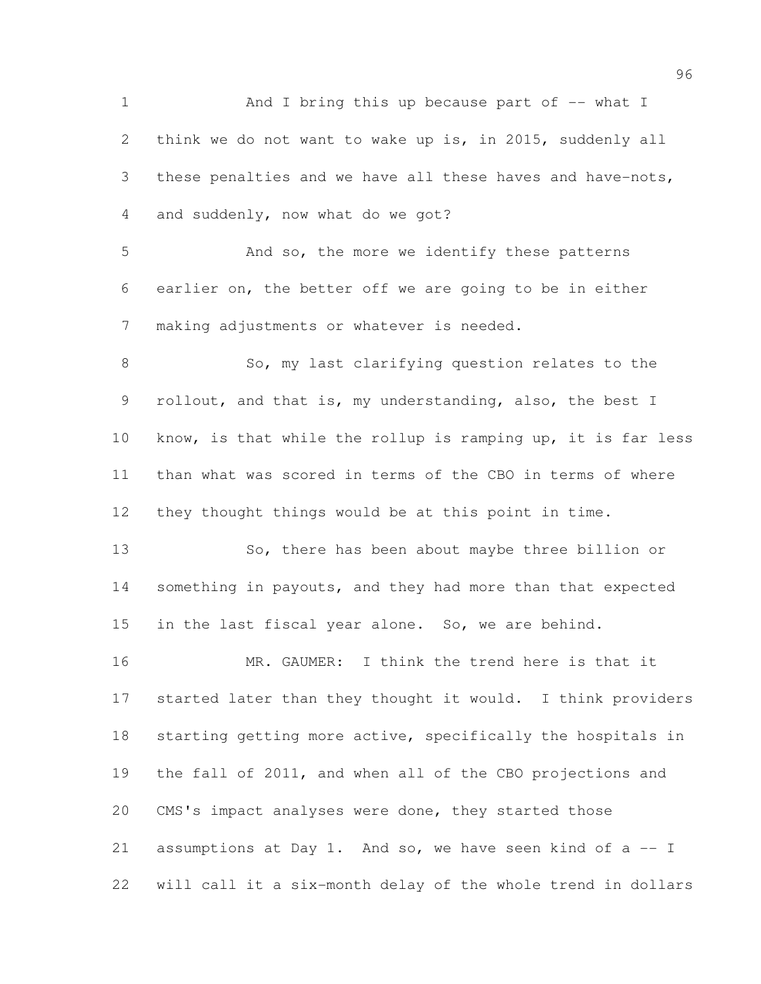1 And I bring this up because part of -- what I think we do not want to wake up is, in 2015, suddenly all 3 these penalties and we have all these haves and have-nots, and suddenly, now what do we got? And so, the more we identify these patterns earlier on, the better off we are going to be in either making adjustments or whatever is needed. 8 So, my last clarifying question relates to the rollout, and that is, my understanding, also, the best I know, is that while the rollup is ramping up, it is far less than what was scored in terms of the CBO in terms of where they thought things would be at this point in time. So, there has been about maybe three billion or 14 something in payouts, and they had more than that expected in the last fiscal year alone. So, we are behind. MR. GAUMER: I think the trend here is that it started later than they thought it would. I think providers starting getting more active, specifically the hospitals in the fall of 2011, and when all of the CBO projections and CMS's impact analyses were done, they started those assumptions at Day 1. And so, we have seen kind of a -- I will call it a six-month delay of the whole trend in dollars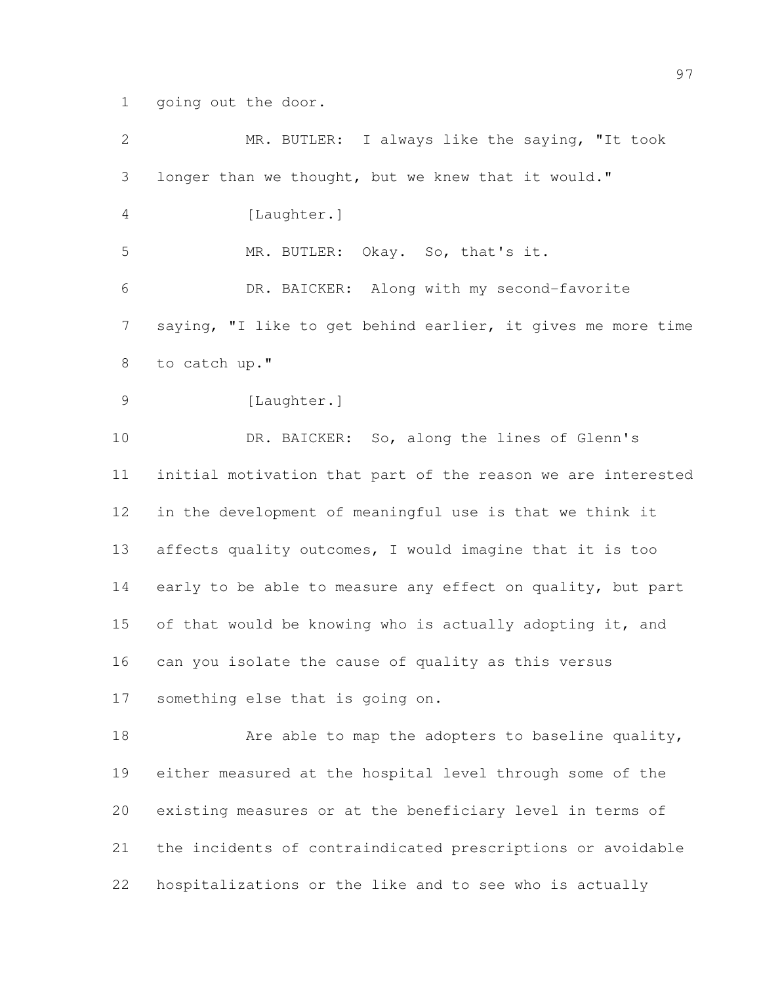going out the door.

| $\mathbf{2}$   | MR. BUTLER: I always like the saying, "It took               |
|----------------|--------------------------------------------------------------|
| 3              | longer than we thought, but we knew that it would."          |
| $\overline{4}$ | [Laughter.]                                                  |
| 5              | MR. BUTLER: Okay. So, that's it.                             |
| 6              | DR. BAICKER: Along with my second-favorite                   |
| $\overline{7}$ | saying, "I like to get behind earlier, it gives me more time |
| 8              | to catch up."                                                |
| $\mathcal{G}$  | [Laughter.]                                                  |
| 10             | DR. BAICKER: So, along the lines of Glenn's                  |
| 11             | initial motivation that part of the reason we are interested |
| 12             | in the development of meaningful use is that we think it     |
| 13             | affects quality outcomes, I would imagine that it is too     |
| 14             | early to be able to measure any effect on quality, but part  |
| 15             | of that would be knowing who is actually adopting it, and    |
| 16             | can you isolate the cause of quality as this versus          |
| 17             | something else that is going on.                             |
| 18             | Are able to map the adopters to baseline quality,            |
| 19             | either measured at the hospital level through some of the    |
| 20             | existing measures or at the beneficiary level in terms of    |
| 21             | the incidents of contraindicated prescriptions or avoidable  |
| 22             | hospitalizations or the like and to see who is actually      |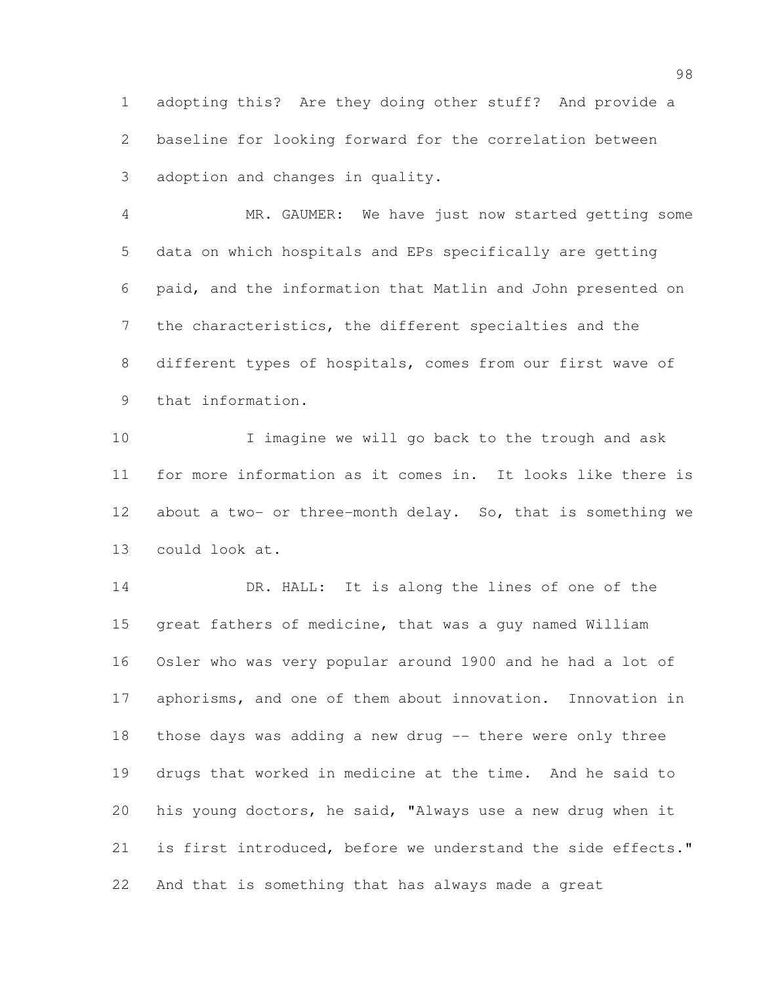adopting this? Are they doing other stuff? And provide a baseline for looking forward for the correlation between adoption and changes in quality.

 MR. GAUMER: We have just now started getting some data on which hospitals and EPs specifically are getting paid, and the information that Matlin and John presented on the characteristics, the different specialties and the different types of hospitals, comes from our first wave of that information.

 I imagine we will go back to the trough and ask for more information as it comes in. It looks like there is about a two- or three-month delay. So, that is something we could look at.

 DR. HALL: It is along the lines of one of the great fathers of medicine, that was a guy named William Osler who was very popular around 1900 and he had a lot of aphorisms, and one of them about innovation. Innovation in those days was adding a new drug -- there were only three drugs that worked in medicine at the time. And he said to his young doctors, he said, "Always use a new drug when it is first introduced, before we understand the side effects." And that is something that has always made a great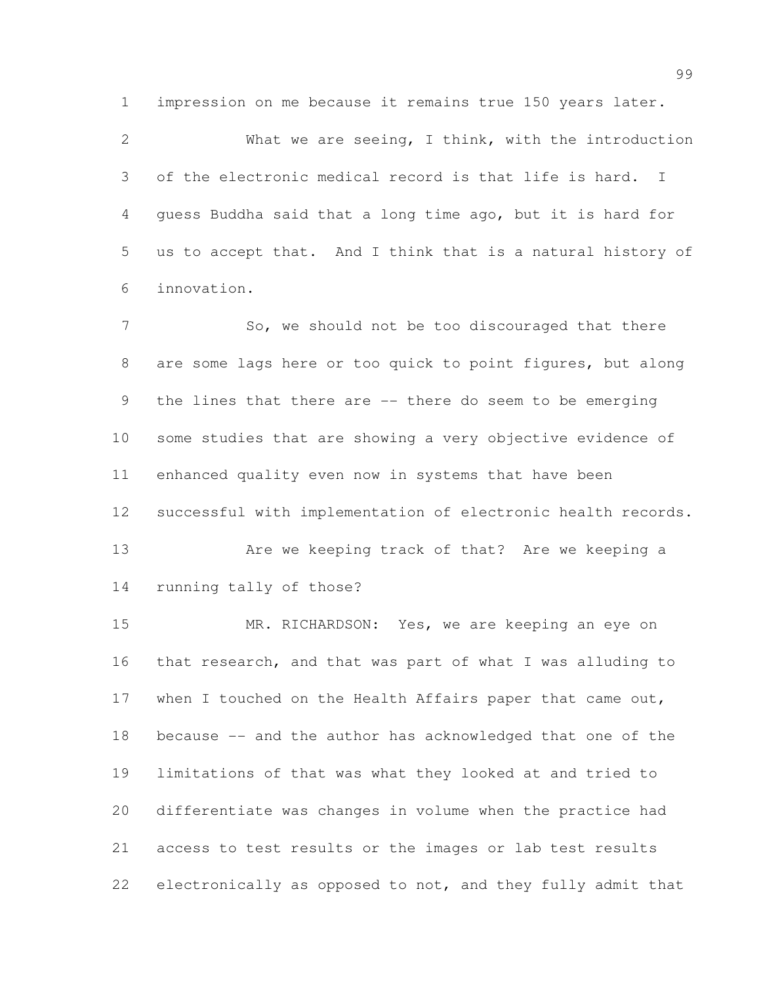impression on me because it remains true 150 years later.

 What we are seeing, I think, with the introduction of the electronic medical record is that life is hard. I guess Buddha said that a long time ago, but it is hard for us to accept that. And I think that is a natural history of innovation.

7 So, we should not be too discouraged that there are some lags here or too quick to point figures, but along the lines that there are -- there do seem to be emerging some studies that are showing a very objective evidence of enhanced quality even now in systems that have been successful with implementation of electronic health records.

 Are we keeping track of that? Are we keeping a running tally of those?

 MR. RICHARDSON: Yes, we are keeping an eye on that research, and that was part of what I was alluding to when I touched on the Health Affairs paper that came out, because -- and the author has acknowledged that one of the limitations of that was what they looked at and tried to differentiate was changes in volume when the practice had access to test results or the images or lab test results electronically as opposed to not, and they fully admit that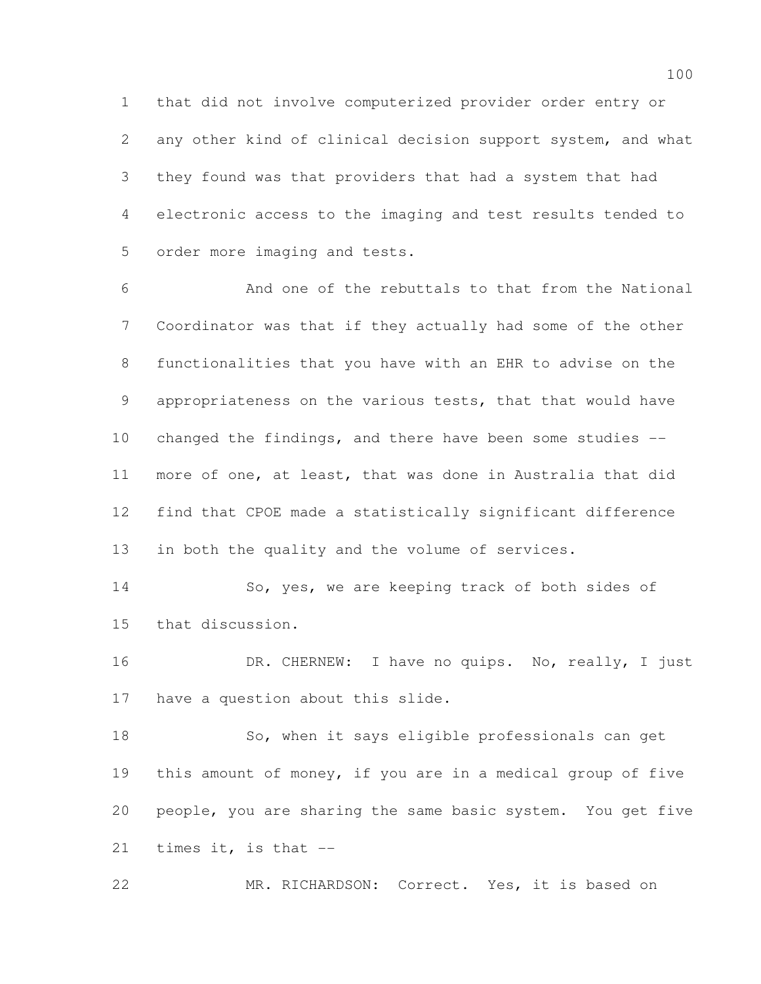that did not involve computerized provider order entry or any other kind of clinical decision support system, and what they found was that providers that had a system that had electronic access to the imaging and test results tended to order more imaging and tests.

 And one of the rebuttals to that from the National Coordinator was that if they actually had some of the other functionalities that you have with an EHR to advise on the appropriateness on the various tests, that that would have changed the findings, and there have been some studies -- more of one, at least, that was done in Australia that did find that CPOE made a statistically significant difference in both the quality and the volume of services.

 So, yes, we are keeping track of both sides of that discussion.

16 DR. CHERNEW: I have no quips. No, really, I just have a question about this slide.

18 So, when it says eligible professionals can get this amount of money, if you are in a medical group of five people, you are sharing the same basic system. You get five times it, is that --

MR. RICHARDSON: Correct. Yes, it is based on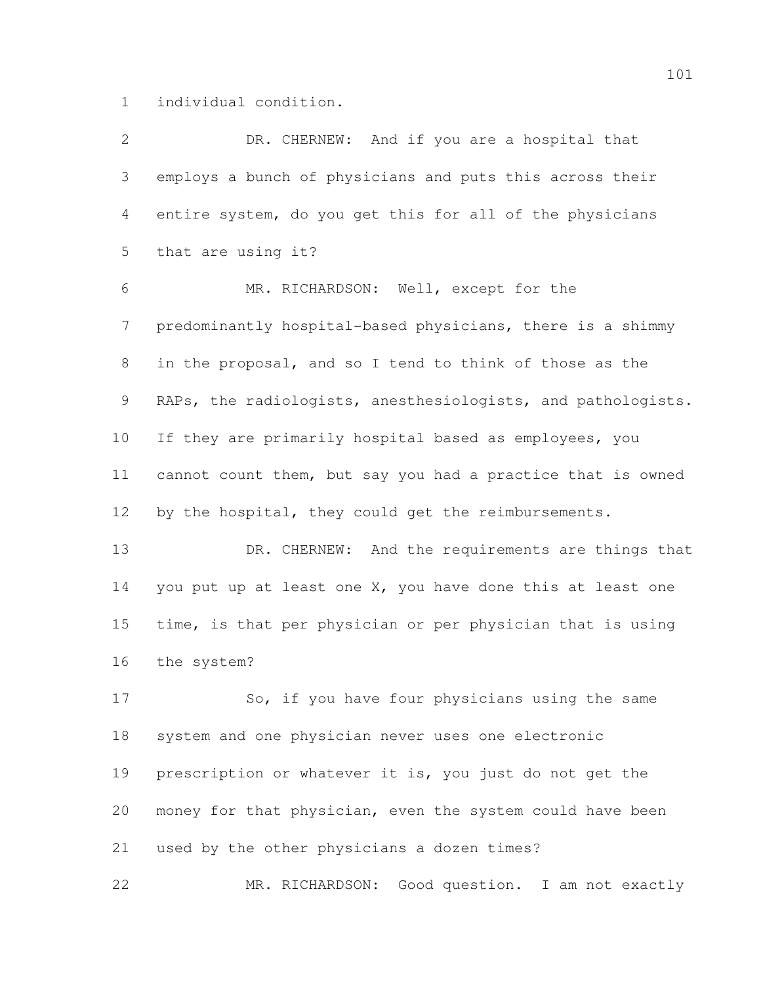individual condition.

| 2               | DR. CHERNEW: And if you are a hospital that                  |
|-----------------|--------------------------------------------------------------|
| 3               | employs a bunch of physicians and puts this across their     |
| 4               | entire system, do you get this for all of the physicians     |
| 5               | that are using it?                                           |
| 6               | MR. RICHARDSON: Well, except for the                         |
| $\overline{7}$  | predominantly hospital-based physicians, there is a shimmy   |
| 8               | in the proposal, and so I tend to think of those as the      |
| 9               | RAPs, the radiologists, anesthesiologists, and pathologists. |
| 10              | If they are primarily hospital based as employees, you       |
| 11              | cannot count them, but say you had a practice that is owned  |
| 12 <sup>°</sup> | by the hospital, they could get the reimbursements.          |
| 13              | DR. CHERNEW: And the requirements are things that            |
| 14              | you put up at least one X, you have done this at least one   |
| 15              | time, is that per physician or per physician that is using   |
| 16              | the system?                                                  |
| 17              | So, if you have four physicians using the same               |
| 18              | system and one physician never uses one electronic           |
| 19              | prescription or whatever it is, you just do not get the      |
| 20              | money for that physician, even the system could have been    |
| 21              | used by the other physicians a dozen times?                  |
| 22              | MR. RICHARDSON: Good question. I am not exactly              |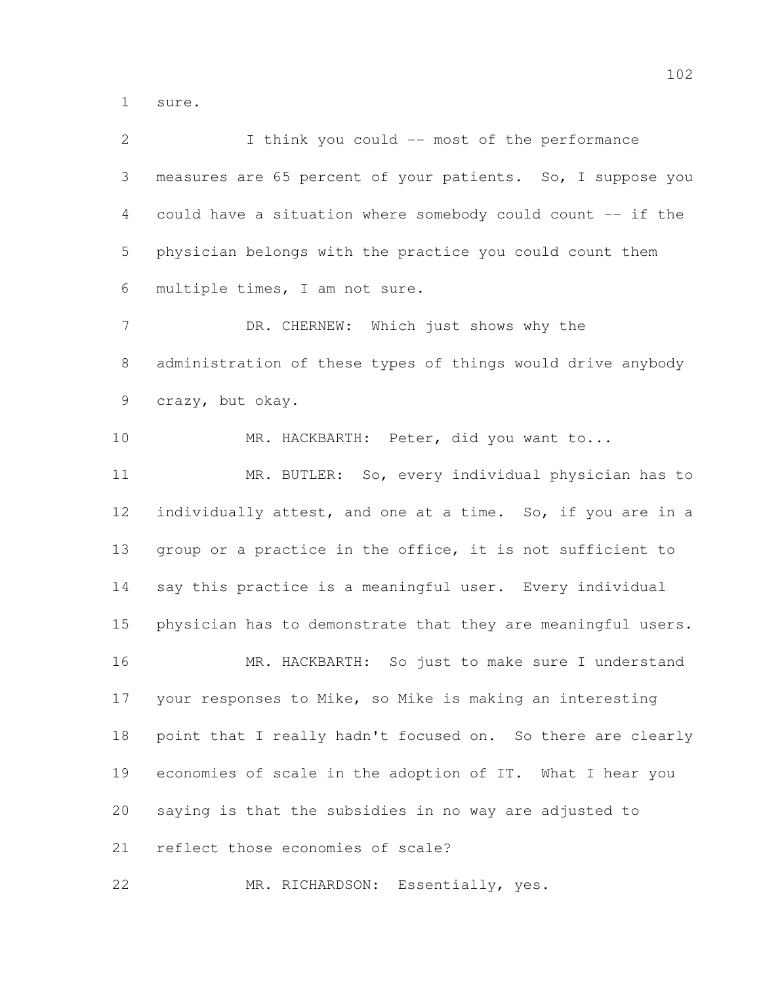sure.

| 2              | I think you could -- most of the performance                 |
|----------------|--------------------------------------------------------------|
| 3              | measures are 65 percent of your patients. So, I suppose you  |
| 4              | could have a situation where somebody could count -- if the  |
| 5              | physician belongs with the practice you could count them     |
| 6              | multiple times, I am not sure.                               |
| $\overline{7}$ | DR. CHERNEW: Which just shows why the                        |
| 8              | administration of these types of things would drive anybody  |
| 9              | crazy, but okay.                                             |
| 10             | MR. HACKBARTH: Peter, did you want to                        |
| 11             | MR. BUTLER: So, every individual physician has to            |
| 12             | individually attest, and one at a time. So, if you are in a  |
| 13             | group or a practice in the office, it is not sufficient to   |
| 14             | say this practice is a meaningful user. Every individual     |
| 15             | physician has to demonstrate that they are meaningful users. |
| 16             | MR. HACKBARTH: So just to make sure I understand             |
| 17             | your responses to Mike, so Mike is making an interesting     |
| 18             | point that I really hadn't focused on. So there are clearly  |
| 19             | economies of scale in the adoption of IT. What I hear you    |
| 20             | saying is that the subsidies in no way are adjusted to       |
| 21             | reflect those economies of scale?                            |
| 22             | MR. RICHARDSON: Essentially, yes.                            |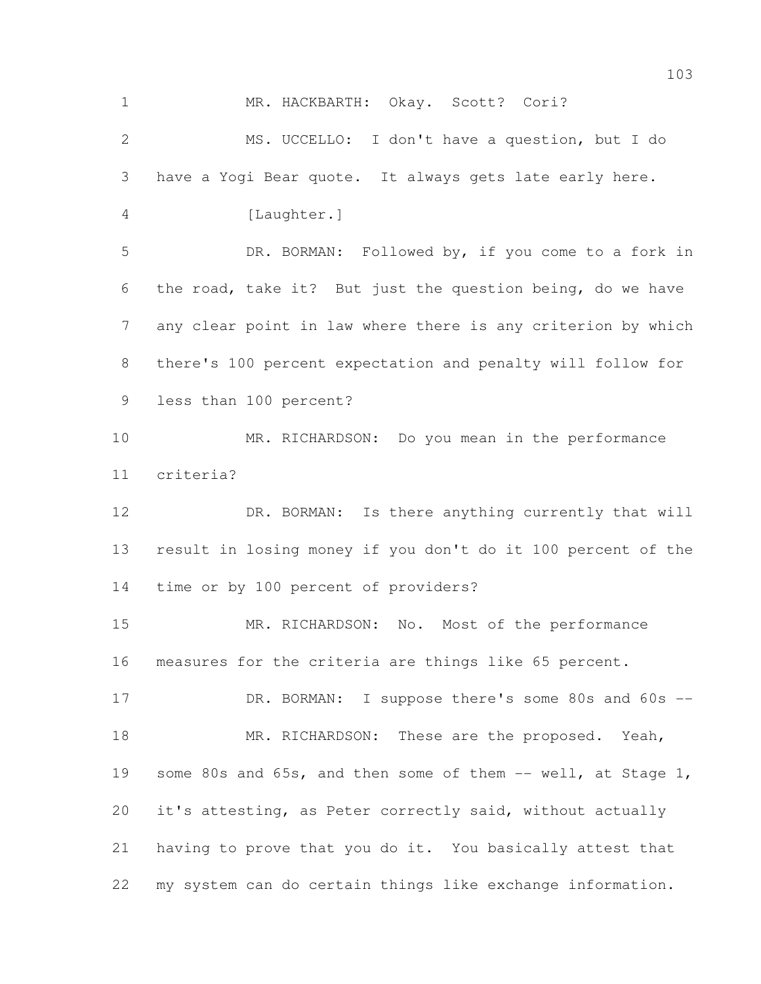| $\mathbf 1$    | MR. HACKBARTH: Okay. Scott? Cori?                            |
|----------------|--------------------------------------------------------------|
| $\mathbf{2}$   | MS. UCCELLO: I don't have a question, but I do               |
| 3              | have a Yogi Bear quote. It always gets late early here.      |
| 4              | [Laughter.]                                                  |
| 5              | DR. BORMAN: Followed by, if you come to a fork in            |
| 6              | the road, take it? But just the question being, do we have   |
| $\overline{7}$ | any clear point in law where there is any criterion by which |
| 8              | there's 100 percent expectation and penalty will follow for  |
| 9              | less than 100 percent?                                       |
| 10             | MR. RICHARDSON: Do you mean in the performance               |
| 11             | criteria?                                                    |
| 12             | DR. BORMAN: Is there anything currently that will            |
| 13             | result in losing money if you don't do it 100 percent of the |
| 14             | time or by 100 percent of providers?                         |
| 15             | MR. RICHARDSON: No. Most of the performance                  |
| 16             | measures for the criteria are things like 65 percent.        |
| 17             | DR. BORMAN: I suppose there's some 80s and 60s --            |
| 18             | MR. RICHARDSON: These are the proposed. Yeah,                |
| 19             | some 80s and 65s, and then some of them -- well, at Stage 1, |
| 20             | it's attesting, as Peter correctly said, without actually    |
| 21             | having to prove that you do it. You basically attest that    |
| 22             | my system can do certain things like exchange information.   |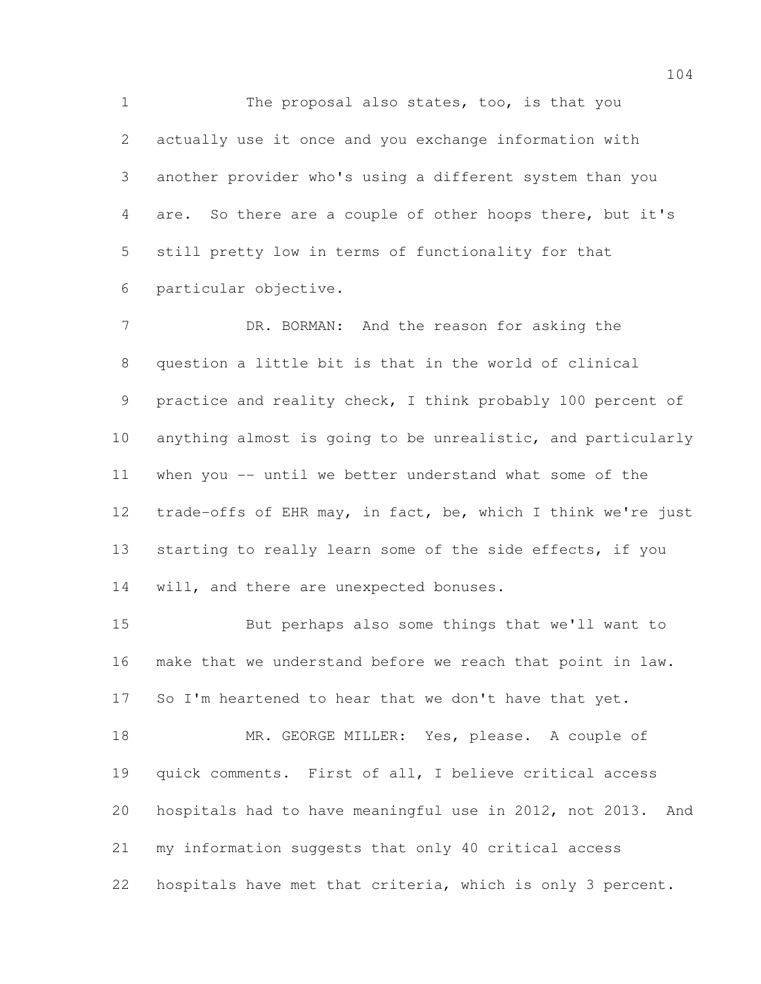1 The proposal also states, too, is that you actually use it once and you exchange information with another provider who's using a different system than you are. So there are a couple of other hoops there, but it's still pretty low in terms of functionality for that particular objective.

7 DR. BORMAN: And the reason for asking the question a little bit is that in the world of clinical practice and reality check, I think probably 100 percent of anything almost is going to be unrealistic, and particularly when you -- until we better understand what some of the trade-offs of EHR may, in fact, be, which I think we're just starting to really learn some of the side effects, if you 14 will, and there are unexpected bonuses.

 But perhaps also some things that we'll want to make that we understand before we reach that point in law. So I'm heartened to hear that we don't have that yet.

 MR. GEORGE MILLER: Yes, please. A couple of quick comments. First of all, I believe critical access hospitals had to have meaningful use in 2012, not 2013. And my information suggests that only 40 critical access hospitals have met that criteria, which is only 3 percent.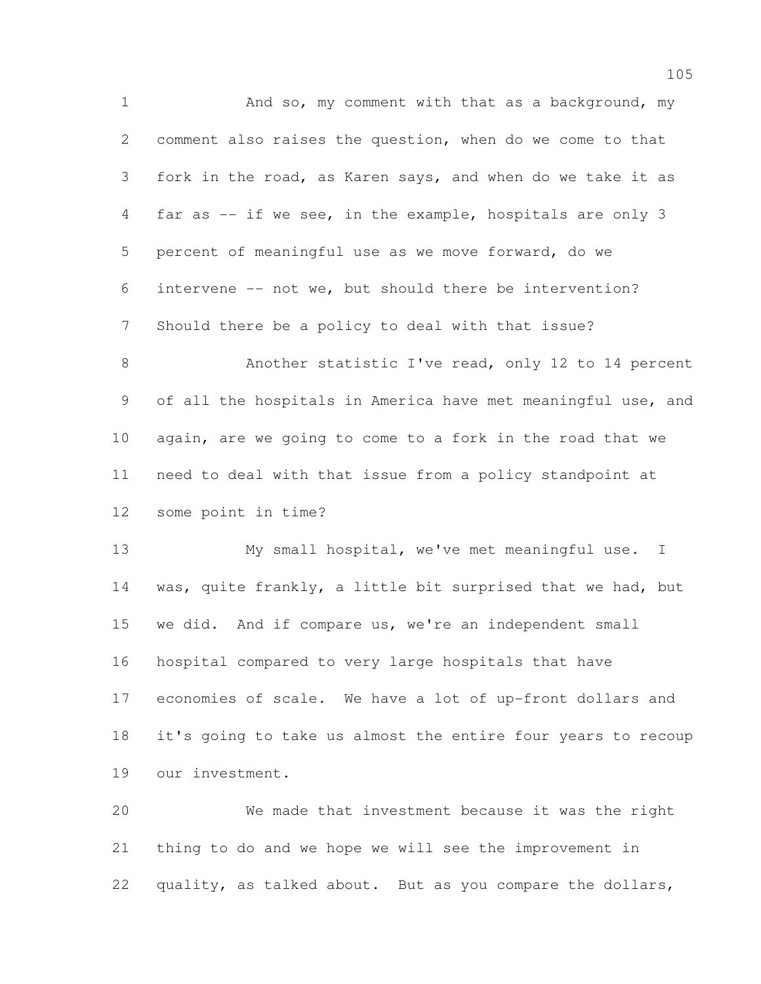1 And so, my comment with that as a background, my comment also raises the question, when do we come to that fork in the road, as Karen says, and when do we take it as far as -- if we see, in the example, hospitals are only 3 percent of meaningful use as we move forward, do we intervene -- not we, but should there be intervention? Should there be a policy to deal with that issue? Another statistic I've read, only 12 to 14 percent of all the hospitals in America have met meaningful use, and again, are we going to come to a fork in the road that we need to deal with that issue from a policy standpoint at some point in time? My small hospital, we've met meaningful use. I was, quite frankly, a little bit surprised that we had, but we did. And if compare us, we're an independent small hospital compared to very large hospitals that have economies of scale. We have a lot of up-front dollars and it's going to take us almost the entire four years to recoup

our investment.

 We made that investment because it was the right thing to do and we hope we will see the improvement in quality, as talked about. But as you compare the dollars,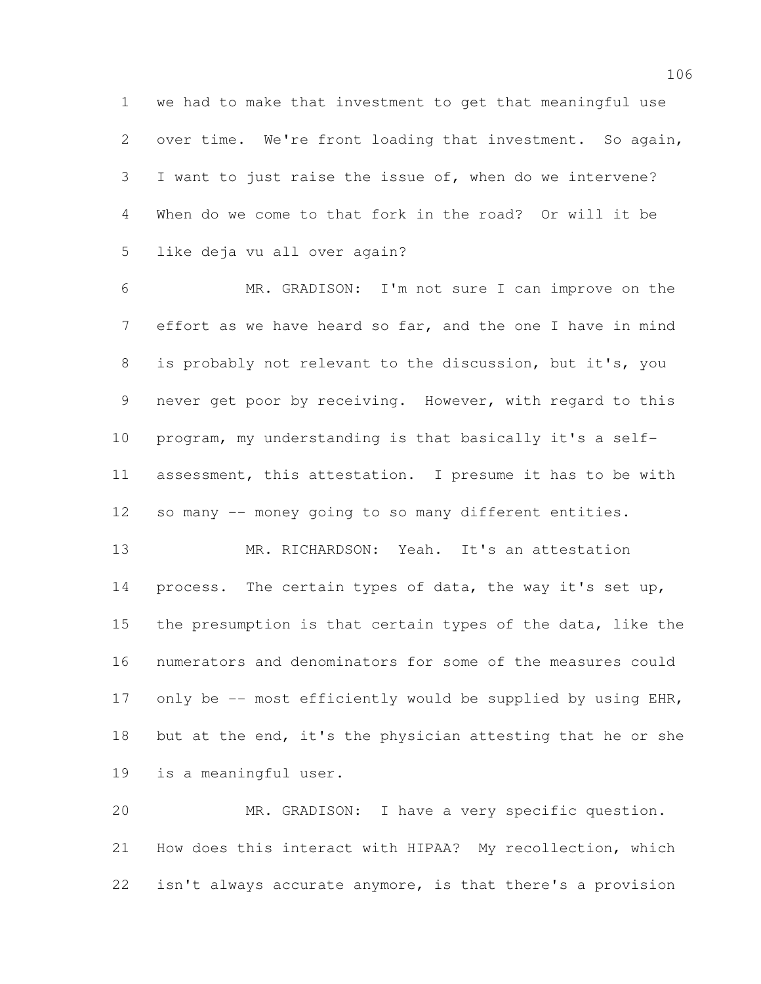we had to make that investment to get that meaningful use over time. We're front loading that investment. So again, I want to just raise the issue of, when do we intervene? When do we come to that fork in the road? Or will it be like deja vu all over again?

 MR. GRADISON: I'm not sure I can improve on the effort as we have heard so far, and the one I have in mind is probably not relevant to the discussion, but it's, you never get poor by receiving. However, with regard to this program, my understanding is that basically it's a self- assessment, this attestation. I presume it has to be with so many -- money going to so many different entities.

 MR. RICHARDSON: Yeah. It's an attestation process. The certain types of data, the way it's set up, the presumption is that certain types of the data, like the numerators and denominators for some of the measures could 17 only be -- most efficiently would be supplied by using EHR, but at the end, it's the physician attesting that he or she is a meaningful user.

 MR. GRADISON: I have a very specific question. How does this interact with HIPAA? My recollection, which isn't always accurate anymore, is that there's a provision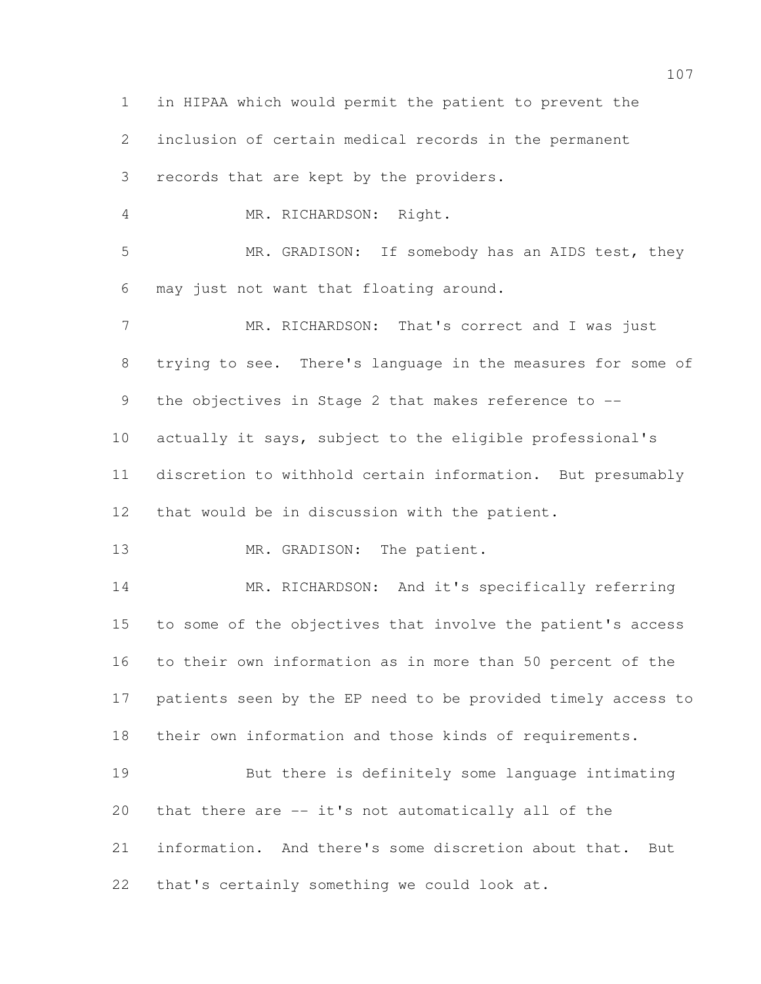in HIPAA which would permit the patient to prevent the inclusion of certain medical records in the permanent records that are kept by the providers. MR. RICHARDSON: Right. MR. GRADISON: If somebody has an AIDS test, they may just not want that floating around. MR. RICHARDSON: That's correct and I was just trying to see. There's language in the measures for some of the objectives in Stage 2 that makes reference to -- actually it says, subject to the eligible professional's discretion to withhold certain information. But presumably that would be in discussion with the patient. 13 MR. GRADISON: The patient. 14 MR. RICHARDSON: And it's specifically referring to some of the objectives that involve the patient's access to their own information as in more than 50 percent of the patients seen by the EP need to be provided timely access to their own information and those kinds of requirements. But there is definitely some language intimating that there are -- it's not automatically all of the information. And there's some discretion about that. But that's certainly something we could look at.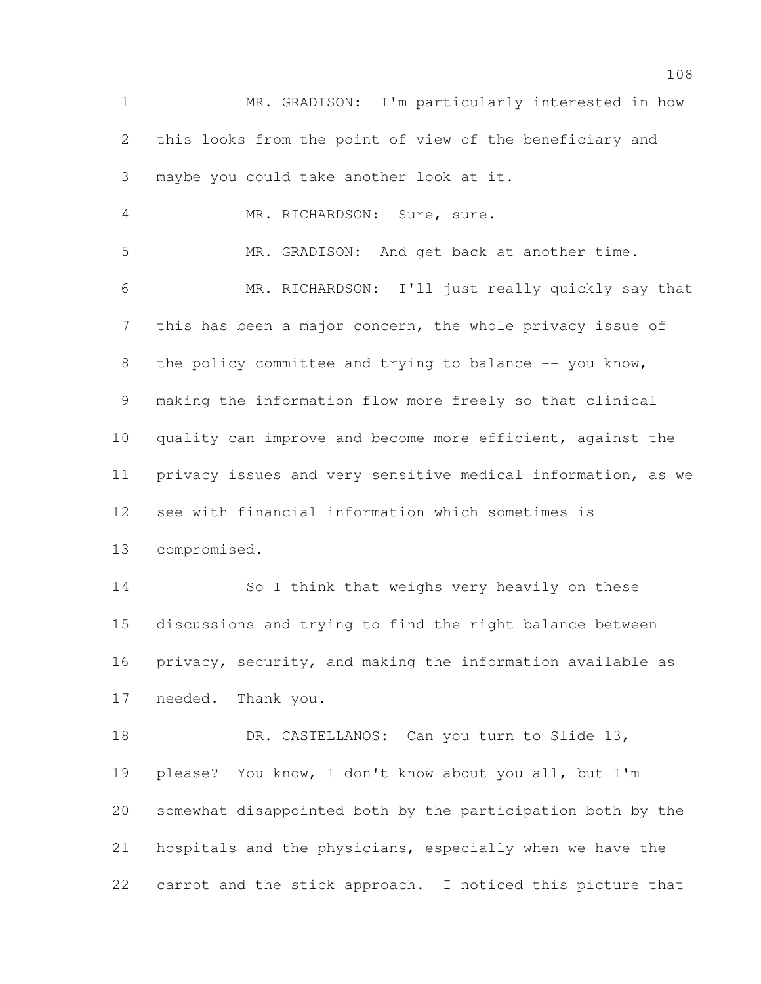MR. GRADISON: I'm particularly interested in how this looks from the point of view of the beneficiary and maybe you could take another look at it. MR. RICHARDSON: Sure, sure. MR. GRADISON: And get back at another time. MR. RICHARDSON: I'll just really quickly say that this has been a major concern, the whole privacy issue of 8 the policy committee and trying to balance -- you know, making the information flow more freely so that clinical 10 quality can improve and become more efficient, against the privacy issues and very sensitive medical information, as we see with financial information which sometimes is compromised. So I think that weighs very heavily on these discussions and trying to find the right balance between privacy, security, and making the information available as needed. Thank you. 18 DR. CASTELLANOS: Can you turn to Slide 13, please? You know, I don't know about you all, but I'm somewhat disappointed both by the participation both by the hospitals and the physicians, especially when we have the carrot and the stick approach. I noticed this picture that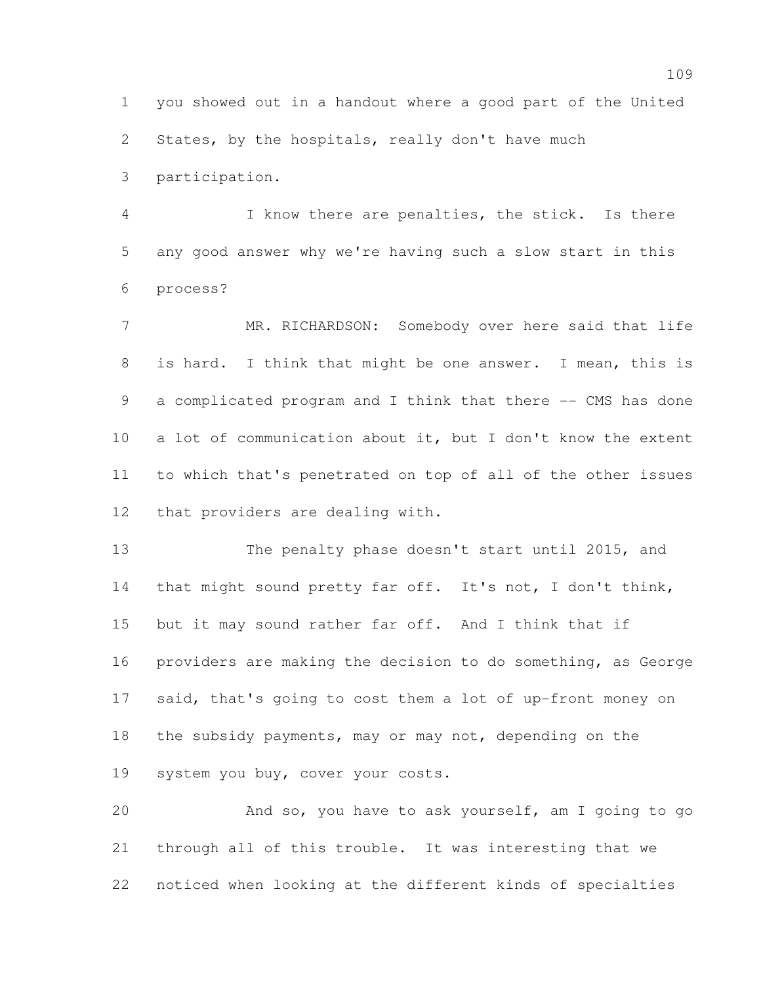you showed out in a handout where a good part of the United States, by the hospitals, really don't have much

participation.

 I know there are penalties, the stick. Is there any good answer why we're having such a slow start in this process?

 MR. RICHARDSON: Somebody over here said that life is hard. I think that might be one answer. I mean, this is a complicated program and I think that there -- CMS has done a lot of communication about it, but I don't know the extent to which that's penetrated on top of all of the other issues that providers are dealing with.

 The penalty phase doesn't start until 2015, and that might sound pretty far off. It's not, I don't think, but it may sound rather far off. And I think that if providers are making the decision to do something, as George said, that's going to cost them a lot of up-front money on the subsidy payments, may or may not, depending on the system you buy, cover your costs.

 And so, you have to ask yourself, am I going to go through all of this trouble. It was interesting that we noticed when looking at the different kinds of specialties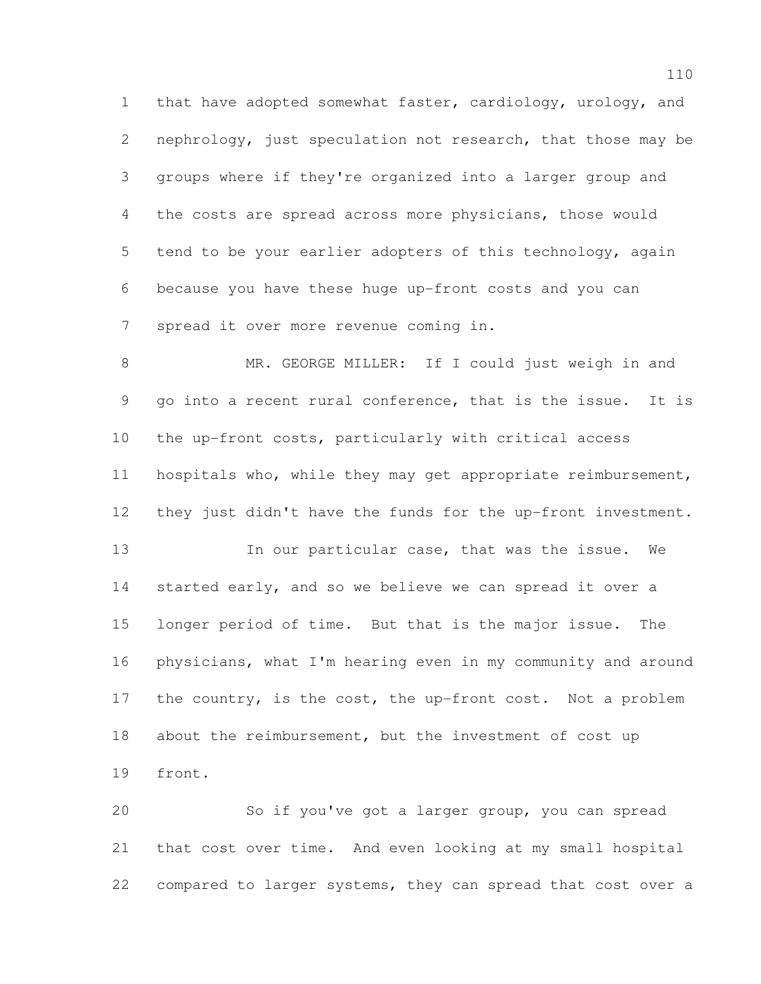that have adopted somewhat faster, cardiology, urology, and nephrology, just speculation not research, that those may be groups where if they're organized into a larger group and the costs are spread across more physicians, those would tend to be your earlier adopters of this technology, again because you have these huge up-front costs and you can spread it over more revenue coming in.

 MR. GEORGE MILLER: If I could just weigh in and go into a recent rural conference, that is the issue. It is the up-front costs, particularly with critical access hospitals who, while they may get appropriate reimbursement, they just didn't have the funds for the up-front investment.

 In our particular case, that was the issue. We started early, and so we believe we can spread it over a longer period of time. But that is the major issue. The physicians, what I'm hearing even in my community and around 17 the country, is the cost, the up-front cost. Not a problem 18 about the reimbursement, but the investment of cost up front.

 So if you've got a larger group, you can spread that cost over time. And even looking at my small hospital compared to larger systems, they can spread that cost over a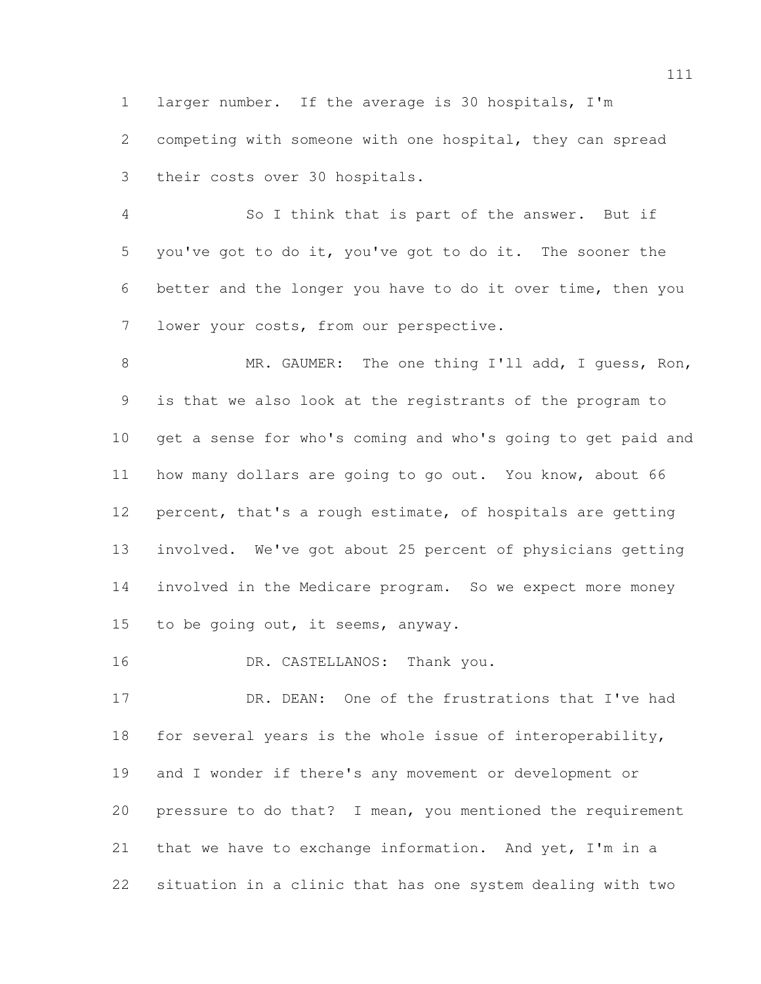larger number. If the average is 30 hospitals, I'm competing with someone with one hospital, they can spread their costs over 30 hospitals.

 So I think that is part of the answer. But if you've got to do it, you've got to do it. The sooner the better and the longer you have to do it over time, then you lower your costs, from our perspective.

 MR. GAUMER: The one thing I'll add, I guess, Ron, is that we also look at the registrants of the program to get a sense for who's coming and who's going to get paid and how many dollars are going to go out. You know, about 66 percent, that's a rough estimate, of hospitals are getting involved. We've got about 25 percent of physicians getting involved in the Medicare program. So we expect more money 15 to be going out, it seems, anyway.

16 DR. CASTELLANOS: Thank you.

 DR. DEAN: One of the frustrations that I've had for several years is the whole issue of interoperability, and I wonder if there's any movement or development or pressure to do that? I mean, you mentioned the requirement that we have to exchange information. And yet, I'm in a situation in a clinic that has one system dealing with two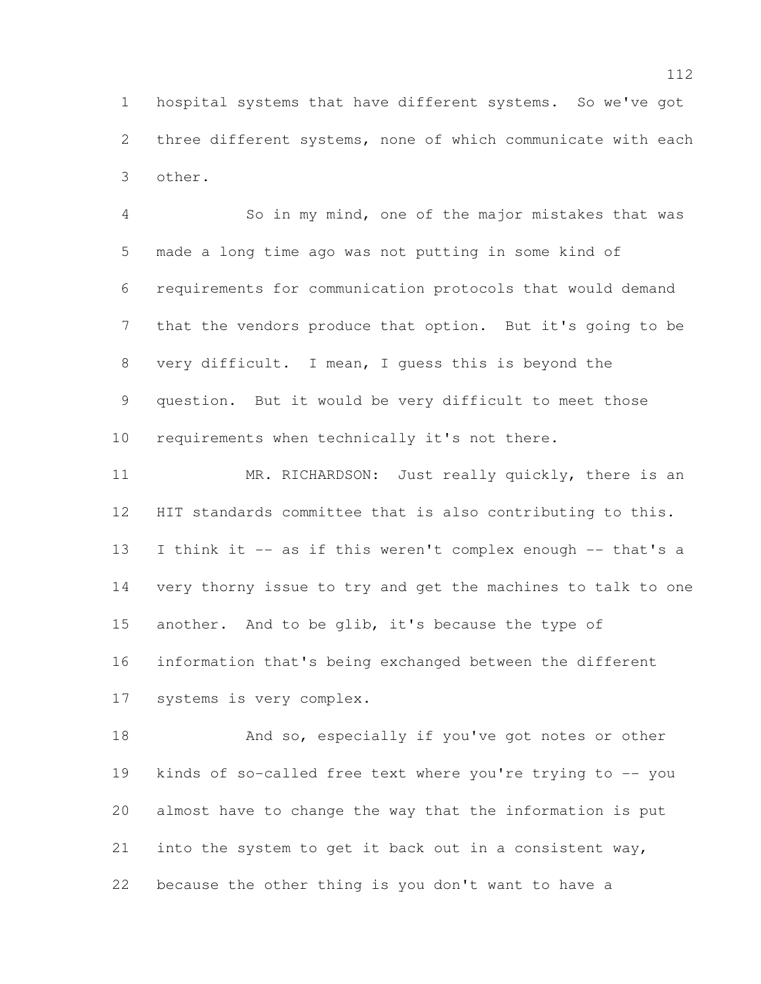hospital systems that have different systems. So we've got three different systems, none of which communicate with each other.

 So in my mind, one of the major mistakes that was made a long time ago was not putting in some kind of requirements for communication protocols that would demand that the vendors produce that option. But it's going to be very difficult. I mean, I guess this is beyond the question. But it would be very difficult to meet those requirements when technically it's not there.

11 MR. RICHARDSON: Just really quickly, there is an HIT standards committee that is also contributing to this. I think it -- as if this weren't complex enough -- that's a very thorny issue to try and get the machines to talk to one another. And to be glib, it's because the type of information that's being exchanged between the different systems is very complex.

 And so, especially if you've got notes or other kinds of so-called free text where you're trying to -- you almost have to change the way that the information is put into the system to get it back out in a consistent way, because the other thing is you don't want to have a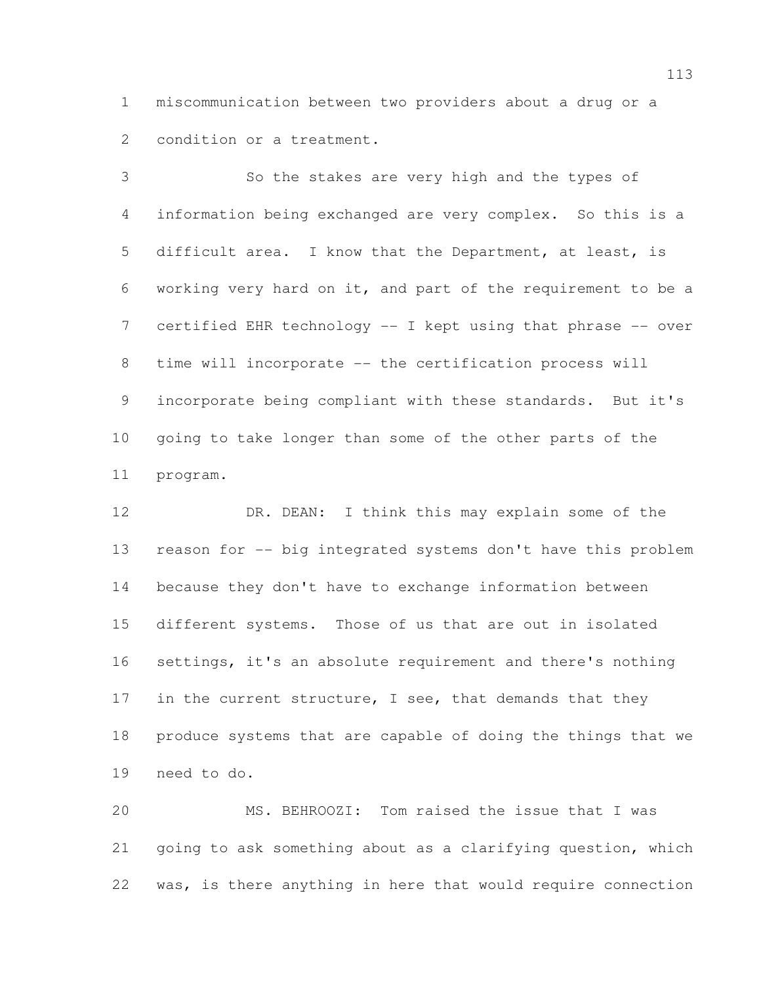miscommunication between two providers about a drug or a condition or a treatment.

 So the stakes are very high and the types of information being exchanged are very complex. So this is a difficult area. I know that the Department, at least, is working very hard on it, and part of the requirement to be a 7 certified EHR technology -- I kept using that phrase -- over 8 time will incorporate -- the certification process will incorporate being compliant with these standards. But it's going to take longer than some of the other parts of the program.

12 DR. DEAN: I think this may explain some of the reason for -- big integrated systems don't have this problem because they don't have to exchange information between different systems. Those of us that are out in isolated settings, it's an absolute requirement and there's nothing 17 in the current structure, I see, that demands that they produce systems that are capable of doing the things that we need to do.

 MS. BEHROOZI: Tom raised the issue that I was going to ask something about as a clarifying question, which was, is there anything in here that would require connection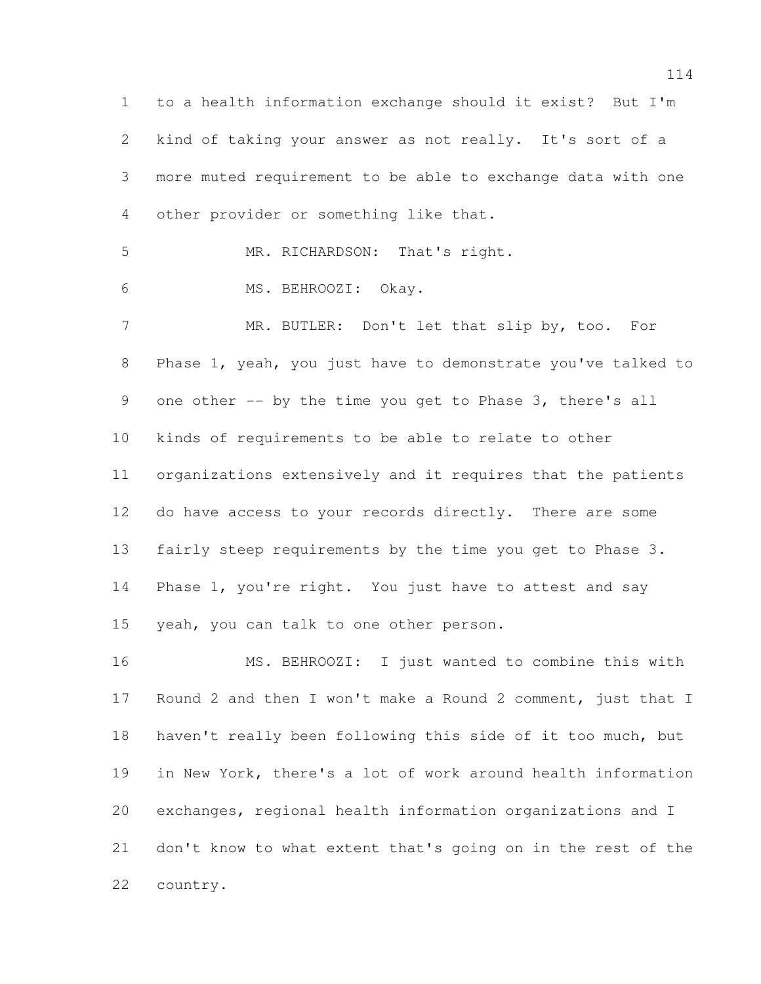to a health information exchange should it exist? But I'm kind of taking your answer as not really. It's sort of a more muted requirement to be able to exchange data with one other provider or something like that. MR. RICHARDSON: That's right. MS. BEHROOZI: Okay. MR. BUTLER: Don't let that slip by, too. For Phase 1, yeah, you just have to demonstrate you've talked to one other -- by the time you get to Phase 3, there's all kinds of requirements to be able to relate to other organizations extensively and it requires that the patients do have access to your records directly. There are some fairly steep requirements by the time you get to Phase 3. Phase 1, you're right. You just have to attest and say yeah, you can talk to one other person. MS. BEHROOZI: I just wanted to combine this with Round 2 and then I won't make a Round 2 comment, just that I haven't really been following this side of it too much, but

 exchanges, regional health information organizations and I don't know to what extent that's going on in the rest of the country.

in New York, there's a lot of work around health information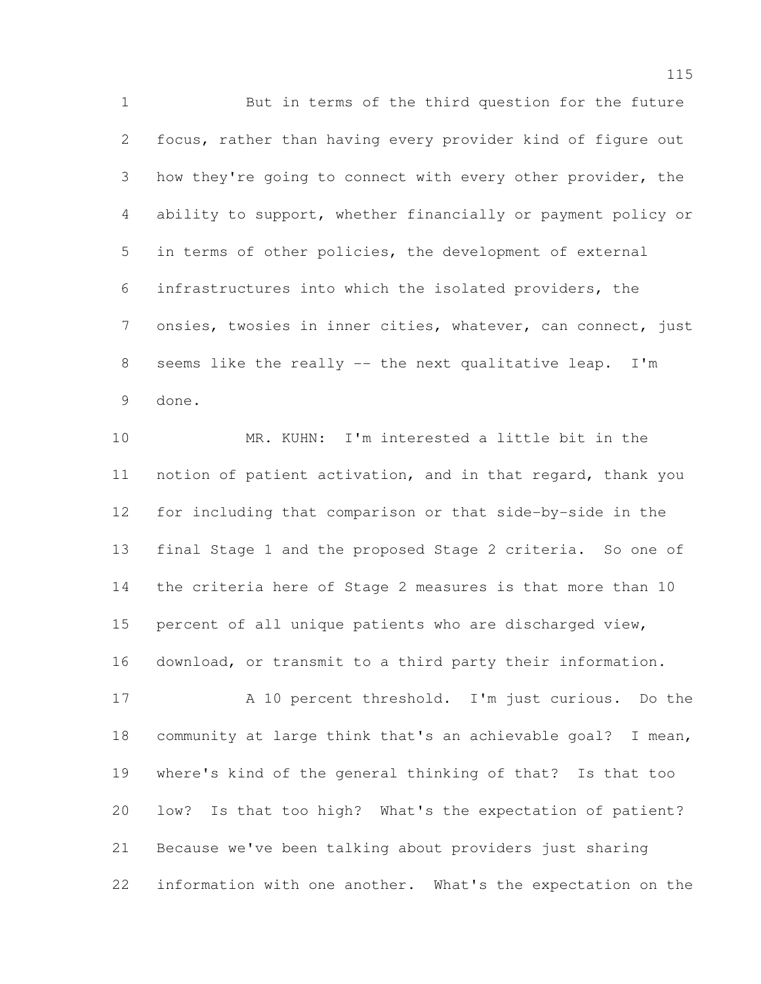But in terms of the third question for the future focus, rather than having every provider kind of figure out how they're going to connect with every other provider, the ability to support, whether financially or payment policy or in terms of other policies, the development of external infrastructures into which the isolated providers, the onsies, twosies in inner cities, whatever, can connect, just seems like the really -- the next qualitative leap. I'm done.

 MR. KUHN: I'm interested a little bit in the notion of patient activation, and in that regard, thank you for including that comparison or that side-by-side in the final Stage 1 and the proposed Stage 2 criteria. So one of the criteria here of Stage 2 measures is that more than 10 percent of all unique patients who are discharged view, download, or transmit to a third party their information.

 A 10 percent threshold. I'm just curious. Do the community at large think that's an achievable goal? I mean, where's kind of the general thinking of that? Is that too low? Is that too high? What's the expectation of patient? Because we've been talking about providers just sharing information with one another. What's the expectation on the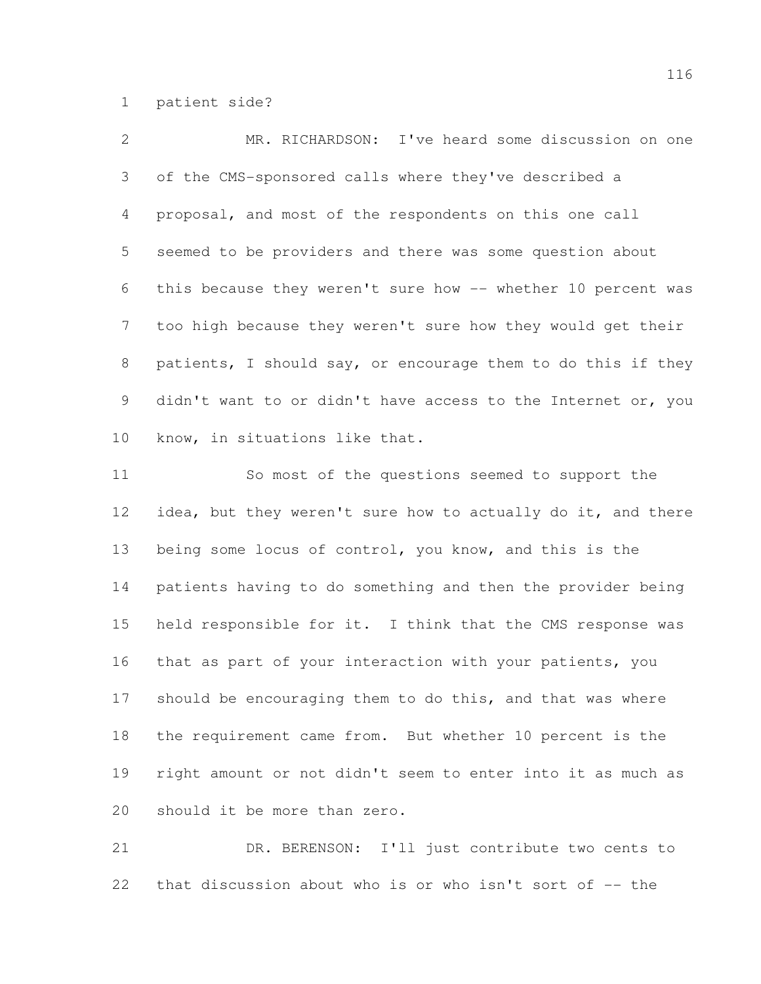patient side?

| $\mathcal{L}$   | MR. RICHARDSON: I've heard some discussion on one            |
|-----------------|--------------------------------------------------------------|
| 3 <sup>7</sup>  | of the CMS-sponsored calls where they've described a         |
| $4\overline{ }$ | proposal, and most of the respondents on this one call       |
| 5 <sup>5</sup>  | seemed to be providers and there was some question about     |
| 6               | this because they weren't sure how -- whether 10 percent was |
| 7               | too high because they weren't sure how they would get their  |
| 8               | patients, I should say, or encourage them to do this if they |
| 9               | didn't want to or didn't have access to the Internet or, you |
| 10              | know, in situations like that.                               |

 So most of the questions seemed to support the 12 idea, but they weren't sure how to actually do it, and there being some locus of control, you know, and this is the patients having to do something and then the provider being held responsible for it. I think that the CMS response was that as part of your interaction with your patients, you should be encouraging them to do this, and that was where the requirement came from. But whether 10 percent is the right amount or not didn't seem to enter into it as much as should it be more than zero.

 DR. BERENSON: I'll just contribute two cents to 22 that discussion about who is or who isn't sort of -- the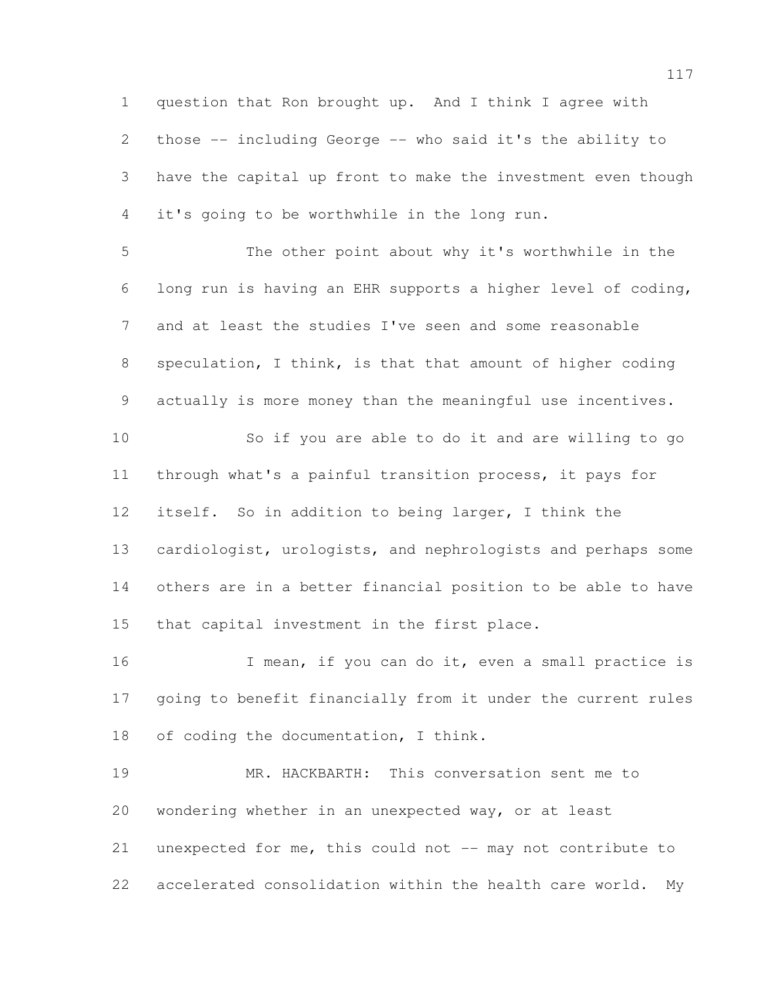question that Ron brought up. And I think I agree with those -- including George -- who said it's the ability to have the capital up front to make the investment even though it's going to be worthwhile in the long run. The other point about why it's worthwhile in the long run is having an EHR supports a higher level of coding, and at least the studies I've seen and some reasonable speculation, I think, is that that amount of higher coding actually is more money than the meaningful use incentives. So if you are able to do it and are willing to go through what's a painful transition process, it pays for itself. So in addition to being larger, I think the

 cardiologist, urologists, and nephrologists and perhaps some others are in a better financial position to be able to have that capital investment in the first place.

16 I mean, if you can do it, even a small practice is going to benefit financially from it under the current rules of coding the documentation, I think.

 MR. HACKBARTH: This conversation sent me to wondering whether in an unexpected way, or at least unexpected for me, this could not -- may not contribute to accelerated consolidation within the health care world. My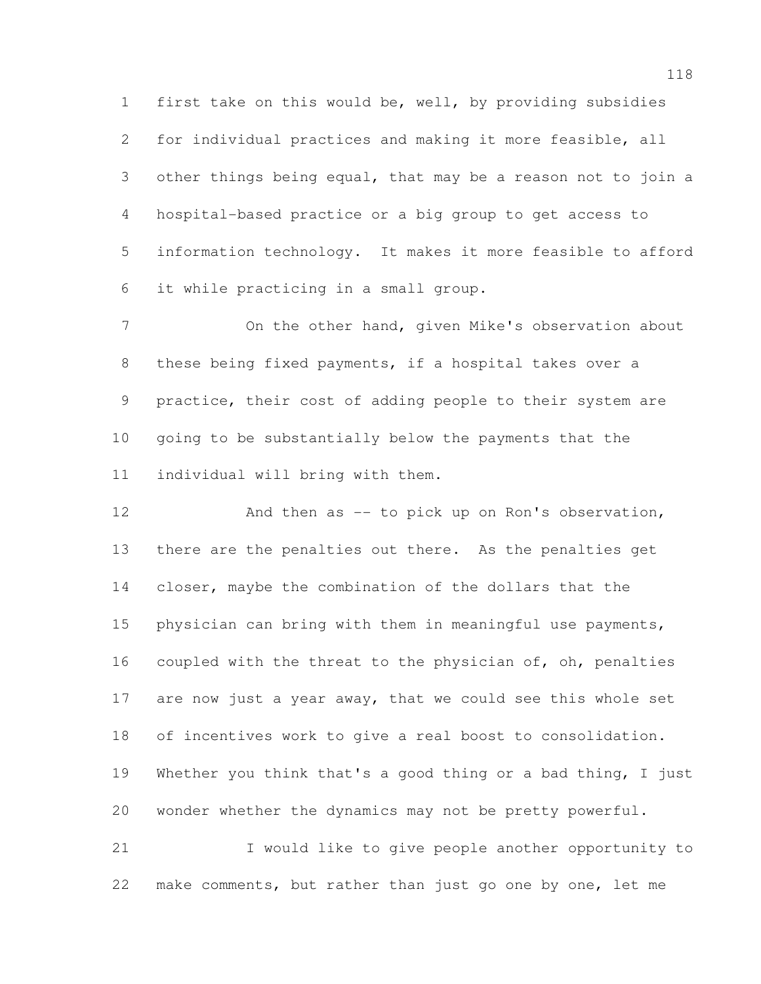first take on this would be, well, by providing subsidies for individual practices and making it more feasible, all other things being equal, that may be a reason not to join a hospital-based practice or a big group to get access to information technology. It makes it more feasible to afford it while practicing in a small group.

 On the other hand, given Mike's observation about these being fixed payments, if a hospital takes over a practice, their cost of adding people to their system are going to be substantially below the payments that the individual will bring with them.

12 And then as -- to pick up on Ron's observation, there are the penalties out there. As the penalties get closer, maybe the combination of the dollars that the physician can bring with them in meaningful use payments, coupled with the threat to the physician of, oh, penalties 17 are now just a year away, that we could see this whole set of incentives work to give a real boost to consolidation. Whether you think that's a good thing or a bad thing, I just wonder whether the dynamics may not be pretty powerful.

 I would like to give people another opportunity to make comments, but rather than just go one by one, let me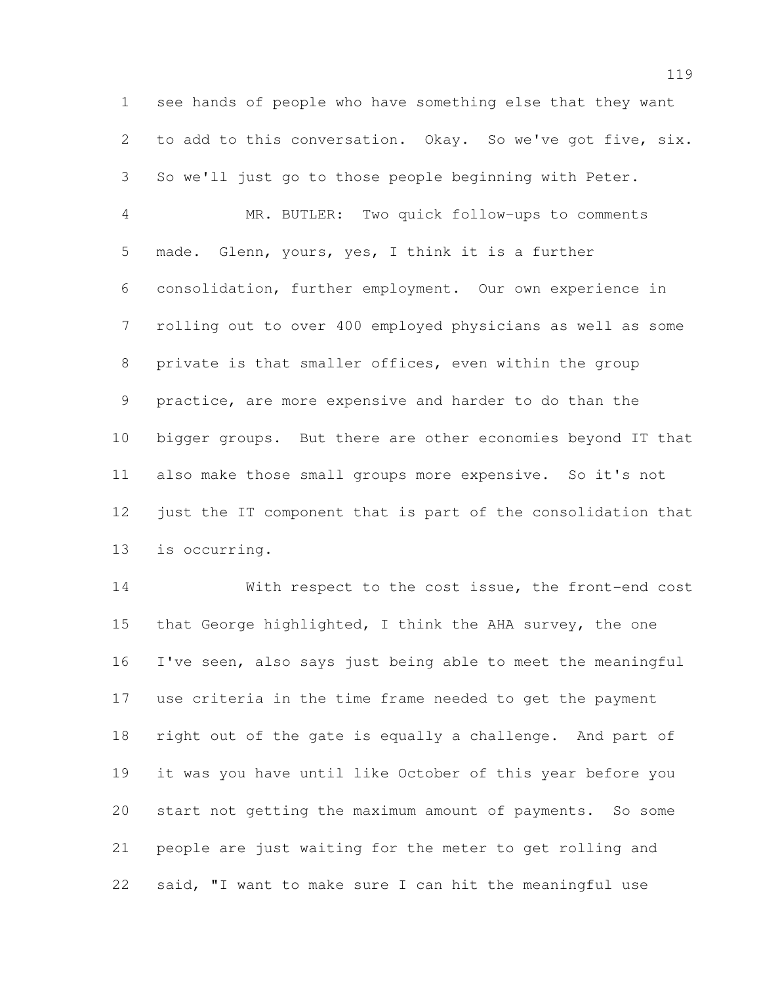see hands of people who have something else that they want to add to this conversation. Okay. So we've got five, six. So we'll just go to those people beginning with Peter.

 MR. BUTLER: Two quick follow-ups to comments made. Glenn, yours, yes, I think it is a further consolidation, further employment. Our own experience in rolling out to over 400 employed physicians as well as some private is that smaller offices, even within the group practice, are more expensive and harder to do than the bigger groups. But there are other economies beyond IT that also make those small groups more expensive. So it's not just the IT component that is part of the consolidation that is occurring.

 With respect to the cost issue, the front-end cost that George highlighted, I think the AHA survey, the one I've seen, also says just being able to meet the meaningful use criteria in the time frame needed to get the payment right out of the gate is equally a challenge. And part of it was you have until like October of this year before you start not getting the maximum amount of payments. So some people are just waiting for the meter to get rolling and said, "I want to make sure I can hit the meaningful use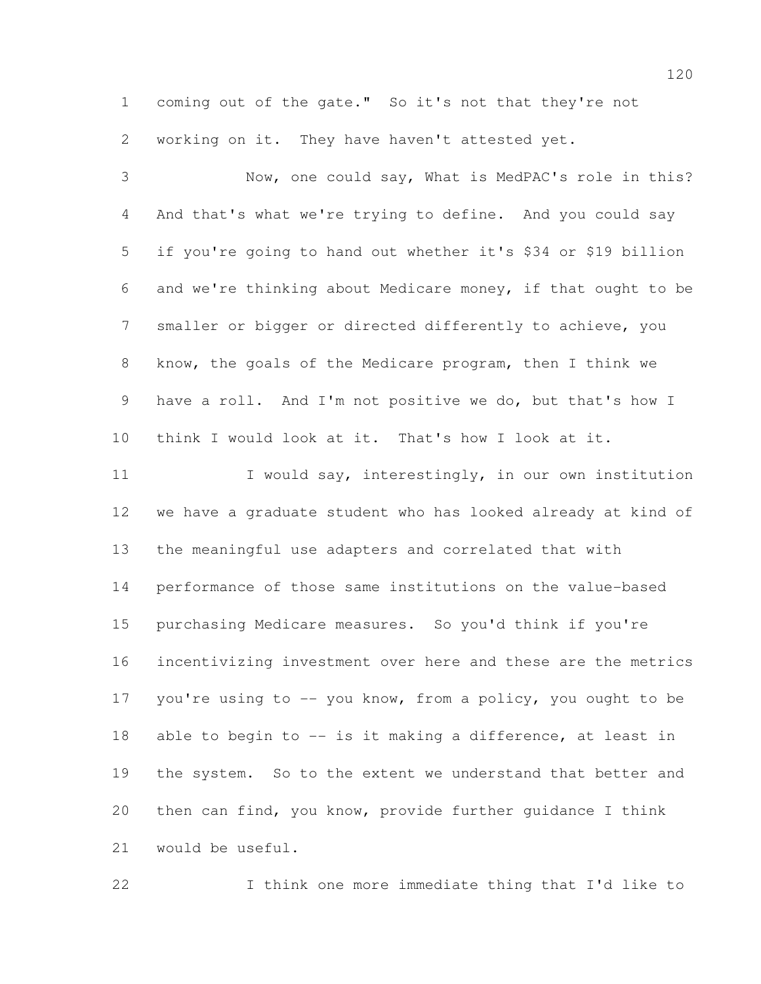coming out of the gate." So it's not that they're not working on it. They have haven't attested yet.

 Now, one could say, What is MedPAC's role in this? And that's what we're trying to define. And you could say if you're going to hand out whether it's \$34 or \$19 billion and we're thinking about Medicare money, if that ought to be smaller or bigger or directed differently to achieve, you know, the goals of the Medicare program, then I think we have a roll. And I'm not positive we do, but that's how I think I would look at it. That's how I look at it. 11 I would say, interestingly, in our own institution we have a graduate student who has looked already at kind of the meaningful use adapters and correlated that with performance of those same institutions on the value-based purchasing Medicare measures. So you'd think if you're incentivizing investment over here and these are the metrics 17 you're using to -- you know, from a policy, you ought to be 18 able to begin to -- is it making a difference, at least in the system. So to the extent we understand that better and then can find, you know, provide further guidance I think would be useful.

I think one more immediate thing that I'd like to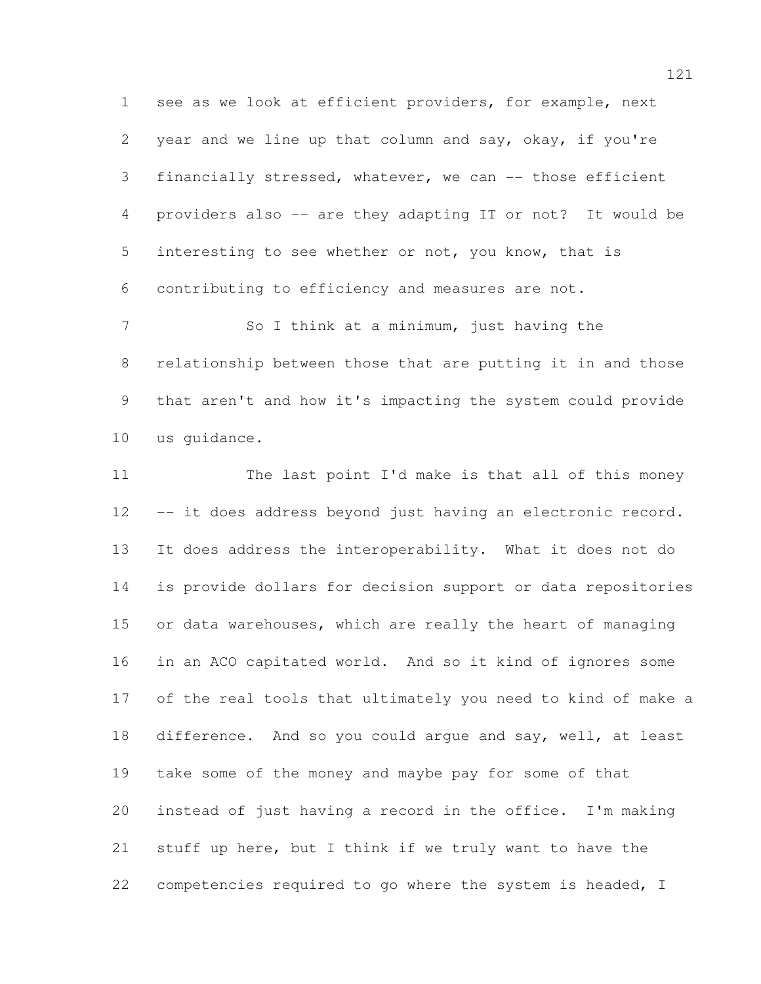see as we look at efficient providers, for example, next year and we line up that column and say, okay, if you're financially stressed, whatever, we can -- those efficient providers also -- are they adapting IT or not? It would be interesting to see whether or not, you know, that is contributing to efficiency and measures are not.

7 So I think at a minimum, just having the relationship between those that are putting it in and those that aren't and how it's impacting the system could provide us guidance.

11 The last point I'd make is that all of this money 12 -- it does address beyond just having an electronic record. It does address the interoperability. What it does not do is provide dollars for decision support or data repositories 15 or data warehouses, which are really the heart of managing in an ACO capitated world. And so it kind of ignores some of the real tools that ultimately you need to kind of make a difference. And so you could argue and say, well, at least take some of the money and maybe pay for some of that instead of just having a record in the office. I'm making stuff up here, but I think if we truly want to have the competencies required to go where the system is headed, I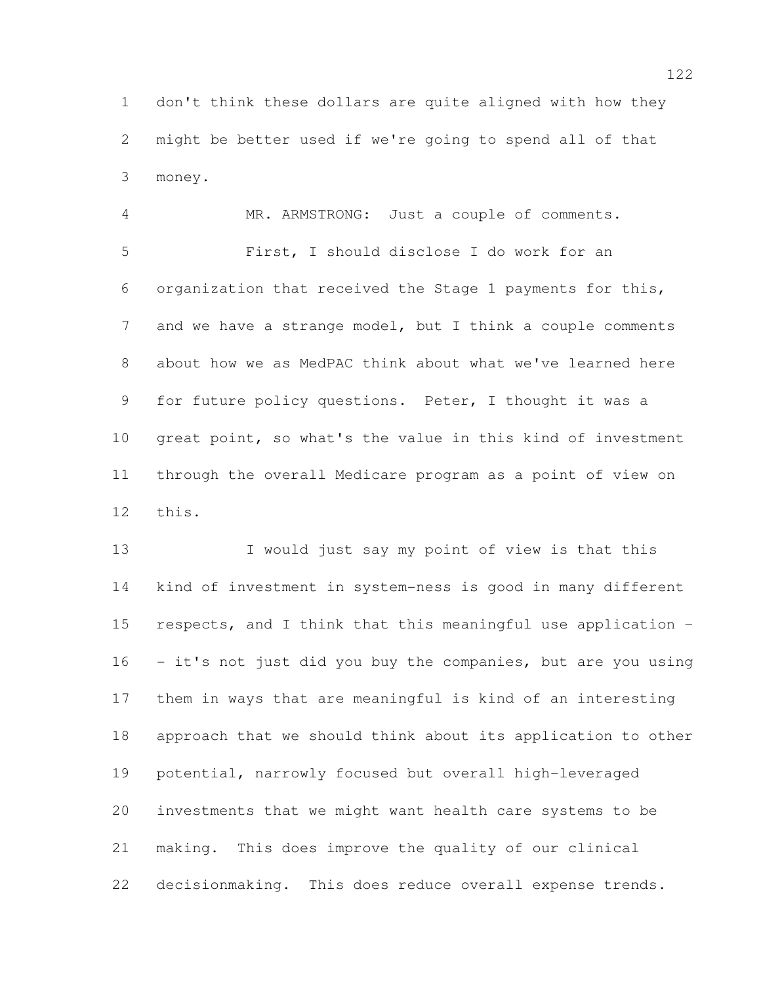don't think these dollars are quite aligned with how they might be better used if we're going to spend all of that money.

 MR. ARMSTRONG: Just a couple of comments. First, I should disclose I do work for an organization that received the Stage 1 payments for this, and we have a strange model, but I think a couple comments about how we as MedPAC think about what we've learned here for future policy questions. Peter, I thought it was a great point, so what's the value in this kind of investment through the overall Medicare program as a point of view on this.

13 I would just say my point of view is that this kind of investment in system-ness is good in many different respects, and I think that this meaningful use application - - it's not just did you buy the companies, but are you using them in ways that are meaningful is kind of an interesting approach that we should think about its application to other potential, narrowly focused but overall high-leveraged investments that we might want health care systems to be making. This does improve the quality of our clinical decisionmaking. This does reduce overall expense trends.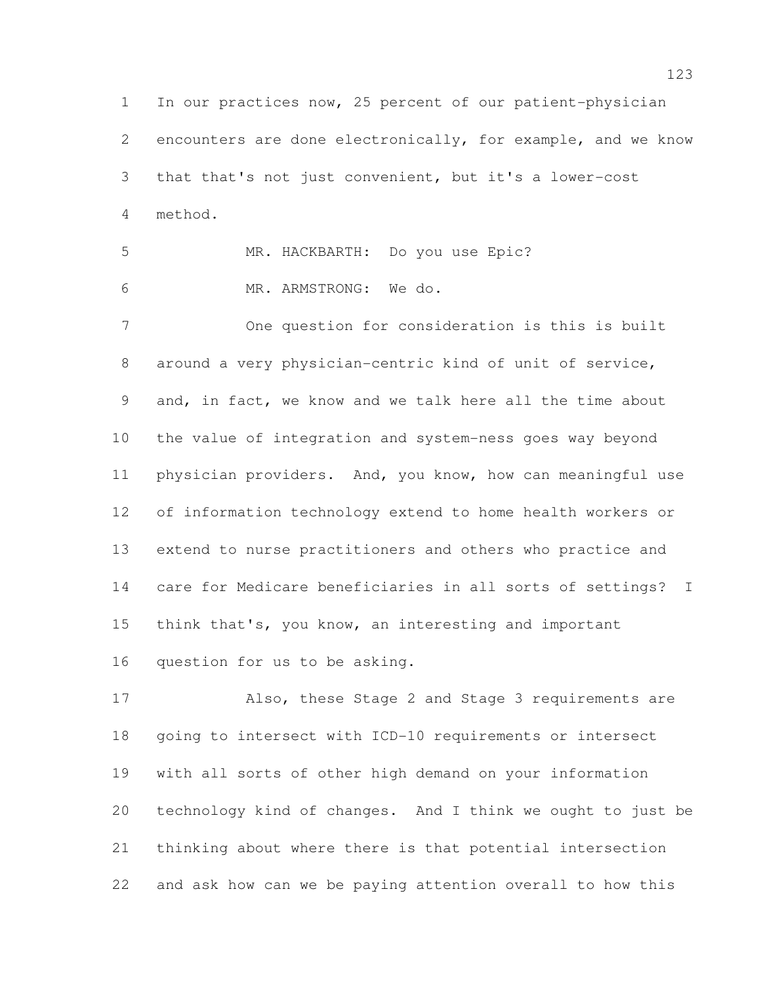In our practices now, 25 percent of our patient-physician encounters are done electronically, for example, and we know that that's not just convenient, but it's a lower-cost method.

 MR. HACKBARTH: Do you use Epic? MR. ARMSTRONG: We do.

 One question for consideration is this is built around a very physician-centric kind of unit of service, and, in fact, we know and we talk here all the time about the value of integration and system-ness goes way beyond physician providers. And, you know, how can meaningful use of information technology extend to home health workers or extend to nurse practitioners and others who practice and care for Medicare beneficiaries in all sorts of settings? I think that's, you know, an interesting and important question for us to be asking.

 Also, these Stage 2 and Stage 3 requirements are going to intersect with ICD-10 requirements or intersect with all sorts of other high demand on your information technology kind of changes. And I think we ought to just be thinking about where there is that potential intersection and ask how can we be paying attention overall to how this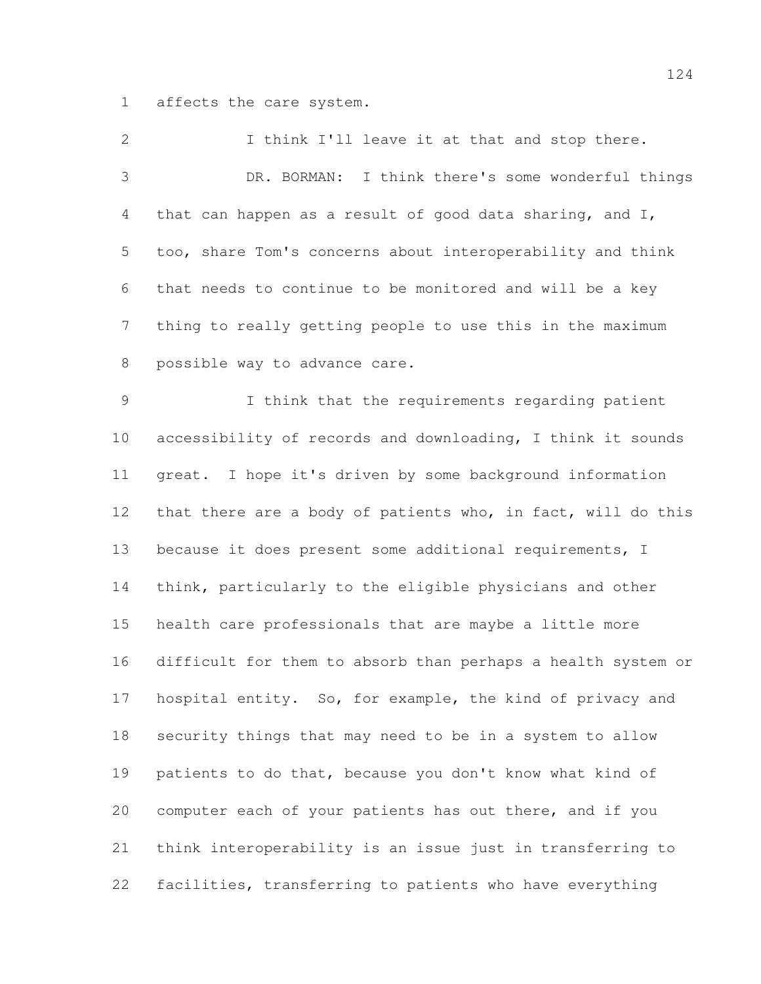affects the care system.

 I think I'll leave it at that and stop there. DR. BORMAN: I think there's some wonderful things that can happen as a result of good data sharing, and I, too, share Tom's concerns about interoperability and think that needs to continue to be monitored and will be a key thing to really getting people to use this in the maximum possible way to advance care. I think that the requirements regarding patient accessibility of records and downloading, I think it sounds great. I hope it's driven by some background information that there are a body of patients who, in fact, will do this because it does present some additional requirements, I think, particularly to the eligible physicians and other health care professionals that are maybe a little more difficult for them to absorb than perhaps a health system or hospital entity. So, for example, the kind of privacy and security things that may need to be in a system to allow patients to do that, because you don't know what kind of computer each of your patients has out there, and if you think interoperability is an issue just in transferring to facilities, transferring to patients who have everything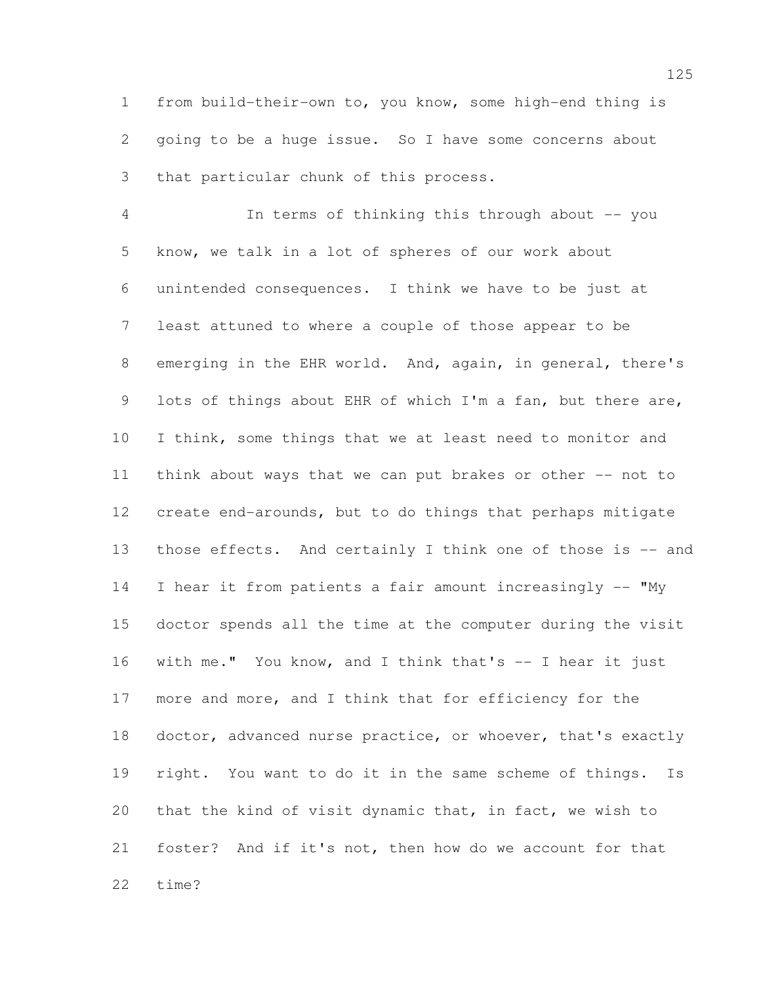from build-their-own to, you know, some high-end thing is going to be a huge issue. So I have some concerns about that particular chunk of this process.

 In terms of thinking this through about -- you know, we talk in a lot of spheres of our work about unintended consequences. I think we have to be just at least attuned to where a couple of those appear to be emerging in the EHR world. And, again, in general, there's lots of things about EHR of which I'm a fan, but there are, I think, some things that we at least need to monitor and think about ways that we can put brakes or other -- not to create end-arounds, but to do things that perhaps mitigate those effects. And certainly I think one of those is -- and I hear it from patients a fair amount increasingly -- "My doctor spends all the time at the computer during the visit with me." You know, and I think that's -- I hear it just more and more, and I think that for efficiency for the doctor, advanced nurse practice, or whoever, that's exactly right. You want to do it in the same scheme of things. Is that the kind of visit dynamic that, in fact, we wish to foster? And if it's not, then how do we account for that time?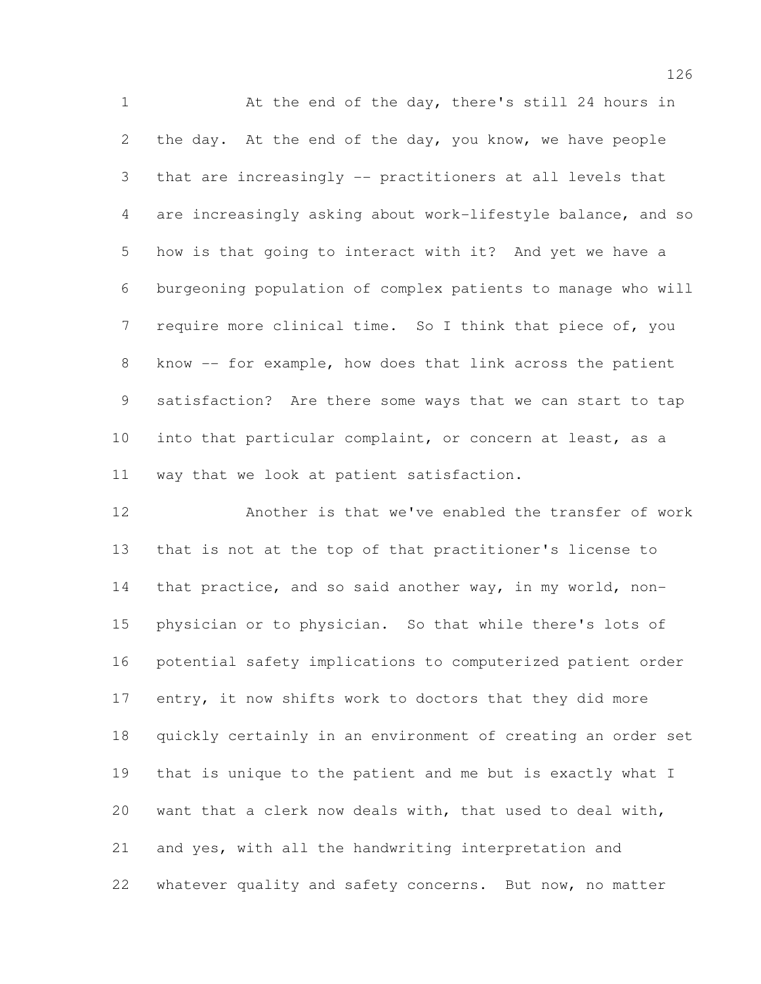1 At the end of the day, there's still 24 hours in the day. At the end of the day, you know, we have people that are increasingly -- practitioners at all levels that are increasingly asking about work-lifestyle balance, and so how is that going to interact with it? And yet we have a burgeoning population of complex patients to manage who will 7 require more clinical time. So I think that piece of, you know -- for example, how does that link across the patient satisfaction? Are there some ways that we can start to tap into that particular complaint, or concern at least, as a way that we look at patient satisfaction.

 Another is that we've enabled the transfer of work that is not at the top of that practitioner's license to that practice, and so said another way, in my world, non- physician or to physician. So that while there's lots of potential safety implications to computerized patient order entry, it now shifts work to doctors that they did more quickly certainly in an environment of creating an order set that is unique to the patient and me but is exactly what I want that a clerk now deals with, that used to deal with, and yes, with all the handwriting interpretation and whatever quality and safety concerns. But now, no matter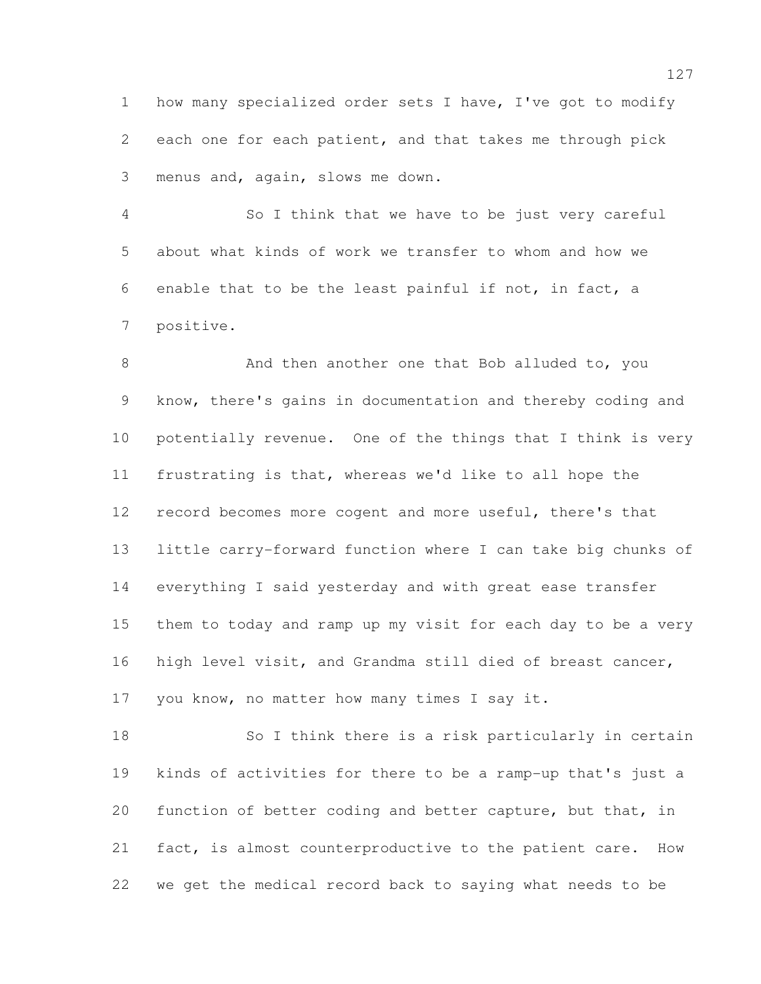how many specialized order sets I have, I've got to modify each one for each patient, and that takes me through pick menus and, again, slows me down.

 So I think that we have to be just very careful about what kinds of work we transfer to whom and how we enable that to be the least painful if not, in fact, a positive.

8 And then another one that Bob alluded to, you know, there's gains in documentation and thereby coding and potentially revenue. One of the things that I think is very frustrating is that, whereas we'd like to all hope the 12 record becomes more cogent and more useful, there's that little carry-forward function where I can take big chunks of everything I said yesterday and with great ease transfer them to today and ramp up my visit for each day to be a very high level visit, and Grandma still died of breast cancer, you know, no matter how many times I say it.

 So I think there is a risk particularly in certain kinds of activities for there to be a ramp-up that's just a function of better coding and better capture, but that, in fact, is almost counterproductive to the patient care. How we get the medical record back to saying what needs to be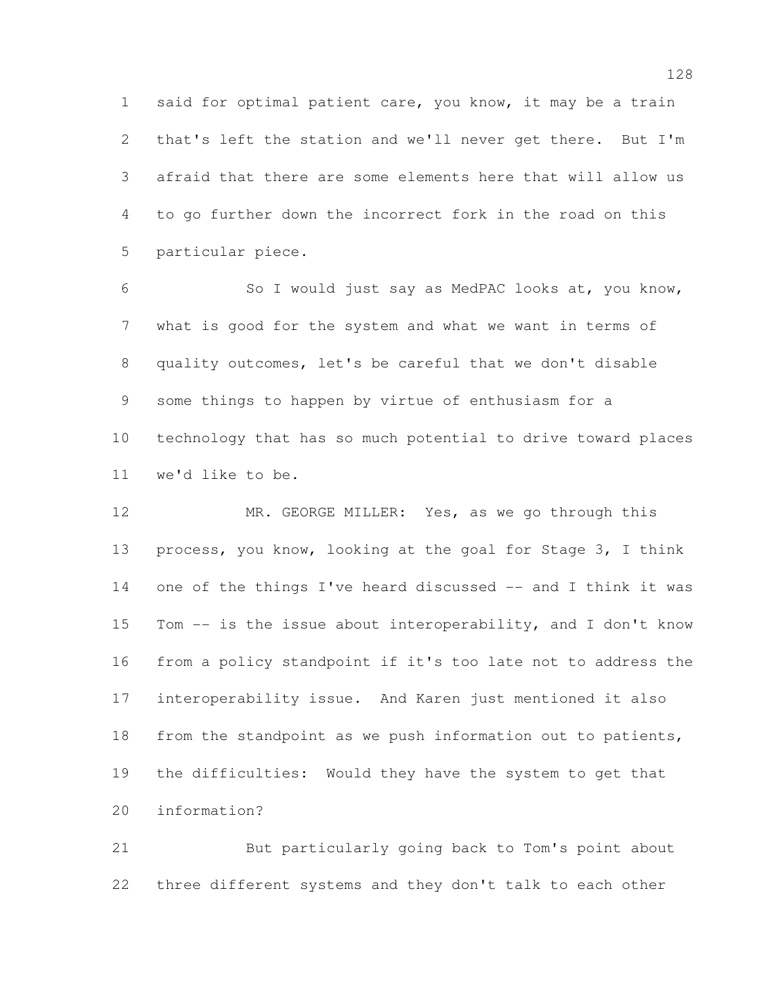said for optimal patient care, you know, it may be a train that's left the station and we'll never get there. But I'm afraid that there are some elements here that will allow us to go further down the incorrect fork in the road on this particular piece.

 So I would just say as MedPAC looks at, you know, what is good for the system and what we want in terms of quality outcomes, let's be careful that we don't disable some things to happen by virtue of enthusiasm for a technology that has so much potential to drive toward places we'd like to be.

12 MR. GEORGE MILLER: Yes, as we go through this process, you know, looking at the goal for Stage 3, I think one of the things I've heard discussed -- and I think it was Tom -- is the issue about interoperability, and I don't know from a policy standpoint if it's too late not to address the interoperability issue. And Karen just mentioned it also from the standpoint as we push information out to patients, the difficulties: Would they have the system to get that information?

 But particularly going back to Tom's point about three different systems and they don't talk to each other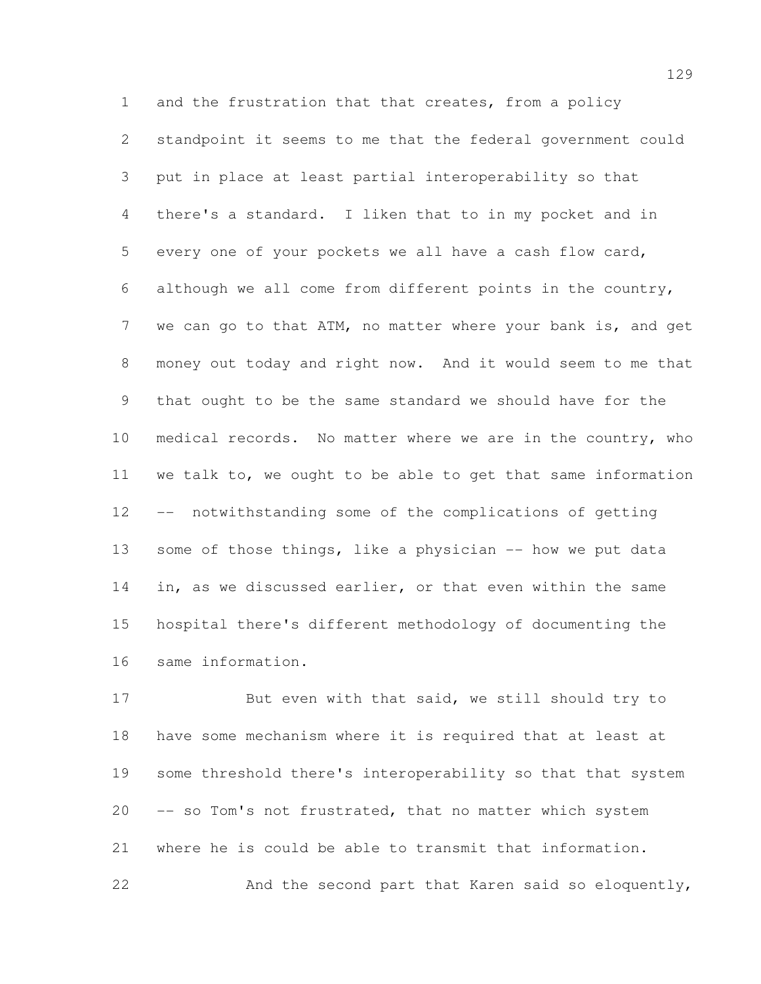and the frustration that that creates, from a policy standpoint it seems to me that the federal government could put in place at least partial interoperability so that there's a standard. I liken that to in my pocket and in every one of your pockets we all have a cash flow card, although we all come from different points in the country, 7 we can go to that ATM, no matter where your bank is, and get money out today and right now. And it would seem to me that that ought to be the same standard we should have for the medical records. No matter where we are in the country, who we talk to, we ought to be able to get that same information -- notwithstanding some of the complications of getting 13 some of those things, like a physician -- how we put data in, as we discussed earlier, or that even within the same hospital there's different methodology of documenting the same information.

17 But even with that said, we still should try to have some mechanism where it is required that at least at some threshold there's interoperability so that that system -- so Tom's not frustrated, that no matter which system where he is could be able to transmit that information. And the second part that Karen said so eloquently,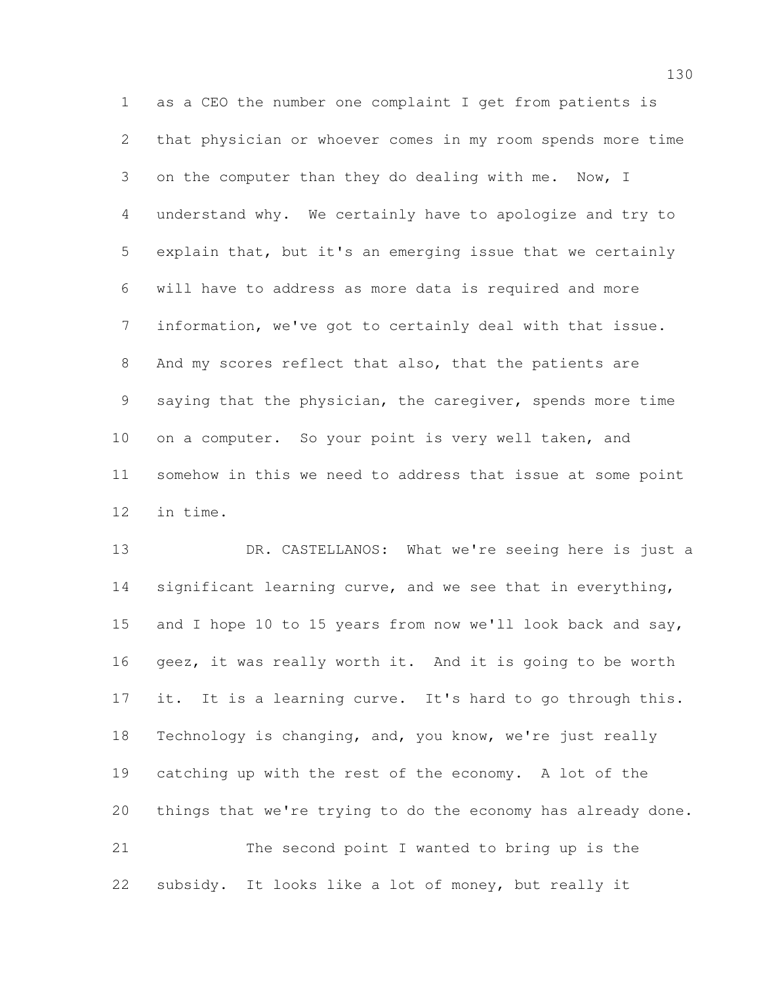as a CEO the number one complaint I get from patients is that physician or whoever comes in my room spends more time 3 on the computer than they do dealing with me. Now, I understand why. We certainly have to apologize and try to explain that, but it's an emerging issue that we certainly will have to address as more data is required and more information, we've got to certainly deal with that issue. And my scores reflect that also, that the patients are saying that the physician, the caregiver, spends more time on a computer. So your point is very well taken, and somehow in this we need to address that issue at some point in time.

 DR. CASTELLANOS: What we're seeing here is just a 14 significant learning curve, and we see that in everything, 15 and I hope 10 to 15 years from now we'll look back and say, geez, it was really worth it. And it is going to be worth it. It is a learning curve. It's hard to go through this. Technology is changing, and, you know, we're just really catching up with the rest of the economy. A lot of the things that we're trying to do the economy has already done. The second point I wanted to bring up is the subsidy. It looks like a lot of money, but really it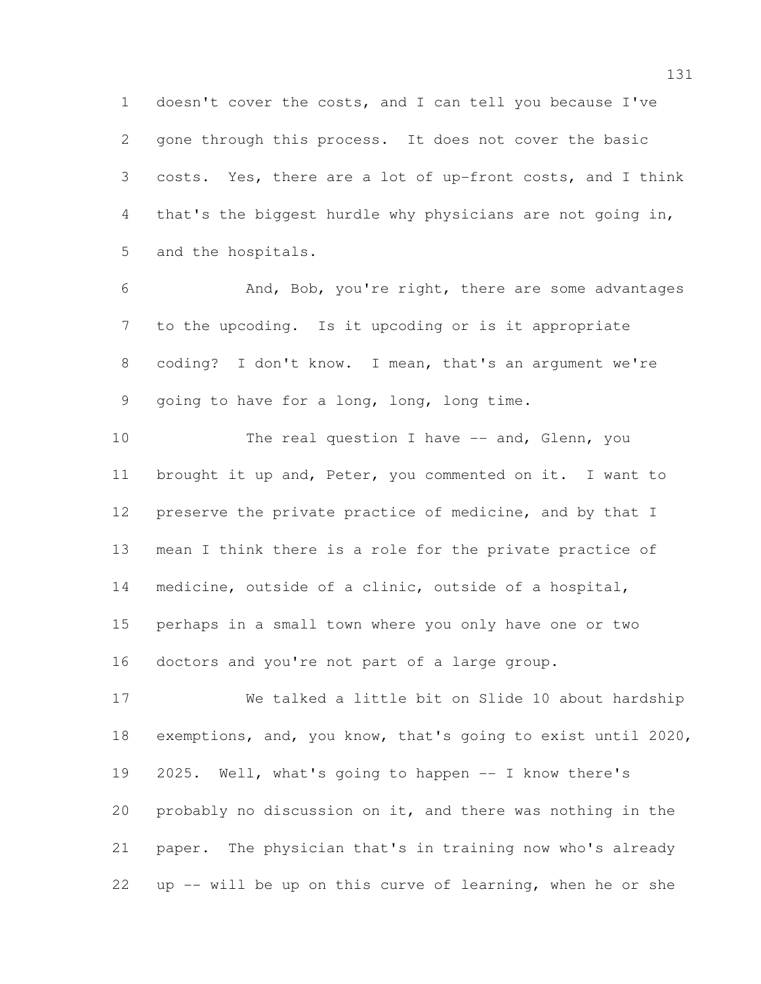doesn't cover the costs, and I can tell you because I've gone through this process. It does not cover the basic costs. Yes, there are a lot of up-front costs, and I think that's the biggest hurdle why physicians are not going in, and the hospitals.

 And, Bob, you're right, there are some advantages to the upcoding. Is it upcoding or is it appropriate coding? I don't know. I mean, that's an argument we're going to have for a long, long, long time.

10 The real question I have -- and, Glenn, you brought it up and, Peter, you commented on it. I want to preserve the private practice of medicine, and by that I mean I think there is a role for the private practice of medicine, outside of a clinic, outside of a hospital, perhaps in a small town where you only have one or two doctors and you're not part of a large group.

 We talked a little bit on Slide 10 about hardship exemptions, and, you know, that's going to exist until 2020, 2025. Well, what's going to happen -- I know there's probably no discussion on it, and there was nothing in the paper. The physician that's in training now who's already up -- will be up on this curve of learning, when he or she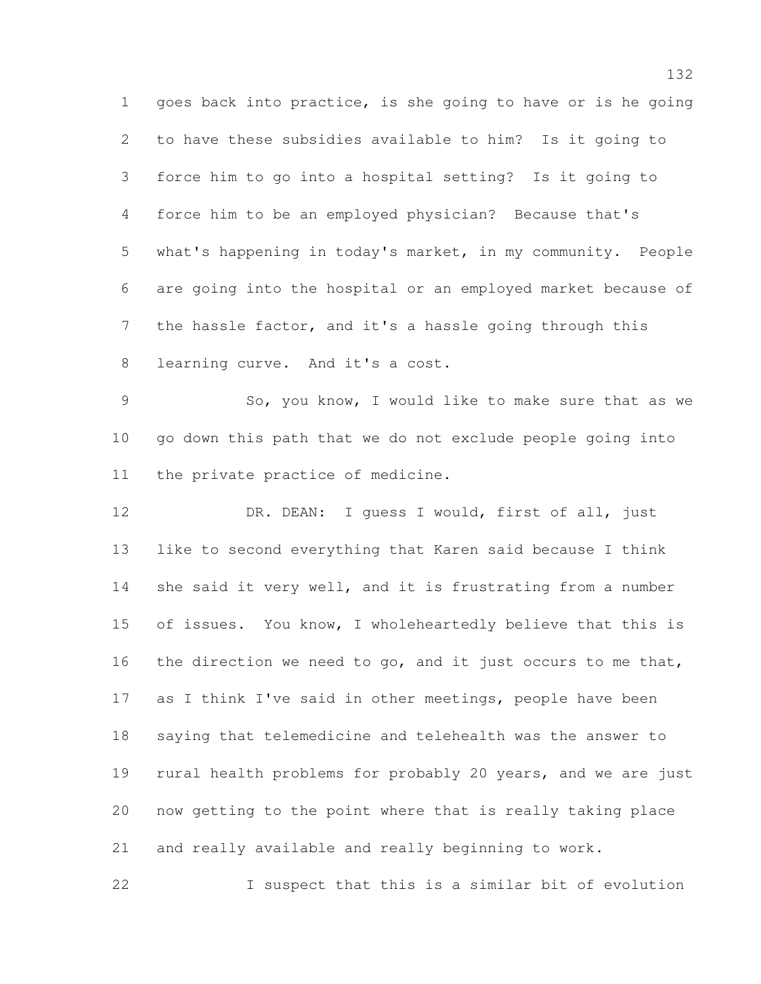goes back into practice, is she going to have or is he going to have these subsidies available to him? Is it going to force him to go into a hospital setting? Is it going to force him to be an employed physician? Because that's what's happening in today's market, in my community. People are going into the hospital or an employed market because of the hassle factor, and it's a hassle going through this learning curve. And it's a cost.

 So, you know, I would like to make sure that as we go down this path that we do not exclude people going into the private practice of medicine.

12 DR. DEAN: I guess I would, first of all, just like to second everything that Karen said because I think she said it very well, and it is frustrating from a number 15 of issues. You know, I wholeheartedly believe that this is 16 the direction we need to go, and it just occurs to me that, as I think I've said in other meetings, people have been saying that telemedicine and telehealth was the answer to rural health problems for probably 20 years, and we are just now getting to the point where that is really taking place and really available and really beginning to work.

I suspect that this is a similar bit of evolution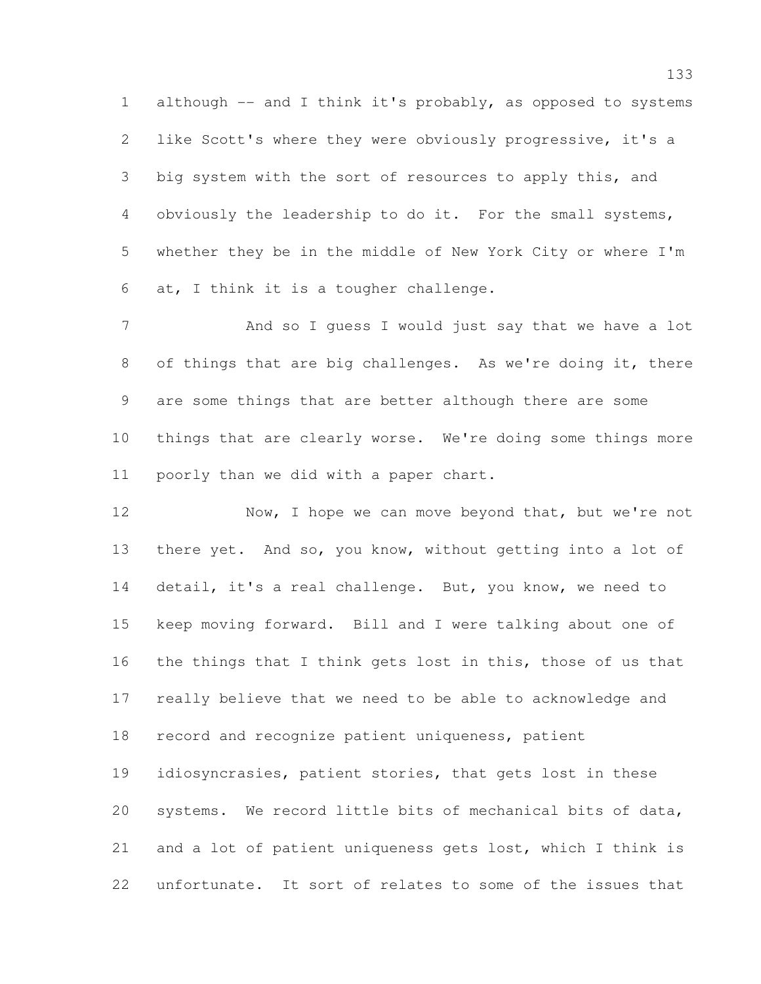1 although -- and I think it's probably, as opposed to systems like Scott's where they were obviously progressive, it's a big system with the sort of resources to apply this, and obviously the leadership to do it. For the small systems, whether they be in the middle of New York City or where I'm at, I think it is a tougher challenge.

 And so I guess I would just say that we have a lot of things that are big challenges. As we're doing it, there are some things that are better although there are some things that are clearly worse. We're doing some things more poorly than we did with a paper chart.

12 Now, I hope we can move beyond that, but we're not there yet. And so, you know, without getting into a lot of detail, it's a real challenge. But, you know, we need to keep moving forward. Bill and I were talking about one of the things that I think gets lost in this, those of us that really believe that we need to be able to acknowledge and record and recognize patient uniqueness, patient idiosyncrasies, patient stories, that gets lost in these systems. We record little bits of mechanical bits of data, and a lot of patient uniqueness gets lost, which I think is unfortunate. It sort of relates to some of the issues that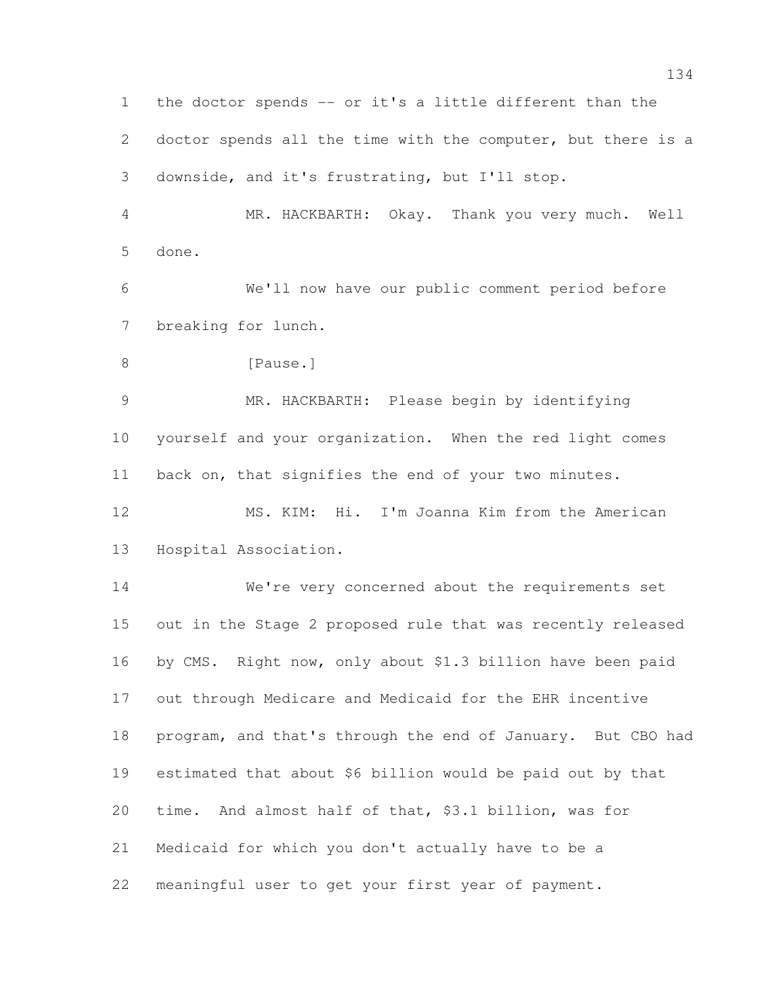the doctor spends -- or it's a little different than the doctor spends all the time with the computer, but there is a downside, and it's frustrating, but I'll stop.

 MR. HACKBARTH: Okay. Thank you very much. Well done.

 We'll now have our public comment period before breaking for lunch.

8 [Pause.]

 MR. HACKBARTH: Please begin by identifying yourself and your organization. When the red light comes back on, that signifies the end of your two minutes.

 MS. KIM: Hi. I'm Joanna Kim from the American Hospital Association.

 We're very concerned about the requirements set out in the Stage 2 proposed rule that was recently released by CMS. Right now, only about \$1.3 billion have been paid out through Medicare and Medicaid for the EHR incentive program, and that's through the end of January. But CBO had estimated that about \$6 billion would be paid out by that time. And almost half of that, \$3.1 billion, was for Medicaid for which you don't actually have to be a meaningful user to get your first year of payment.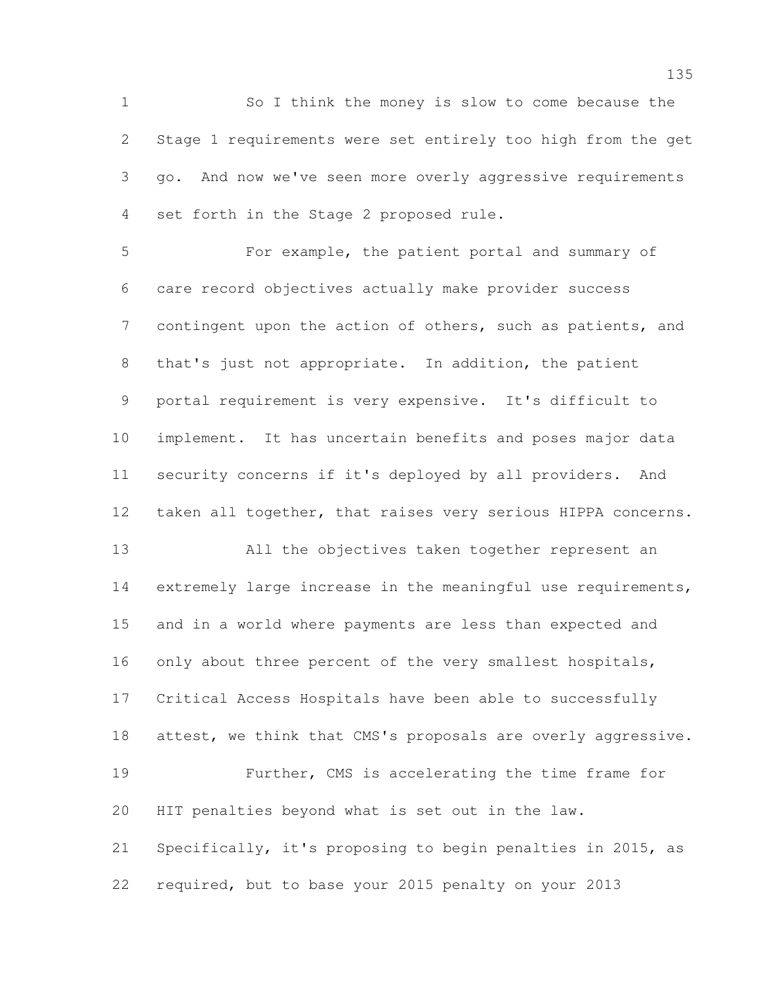So I think the money is slow to come because the Stage 1 requirements were set entirely too high from the get go. And now we've seen more overly aggressive requirements set forth in the Stage 2 proposed rule.

 For example, the patient portal and summary of care record objectives actually make provider success 7 contingent upon the action of others, such as patients, and that's just not appropriate. In addition, the patient portal requirement is very expensive. It's difficult to implement. It has uncertain benefits and poses major data security concerns if it's deployed by all providers. And 12 taken all together, that raises very serious HIPPA concerns.

 All the objectives taken together represent an 14 extremely large increase in the meaningful use requirements, and in a world where payments are less than expected and only about three percent of the very smallest hospitals, Critical Access Hospitals have been able to successfully 18 attest, we think that CMS's proposals are overly aggressive. Further, CMS is accelerating the time frame for HIT penalties beyond what is set out in the law. Specifically, it's proposing to begin penalties in 2015, as required, but to base your 2015 penalty on your 2013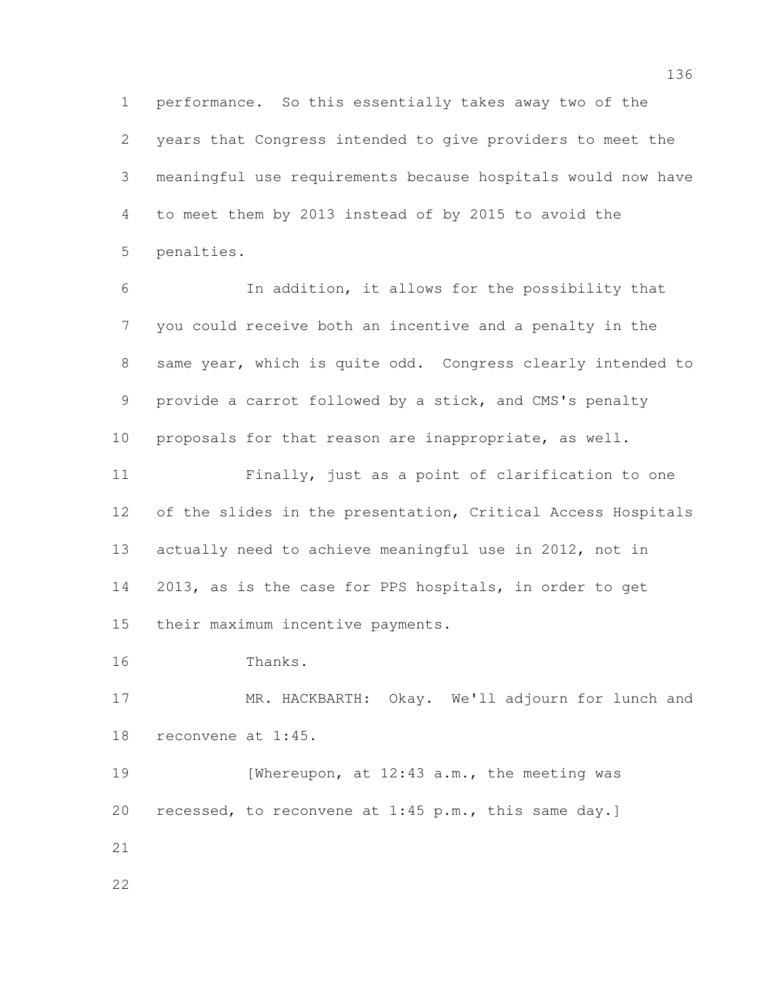performance. So this essentially takes away two of the years that Congress intended to give providers to meet the meaningful use requirements because hospitals would now have to meet them by 2013 instead of by 2015 to avoid the penalties.

 In addition, it allows for the possibility that you could receive both an incentive and a penalty in the same year, which is quite odd. Congress clearly intended to provide a carrot followed by a stick, and CMS's penalty proposals for that reason are inappropriate, as well.

 Finally, just as a point of clarification to one of the slides in the presentation, Critical Access Hospitals actually need to achieve meaningful use in 2012, not in 2013, as is the case for PPS hospitals, in order to get their maximum incentive payments.

Thanks.

 MR. HACKBARTH: Okay. We'll adjourn for lunch and reconvene at 1:45.

19 [Whereupon, at 12:43 a.m., the meeting was recessed, to reconvene at 1:45 p.m., this same day.]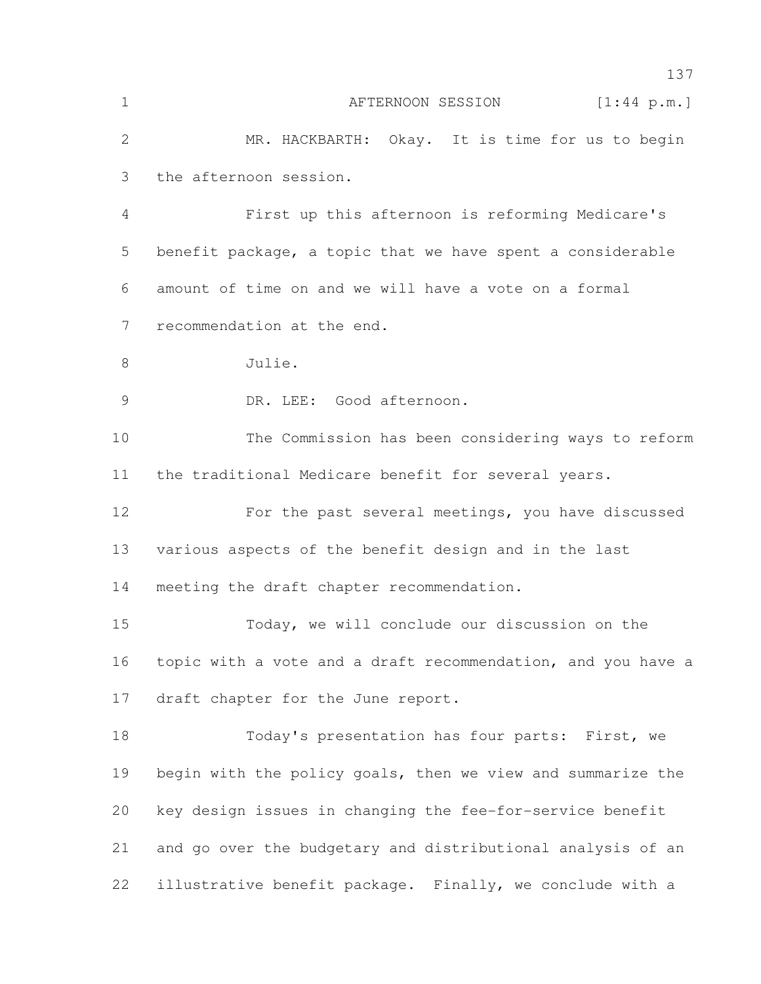| $\mathbf 1$   | [1:44 p.m.]<br>AFTERNOON SESSION                             |
|---------------|--------------------------------------------------------------|
| $\mathbf{2}$  | MR. HACKBARTH: Okay. It is time for us to begin              |
| 3             | the afternoon session.                                       |
| 4             | First up this afternoon is reforming Medicare's              |
| 5             | benefit package, a topic that we have spent a considerable   |
| 6             | amount of time on and we will have a vote on a formal        |
| 7             | recommendation at the end.                                   |
| 8             | Julie.                                                       |
| $\mathcal{G}$ | DR. LEE: Good afternoon.                                     |
| 10            | The Commission has been considering ways to reform           |
| 11            | the traditional Medicare benefit for several years.          |
| 12            | For the past several meetings, you have discussed            |
| 13            | various aspects of the benefit design and in the last        |
| 14            | meeting the draft chapter recommendation.                    |
| 15            | Today, we will conclude our discussion on the                |
| 16            | topic with a vote and a draft recommendation, and you have a |
| 17            | draft chapter for the June report.                           |
| 18            | Today's presentation has four parts: First, we               |
| 19            | begin with the policy goals, then we view and summarize the  |
| 20            | key design issues in changing the fee-for-service benefit    |
| 21            | and go over the budgetary and distributional analysis of an  |
| 22            | illustrative benefit package. Finally, we conclude with a    |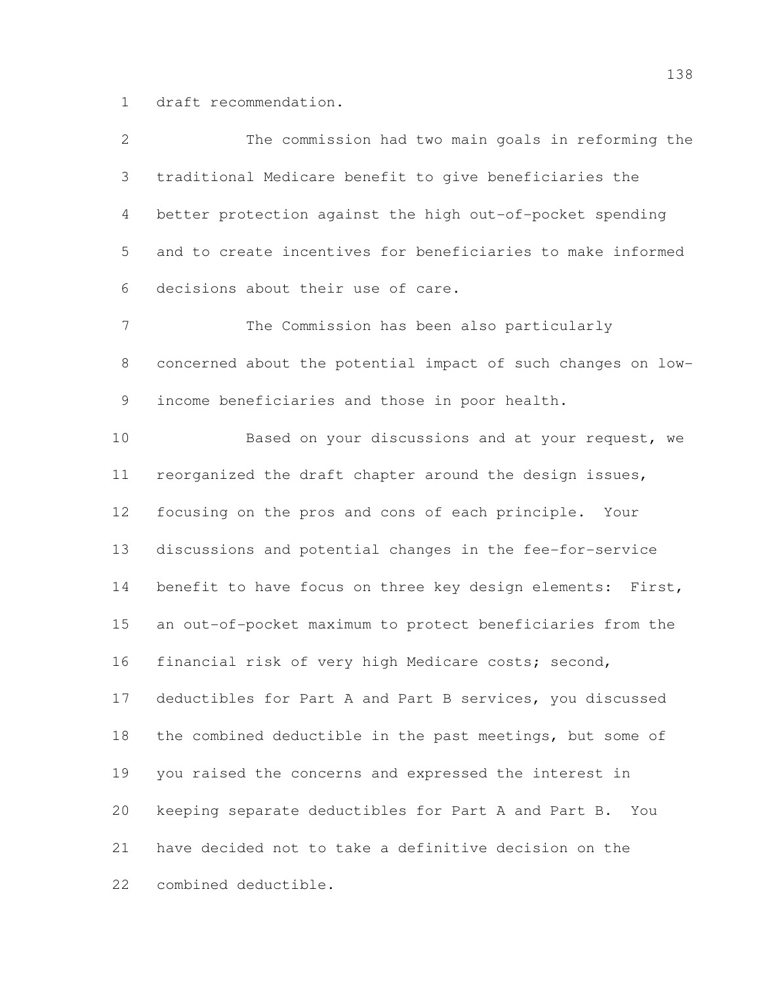draft recommendation.

| $\overline{2}$ | The commission had two main goals in reforming the           |
|----------------|--------------------------------------------------------------|
| 3              | traditional Medicare benefit to give beneficiaries the       |
| 4              | better protection against the high out-of-pocket spending    |
| 5              | and to create incentives for beneficiaries to make informed  |
| 6              | decisions about their use of care.                           |
| $7\phantom{.}$ | The Commission has been also particularly                    |
| 8              | concerned about the potential impact of such changes on low- |
| 9              | income beneficiaries and those in poor health.               |
| 10             | Based on your discussions and at your request, we            |
| 11             | reorganized the draft chapter around the design issues,      |
| 12             | focusing on the pros and cons of each principle. Your        |
| 13             | discussions and potential changes in the fee-for-service     |
| 14             | benefit to have focus on three key design elements: First,   |
| 15             | an out-of-pocket maximum to protect beneficiaries from the   |
| 16             | financial risk of very high Medicare costs; second,          |
| 17             | deductibles for Part A and Part B services, you discussed    |
| 18             | the combined deductible in the past meetings, but some of    |
| 19             | you raised the concerns and expressed the interest in        |
| 20             | keeping separate deductibles for Part A and Part B.<br>You   |
| 21             | have decided not to take a definitive decision on the        |
| 22             | combined deductible.                                         |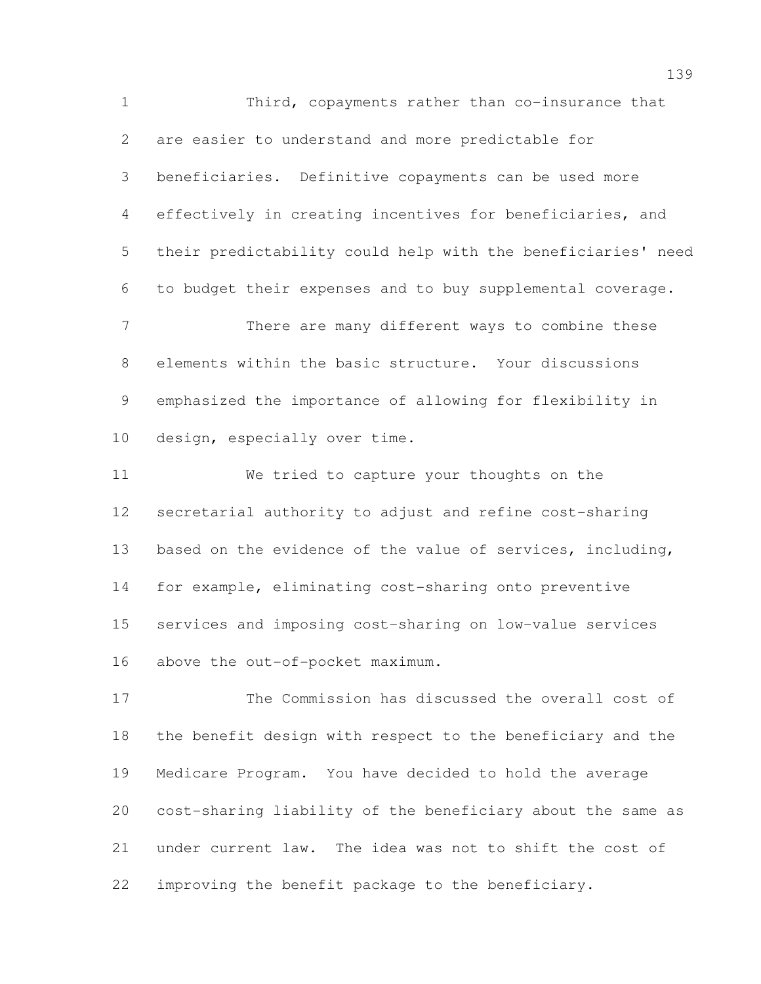Third, copayments rather than co-insurance that are easier to understand and more predictable for beneficiaries. Definitive copayments can be used more effectively in creating incentives for beneficiaries, and their predictability could help with the beneficiaries' need to budget their expenses and to buy supplemental coverage. There are many different ways to combine these elements within the basic structure. Your discussions emphasized the importance of allowing for flexibility in design, especially over time. We tried to capture your thoughts on the secretarial authority to adjust and refine cost-sharing based on the evidence of the value of services, including,

 for example, eliminating cost-sharing onto preventive services and imposing cost-sharing on low-value services above the out-of-pocket maximum.

 The Commission has discussed the overall cost of the benefit design with respect to the beneficiary and the Medicare Program. You have decided to hold the average cost-sharing liability of the beneficiary about the same as under current law. The idea was not to shift the cost of improving the benefit package to the beneficiary.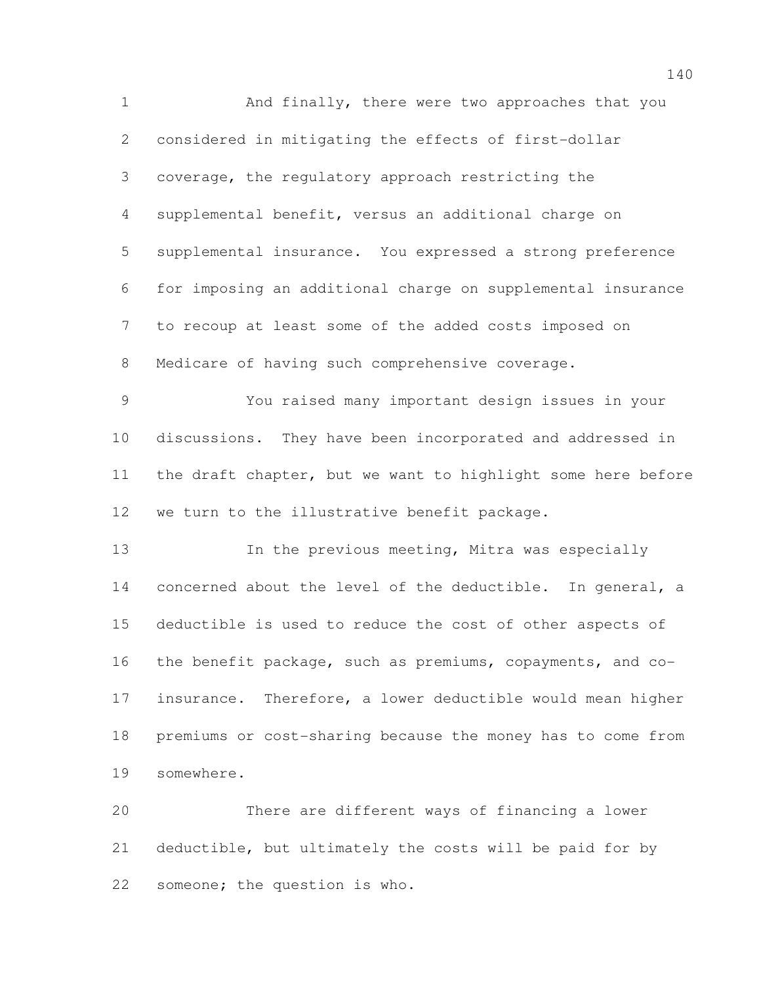And finally, there were two approaches that you considered in mitigating the effects of first-dollar coverage, the regulatory approach restricting the supplemental benefit, versus an additional charge on supplemental insurance. You expressed a strong preference for imposing an additional charge on supplemental insurance to recoup at least some of the added costs imposed on Medicare of having such comprehensive coverage. You raised many important design issues in your discussions. They have been incorporated and addressed in the draft chapter, but we want to highlight some here before we turn to the illustrative benefit package. In the previous meeting, Mitra was especially concerned about the level of the deductible. In general, a deductible is used to reduce the cost of other aspects of the benefit package, such as premiums, copayments, and co- insurance. Therefore, a lower deductible would mean higher premiums or cost-sharing because the money has to come from somewhere. There are different ways of financing a lower

 deductible, but ultimately the costs will be paid for by someone; the question is who.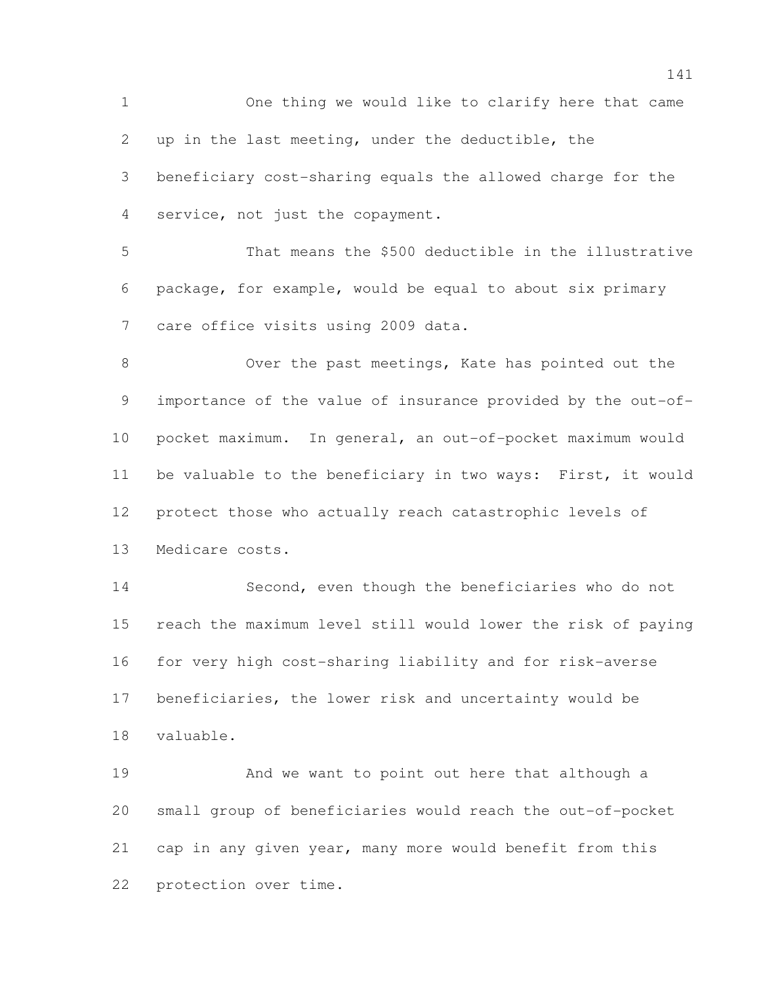One thing we would like to clarify here that came up in the last meeting, under the deductible, the beneficiary cost-sharing equals the allowed charge for the service, not just the copayment. That means the \$500 deductible in the illustrative package, for example, would be equal to about six primary care office visits using 2009 data. Over the past meetings, Kate has pointed out the importance of the value of insurance provided by the out-of- pocket maximum. In general, an out-of-pocket maximum would be valuable to the beneficiary in two ways: First, it would protect those who actually reach catastrophic levels of Medicare costs. Second, even though the beneficiaries who do not reach the maximum level still would lower the risk of paying for very high cost-sharing liability and for risk-averse

 beneficiaries, the lower risk and uncertainty would be valuable.

 And we want to point out here that although a small group of beneficiaries would reach the out-of-pocket cap in any given year, many more would benefit from this protection over time.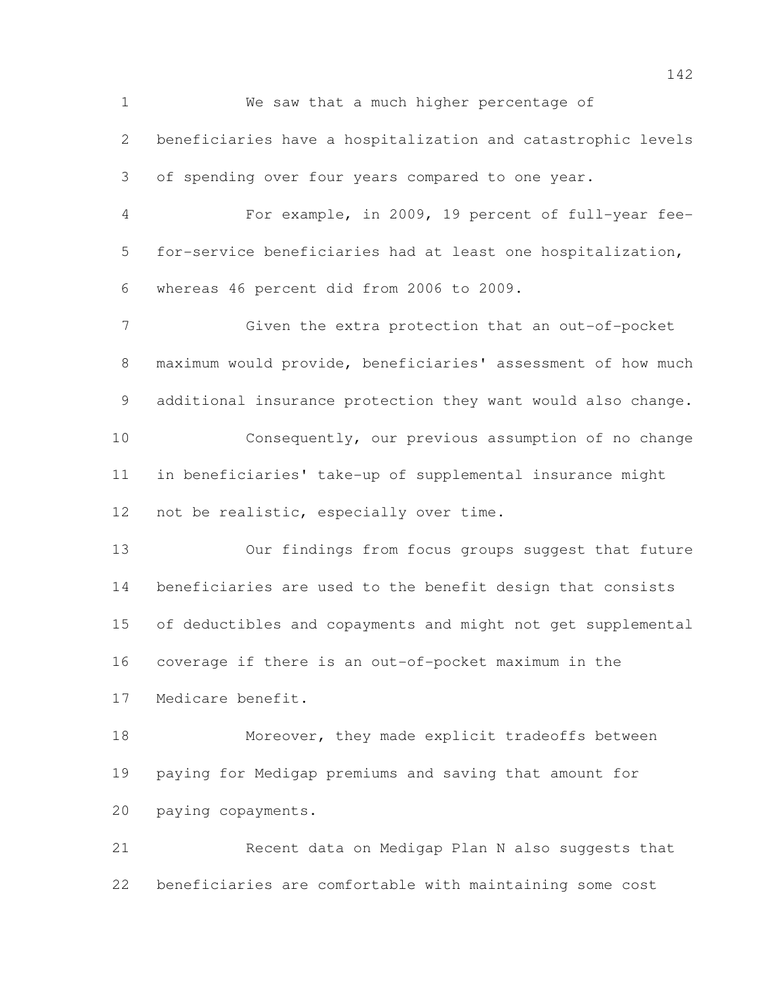We saw that a much higher percentage of beneficiaries have a hospitalization and catastrophic levels of spending over four years compared to one year. For example, in 2009, 19 percent of full-year fee- for-service beneficiaries had at least one hospitalization, whereas 46 percent did from 2006 to 2009. Given the extra protection that an out-of-pocket maximum would provide, beneficiaries' assessment of how much additional insurance protection they want would also change. Consequently, our previous assumption of no change in beneficiaries' take-up of supplemental insurance might not be realistic, especially over time. Our findings from focus groups suggest that future beneficiaries are used to the benefit design that consists of deductibles and copayments and might not get supplemental coverage if there is an out-of-pocket maximum in the Medicare benefit. Moreover, they made explicit tradeoffs between paying for Medigap premiums and saving that amount for paying copayments. Recent data on Medigap Plan N also suggests that beneficiaries are comfortable with maintaining some cost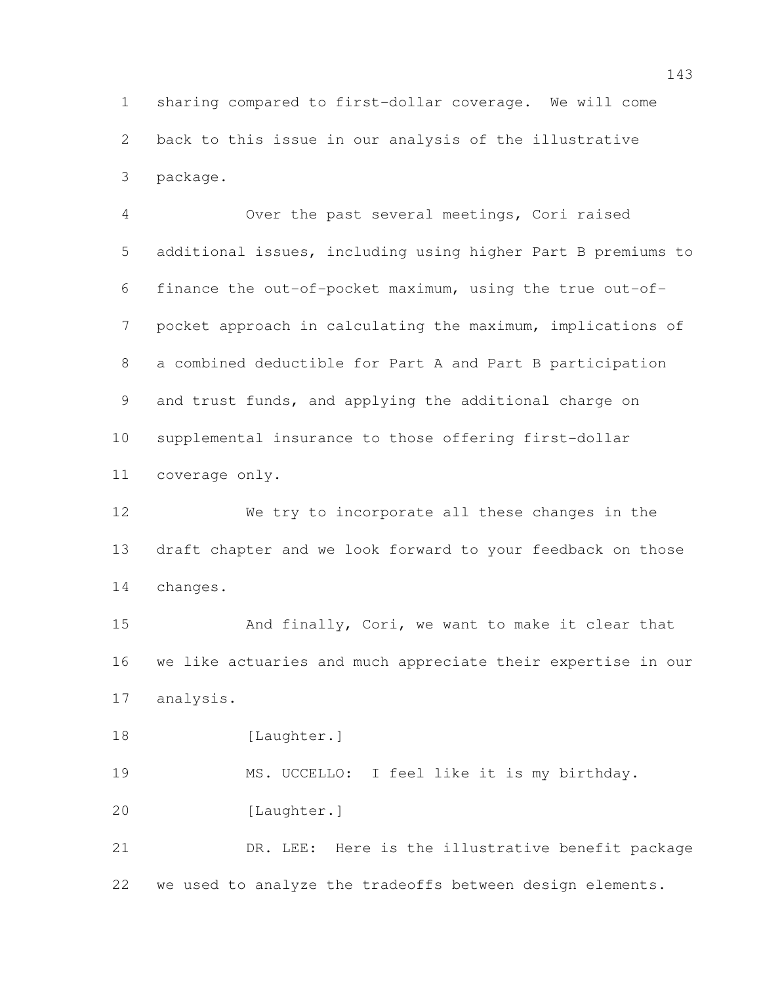sharing compared to first-dollar coverage. We will come back to this issue in our analysis of the illustrative package.

 Over the past several meetings, Cori raised additional issues, including using higher Part B premiums to finance the out-of-pocket maximum, using the true out-of- pocket approach in calculating the maximum, implications of a combined deductible for Part A and Part B participation and trust funds, and applying the additional charge on supplemental insurance to those offering first-dollar coverage only.

 We try to incorporate all these changes in the draft chapter and we look forward to your feedback on those changes.

15 And finally, Cori, we want to make it clear that we like actuaries and much appreciate their expertise in our analysis.

18 [Laughter.]

MS. UCCELLO: I feel like it is my birthday.

[Laughter.]

 DR. LEE: Here is the illustrative benefit package we used to analyze the tradeoffs between design elements.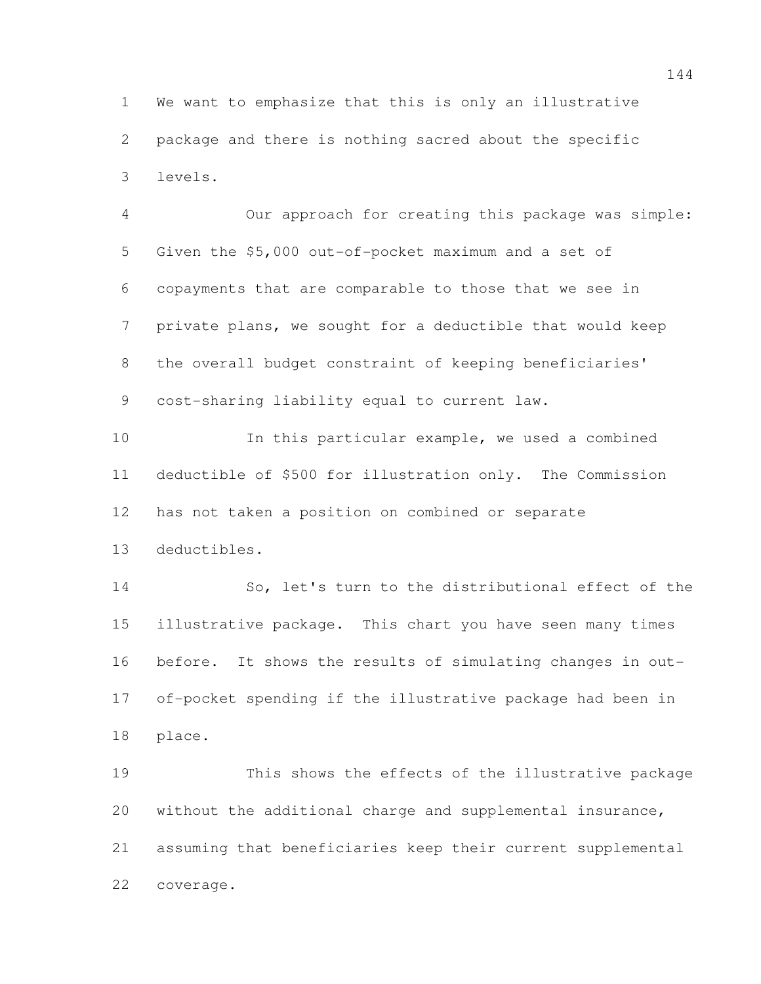We want to emphasize that this is only an illustrative package and there is nothing sacred about the specific levels.

 Our approach for creating this package was simple: Given the \$5,000 out-of-pocket maximum and a set of copayments that are comparable to those that we see in private plans, we sought for a deductible that would keep the overall budget constraint of keeping beneficiaries' cost-sharing liability equal to current law.

 In this particular example, we used a combined deductible of \$500 for illustration only. The Commission has not taken a position on combined or separate deductibles.

 So, let's turn to the distributional effect of the illustrative package. This chart you have seen many times before. It shows the results of simulating changes in out- of-pocket spending if the illustrative package had been in place.

 This shows the effects of the illustrative package without the additional charge and supplemental insurance, assuming that beneficiaries keep their current supplemental coverage.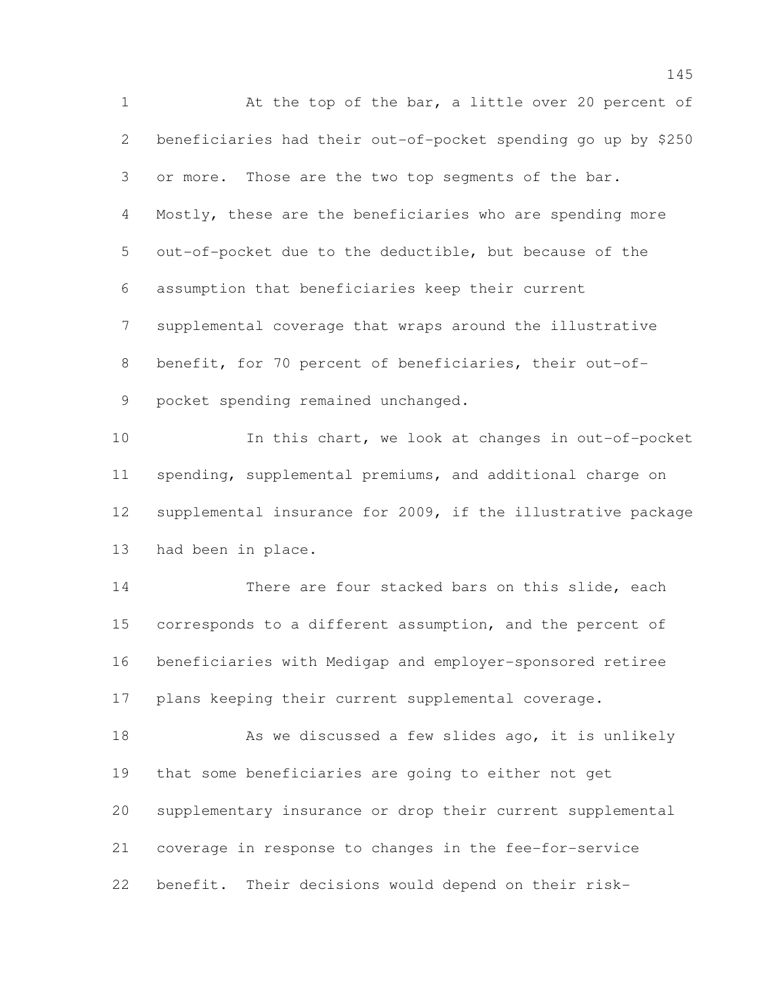At the top of the bar, a little over 20 percent of beneficiaries had their out-of-pocket spending go up by \$250 or more. Those are the two top segments of the bar. Mostly, these are the beneficiaries who are spending more out-of-pocket due to the deductible, but because of the assumption that beneficiaries keep their current supplemental coverage that wraps around the illustrative benefit, for 70 percent of beneficiaries, their out-of- pocket spending remained unchanged. In this chart, we look at changes in out-of-pocket spending, supplemental premiums, and additional charge on supplemental insurance for 2009, if the illustrative package

had been in place.

 There are four stacked bars on this slide, each corresponds to a different assumption, and the percent of beneficiaries with Medigap and employer-sponsored retiree plans keeping their current supplemental coverage.

18 As we discussed a few slides ago, it is unlikely that some beneficiaries are going to either not get supplementary insurance or drop their current supplemental coverage in response to changes in the fee-for-service benefit. Their decisions would depend on their risk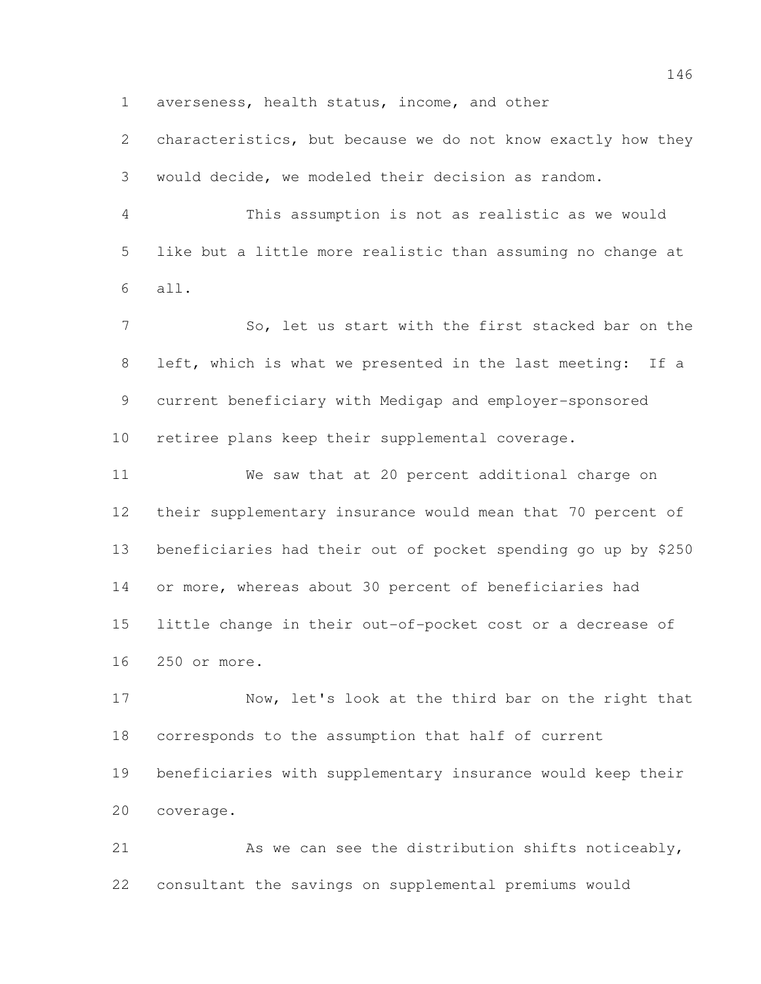averseness, health status, income, and other

 characteristics, but because we do not know exactly how they would decide, we modeled their decision as random.

 This assumption is not as realistic as we would like but a little more realistic than assuming no change at all.

 So, let us start with the first stacked bar on the left, which is what we presented in the last meeting: If a current beneficiary with Medigap and employer-sponsored retiree plans keep their supplemental coverage.

 We saw that at 20 percent additional charge on their supplementary insurance would mean that 70 percent of beneficiaries had their out of pocket spending go up by \$250 or more, whereas about 30 percent of beneficiaries had little change in their out-of-pocket cost or a decrease of 250 or more.

 Now, let's look at the third bar on the right that corresponds to the assumption that half of current beneficiaries with supplementary insurance would keep their coverage.

 As we can see the distribution shifts noticeably, consultant the savings on supplemental premiums would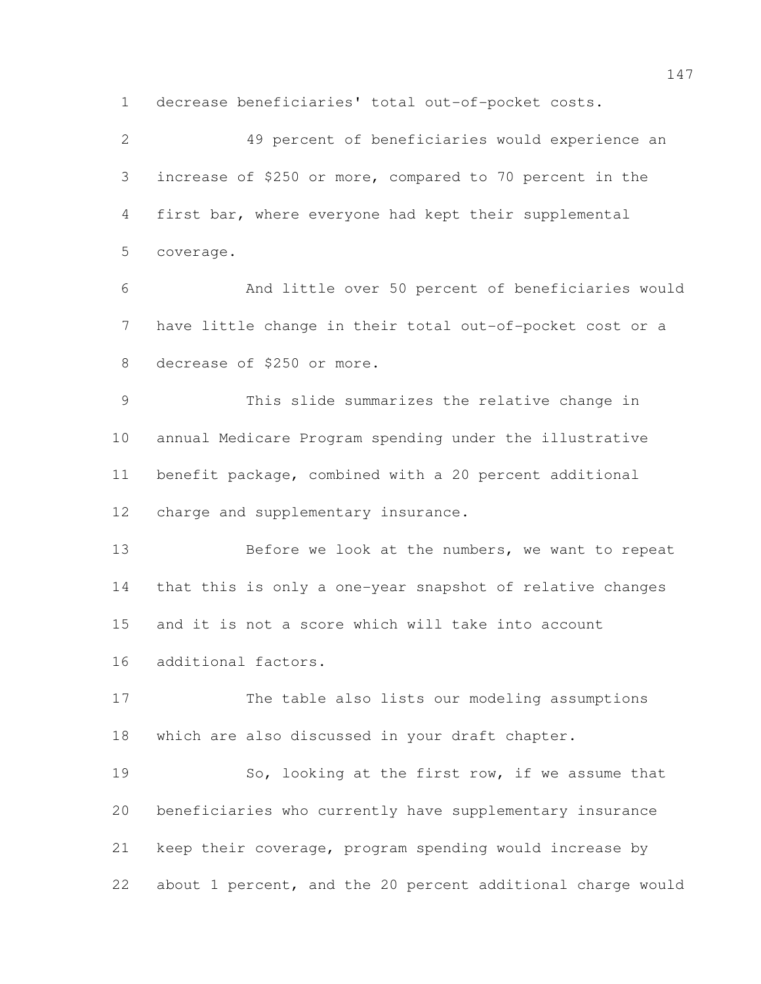decrease beneficiaries' total out-of-pocket costs.

 49 percent of beneficiaries would experience an increase of \$250 or more, compared to 70 percent in the first bar, where everyone had kept their supplemental coverage. And little over 50 percent of beneficiaries would have little change in their total out-of-pocket cost or a decrease of \$250 or more. This slide summarizes the relative change in annual Medicare Program spending under the illustrative benefit package, combined with a 20 percent additional charge and supplementary insurance. 13 Before we look at the numbers, we want to repeat that this is only a one-year snapshot of relative changes and it is not a score which will take into account additional factors. The table also lists our modeling assumptions which are also discussed in your draft chapter. So, looking at the first row, if we assume that beneficiaries who currently have supplementary insurance keep their coverage, program spending would increase by about 1 percent, and the 20 percent additional charge would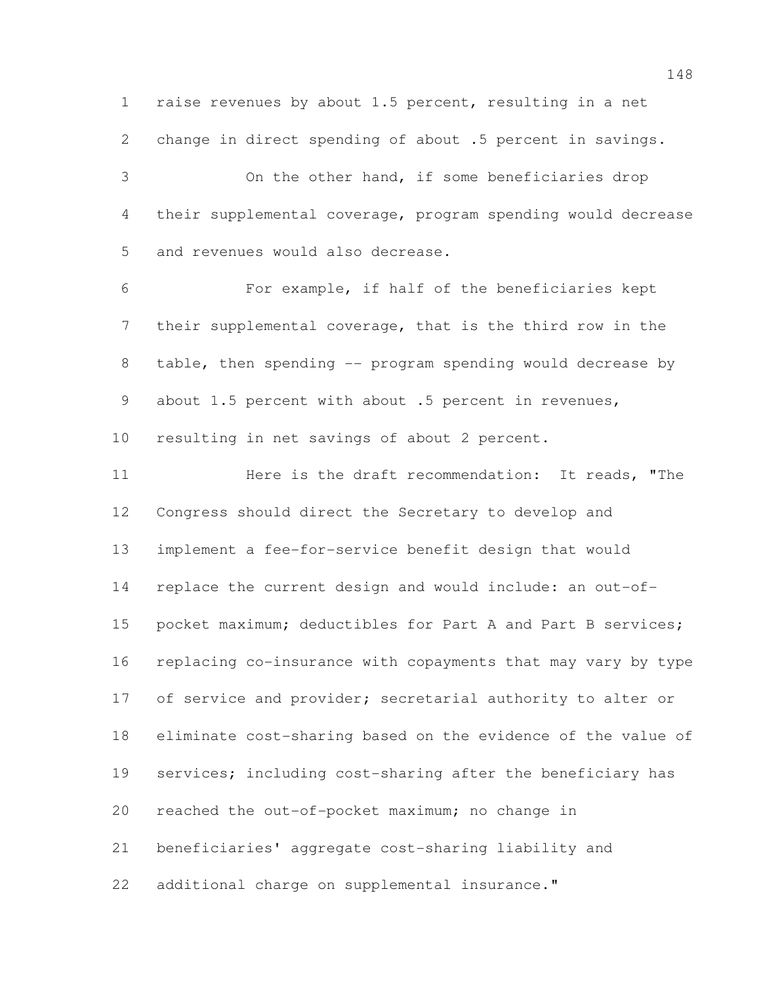raise revenues by about 1.5 percent, resulting in a net change in direct spending of about .5 percent in savings. On the other hand, if some beneficiaries drop their supplemental coverage, program spending would decrease and revenues would also decrease. For example, if half of the beneficiaries kept their supplemental coverage, that is the third row in the table, then spending -- program spending would decrease by 9 about 1.5 percent with about .5 percent in revenues, resulting in net savings of about 2 percent. **11** Here is the draft recommendation: It reads, "The Congress should direct the Secretary to develop and implement a fee-for-service benefit design that would replace the current design and would include: an out-of-15 pocket maximum; deductibles for Part A and Part B services; replacing co-insurance with copayments that may vary by type 17 of service and provider; secretarial authority to alter or eliminate cost-sharing based on the evidence of the value of services; including cost-sharing after the beneficiary has reached the out-of-pocket maximum; no change in beneficiaries' aggregate cost-sharing liability and

additional charge on supplemental insurance."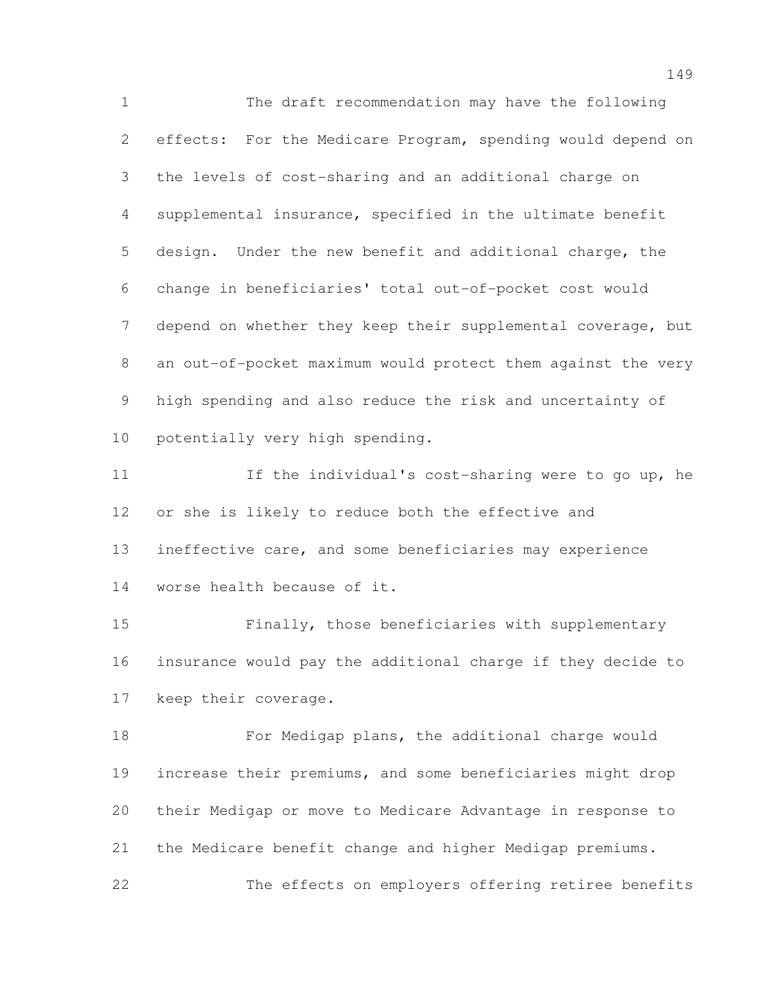The draft recommendation may have the following effects: For the Medicare Program, spending would depend on the levels of cost-sharing and an additional charge on supplemental insurance, specified in the ultimate benefit design. Under the new benefit and additional charge, the change in beneficiaries' total out-of-pocket cost would depend on whether they keep their supplemental coverage, but an out-of-pocket maximum would protect them against the very high spending and also reduce the risk and uncertainty of potentially very high spending.

11 11 If the individual's cost-sharing were to go up, he or she is likely to reduce both the effective and ineffective care, and some beneficiaries may experience worse health because of it.

 Finally, those beneficiaries with supplementary insurance would pay the additional charge if they decide to keep their coverage.

18 For Medigap plans, the additional charge would increase their premiums, and some beneficiaries might drop their Medigap or move to Medicare Advantage in response to the Medicare benefit change and higher Medigap premiums. The effects on employers offering retiree benefits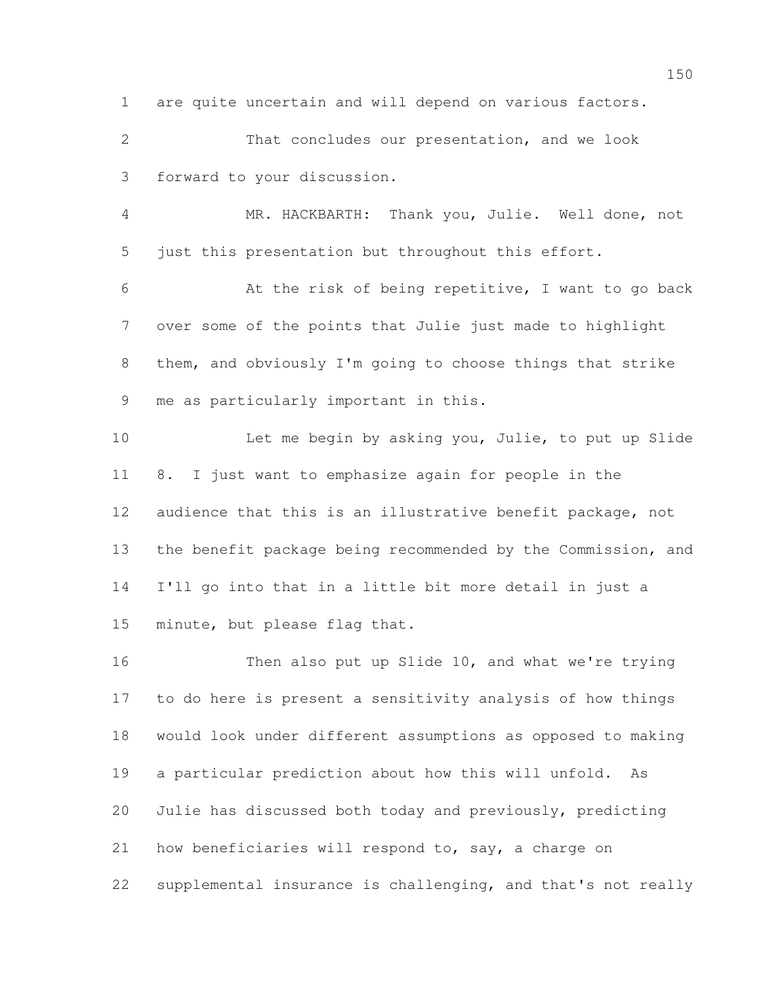are quite uncertain and will depend on various factors.

 That concludes our presentation, and we look forward to your discussion.

 MR. HACKBARTH: Thank you, Julie. Well done, not just this presentation but throughout this effort.

 At the risk of being repetitive, I want to go back over some of the points that Julie just made to highlight them, and obviously I'm going to choose things that strike me as particularly important in this.

 Let me begin by asking you, Julie, to put up Slide 8. I just want to emphasize again for people in the audience that this is an illustrative benefit package, not the benefit package being recommended by the Commission, and I'll go into that in a little bit more detail in just a minute, but please flag that.

 Then also put up Slide 10, and what we're trying to do here is present a sensitivity analysis of how things would look under different assumptions as opposed to making a particular prediction about how this will unfold. As Julie has discussed both today and previously, predicting 21 how beneficiaries will respond to, say, a charge on supplemental insurance is challenging, and that's not really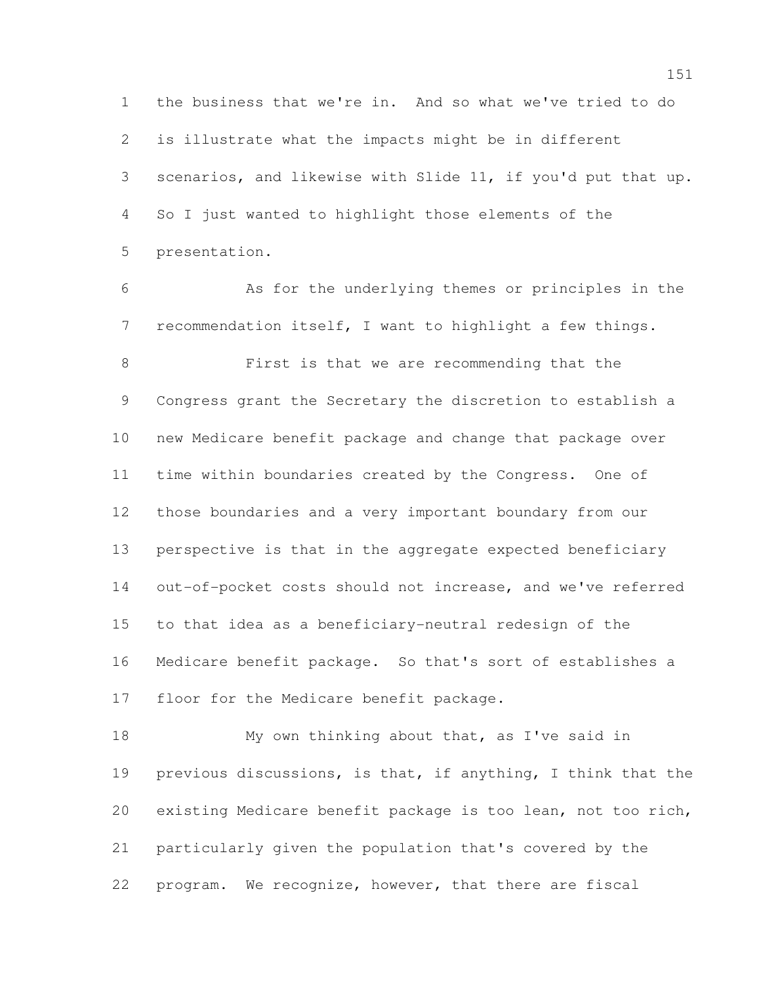the business that we're in. And so what we've tried to do is illustrate what the impacts might be in different scenarios, and likewise with Slide 11, if you'd put that up. So I just wanted to highlight those elements of the presentation.

 As for the underlying themes or principles in the recommendation itself, I want to highlight a few things. First is that we are recommending that the Congress grant the Secretary the discretion to establish a new Medicare benefit package and change that package over time within boundaries created by the Congress. One of those boundaries and a very important boundary from our perspective is that in the aggregate expected beneficiary out-of-pocket costs should not increase, and we've referred to that idea as a beneficiary-neutral redesign of the Medicare benefit package. So that's sort of establishes a 17 floor for the Medicare benefit package.

18 My own thinking about that, as I've said in previous discussions, is that, if anything, I think that the existing Medicare benefit package is too lean, not too rich, particularly given the population that's covered by the program. We recognize, however, that there are fiscal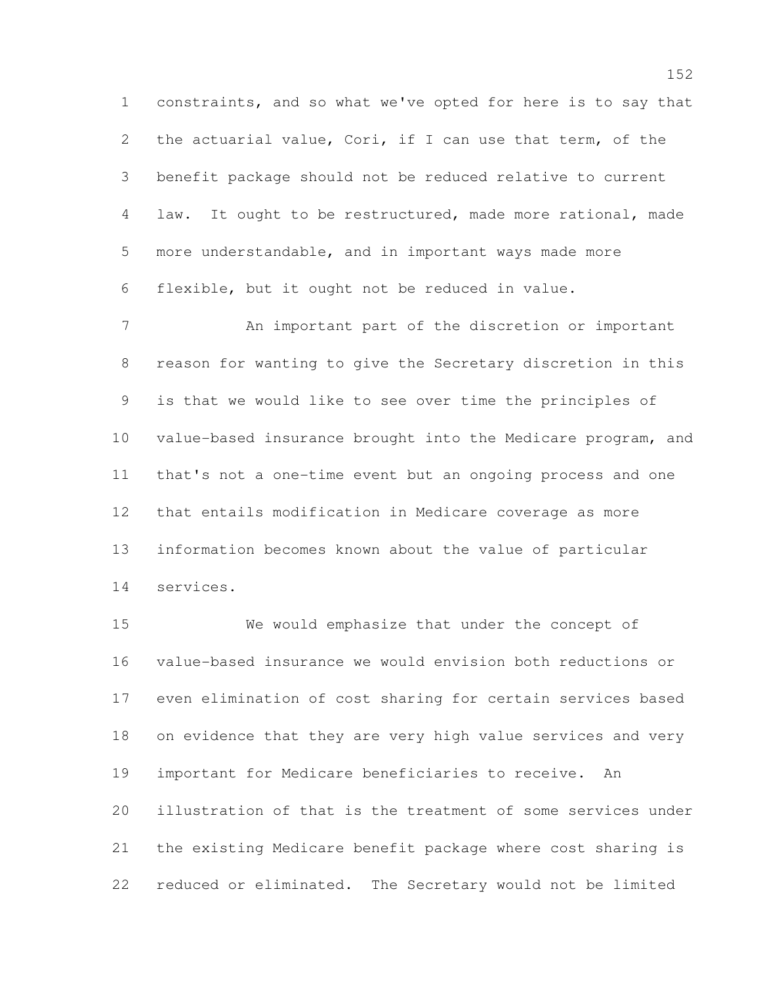constraints, and so what we've opted for here is to say that the actuarial value, Cori, if I can use that term, of the benefit package should not be reduced relative to current law. It ought to be restructured, made more rational, made more understandable, and in important ways made more flexible, but it ought not be reduced in value.

 An important part of the discretion or important reason for wanting to give the Secretary discretion in this is that we would like to see over time the principles of value-based insurance brought into the Medicare program, and that's not a one-time event but an ongoing process and one that entails modification in Medicare coverage as more information becomes known about the value of particular services.

 We would emphasize that under the concept of value-based insurance we would envision both reductions or even elimination of cost sharing for certain services based on evidence that they are very high value services and very important for Medicare beneficiaries to receive. An illustration of that is the treatment of some services under the existing Medicare benefit package where cost sharing is reduced or eliminated. The Secretary would not be limited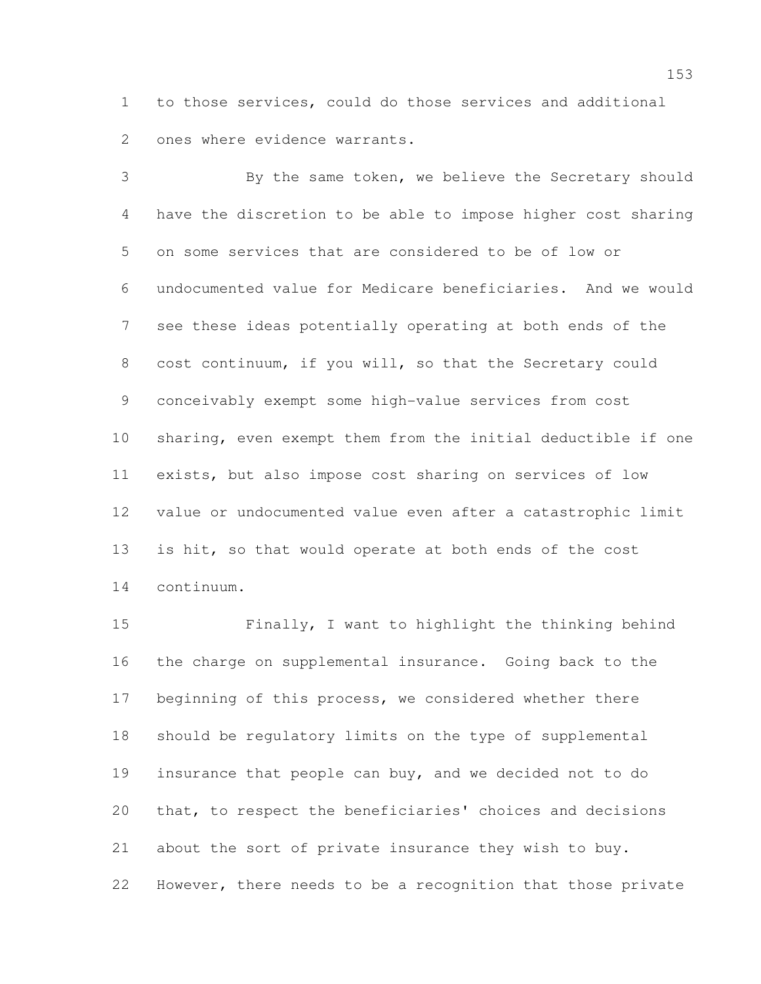to those services, could do those services and additional ones where evidence warrants.

 By the same token, we believe the Secretary should have the discretion to be able to impose higher cost sharing on some services that are considered to be of low or undocumented value for Medicare beneficiaries. And we would see these ideas potentially operating at both ends of the cost continuum, if you will, so that the Secretary could conceivably exempt some high-value services from cost sharing, even exempt them from the initial deductible if one exists, but also impose cost sharing on services of low value or undocumented value even after a catastrophic limit is hit, so that would operate at both ends of the cost continuum.

 Finally, I want to highlight the thinking behind the charge on supplemental insurance. Going back to the beginning of this process, we considered whether there should be regulatory limits on the type of supplemental insurance that people can buy, and we decided not to do that, to respect the beneficiaries' choices and decisions about the sort of private insurance they wish to buy. However, there needs to be a recognition that those private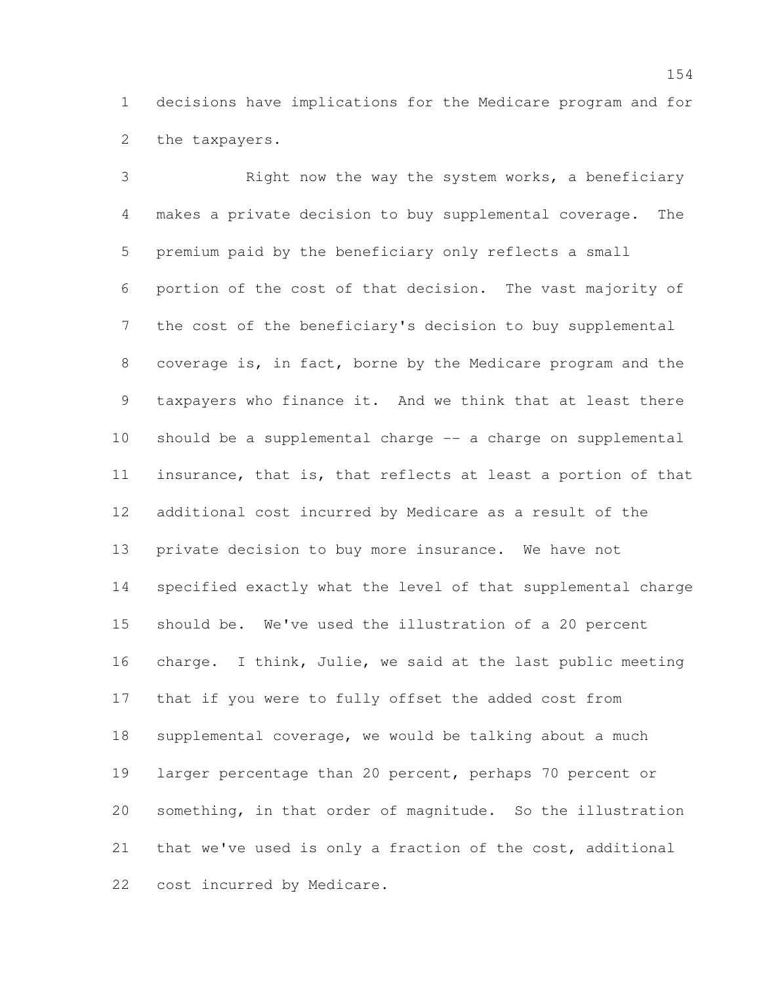decisions have implications for the Medicare program and for the taxpayers.

 Right now the way the system works, a beneficiary makes a private decision to buy supplemental coverage. The premium paid by the beneficiary only reflects a small portion of the cost of that decision. The vast majority of the cost of the beneficiary's decision to buy supplemental coverage is, in fact, borne by the Medicare program and the taxpayers who finance it. And we think that at least there should be a supplemental charge -- a charge on supplemental insurance, that is, that reflects at least a portion of that additional cost incurred by Medicare as a result of the private decision to buy more insurance. We have not specified exactly what the level of that supplemental charge should be. We've used the illustration of a 20 percent charge. I think, Julie, we said at the last public meeting that if you were to fully offset the added cost from supplemental coverage, we would be talking about a much larger percentage than 20 percent, perhaps 70 percent or something, in that order of magnitude. So the illustration that we've used is only a fraction of the cost, additional cost incurred by Medicare.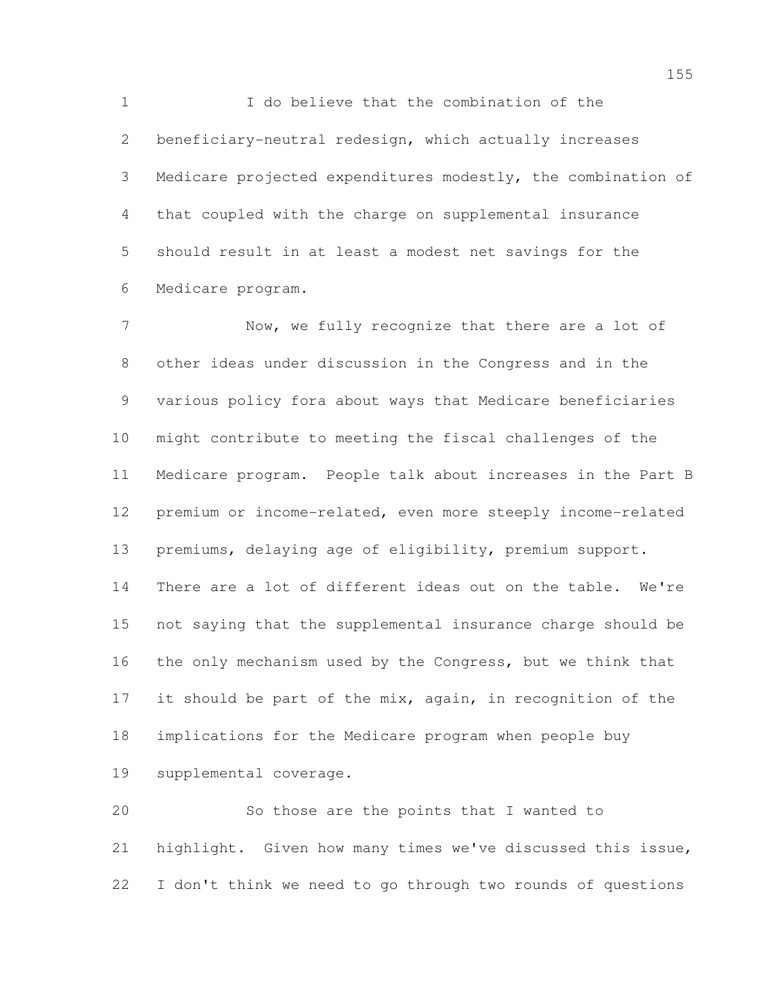I do believe that the combination of the beneficiary-neutral redesign, which actually increases Medicare projected expenditures modestly, the combination of that coupled with the charge on supplemental insurance should result in at least a modest net savings for the Medicare program.

 Now, we fully recognize that there are a lot of other ideas under discussion in the Congress and in the various policy fora about ways that Medicare beneficiaries might contribute to meeting the fiscal challenges of the Medicare program. People talk about increases in the Part B premium or income-related, even more steeply income-related premiums, delaying age of eligibility, premium support. There are a lot of different ideas out on the table. We're not saying that the supplemental insurance charge should be the only mechanism used by the Congress, but we think that 17 it should be part of the mix, again, in recognition of the implications for the Medicare program when people buy supplemental coverage.

 So those are the points that I wanted to highlight. Given how many times we've discussed this issue, I don't think we need to go through two rounds of questions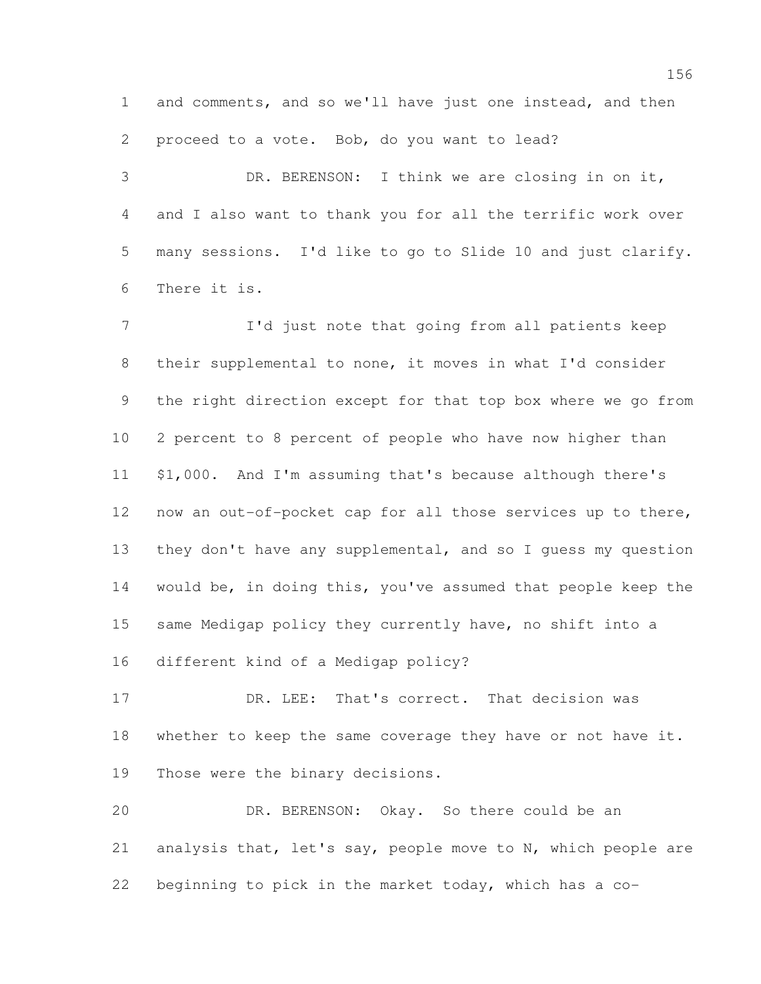and comments, and so we'll have just one instead, and then proceed to a vote. Bob, do you want to lead?

 DR. BERENSON: I think we are closing in on it, and I also want to thank you for all the terrific work over many sessions. I'd like to go to Slide 10 and just clarify. There it is.

 I'd just note that going from all patients keep their supplemental to none, it moves in what I'd consider the right direction except for that top box where we go from 2 percent to 8 percent of people who have now higher than \$1,000. And I'm assuming that's because although there's now an out-of-pocket cap for all those services up to there, they don't have any supplemental, and so I guess my question would be, in doing this, you've assumed that people keep the same Medigap policy they currently have, no shift into a different kind of a Medigap policy?

 DR. LEE: That's correct. That decision was 18 whether to keep the same coverage they have or not have it. Those were the binary decisions.

 DR. BERENSON: Okay. So there could be an analysis that, let's say, people move to N, which people are beginning to pick in the market today, which has a co-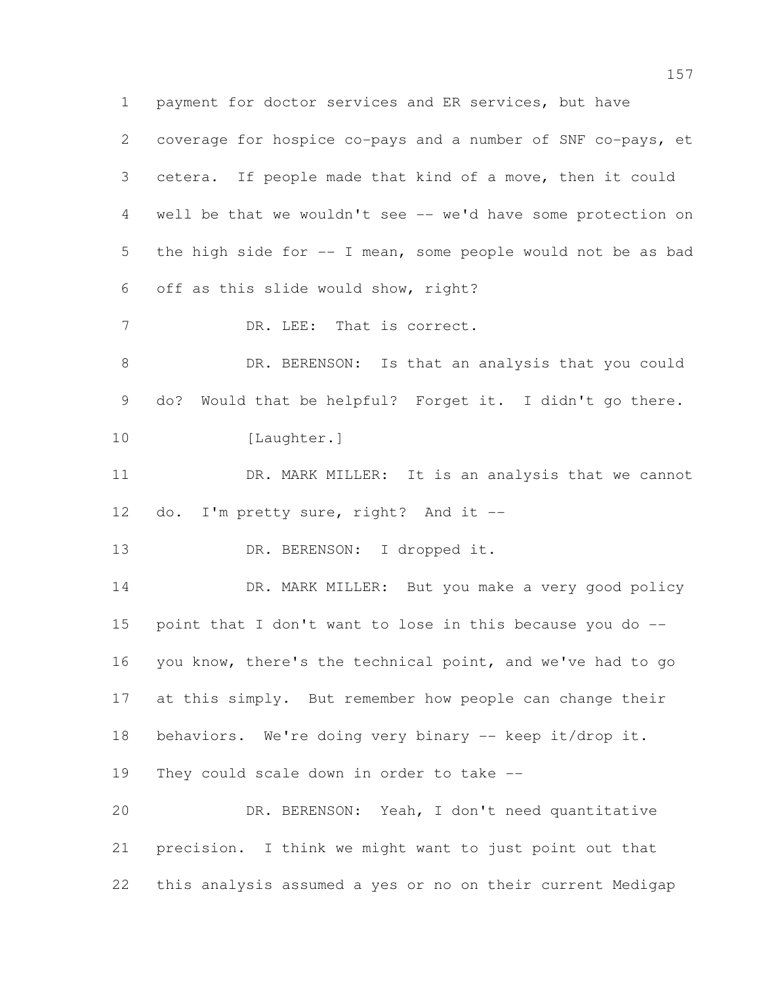payment for doctor services and ER services, but have coverage for hospice co-pays and a number of SNF co-pays, et cetera. If people made that kind of a move, then it could well be that we wouldn't see -- we'd have some protection on the high side for -- I mean, some people would not be as bad off as this slide would show, right? 7 DR. LEE: That is correct. DR. BERENSON: Is that an analysis that you could do? Would that be helpful? Forget it. I didn't go there. 10 [Laughter.]

 DR. MARK MILLER: It is an analysis that we cannot 12 do. I'm pretty sure, right? And it --

13 DR. BERENSON: I dropped it.

14 DR. MARK MILLER: But you make a very good policy point that I don't want to lose in this because you do -- you know, there's the technical point, and we've had to go at this simply. But remember how people can change their behaviors. We're doing very binary -- keep it/drop it. They could scale down in order to take -- DR. BERENSON: Yeah, I don't need quantitative

 precision. I think we might want to just point out that this analysis assumed a yes or no on their current Medigap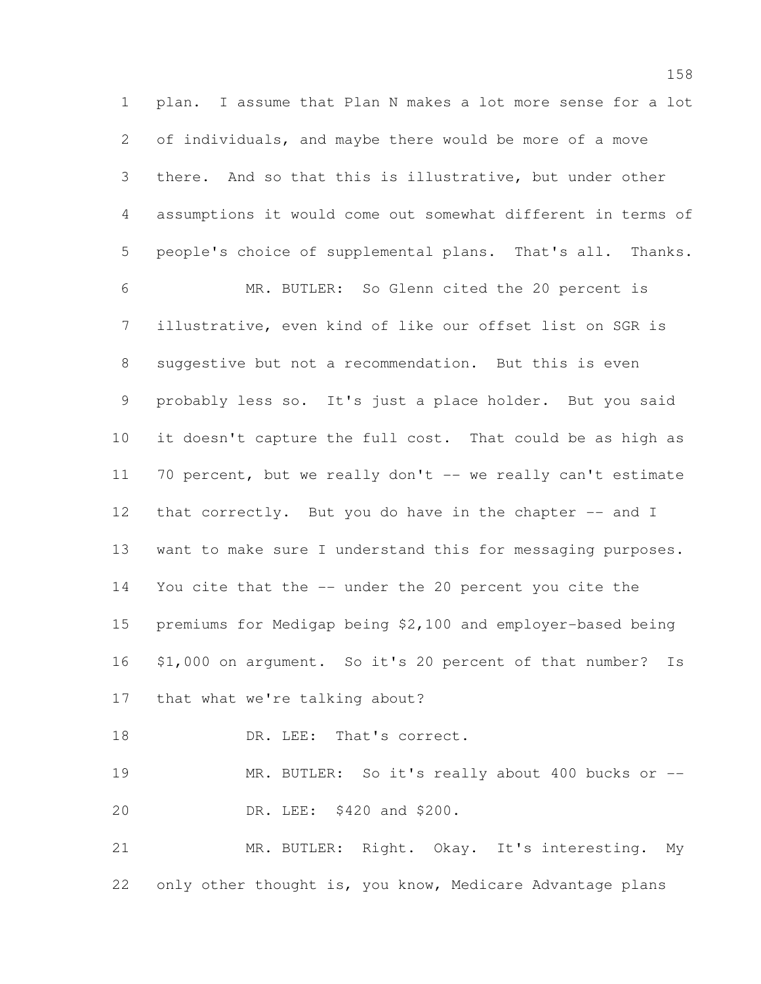plan. I assume that Plan N makes a lot more sense for a lot of individuals, and maybe there would be more of a move there. And so that this is illustrative, but under other assumptions it would come out somewhat different in terms of people's choice of supplemental plans. That's all. Thanks. MR. BUTLER: So Glenn cited the 20 percent is illustrative, even kind of like our offset list on SGR is suggestive but not a recommendation. But this is even probably less so. It's just a place holder. But you said it doesn't capture the full cost. That could be as high as 70 percent, but we really don't -- we really can't estimate 12 that correctly. But you do have in the chapter -- and I want to make sure I understand this for messaging purposes. You cite that the -- under the 20 percent you cite the premiums for Medigap being \$2,100 and employer-based being \$1,000 on argument. So it's 20 percent of that number? Is that what we're talking about? 18 DR. LEE: That's correct. MR. BUTLER: So it's really about 400 bucks or -- DR. LEE: \$420 and \$200.

 MR. BUTLER: Right. Okay. It's interesting. My only other thought is, you know, Medicare Advantage plans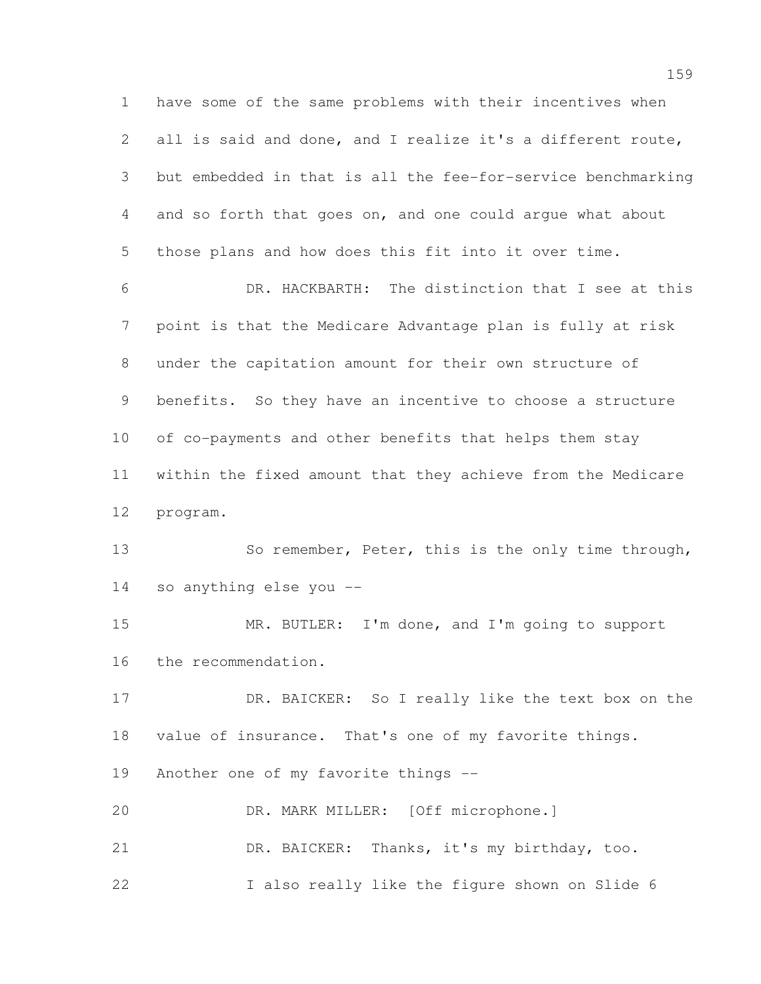have some of the same problems with their incentives when all is said and done, and I realize it's a different route, but embedded in that is all the fee-for-service benchmarking and so forth that goes on, and one could argue what about those plans and how does this fit into it over time.

 DR. HACKBARTH: The distinction that I see at this point is that the Medicare Advantage plan is fully at risk under the capitation amount for their own structure of benefits. So they have an incentive to choose a structure of co-payments and other benefits that helps them stay within the fixed amount that they achieve from the Medicare program.

13 So remember, Peter, this is the only time through, so anything else you --

 MR. BUTLER: I'm done, and I'm going to support the recommendation.

 DR. BAICKER: So I really like the text box on the value of insurance. That's one of my favorite things. Another one of my favorite things --

 DR. MARK MILLER: [Off microphone.] DR. BAICKER: Thanks, it's my birthday, too. 22 I also really like the figure shown on Slide 6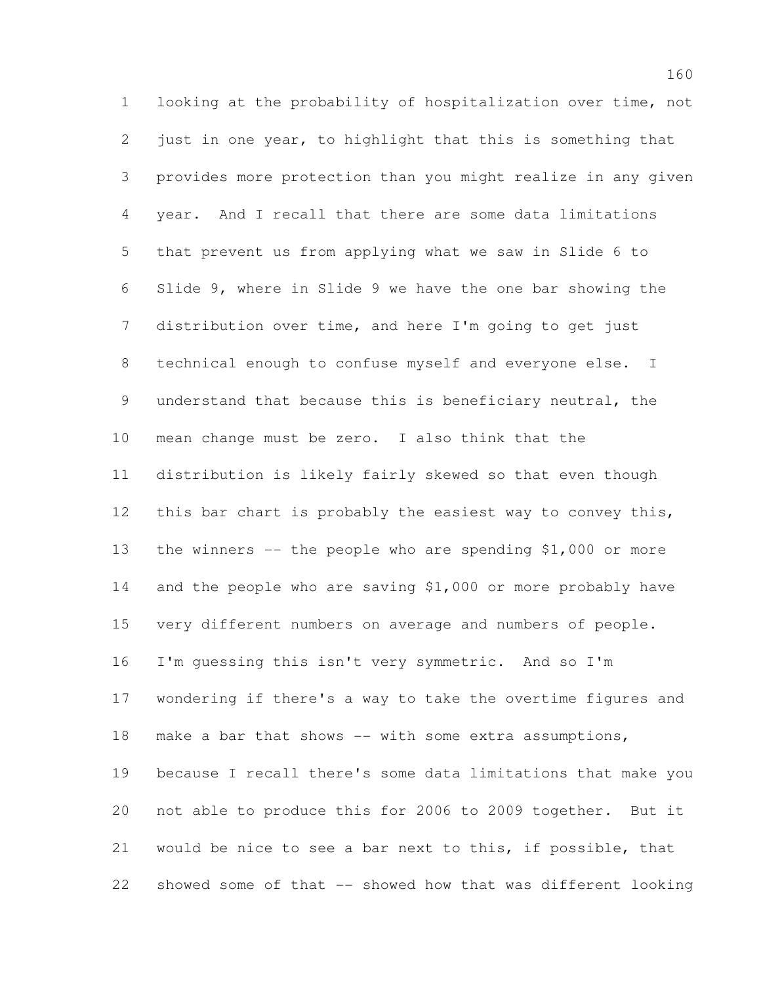looking at the probability of hospitalization over time, not just in one year, to highlight that this is something that provides more protection than you might realize in any given year. And I recall that there are some data limitations that prevent us from applying what we saw in Slide 6 to Slide 9, where in Slide 9 we have the one bar showing the distribution over time, and here I'm going to get just technical enough to confuse myself and everyone else. I understand that because this is beneficiary neutral, the mean change must be zero. I also think that the distribution is likely fairly skewed so that even though 12 this bar chart is probably the easiest way to convey this, the winners -- the people who are spending \$1,000 or more and the people who are saving \$1,000 or more probably have very different numbers on average and numbers of people. I'm guessing this isn't very symmetric. And so I'm wondering if there's a way to take the overtime figures and 18 make a bar that shows -- with some extra assumptions, because I recall there's some data limitations that make you not able to produce this for 2006 to 2009 together. But it would be nice to see a bar next to this, if possible, that showed some of that -- showed how that was different looking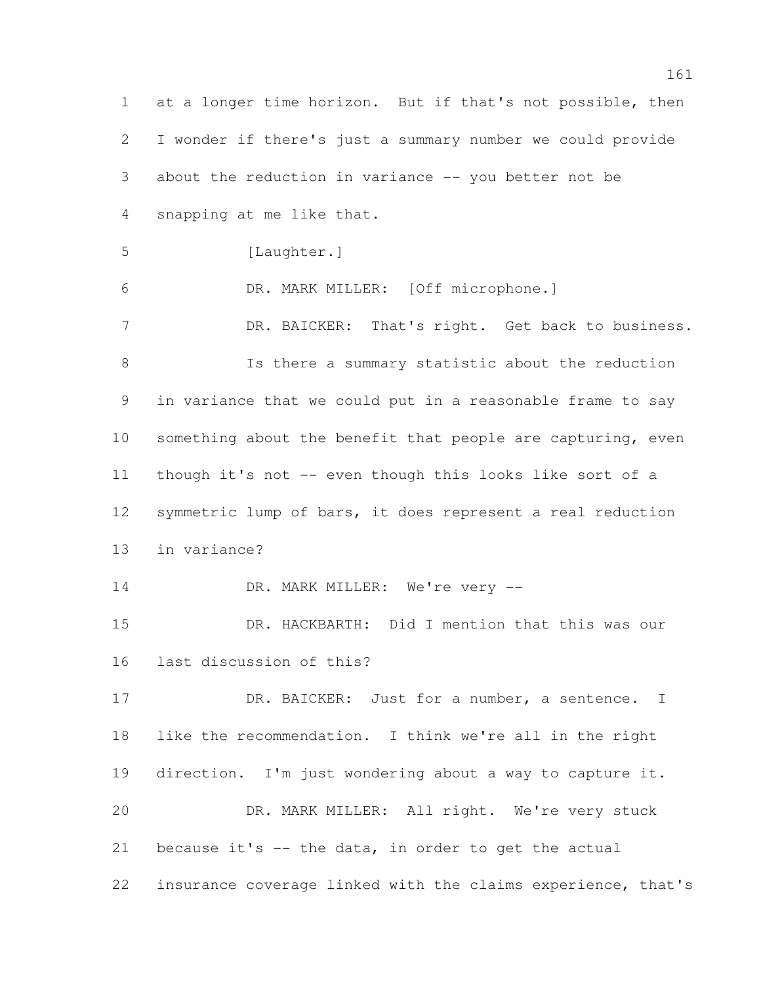at a longer time horizon. But if that's not possible, then I wonder if there's just a summary number we could provide about the reduction in variance -- you better not be snapping at me like that. [Laughter.] DR. MARK MILLER: [Off microphone.] 7 DR. BAICKER: That's right. Get back to business. **Is there a summary statistic about the reduction**  in variance that we could put in a reasonable frame to say 10 something about the benefit that people are capturing, even though it's not -- even though this looks like sort of a symmetric lump of bars, it does represent a real reduction in variance? 14 DR. MARK MILLER: We're very -- DR. HACKBARTH: Did I mention that this was our last discussion of this? 17 DR. BAICKER: Just for a number, a sentence. I like the recommendation. I think we're all in the right direction. I'm just wondering about a way to capture it. DR. MARK MILLER: All right. We're very stuck 21 because it's  $-$  the data, in order to get the actual insurance coverage linked with the claims experience, that's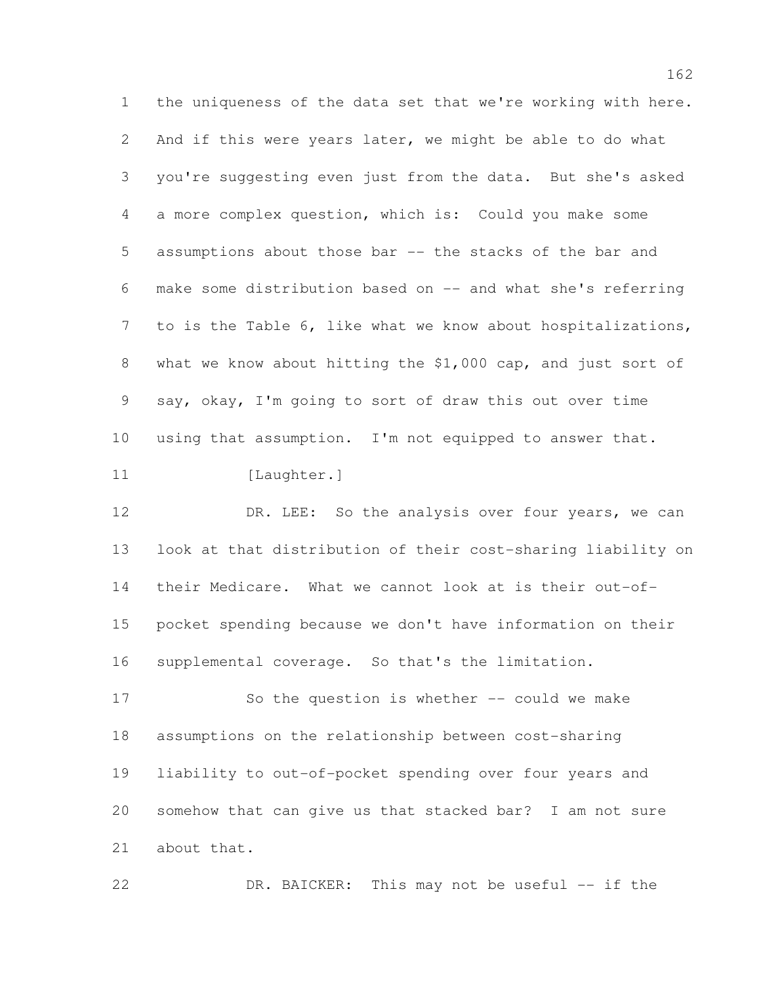the uniqueness of the data set that we're working with here. And if this were years later, we might be able to do what you're suggesting even just from the data. But she's asked a more complex question, which is: Could you make some assumptions about those bar -- the stacks of the bar and make some distribution based on -- and what she's referring to is the Table 6, like what we know about hospitalizations, what we know about hitting the \$1,000 cap, and just sort of say, okay, I'm going to sort of draw this out over time using that assumption. I'm not equipped to answer that. 11 [Laughter.]

12 DR. LEE: So the analysis over four years, we can look at that distribution of their cost-sharing liability on their Medicare. What we cannot look at is their out-of- pocket spending because we don't have information on their supplemental coverage. So that's the limitation.

 So the question is whether -- could we make assumptions on the relationship between cost-sharing liability to out-of-pocket spending over four years and somehow that can give us that stacked bar? I am not sure about that.

DR. BAICKER: This may not be useful -- if the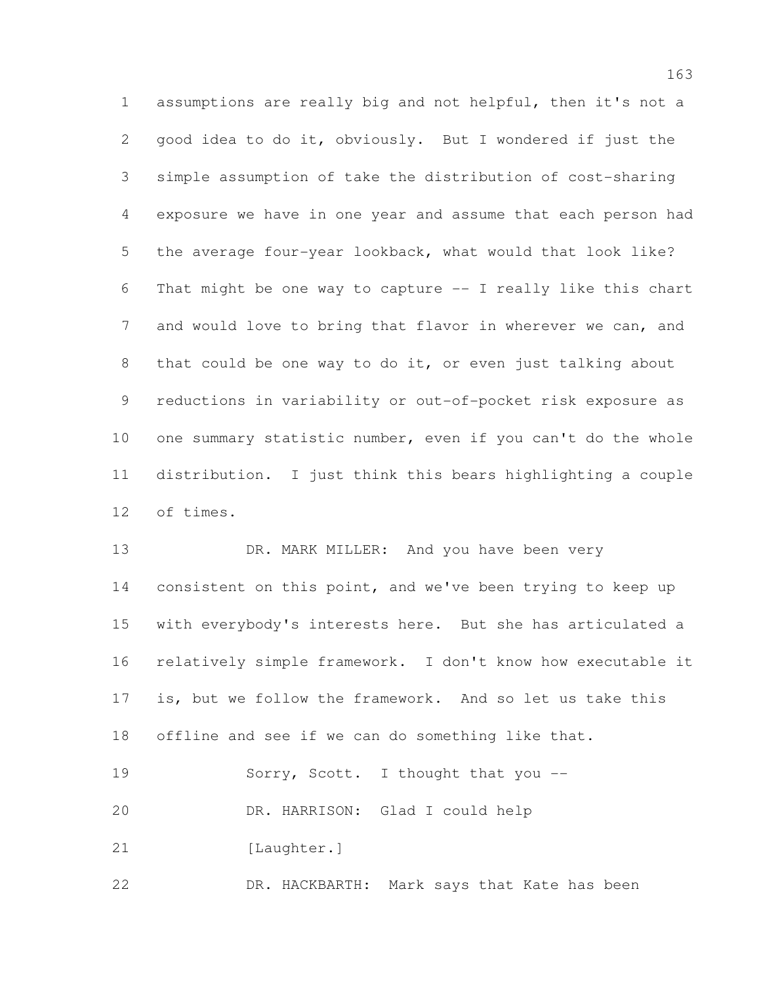assumptions are really big and not helpful, then it's not a good idea to do it, obviously. But I wondered if just the simple assumption of take the distribution of cost-sharing exposure we have in one year and assume that each person had the average four-year lookback, what would that look like? That might be one way to capture -- I really like this chart and would love to bring that flavor in wherever we can, and that could be one way to do it, or even just talking about reductions in variability or out-of-pocket risk exposure as one summary statistic number, even if you can't do the whole distribution. I just think this bears highlighting a couple of times.

13 DR. MARK MILLER: And you have been very 14 consistent on this point, and we've been trying to keep up with everybody's interests here. But she has articulated a relatively simple framework. I don't know how executable it is, but we follow the framework. And so let us take this offline and see if we can do something like that. 19 Sorry, Scott. I thought that you -- DR. HARRISON: Glad I could help 21 [Laughter.]

DR. HACKBARTH: Mark says that Kate has been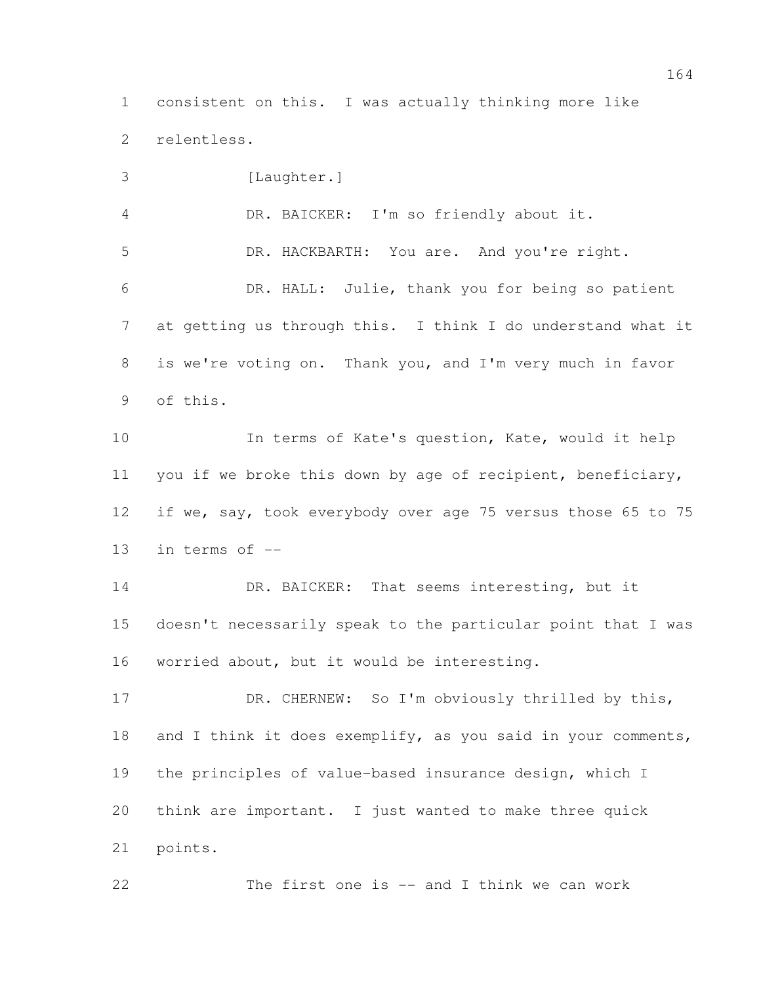consistent on this. I was actually thinking more like relentless.

 [Laughter.] DR. BAICKER: I'm so friendly about it. DR. HACKBARTH: You are. And you're right. DR. HALL: Julie, thank you for being so patient at getting us through this. I think I do understand what it is we're voting on. Thank you, and I'm very much in favor of this. In terms of Kate's question, Kate, would it help you if we broke this down by age of recipient, beneficiary, if we, say, took everybody over age 75 versus those 65 to 75 in terms of --

14 DR. BAICKER: That seems interesting, but it doesn't necessarily speak to the particular point that I was worried about, but it would be interesting.

17 DR. CHERNEW: So I'm obviously thrilled by this, and I think it does exemplify, as you said in your comments, the principles of value-based insurance design, which I think are important. I just wanted to make three quick points.

The first one is -- and I think we can work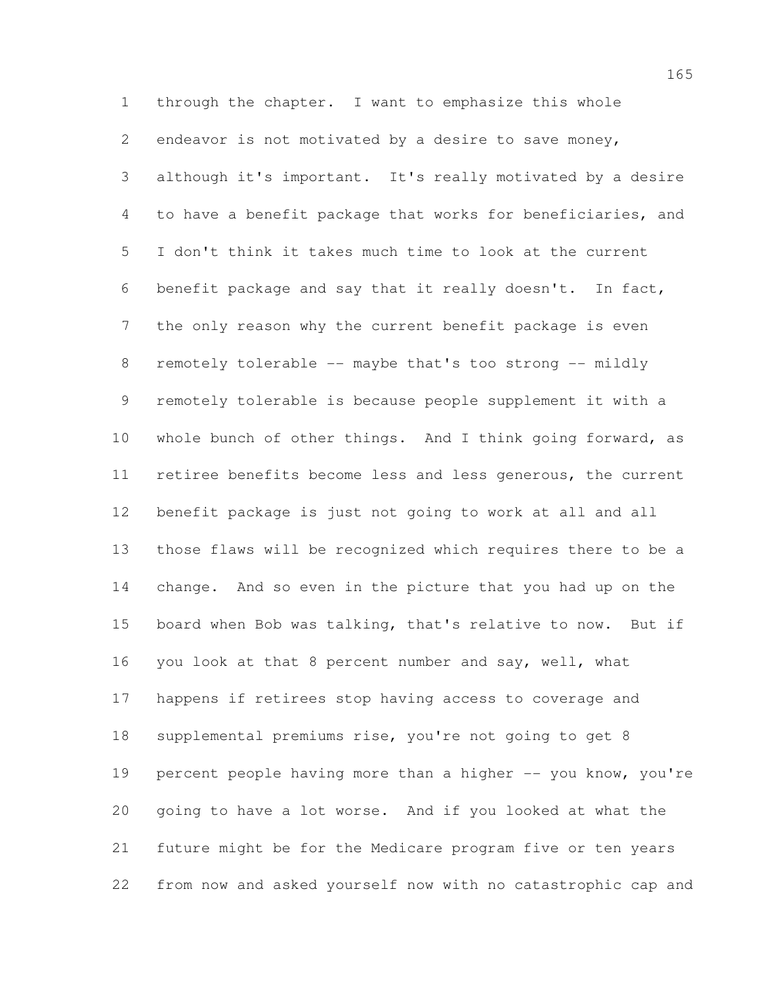through the chapter. I want to emphasize this whole endeavor is not motivated by a desire to save money, although it's important. It's really motivated by a desire to have a benefit package that works for beneficiaries, and I don't think it takes much time to look at the current benefit package and say that it really doesn't. In fact, the only reason why the current benefit package is even 8 remotely tolerable -- maybe that's too strong -- mildly remotely tolerable is because people supplement it with a 10 whole bunch of other things. And I think going forward, as retiree benefits become less and less generous, the current benefit package is just not going to work at all and all those flaws will be recognized which requires there to be a change. And so even in the picture that you had up on the board when Bob was talking, that's relative to now. But if you look at that 8 percent number and say, well, what happens if retirees stop having access to coverage and supplemental premiums rise, you're not going to get 8 19 percent people having more than a higher -- you know, you're going to have a lot worse. And if you looked at what the future might be for the Medicare program five or ten years from now and asked yourself now with no catastrophic cap and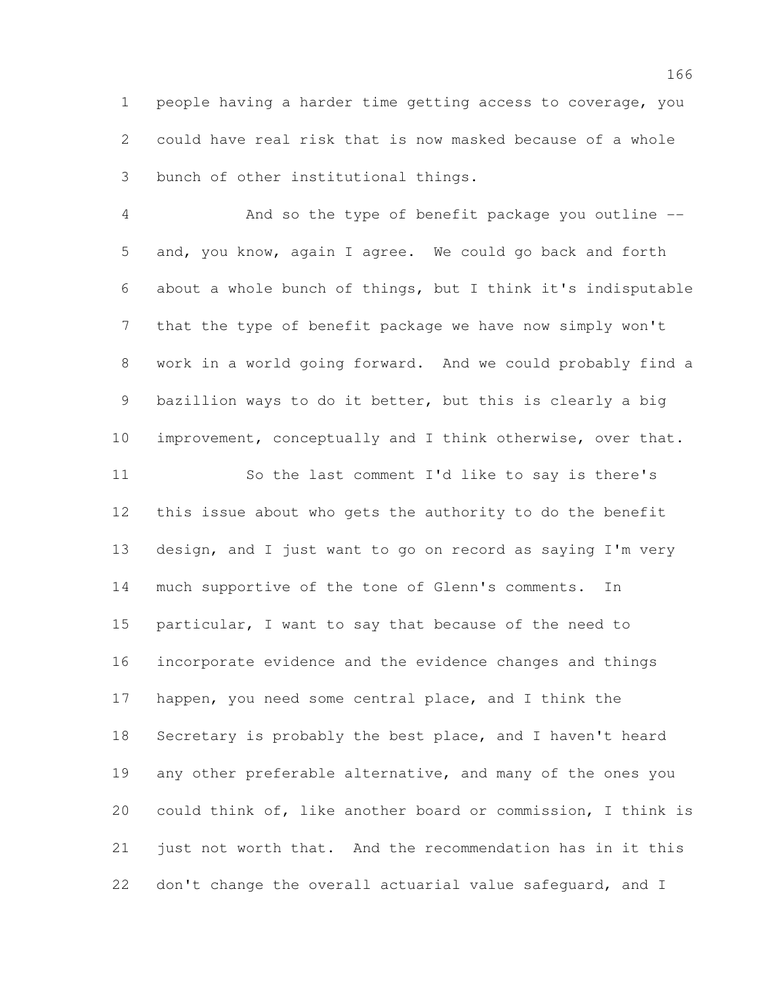people having a harder time getting access to coverage, you could have real risk that is now masked because of a whole bunch of other institutional things.

 And so the type of benefit package you outline -- and, you know, again I agree. We could go back and forth about a whole bunch of things, but I think it's indisputable that the type of benefit package we have now simply won't work in a world going forward. And we could probably find a bazillion ways to do it better, but this is clearly a big improvement, conceptually and I think otherwise, over that.

 So the last comment I'd like to say is there's this issue about who gets the authority to do the benefit design, and I just want to go on record as saying I'm very much supportive of the tone of Glenn's comments. In particular, I want to say that because of the need to incorporate evidence and the evidence changes and things happen, you need some central place, and I think the Secretary is probably the best place, and I haven't heard 19 any other preferable alternative, and many of the ones you could think of, like another board or commission, I think is just not worth that. And the recommendation has in it this 22 don't change the overall actuarial value safeguard, and I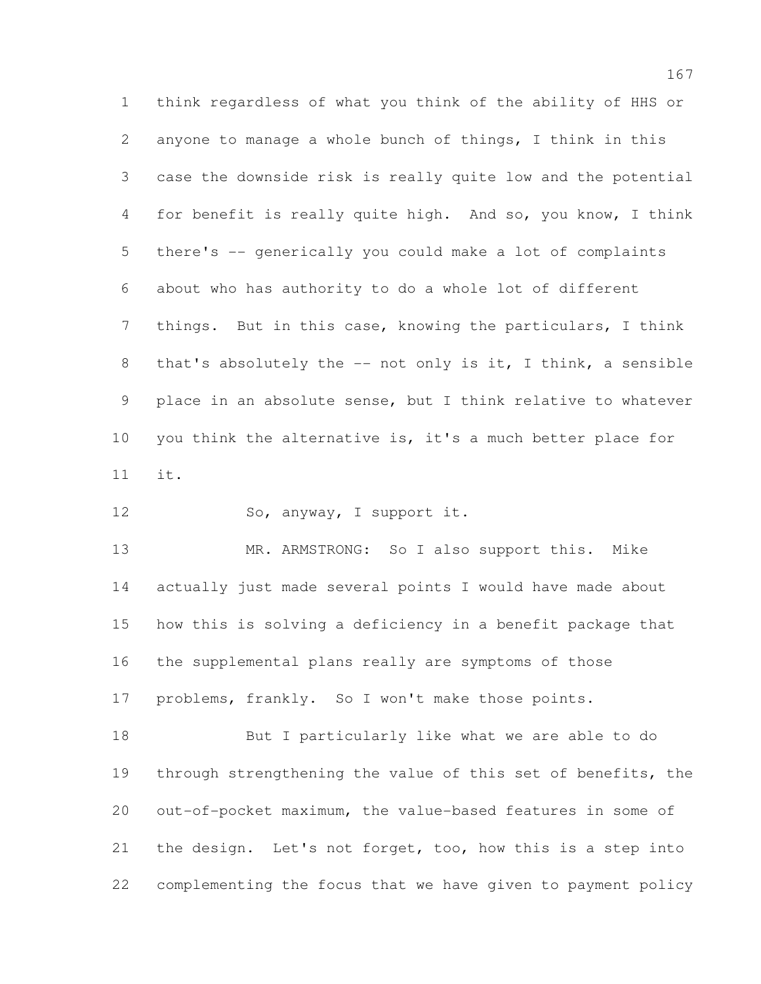think regardless of what you think of the ability of HHS or anyone to manage a whole bunch of things, I think in this case the downside risk is really quite low and the potential for benefit is really quite high. And so, you know, I think there's -- generically you could make a lot of complaints about who has authority to do a whole lot of different things. But in this case, knowing the particulars, I think that's absolutely the -- not only is it, I think, a sensible place in an absolute sense, but I think relative to whatever you think the alternative is, it's a much better place for it.

12 So, anyway, I support it.

 MR. ARMSTRONG: So I also support this. Mike actually just made several points I would have made about how this is solving a deficiency in a benefit package that the supplemental plans really are symptoms of those problems, frankly. So I won't make those points.

 But I particularly like what we are able to do through strengthening the value of this set of benefits, the out-of-pocket maximum, the value-based features in some of the design. Let's not forget, too, how this is a step into complementing the focus that we have given to payment policy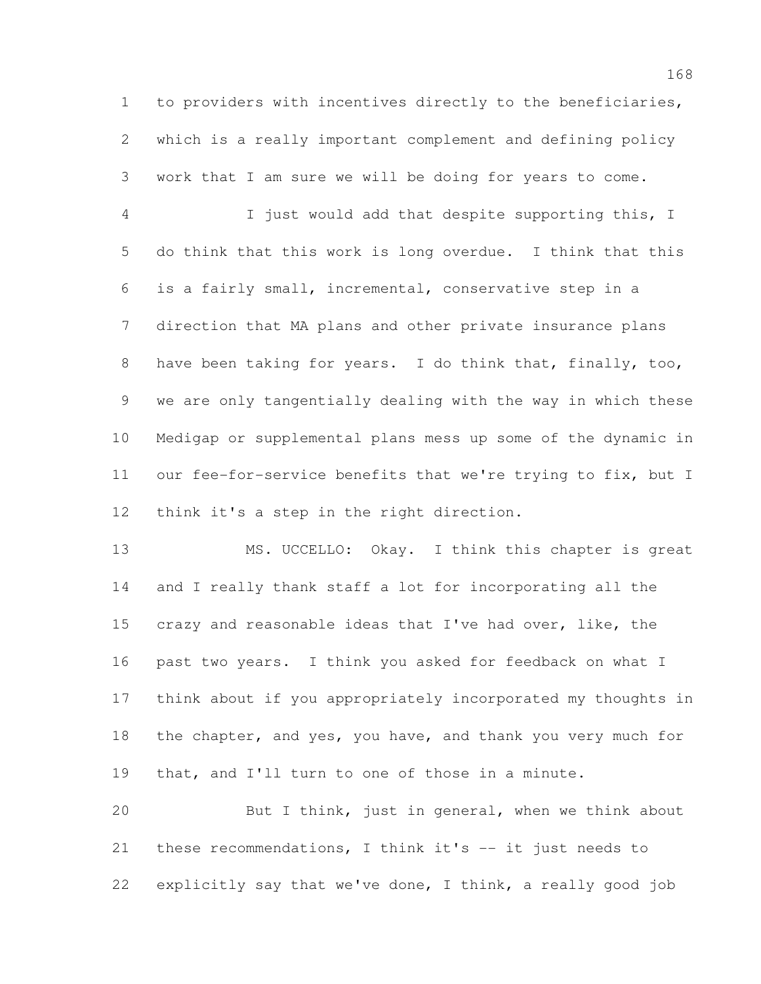to providers with incentives directly to the beneficiaries, which is a really important complement and defining policy work that I am sure we will be doing for years to come.

 I just would add that despite supporting this, I do think that this work is long overdue. I think that this is a fairly small, incremental, conservative step in a direction that MA plans and other private insurance plans have been taking for years. I do think that, finally, too, we are only tangentially dealing with the way in which these Medigap or supplemental plans mess up some of the dynamic in our fee-for-service benefits that we're trying to fix, but I think it's a step in the right direction.

 MS. UCCELLO: Okay. I think this chapter is great and I really thank staff a lot for incorporating all the crazy and reasonable ideas that I've had over, like, the past two years. I think you asked for feedback on what I think about if you appropriately incorporated my thoughts in the chapter, and yes, you have, and thank you very much for that, and I'll turn to one of those in a minute.

 But I think, just in general, when we think about these recommendations, I think it's -- it just needs to explicitly say that we've done, I think, a really good job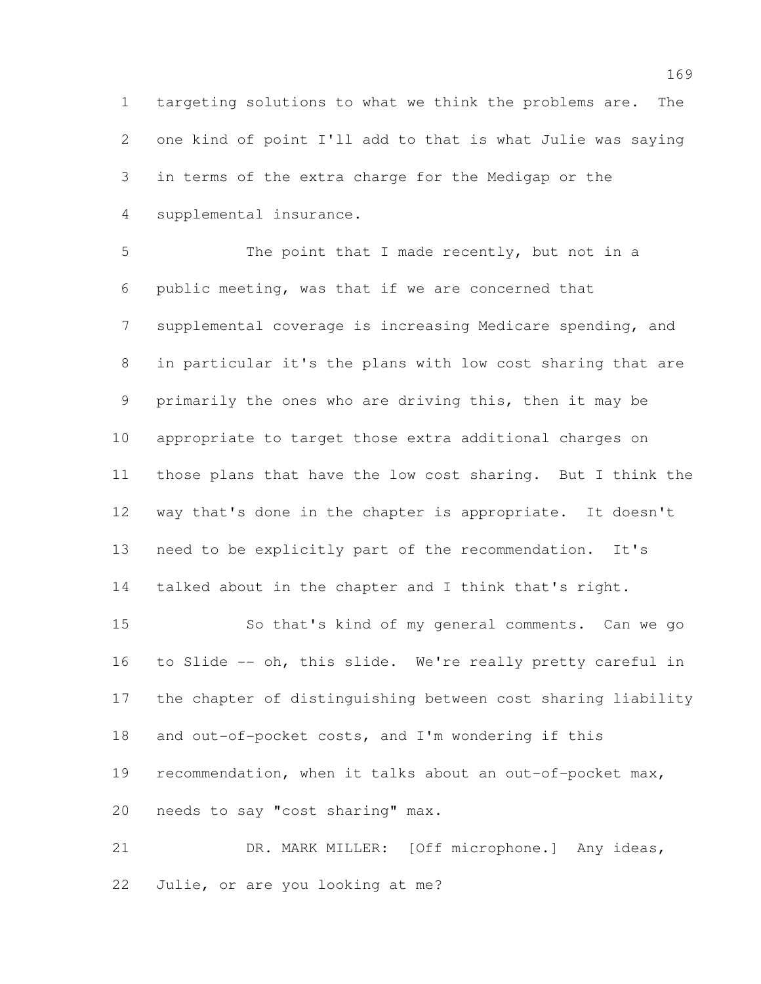targeting solutions to what we think the problems are. The one kind of point I'll add to that is what Julie was saying in terms of the extra charge for the Medigap or the supplemental insurance.

 The point that I made recently, but not in a public meeting, was that if we are concerned that supplemental coverage is increasing Medicare spending, and in particular it's the plans with low cost sharing that are primarily the ones who are driving this, then it may be appropriate to target those extra additional charges on those plans that have the low cost sharing. But I think the way that's done in the chapter is appropriate. It doesn't need to be explicitly part of the recommendation. It's talked about in the chapter and I think that's right.

 So that's kind of my general comments. Can we go to Slide -- oh, this slide. We're really pretty careful in the chapter of distinguishing between cost sharing liability and out-of-pocket costs, and I'm wondering if this recommendation, when it talks about an out-of-pocket max, needs to say "cost sharing" max.

 DR. MARK MILLER: [Off microphone.] Any ideas, Julie, or are you looking at me?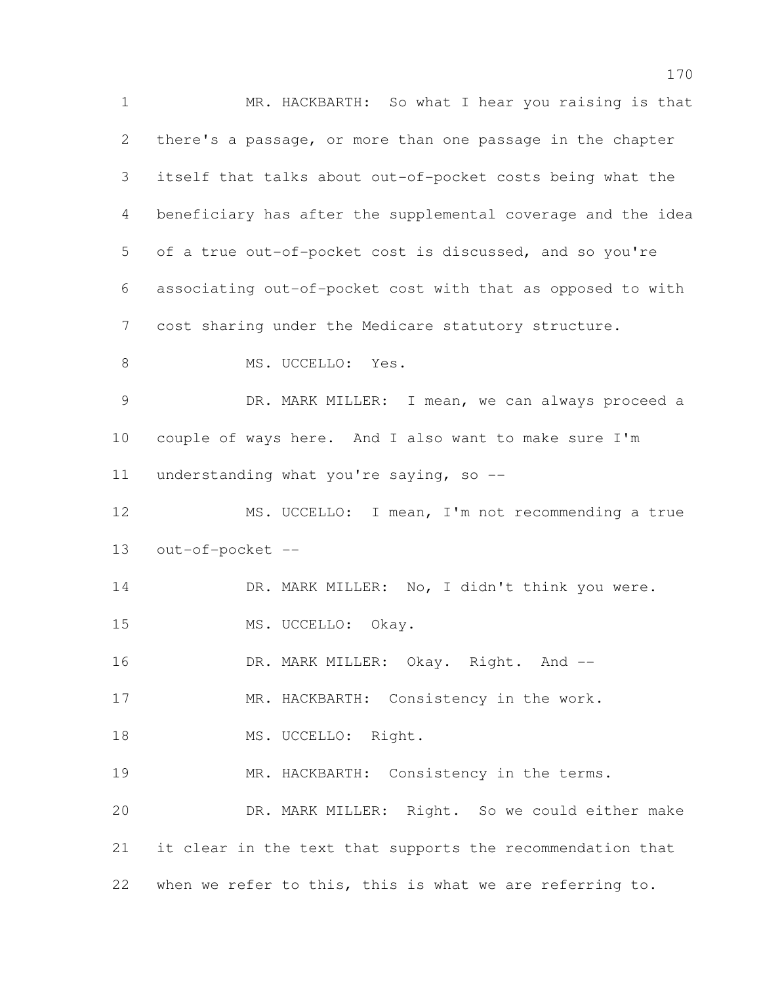MR. HACKBARTH: So what I hear you raising is that there's a passage, or more than one passage in the chapter itself that talks about out-of-pocket costs being what the beneficiary has after the supplemental coverage and the idea of a true out-of-pocket cost is discussed, and so you're associating out-of-pocket cost with that as opposed to with cost sharing under the Medicare statutory structure. 8 MS. UCCELLO: Yes. DR. MARK MILLER: I mean, we can always proceed a couple of ways here. And I also want to make sure I'm understanding what you're saying, so -- MS. UCCELLO: I mean, I'm not recommending a true out-of-pocket -- 14 DR. MARK MILLER: No, I didn't think you were. 15 MS. UCCELLO: Okay. 16 DR. MARK MILLER: Okay. Right. And -- MR. HACKBARTH: Consistency in the work. 18 MS. UCCELLO: Right. 19 MR. HACKBARTH: Consistency in the terms. DR. MARK MILLER: Right. So we could either make it clear in the text that supports the recommendation that when we refer to this, this is what we are referring to.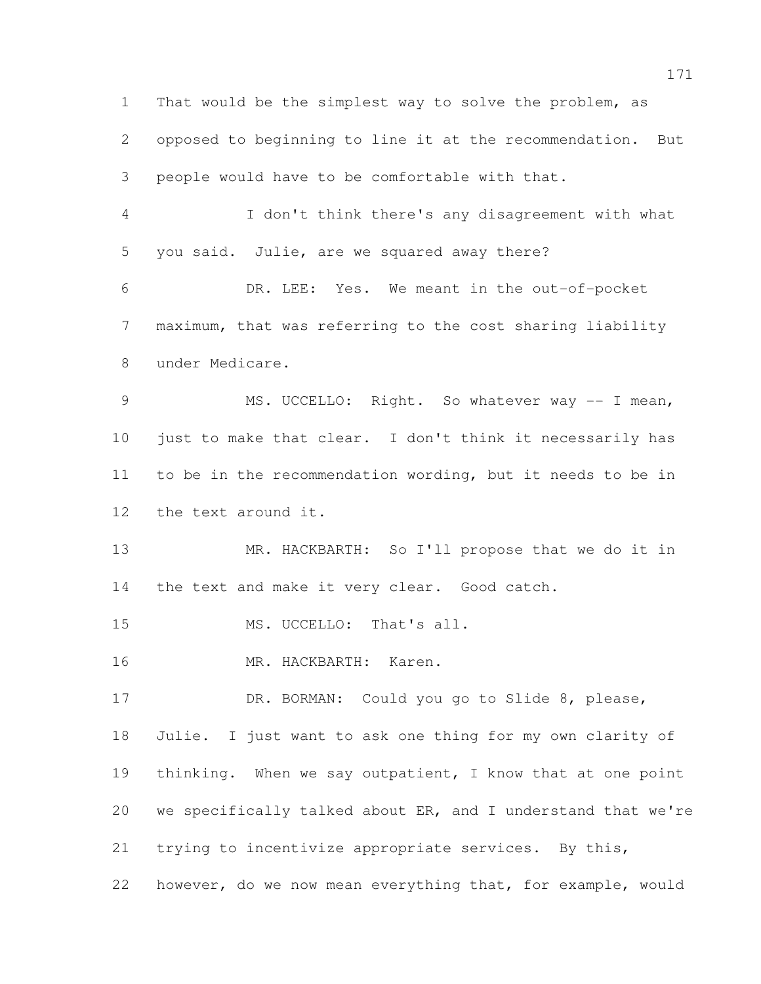That would be the simplest way to solve the problem, as opposed to beginning to line it at the recommendation. But people would have to be comfortable with that. I don't think there's any disagreement with what you said. Julie, are we squared away there? DR. LEE: Yes. We meant in the out-of-pocket maximum, that was referring to the cost sharing liability under Medicare. MS. UCCELLO: Right. So whatever way -- I mean, just to make that clear. I don't think it necessarily has to be in the recommendation wording, but it needs to be in the text around it. MR. HACKBARTH: So I'll propose that we do it in the text and make it very clear. Good catch. 15 MS. UCCELLO: That's all. MR. HACKBARTH: Karen. 17 DR. BORMAN: Could you go to Slide 8, please, Julie. I just want to ask one thing for my own clarity of 19 thinking. When we say outpatient, I know that at one point we specifically talked about ER, and I understand that we're trying to incentivize appropriate services. By this, however, do we now mean everything that, for example, would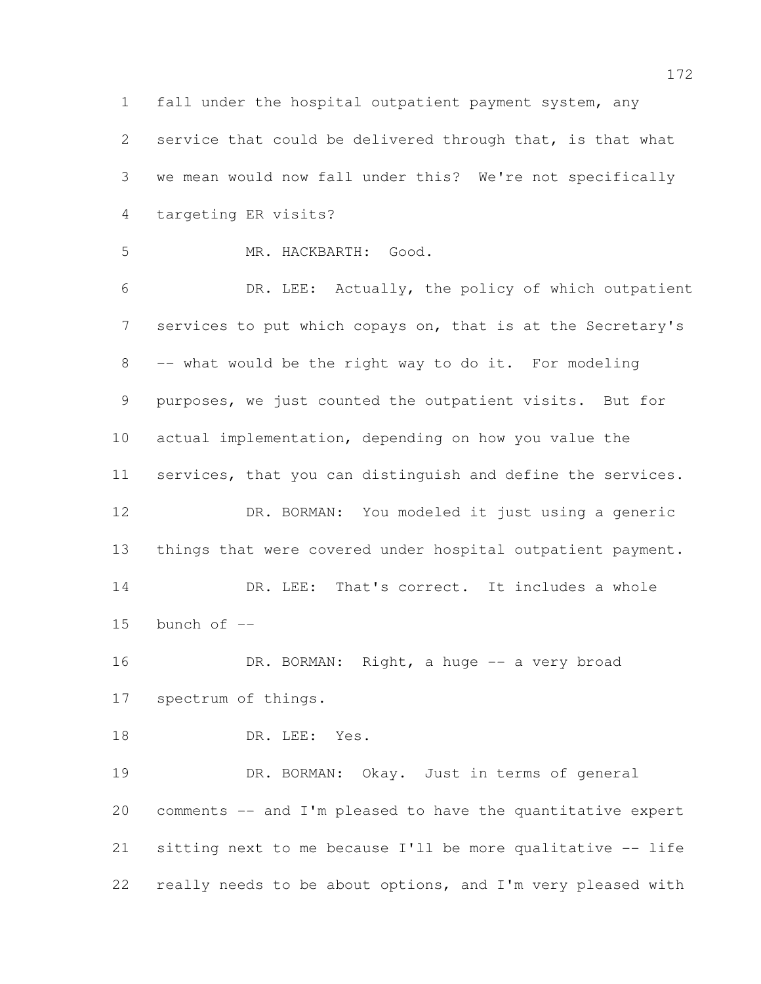fall under the hospital outpatient payment system, any service that could be delivered through that, is that what we mean would now fall under this? We're not specifically targeting ER visits?

MR. HACKBARTH: Good.

 DR. LEE: Actually, the policy of which outpatient services to put which copays on, that is at the Secretary's -- what would be the right way to do it. For modeling purposes, we just counted the outpatient visits. But for actual implementation, depending on how you value the services, that you can distinguish and define the services. DR. BORMAN: You modeled it just using a generic things that were covered under hospital outpatient payment. 14 DR. LEE: That's correct. It includes a whole bunch of  $-$ 16 DR. BORMAN: Right, a huge -- a very broad spectrum of things. 18 DR. LEE: Yes. DR. BORMAN: Okay. Just in terms of general

 comments -- and I'm pleased to have the quantitative expert sitting next to me because I'll be more qualitative -- life really needs to be about options, and I'm very pleased with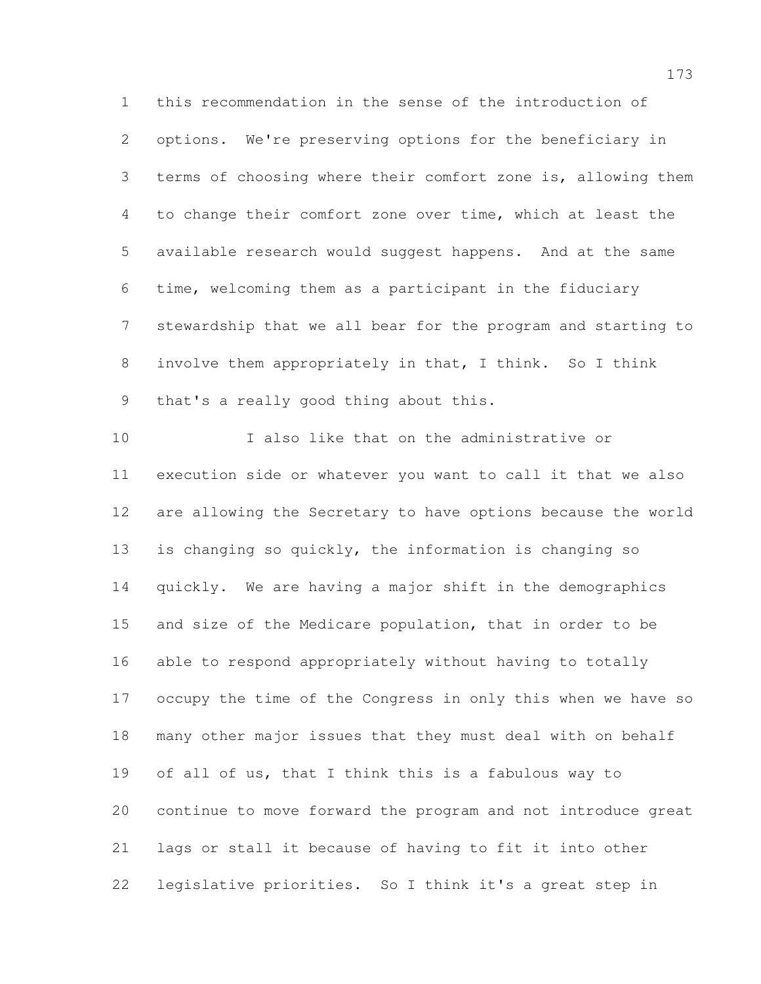this recommendation in the sense of the introduction of options. We're preserving options for the beneficiary in terms of choosing where their comfort zone is, allowing them to change their comfort zone over time, which at least the available research would suggest happens. And at the same time, welcoming them as a participant in the fiduciary stewardship that we all bear for the program and starting to involve them appropriately in that, I think. So I think that's a really good thing about this.

 I also like that on the administrative or execution side or whatever you want to call it that we also are allowing the Secretary to have options because the world is changing so quickly, the information is changing so quickly. We are having a major shift in the demographics and size of the Medicare population, that in order to be able to respond appropriately without having to totally occupy the time of the Congress in only this when we have so many other major issues that they must deal with on behalf of all of us, that I think this is a fabulous way to continue to move forward the program and not introduce great lags or stall it because of having to fit it into other legislative priorities. So I think it's a great step in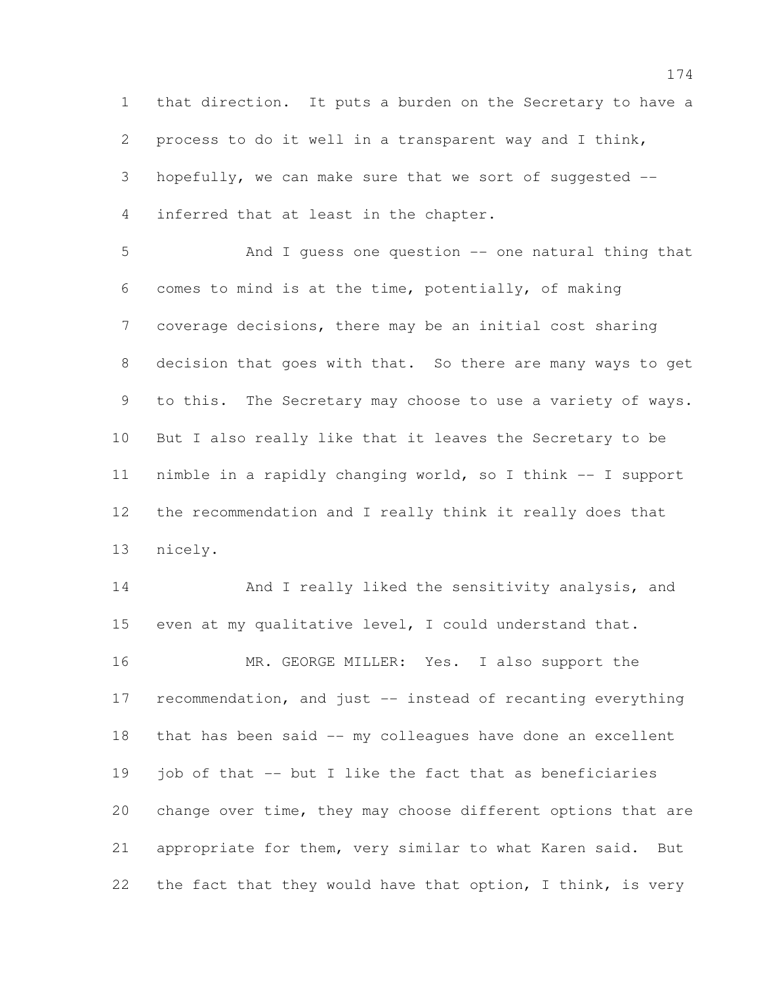that direction. It puts a burden on the Secretary to have a process to do it well in a transparent way and I think, hopefully, we can make sure that we sort of suggested -- inferred that at least in the chapter.

 And I guess one question -- one natural thing that comes to mind is at the time, potentially, of making coverage decisions, there may be an initial cost sharing decision that goes with that. So there are many ways to get to this. The Secretary may choose to use a variety of ways. But I also really like that it leaves the Secretary to be nimble in a rapidly changing world, so I think -- I support the recommendation and I really think it really does that nicely.

14 And I really liked the sensitivity analysis, and even at my qualitative level, I could understand that. 16 MR. GEORGE MILLER: Yes. I also support the recommendation, and just -- instead of recanting everything that has been said -- my colleagues have done an excellent job of that -- but I like the fact that as beneficiaries change over time, they may choose different options that are appropriate for them, very similar to what Karen said. But 22 the fact that they would have that option, I think, is very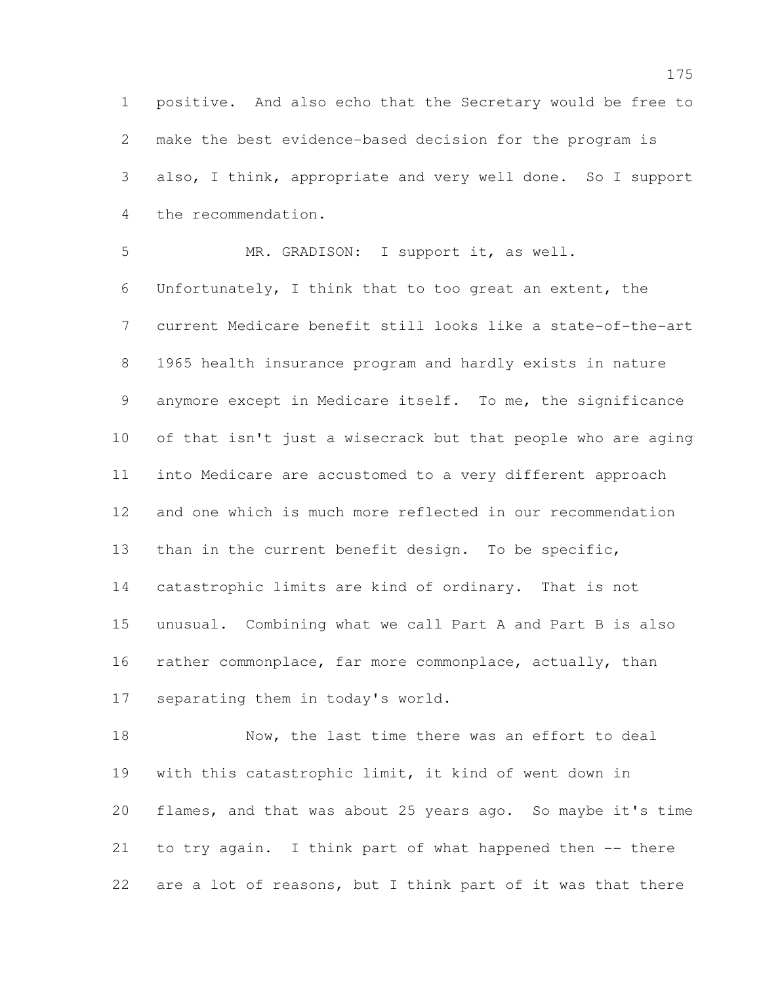positive. And also echo that the Secretary would be free to make the best evidence-based decision for the program is also, I think, appropriate and very well done. So I support the recommendation.

 MR. GRADISON: I support it, as well. Unfortunately, I think that to too great an extent, the current Medicare benefit still looks like a state-of-the-art 1965 health insurance program and hardly exists in nature anymore except in Medicare itself. To me, the significance of that isn't just a wisecrack but that people who are aging into Medicare are accustomed to a very different approach and one which is much more reflected in our recommendation than in the current benefit design. To be specific, catastrophic limits are kind of ordinary. That is not unusual. Combining what we call Part A and Part B is also rather commonplace, far more commonplace, actually, than separating them in today's world.

18 Now, the last time there was an effort to deal with this catastrophic limit, it kind of went down in flames, and that was about 25 years ago. So maybe it's time to try again. I think part of what happened then -- there are a lot of reasons, but I think part of it was that there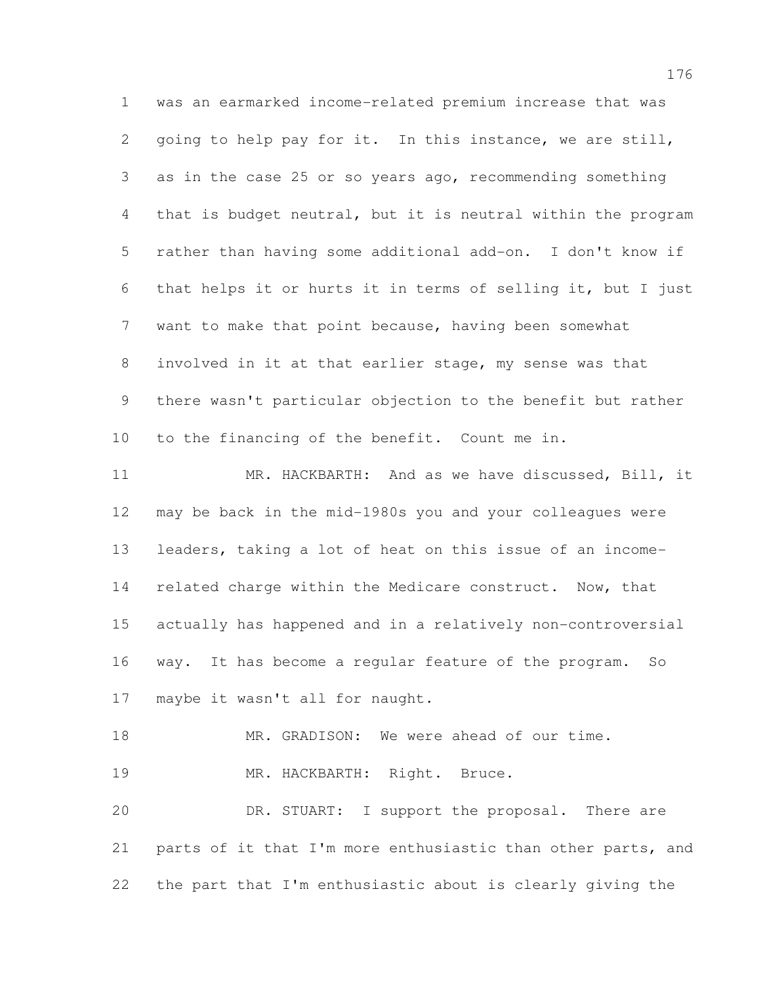was an earmarked income-related premium increase that was going to help pay for it. In this instance, we are still, as in the case 25 or so years ago, recommending something that is budget neutral, but it is neutral within the program rather than having some additional add-on. I don't know if that helps it or hurts it in terms of selling it, but I just want to make that point because, having been somewhat involved in it at that earlier stage, my sense was that there wasn't particular objection to the benefit but rather to the financing of the benefit. Count me in. MR. HACKBARTH: And as we have discussed, Bill, it may be back in the mid-1980s you and your colleagues were leaders, taking a lot of heat on this issue of an income-14 related charge within the Medicare construct. Now, that actually has happened and in a relatively non-controversial way. It has become a regular feature of the program. So maybe it wasn't all for naught. 18 MR. GRADISON: We were ahead of our time. 19 MR. HACKBARTH: Right. Bruce. DR. STUART: I support the proposal. There are parts of it that I'm more enthusiastic than other parts, and the part that I'm enthusiastic about is clearly giving the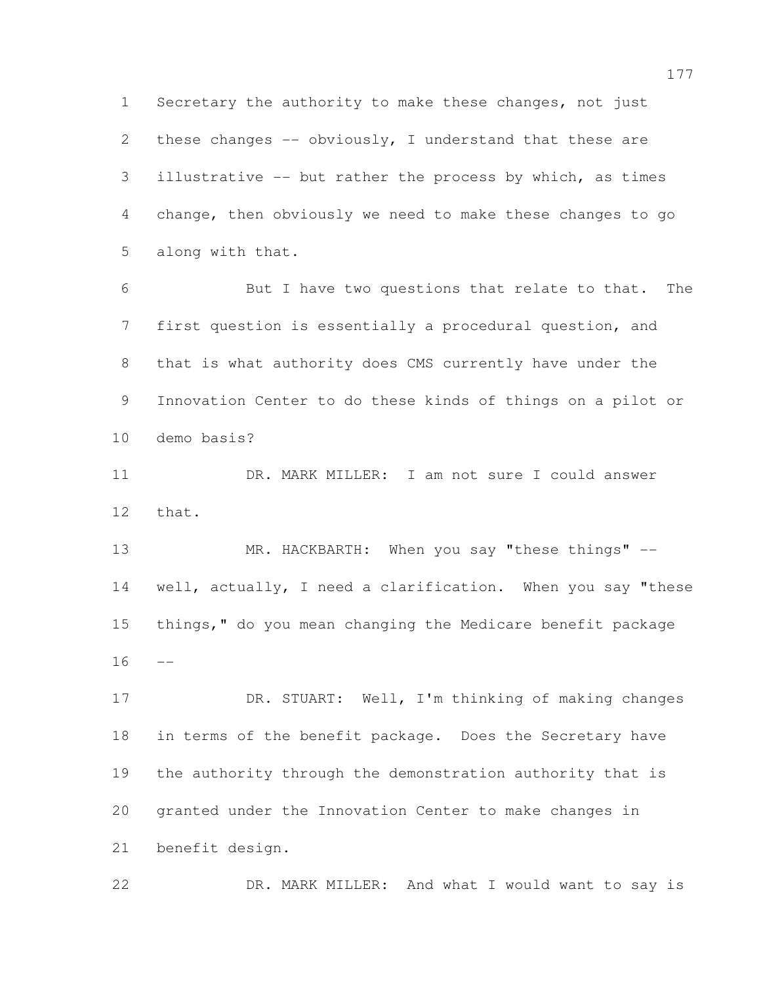Secretary the authority to make these changes, not just these changes -- obviously, I understand that these are illustrative -- but rather the process by which, as times change, then obviously we need to make these changes to go along with that.

 But I have two questions that relate to that. The first question is essentially a procedural question, and that is what authority does CMS currently have under the Innovation Center to do these kinds of things on a pilot or demo basis?

 DR. MARK MILLER: I am not sure I could answer that.

13 MR. HACKBARTH: When you say "these things" -- well, actually, I need a clarification. When you say "these things," do you mean changing the Medicare benefit package  $16 - -$ 

 DR. STUART: Well, I'm thinking of making changes in terms of the benefit package. Does the Secretary have the authority through the demonstration authority that is granted under the Innovation Center to make changes in benefit design.

DR. MARK MILLER: And what I would want to say is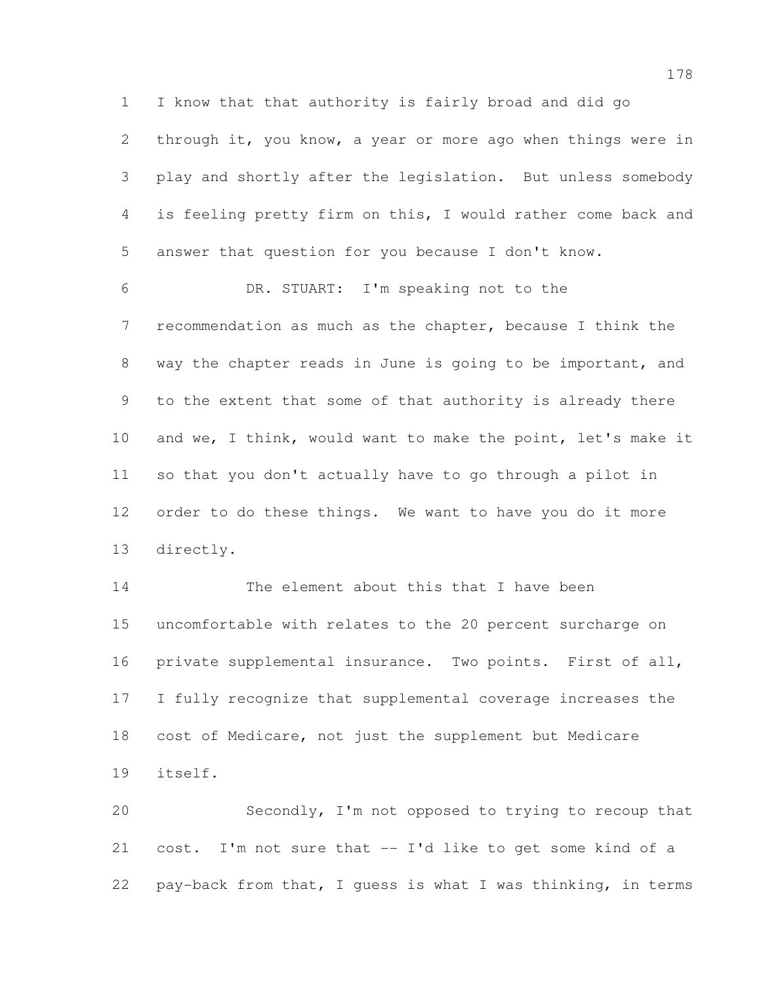I know that that authority is fairly broad and did go through it, you know, a year or more ago when things were in play and shortly after the legislation. But unless somebody is feeling pretty firm on this, I would rather come back and answer that question for you because I don't know.

 DR. STUART: I'm speaking not to the recommendation as much as the chapter, because I think the way the chapter reads in June is going to be important, and to the extent that some of that authority is already there and we, I think, would want to make the point, let's make it so that you don't actually have to go through a pilot in order to do these things. We want to have you do it more directly.

14 The element about this that I have been uncomfortable with relates to the 20 percent surcharge on private supplemental insurance. Two points. First of all, I fully recognize that supplemental coverage increases the cost of Medicare, not just the supplement but Medicare itself.

 Secondly, I'm not opposed to trying to recoup that cost. I'm not sure that -- I'd like to get some kind of a pay-back from that, I guess is what I was thinking, in terms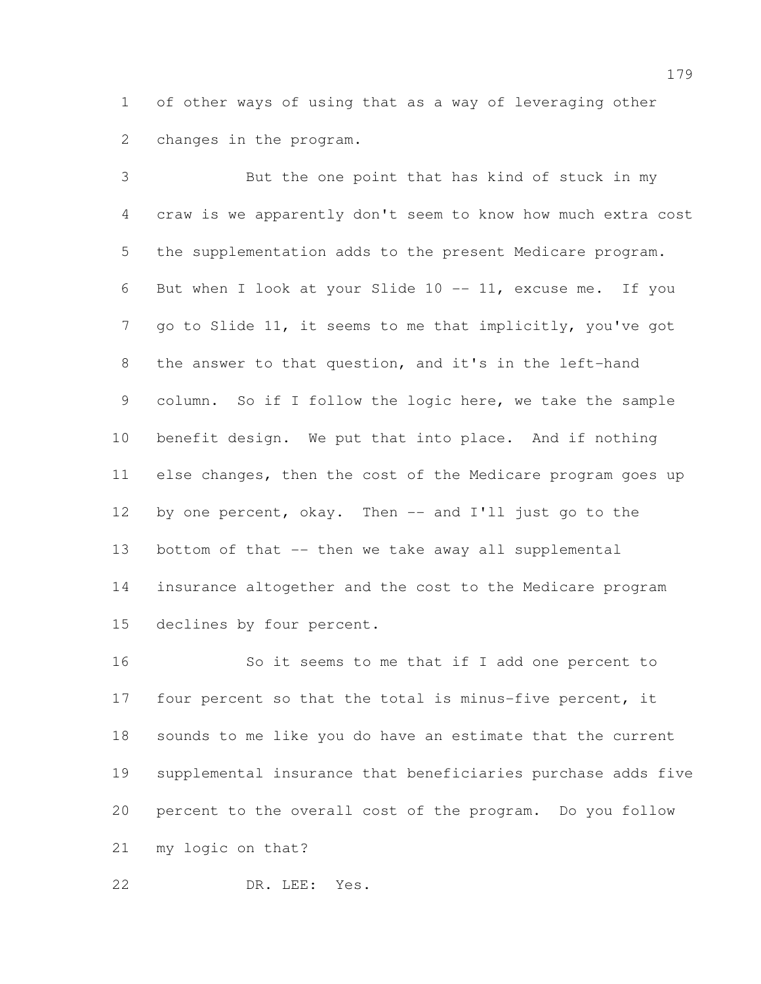of other ways of using that as a way of leveraging other changes in the program.

 But the one point that has kind of stuck in my craw is we apparently don't seem to know how much extra cost the supplementation adds to the present Medicare program. But when I look at your Slide 10 -- 11, excuse me. If you go to Slide 11, it seems to me that implicitly, you've got the answer to that question, and it's in the left-hand column. So if I follow the logic here, we take the sample benefit design. We put that into place. And if nothing else changes, then the cost of the Medicare program goes up 12 by one percent, okay. Then -- and I'll just go to the bottom of that -- then we take away all supplemental insurance altogether and the cost to the Medicare program declines by four percent.

 So it seems to me that if I add one percent to four percent so that the total is minus-five percent, it sounds to me like you do have an estimate that the current supplemental insurance that beneficiaries purchase adds five percent to the overall cost of the program. Do you follow my logic on that?

DR. LEE: Yes.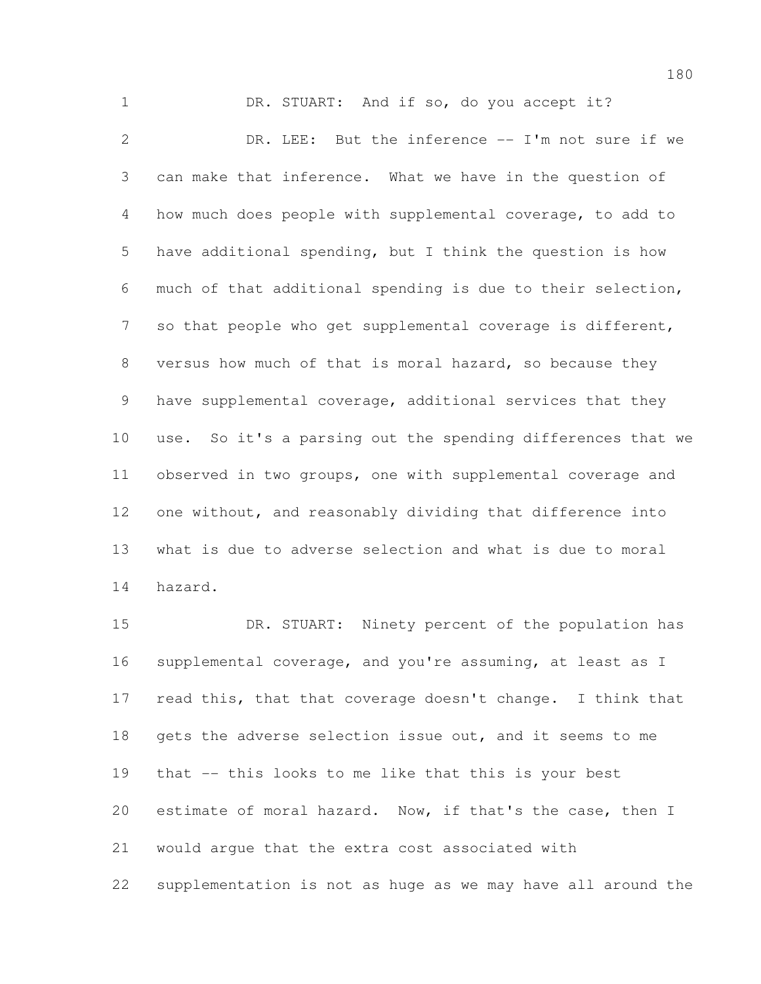1 DR. STUART: And if so, do you accept it? DR. LEE: But the inference -- I'm not sure if we can make that inference. What we have in the question of how much does people with supplemental coverage, to add to have additional spending, but I think the question is how much of that additional spending is due to their selection, so that people who get supplemental coverage is different, versus how much of that is moral hazard, so because they have supplemental coverage, additional services that they use. So it's a parsing out the spending differences that we observed in two groups, one with supplemental coverage and one without, and reasonably dividing that difference into what is due to adverse selection and what is due to moral hazard.

 DR. STUART: Ninety percent of the population has supplemental coverage, and you're assuming, at least as I read this, that that coverage doesn't change. I think that gets the adverse selection issue out, and it seems to me that -- this looks to me like that this is your best estimate of moral hazard. Now, if that's the case, then I would argue that the extra cost associated with supplementation is not as huge as we may have all around the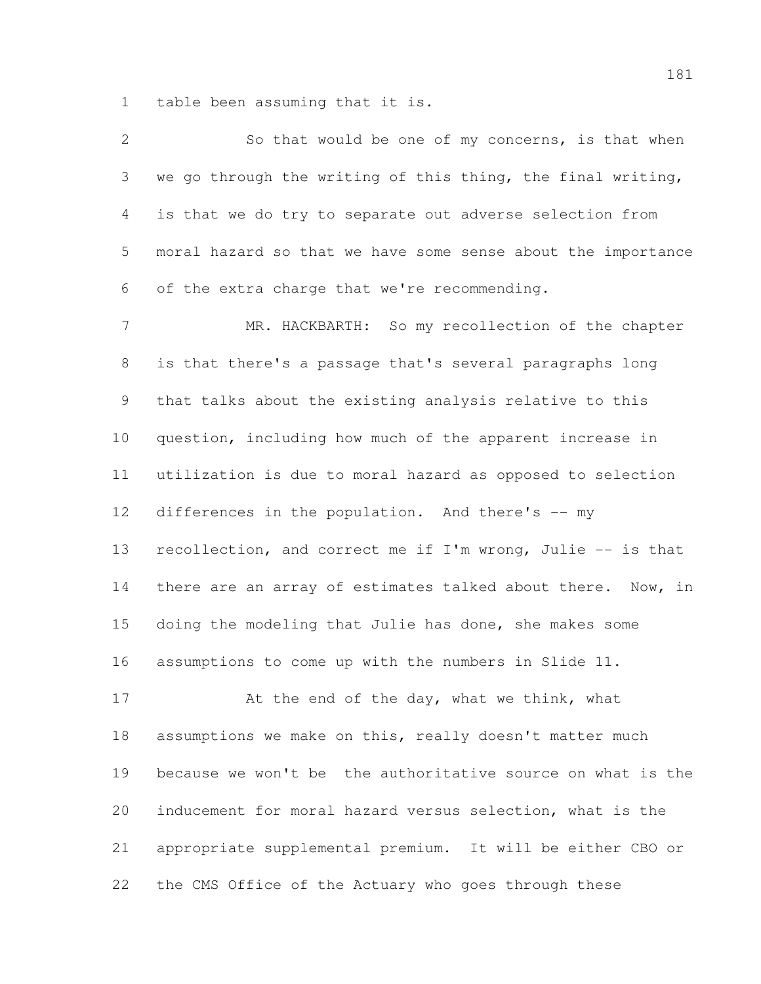table been assuming that it is.

| $\mathbf{2}$   | So that would be one of my concerns, is that when            |
|----------------|--------------------------------------------------------------|
| 3              | we go through the writing of this thing, the final writing,  |
| $\overline{4}$ | is that we do try to separate out adverse selection from     |
| 5              | moral hazard so that we have some sense about the importance |
| 6              | of the extra charge that we're recommending.                 |
| $\overline{7}$ | MR. HACKBARTH: So my recollection of the chapter             |
| 8              | is that there's a passage that's several paragraphs long     |
| 9              | that talks about the existing analysis relative to this      |
| 10             | question, including how much of the apparent increase in     |
| 11             | utilization is due to moral hazard as opposed to selection   |
| 12             | differences in the population. And there's -- my             |
| 13             | recollection, and correct me if I'm wrong, Julie -- is that  |
| 14             | there are an array of estimates talked about there. Now, in  |
| 15             | doing the modeling that Julie has done, she makes some       |
| 16             | assumptions to come up with the numbers in Slide 11.         |
| 17             | At the end of the day, what we think, what                   |
| 18             | assumptions we make on this, really doesn't matter much      |
| 19             | because we won't be the authoritative source on what is the  |
| 20             | inducement for moral hazard versus selection, what is the    |
| 21             | appropriate supplemental premium. It will be either CBO or   |
| 22             | the CMS Office of the Actuary who goes through these         |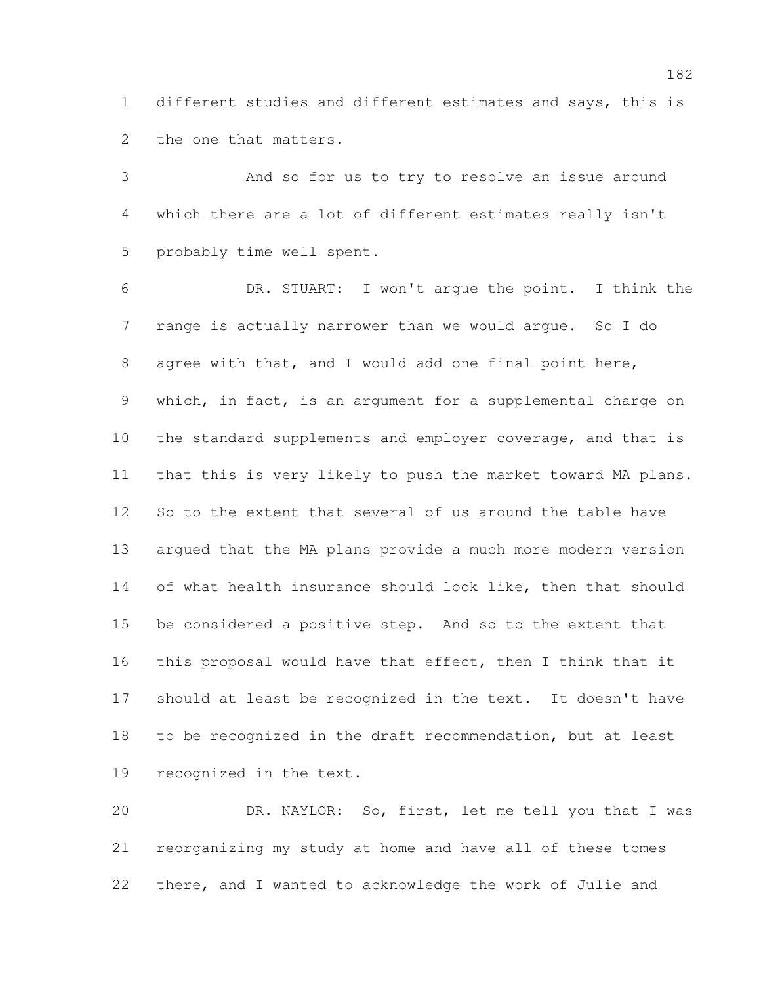different studies and different estimates and says, this is the one that matters.

 And so for us to try to resolve an issue around which there are a lot of different estimates really isn't probably time well spent.

 DR. STUART: I won't argue the point. I think the range is actually narrower than we would argue. So I do agree with that, and I would add one final point here, which, in fact, is an argument for a supplemental charge on 10 the standard supplements and employer coverage, and that is that this is very likely to push the market toward MA plans. So to the extent that several of us around the table have argued that the MA plans provide a much more modern version of what health insurance should look like, then that should be considered a positive step. And so to the extent that this proposal would have that effect, then I think that it should at least be recognized in the text. It doesn't have to be recognized in the draft recommendation, but at least recognized in the text.

 DR. NAYLOR: So, first, let me tell you that I was reorganizing my study at home and have all of these tomes there, and I wanted to acknowledge the work of Julie and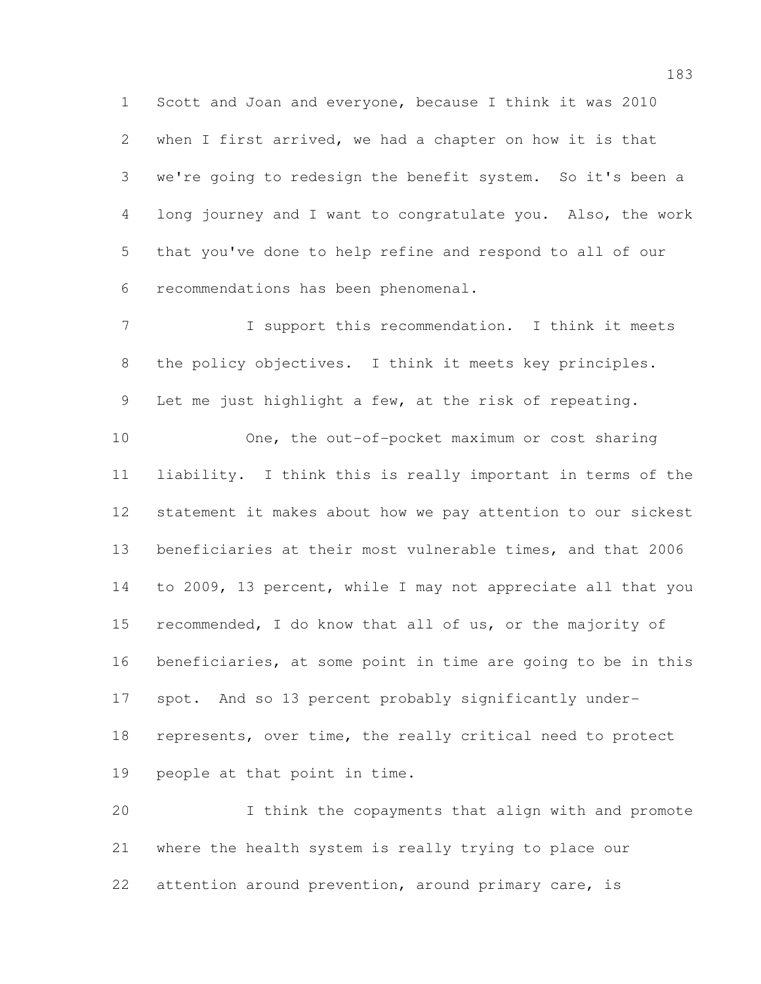Scott and Joan and everyone, because I think it was 2010 when I first arrived, we had a chapter on how it is that we're going to redesign the benefit system. So it's been a long journey and I want to congratulate you. Also, the work that you've done to help refine and respond to all of our recommendations has been phenomenal.

 I support this recommendation. I think it meets the policy objectives. I think it meets key principles. Let me just highlight a few, at the risk of repeating.

 One, the out-of-pocket maximum or cost sharing liability. I think this is really important in terms of the statement it makes about how we pay attention to our sickest beneficiaries at their most vulnerable times, and that 2006 to 2009, 13 percent, while I may not appreciate all that you recommended, I do know that all of us, or the majority of beneficiaries, at some point in time are going to be in this spot. And so 13 percent probably significantly under- represents, over time, the really critical need to protect people at that point in time.

 I think the copayments that align with and promote where the health system is really trying to place our 22 attention around prevention, around primary care, is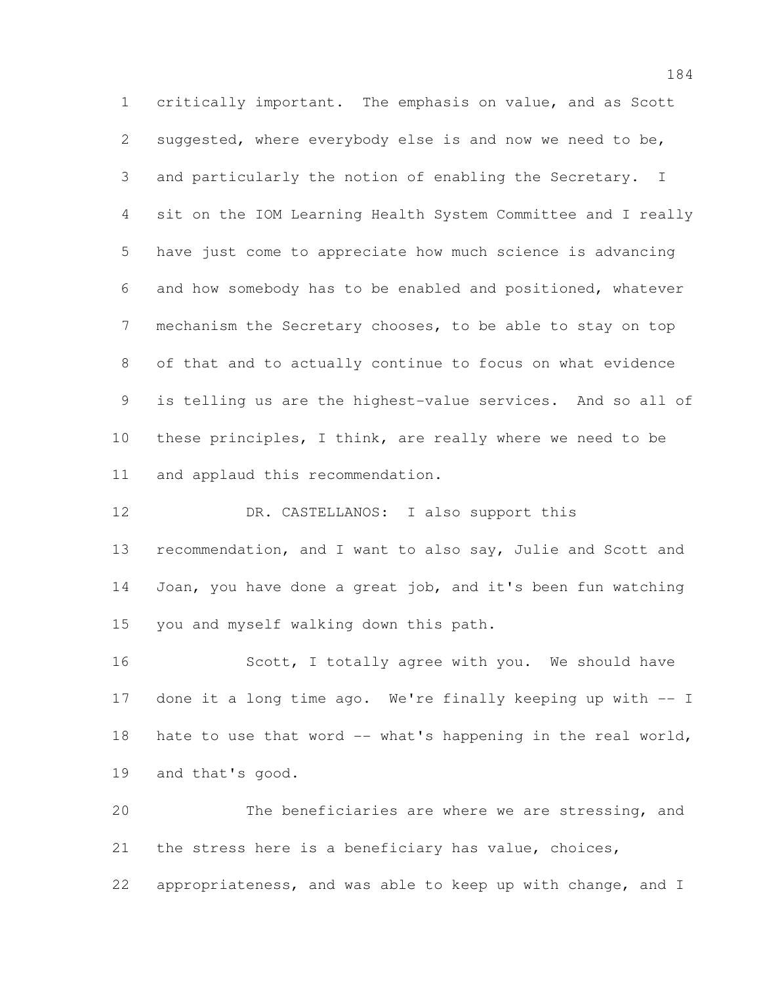critically important. The emphasis on value, and as Scott suggested, where everybody else is and now we need to be, and particularly the notion of enabling the Secretary. I sit on the IOM Learning Health System Committee and I really have just come to appreciate how much science is advancing and how somebody has to be enabled and positioned, whatever mechanism the Secretary chooses, to be able to stay on top of that and to actually continue to focus on what evidence is telling us are the highest-value services. And so all of these principles, I think, are really where we need to be and applaud this recommendation.

 DR. CASTELLANOS: I also support this recommendation, and I want to also say, Julie and Scott and Joan, you have done a great job, and it's been fun watching you and myself walking down this path.

16 Scott, I totally agree with you. We should have done it a long time ago. We're finally keeping up with -- I 18 hate to use that word -- what's happening in the real world, and that's good.

 The beneficiaries are where we are stressing, and the stress here is a beneficiary has value, choices, appropriateness, and was able to keep up with change, and I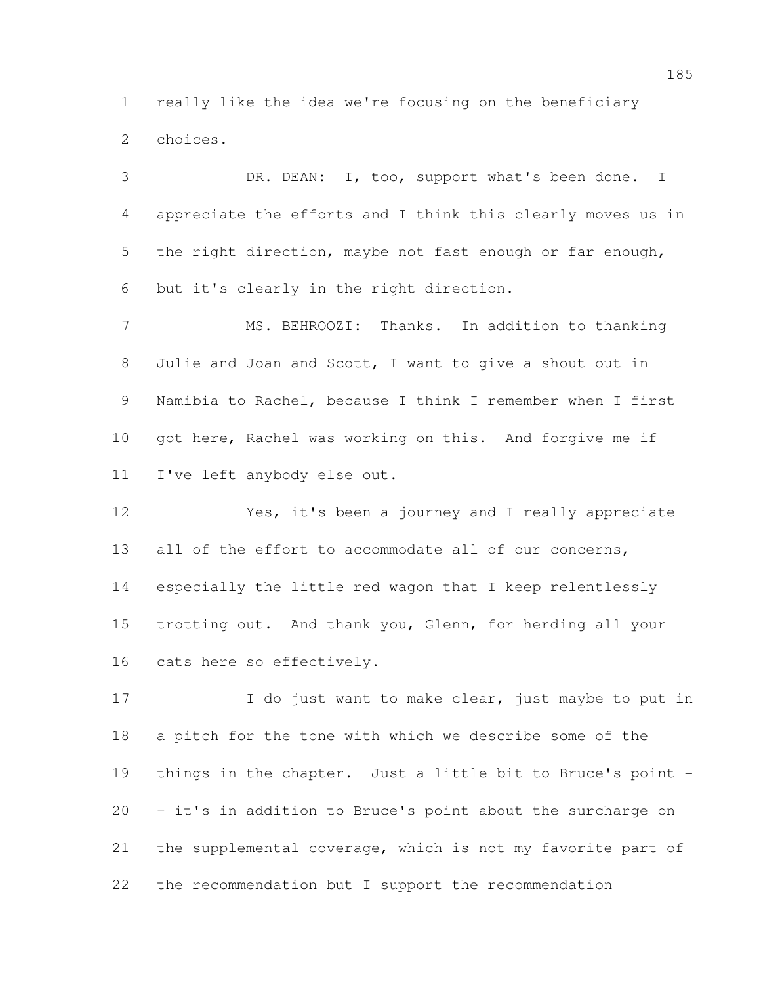really like the idea we're focusing on the beneficiary choices.

 DR. DEAN: I, too, support what's been done. I appreciate the efforts and I think this clearly moves us in the right direction, maybe not fast enough or far enough, but it's clearly in the right direction.

 MS. BEHROOZI: Thanks. In addition to thanking Julie and Joan and Scott, I want to give a shout out in Namibia to Rachel, because I think I remember when I first got here, Rachel was working on this. And forgive me if I've left anybody else out.

 Yes, it's been a journey and I really appreciate 13 all of the effort to accommodate all of our concerns, especially the little red wagon that I keep relentlessly trotting out. And thank you, Glenn, for herding all your cats here so effectively.

17 I do just want to make clear, just maybe to put in a pitch for the tone with which we describe some of the things in the chapter. Just a little bit to Bruce's point - - it's in addition to Bruce's point about the surcharge on the supplemental coverage, which is not my favorite part of the recommendation but I support the recommendation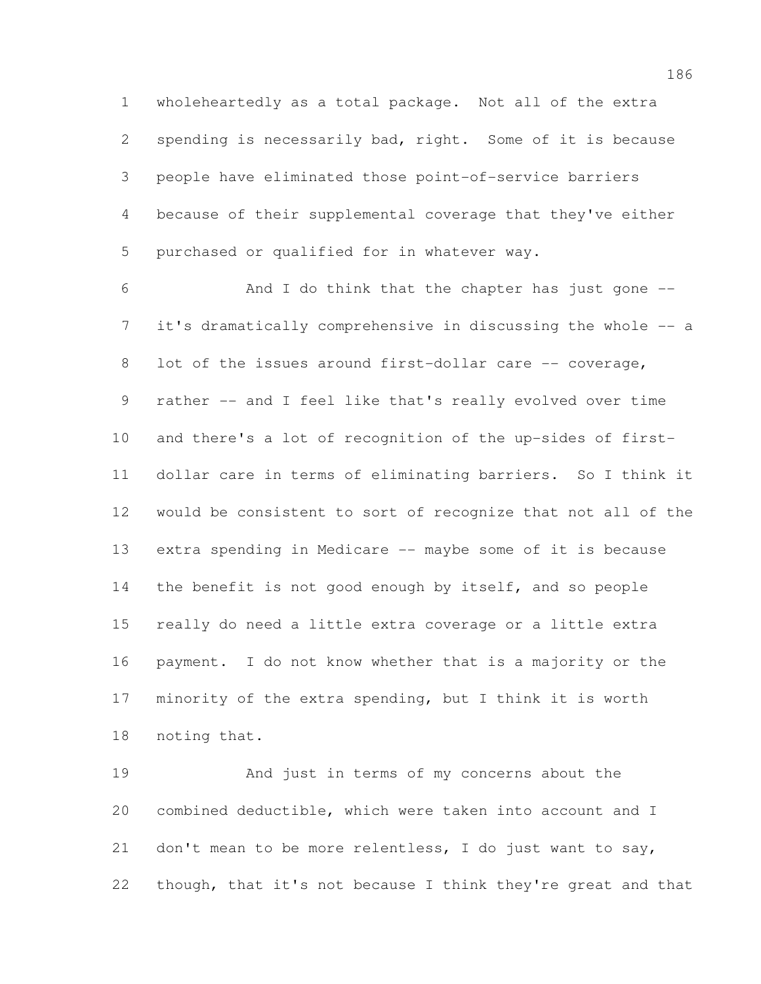wholeheartedly as a total package. Not all of the extra spending is necessarily bad, right. Some of it is because people have eliminated those point-of-service barriers because of their supplemental coverage that they've either purchased or qualified for in whatever way.

 And I do think that the chapter has just gone -- it's dramatically comprehensive in discussing the whole -- a 8 lot of the issues around first-dollar care -- coverage, rather -- and I feel like that's really evolved over time and there's a lot of recognition of the up-sides of first- dollar care in terms of eliminating barriers. So I think it would be consistent to sort of recognize that not all of the extra spending in Medicare -- maybe some of it is because the benefit is not good enough by itself, and so people really do need a little extra coverage or a little extra payment. I do not know whether that is a majority or the minority of the extra spending, but I think it is worth noting that.

 And just in terms of my concerns about the combined deductible, which were taken into account and I don't mean to be more relentless, I do just want to say, though, that it's not because I think they're great and that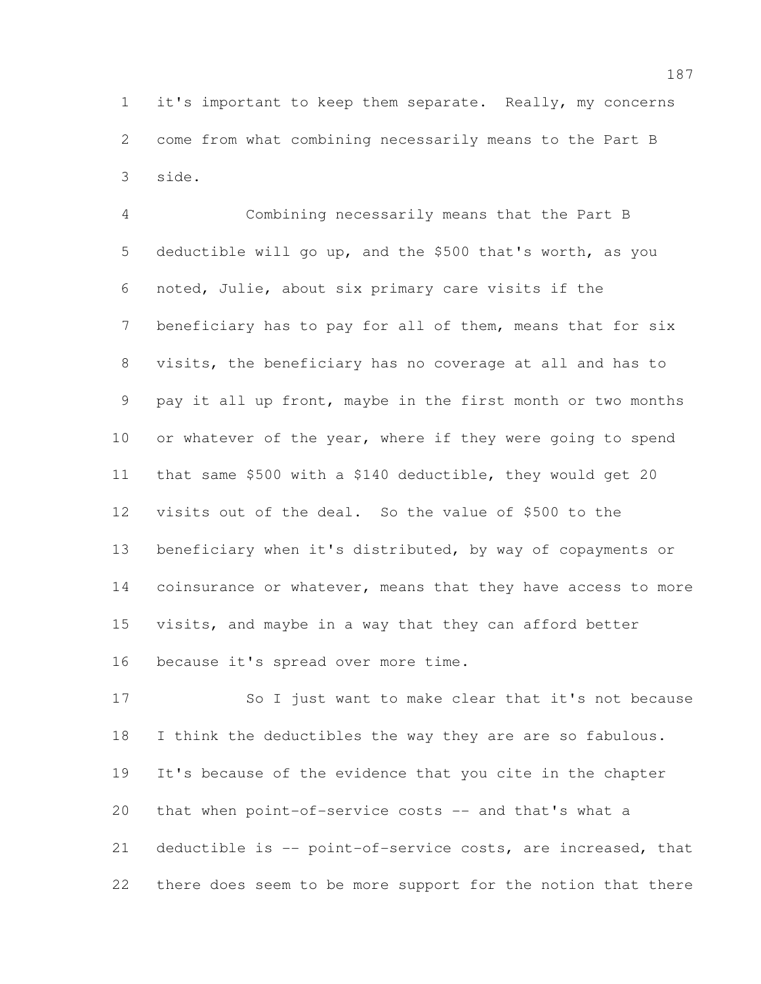it's important to keep them separate. Really, my concerns come from what combining necessarily means to the Part B side.

 Combining necessarily means that the Part B deductible will go up, and the \$500 that's worth, as you noted, Julie, about six primary care visits if the beneficiary has to pay for all of them, means that for six visits, the beneficiary has no coverage at all and has to pay it all up front, maybe in the first month or two months 10 or whatever of the year, where if they were going to spend that same \$500 with a \$140 deductible, they would get 20 visits out of the deal. So the value of \$500 to the beneficiary when it's distributed, by way of copayments or 14 coinsurance or whatever, means that they have access to more visits, and maybe in a way that they can afford better because it's spread over more time.

 So I just want to make clear that it's not because I think the deductibles the way they are are so fabulous. It's because of the evidence that you cite in the chapter that when point-of-service costs -- and that's what a deductible is -- point-of-service costs, are increased, that there does seem to be more support for the notion that there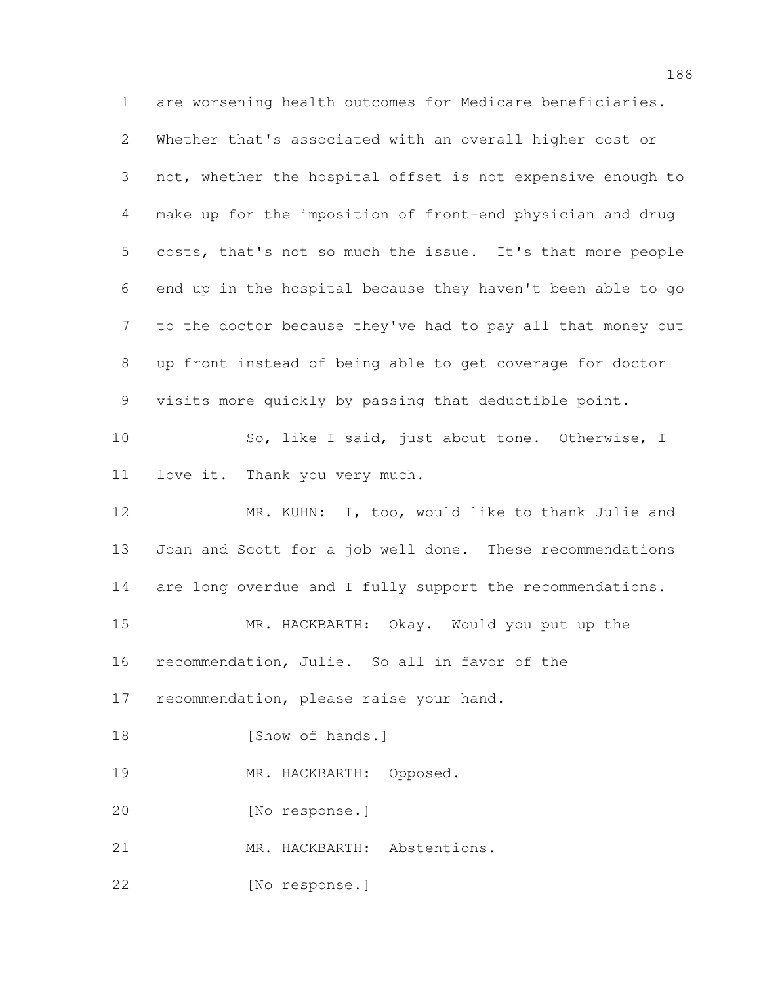are worsening health outcomes for Medicare beneficiaries. Whether that's associated with an overall higher cost or not, whether the hospital offset is not expensive enough to make up for the imposition of front-end physician and drug costs, that's not so much the issue. It's that more people end up in the hospital because they haven't been able to go to the doctor because they've had to pay all that money out up front instead of being able to get coverage for doctor visits more quickly by passing that deductible point. So, like I said, just about tone. Otherwise, I love it. Thank you very much. 12 MR. KUHN: I, too, would like to thank Julie and Joan and Scott for a job well done. These recommendations are long overdue and I fully support the recommendations. MR. HACKBARTH: Okay. Would you put up the recommendation, Julie. So all in favor of the recommendation, please raise your hand. 18 [Show of hands.] 19 MR. HACKBARTH: Opposed. [No response.] MR. HACKBARTH: Abstentions. [No response.]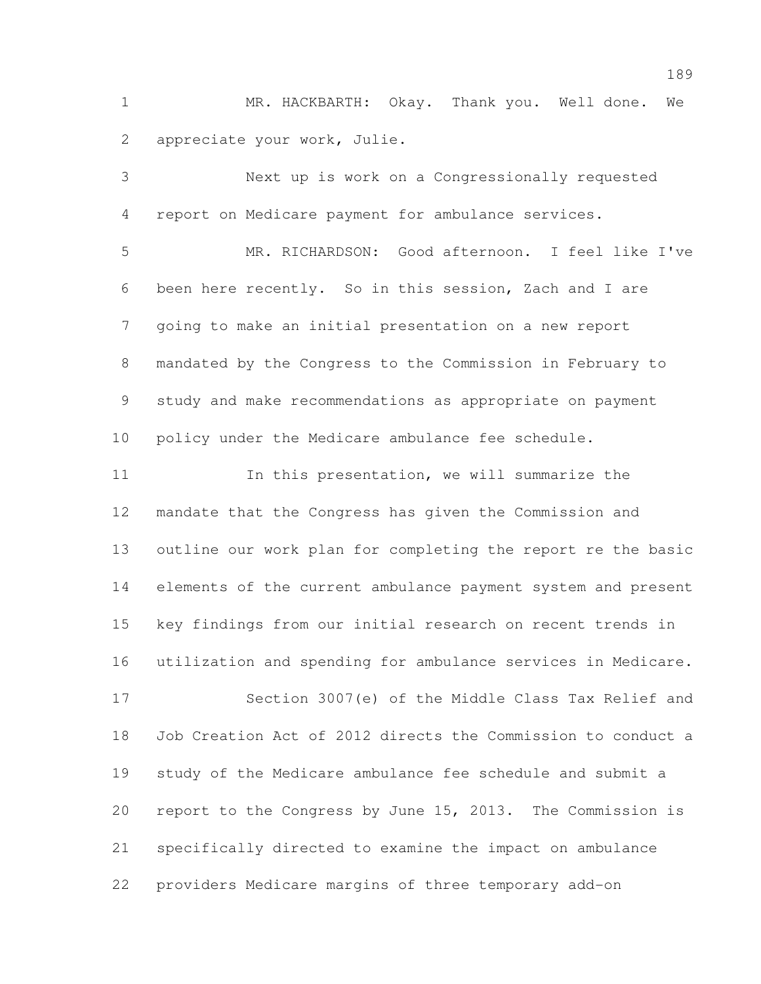MR. HACKBARTH: Okay. Thank you. Well done. We appreciate your work, Julie.

 Next up is work on a Congressionally requested report on Medicare payment for ambulance services. MR. RICHARDSON: Good afternoon. I feel like I've been here recently. So in this session, Zach and I are going to make an initial presentation on a new report mandated by the Congress to the Commission in February to study and make recommendations as appropriate on payment policy under the Medicare ambulance fee schedule. 11 In this presentation, we will summarize the mandate that the Congress has given the Commission and outline our work plan for completing the report re the basic elements of the current ambulance payment system and present key findings from our initial research on recent trends in utilization and spending for ambulance services in Medicare. Section 3007(e) of the Middle Class Tax Relief and Job Creation Act of 2012 directs the Commission to conduct a study of the Medicare ambulance fee schedule and submit a report to the Congress by June 15, 2013. The Commission is specifically directed to examine the impact on ambulance

providers Medicare margins of three temporary add-on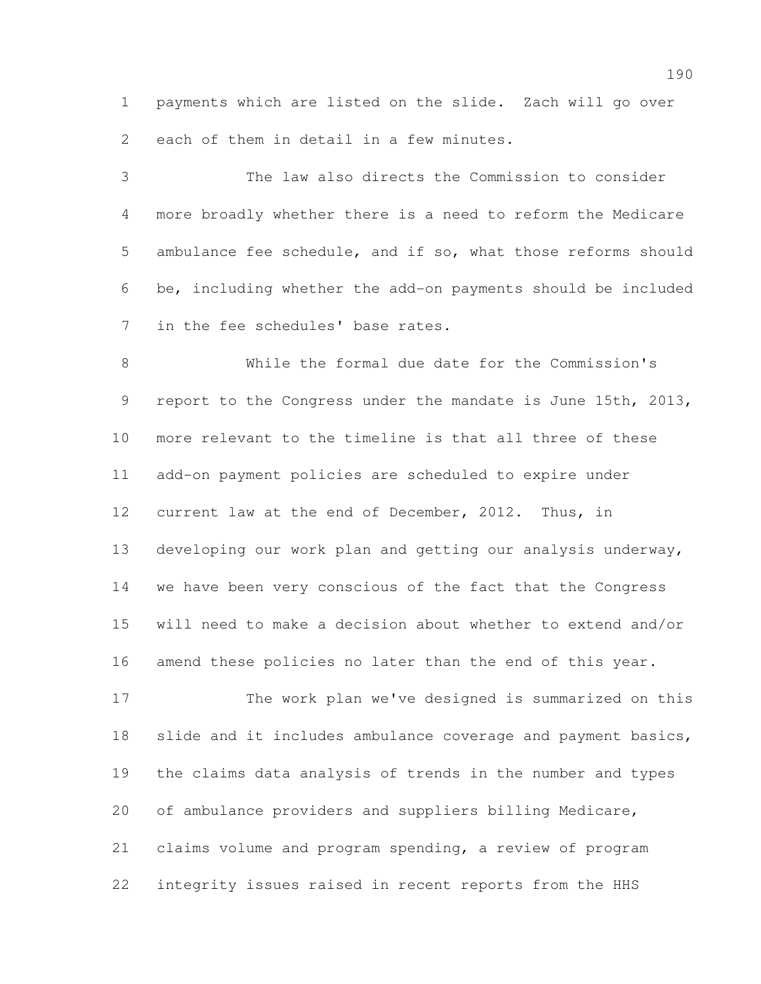payments which are listed on the slide. Zach will go over each of them in detail in a few minutes.

 The law also directs the Commission to consider more broadly whether there is a need to reform the Medicare ambulance fee schedule, and if so, what those reforms should be, including whether the add-on payments should be included in the fee schedules' base rates.

 While the formal due date for the Commission's report to the Congress under the mandate is June 15th, 2013, more relevant to the timeline is that all three of these add-on payment policies are scheduled to expire under current law at the end of December, 2012. Thus, in developing our work plan and getting our analysis underway, we have been very conscious of the fact that the Congress will need to make a decision about whether to extend and/or amend these policies no later than the end of this year.

 The work plan we've designed is summarized on this slide and it includes ambulance coverage and payment basics, the claims data analysis of trends in the number and types of ambulance providers and suppliers billing Medicare, claims volume and program spending, a review of program integrity issues raised in recent reports from the HHS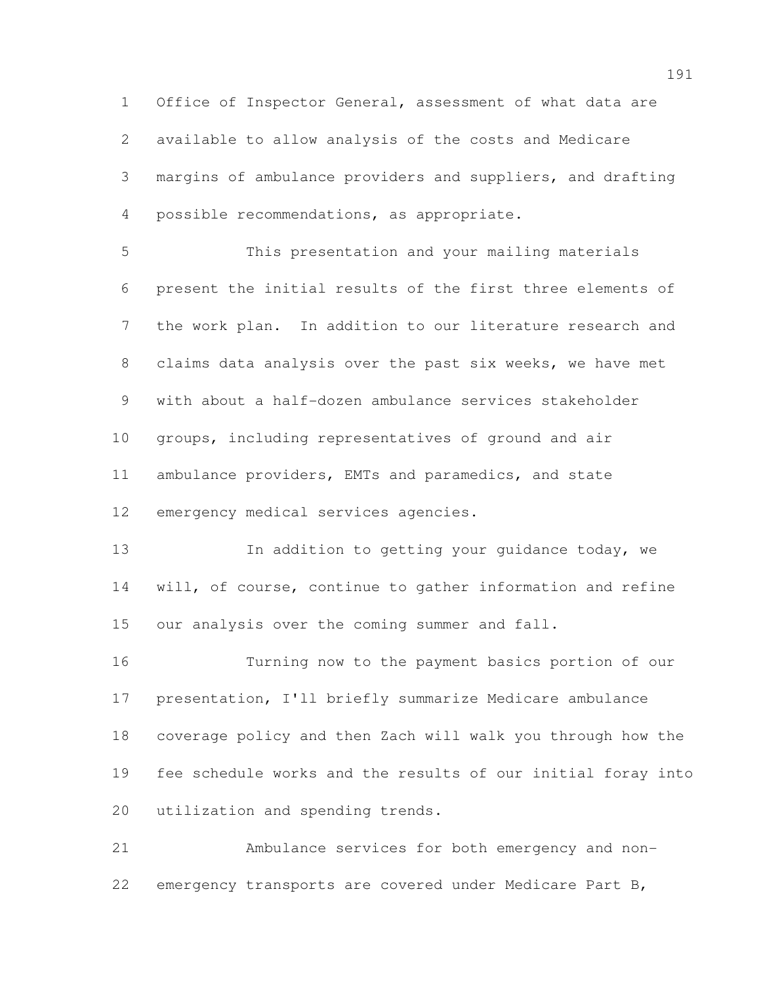Office of Inspector General, assessment of what data are available to allow analysis of the costs and Medicare margins of ambulance providers and suppliers, and drafting possible recommendations, as appropriate.

 This presentation and your mailing materials present the initial results of the first three elements of the work plan. In addition to our literature research and claims data analysis over the past six weeks, we have met with about a half-dozen ambulance services stakeholder groups, including representatives of ground and air ambulance providers, EMTs and paramedics, and state emergency medical services agencies.

**In addition to getting your guidance today, we**  will, of course, continue to gather information and refine our analysis over the coming summer and fall.

 Turning now to the payment basics portion of our presentation, I'll briefly summarize Medicare ambulance coverage policy and then Zach will walk you through how the fee schedule works and the results of our initial foray into utilization and spending trends.

 Ambulance services for both emergency and non-emergency transports are covered under Medicare Part B,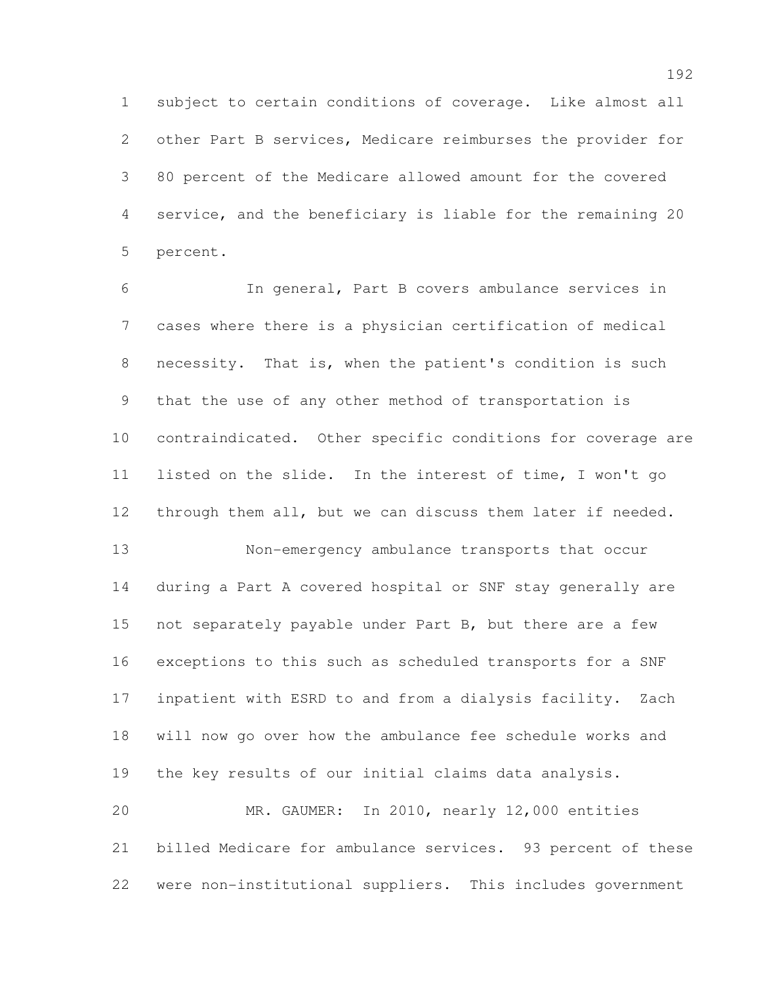subject to certain conditions of coverage. Like almost all other Part B services, Medicare reimburses the provider for 80 percent of the Medicare allowed amount for the covered service, and the beneficiary is liable for the remaining 20 percent.

 In general, Part B covers ambulance services in cases where there is a physician certification of medical necessity. That is, when the patient's condition is such that the use of any other method of transportation is contraindicated. Other specific conditions for coverage are listed on the slide. In the interest of time, I won't go through them all, but we can discuss them later if needed. Non-emergency ambulance transports that occur during a Part A covered hospital or SNF stay generally are not separately payable under Part B, but there are a few exceptions to this such as scheduled transports for a SNF inpatient with ESRD to and from a dialysis facility. Zach will now go over how the ambulance fee schedule works and the key results of our initial claims data analysis.

 MR. GAUMER: In 2010, nearly 12,000 entities billed Medicare for ambulance services. 93 percent of these were non-institutional suppliers. This includes government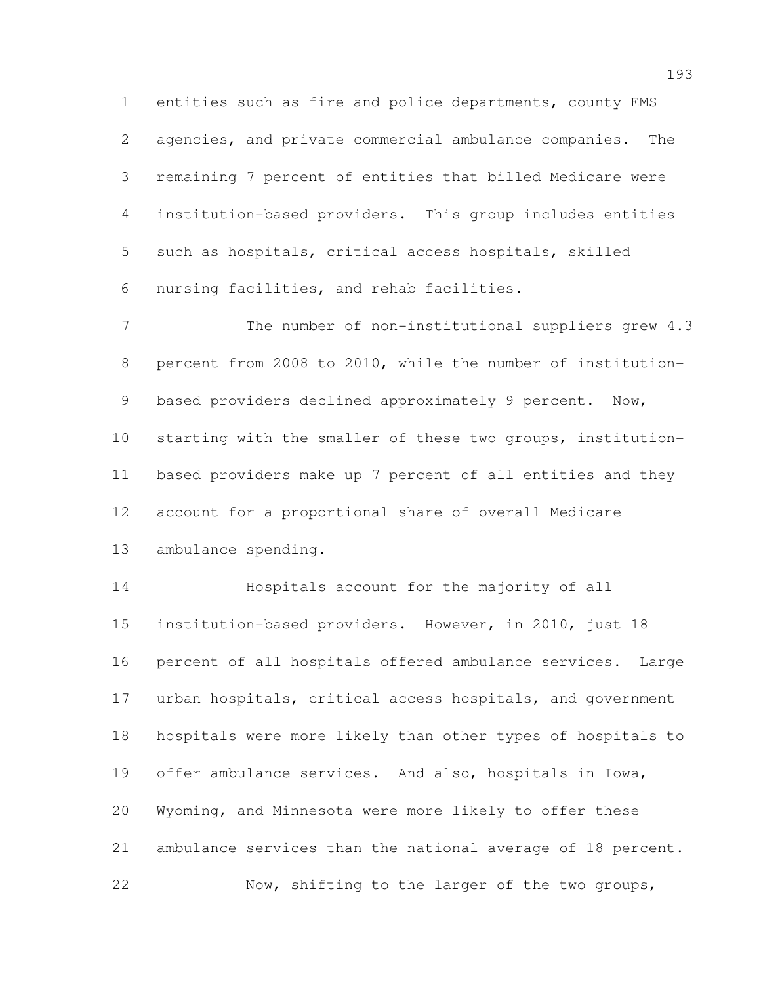entities such as fire and police departments, county EMS agencies, and private commercial ambulance companies. The remaining 7 percent of entities that billed Medicare were institution-based providers. This group includes entities such as hospitals, critical access hospitals, skilled nursing facilities, and rehab facilities.

7 The number of non-institutional suppliers grew 4.3 percent from 2008 to 2010, while the number of institution- based providers declined approximately 9 percent. Now, starting with the smaller of these two groups, institution- based providers make up 7 percent of all entities and they account for a proportional share of overall Medicare ambulance spending.

 Hospitals account for the majority of all institution-based providers. However, in 2010, just 18 percent of all hospitals offered ambulance services. Large urban hospitals, critical access hospitals, and government hospitals were more likely than other types of hospitals to offer ambulance services. And also, hospitals in Iowa, Wyoming, and Minnesota were more likely to offer these ambulance services than the national average of 18 percent. Now, shifting to the larger of the two groups,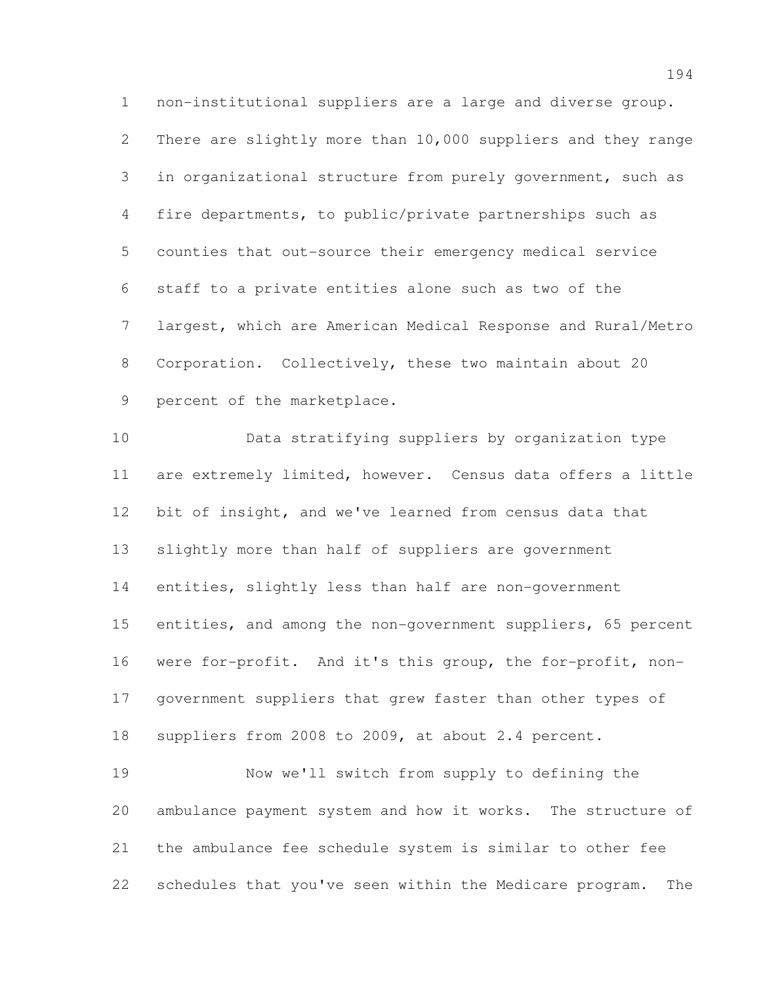non-institutional suppliers are a large and diverse group. There are slightly more than 10,000 suppliers and they range in organizational structure from purely government, such as fire departments, to public/private partnerships such as counties that out-source their emergency medical service staff to a private entities alone such as two of the largest, which are American Medical Response and Rural/Metro Corporation. Collectively, these two maintain about 20 percent of the marketplace.

 Data stratifying suppliers by organization type are extremely limited, however. Census data offers a little bit of insight, and we've learned from census data that slightly more than half of suppliers are government entities, slightly less than half are non-government entities, and among the non-government suppliers, 65 percent were for-profit. And it's this group, the for-profit, non- government suppliers that grew faster than other types of suppliers from 2008 to 2009, at about 2.4 percent. Now we'll switch from supply to defining the ambulance payment system and how it works. The structure of

 the ambulance fee schedule system is similar to other fee schedules that you've seen within the Medicare program. The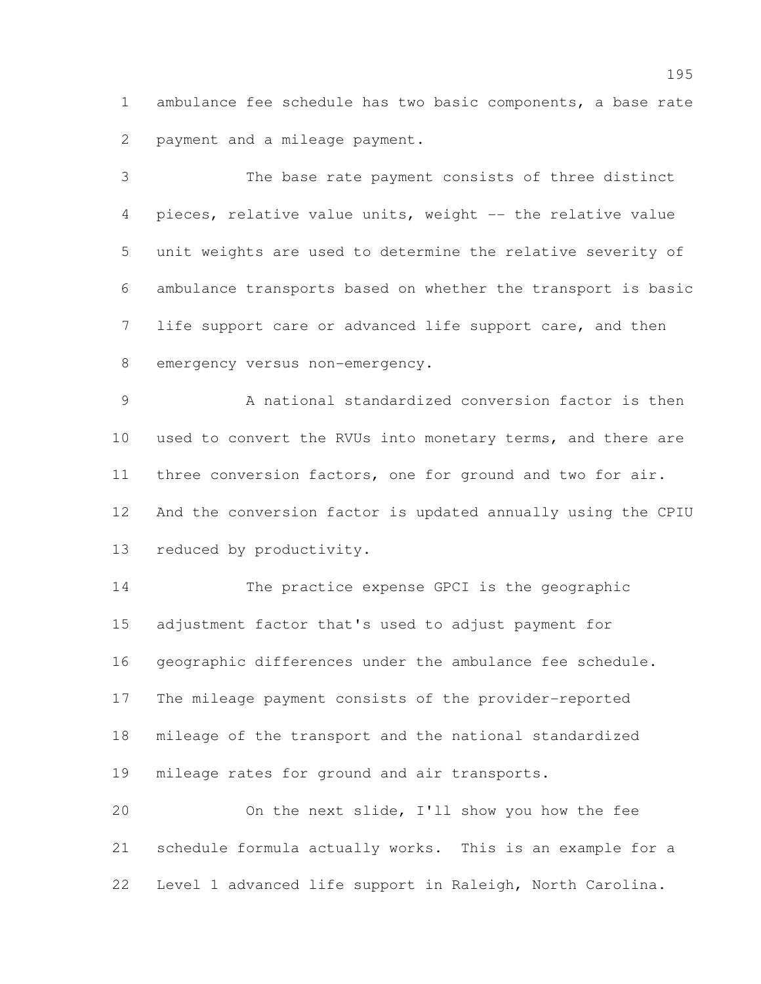ambulance fee schedule has two basic components, a base rate payment and a mileage payment.

 The base rate payment consists of three distinct pieces, relative value units, weight -- the relative value unit weights are used to determine the relative severity of ambulance transports based on whether the transport is basic life support care or advanced life support care, and then 8 emergency versus non-emergency.

 A national standardized conversion factor is then used to convert the RVUs into monetary terms, and there are three conversion factors, one for ground and two for air. And the conversion factor is updated annually using the CPIU reduced by productivity.

 The practice expense GPCI is the geographic adjustment factor that's used to adjust payment for geographic differences under the ambulance fee schedule. The mileage payment consists of the provider-reported mileage of the transport and the national standardized mileage rates for ground and air transports. On the next slide, I'll show you how the fee

 schedule formula actually works. This is an example for a Level 1 advanced life support in Raleigh, North Carolina.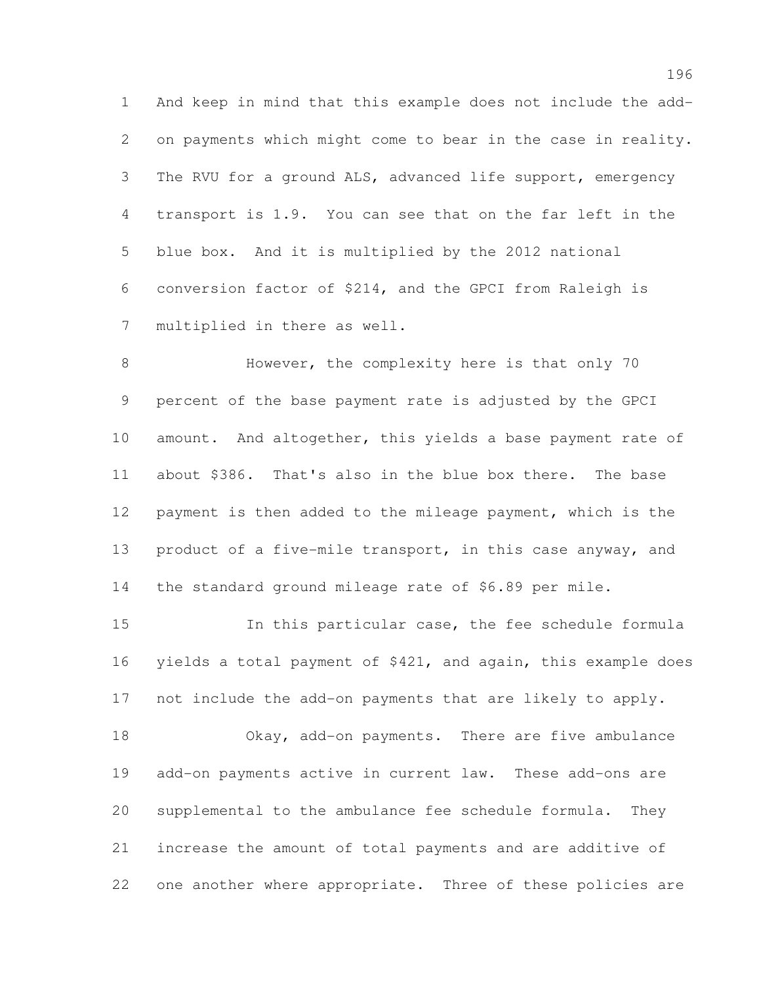And keep in mind that this example does not include the add- on payments which might come to bear in the case in reality. The RVU for a ground ALS, advanced life support, emergency transport is 1.9. You can see that on the far left in the blue box. And it is multiplied by the 2012 national conversion factor of \$214, and the GPCI from Raleigh is multiplied in there as well.

 However, the complexity here is that only 70 percent of the base payment rate is adjusted by the GPCI 10 amount. And altogether, this yields a base payment rate of about \$386. That's also in the blue box there. The base payment is then added to the mileage payment, which is the product of a five-mile transport, in this case anyway, and the standard ground mileage rate of \$6.89 per mile.

 In this particular case, the fee schedule formula yields a total payment of \$421, and again, this example does not include the add-on payments that are likely to apply.

 Okay, add-on payments. There are five ambulance add-on payments active in current law. These add-ons are supplemental to the ambulance fee schedule formula. They increase the amount of total payments and are additive of one another where appropriate. Three of these policies are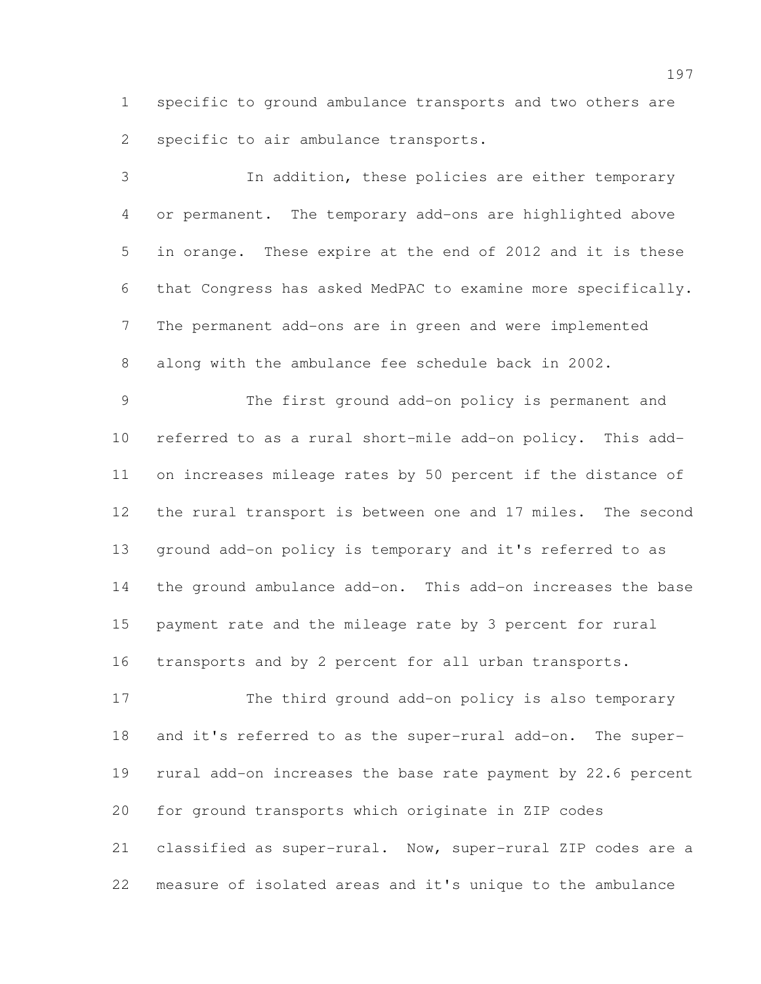specific to ground ambulance transports and two others are specific to air ambulance transports.

 In addition, these policies are either temporary or permanent. The temporary add-ons are highlighted above in orange. These expire at the end of 2012 and it is these that Congress has asked MedPAC to examine more specifically. The permanent add-ons are in green and were implemented along with the ambulance fee schedule back in 2002.

 The first ground add-on policy is permanent and referred to as a rural short-mile add-on policy. This add- on increases mileage rates by 50 percent if the distance of the rural transport is between one and 17 miles. The second ground add-on policy is temporary and it's referred to as the ground ambulance add-on. This add-on increases the base payment rate and the mileage rate by 3 percent for rural transports and by 2 percent for all urban transports.

 The third ground add-on policy is also temporary and it's referred to as the super-rural add-on. The super- rural add-on increases the base rate payment by 22.6 percent for ground transports which originate in ZIP codes classified as super-rural. Now, super-rural ZIP codes are a measure of isolated areas and it's unique to the ambulance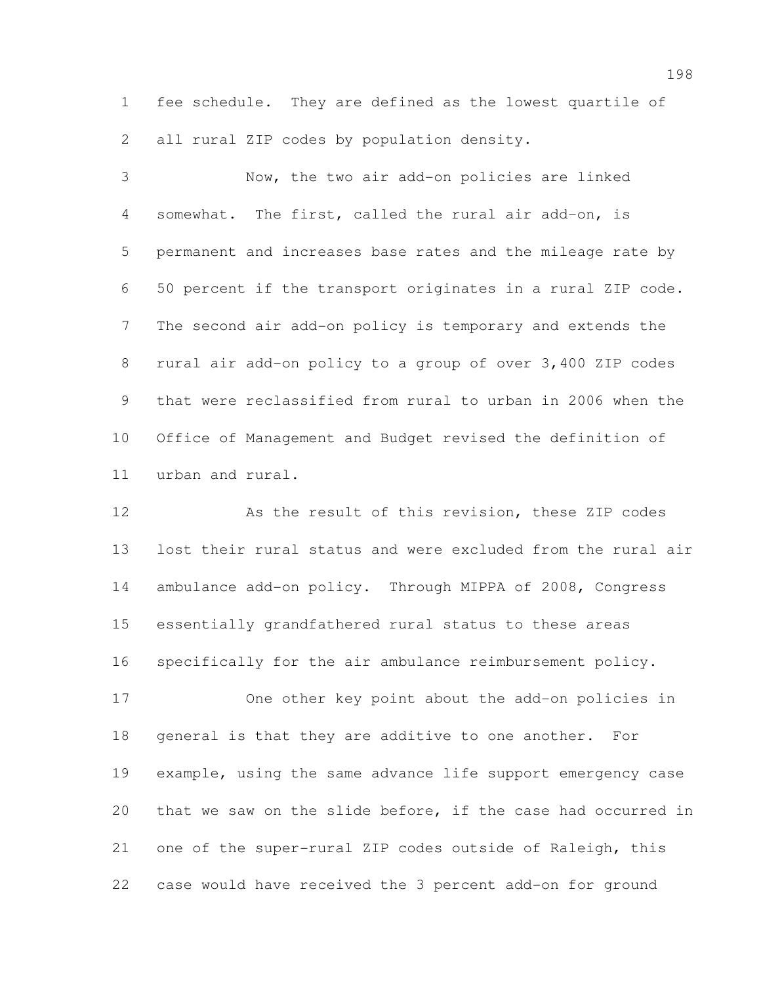fee schedule. They are defined as the lowest quartile of 2 all rural ZIP codes by population density.

 Now, the two air add-on policies are linked somewhat. The first, called the rural air add-on, is permanent and increases base rates and the mileage rate by 50 percent if the transport originates in a rural ZIP code. The second air add-on policy is temporary and extends the rural air add-on policy to a group of over 3,400 ZIP codes that were reclassified from rural to urban in 2006 when the Office of Management and Budget revised the definition of urban and rural.

 As the result of this revision, these ZIP codes lost their rural status and were excluded from the rural air ambulance add-on policy. Through MIPPA of 2008, Congress essentially grandfathered rural status to these areas specifically for the air ambulance reimbursement policy.

 One other key point about the add-on policies in general is that they are additive to one another. For example, using the same advance life support emergency case that we saw on the slide before, if the case had occurred in one of the super-rural ZIP codes outside of Raleigh, this case would have received the 3 percent add-on for ground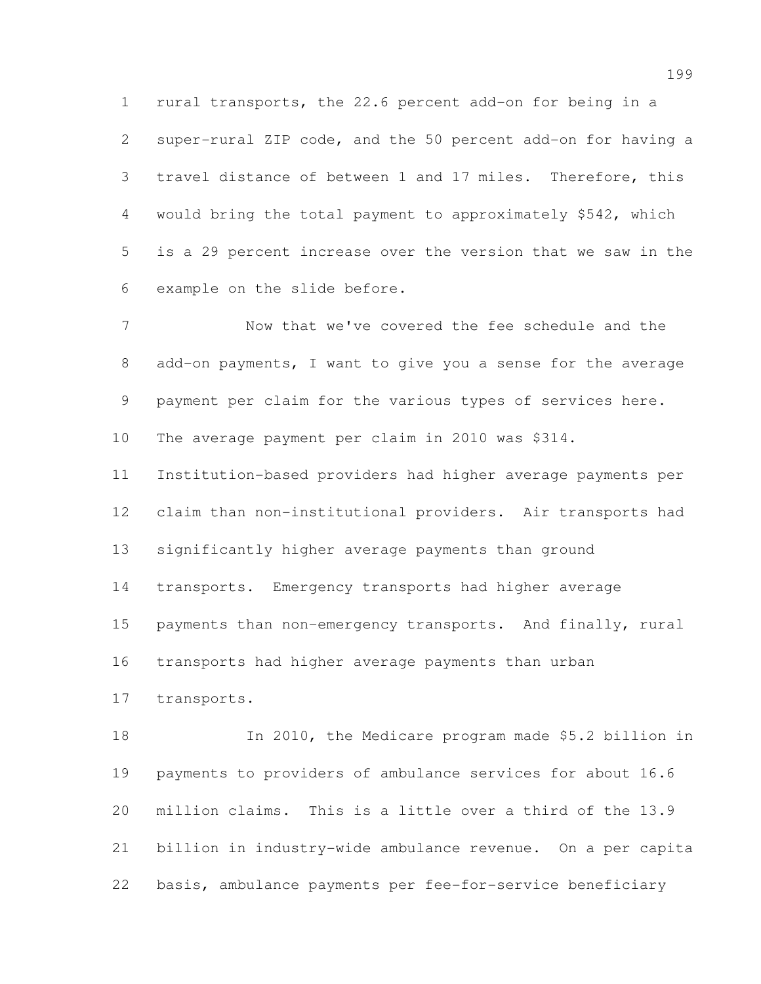rural transports, the 22.6 percent add-on for being in a super-rural ZIP code, and the 50 percent add-on for having a travel distance of between 1 and 17 miles. Therefore, this would bring the total payment to approximately \$542, which is a 29 percent increase over the version that we saw in the example on the slide before.

 Now that we've covered the fee schedule and the add-on payments, I want to give you a sense for the average payment per claim for the various types of services here. The average payment per claim in 2010 was \$314. Institution-based providers had higher average payments per claim than non-institutional providers. Air transports had significantly higher average payments than ground transports. Emergency transports had higher average payments than non-emergency transports. And finally, rural transports had higher average payments than urban transports.

 In 2010, the Medicare program made \$5.2 billion in payments to providers of ambulance services for about 16.6 million claims. This is a little over a third of the 13.9 billion in industry-wide ambulance revenue. On a per capita basis, ambulance payments per fee-for-service beneficiary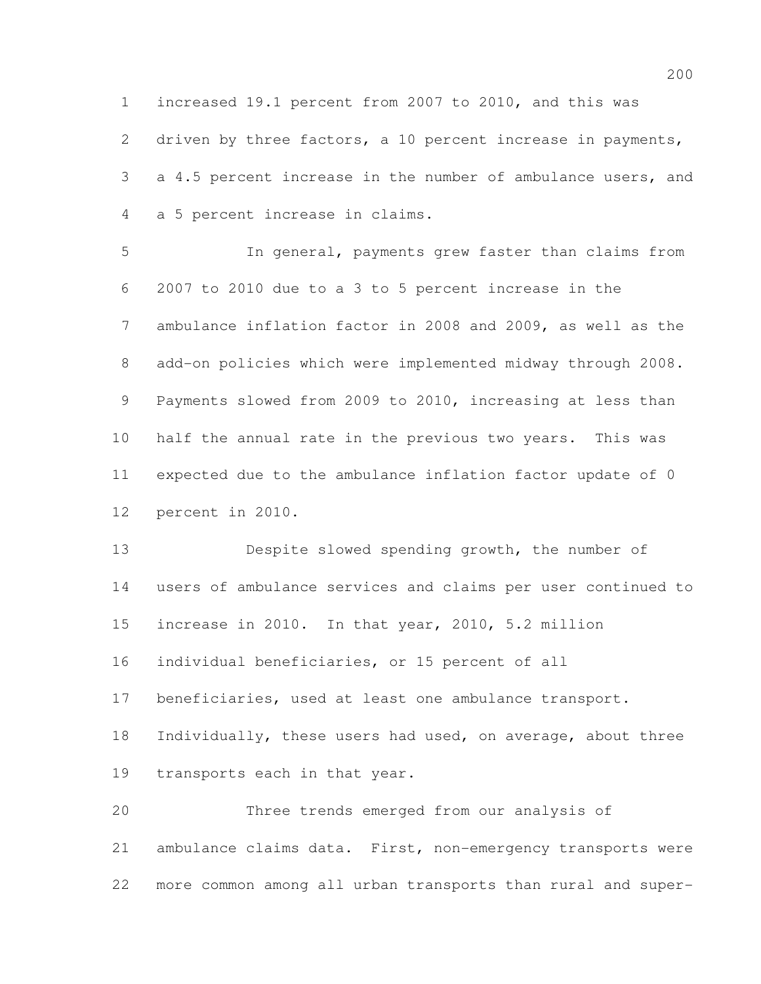increased 19.1 percent from 2007 to 2010, and this was driven by three factors, a 10 percent increase in payments, a 4.5 percent increase in the number of ambulance users, and a 5 percent increase in claims.

 In general, payments grew faster than claims from 2007 to 2010 due to a 3 to 5 percent increase in the ambulance inflation factor in 2008 and 2009, as well as the add-on policies which were implemented midway through 2008. Payments slowed from 2009 to 2010, increasing at less than half the annual rate in the previous two years. This was expected due to the ambulance inflation factor update of 0 percent in 2010.

 Despite slowed spending growth, the number of users of ambulance services and claims per user continued to increase in 2010. In that year, 2010, 5.2 million individual beneficiaries, or 15 percent of all beneficiaries, used at least one ambulance transport. Individually, these users had used, on average, about three transports each in that year.

 Three trends emerged from our analysis of ambulance claims data. First, non-emergency transports were more common among all urban transports than rural and super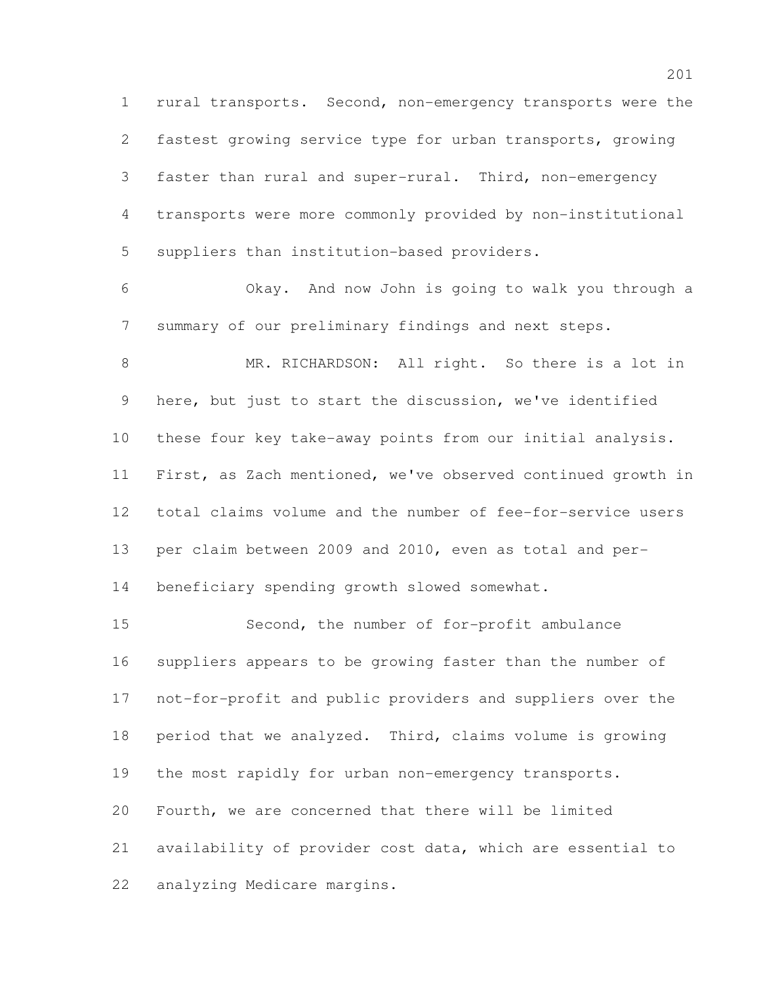rural transports. Second, non-emergency transports were the fastest growing service type for urban transports, growing faster than rural and super-rural. Third, non-emergency transports were more commonly provided by non-institutional suppliers than institution-based providers.

 Okay. And now John is going to walk you through a summary of our preliminary findings and next steps.

 MR. RICHARDSON: All right. So there is a lot in here, but just to start the discussion, we've identified these four key take-away points from our initial analysis. First, as Zach mentioned, we've observed continued growth in total claims volume and the number of fee-for-service users per claim between 2009 and 2010, even as total and per-beneficiary spending growth slowed somewhat.

 Second, the number of for-profit ambulance suppliers appears to be growing faster than the number of not-for-profit and public providers and suppliers over the period that we analyzed. Third, claims volume is growing the most rapidly for urban non-emergency transports. Fourth, we are concerned that there will be limited availability of provider cost data, which are essential to analyzing Medicare margins.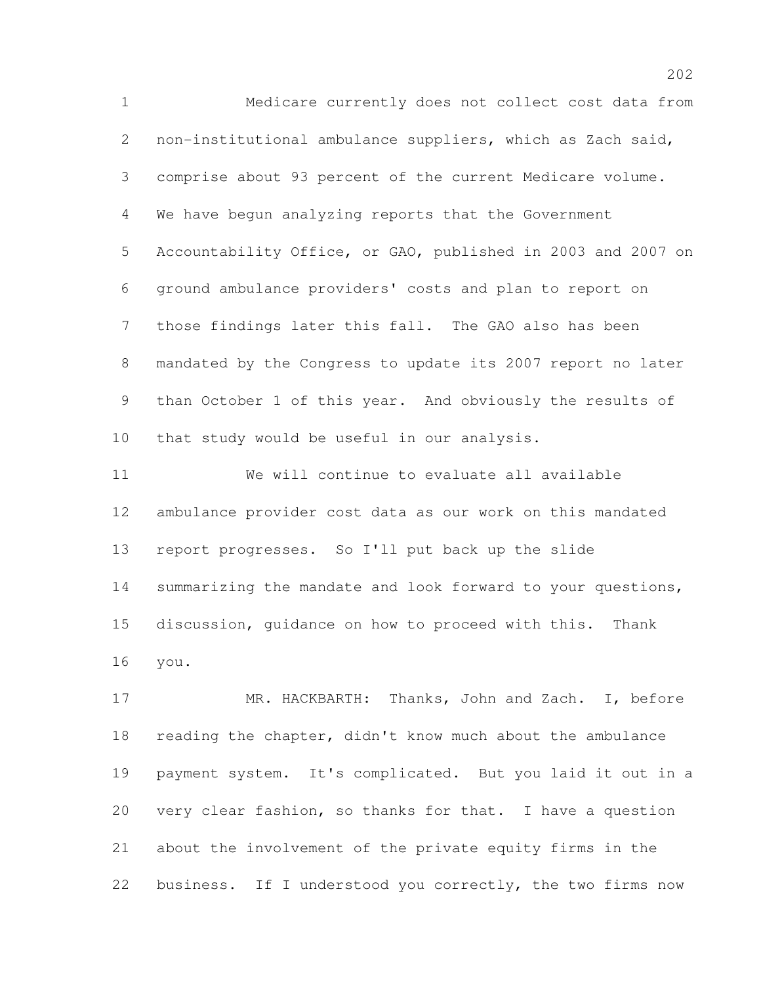Medicare currently does not collect cost data from non-institutional ambulance suppliers, which as Zach said, comprise about 93 percent of the current Medicare volume. We have begun analyzing reports that the Government Accountability Office, or GAO, published in 2003 and 2007 on ground ambulance providers' costs and plan to report on those findings later this fall. The GAO also has been mandated by the Congress to update its 2007 report no later than October 1 of this year. And obviously the results of that study would be useful in our analysis.

 We will continue to evaluate all available ambulance provider cost data as our work on this mandated report progresses. So I'll put back up the slide summarizing the mandate and look forward to your questions, discussion, guidance on how to proceed with this. Thank you.

 MR. HACKBARTH: Thanks, John and Zach. I, before reading the chapter, didn't know much about the ambulance payment system. It's complicated. But you laid it out in a very clear fashion, so thanks for that. I have a question about the involvement of the private equity firms in the 22 business. If I understood you correctly, the two firms now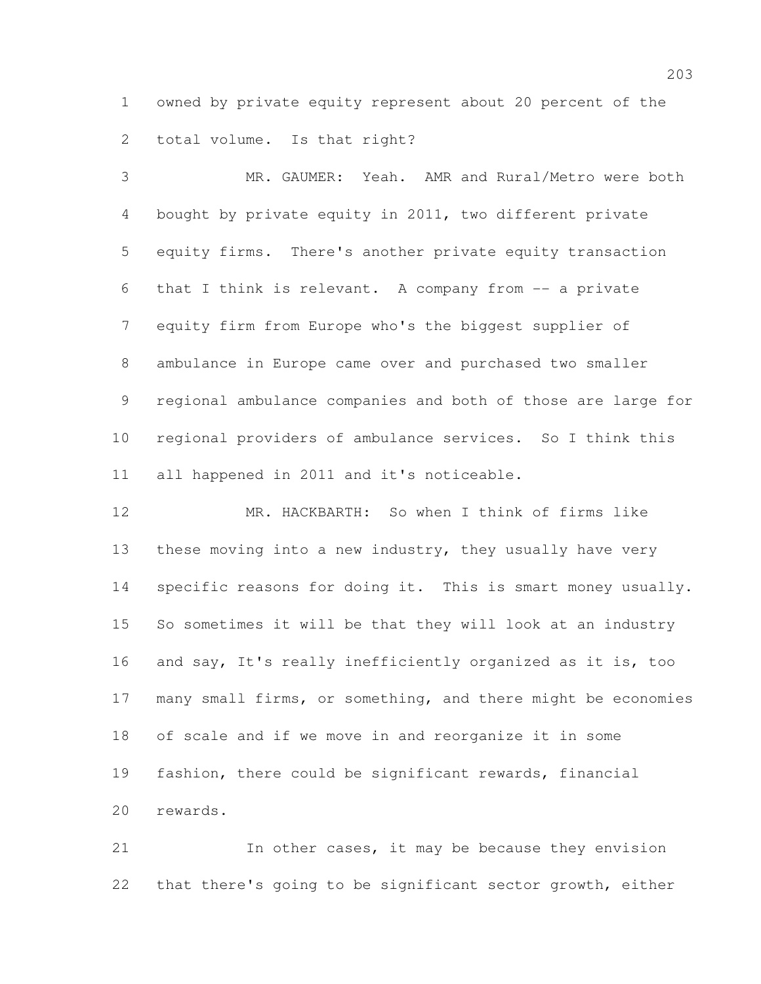owned by private equity represent about 20 percent of the total volume. Is that right?

 MR. GAUMER: Yeah. AMR and Rural/Metro were both bought by private equity in 2011, two different private equity firms. There's another private equity transaction that I think is relevant. A company from -- a private equity firm from Europe who's the biggest supplier of ambulance in Europe came over and purchased two smaller regional ambulance companies and both of those are large for regional providers of ambulance services. So I think this all happened in 2011 and it's noticeable.

 MR. HACKBARTH: So when I think of firms like 13 these moving into a new industry, they usually have very specific reasons for doing it. This is smart money usually. So sometimes it will be that they will look at an industry and say, It's really inefficiently organized as it is, too many small firms, or something, and there might be economies of scale and if we move in and reorganize it in some fashion, there could be significant rewards, financial rewards.

 In other cases, it may be because they envision that there's going to be significant sector growth, either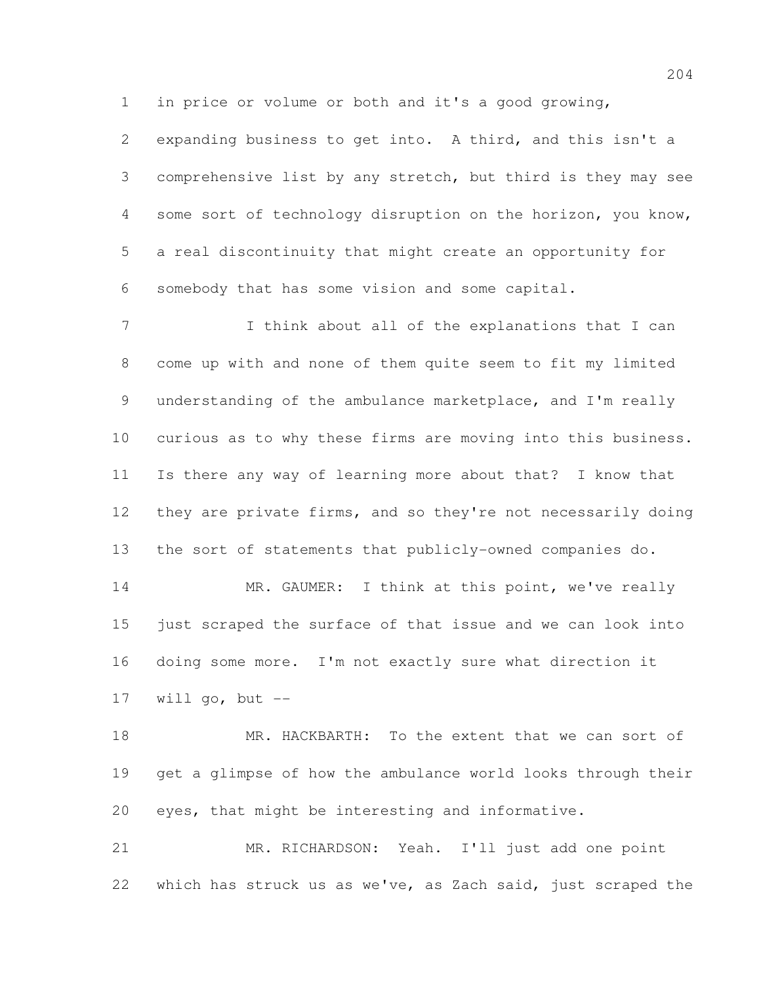in price or volume or both and it's a good growing,

 expanding business to get into. A third, and this isn't a comprehensive list by any stretch, but third is they may see some sort of technology disruption on the horizon, you know, a real discontinuity that might create an opportunity for somebody that has some vision and some capital.

 I think about all of the explanations that I can come up with and none of them quite seem to fit my limited understanding of the ambulance marketplace, and I'm really curious as to why these firms are moving into this business. Is there any way of learning more about that? I know that they are private firms, and so they're not necessarily doing the sort of statements that publicly-owned companies do.

14 MR. GAUMER: I think at this point, we've really just scraped the surface of that issue and we can look into doing some more. I'm not exactly sure what direction it will go, but  $-$ 

 MR. HACKBARTH: To the extent that we can sort of get a glimpse of how the ambulance world looks through their eyes, that might be interesting and informative.

 MR. RICHARDSON: Yeah. I'll just add one point which has struck us as we've, as Zach said, just scraped the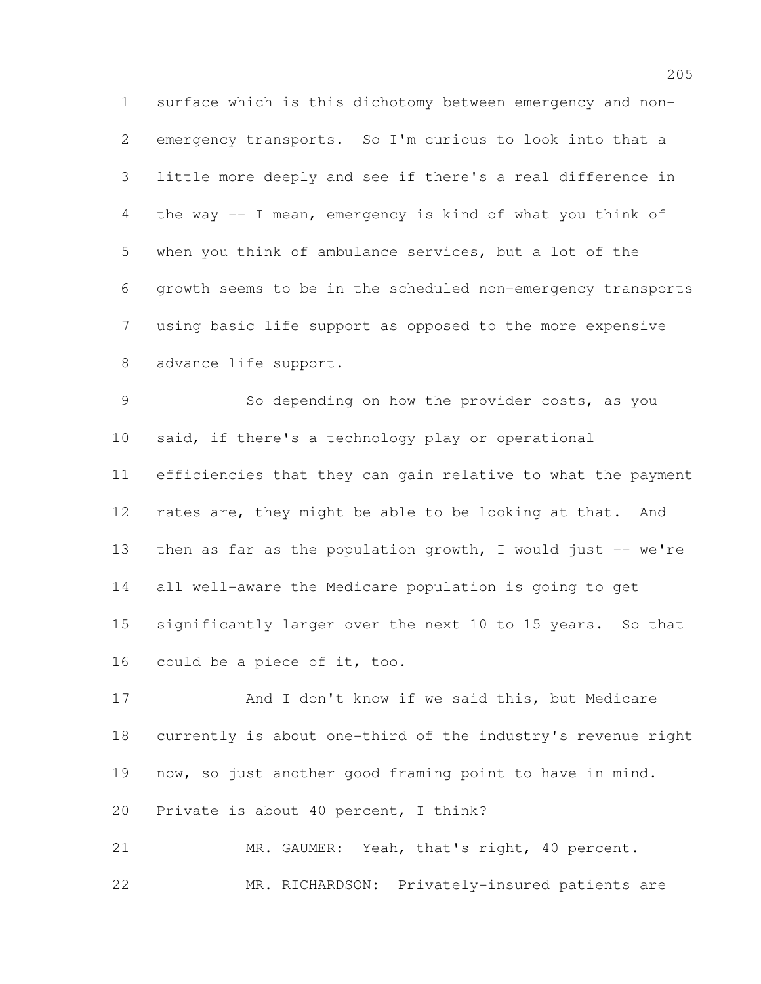surface which is this dichotomy between emergency and non- emergency transports. So I'm curious to look into that a little more deeply and see if there's a real difference in the way -- I mean, emergency is kind of what you think of when you think of ambulance services, but a lot of the growth seems to be in the scheduled non-emergency transports using basic life support as opposed to the more expensive advance life support.

 So depending on how the provider costs, as you said, if there's a technology play or operational efficiencies that they can gain relative to what the payment 12 rates are, they might be able to be looking at that. And 13 then as far as the population growth, I would just -- we're all well-aware the Medicare population is going to get significantly larger over the next 10 to 15 years. So that could be a piece of it, too.

17 And I don't know if we said this, but Medicare currently is about one-third of the industry's revenue right now, so just another good framing point to have in mind. Private is about 40 percent, I think?

 MR. GAUMER: Yeah, that's right, 40 percent. MR. RICHARDSON: Privately-insured patients are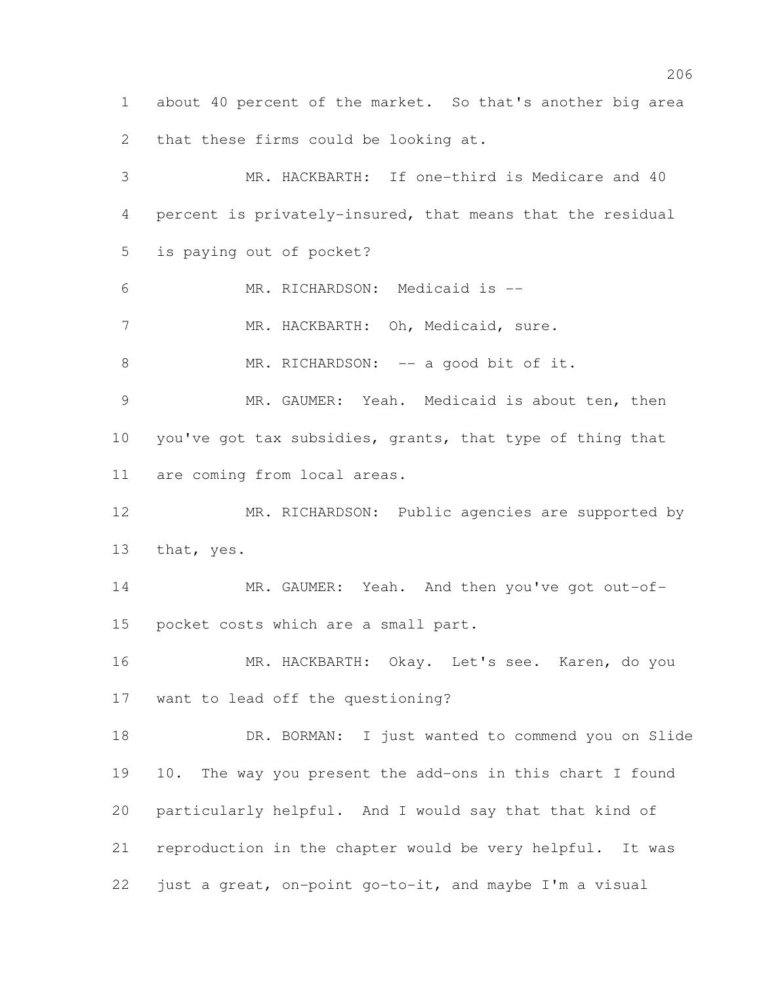about 40 percent of the market. So that's another big area that these firms could be looking at.

 MR. HACKBARTH: If one-third is Medicare and 40 percent is privately-insured, that means that the residual is paying out of pocket? MR. RICHARDSON: Medicaid is -- 7 MR. HACKBARTH: Oh, Medicaid, sure. 8 MR. RICHARDSON: -- a good bit of it. MR. GAUMER: Yeah. Medicaid is about ten, then you've got tax subsidies, grants, that type of thing that are coming from local areas. MR. RICHARDSON: Public agencies are supported by that, yes. MR. GAUMER: Yeah. And then you've got out-of- pocket costs which are a small part. MR. HACKBARTH: Okay. Let's see. Karen, do you want to lead off the questioning? DR. BORMAN: I just wanted to commend you on Slide 10. The way you present the add-ons in this chart I found particularly helpful. And I would say that that kind of reproduction in the chapter would be very helpful. It was just a great, on-point go-to-it, and maybe I'm a visual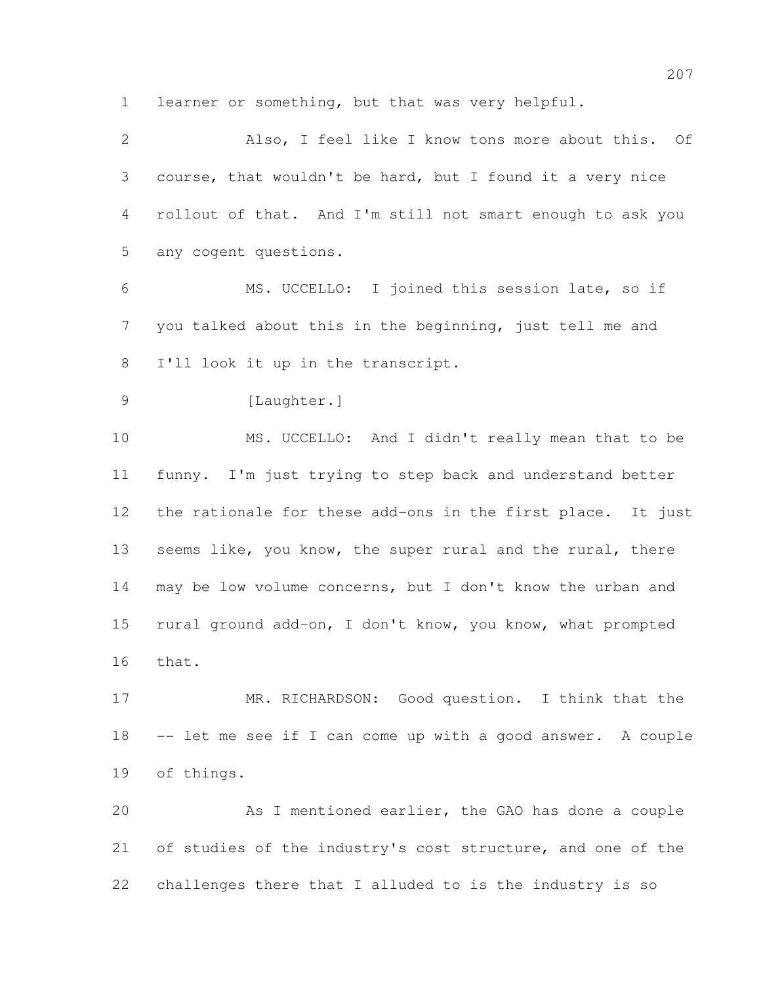learner or something, but that was very helpful.

 Also, I feel like I know tons more about this. Of course, that wouldn't be hard, but I found it a very nice rollout of that. And I'm still not smart enough to ask you any cogent questions. MS. UCCELLO: I joined this session late, so if you talked about this in the beginning, just tell me and I'll look it up in the transcript. [Laughter.] MS. UCCELLO: And I didn't really mean that to be funny. I'm just trying to step back and understand better the rationale for these add-ons in the first place. It just 13 seems like, you know, the super rural and the rural, there may be low volume concerns, but I don't know the urban and rural ground add-on, I don't know, you know, what prompted that. MR. RICHARDSON: Good question. I think that the -- let me see if I can come up with a good answer. A couple of things. As I mentioned earlier, the GAO has done a couple 21 of studies of the industry's cost structure, and one of the

challenges there that I alluded to is the industry is so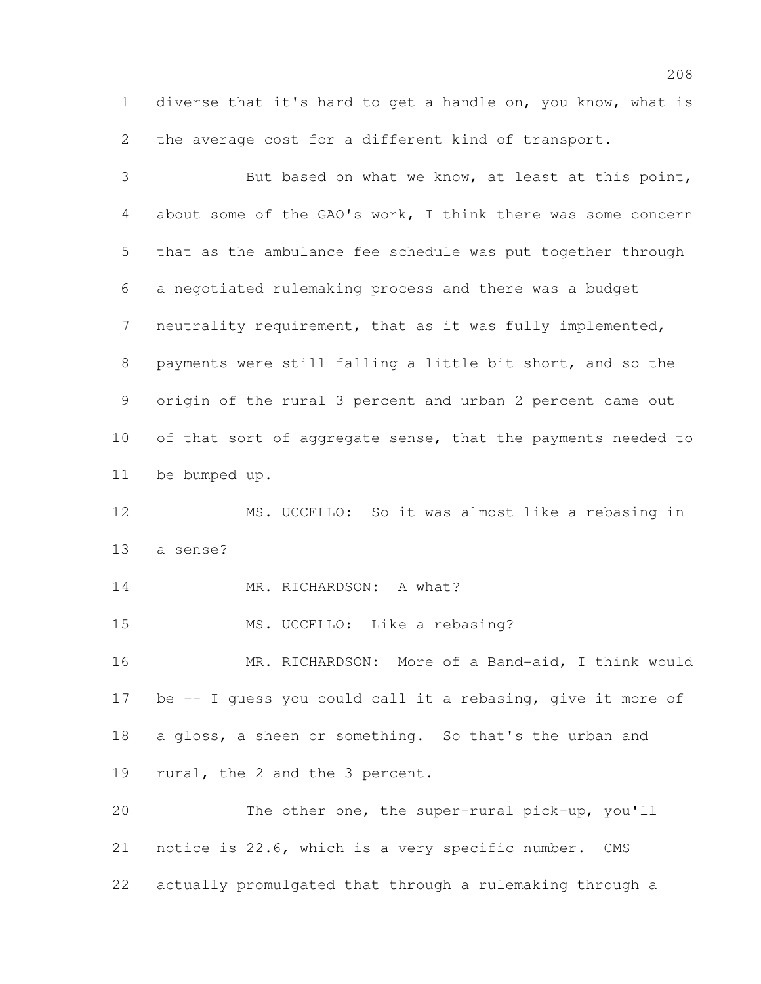diverse that it's hard to get a handle on, you know, what is the average cost for a different kind of transport.

 But based on what we know, at least at this point, about some of the GAO's work, I think there was some concern that as the ambulance fee schedule was put together through a negotiated rulemaking process and there was a budget neutrality requirement, that as it was fully implemented, payments were still falling a little bit short, and so the origin of the rural 3 percent and urban 2 percent came out 10 of that sort of aggregate sense, that the payments needed to be bumped up.

 MS. UCCELLO: So it was almost like a rebasing in a sense?

14 MR. RICHARDSON: A what?

15 MS. UCCELLO: Like a rebasing?

 MR. RICHARDSON: More of a Band-aid, I think would 17 be -- I guess you could call it a rebasing, give it more of a gloss, a sheen or something. So that's the urban and rural, the 2 and the 3 percent.

 The other one, the super-rural pick-up, you'll notice is 22.6, which is a very specific number. CMS actually promulgated that through a rulemaking through a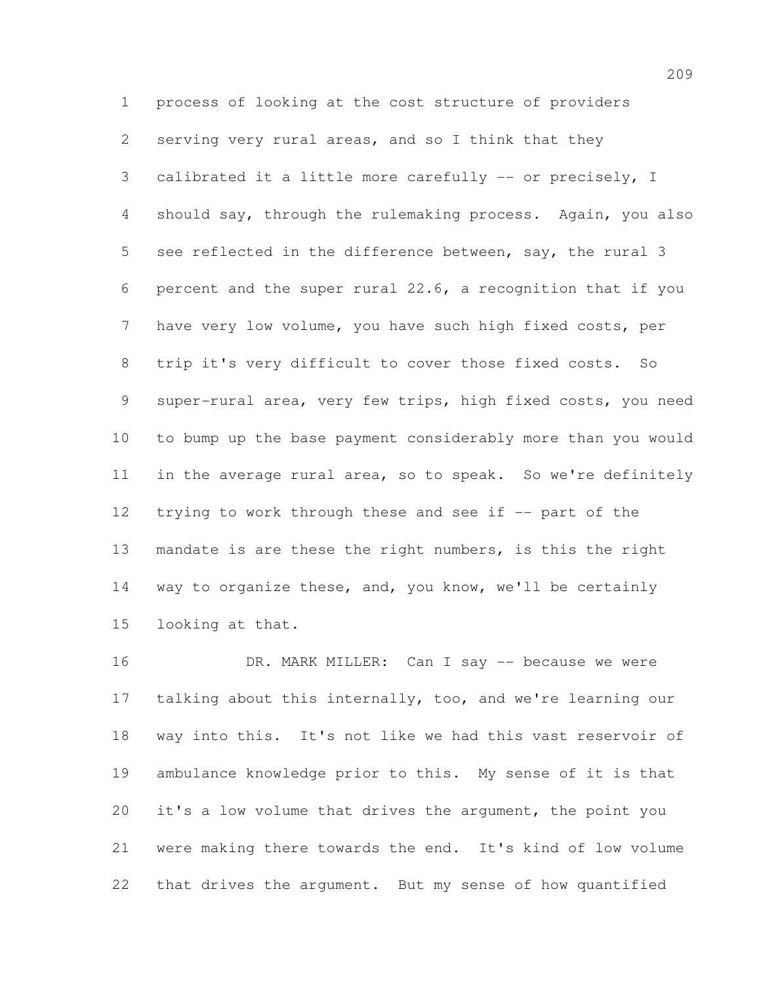process of looking at the cost structure of providers serving very rural areas, and so I think that they calibrated it a little more carefully -- or precisely, I should say, through the rulemaking process. Again, you also see reflected in the difference between, say, the rural 3 percent and the super rural 22.6, a recognition that if you have very low volume, you have such high fixed costs, per trip it's very difficult to cover those fixed costs. So super-rural area, very few trips, high fixed costs, you need to bump up the base payment considerably more than you would in the average rural area, so to speak. So we're definitely 12 trying to work through these and see if -- part of the mandate is are these the right numbers, is this the right way to organize these, and, you know, we'll be certainly looking at that.

 DR. MARK MILLER: Can I say -- because we were talking about this internally, too, and we're learning our way into this. It's not like we had this vast reservoir of ambulance knowledge prior to this. My sense of it is that it's a low volume that drives the argument, the point you were making there towards the end. It's kind of low volume that drives the argument. But my sense of how quantified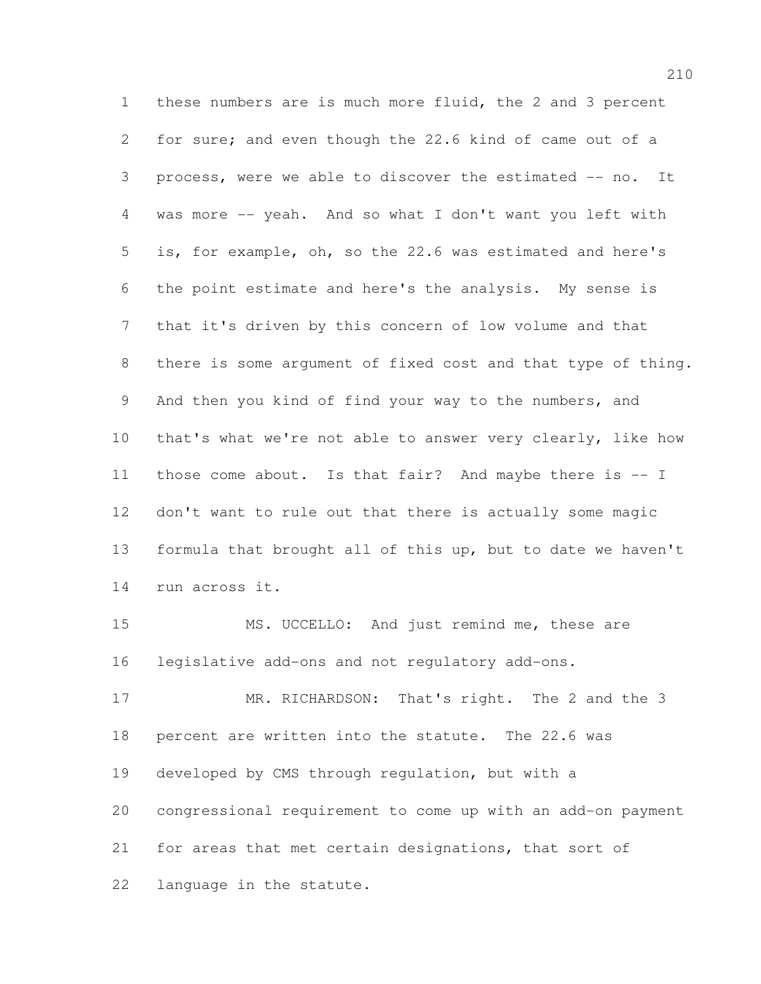these numbers are is much more fluid, the 2 and 3 percent for sure; and even though the 22.6 kind of came out of a process, were we able to discover the estimated -- no. It was more -- yeah. And so what I don't want you left with is, for example, oh, so the 22.6 was estimated and here's the point estimate and here's the analysis. My sense is that it's driven by this concern of low volume and that there is some argument of fixed cost and that type of thing. And then you kind of find your way to the numbers, and that's what we're not able to answer very clearly, like how those come about. Is that fair? And maybe there is -- I don't want to rule out that there is actually some magic formula that brought all of this up, but to date we haven't run across it.

 MS. UCCELLO: And just remind me, these are legislative add-ons and not regulatory add-ons.

 MR. RICHARDSON: That's right. The 2 and the 3 percent are written into the statute. The 22.6 was developed by CMS through regulation, but with a congressional requirement to come up with an add-on payment for areas that met certain designations, that sort of language in the statute.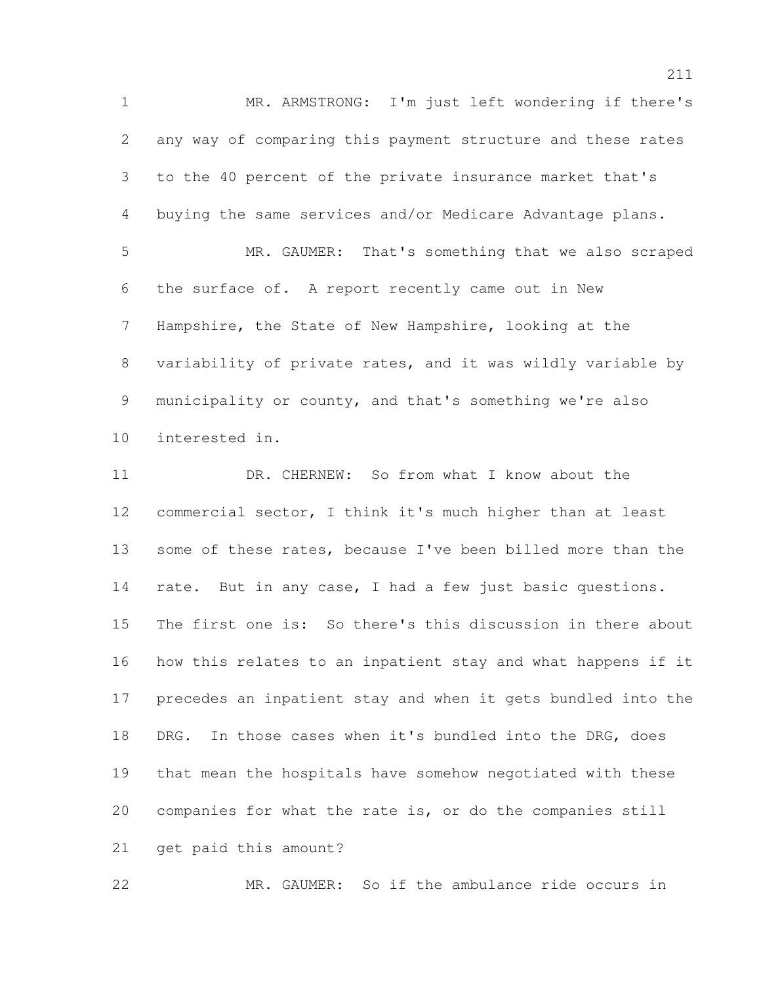MR. ARMSTRONG: I'm just left wondering if there's any way of comparing this payment structure and these rates to the 40 percent of the private insurance market that's buying the same services and/or Medicare Advantage plans. MR. GAUMER: That's something that we also scraped the surface of. A report recently came out in New Hampshire, the State of New Hampshire, looking at the variability of private rates, and it was wildly variable by municipality or county, and that's something we're also interested in. **DR. CHERNEW:** So from what I know about the commercial sector, I think it's much higher than at least 13 some of these rates, because I've been billed more than the rate. But in any case, I had a few just basic questions. The first one is: So there's this discussion in there about how this relates to an inpatient stay and what happens if it precedes an inpatient stay and when it gets bundled into the DRG. In those cases when it's bundled into the DRG, does that mean the hospitals have somehow negotiated with these companies for what the rate is, or do the companies still

get paid this amount?

MR. GAUMER: So if the ambulance ride occurs in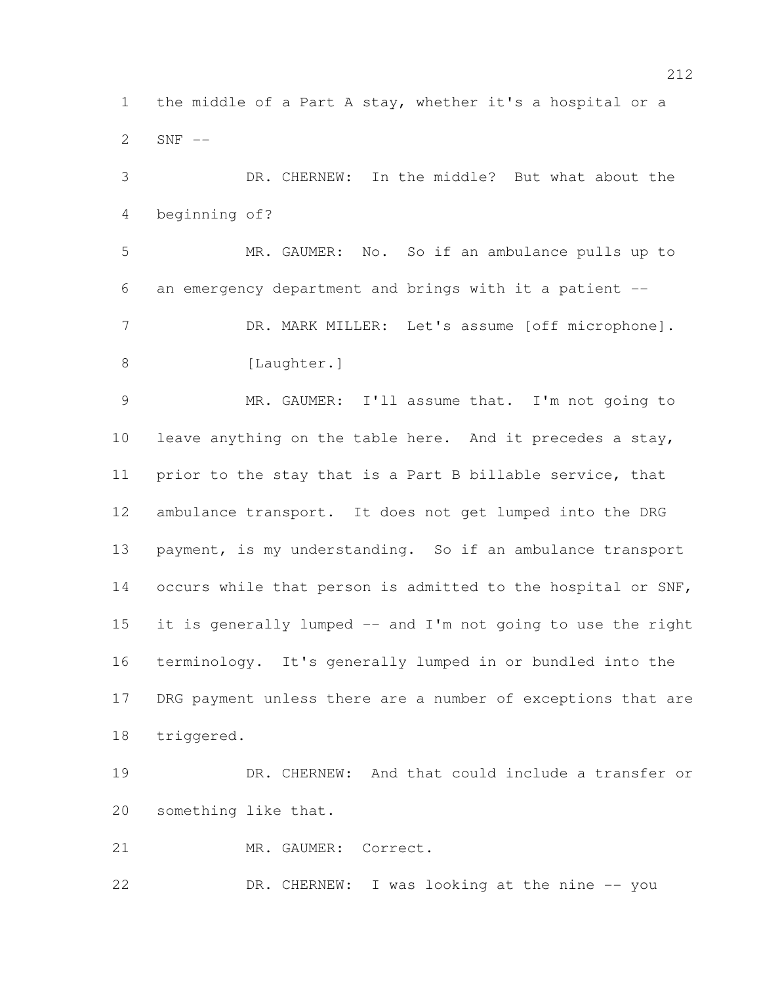the middle of a Part A stay, whether it's a hospital or a SNF --

 DR. CHERNEW: In the middle? But what about the beginning of? MR. GAUMER: No. So if an ambulance pulls up to an emergency department and brings with it a patient -- 7 DR. MARK MILLER: Let's assume [off microphone]. 8 [Laughter.] MR. GAUMER: I'll assume that. I'm not going to leave anything on the table here. And it precedes a stay, prior to the stay that is a Part B billable service, that ambulance transport. It does not get lumped into the DRG payment, is my understanding. So if an ambulance transport occurs while that person is admitted to the hospital or SNF, it is generally lumped -- and I'm not going to use the right terminology. It's generally lumped in or bundled into the DRG payment unless there are a number of exceptions that are triggered.

 DR. CHERNEW: And that could include a transfer or something like that.

MR. GAUMER: Correct.

22 DR. CHERNEW: I was looking at the nine -- you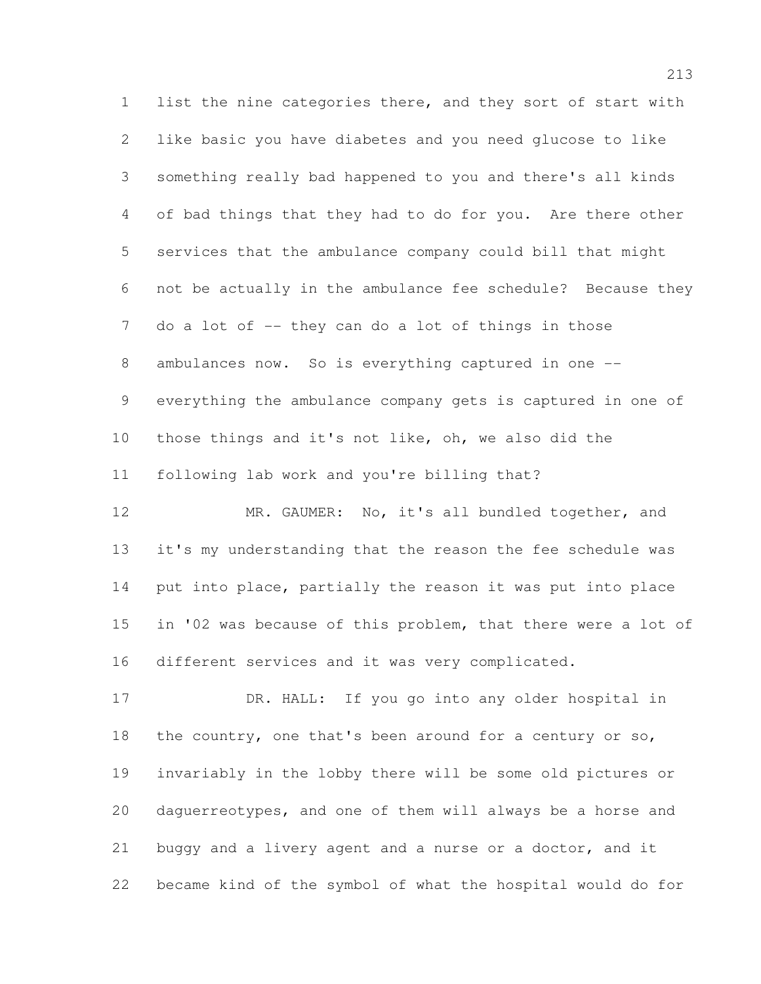list the nine categories there, and they sort of start with like basic you have diabetes and you need glucose to like something really bad happened to you and there's all kinds of bad things that they had to do for you. Are there other services that the ambulance company could bill that might not be actually in the ambulance fee schedule? Because they do a lot of -- they can do a lot of things in those ambulances now. So is everything captured in one -- everything the ambulance company gets is captured in one of those things and it's not like, oh, we also did the following lab work and you're billing that?

12 MR. GAUMER: No, it's all bundled together, and it's my understanding that the reason the fee schedule was put into place, partially the reason it was put into place in '02 was because of this problem, that there were a lot of different services and it was very complicated.

 DR. HALL: If you go into any older hospital in the country, one that's been around for a century or so, invariably in the lobby there will be some old pictures or daguerreotypes, and one of them will always be a horse and buggy and a livery agent and a nurse or a doctor, and it became kind of the symbol of what the hospital would do for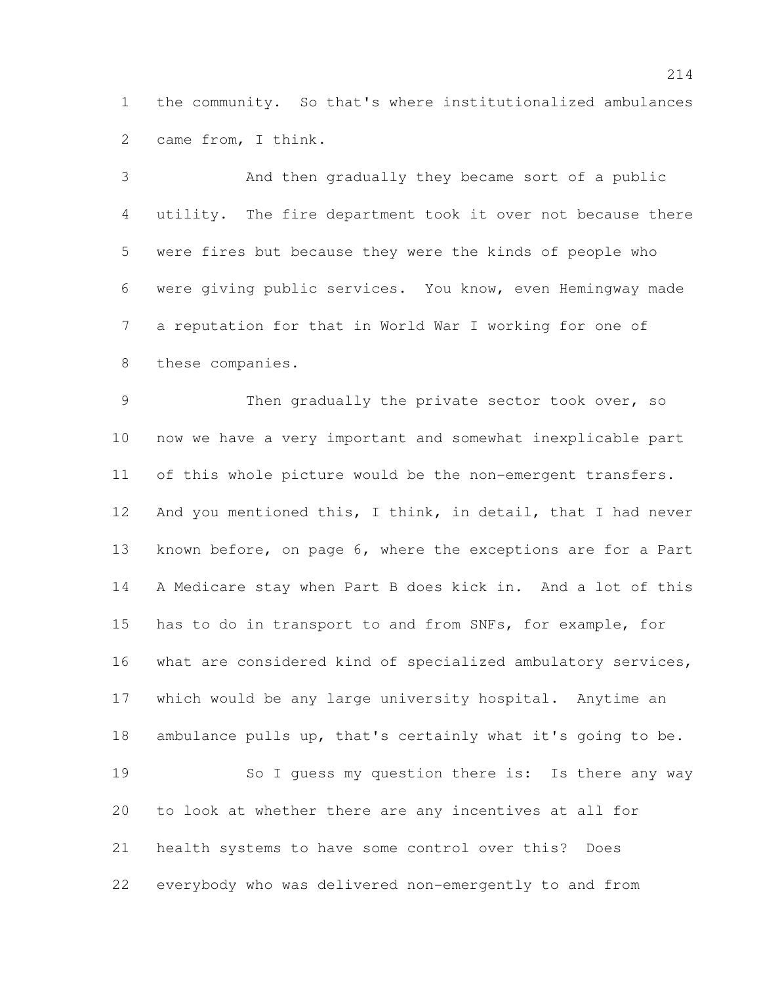the community. So that's where institutionalized ambulances came from, I think.

 And then gradually they became sort of a public utility. The fire department took it over not because there were fires but because they were the kinds of people who were giving public services. You know, even Hemingway made a reputation for that in World War I working for one of these companies.

 Then gradually the private sector took over, so now we have a very important and somewhat inexplicable part of this whole picture would be the non-emergent transfers. 12 And you mentioned this, I think, in detail, that I had never known before, on page 6, where the exceptions are for a Part A Medicare stay when Part B does kick in. And a lot of this has to do in transport to and from SNFs, for example, for what are considered kind of specialized ambulatory services, which would be any large university hospital. Anytime an ambulance pulls up, that's certainly what it's going to be. So I guess my question there is: Is there any way to look at whether there are any incentives at all for health systems to have some control over this? Does everybody who was delivered non-emergently to and from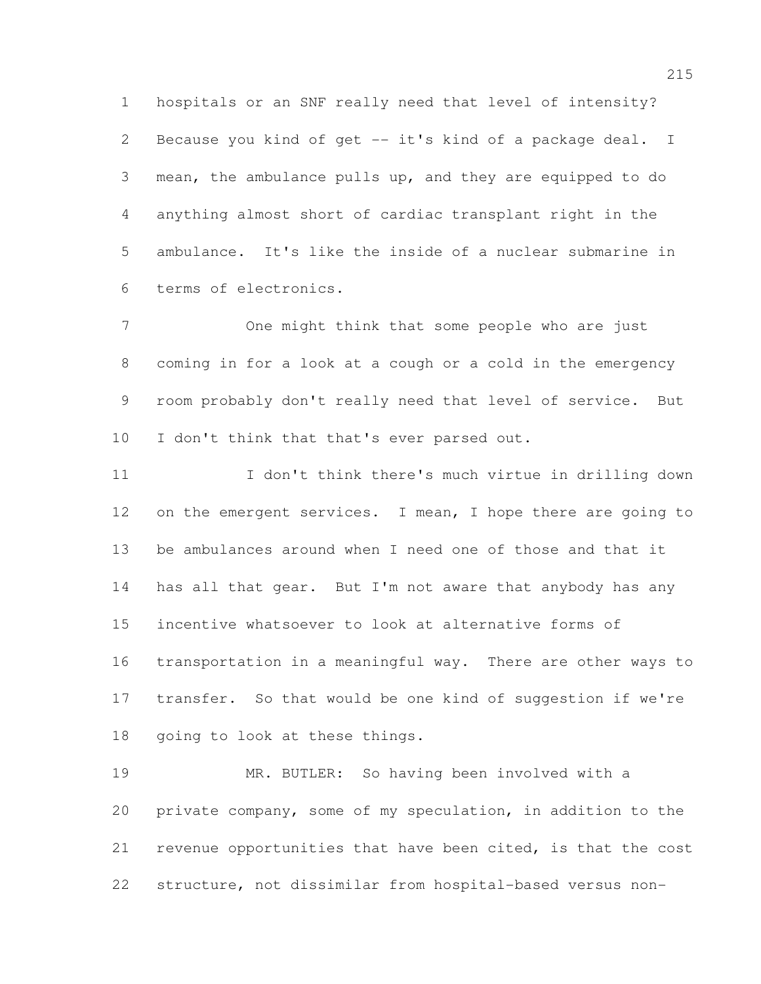hospitals or an SNF really need that level of intensity? Because you kind of get -- it's kind of a package deal. I mean, the ambulance pulls up, and they are equipped to do anything almost short of cardiac transplant right in the ambulance. It's like the inside of a nuclear submarine in terms of electronics.

 One might think that some people who are just coming in for a look at a cough or a cold in the emergency room probably don't really need that level of service. But I don't think that that's ever parsed out.

 I don't think there's much virtue in drilling down 12 on the emergent services. I mean, I hope there are going to be ambulances around when I need one of those and that it has all that gear. But I'm not aware that anybody has any incentive whatsoever to look at alternative forms of transportation in a meaningful way. There are other ways to transfer. So that would be one kind of suggestion if we're going to look at these things.

 MR. BUTLER: So having been involved with a private company, some of my speculation, in addition to the revenue opportunities that have been cited, is that the cost structure, not dissimilar from hospital-based versus non-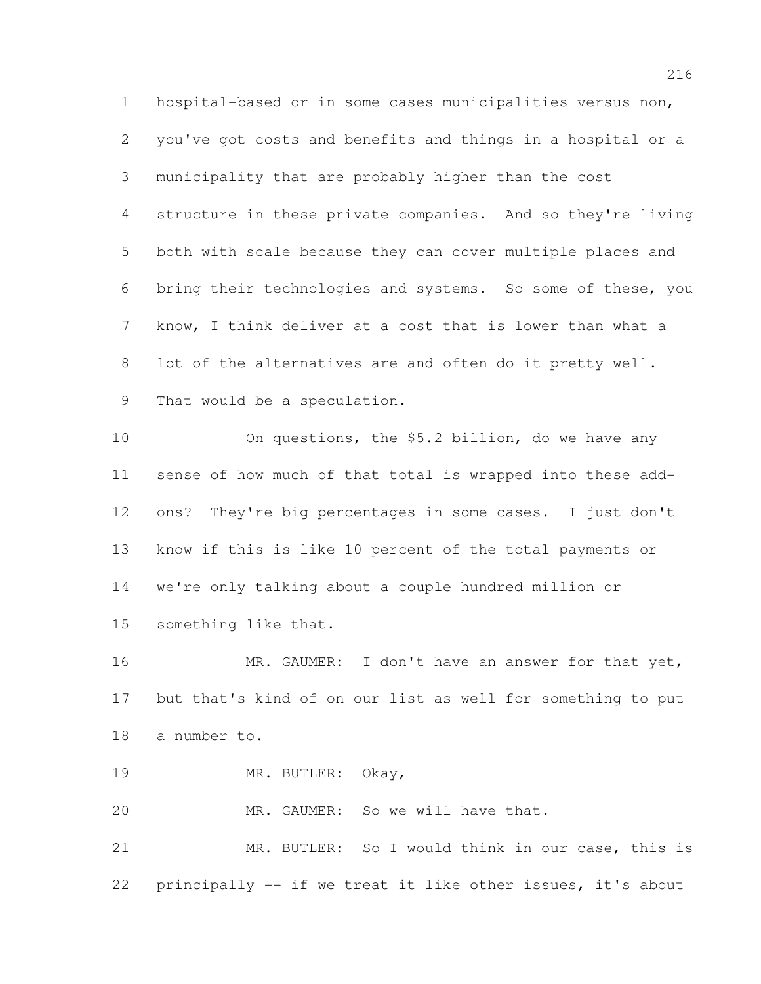hospital-based or in some cases municipalities versus non, you've got costs and benefits and things in a hospital or a municipality that are probably higher than the cost structure in these private companies. And so they're living both with scale because they can cover multiple places and bring their technologies and systems. So some of these, you know, I think deliver at a cost that is lower than what a lot of the alternatives are and often do it pretty well. That would be a speculation.

 On questions, the \$5.2 billion, do we have any sense of how much of that total is wrapped into these add- ons? They're big percentages in some cases. I just don't know if this is like 10 percent of the total payments or we're only talking about a couple hundred million or something like that.

16 MR. GAUMER: I don't have an answer for that yet, but that's kind of on our list as well for something to put a number to.

MR. BUTLER: Okay,

MR. GAUMER: So we will have that.

 MR. BUTLER: So I would think in our case, this is principally -- if we treat it like other issues, it's about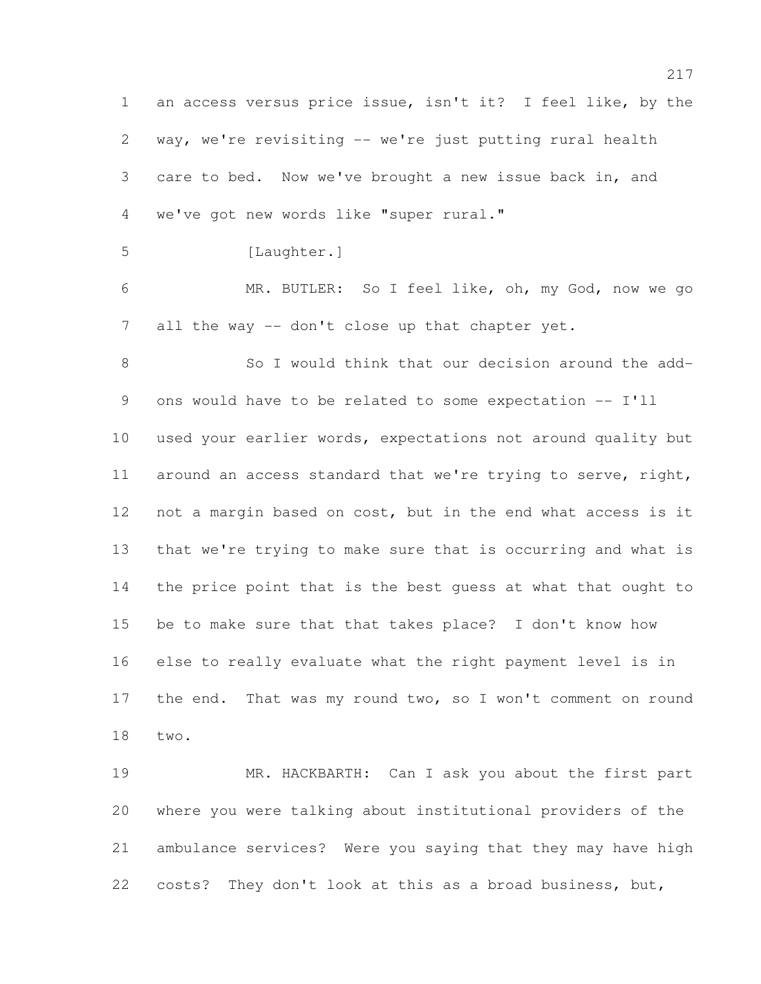an access versus price issue, isn't it? I feel like, by the way, we're revisiting -- we're just putting rural health care to bed. Now we've brought a new issue back in, and we've got new words like "super rural." [Laughter.]

 MR. BUTLER: So I feel like, oh, my God, now we go 7 all the way -- don't close up that chapter yet.

 So I would think that our decision around the add- ons would have to be related to some expectation -- I'll used your earlier words, expectations not around quality but around an access standard that we're trying to serve, right, not a margin based on cost, but in the end what access is it that we're trying to make sure that is occurring and what is the price point that is the best guess at what that ought to be to make sure that that takes place? I don't know how else to really evaluate what the right payment level is in the end. That was my round two, so I won't comment on round two.

 MR. HACKBARTH: Can I ask you about the first part where you were talking about institutional providers of the ambulance services? Were you saying that they may have high costs? They don't look at this as a broad business, but,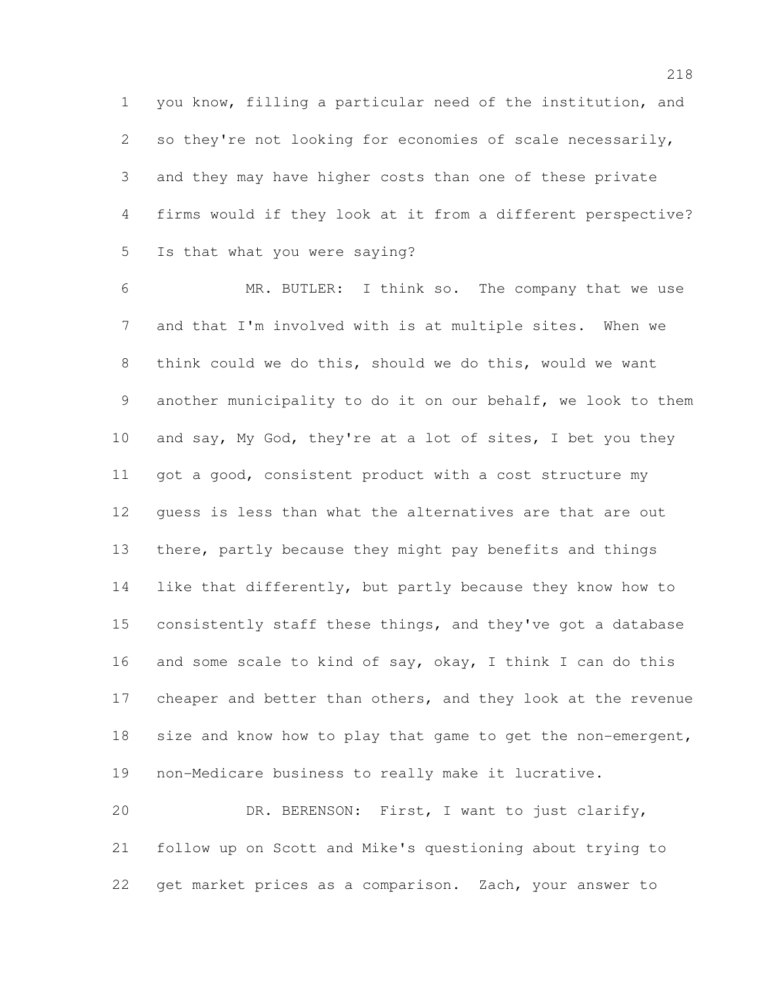you know, filling a particular need of the institution, and so they're not looking for economies of scale necessarily, and they may have higher costs than one of these private firms would if they look at it from a different perspective? Is that what you were saying?

 MR. BUTLER: I think so. The company that we use and that I'm involved with is at multiple sites. When we think could we do this, should we do this, would we want another municipality to do it on our behalf, we look to them and say, My God, they're at a lot of sites, I bet you they got a good, consistent product with a cost structure my guess is less than what the alternatives are that are out there, partly because they might pay benefits and things like that differently, but partly because they know how to consistently staff these things, and they've got a database 16 and some scale to kind of say, okay, I think I can do this cheaper and better than others, and they look at the revenue 18 size and know how to play that game to get the non-emergent, non-Medicare business to really make it lucrative.

 DR. BERENSON: First, I want to just clarify, follow up on Scott and Mike's questioning about trying to get market prices as a comparison. Zach, your answer to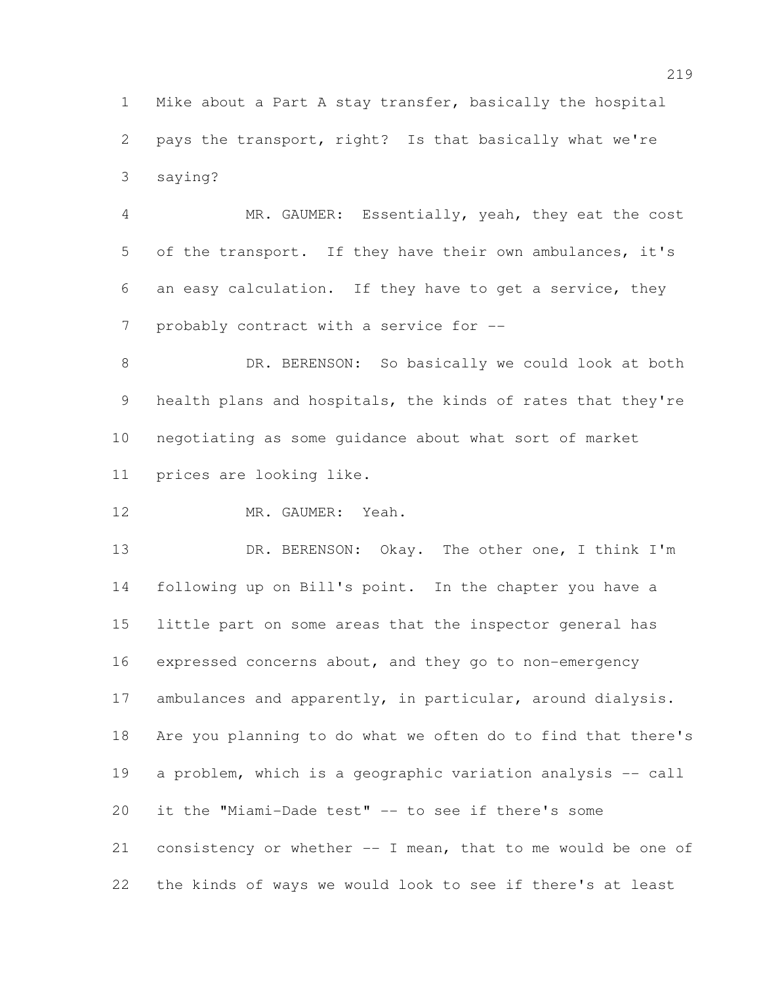Mike about a Part A stay transfer, basically the hospital pays the transport, right? Is that basically what we're saying?

 MR. GAUMER: Essentially, yeah, they eat the cost of the transport. If they have their own ambulances, it's an easy calculation. If they have to get a service, they 7 probably contract with a service for --

8 DR. BERENSON: So basically we could look at both health plans and hospitals, the kinds of rates that they're negotiating as some guidance about what sort of market prices are looking like.

12 MR. GAUMER: Yeah.

13 DR. BERENSON: Okay. The other one, I think I'm following up on Bill's point. In the chapter you have a little part on some areas that the inspector general has expressed concerns about, and they go to non-emergency 17 ambulances and apparently, in particular, around dialysis. Are you planning to do what we often do to find that there's a problem, which is a geographic variation analysis -- call it the "Miami-Dade test" -- to see if there's some consistency or whether -- I mean, that to me would be one of the kinds of ways we would look to see if there's at least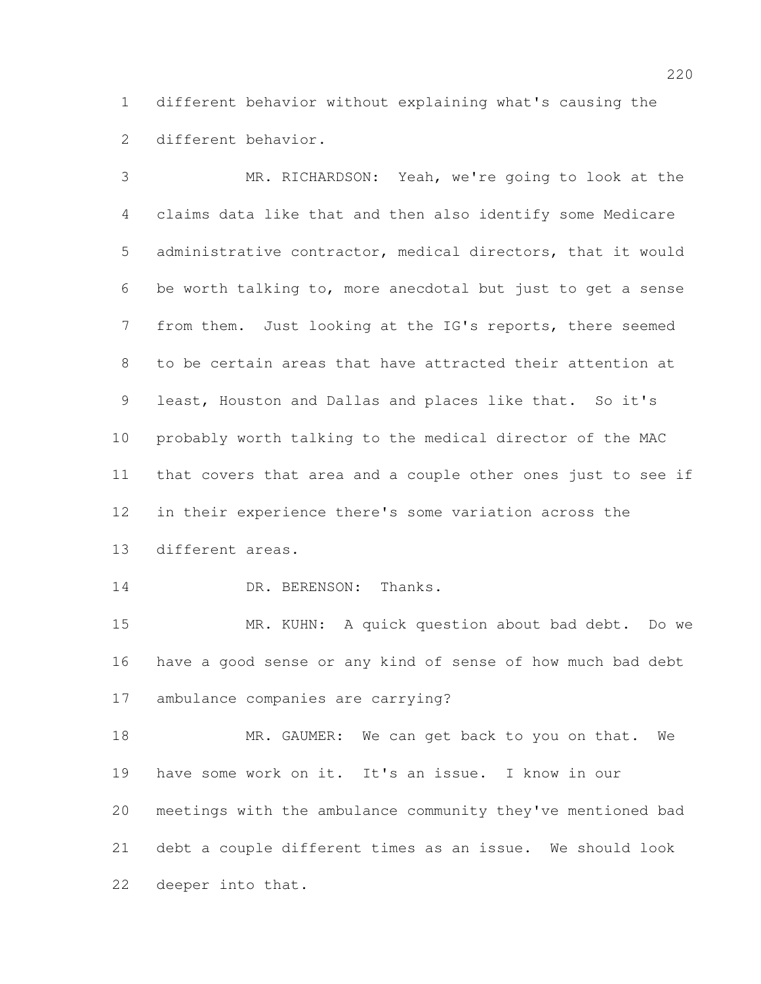different behavior without explaining what's causing the different behavior.

 MR. RICHARDSON: Yeah, we're going to look at the claims data like that and then also identify some Medicare administrative contractor, medical directors, that it would be worth talking to, more anecdotal but just to get a sense from them. Just looking at the IG's reports, there seemed to be certain areas that have attracted their attention at least, Houston and Dallas and places like that. So it's probably worth talking to the medical director of the MAC that covers that area and a couple other ones just to see if in their experience there's some variation across the different areas.

14 DR. BERENSON: Thanks.

 MR. KUHN: A quick question about bad debt. Do we have a good sense or any kind of sense of how much bad debt ambulance companies are carrying?

18 MR. GAUMER: We can get back to you on that. We have some work on it. It's an issue. I know in our meetings with the ambulance community they've mentioned bad debt a couple different times as an issue. We should look deeper into that.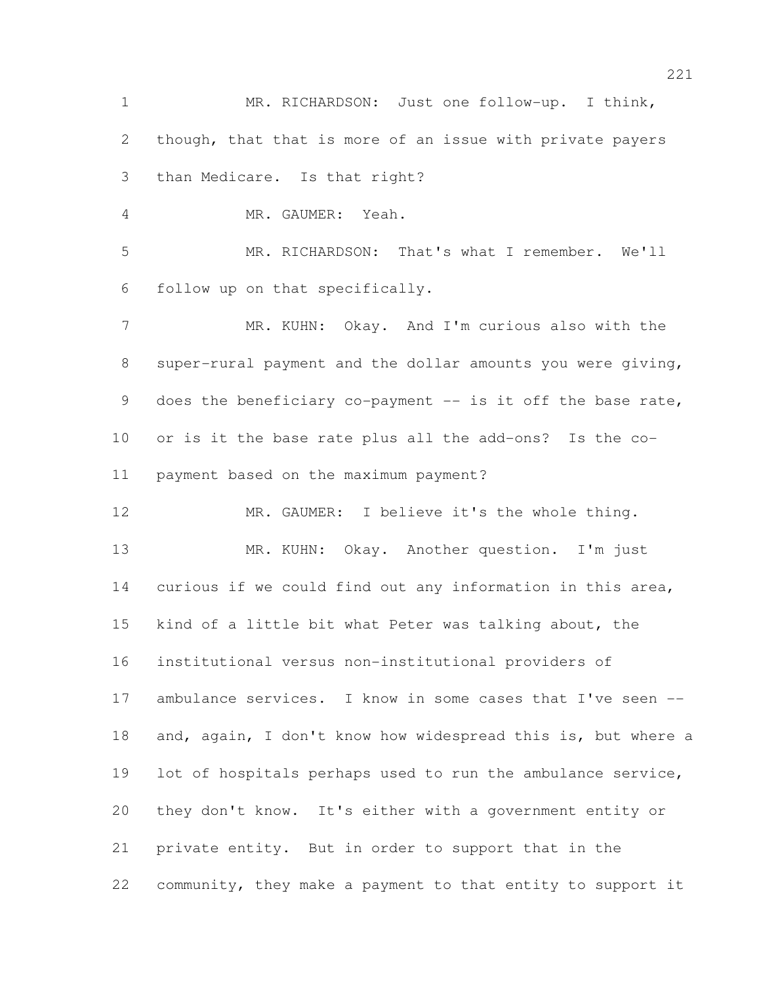MR. RICHARDSON: Just one follow-up. I think, though, that that is more of an issue with private payers than Medicare. Is that right? MR. GAUMER: Yeah.

 MR. RICHARDSON: That's what I remember. We'll follow up on that specifically.

 MR. KUHN: Okay. And I'm curious also with the super-rural payment and the dollar amounts you were giving, 9 does the beneficiary co-payment -- is it off the base rate, or is it the base rate plus all the add-ons? Is the co-payment based on the maximum payment?

 MR. GAUMER: I believe it's the whole thing. 13 MR. KUHN: Okay. Another question. I'm just curious if we could find out any information in this area, kind of a little bit what Peter was talking about, the institutional versus non-institutional providers of 17 ambulance services. I know in some cases that I've seen -- and, again, I don't know how widespread this is, but where a lot of hospitals perhaps used to run the ambulance service, they don't know. It's either with a government entity or private entity. But in order to support that in the community, they make a payment to that entity to support it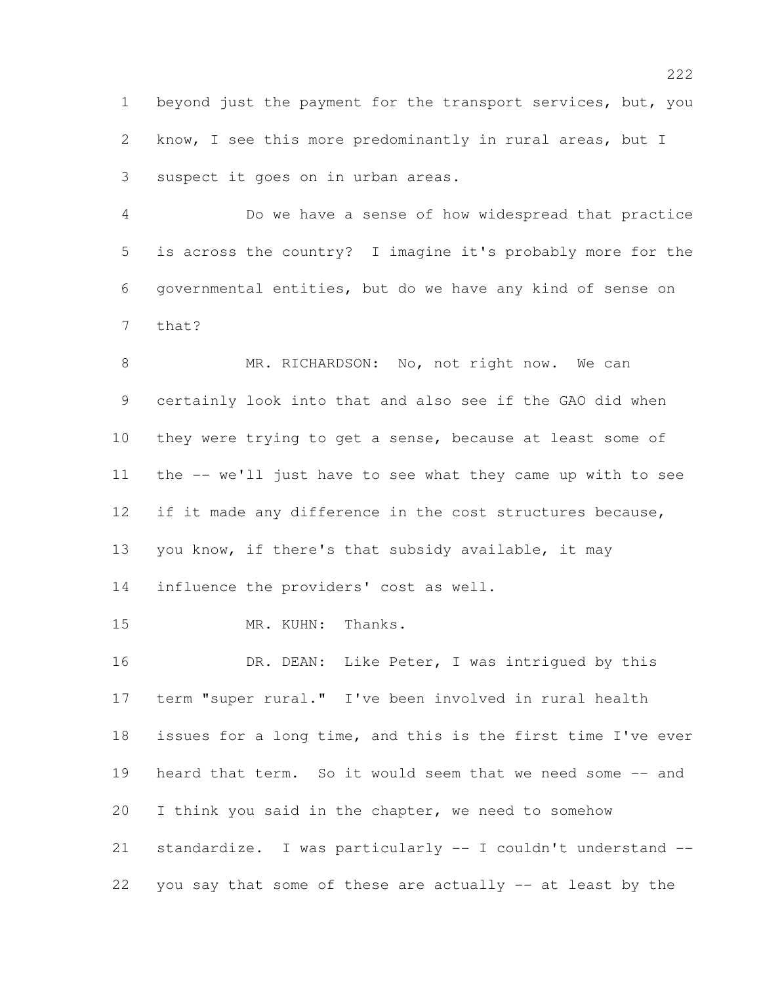beyond just the payment for the transport services, but, you know, I see this more predominantly in rural areas, but I suspect it goes on in urban areas.

 Do we have a sense of how widespread that practice is across the country? I imagine it's probably more for the governmental entities, but do we have any kind of sense on that?

8 MR. RICHARDSON: No, not right now. We can certainly look into that and also see if the GAO did when they were trying to get a sense, because at least some of the -- we'll just have to see what they came up with to see 12 if it made any difference in the cost structures because, you know, if there's that subsidy available, it may influence the providers' cost as well.

15 MR. KUHN: Thanks.

16 DR. DEAN: Like Peter, I was intrigued by this term "super rural." I've been involved in rural health issues for a long time, and this is the first time I've ever heard that term. So it would seem that we need some -- and I think you said in the chapter, we need to somehow standardize. I was particularly -- I couldn't understand -- you say that some of these are actually -- at least by the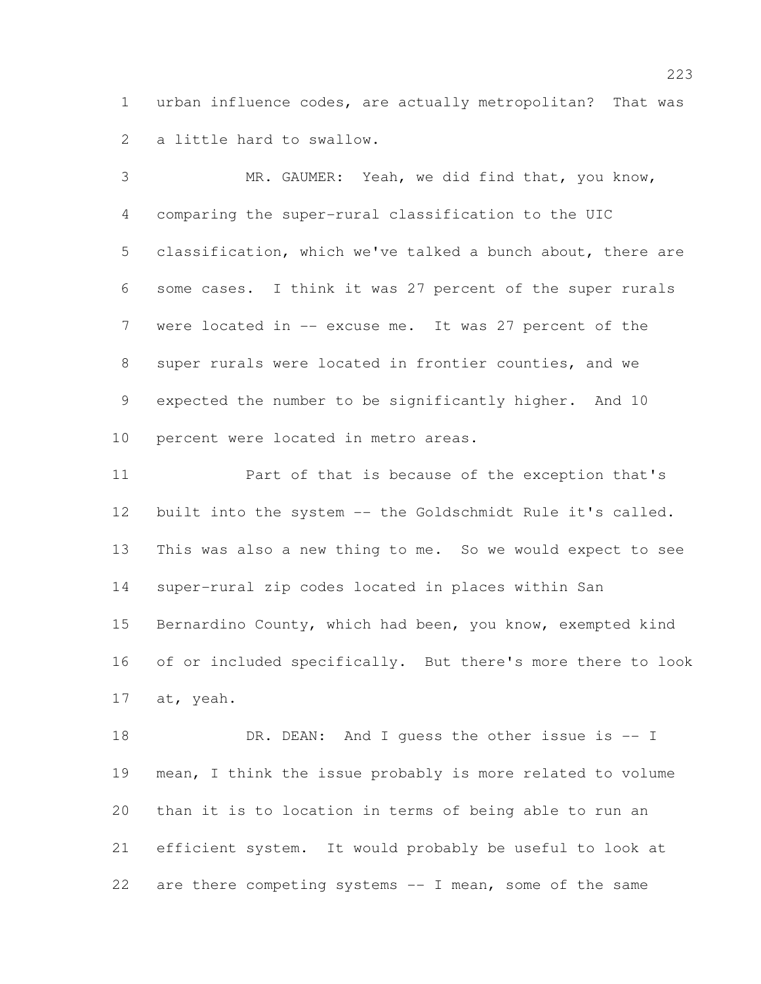urban influence codes, are actually metropolitan? That was a little hard to swallow.

 MR. GAUMER: Yeah, we did find that, you know, comparing the super-rural classification to the UIC classification, which we've talked a bunch about, there are some cases. I think it was 27 percent of the super rurals were located in -- excuse me. It was 27 percent of the super rurals were located in frontier counties, and we expected the number to be significantly higher. And 10 percent were located in metro areas.

 Part of that is because of the exception that's built into the system -- the Goldschmidt Rule it's called. This was also a new thing to me. So we would expect to see super-rural zip codes located in places within San Bernardino County, which had been, you know, exempted kind of or included specifically. But there's more there to look at, yeah.

18 DR. DEAN: And I guess the other issue is -- I mean, I think the issue probably is more related to volume than it is to location in terms of being able to run an efficient system. It would probably be useful to look at are there competing systems -- I mean, some of the same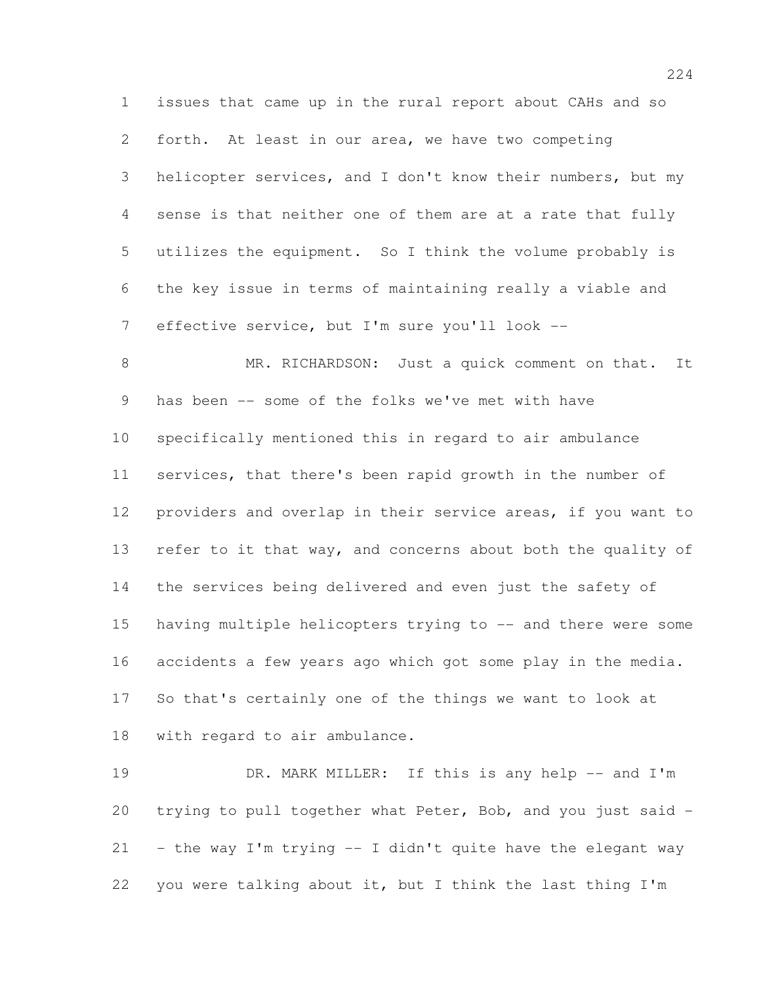issues that came up in the rural report about CAHs and so forth. At least in our area, we have two competing helicopter services, and I don't know their numbers, but my sense is that neither one of them are at a rate that fully utilizes the equipment. So I think the volume probably is the key issue in terms of maintaining really a viable and effective service, but I'm sure you'll look --

8 MR. RICHARDSON: Just a quick comment on that. It has been -- some of the folks we've met with have specifically mentioned this in regard to air ambulance services, that there's been rapid growth in the number of providers and overlap in their service areas, if you want to refer to it that way, and concerns about both the quality of the services being delivered and even just the safety of having multiple helicopters trying to -- and there were some accidents a few years ago which got some play in the media. So that's certainly one of the things we want to look at with regard to air ambulance.

19 DR. MARK MILLER: If this is any help -- and I'm trying to pull together what Peter, Bob, and you just said - 21 - the way I'm trying  $-$  I didn't quite have the elegant way you were talking about it, but I think the last thing I'm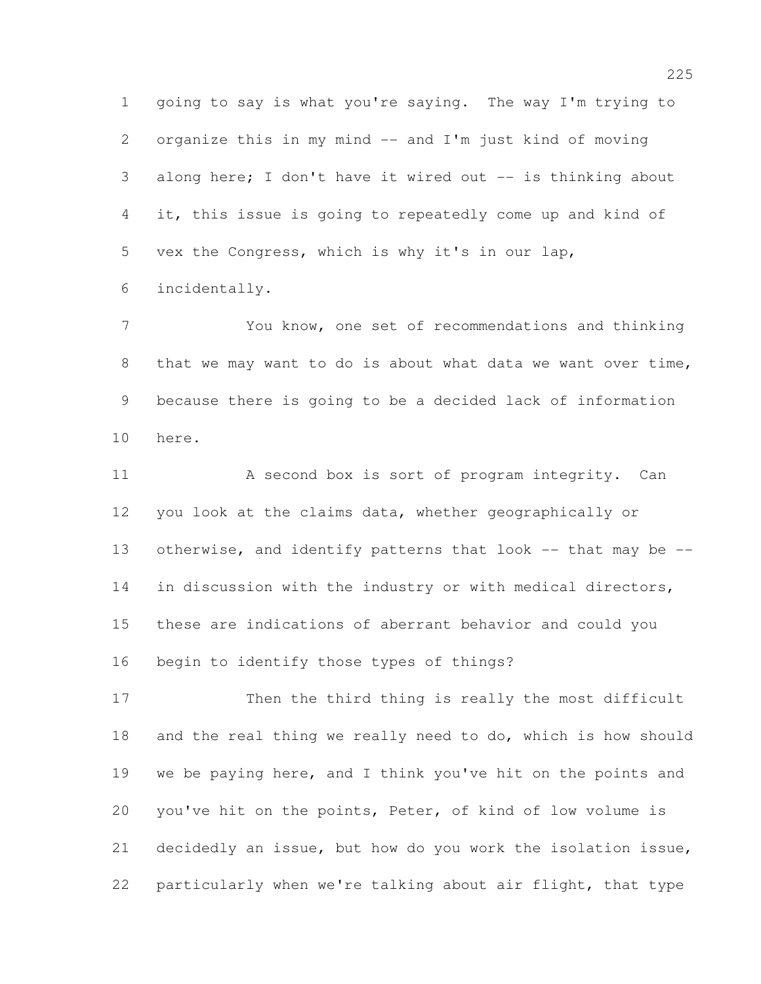going to say is what you're saying. The way I'm trying to organize this in my mind -- and I'm just kind of moving 3 along here; I don't have it wired out -- is thinking about it, this issue is going to repeatedly come up and kind of vex the Congress, which is why it's in our lap, incidentally.

 You know, one set of recommendations and thinking that we may want to do is about what data we want over time, because there is going to be a decided lack of information here.

11 A second box is sort of program integrity. Can you look at the claims data, whether geographically or otherwise, and identify patterns that look -- that may be -- in discussion with the industry or with medical directors, these are indications of aberrant behavior and could you begin to identify those types of things?

 Then the third thing is really the most difficult and the real thing we really need to do, which is how should we be paying here, and I think you've hit on the points and you've hit on the points, Peter, of kind of low volume is decidedly an issue, but how do you work the isolation issue, particularly when we're talking about air flight, that type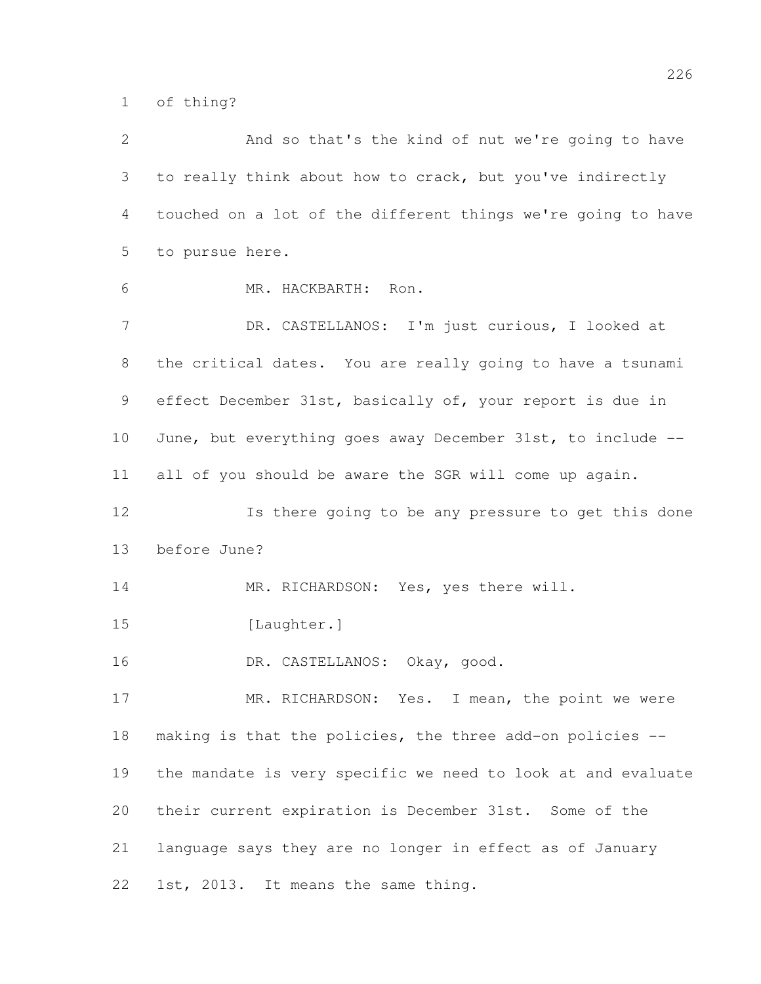of thing?

| $\overline{2}$ | And so that's the kind of nut we're going to have            |
|----------------|--------------------------------------------------------------|
| 3              | to really think about how to crack, but you've indirectly    |
| 4              | touched on a lot of the different things we're going to have |
| 5              | to pursue here.                                              |
| 6              | MR. HACKBARTH: Ron.                                          |
| $\overline{7}$ | DR. CASTELLANOS: I'm just curious, I looked at               |
| 8              | the critical dates. You are really going to have a tsunami   |
| 9              | effect December 31st, basically of, your report is due in    |
| 10             | June, but everything goes away December 31st, to include --  |
| 11             | all of you should be aware the SGR will come up again.       |
| 12             | Is there going to be any pressure to get this done           |
| 13             | before June?                                                 |
| 14             | MR. RICHARDSON: Yes, yes there will.                         |
| 15             | [Laughter.]                                                  |
| 16             | DR. CASTELLANOS: Okay, good.                                 |
| 17             | MR. RICHARDSON: Yes. I mean, the point we were               |
| 18             | making is that the policies, the three add-on policies --    |
| 19             | the mandate is very specific we need to look at and evaluate |
| 20             | their current expiration is December 31st. Some of the       |
| 21             | language says they are no longer in effect as of January     |
| 22             | 1st, 2013. It means the same thing.                          |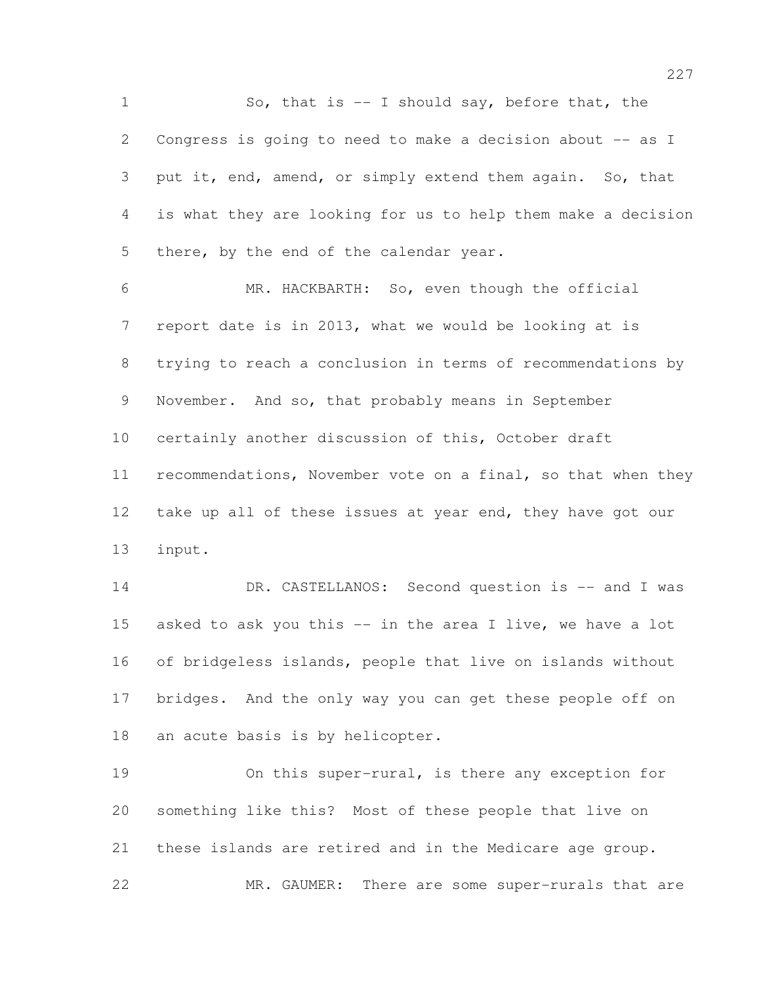1 So, that is -- I should say, before that, the Congress is going to need to make a decision about -- as I 3 put it, end, amend, or simply extend them again. So, that is what they are looking for us to help them make a decision 5 there, by the end of the calendar year.

 MR. HACKBARTH: So, even though the official report date is in 2013, what we would be looking at is trying to reach a conclusion in terms of recommendations by November. And so, that probably means in September certainly another discussion of this, October draft recommendations, November vote on a final, so that when they 12 take up all of these issues at year end, they have got our input.

14 DR. CASTELLANOS: Second question is -- and I was 15 asked to ask you this -- in the area I live, we have a lot of bridgeless islands, people that live on islands without bridges. And the only way you can get these people off on an acute basis is by helicopter.

 On this super-rural, is there any exception for something like this? Most of these people that live on these islands are retired and in the Medicare age group. 22 MR. GAUMER: There are some super-rurals that are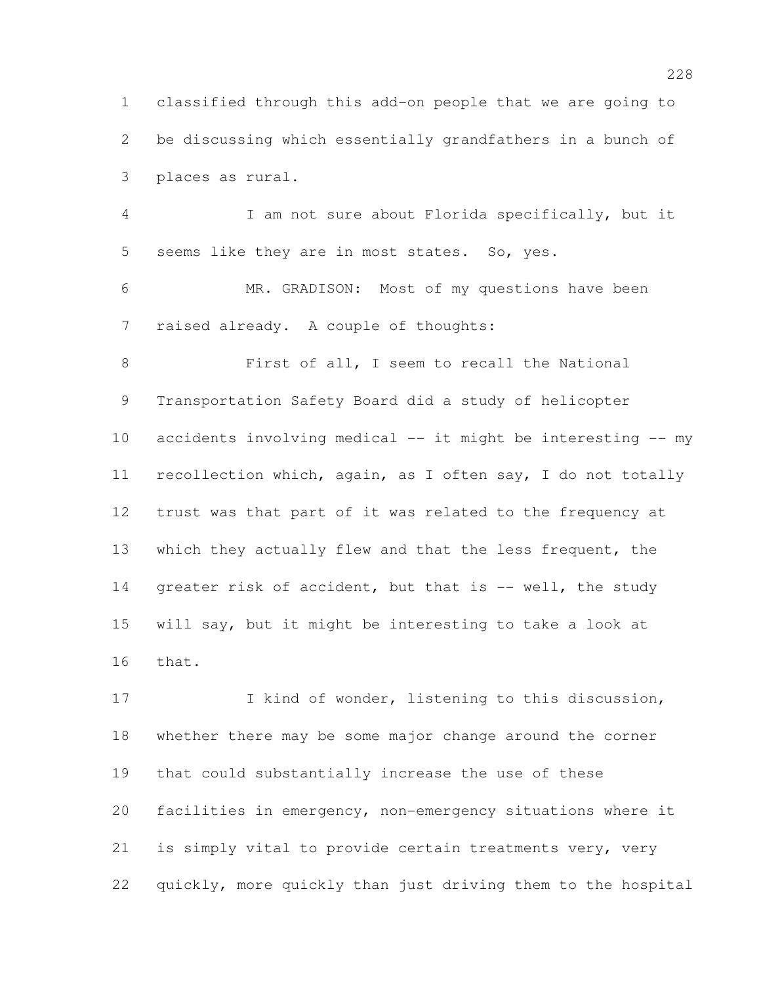classified through this add-on people that we are going to be discussing which essentially grandfathers in a bunch of places as rural.

 I am not sure about Florida specifically, but it seems like they are in most states. So, yes.

 MR. GRADISON: Most of my questions have been raised already. A couple of thoughts:

 First of all, I seem to recall the National Transportation Safety Board did a study of helicopter accidents involving medical -- it might be interesting -- my recollection which, again, as I often say, I do not totally trust was that part of it was related to the frequency at which they actually flew and that the less frequent, the 14 greater risk of accident, but that is -- well, the study will say, but it might be interesting to take a look at that.

17 I kind of wonder, listening to this discussion, whether there may be some major change around the corner that could substantially increase the use of these facilities in emergency, non-emergency situations where it is simply vital to provide certain treatments very, very quickly, more quickly than just driving them to the hospital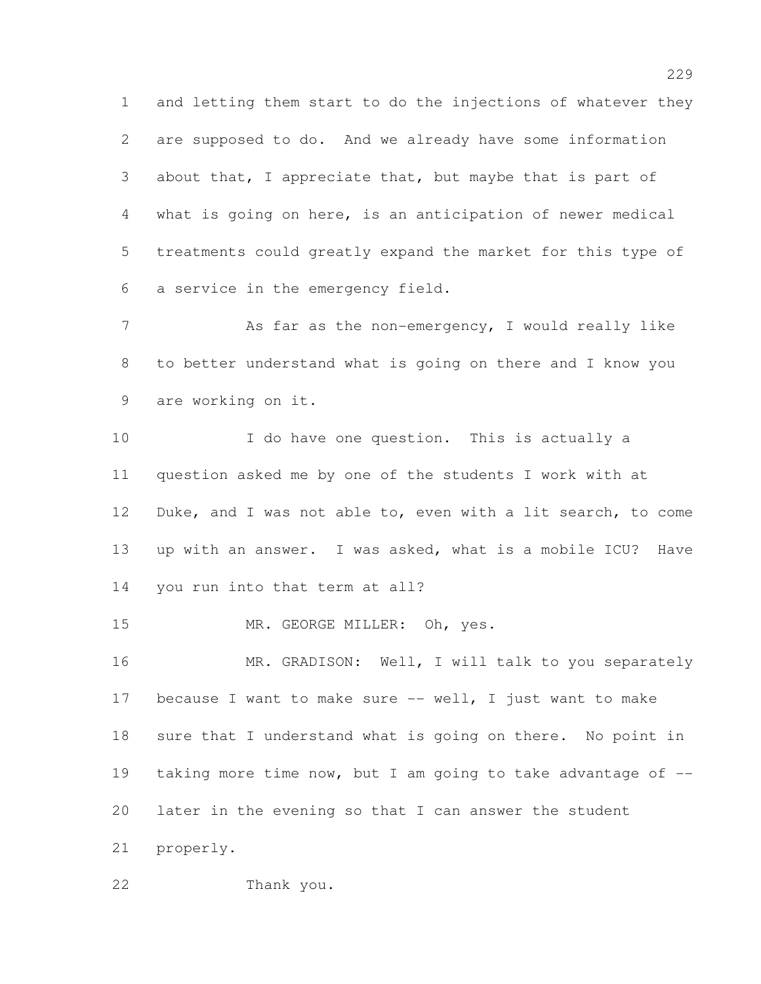and letting them start to do the injections of whatever they are supposed to do. And we already have some information about that, I appreciate that, but maybe that is part of what is going on here, is an anticipation of newer medical treatments could greatly expand the market for this type of a service in the emergency field.

7 As far as the non-emergency, I would really like to better understand what is going on there and I know you are working on it.

10 1 I do have one question. This is actually a question asked me by one of the students I work with at Duke, and I was not able to, even with a lit search, to come up with an answer. I was asked, what is a mobile ICU? Have you run into that term at all?

15 MR. GEORGE MILLER: Oh, yes.

16 MR. GRADISON: Well, I will talk to you separately because I want to make sure -- well, I just want to make 18 sure that I understand what is going on there. No point in taking more time now, but I am going to take advantage of -- later in the evening so that I can answer the student properly.

Thank you.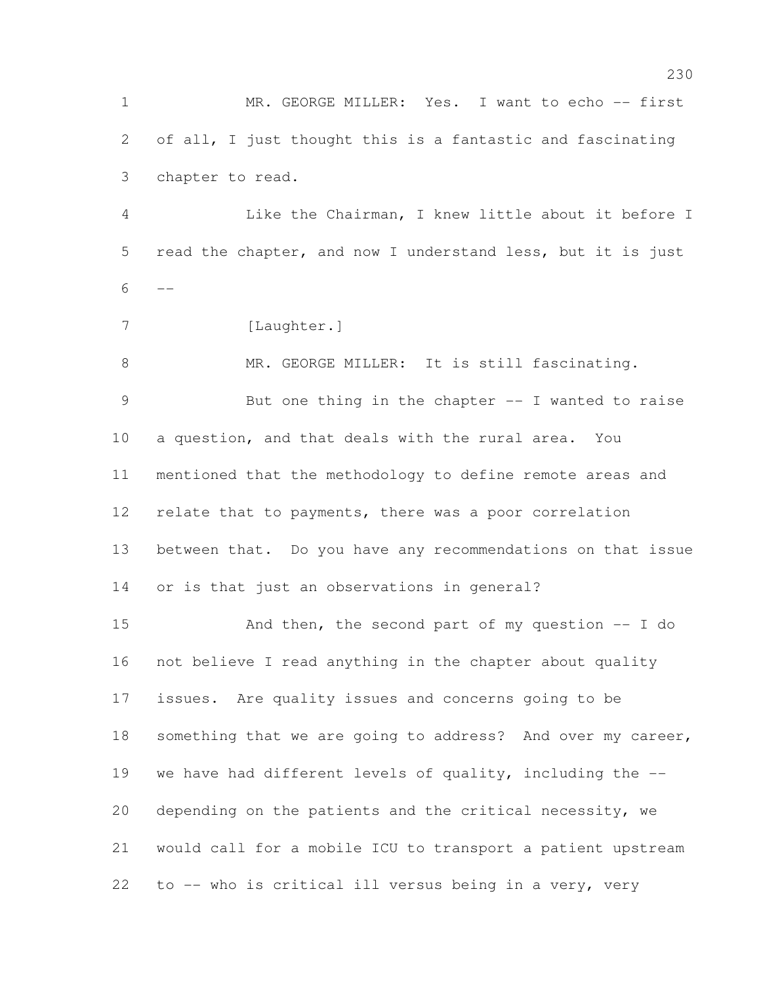MR. GEORGE MILLER: Yes. I want to echo -- first of all, I just thought this is a fantastic and fascinating chapter to read.

 Like the Chairman, I knew little about it before I read the chapter, and now I understand less, but it is just 

7 [Laughter.]

 MR. GEORGE MILLER: It is still fascinating. But one thing in the chapter -- I wanted to raise a question, and that deals with the rural area. You mentioned that the methodology to define remote areas and 12 relate that to payments, there was a poor correlation between that. Do you have any recommendations on that issue or is that just an observations in general?

 And then, the second part of my question -- I do not believe I read anything in the chapter about quality issues. Are quality issues and concerns going to be 18 something that we are going to address? And over my career, we have had different levels of quality, including the -- depending on the patients and the critical necessity, we would call for a mobile ICU to transport a patient upstream to -- who is critical ill versus being in a very, very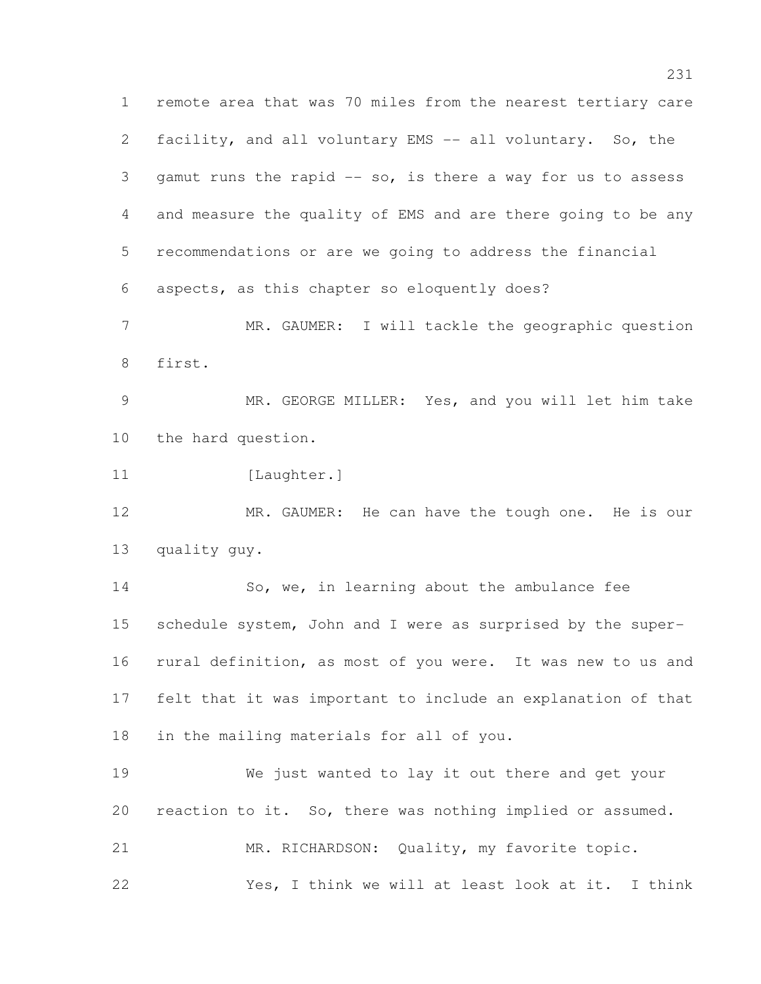remote area that was 70 miles from the nearest tertiary care facility, and all voluntary EMS -- all voluntary. So, the 3 gamut runs the rapid -- so, is there a way for us to assess and measure the quality of EMS and are there going to be any recommendations or are we going to address the financial aspects, as this chapter so eloquently does? MR. GAUMER: I will tackle the geographic question first.

 MR. GEORGE MILLER: Yes, and you will let him take the hard question.

11 [Laughter.]

12 MR. GAUMER: He can have the tough one. He is our quality guy.

14 So, we, in learning about the ambulance fee schedule system, John and I were as surprised by the super- rural definition, as most of you were. It was new to us and felt that it was important to include an explanation of that in the mailing materials for all of you.

 We just wanted to lay it out there and get your reaction to it. So, there was nothing implied or assumed. MR. RICHARDSON: Quality, my favorite topic. Yes, I think we will at least look at it. I think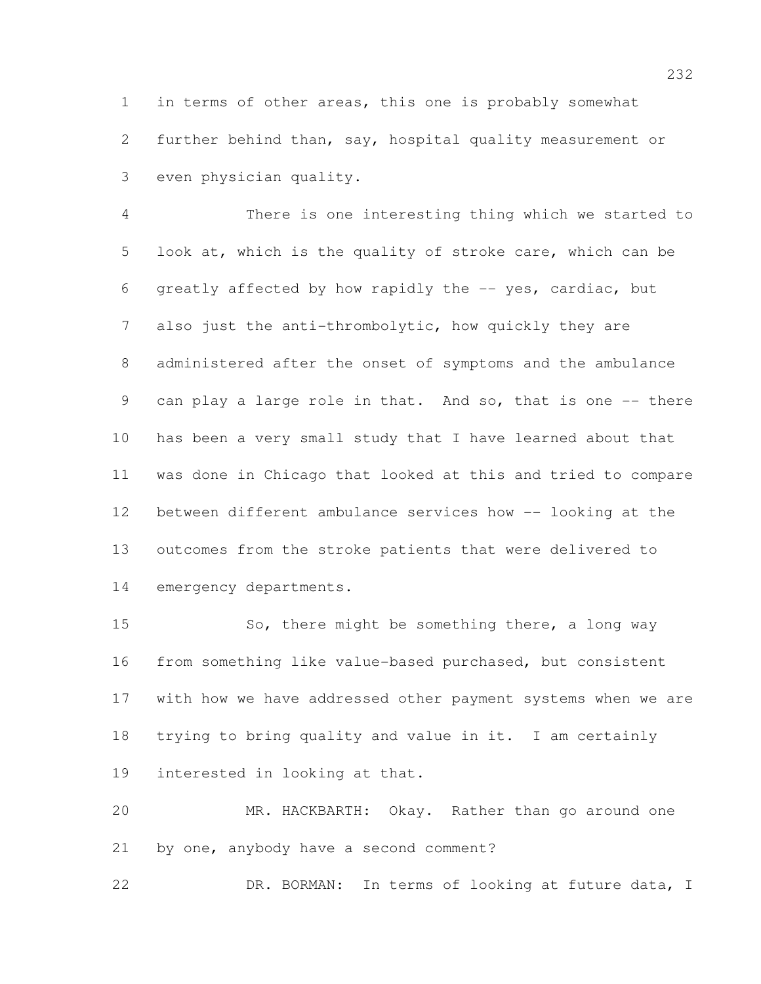in terms of other areas, this one is probably somewhat further behind than, say, hospital quality measurement or even physician quality.

 There is one interesting thing which we started to look at, which is the quality of stroke care, which can be greatly affected by how rapidly the -- yes, cardiac, but also just the anti-thrombolytic, how quickly they are administered after the onset of symptoms and the ambulance can play a large role in that. And so, that is one -- there has been a very small study that I have learned about that was done in Chicago that looked at this and tried to compare between different ambulance services how -- looking at the outcomes from the stroke patients that were delivered to emergency departments.

15 So, there might be something there, a long way from something like value-based purchased, but consistent with how we have addressed other payment systems when we are trying to bring quality and value in it. I am certainly interested in looking at that.

 MR. HACKBARTH: Okay. Rather than go around one by one, anybody have a second comment?

DR. BORMAN: In terms of looking at future data, I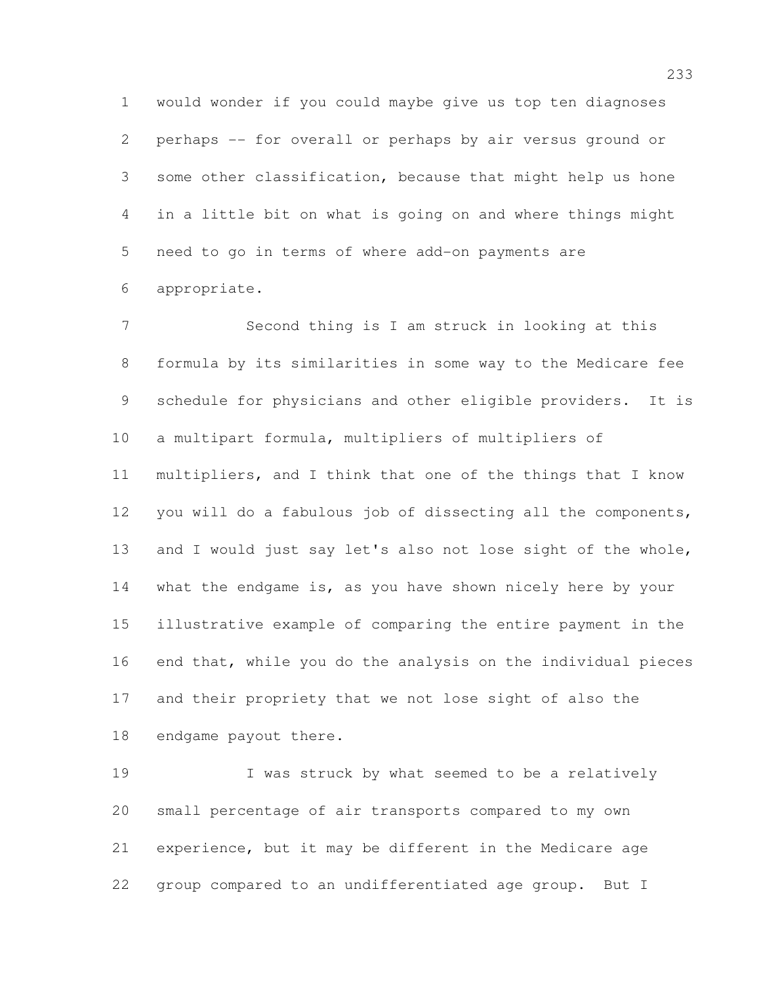would wonder if you could maybe give us top ten diagnoses perhaps -- for overall or perhaps by air versus ground or some other classification, because that might help us hone in a little bit on what is going on and where things might need to go in terms of where add-on payments are appropriate.

 Second thing is I am struck in looking at this formula by its similarities in some way to the Medicare fee schedule for physicians and other eligible providers. It is a multipart formula, multipliers of multipliers of multipliers, and I think that one of the things that I know you will do a fabulous job of dissecting all the components, and I would just say let's also not lose sight of the whole, what the endgame is, as you have shown nicely here by your illustrative example of comparing the entire payment in the end that, while you do the analysis on the individual pieces and their propriety that we not lose sight of also the endgame payout there.

 I was struck by what seemed to be a relatively small percentage of air transports compared to my own experience, but it may be different in the Medicare age group compared to an undifferentiated age group. But I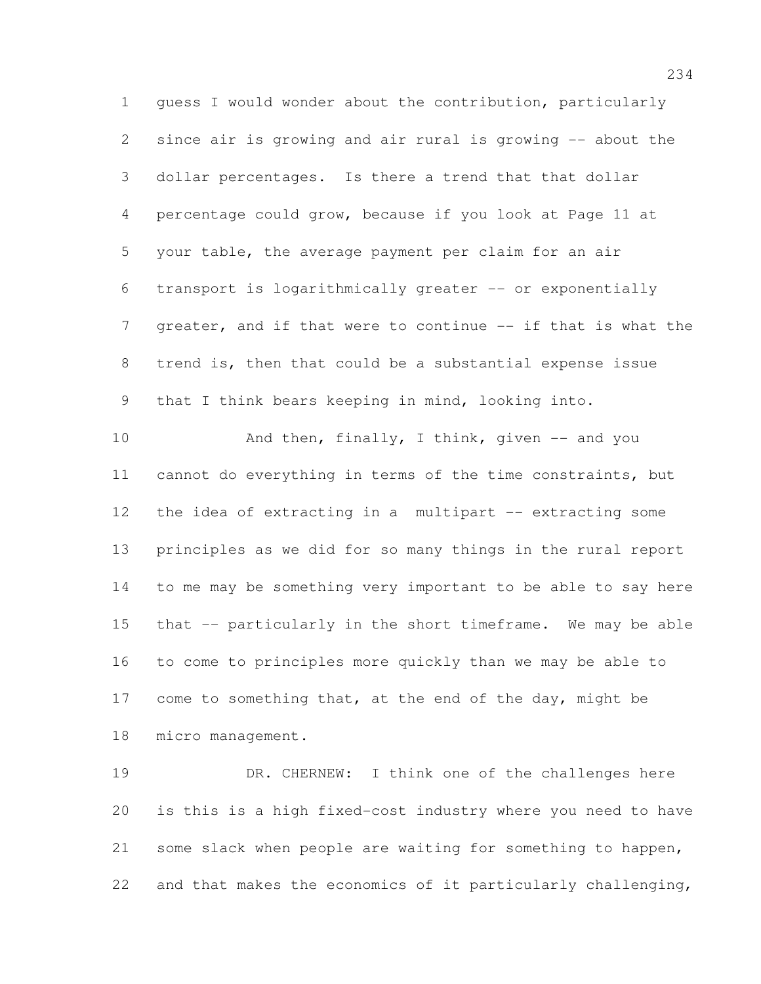guess I would wonder about the contribution, particularly since air is growing and air rural is growing -- about the dollar percentages. Is there a trend that that dollar percentage could grow, because if you look at Page 11 at your table, the average payment per claim for an air transport is logarithmically greater -- or exponentially 7 greater, and if that were to continue -- if that is what the trend is, then that could be a substantial expense issue that I think bears keeping in mind, looking into. 10 And then, finally, I think, given -- and you cannot do everything in terms of the time constraints, but the idea of extracting in a multipart -- extracting some principles as we did for so many things in the rural report to me may be something very important to be able to say here

 that -- particularly in the short timeframe. We may be able to come to principles more quickly than we may be able to 17 come to something that, at the end of the day, might be

micro management.

19 DR. CHERNEW: I think one of the challenges here is this is a high fixed-cost industry where you need to have some slack when people are waiting for something to happen, and that makes the economics of it particularly challenging,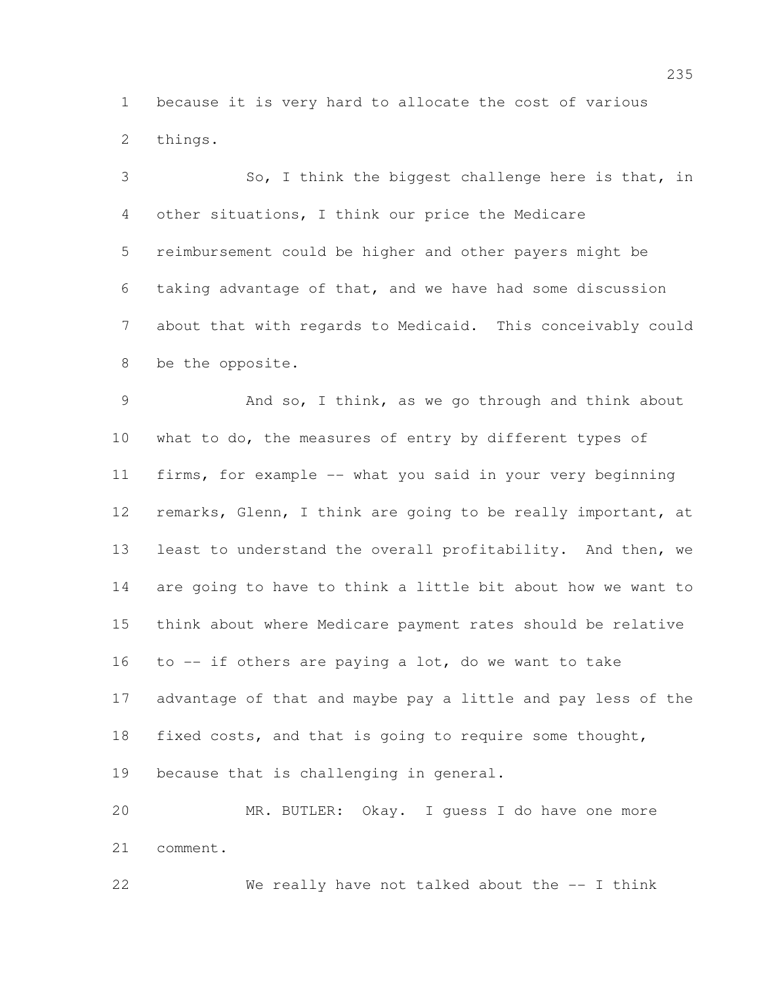because it is very hard to allocate the cost of various things.

 So, I think the biggest challenge here is that, in other situations, I think our price the Medicare reimbursement could be higher and other payers might be taking advantage of that, and we have had some discussion about that with regards to Medicaid. This conceivably could be the opposite.

 And so, I think, as we go through and think about what to do, the measures of entry by different types of firms, for example -- what you said in your very beginning remarks, Glenn, I think are going to be really important, at least to understand the overall profitability. And then, we are going to have to think a little bit about how we want to think about where Medicare payment rates should be relative to -- if others are paying a lot, do we want to take advantage of that and maybe pay a little and pay less of the fixed costs, and that is going to require some thought, because that is challenging in general.

 MR. BUTLER: Okay. I guess I do have one more comment.

We really have not talked about the -- I think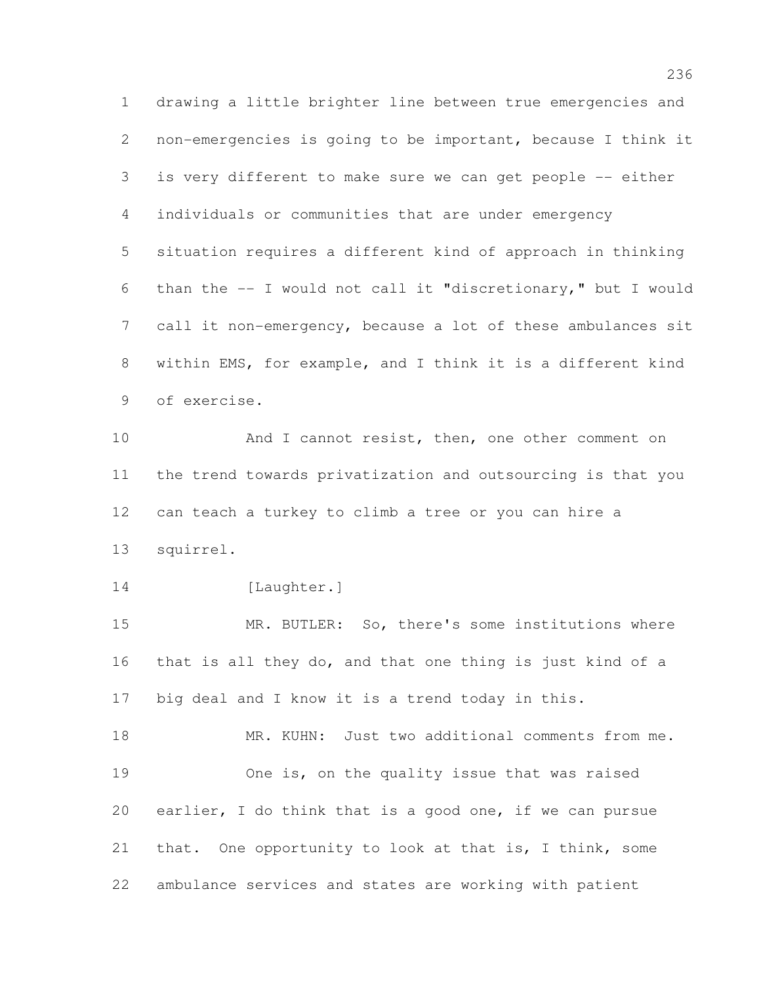drawing a little brighter line between true emergencies and non-emergencies is going to be important, because I think it is very different to make sure we can get people -- either individuals or communities that are under emergency situation requires a different kind of approach in thinking than the -- I would not call it "discretionary," but I would call it non-emergency, because a lot of these ambulances sit within EMS, for example, and I think it is a different kind of exercise.

 And I cannot resist, then, one other comment on the trend towards privatization and outsourcing is that you can teach a turkey to climb a tree or you can hire a squirrel.

14 [Laughter.]

 MR. BUTLER: So, there's some institutions where that is all they do, and that one thing is just kind of a big deal and I know it is a trend today in this.

18 MR. KUHN: Just two additional comments from me. One is, on the quality issue that was raised earlier, I do think that is a good one, if we can pursue that. One opportunity to look at that is, I think, some ambulance services and states are working with patient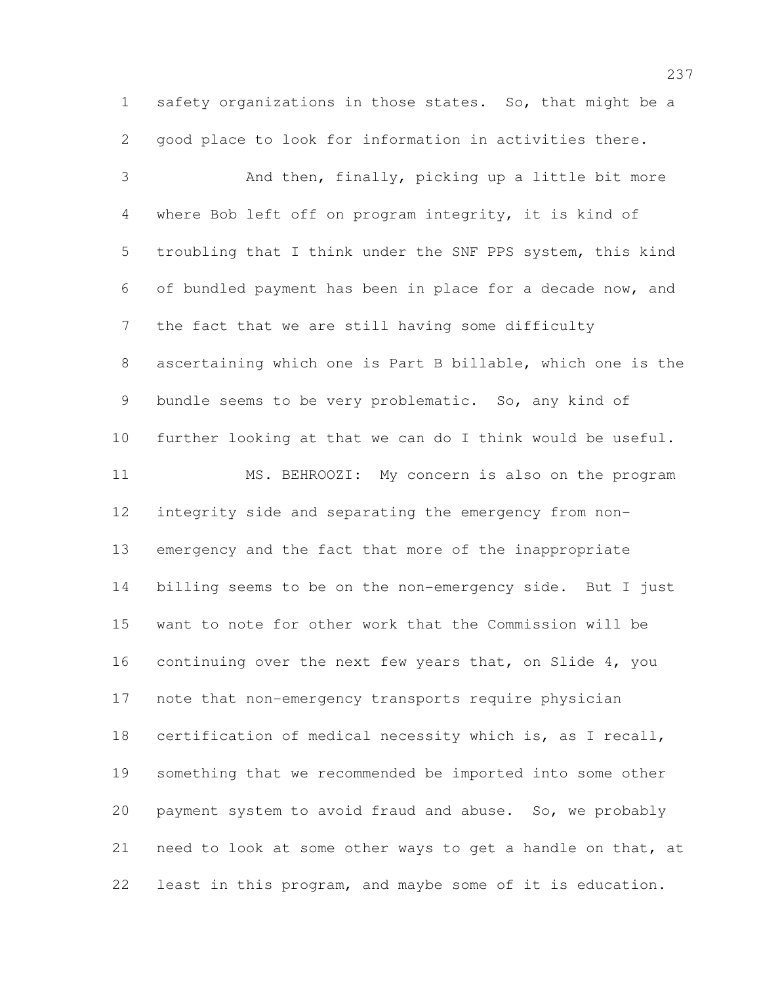safety organizations in those states. So, that might be a good place to look for information in activities there.

 And then, finally, picking up a little bit more where Bob left off on program integrity, it is kind of troubling that I think under the SNF PPS system, this kind of bundled payment has been in place for a decade now, and the fact that we are still having some difficulty ascertaining which one is Part B billable, which one is the bundle seems to be very problematic. So, any kind of further looking at that we can do I think would be useful. MS. BEHROOZI: My concern is also on the program integrity side and separating the emergency from non- emergency and the fact that more of the inappropriate billing seems to be on the non-emergency side. But I just want to note for other work that the Commission will be continuing over the next few years that, on Slide 4, you note that non-emergency transports require physician certification of medical necessity which is, as I recall, something that we recommended be imported into some other payment system to avoid fraud and abuse. So, we probably need to look at some other ways to get a handle on that, at least in this program, and maybe some of it is education.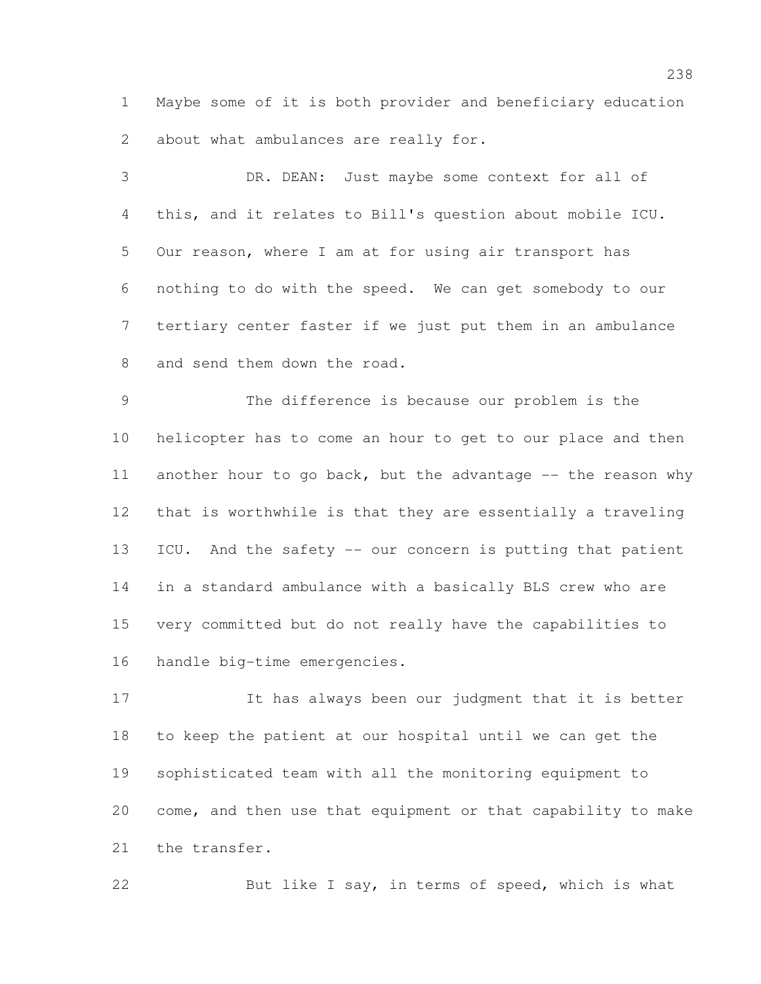Maybe some of it is both provider and beneficiary education about what ambulances are really for.

 DR. DEAN: Just maybe some context for all of this, and it relates to Bill's question about mobile ICU. Our reason, where I am at for using air transport has nothing to do with the speed. We can get somebody to our tertiary center faster if we just put them in an ambulance 8 and send them down the road.

 The difference is because our problem is the helicopter has to come an hour to get to our place and then 11 another hour to go back, but the advantage -- the reason why that is worthwhile is that they are essentially a traveling ICU. And the safety -- our concern is putting that patient in a standard ambulance with a basically BLS crew who are very committed but do not really have the capabilities to handle big-time emergencies.

 It has always been our judgment that it is better to keep the patient at our hospital until we can get the sophisticated team with all the monitoring equipment to come, and then use that equipment or that capability to make the transfer.

22 But like I say, in terms of speed, which is what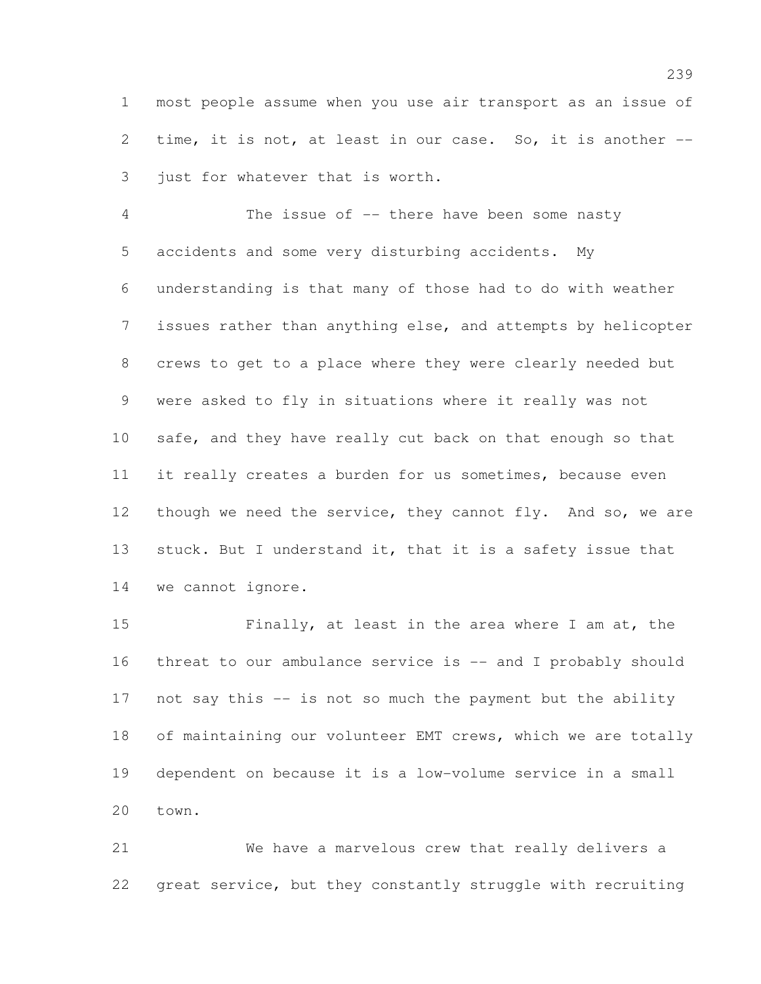most people assume when you use air transport as an issue of time, it is not, at least in our case. So, it is another -- just for whatever that is worth.

4 The issue of -- there have been some nasty accidents and some very disturbing accidents. My understanding is that many of those had to do with weather issues rather than anything else, and attempts by helicopter crews to get to a place where they were clearly needed but were asked to fly in situations where it really was not safe, and they have really cut back on that enough so that it really creates a burden for us sometimes, because even 12 though we need the service, they cannot fly. And so, we are 13 stuck. But I understand it, that it is a safety issue that we cannot ignore.

 Finally, at least in the area where I am at, the threat to our ambulance service is -- and I probably should not say this -- is not so much the payment but the ability of maintaining our volunteer EMT crews, which we are totally dependent on because it is a low-volume service in a small town.

 We have a marvelous crew that really delivers a great service, but they constantly struggle with recruiting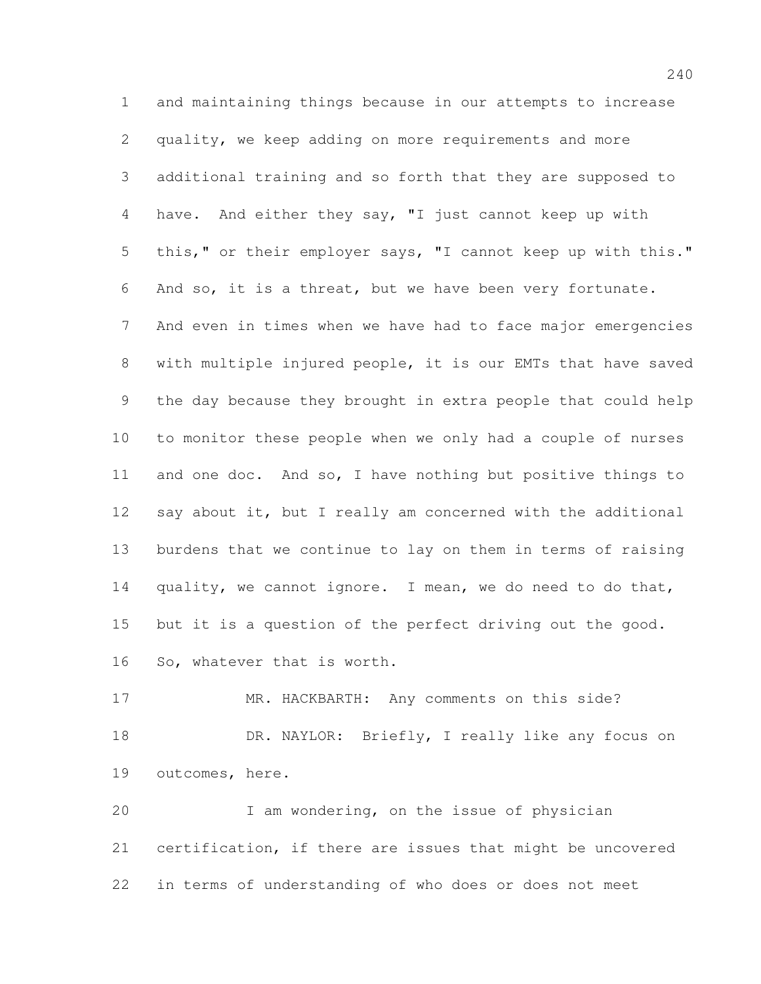and maintaining things because in our attempts to increase quality, we keep adding on more requirements and more additional training and so forth that they are supposed to have. And either they say, "I just cannot keep up with this," or their employer says, "I cannot keep up with this." And so, it is a threat, but we have been very fortunate. And even in times when we have had to face major emergencies with multiple injured people, it is our EMTs that have saved the day because they brought in extra people that could help to monitor these people when we only had a couple of nurses and one doc. And so, I have nothing but positive things to 12 say about it, but I really am concerned with the additional burdens that we continue to lay on them in terms of raising quality, we cannot ignore. I mean, we do need to do that, but it is a question of the perfect driving out the good. So, whatever that is worth.

17 MR. HACKBARTH: Any comments on this side? DR. NAYLOR: Briefly, I really like any focus on outcomes, here.

 I am wondering, on the issue of physician certification, if there are issues that might be uncovered in terms of understanding of who does or does not meet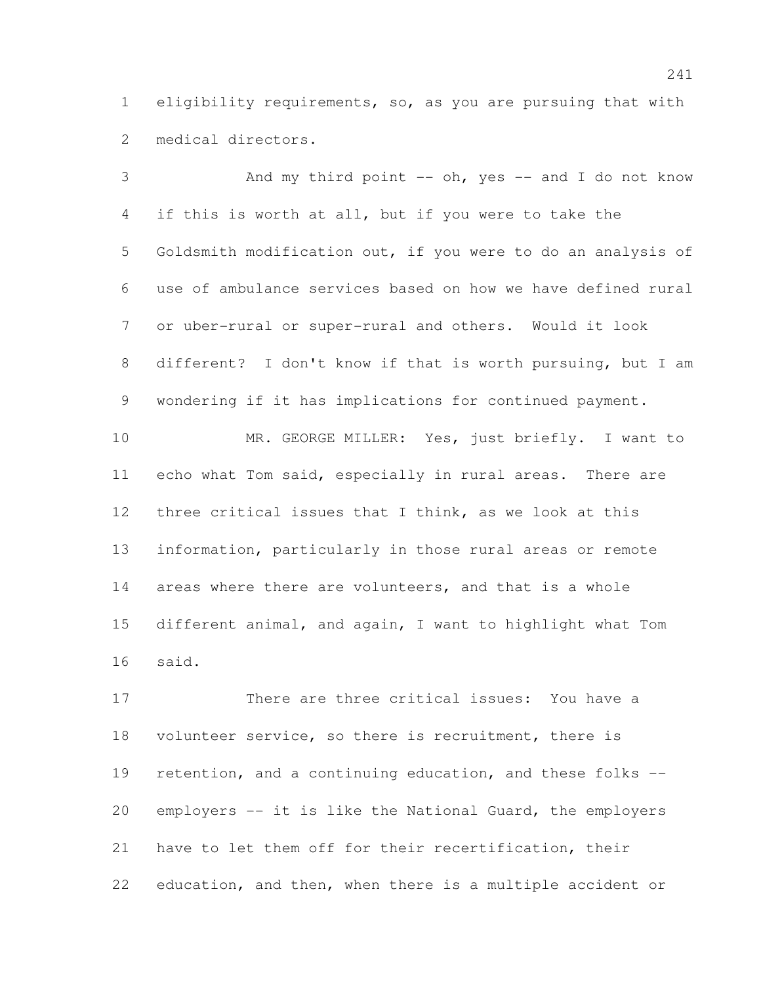eligibility requirements, so, as you are pursuing that with medical directors.

3 And my third point -- oh, yes -- and I do not know if this is worth at all, but if you were to take the Goldsmith modification out, if you were to do an analysis of use of ambulance services based on how we have defined rural or uber-rural or super-rural and others. Would it look different? I don't know if that is worth pursuing, but I am wondering if it has implications for continued payment. MR. GEORGE MILLER: Yes, just briefly. I want to echo what Tom said, especially in rural areas. There are three critical issues that I think, as we look at this information, particularly in those rural areas or remote

 different animal, and again, I want to highlight what Tom said.

areas where there are volunteers, and that is a whole

17 There are three critical issues: You have a volunteer service, so there is recruitment, there is retention, and a continuing education, and these folks -- employers -- it is like the National Guard, the employers have to let them off for their recertification, their education, and then, when there is a multiple accident or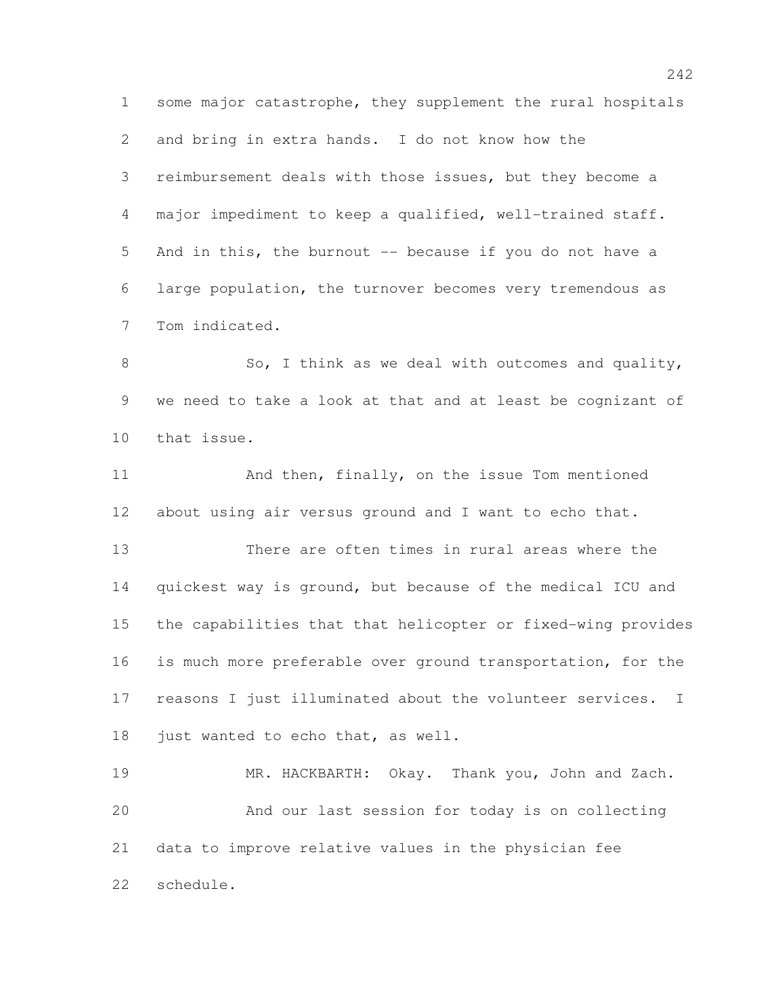some major catastrophe, they supplement the rural hospitals and bring in extra hands. I do not know how the reimbursement deals with those issues, but they become a major impediment to keep a qualified, well-trained staff. And in this, the burnout -- because if you do not have a large population, the turnover becomes very tremendous as Tom indicated.

8 So, I think as we deal with outcomes and quality, we need to take a look at that and at least be cognizant of that issue.

 And then, finally, on the issue Tom mentioned about using air versus ground and I want to echo that.

 There are often times in rural areas where the quickest way is ground, but because of the medical ICU and the capabilities that that helicopter or fixed-wing provides is much more preferable over ground transportation, for the reasons I just illuminated about the volunteer services. I 18 just wanted to echo that, as well.

 MR. HACKBARTH: Okay. Thank you, John and Zach. And our last session for today is on collecting data to improve relative values in the physician fee schedule.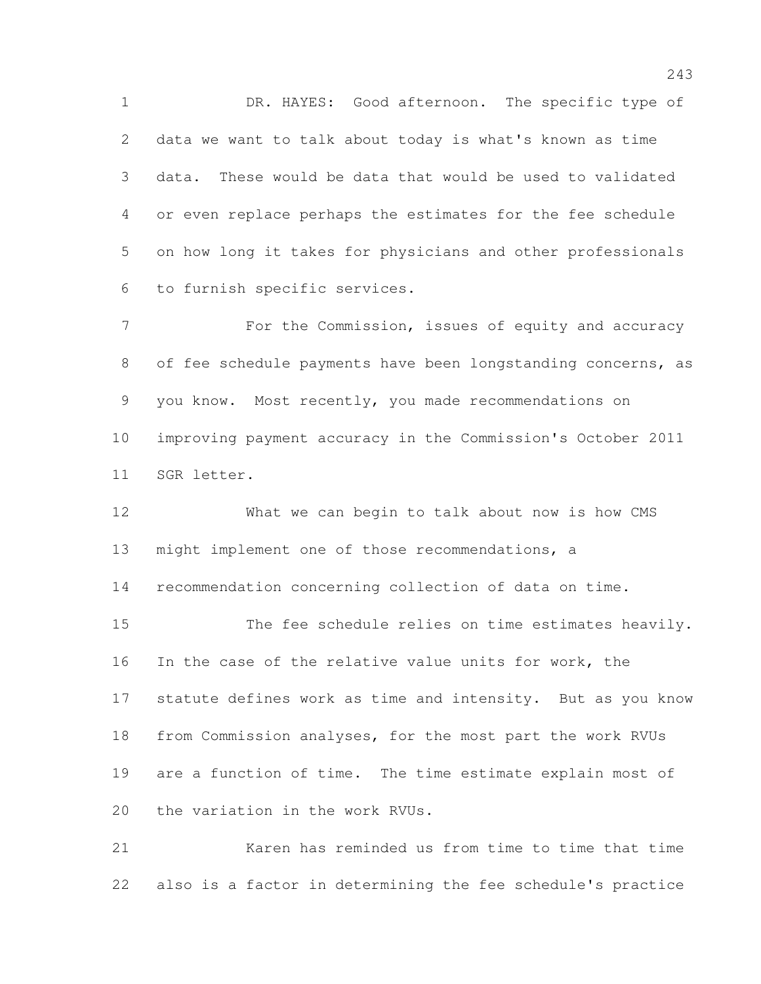1 DR. HAYES: Good afternoon. The specific type of data we want to talk about today is what's known as time data. These would be data that would be used to validated or even replace perhaps the estimates for the fee schedule on how long it takes for physicians and other professionals to furnish specific services.

7 For the Commission, issues of equity and accuracy of fee schedule payments have been longstanding concerns, as you know. Most recently, you made recommendations on improving payment accuracy in the Commission's October 2011 SGR letter.

 What we can begin to talk about now is how CMS might implement one of those recommendations, a recommendation concerning collection of data on time. The fee schedule relies on time estimates heavily. In the case of the relative value units for work, the statute defines work as time and intensity. But as you know from Commission analyses, for the most part the work RVUs are a function of time. The time estimate explain most of the variation in the work RVUs.

 Karen has reminded us from time to time that time also is a factor in determining the fee schedule's practice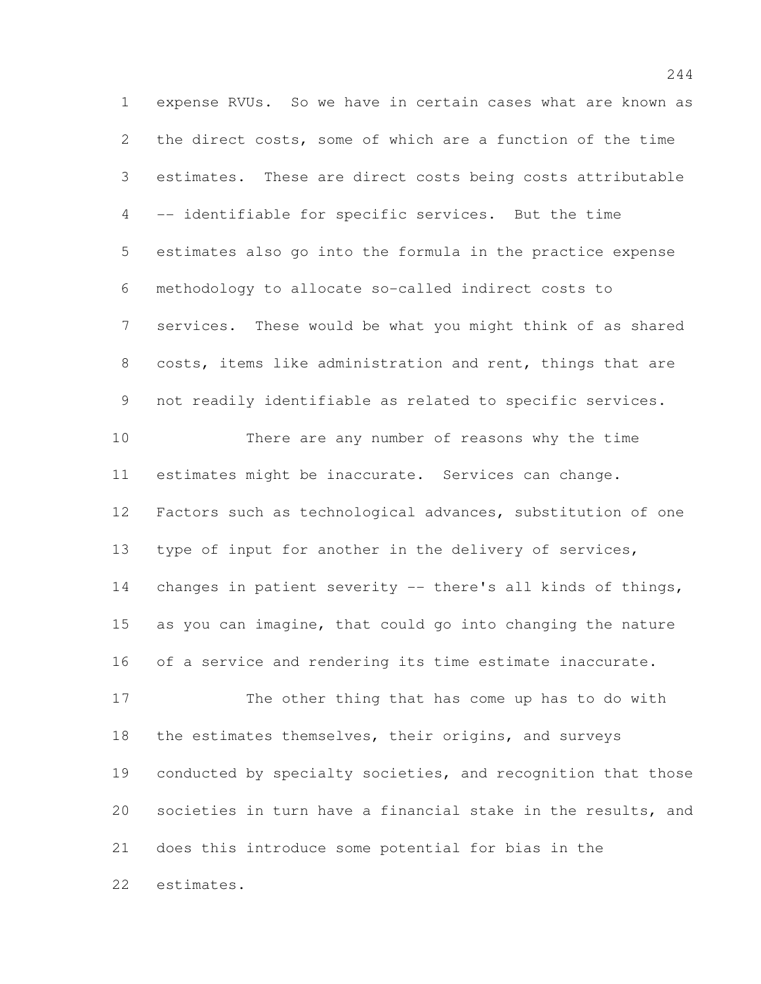expense RVUs. So we have in certain cases what are known as the direct costs, some of which are a function of the time estimates. These are direct costs being costs attributable -- identifiable for specific services. But the time estimates also go into the formula in the practice expense methodology to allocate so-called indirect costs to services. These would be what you might think of as shared costs, items like administration and rent, things that are not readily identifiable as related to specific services.

 There are any number of reasons why the time estimates might be inaccurate. Services can change. Factors such as technological advances, substitution of one type of input for another in the delivery of services, changes in patient severity -- there's all kinds of things, as you can imagine, that could go into changing the nature of a service and rendering its time estimate inaccurate.

 The other thing that has come up has to do with 18 the estimates themselves, their origins, and surveys conducted by specialty societies, and recognition that those societies in turn have a financial stake in the results, and does this introduce some potential for bias in the estimates.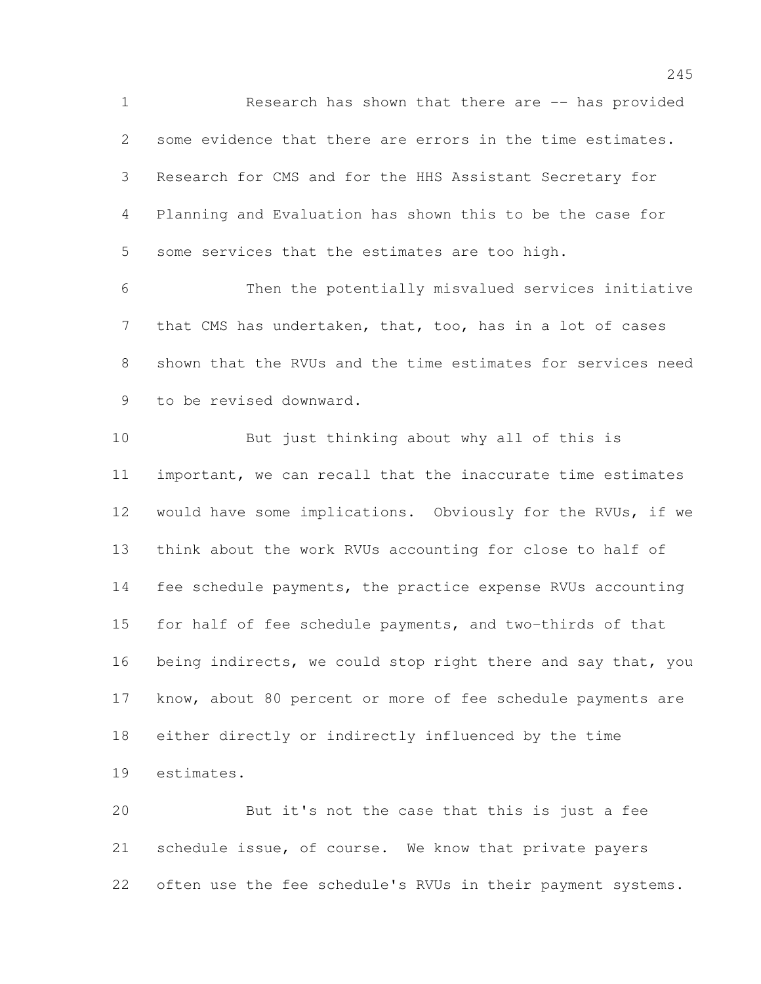Research has shown that there are -- has provided some evidence that there are errors in the time estimates. Research for CMS and for the HHS Assistant Secretary for Planning and Evaluation has shown this to be the case for some services that the estimates are too high.

 Then the potentially misvalued services initiative that CMS has undertaken, that, too, has in a lot of cases shown that the RVUs and the time estimates for services need to be revised downward.

 But just thinking about why all of this is important, we can recall that the inaccurate time estimates would have some implications. Obviously for the RVUs, if we think about the work RVUs accounting for close to half of fee schedule payments, the practice expense RVUs accounting for half of fee schedule payments, and two-thirds of that being indirects, we could stop right there and say that, you know, about 80 percent or more of fee schedule payments are either directly or indirectly influenced by the time estimates.

 But it's not the case that this is just a fee schedule issue, of course. We know that private payers often use the fee schedule's RVUs in their payment systems.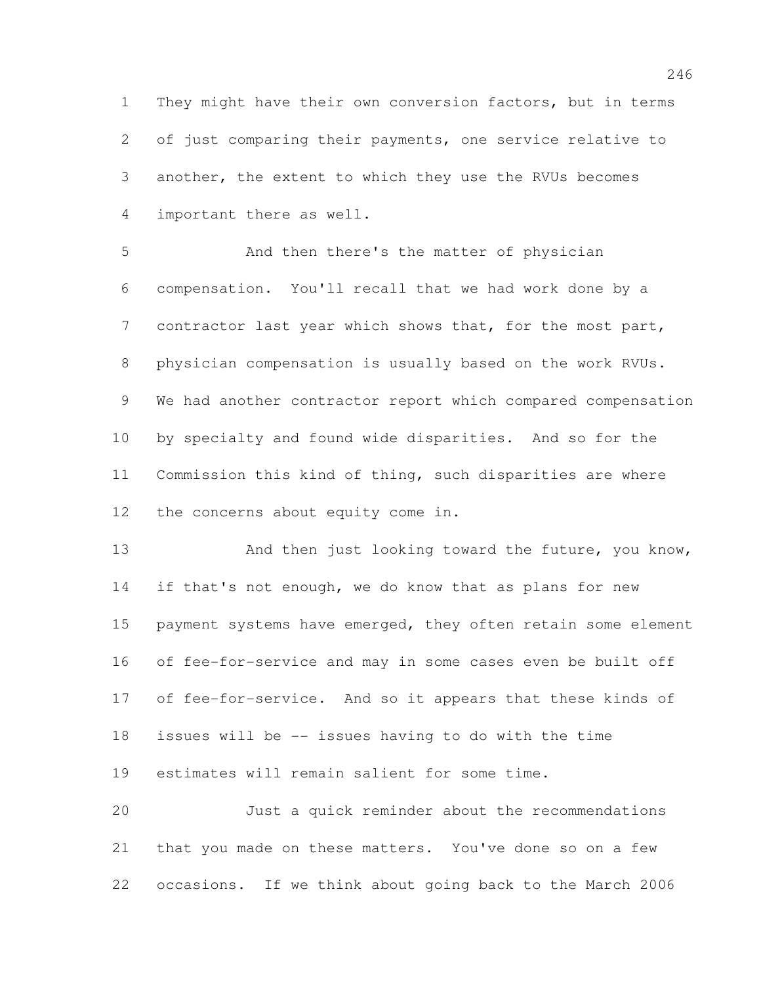They might have their own conversion factors, but in terms of just comparing their payments, one service relative to another, the extent to which they use the RVUs becomes important there as well.

 And then there's the matter of physician compensation. You'll recall that we had work done by a contractor last year which shows that, for the most part, physician compensation is usually based on the work RVUs. We had another contractor report which compared compensation by specialty and found wide disparities. And so for the Commission this kind of thing, such disparities are where the concerns about equity come in.

13 And then just looking toward the future, you know, 14 if that's not enough, we do know that as plans for new 15 payment systems have emerged, they often retain some element of fee-for-service and may in some cases even be built off of fee-for-service. And so it appears that these kinds of issues will be -- issues having to do with the time estimates will remain salient for some time. Just a quick reminder about the recommendations

 that you made on these matters. You've done so on a few occasions. If we think about going back to the March 2006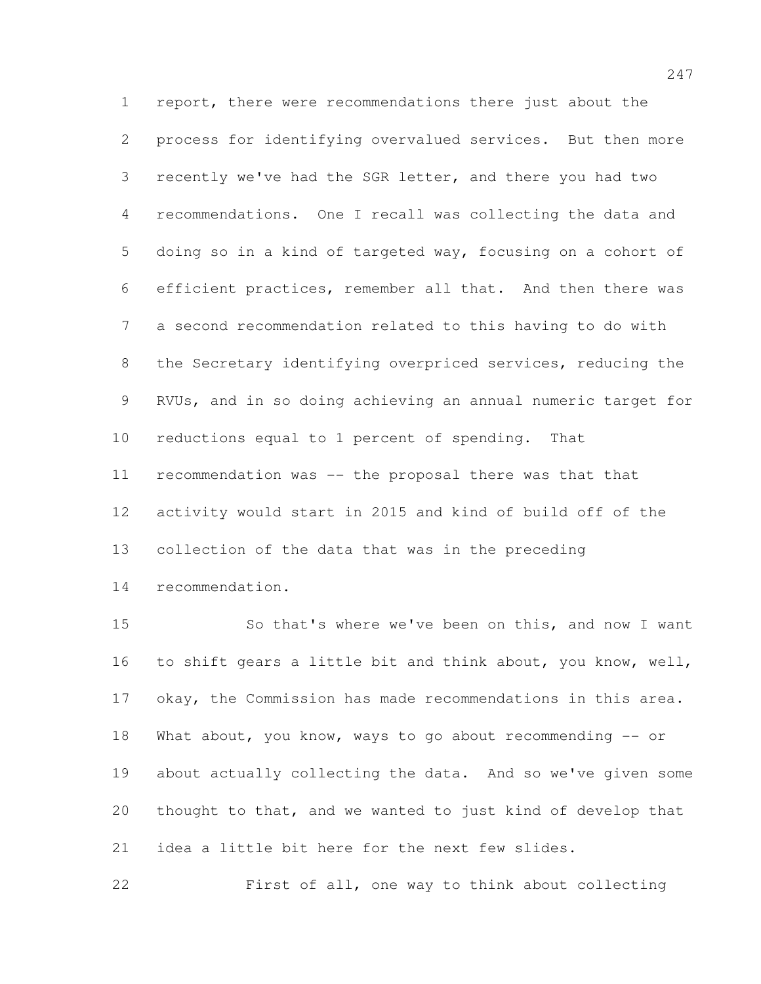report, there were recommendations there just about the process for identifying overvalued services. But then more recently we've had the SGR letter, and there you had two recommendations. One I recall was collecting the data and doing so in a kind of targeted way, focusing on a cohort of efficient practices, remember all that. And then there was a second recommendation related to this having to do with the Secretary identifying overpriced services, reducing the RVUs, and in so doing achieving an annual numeric target for reductions equal to 1 percent of spending. That recommendation was -- the proposal there was that that activity would start in 2015 and kind of build off of the collection of the data that was in the preceding recommendation.

 So that's where we've been on this, and now I want to shift gears a little bit and think about, you know, well, okay, the Commission has made recommendations in this area. What about, you know, ways to go about recommending -- or about actually collecting the data. And so we've given some thought to that, and we wanted to just kind of develop that idea a little bit here for the next few slides.

First of all, one way to think about collecting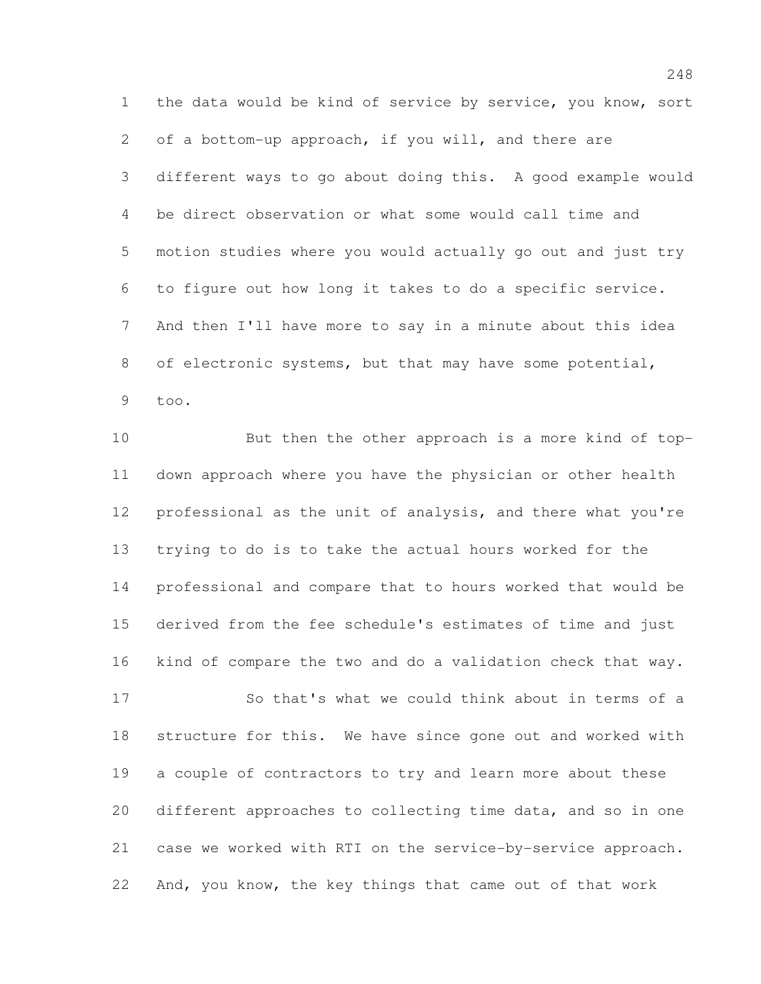the data would be kind of service by service, you know, sort of a bottom-up approach, if you will, and there are different ways to go about doing this. A good example would be direct observation or what some would call time and motion studies where you would actually go out and just try to figure out how long it takes to do a specific service. And then I'll have more to say in a minute about this idea of electronic systems, but that may have some potential, too.

 But then the other approach is a more kind of top- down approach where you have the physician or other health professional as the unit of analysis, and there what you're trying to do is to take the actual hours worked for the professional and compare that to hours worked that would be derived from the fee schedule's estimates of time and just kind of compare the two and do a validation check that way.

17 So that's what we could think about in terms of a structure for this. We have since gone out and worked with a couple of contractors to try and learn more about these different approaches to collecting time data, and so in one case we worked with RTI on the service-by-service approach. And, you know, the key things that came out of that work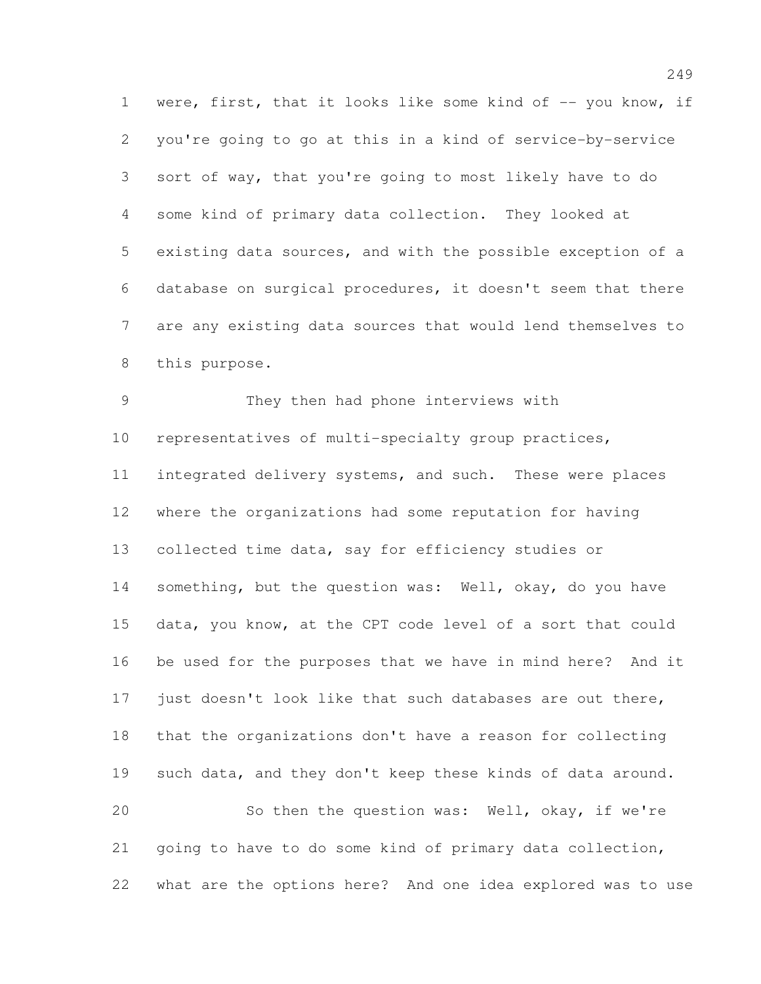1 were, first, that it looks like some kind of -- you know, if you're going to go at this in a kind of service-by-service sort of way, that you're going to most likely have to do some kind of primary data collection. They looked at existing data sources, and with the possible exception of a database on surgical procedures, it doesn't seem that there are any existing data sources that would lend themselves to this purpose.

 They then had phone interviews with representatives of multi-specialty group practices, integrated delivery systems, and such. These were places where the organizations had some reputation for having collected time data, say for efficiency studies or something, but the question was: Well, okay, do you have data, you know, at the CPT code level of a sort that could be used for the purposes that we have in mind here? And it just doesn't look like that such databases are out there, that the organizations don't have a reason for collecting such data, and they don't keep these kinds of data around. So then the question was: Well, okay, if we're going to have to do some kind of primary data collection, what are the options here? And one idea explored was to use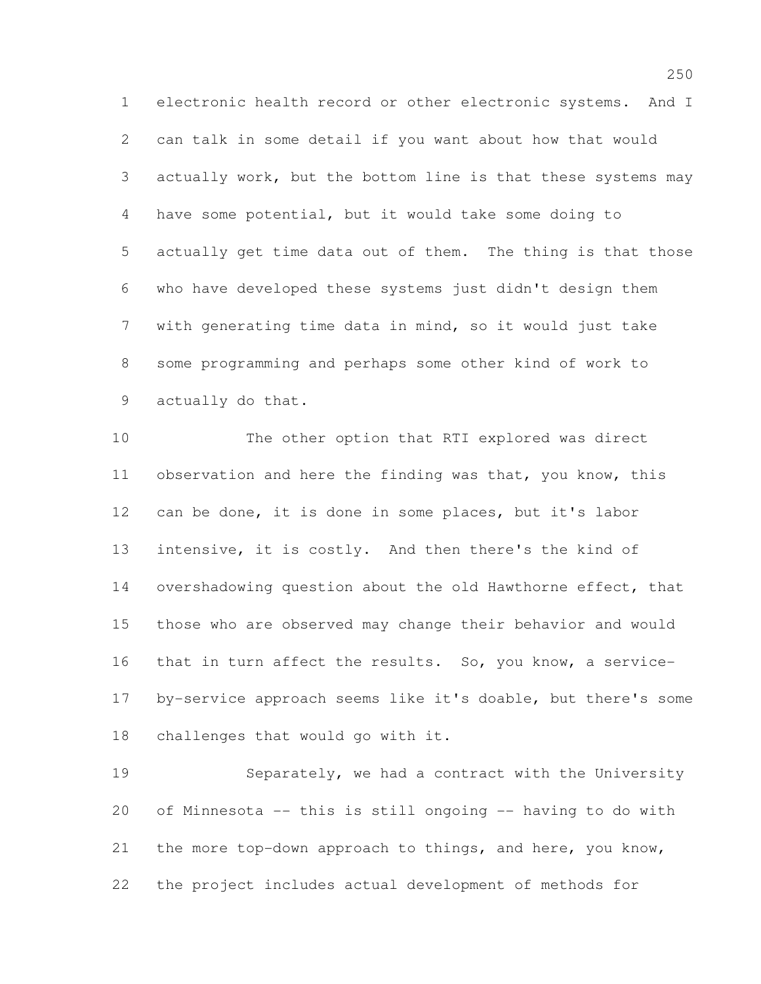electronic health record or other electronic systems. And I can talk in some detail if you want about how that would actually work, but the bottom line is that these systems may have some potential, but it would take some doing to actually get time data out of them. The thing is that those who have developed these systems just didn't design them with generating time data in mind, so it would just take some programming and perhaps some other kind of work to actually do that.

 The other option that RTI explored was direct observation and here the finding was that, you know, this can be done, it is done in some places, but it's labor intensive, it is costly. And then there's the kind of overshadowing question about the old Hawthorne effect, that those who are observed may change their behavior and would that in turn affect the results. So, you know, a service- by-service approach seems like it's doable, but there's some challenges that would go with it.

 Separately, we had a contract with the University of Minnesota -- this is still ongoing -- having to do with the more top-down approach to things, and here, you know, the project includes actual development of methods for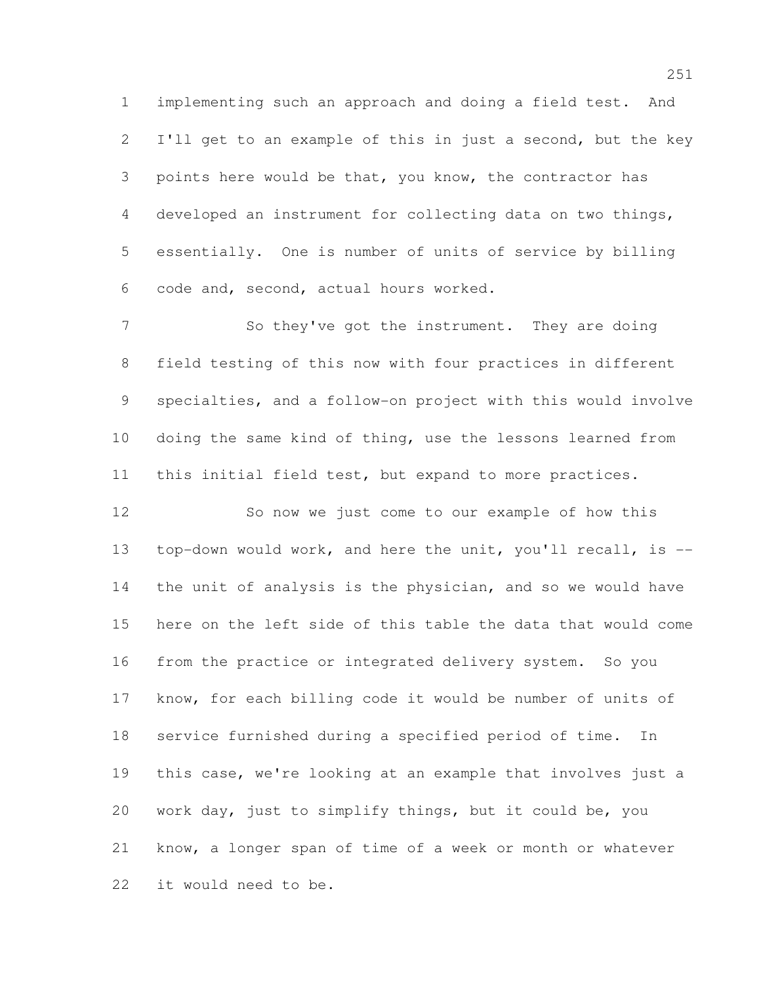implementing such an approach and doing a field test. And I'll get to an example of this in just a second, but the key points here would be that, you know, the contractor has developed an instrument for collecting data on two things, essentially. One is number of units of service by billing code and, second, actual hours worked.

7 So they've got the instrument. They are doing field testing of this now with four practices in different specialties, and a follow-on project with this would involve doing the same kind of thing, use the lessons learned from this initial field test, but expand to more practices.

 So now we just come to our example of how this top-down would work, and here the unit, you'll recall, is -- the unit of analysis is the physician, and so we would have here on the left side of this table the data that would come from the practice or integrated delivery system. So you know, for each billing code it would be number of units of service furnished during a specified period of time. In this case, we're looking at an example that involves just a work day, just to simplify things, but it could be, you know, a longer span of time of a week or month or whatever it would need to be.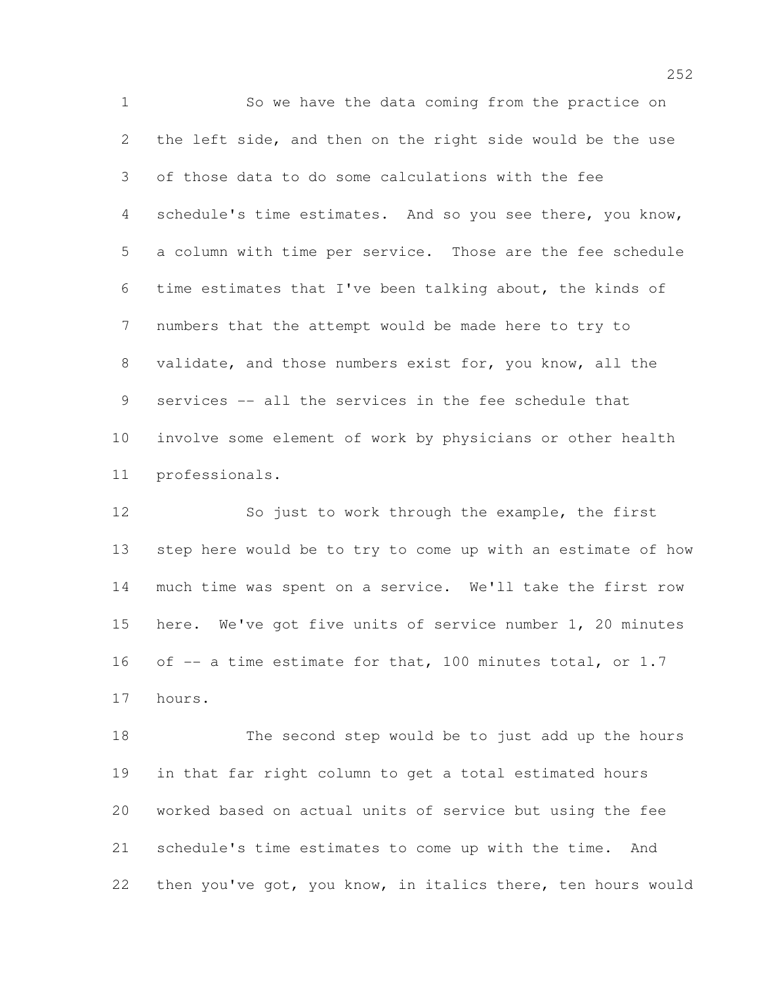So we have the data coming from the practice on the left side, and then on the right side would be the use of those data to do some calculations with the fee schedule's time estimates. And so you see there, you know, a column with time per service. Those are the fee schedule time estimates that I've been talking about, the kinds of numbers that the attempt would be made here to try to validate, and those numbers exist for, you know, all the services -- all the services in the fee schedule that involve some element of work by physicians or other health professionals.

 So just to work through the example, the first step here would be to try to come up with an estimate of how much time was spent on a service. We'll take the first row here. We've got five units of service number 1, 20 minutes 16 of  $-$  a time estimate for that, 100 minutes total, or 1.7 hours.

 The second step would be to just add up the hours in that far right column to get a total estimated hours worked based on actual units of service but using the fee schedule's time estimates to come up with the time. And then you've got, you know, in italics there, ten hours would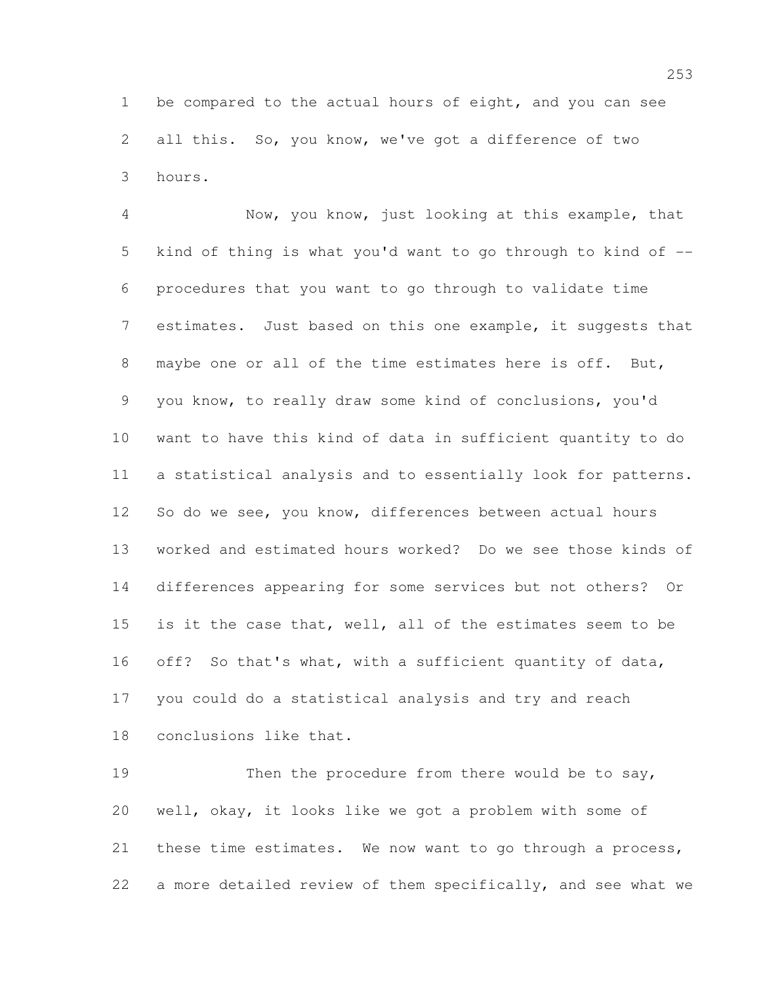be compared to the actual hours of eight, and you can see all this. So, you know, we've got a difference of two hours.

 Now, you know, just looking at this example, that kind of thing is what you'd want to go through to kind of -- procedures that you want to go through to validate time estimates. Just based on this one example, it suggests that maybe one or all of the time estimates here is off. But, you know, to really draw some kind of conclusions, you'd want to have this kind of data in sufficient quantity to do a statistical analysis and to essentially look for patterns. 12 So do we see, you know, differences between actual hours worked and estimated hours worked? Do we see those kinds of differences appearing for some services but not others? Or is it the case that, well, all of the estimates seem to be off? So that's what, with a sufficient quantity of data, you could do a statistical analysis and try and reach conclusions like that.

19 Then the procedure from there would be to say, well, okay, it looks like we got a problem with some of these time estimates. We now want to go through a process, a more detailed review of them specifically, and see what we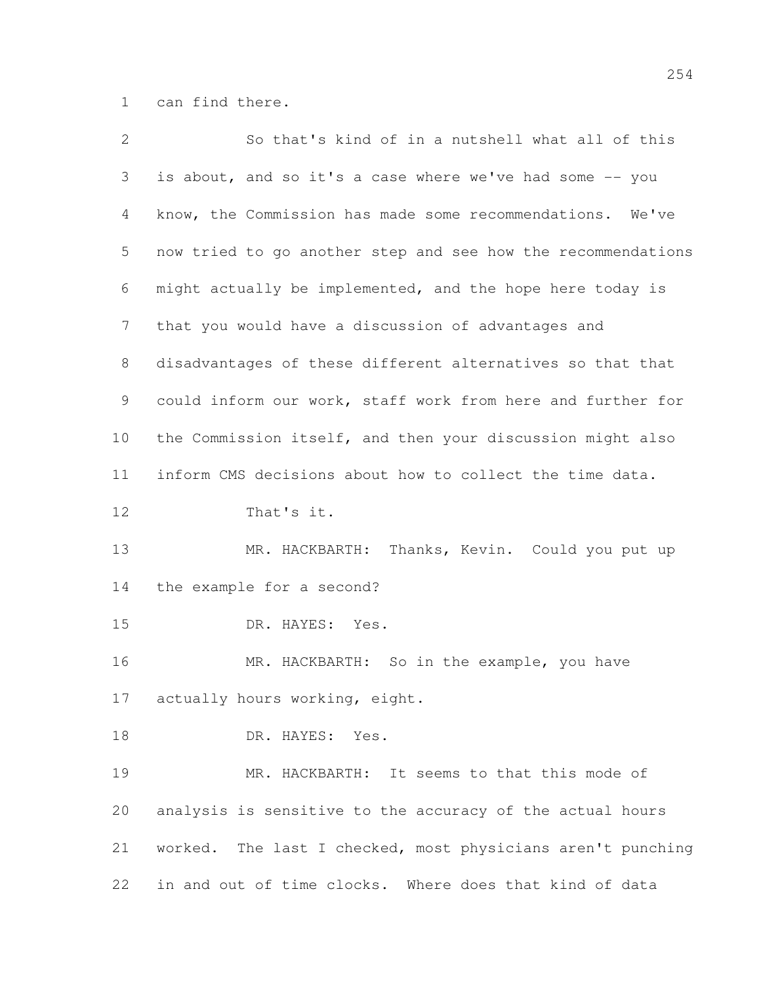can find there.

| $\overline{2}$ | So that's kind of in a nutshell what all of this             |
|----------------|--------------------------------------------------------------|
| 3              | is about, and so it's a case where we've had some -- you     |
| 4              | know, the Commission has made some recommendations. We've    |
| 5              | now tried to go another step and see how the recommendations |
| 6              | might actually be implemented, and the hope here today is    |
| 7              | that you would have a discussion of advantages and           |
| 8              | disadvantages of these different alternatives so that that   |
| 9              | could inform our work, staff work from here and further for  |
| 10             | the Commission itself, and then your discussion might also   |
| 11             | inform CMS decisions about how to collect the time data.     |
| 12             | That's it.                                                   |
| 13             | MR. HACKBARTH: Thanks, Kevin. Could you put up               |
| 14             | the example for a second?                                    |
| 15             | DR. HAYES:<br>Yes.                                           |
| 16             | MR. HACKBARTH: So in the example, you have                   |
| 17             | actually hours working, eight.                               |
| 18             | DR. HAYES:<br>Yes.                                           |
| 19             | MR. HACKBARTH: It seems to that this mode of                 |
| 20             | analysis is sensitive to the accuracy of the actual hours    |
| 21             | worked. The last I checked, most physicians aren't punching  |
| 22             | in and out of time clocks. Where does that kind of data      |
|                |                                                              |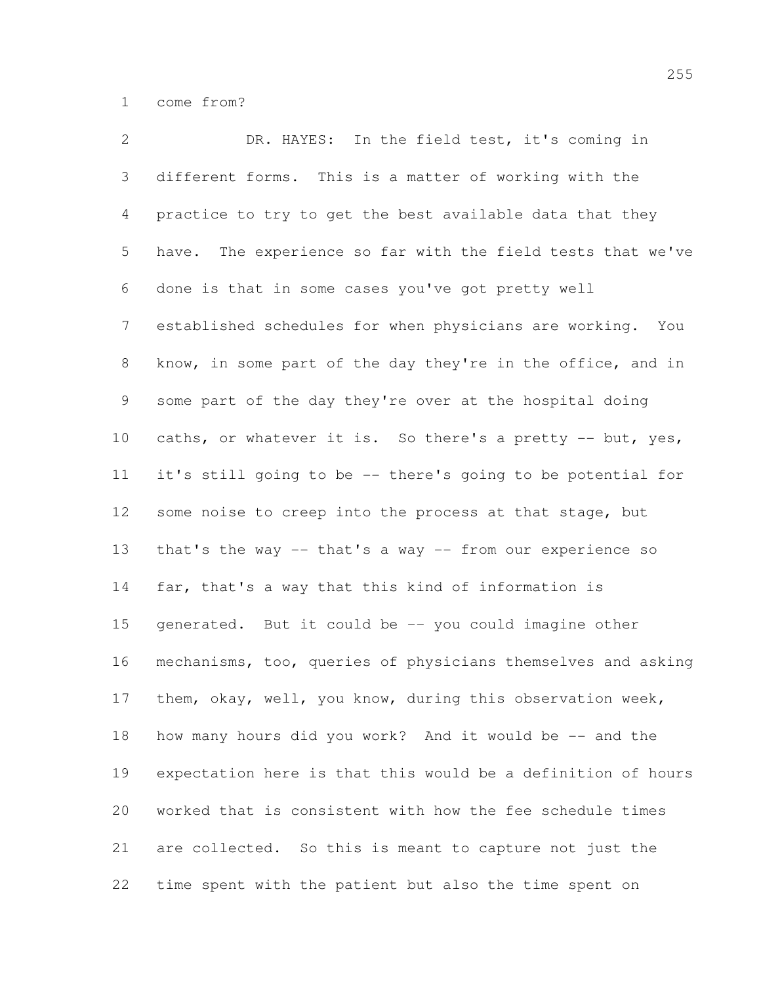come from?

 DR. HAYES: In the field test, it's coming in different forms. This is a matter of working with the practice to try to get the best available data that they have. The experience so far with the field tests that we've done is that in some cases you've got pretty well established schedules for when physicians are working. You know, in some part of the day they're in the office, and in some part of the day they're over at the hospital doing 10 caths, or whatever it is. So there's a pretty -- but, yes, it's still going to be -- there's going to be potential for some noise to creep into the process at that stage, but that's the way -- that's a way -- from our experience so far, that's a way that this kind of information is generated. But it could be -- you could imagine other mechanisms, too, queries of physicians themselves and asking them, okay, well, you know, during this observation week, 18 how many hours did you work? And it would be -- and the expectation here is that this would be a definition of hours worked that is consistent with how the fee schedule times are collected. So this is meant to capture not just the time spent with the patient but also the time spent on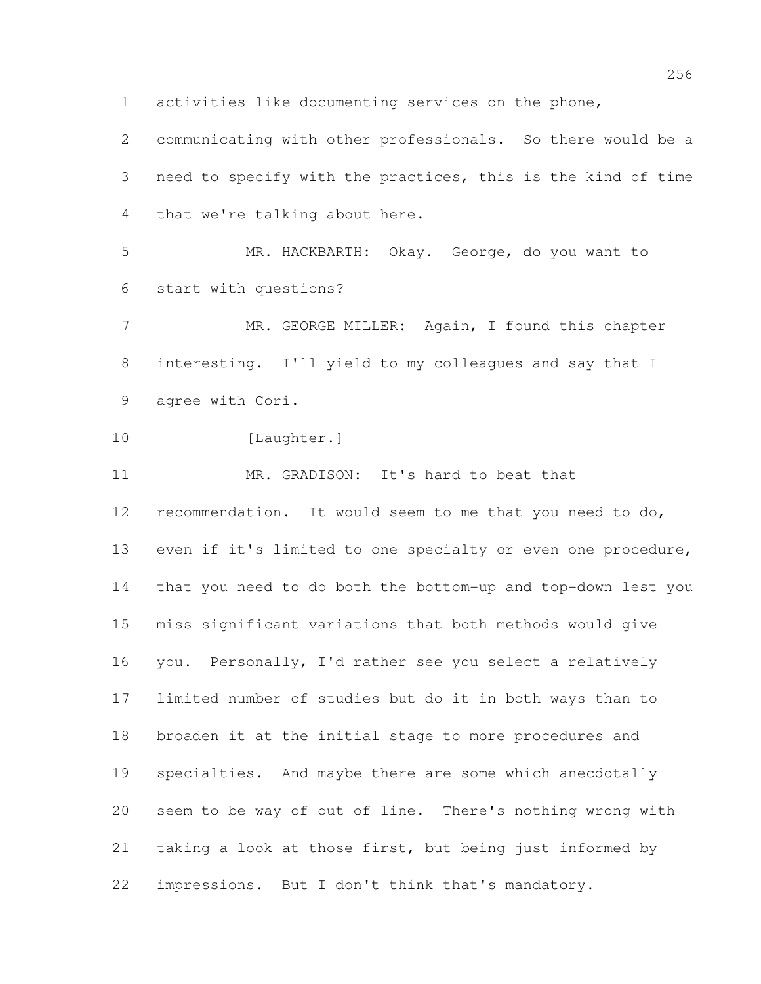activities like documenting services on the phone,

 communicating with other professionals. So there would be a need to specify with the practices, this is the kind of time that we're talking about here.

 MR. HACKBARTH: Okay. George, do you want to start with questions?

 MR. GEORGE MILLER: Again, I found this chapter interesting. I'll yield to my colleagues and say that I agree with Cori.

```
10 [Laughter.]
```
MR. GRADISON: It's hard to beat that

 recommendation. It would seem to me that you need to do, even if it's limited to one specialty or even one procedure, that you need to do both the bottom-up and top-down lest you miss significant variations that both methods would give you. Personally, I'd rather see you select a relatively limited number of studies but do it in both ways than to broaden it at the initial stage to more procedures and specialties. And maybe there are some which anecdotally seem to be way of out of line. There's nothing wrong with taking a look at those first, but being just informed by impressions. But I don't think that's mandatory.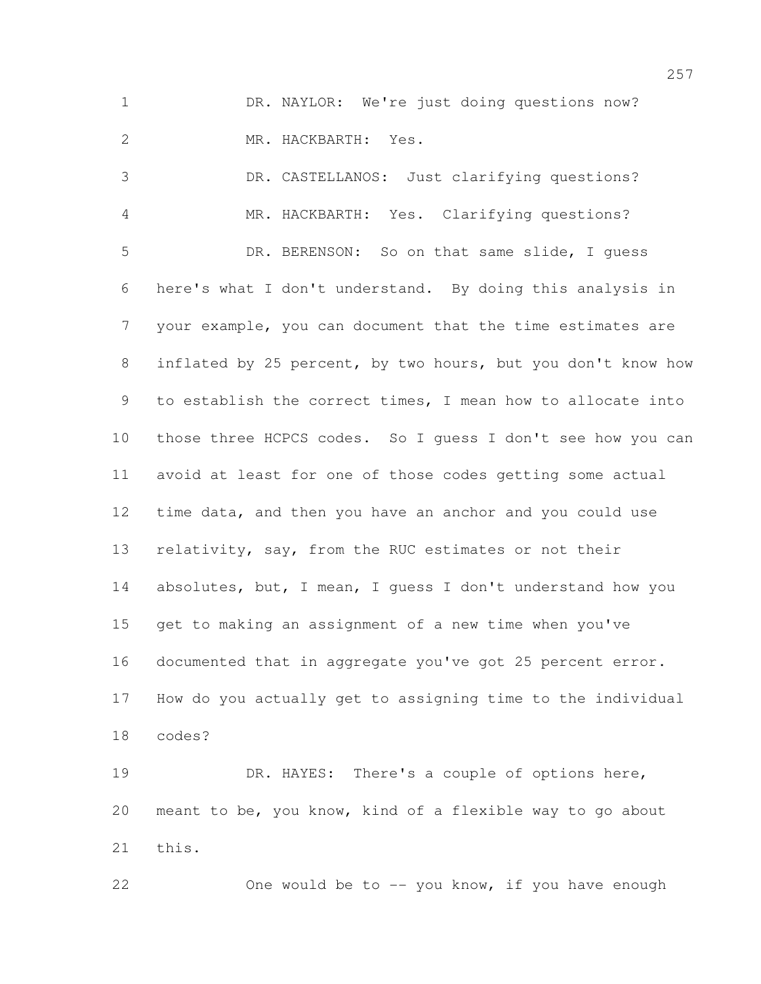1 DR. NAYLOR: We're just doing questions now? MR. HACKBARTH: Yes.

 DR. CASTELLANOS: Just clarifying questions? MR. HACKBARTH: Yes. Clarifying questions? DR. BERENSON: So on that same slide, I guess here's what I don't understand. By doing this analysis in your example, you can document that the time estimates are inflated by 25 percent, by two hours, but you don't know how to establish the correct times, I mean how to allocate into those three HCPCS codes. So I guess I don't see how you can avoid at least for one of those codes getting some actual time data, and then you have an anchor and you could use 13 relativity, say, from the RUC estimates or not their 14 absolutes, but, I mean, I guess I don't understand how you get to making an assignment of a new time when you've documented that in aggregate you've got 25 percent error. How do you actually get to assigning time to the individual codes?

 DR. HAYES: There's a couple of options here, meant to be, you know, kind of a flexible way to go about this.

22 One would be to -- you know, if you have enough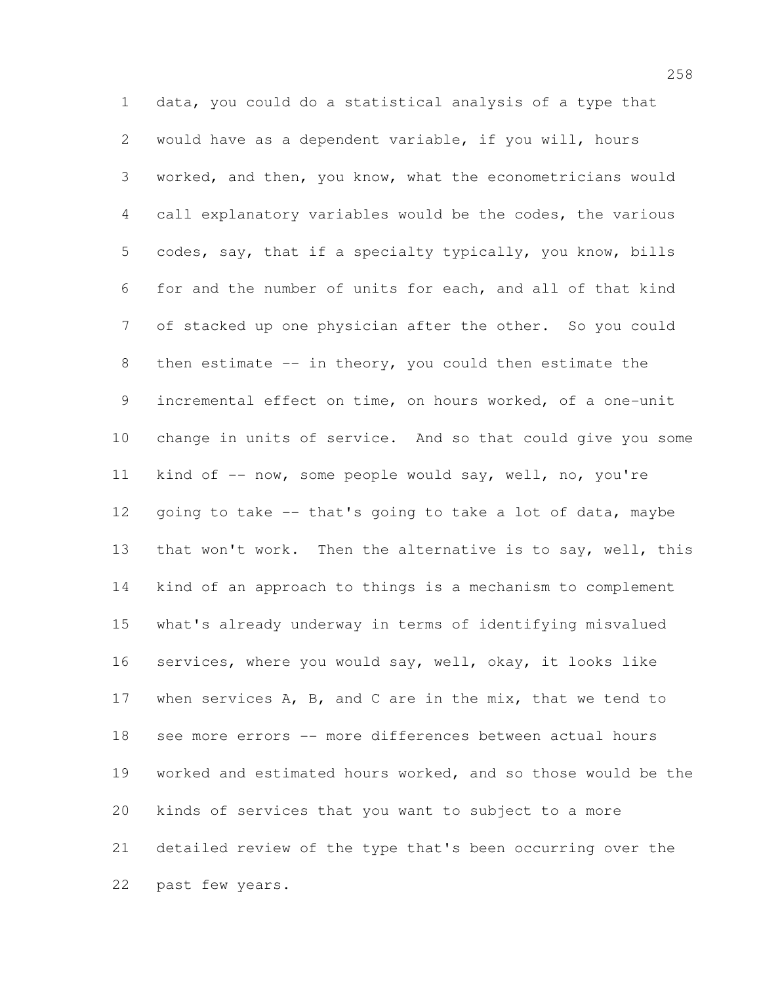data, you could do a statistical analysis of a type that would have as a dependent variable, if you will, hours worked, and then, you know, what the econometricians would call explanatory variables would be the codes, the various codes, say, that if a specialty typically, you know, bills for and the number of units for each, and all of that kind of stacked up one physician after the other. So you could then estimate -- in theory, you could then estimate the incremental effect on time, on hours worked, of a one-unit change in units of service. And so that could give you some kind of -- now, some people would say, well, no, you're going to take -- that's going to take a lot of data, maybe 13 that won't work. Then the alternative is to say, well, this kind of an approach to things is a mechanism to complement what's already underway in terms of identifying misvalued services, where you would say, well, okay, it looks like when services A, B, and C are in the mix, that we tend to see more errors -- more differences between actual hours worked and estimated hours worked, and so those would be the kinds of services that you want to subject to a more detailed review of the type that's been occurring over the past few years.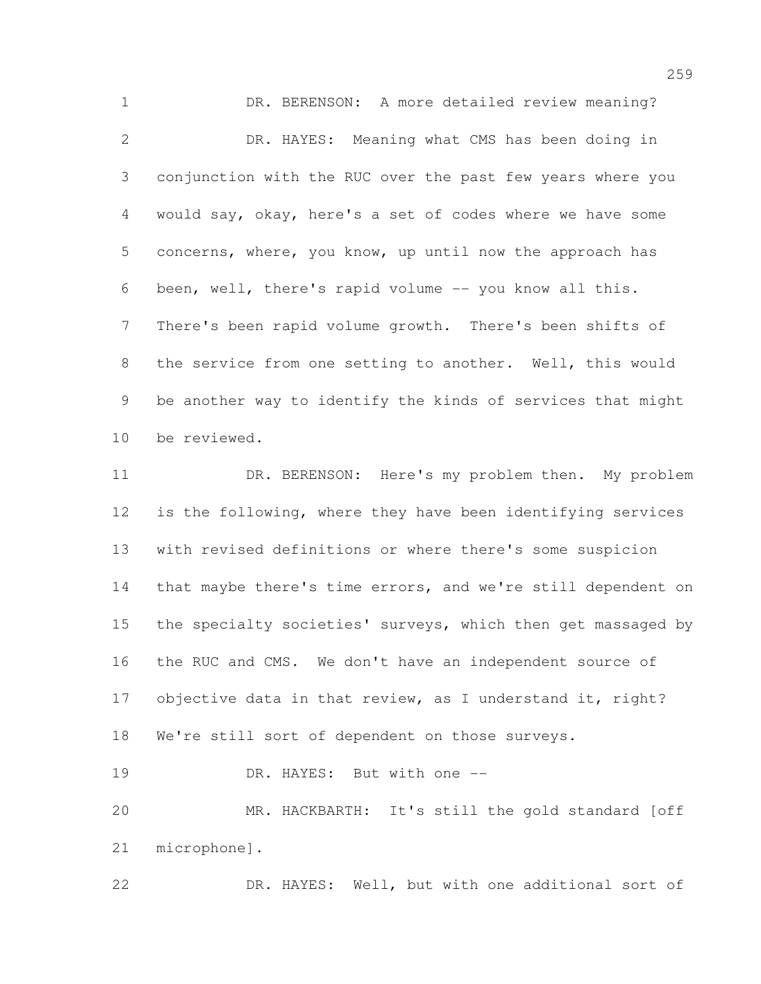DR. BERENSON: A more detailed review meaning? DR. HAYES: Meaning what CMS has been doing in conjunction with the RUC over the past few years where you would say, okay, here's a set of codes where we have some concerns, where, you know, up until now the approach has been, well, there's rapid volume -- you know all this. There's been rapid volume growth. There's been shifts of the service from one setting to another. Well, this would be another way to identify the kinds of services that might be reviewed. DR. BERENSON: Here's my problem then. My problem is the following, where they have been identifying services with revised definitions or where there's some suspicion that maybe there's time errors, and we're still dependent on the specialty societies' surveys, which then get massaged by

 the RUC and CMS. We don't have an independent source of 17 objective data in that review, as I understand it, right?

We're still sort of dependent on those surveys.

19 DR. HAYES: But with one --

 MR. HACKBARTH: It's still the gold standard [off microphone].

DR. HAYES: Well, but with one additional sort of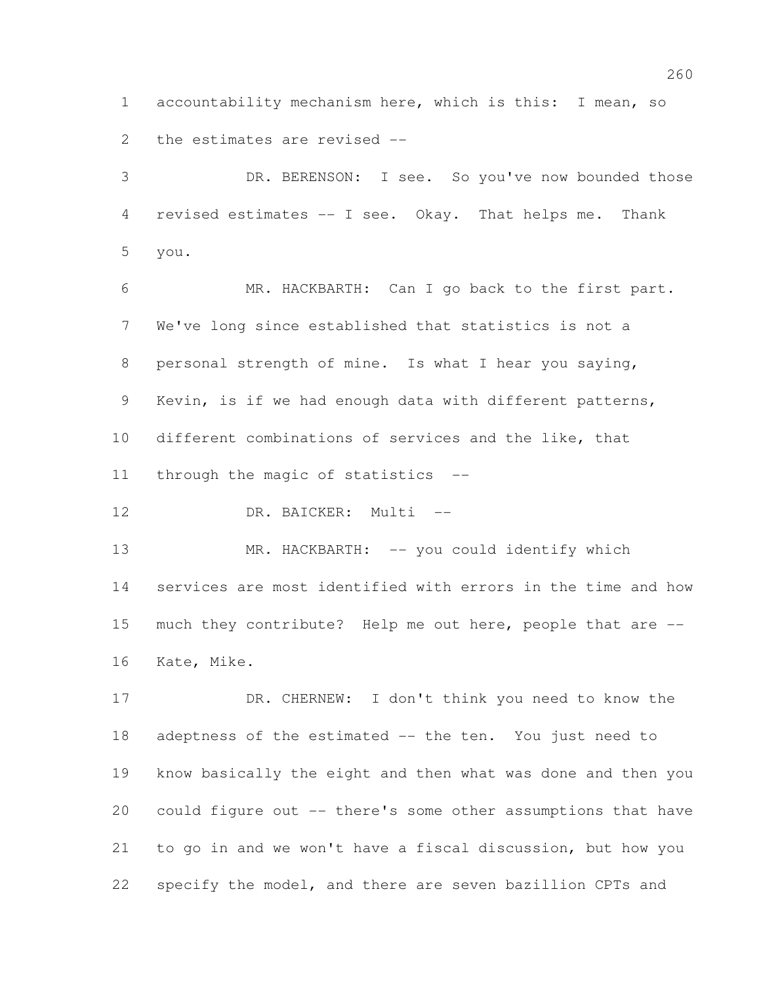accountability mechanism here, which is this: I mean, so the estimates are revised --

 DR. BERENSON: I see. So you've now bounded those revised estimates -- I see. Okay. That helps me. Thank you.

 MR. HACKBARTH: Can I go back to the first part. We've long since established that statistics is not a personal strength of mine. Is what I hear you saying, Kevin, is if we had enough data with different patterns, different combinations of services and the like, that through the magic of statistics --

12 DR. BAICKER: Multi --

13 MR. HACKBARTH: -- you could identify which services are most identified with errors in the time and how much they contribute? Help me out here, people that are -- Kate, Mike.

 DR. CHERNEW: I don't think you need to know the adeptness of the estimated -- the ten. You just need to know basically the eight and then what was done and then you could figure out -- there's some other assumptions that have to go in and we won't have a fiscal discussion, but how you specify the model, and there are seven bazillion CPTs and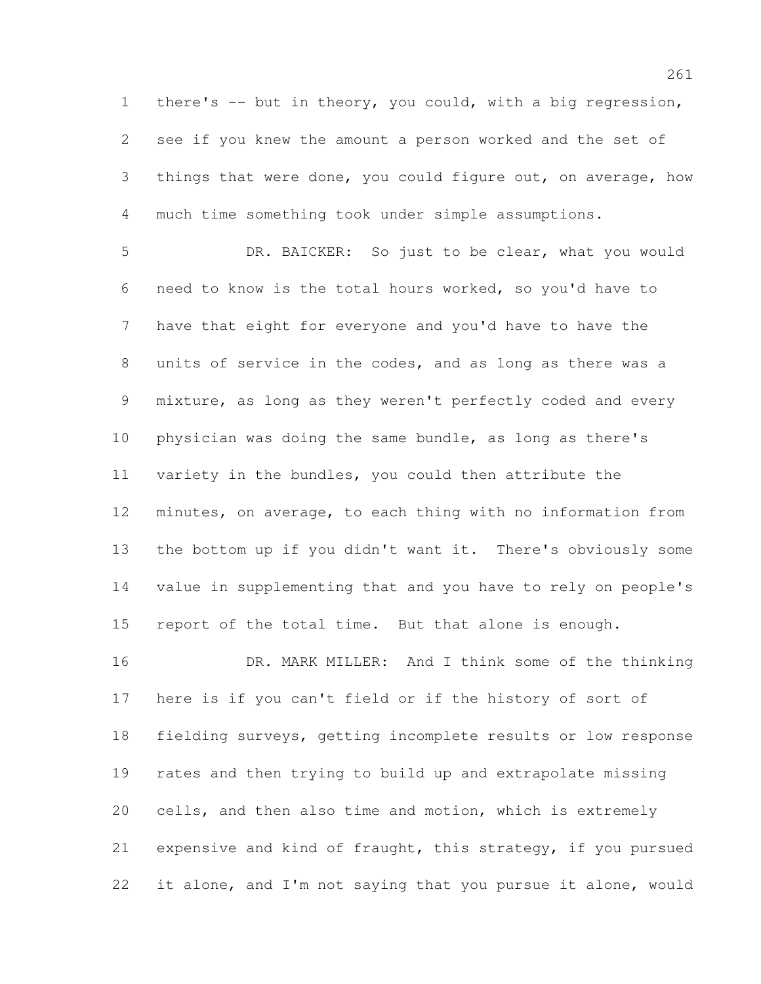there's -- but in theory, you could, with a big regression, see if you knew the amount a person worked and the set of 3 things that were done, you could figure out, on average, how much time something took under simple assumptions.

 DR. BAICKER: So just to be clear, what you would need to know is the total hours worked, so you'd have to have that eight for everyone and you'd have to have the units of service in the codes, and as long as there was a mixture, as long as they weren't perfectly coded and every physician was doing the same bundle, as long as there's variety in the bundles, you could then attribute the minutes, on average, to each thing with no information from the bottom up if you didn't want it. There's obviously some value in supplementing that and you have to rely on people's report of the total time. But that alone is enough.

 DR. MARK MILLER: And I think some of the thinking here is if you can't field or if the history of sort of fielding surveys, getting incomplete results or low response rates and then trying to build up and extrapolate missing cells, and then also time and motion, which is extremely expensive and kind of fraught, this strategy, if you pursued it alone, and I'm not saying that you pursue it alone, would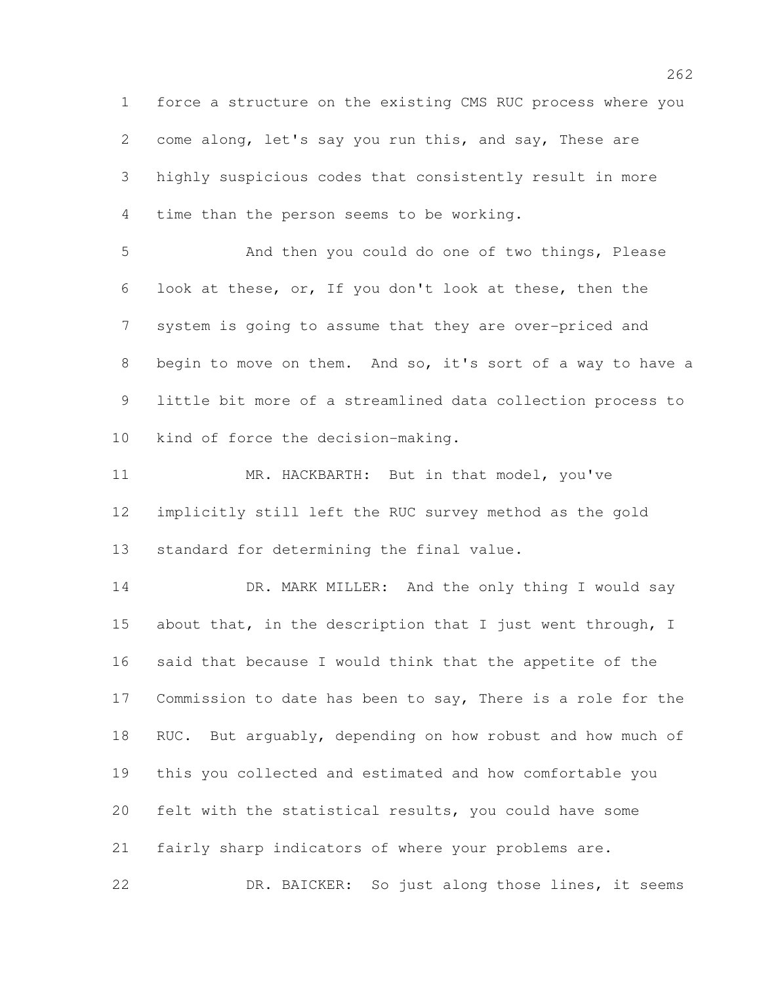force a structure on the existing CMS RUC process where you come along, let's say you run this, and say, These are highly suspicious codes that consistently result in more time than the person seems to be working.

 And then you could do one of two things, Please look at these, or, If you don't look at these, then the system is going to assume that they are over-priced and begin to move on them. And so, it's sort of a way to have a little bit more of a streamlined data collection process to kind of force the decision-making.

 MR. HACKBARTH: But in that model, you've implicitly still left the RUC survey method as the gold standard for determining the final value.

14 DR. MARK MILLER: And the only thing I would say 15 about that, in the description that I just went through, I said that because I would think that the appetite of the Commission to date has been to say, There is a role for the RUC. But arguably, depending on how robust and how much of this you collected and estimated and how comfortable you felt with the statistical results, you could have some fairly sharp indicators of where your problems are. DR. BAICKER: So just along those lines, it seems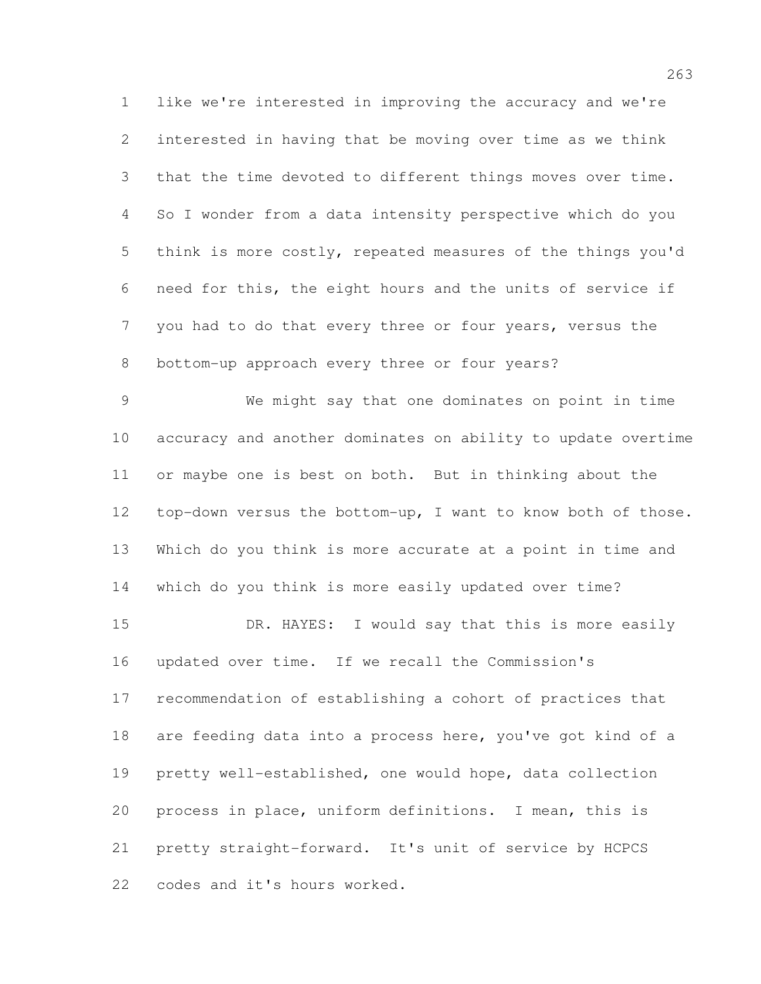like we're interested in improving the accuracy and we're interested in having that be moving over time as we think that the time devoted to different things moves over time. So I wonder from a data intensity perspective which do you think is more costly, repeated measures of the things you'd need for this, the eight hours and the units of service if you had to do that every three or four years, versus the bottom-up approach every three or four years?

 We might say that one dominates on point in time accuracy and another dominates on ability to update overtime or maybe one is best on both. But in thinking about the top-down versus the bottom-up, I want to know both of those. Which do you think is more accurate at a point in time and which do you think is more easily updated over time? 15 DR. HAYES: I would say that this is more easily updated over time. If we recall the Commission's recommendation of establishing a cohort of practices that are feeding data into a process here, you've got kind of a pretty well-established, one would hope, data collection process in place, uniform definitions. I mean, this is pretty straight-forward. It's unit of service by HCPCS codes and it's hours worked.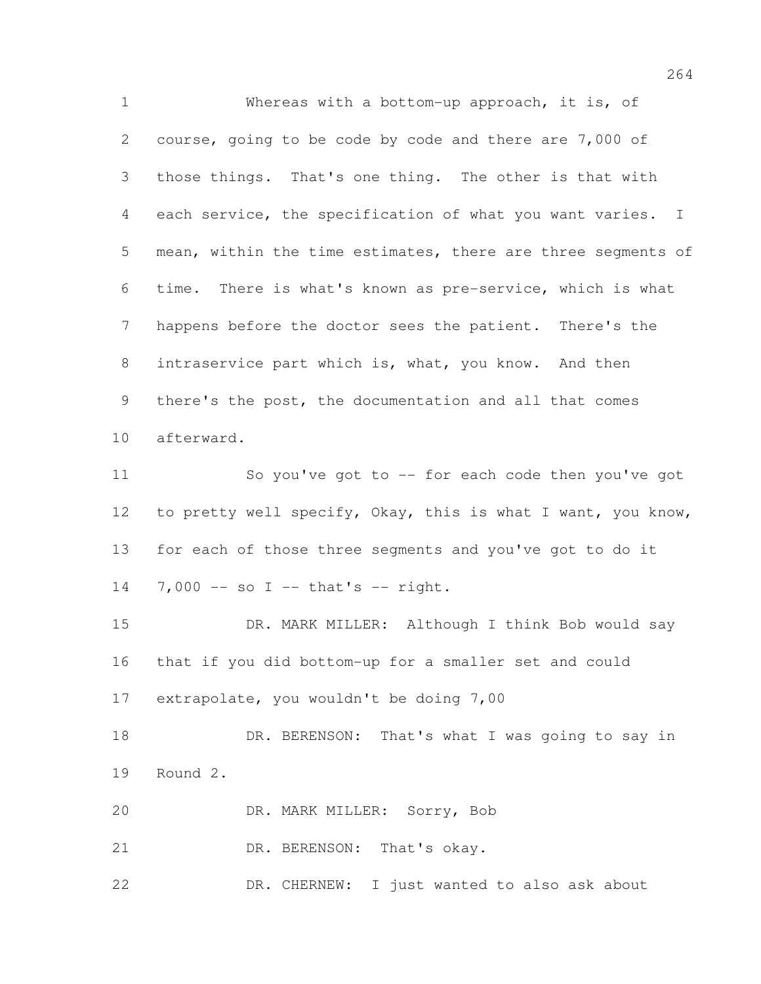Whereas with a bottom-up approach, it is, of course, going to be code by code and there are 7,000 of those things. That's one thing. The other is that with each service, the specification of what you want varies. I mean, within the time estimates, there are three segments of time. There is what's known as pre-service, which is what happens before the doctor sees the patient. There's the intraservice part which is, what, you know. And then there's the post, the documentation and all that comes afterward. 11 So you've got to -- for each code then you've got to pretty well specify, Okay, this is what I want, you know, for each of those three segments and you've got to do it 14 7,000 -- so I -- that's -- right. DR. MARK MILLER: Although I think Bob would say that if you did bottom-up for a smaller set and could extrapolate, you wouldn't be doing 7,00 18 DR. BERENSON: That's what I was going to say in Round 2. DR. MARK MILLER: Sorry, Bob 21 DR. BERENSON: That's okay. DR. CHERNEW: I just wanted to also ask about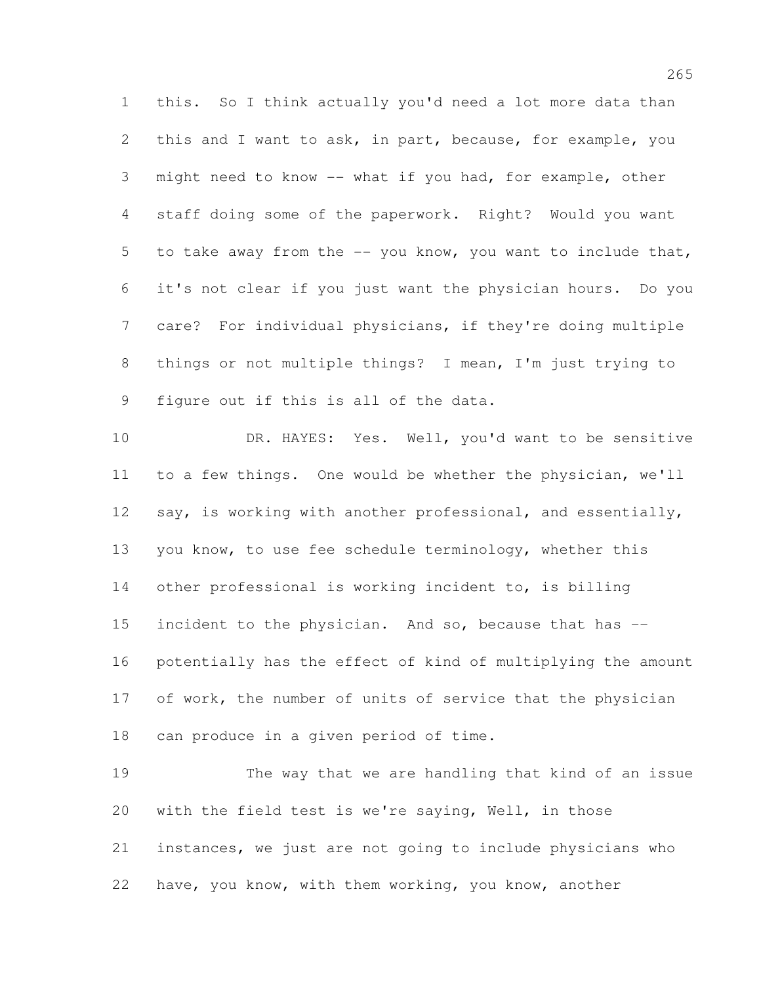this. So I think actually you'd need a lot more data than this and I want to ask, in part, because, for example, you might need to know -- what if you had, for example, other staff doing some of the paperwork. Right? Would you want to take away from the -- you know, you want to include that, it's not clear if you just want the physician hours. Do you care? For individual physicians, if they're doing multiple things or not multiple things? I mean, I'm just trying to figure out if this is all of the data.

 DR. HAYES: Yes. Well, you'd want to be sensitive to a few things. One would be whether the physician, we'll 12 say, is working with another professional, and essentially, you know, to use fee schedule terminology, whether this other professional is working incident to, is billing incident to the physician. And so, because that has -- potentially has the effect of kind of multiplying the amount 17 of work, the number of units of service that the physician can produce in a given period of time.

 The way that we are handling that kind of an issue with the field test is we're saying, Well, in those instances, we just are not going to include physicians who have, you know, with them working, you know, another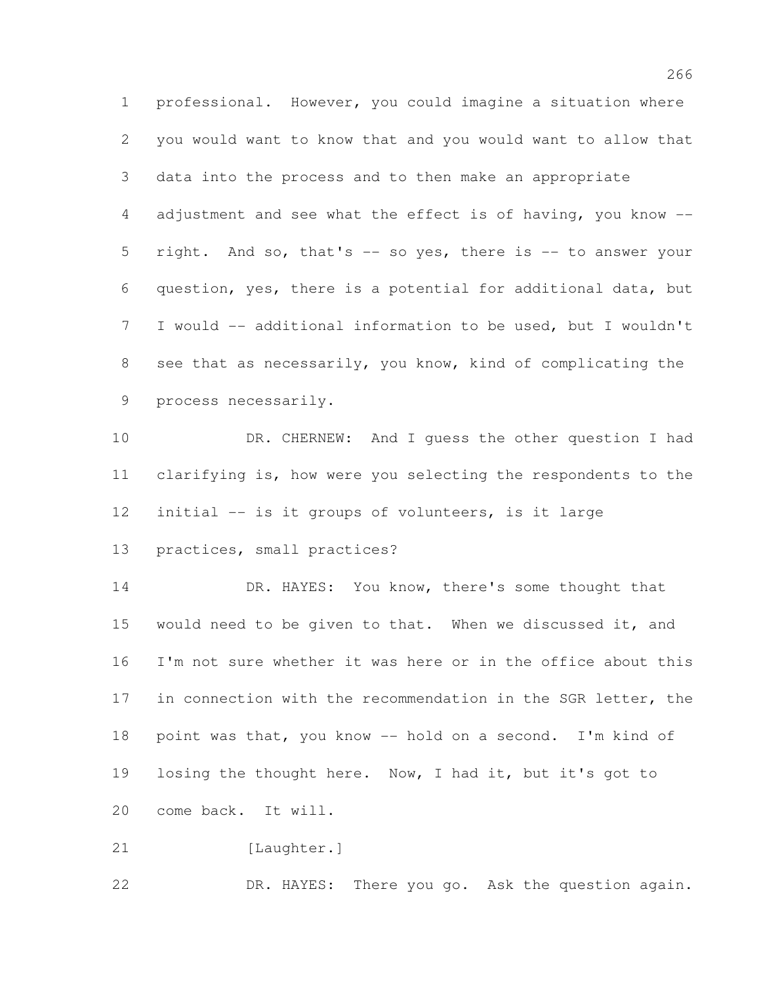professional. However, you could imagine a situation where you would want to know that and you would want to allow that data into the process and to then make an appropriate adjustment and see what the effect is of having, you know -- right. And so, that's -- so yes, there is -- to answer your question, yes, there is a potential for additional data, but I would -- additional information to be used, but I wouldn't see that as necessarily, you know, kind of complicating the process necessarily.

 DR. CHERNEW: And I guess the other question I had clarifying is, how were you selecting the respondents to the initial -- is it groups of volunteers, is it large

practices, small practices?

14 DR. HAYES: You know, there's some thought that 15 would need to be given to that. When we discussed it, and I'm not sure whether it was here or in the office about this in connection with the recommendation in the SGR letter, the point was that, you know -- hold on a second. I'm kind of losing the thought here. Now, I had it, but it's got to come back. It will.

21 [Laughter.]

DR. HAYES: There you go. Ask the question again.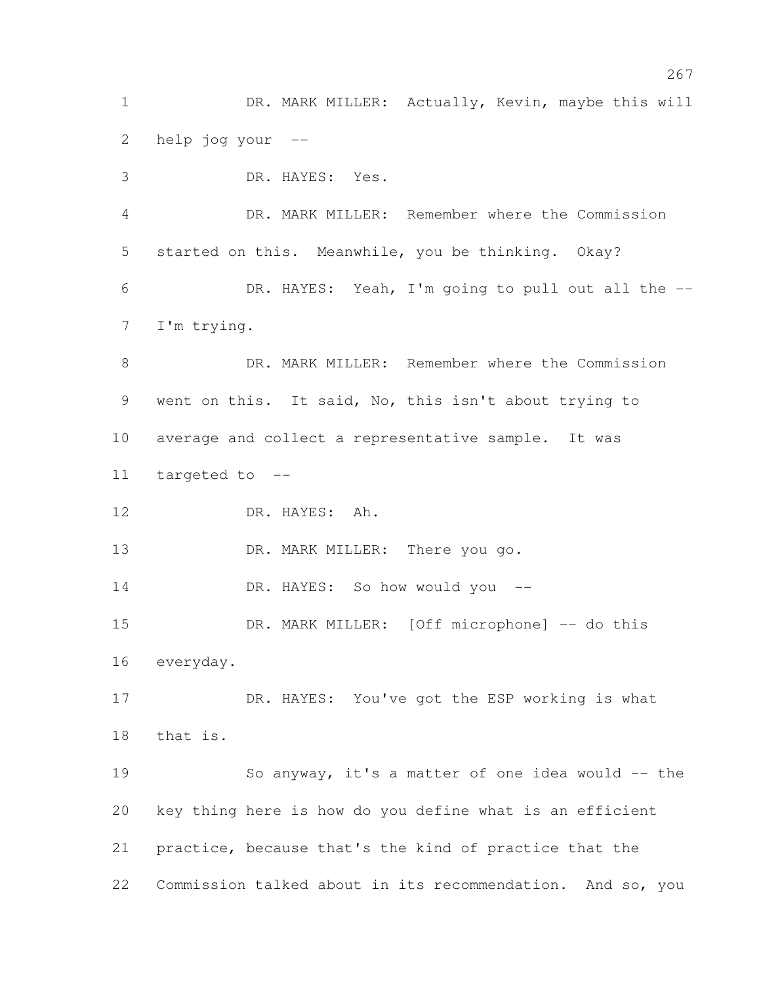1 DR. MARK MILLER: Actually, Kevin, maybe this will help jog your --

 DR. HAYES: Yes. DR. MARK MILLER: Remember where the Commission started on this. Meanwhile, you be thinking. Okay? DR. HAYES: Yeah, I'm going to pull out all the -- I'm trying. DR. MARK MILLER: Remember where the Commission went on this. It said, No, this isn't about trying to average and collect a representative sample. It was targeted to -- DR. HAYES: Ah. 13 DR. MARK MILLER: There you go. DR. HAYES: So how would you -- 15 DR. MARK MILLER: [Off microphone] -- do this everyday. DR. HAYES: You've got the ESP working is what that is. So anyway, it's a matter of one idea would -- the key thing here is how do you define what is an efficient practice, because that's the kind of practice that the Commission talked about in its recommendation. And so, you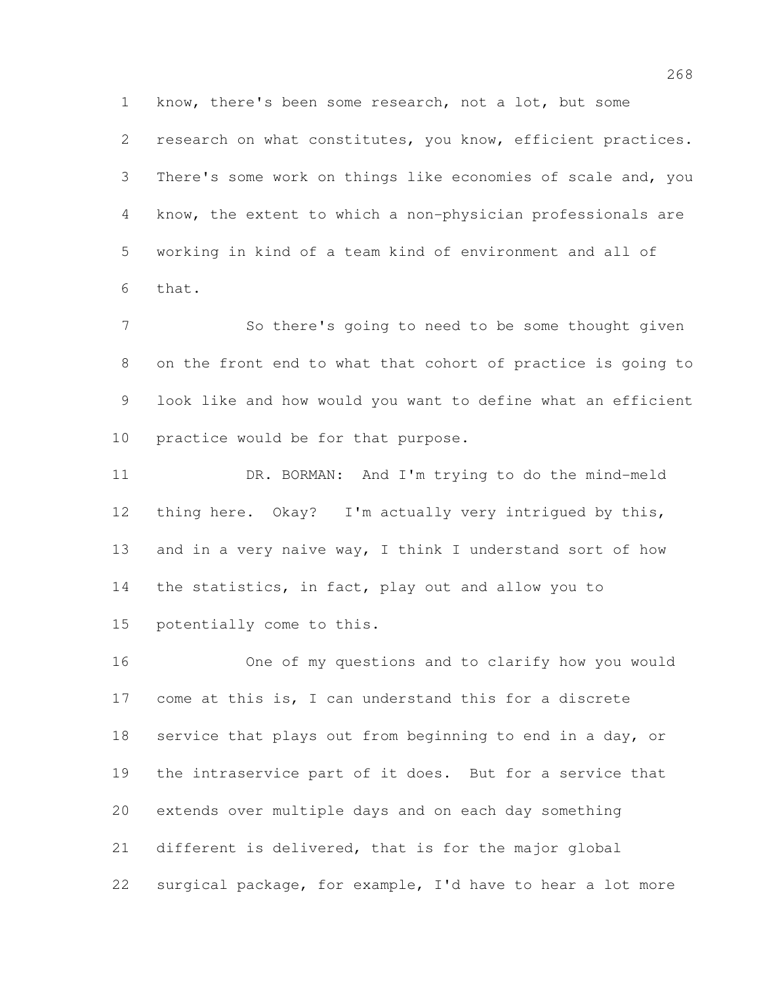know, there's been some research, not a lot, but some 2 research on what constitutes, you know, efficient practices. There's some work on things like economies of scale and, you know, the extent to which a non-physician professionals are working in kind of a team kind of environment and all of that.

 So there's going to need to be some thought given on the front end to what that cohort of practice is going to look like and how would you want to define what an efficient practice would be for that purpose.

 DR. BORMAN: And I'm trying to do the mind-meld thing here. Okay? I'm actually very intrigued by this, and in a very naive way, I think I understand sort of how the statistics, in fact, play out and allow you to potentially come to this.

 One of my questions and to clarify how you would come at this is, I can understand this for a discrete service that plays out from beginning to end in a day, or the intraservice part of it does. But for a service that extends over multiple days and on each day something different is delivered, that is for the major global surgical package, for example, I'd have to hear a lot more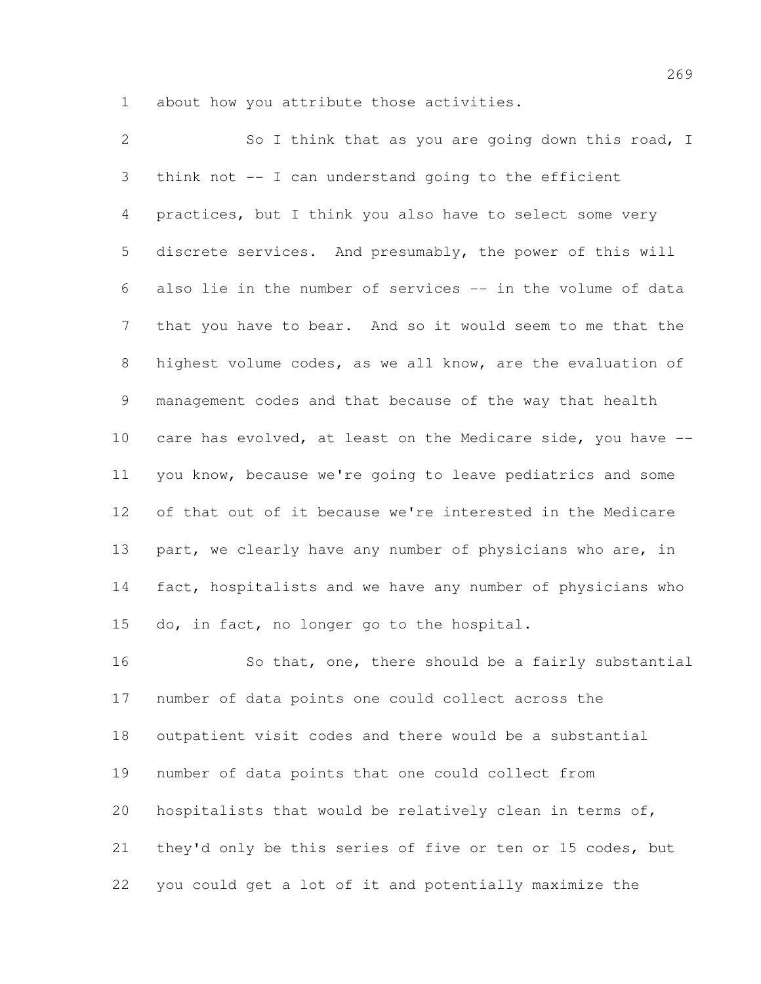about how you attribute those activities.

2 So I think that as you are going down this road, I think not -- I can understand going to the efficient practices, but I think you also have to select some very discrete services. And presumably, the power of this will also lie in the number of services -- in the volume of data that you have to bear. And so it would seem to me that the highest volume codes, as we all know, are the evaluation of management codes and that because of the way that health care has evolved, at least on the Medicare side, you have -- you know, because we're going to leave pediatrics and some of that out of it because we're interested in the Medicare part, we clearly have any number of physicians who are, in fact, hospitalists and we have any number of physicians who do, in fact, no longer go to the hospital.

16 So that, one, there should be a fairly substantial number of data points one could collect across the outpatient visit codes and there would be a substantial number of data points that one could collect from hospitalists that would be relatively clean in terms of, they'd only be this series of five or ten or 15 codes, but you could get a lot of it and potentially maximize the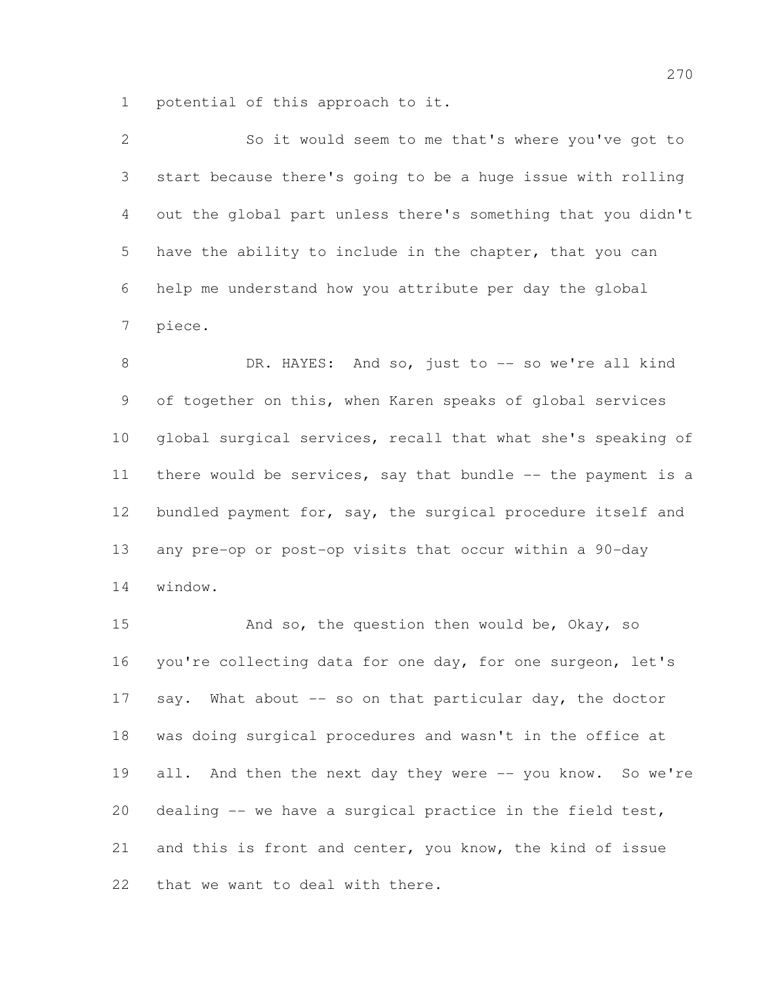potential of this approach to it.

| $\overline{2}$ | So it would seem to me that's where you've got to            |
|----------------|--------------------------------------------------------------|
| 3              | start because there's going to be a huge issue with rolling  |
| 4              | out the global part unless there's something that you didn't |
| 5              | have the ability to include in the chapter, that you can     |
| 6              | help me understand how you attribute per day the global      |
| 7              | piece.                                                       |
| 8              | DR. HAYES: And so, just to -- so we're all kind              |
| 9              | of together on this, when Karen speaks of global services    |
| 10             | global surgical services, recall that what she's speaking of |
| 11             | there would be services, say that bundle -- the payment is a |
| 12             | bundled payment for, say, the surgical procedure itself and  |
| 13             | any pre-op or post-op visits that occur within a 90-day      |
| 14             | window.                                                      |
| 15             | And so, the question then would be, Okay, so                 |

 you're collecting data for one day, for one surgeon, let's 17 say. What about -- so on that particular day, the doctor was doing surgical procedures and wasn't in the office at 19 all. And then the next day they were -- you know. So we're dealing -- we have a surgical practice in the field test, and this is front and center, you know, the kind of issue that we want to deal with there.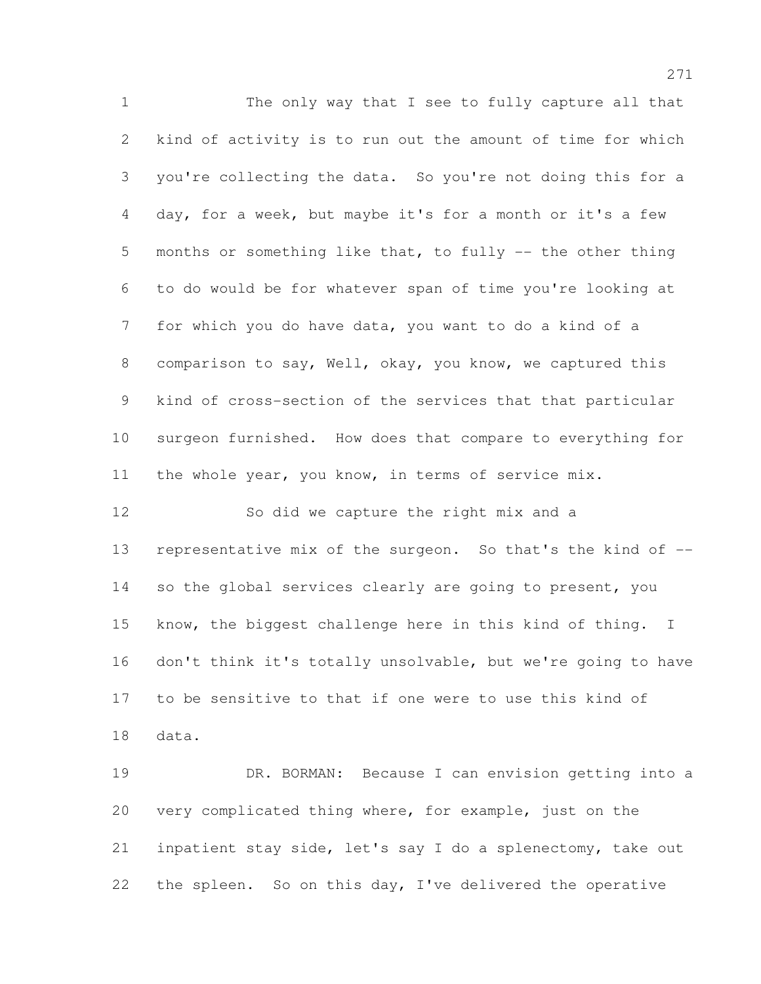The only way that I see to fully capture all that kind of activity is to run out the amount of time for which you're collecting the data. So you're not doing this for a day, for a week, but maybe it's for a month or it's a few months or something like that, to fully -- the other thing to do would be for whatever span of time you're looking at for which you do have data, you want to do a kind of a comparison to say, Well, okay, you know, we captured this kind of cross-section of the services that that particular surgeon furnished. How does that compare to everything for 11 the whole year, you know, in terms of service mix. So did we capture the right mix and a

 representative mix of the surgeon. So that's the kind of -- so the global services clearly are going to present, you know, the biggest challenge here in this kind of thing. I don't think it's totally unsolvable, but we're going to have to be sensitive to that if one were to use this kind of data.

 DR. BORMAN: Because I can envision getting into a very complicated thing where, for example, just on the inpatient stay side, let's say I do a splenectomy, take out 22 the spleen. So on this day, I've delivered the operative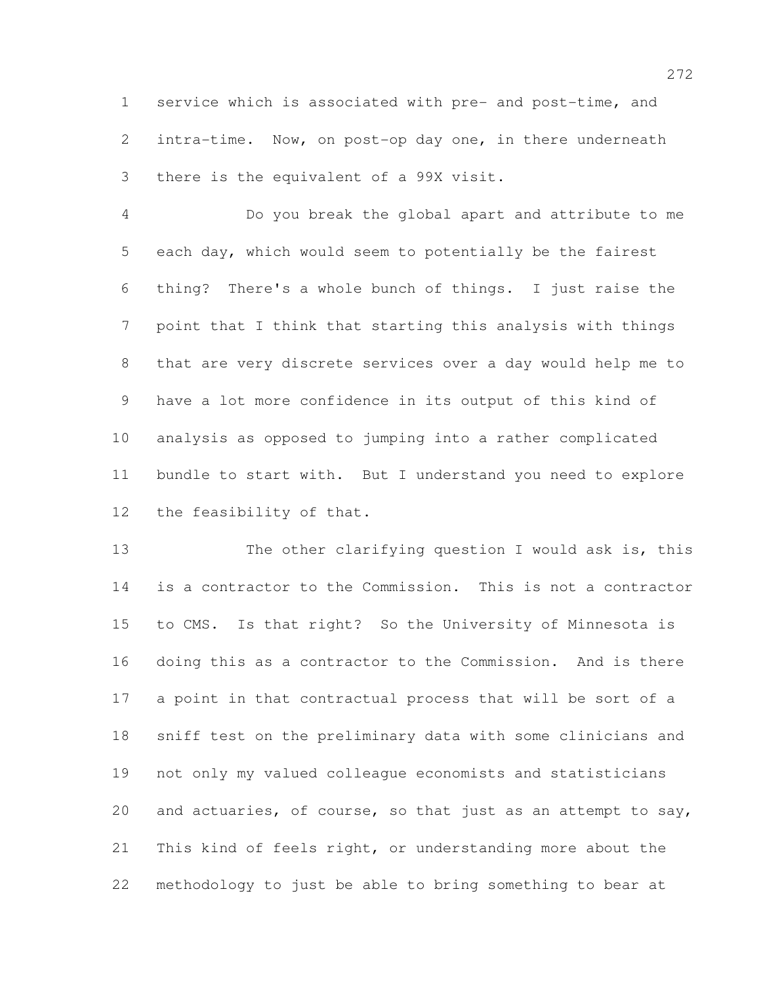service which is associated with pre- and post-time, and intra-time. Now, on post-op day one, in there underneath there is the equivalent of a 99X visit.

 Do you break the global apart and attribute to me each day, which would seem to potentially be the fairest thing? There's a whole bunch of things. I just raise the point that I think that starting this analysis with things that are very discrete services over a day would help me to have a lot more confidence in its output of this kind of analysis as opposed to jumping into a rather complicated bundle to start with. But I understand you need to explore the feasibility of that.

13 The other clarifying question I would ask is, this is a contractor to the Commission. This is not a contractor to CMS. Is that right? So the University of Minnesota is doing this as a contractor to the Commission. And is there a point in that contractual process that will be sort of a sniff test on the preliminary data with some clinicians and not only my valued colleague economists and statisticians and actuaries, of course, so that just as an attempt to say, This kind of feels right, or understanding more about the methodology to just be able to bring something to bear at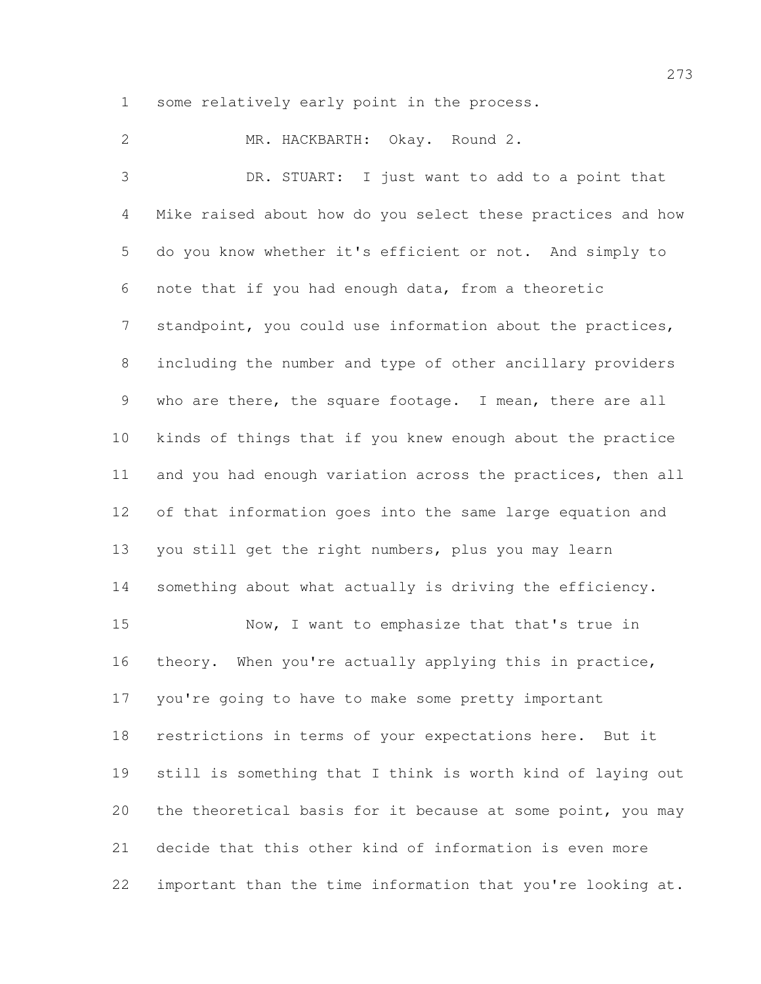some relatively early point in the process.

 MR. HACKBARTH: Okay. Round 2. DR. STUART: I just want to add to a point that Mike raised about how do you select these practices and how do you know whether it's efficient or not. And simply to note that if you had enough data, from a theoretic 7 standpoint, you could use information about the practices, including the number and type of other ancillary providers who are there, the square footage. I mean, there are all kinds of things that if you knew enough about the practice and you had enough variation across the practices, then all of that information goes into the same large equation and you still get the right numbers, plus you may learn something about what actually is driving the efficiency. Now, I want to emphasize that that's true in theory. When you're actually applying this in practice, you're going to have to make some pretty important restrictions in terms of your expectations here. But it still is something that I think is worth kind of laying out the theoretical basis for it because at some point, you may decide that this other kind of information is even more important than the time information that you're looking at.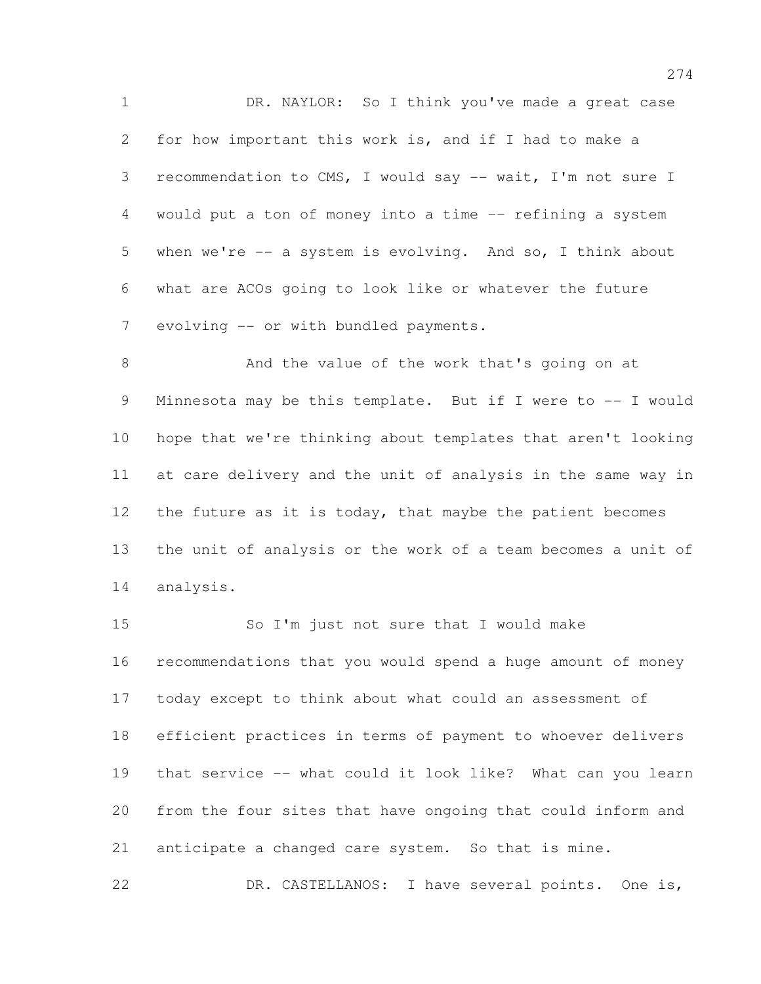1 DR. NAYLOR: So I think you've made a great case for how important this work is, and if I had to make a 3 recommendation to CMS, I would say -- wait, I'm not sure I would put a ton of money into a time -- refining a system when we're -- a system is evolving. And so, I think about what are ACOs going to look like or whatever the future 7 evolving -- or with bundled payments.

 And the value of the work that's going on at 9 Minnesota may be this template. But if I were to -- I would hope that we're thinking about templates that aren't looking at care delivery and the unit of analysis in the same way in 12 the future as it is today, that maybe the patient becomes the unit of analysis or the work of a team becomes a unit of analysis.

 So I'm just not sure that I would make recommendations that you would spend a huge amount of money today except to think about what could an assessment of efficient practices in terms of payment to whoever delivers that service -- what could it look like? What can you learn from the four sites that have ongoing that could inform and anticipate a changed care system. So that is mine.

DR. CASTELLANOS: I have several points. One is,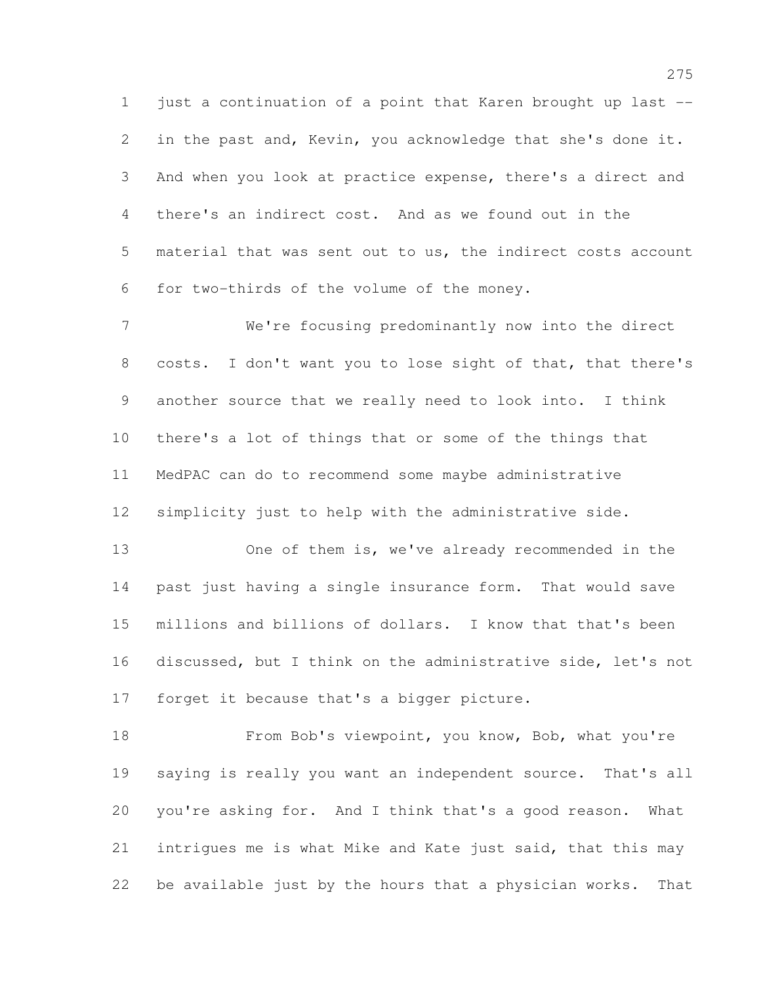just a continuation of a point that Karen brought up last -- in the past and, Kevin, you acknowledge that she's done it. And when you look at practice expense, there's a direct and there's an indirect cost. And as we found out in the material that was sent out to us, the indirect costs account for two-thirds of the volume of the money.

 We're focusing predominantly now into the direct costs. I don't want you to lose sight of that, that there's another source that we really need to look into. I think there's a lot of things that or some of the things that MedPAC can do to recommend some maybe administrative simplicity just to help with the administrative side.

 One of them is, we've already recommended in the past just having a single insurance form. That would save millions and billions of dollars. I know that that's been discussed, but I think on the administrative side, let's not forget it because that's a bigger picture.

18 From Bob's viewpoint, you know, Bob, what you're saying is really you want an independent source. That's all you're asking for. And I think that's a good reason. What intrigues me is what Mike and Kate just said, that this may be available just by the hours that a physician works. That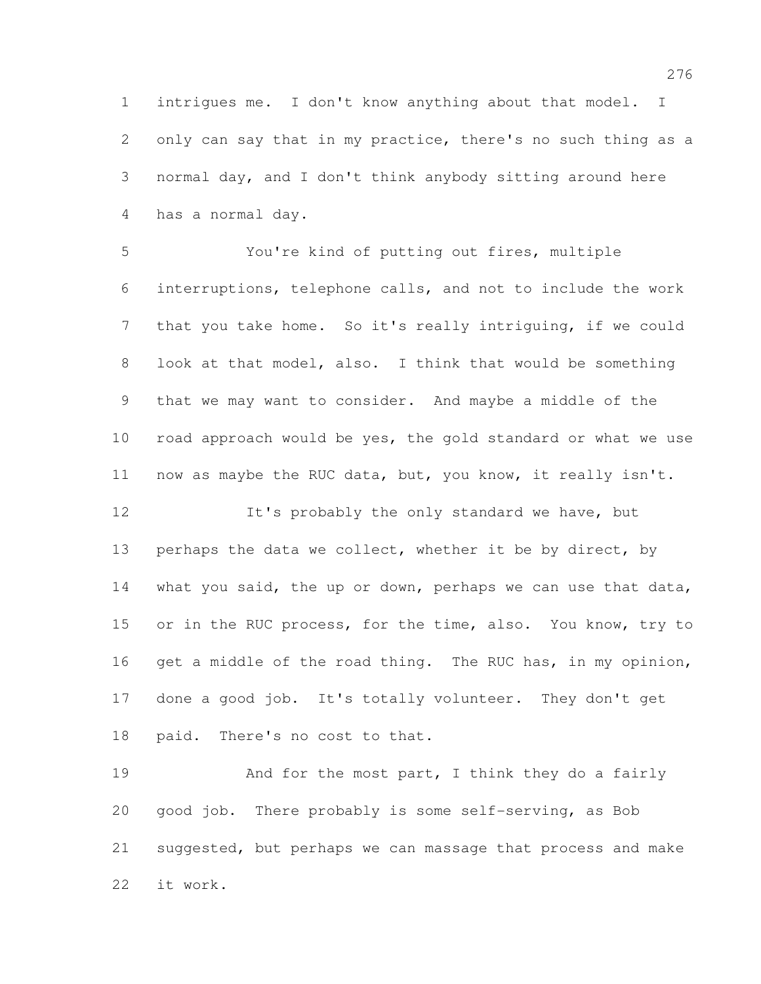intrigues me. I don't know anything about that model. I only can say that in my practice, there's no such thing as a normal day, and I don't think anybody sitting around here has a normal day.

 You're kind of putting out fires, multiple interruptions, telephone calls, and not to include the work that you take home. So it's really intriguing, if we could look at that model, also. I think that would be something that we may want to consider. And maybe a middle of the road approach would be yes, the gold standard or what we use now as maybe the RUC data, but, you know, it really isn't.

12 It's probably the only standard we have, but 13 perhaps the data we collect, whether it be by direct, by what you said, the up or down, perhaps we can use that data, 15 or in the RUC process, for the time, also. You know, try to get a middle of the road thing. The RUC has, in my opinion, done a good job. It's totally volunteer. They don't get paid. There's no cost to that.

19 And for the most part, I think they do a fairly good job. There probably is some self-serving, as Bob suggested, but perhaps we can massage that process and make it work.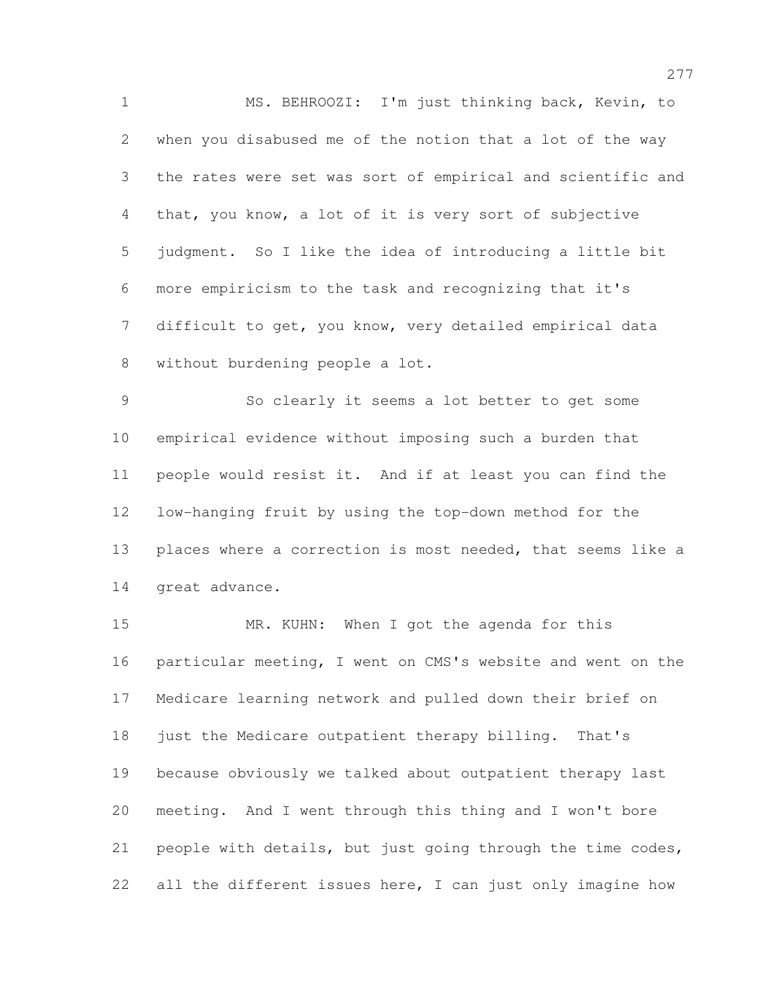MS. BEHROOZI: I'm just thinking back, Kevin, to when you disabused me of the notion that a lot of the way the rates were set was sort of empirical and scientific and that, you know, a lot of it is very sort of subjective judgment. So I like the idea of introducing a little bit more empiricism to the task and recognizing that it's difficult to get, you know, very detailed empirical data without burdening people a lot.

 So clearly it seems a lot better to get some empirical evidence without imposing such a burden that people would resist it. And if at least you can find the low-hanging fruit by using the top-down method for the places where a correction is most needed, that seems like a great advance.

15 MR. KUHN: When I got the agenda for this particular meeting, I went on CMS's website and went on the Medicare learning network and pulled down their brief on just the Medicare outpatient therapy billing. That's because obviously we talked about outpatient therapy last meeting. And I went through this thing and I won't bore people with details, but just going through the time codes, 22 all the different issues here, I can just only imagine how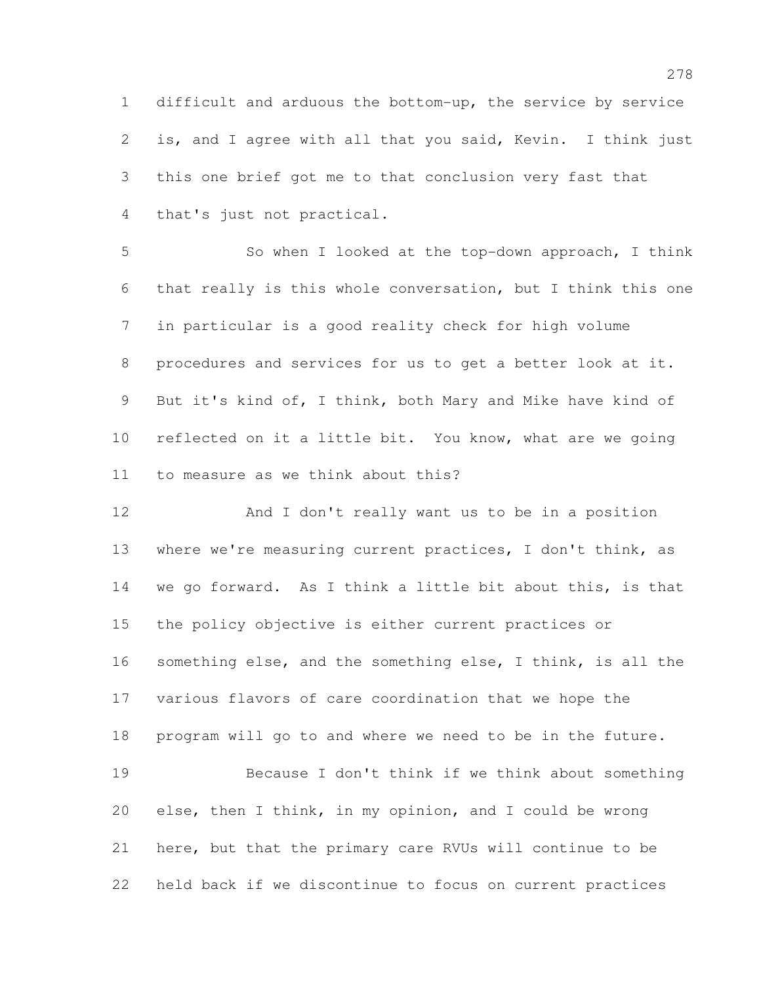difficult and arduous the bottom-up, the service by service is, and I agree with all that you said, Kevin. I think just this one brief got me to that conclusion very fast that that's just not practical.

 So when I looked at the top-down approach, I think that really is this whole conversation, but I think this one in particular is a good reality check for high volume procedures and services for us to get a better look at it. But it's kind of, I think, both Mary and Mike have kind of reflected on it a little bit. You know, what are we going to measure as we think about this?

 And I don't really want us to be in a position where we're measuring current practices, I don't think, as we go forward. As I think a little bit about this, is that the policy objective is either current practices or something else, and the something else, I think, is all the various flavors of care coordination that we hope the program will go to and where we need to be in the future. Because I don't think if we think about something else, then I think, in my opinion, and I could be wrong here, but that the primary care RVUs will continue to be held back if we discontinue to focus on current practices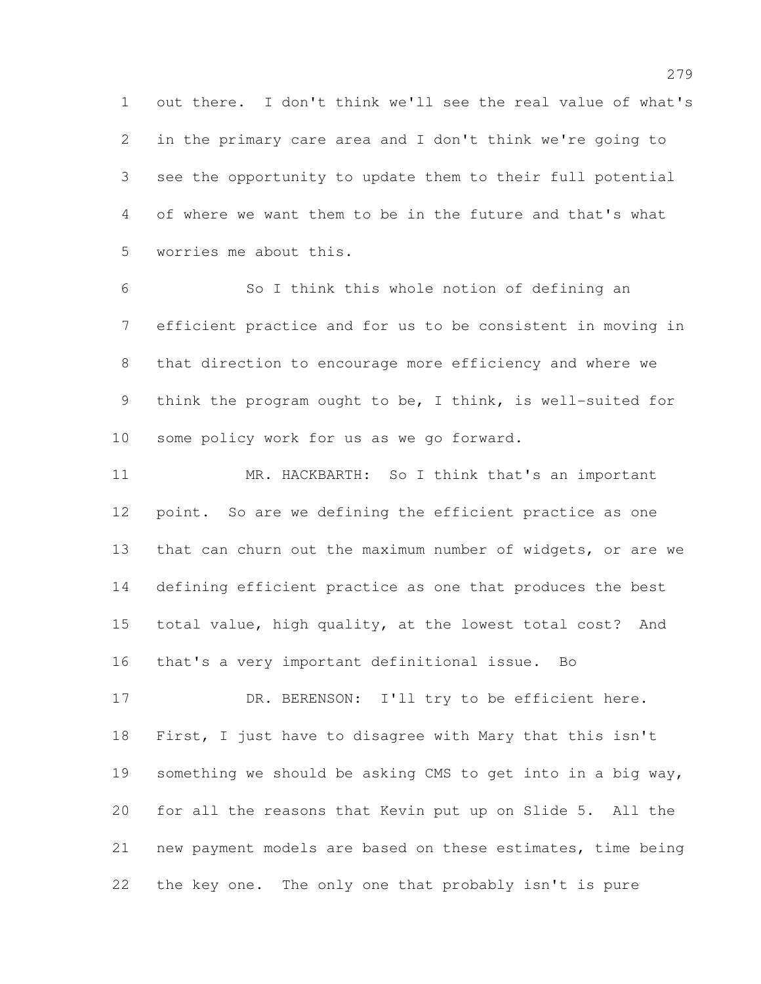out there. I don't think we'll see the real value of what's in the primary care area and I don't think we're going to see the opportunity to update them to their full potential of where we want them to be in the future and that's what worries me about this.

 So I think this whole notion of defining an efficient practice and for us to be consistent in moving in that direction to encourage more efficiency and where we think the program ought to be, I think, is well-suited for some policy work for us as we go forward.

 MR. HACKBARTH: So I think that's an important point. So are we defining the efficient practice as one that can churn out the maximum number of widgets, or are we defining efficient practice as one that produces the best total value, high quality, at the lowest total cost? And that's a very important definitional issue. Bo

17 DR. BERENSON: I'll try to be efficient here. First, I just have to disagree with Mary that this isn't something we should be asking CMS to get into in a big way, for all the reasons that Kevin put up on Slide 5. All the new payment models are based on these estimates, time being the key one. The only one that probably isn't is pure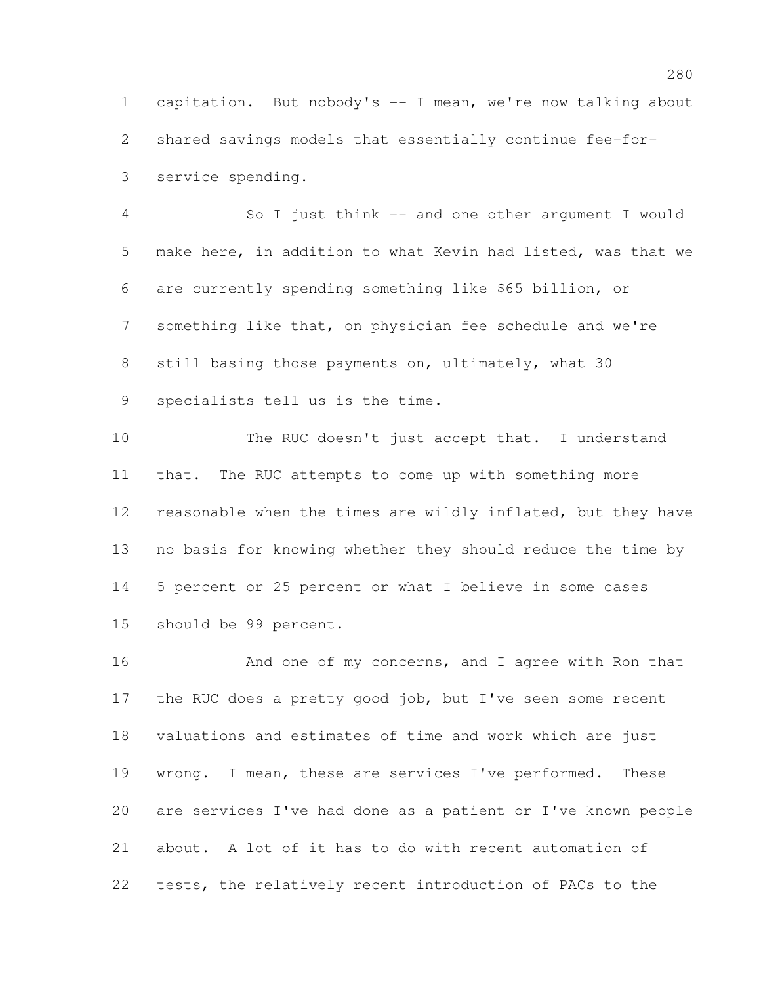capitation. But nobody's -- I mean, we're now talking about shared savings models that essentially continue fee-for-service spending.

 So I just think -- and one other argument I would make here, in addition to what Kevin had listed, was that we are currently spending something like \$65 billion, or something like that, on physician fee schedule and we're still basing those payments on, ultimately, what 30 specialists tell us is the time.

 The RUC doesn't just accept that. I understand that. The RUC attempts to come up with something more reasonable when the times are wildly inflated, but they have no basis for knowing whether they should reduce the time by 5 percent or 25 percent or what I believe in some cases should be 99 percent.

16 And one of my concerns, and I agree with Ron that the RUC does a pretty good job, but I've seen some recent valuations and estimates of time and work which are just wrong. I mean, these are services I've performed. These are services I've had done as a patient or I've known people about. A lot of it has to do with recent automation of tests, the relatively recent introduction of PACs to the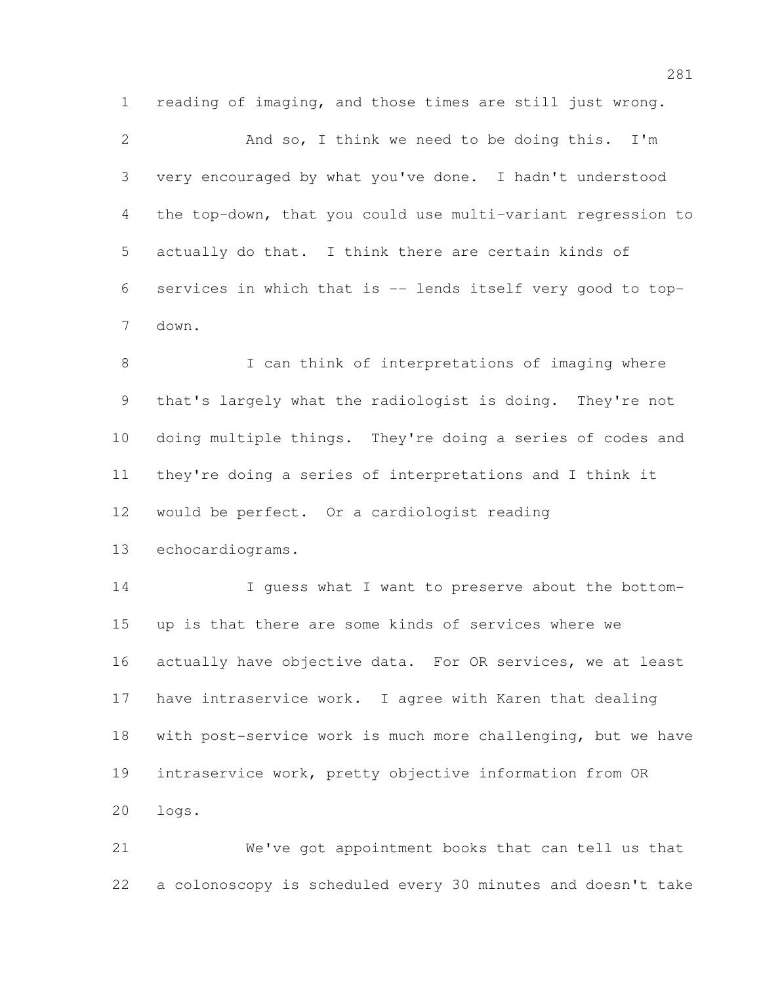reading of imaging, and those times are still just wrong.

 And so, I think we need to be doing this. I'm very encouraged by what you've done. I hadn't understood the top-down, that you could use multi-variant regression to actually do that. I think there are certain kinds of services in which that is -- lends itself very good to top-down.

8 I can think of interpretations of imaging where that's largely what the radiologist is doing. They're not doing multiple things. They're doing a series of codes and they're doing a series of interpretations and I think it would be perfect. Or a cardiologist reading

echocardiograms.

14 I guess what I want to preserve about the bottom- up is that there are some kinds of services where we actually have objective data. For OR services, we at least have intraservice work. I agree with Karen that dealing with post-service work is much more challenging, but we have intraservice work, pretty objective information from OR logs.

 We've got appointment books that can tell us that a colonoscopy is scheduled every 30 minutes and doesn't take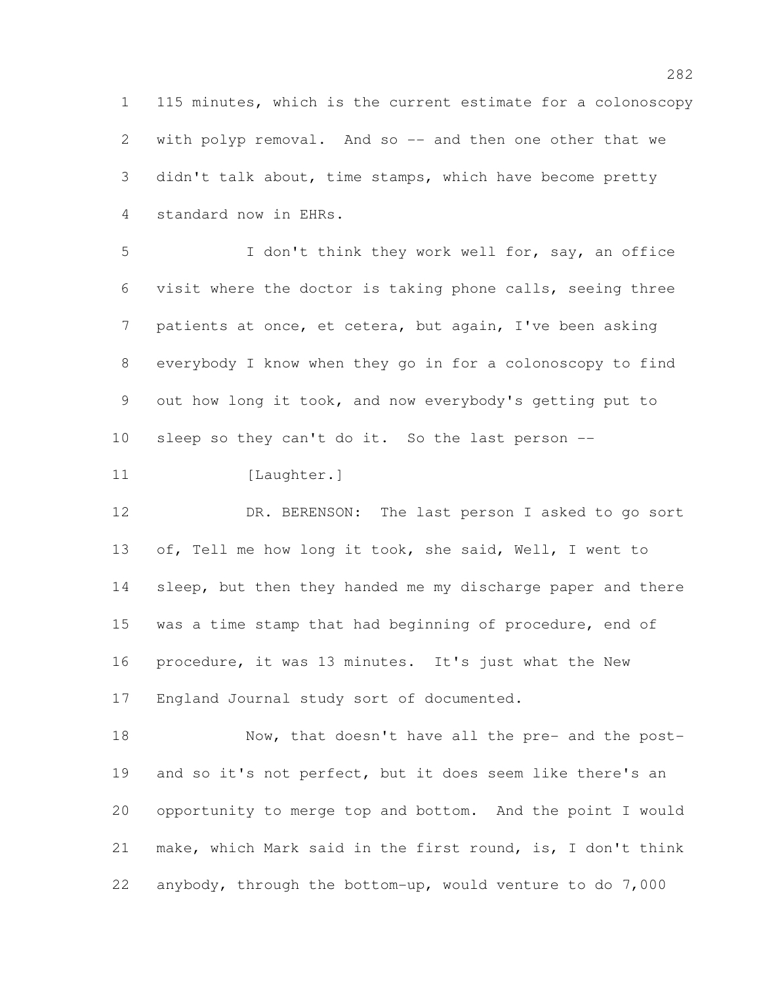115 minutes, which is the current estimate for a colonoscopy with polyp removal. And so -- and then one other that we didn't talk about, time stamps, which have become pretty standard now in EHRs.

 I don't think they work well for, say, an office visit where the doctor is taking phone calls, seeing three patients at once, et cetera, but again, I've been asking everybody I know when they go in for a colonoscopy to find out how long it took, and now everybody's getting put to sleep so they can't do it. So the last person --

11 [Laughter.]

12 DR. BERENSON: The last person I asked to go sort of, Tell me how long it took, she said, Well, I went to 14 sleep, but then they handed me my discharge paper and there was a time stamp that had beginning of procedure, end of procedure, it was 13 minutes. It's just what the New England Journal study sort of documented.

 Now, that doesn't have all the pre- and the post- and so it's not perfect, but it does seem like there's an opportunity to merge top and bottom. And the point I would make, which Mark said in the first round, is, I don't think anybody, through the bottom-up, would venture to do 7,000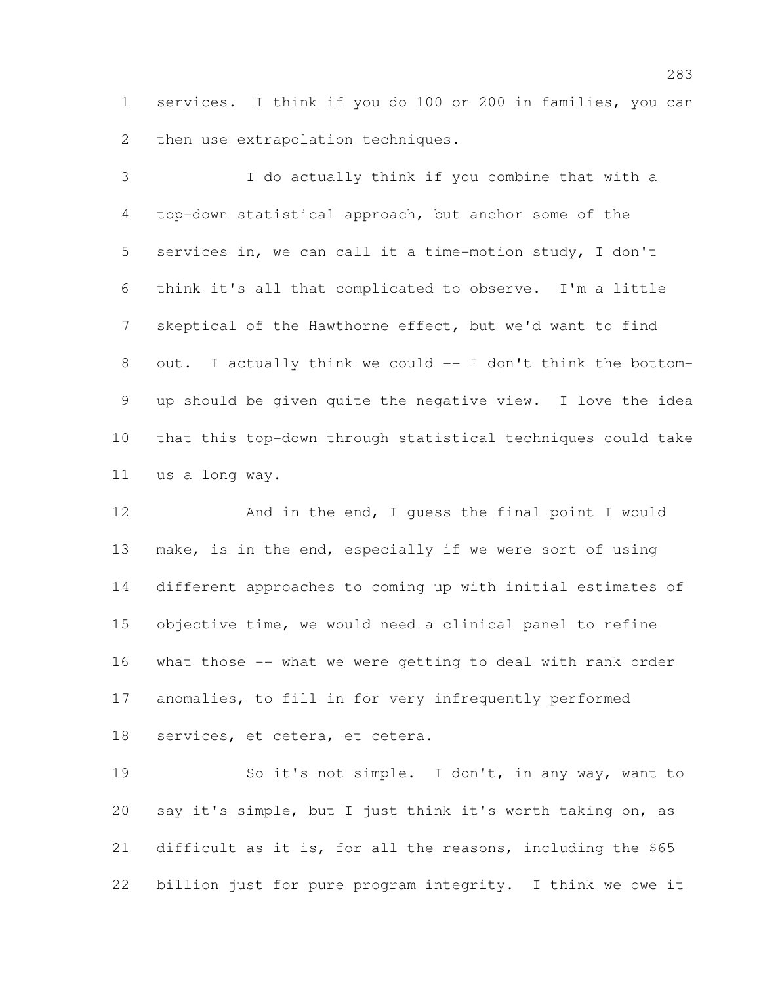services. I think if you do 100 or 200 in families, you can then use extrapolation techniques.

 I do actually think if you combine that with a top-down statistical approach, but anchor some of the services in, we can call it a time-motion study, I don't think it's all that complicated to observe. I'm a little skeptical of the Hawthorne effect, but we'd want to find out. I actually think we could -- I don't think the bottom- up should be given quite the negative view. I love the idea that this top-down through statistical techniques could take us a long way.

12 And in the end, I guess the final point I would make, is in the end, especially if we were sort of using different approaches to coming up with initial estimates of objective time, we would need a clinical panel to refine what those -- what we were getting to deal with rank order anomalies, to fill in for very infrequently performed services, et cetera, et cetera.

19 So it's not simple. I don't, in any way, want to say it's simple, but I just think it's worth taking on, as difficult as it is, for all the reasons, including the \$65 billion just for pure program integrity. I think we owe it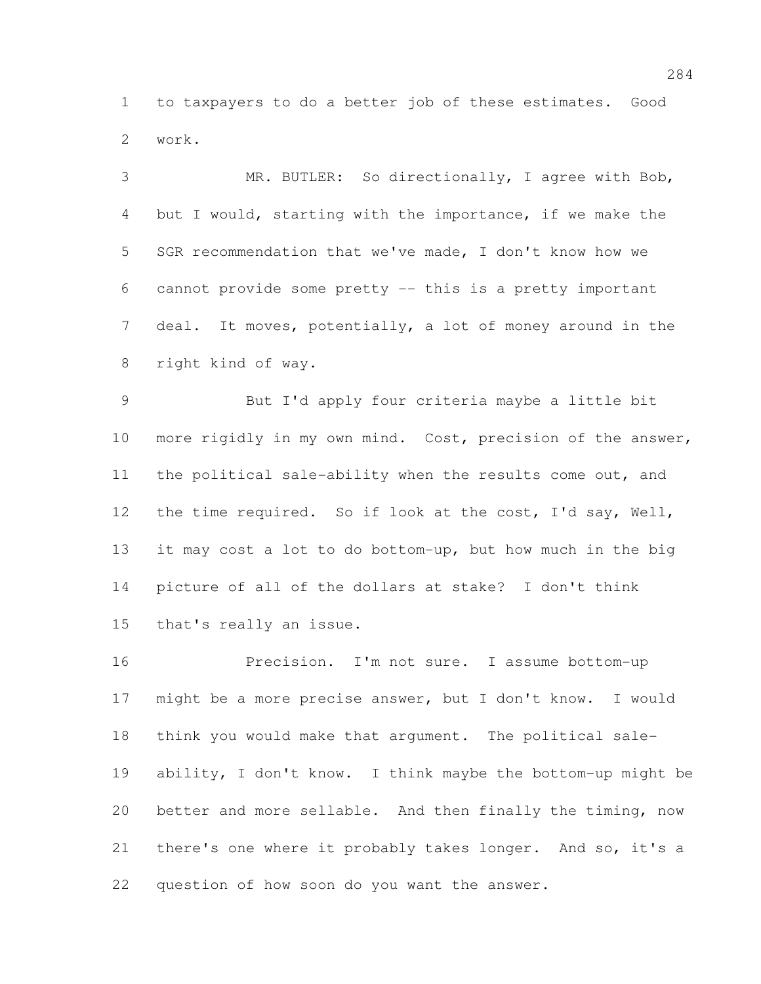to taxpayers to do a better job of these estimates. Good work.

 MR. BUTLER: So directionally, I agree with Bob, but I would, starting with the importance, if we make the SGR recommendation that we've made, I don't know how we cannot provide some pretty -- this is a pretty important deal. It moves, potentially, a lot of money around in the right kind of way.

 But I'd apply four criteria maybe a little bit more rigidly in my own mind. Cost, precision of the answer, the political sale-ability when the results come out, and the time required. So if look at the cost, I'd say, Well, it may cost a lot to do bottom-up, but how much in the big picture of all of the dollars at stake? I don't think that's really an issue.

 Precision. I'm not sure. I assume bottom-up might be a more precise answer, but I don't know. I would think you would make that argument. The political sale- ability, I don't know. I think maybe the bottom-up might be better and more sellable. And then finally the timing, now there's one where it probably takes longer. And so, it's a question of how soon do you want the answer.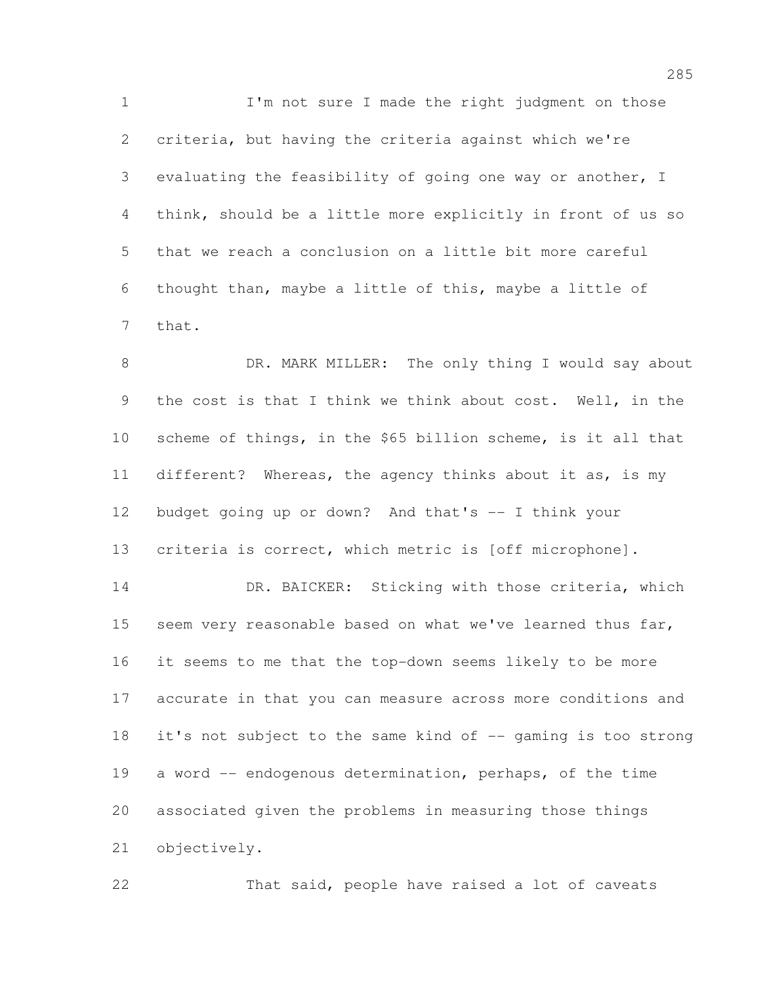1 I'm not sure I made the right judgment on those criteria, but having the criteria against which we're evaluating the feasibility of going one way or another, I think, should be a little more explicitly in front of us so that we reach a conclusion on a little bit more careful thought than, maybe a little of this, maybe a little of that.

 DR. MARK MILLER: The only thing I would say about the cost is that I think we think about cost. Well, in the scheme of things, in the \$65 billion scheme, is it all that different? Whereas, the agency thinks about it as, is my budget going up or down? And that's -- I think your criteria is correct, which metric is [off microphone]. 14 DR. BAICKER: Sticking with those criteria, which 15 seem very reasonable based on what we've learned thus far, it seems to me that the top-down seems likely to be more accurate in that you can measure across more conditions and it's not subject to the same kind of -- gaming is too strong a word -- endogenous determination, perhaps, of the time associated given the problems in measuring those things objectively.

That said, people have raised a lot of caveats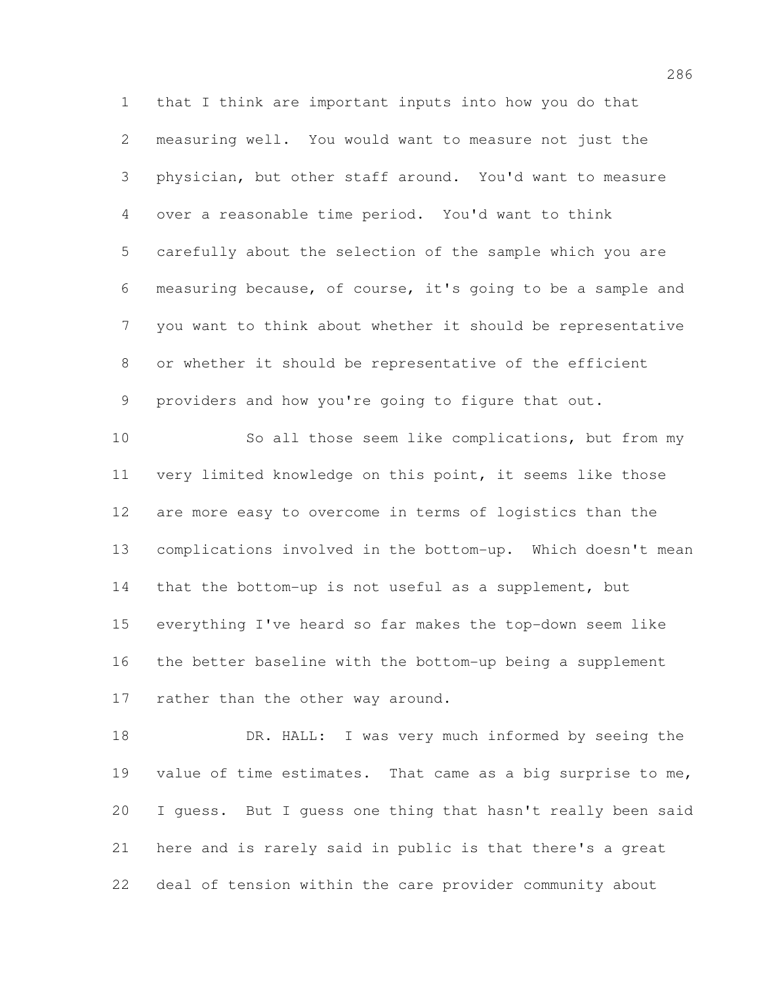that I think are important inputs into how you do that measuring well. You would want to measure not just the physician, but other staff around. You'd want to measure over a reasonable time period. You'd want to think carefully about the selection of the sample which you are measuring because, of course, it's going to be a sample and you want to think about whether it should be representative or whether it should be representative of the efficient providers and how you're going to figure that out.

10 So all those seem like complications, but from my very limited knowledge on this point, it seems like those are more easy to overcome in terms of logistics than the complications involved in the bottom-up. Which doesn't mean that the bottom-up is not useful as a supplement, but everything I've heard so far makes the top-down seem like the better baseline with the bottom-up being a supplement 17 rather than the other way around.

 DR. HALL: I was very much informed by seeing the value of time estimates. That came as a big surprise to me, I guess. But I guess one thing that hasn't really been said here and is rarely said in public is that there's a great deal of tension within the care provider community about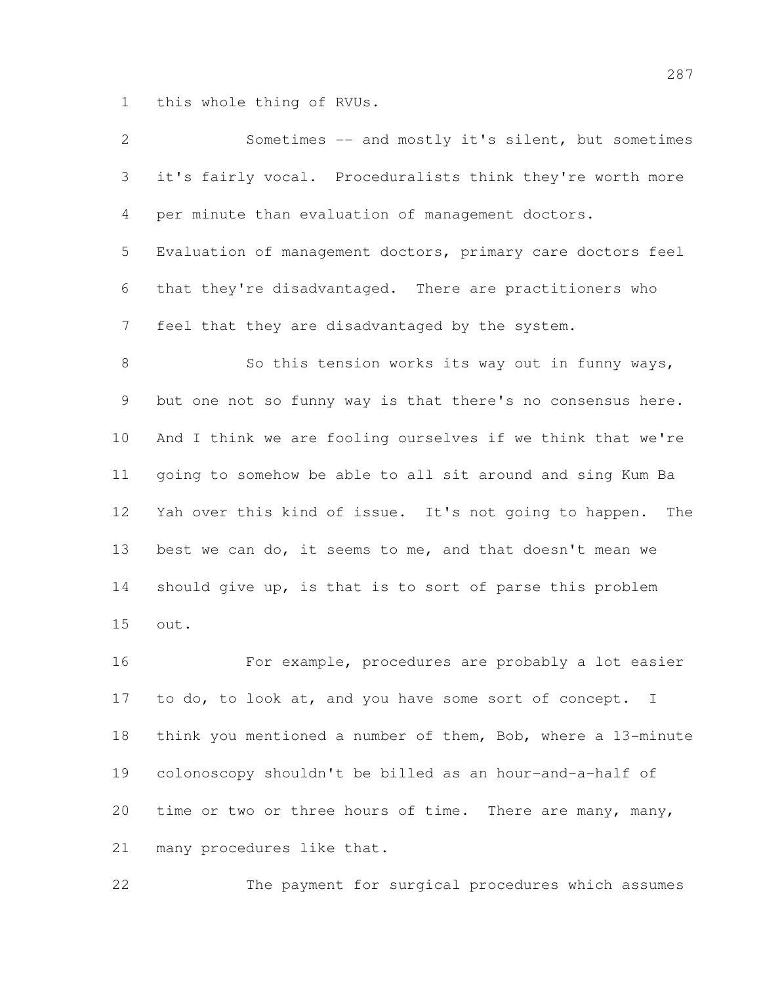this whole thing of RVUs.

| $\overline{2}$ | Sometimes -- and mostly it's silent, but sometimes          |
|----------------|-------------------------------------------------------------|
| 3              | it's fairly vocal. Proceduralists think they're worth more  |
| 4              | per minute than evaluation of management doctors.           |
| 5              | Evaluation of management doctors, primary care doctors feel |
| 6              | that they're disadvantaged. There are practitioners who     |
| $\overline{7}$ | feel that they are disadvantaged by the system.             |
| 8              | So this tension works its way out in funny ways,            |
| 9              | but one not so funny way is that there's no consensus here. |
| 10             | And I think we are fooling ourselves if we think that we're |
| 11             | going to somehow be able to all sit around and sing Kum Ba  |
| 12             | Yah over this kind of issue. It's not going to happen. The  |
| 13             | best we can do, it seems to me, and that doesn't mean we    |
| 14             | should give up, is that is to sort of parse this problem    |
| 15             | out.                                                        |
| 16             | For example, procedures are probably a lot easier           |
| 17             | to do, to look at, and you have some sort of concept.<br>I  |
|                |                                                             |

 think you mentioned a number of them, Bob, where a 13-minute colonoscopy shouldn't be billed as an hour-and-a-half of time or two or three hours of time. There are many, many, many procedures like that.

The payment for surgical procedures which assumes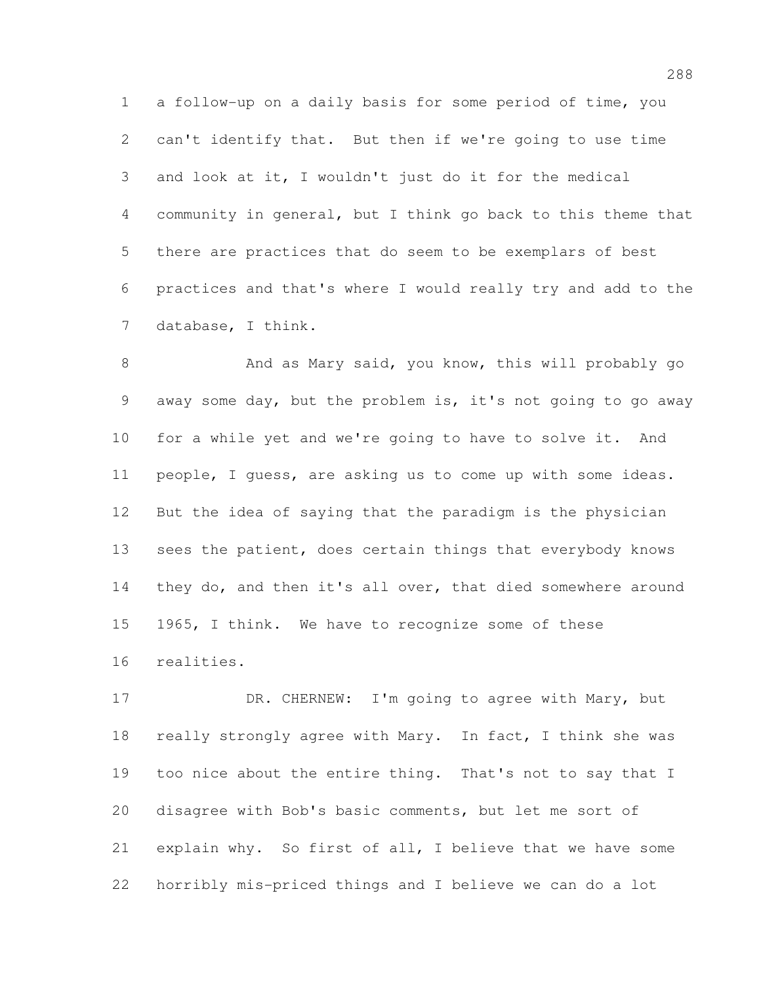a follow-up on a daily basis for some period of time, you can't identify that. But then if we're going to use time and look at it, I wouldn't just do it for the medical community in general, but I think go back to this theme that there are practices that do seem to be exemplars of best practices and that's where I would really try and add to the database, I think.

8 And as Mary said, you know, this will probably go away some day, but the problem is, it's not going to go away for a while yet and we're going to have to solve it. And people, I guess, are asking us to come up with some ideas. But the idea of saying that the paradigm is the physician 13 sees the patient, does certain things that everybody knows they do, and then it's all over, that died somewhere around 1965, I think. We have to recognize some of these realities.

17 DR. CHERNEW: I'm going to agree with Mary, but really strongly agree with Mary. In fact, I think she was too nice about the entire thing. That's not to say that I disagree with Bob's basic comments, but let me sort of explain why. So first of all, I believe that we have some horribly mis-priced things and I believe we can do a lot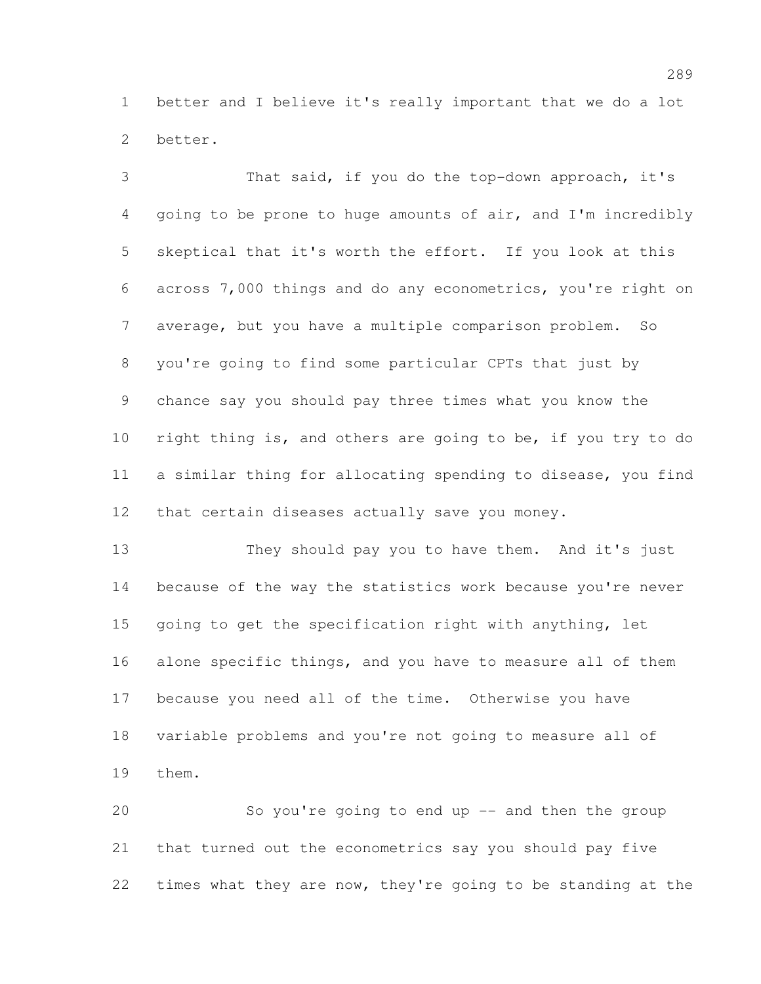better and I believe it's really important that we do a lot better.

 That said, if you do the top-down approach, it's going to be prone to huge amounts of air, and I'm incredibly skeptical that it's worth the effort. If you look at this across 7,000 things and do any econometrics, you're right on average, but you have a multiple comparison problem. So you're going to find some particular CPTs that just by chance say you should pay three times what you know the right thing is, and others are going to be, if you try to do a similar thing for allocating spending to disease, you find that certain diseases actually save you money.

 They should pay you to have them. And it's just because of the way the statistics work because you're never going to get the specification right with anything, let alone specific things, and you have to measure all of them because you need all of the time. Otherwise you have variable problems and you're not going to measure all of them.

 So you're going to end up -- and then the group that turned out the econometrics say you should pay five times what they are now, they're going to be standing at the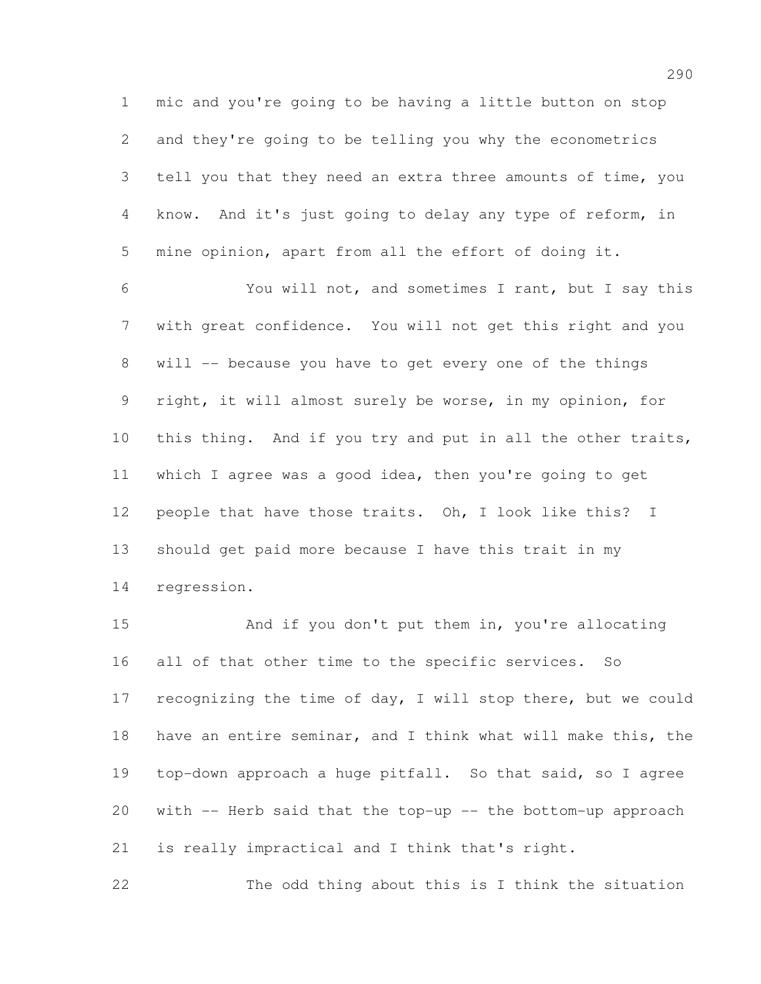mic and you're going to be having a little button on stop and they're going to be telling you why the econometrics tell you that they need an extra three amounts of time, you know. And it's just going to delay any type of reform, in mine opinion, apart from all the effort of doing it.

 You will not, and sometimes I rant, but I say this with great confidence. You will not get this right and you will -- because you have to get every one of the things right, it will almost surely be worse, in my opinion, for this thing. And if you try and put in all the other traits, which I agree was a good idea, then you're going to get people that have those traits. Oh, I look like this? I should get paid more because I have this trait in my regression.

 And if you don't put them in, you're allocating all of that other time to the specific services. So recognizing the time of day, I will stop there, but we could have an entire seminar, and I think what will make this, the top-down approach a huge pitfall. So that said, so I agree with -- Herb said that the top-up -- the bottom-up approach is really impractical and I think that's right.

The odd thing about this is I think the situation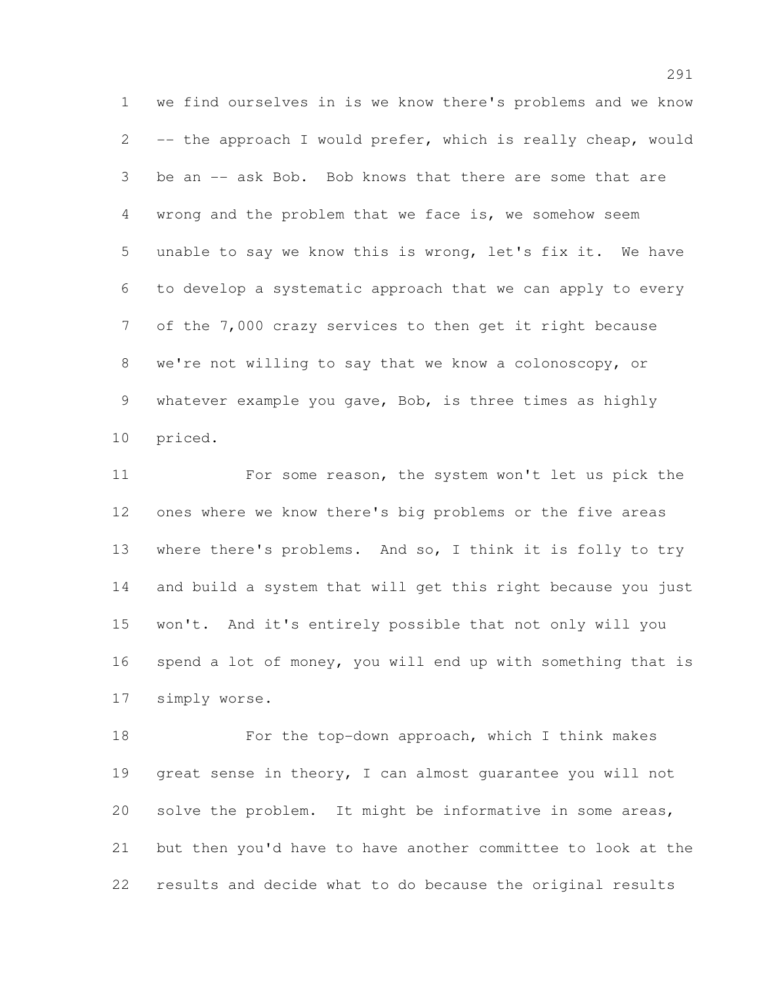we find ourselves in is we know there's problems and we know -- the approach I would prefer, which is really cheap, would be an -- ask Bob. Bob knows that there are some that are wrong and the problem that we face is, we somehow seem unable to say we know this is wrong, let's fix it. We have to develop a systematic approach that we can apply to every of the 7,000 crazy services to then get it right because we're not willing to say that we know a colonoscopy, or whatever example you gave, Bob, is three times as highly priced.

11 For some reason, the system won't let us pick the ones where we know there's big problems or the five areas where there's problems. And so, I think it is folly to try and build a system that will get this right because you just won't. And it's entirely possible that not only will you spend a lot of money, you will end up with something that is simply worse.

18 For the top-down approach, which I think makes great sense in theory, I can almost guarantee you will not solve the problem. It might be informative in some areas, but then you'd have to have another committee to look at the results and decide what to do because the original results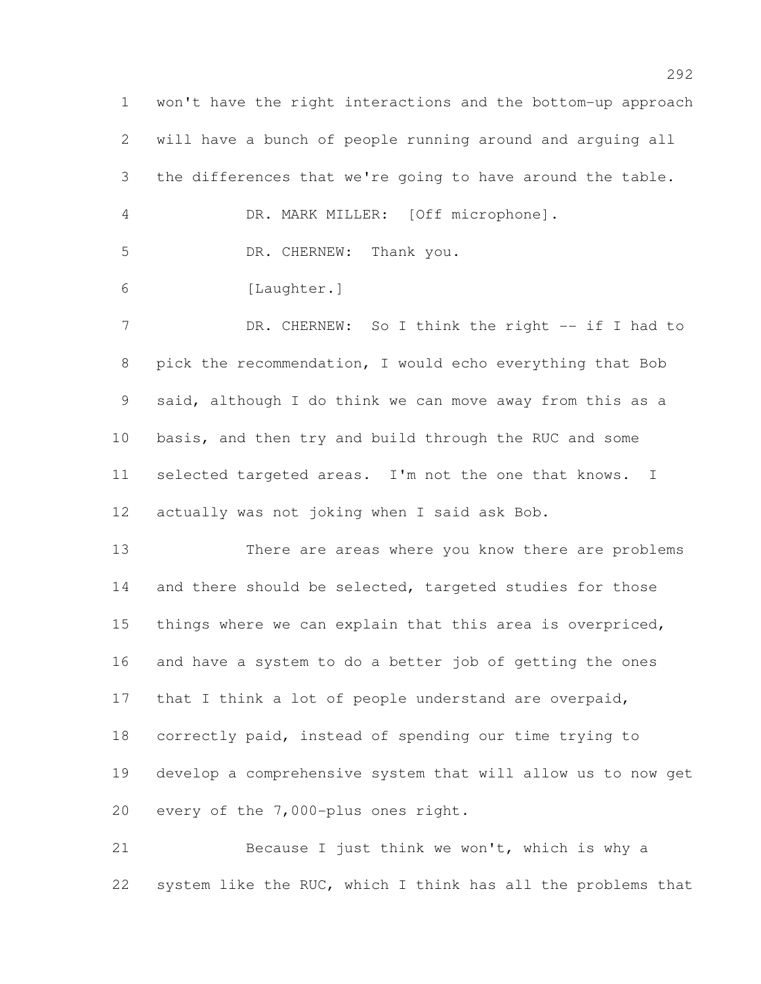won't have the right interactions and the bottom-up approach will have a bunch of people running around and arguing all the differences that we're going to have around the table. DR. MARK MILLER: [Off microphone]. 5 DR. CHERNEW: Thank you. [Laughter.] 7 DR. CHERNEW: So I think the right -- if I had to pick the recommendation, I would echo everything that Bob said, although I do think we can move away from this as a basis, and then try and build through the RUC and some selected targeted areas. I'm not the one that knows. I actually was not joking when I said ask Bob. There are areas where you know there are problems 14 and there should be selected, targeted studies for those things where we can explain that this area is overpriced, and have a system to do a better job of getting the ones that I think a lot of people understand are overpaid, correctly paid, instead of spending our time trying to develop a comprehensive system that will allow us to now get every of the 7,000-plus ones right.

 Because I just think we won't, which is why a system like the RUC, which I think has all the problems that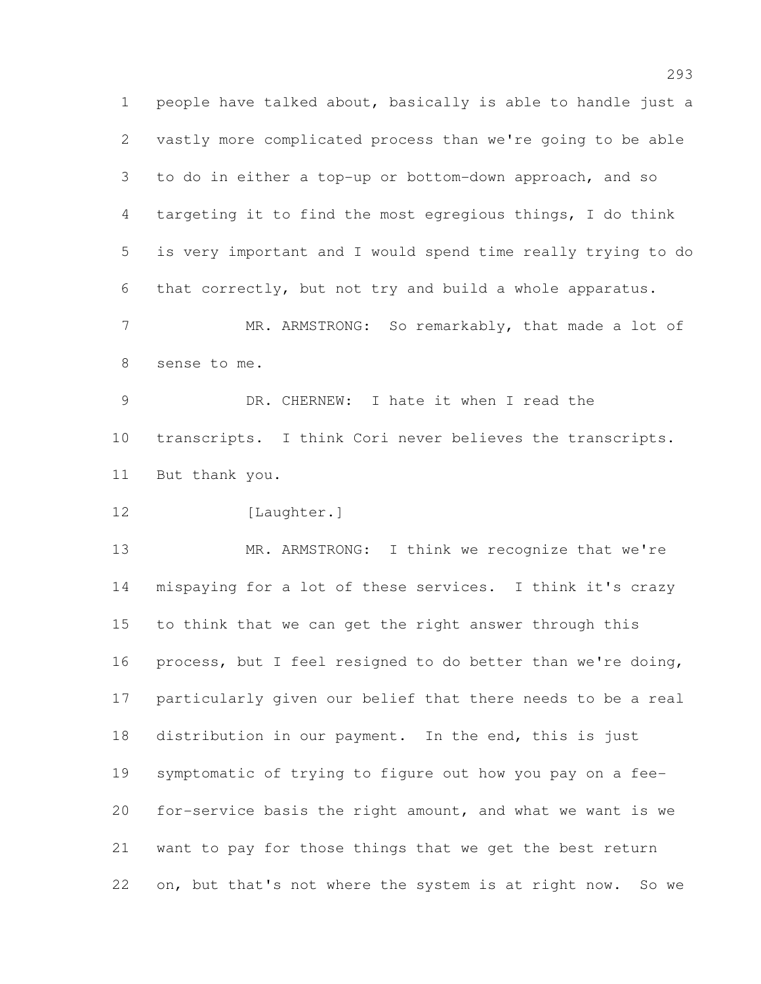people have talked about, basically is able to handle just a vastly more complicated process than we're going to be able to do in either a top-up or bottom-down approach, and so targeting it to find the most egregious things, I do think is very important and I would spend time really trying to do that correctly, but not try and build a whole apparatus. MR. ARMSTRONG: So remarkably, that made a lot of

sense to me.

 DR. CHERNEW: I hate it when I read the transcripts. I think Cori never believes the transcripts. But thank you.

12 [Laughter.]

 MR. ARMSTRONG: I think we recognize that we're mispaying for a lot of these services. I think it's crazy to think that we can get the right answer through this process, but I feel resigned to do better than we're doing, particularly given our belief that there needs to be a real distribution in our payment. In the end, this is just symptomatic of trying to figure out how you pay on a fee- for-service basis the right amount, and what we want is we want to pay for those things that we get the best return on, but that's not where the system is at right now. So we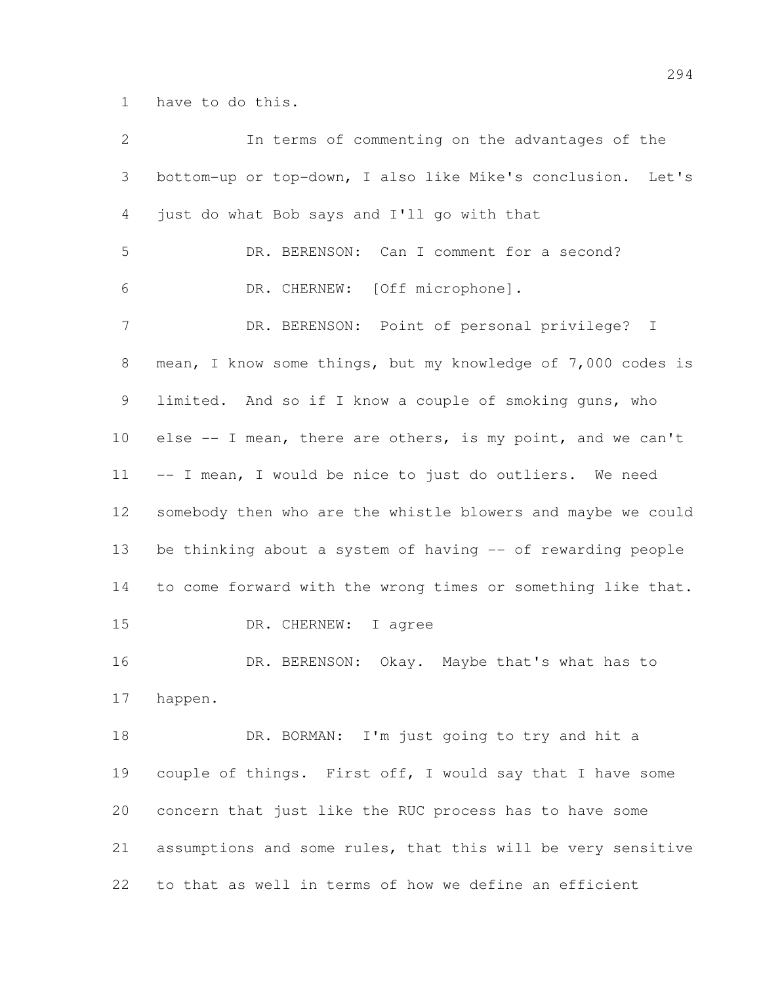have to do this.

| 2               | In terms of commenting on the advantages of the              |
|-----------------|--------------------------------------------------------------|
| 3               | bottom-up or top-down, I also like Mike's conclusion. Let's  |
| 4               | just do what Bob says and I'll go with that                  |
| 5               | DR. BERENSON: Can I comment for a second?                    |
| 6               | DR. CHERNEW: [Off microphone].                               |
| $7\phantom{.0}$ | DR. BERENSON: Point of personal privilege? I                 |
| 8               | mean, I know some things, but my knowledge of 7,000 codes is |
| 9               | limited. And so if I know a couple of smoking guns, who      |
| 10              | else -- I mean, there are others, is my point, and we can't  |
| 11              | -- I mean, I would be nice to just do outliers. We need      |
| 12 <sup>°</sup> | somebody then who are the whistle blowers and maybe we could |
| 13              | be thinking about a system of having -- of rewarding people  |
| 14              | to come forward with the wrong times or something like that. |
| 15              | DR. CHERNEW: I agree                                         |
| 16              | DR. BERENSON: Okay. Maybe that's what has to                 |
| 17              | happen.                                                      |
| 18              | DR. BORMAN: I'm just going to try and hit a                  |
| 19              | couple of things. First off, I would say that I have some    |
| 20              | concern that just like the RUC process has to have some      |
| 21              | assumptions and some rules, that this will be very sensitive |
| 22              | to that as well in terms of how we define an efficient       |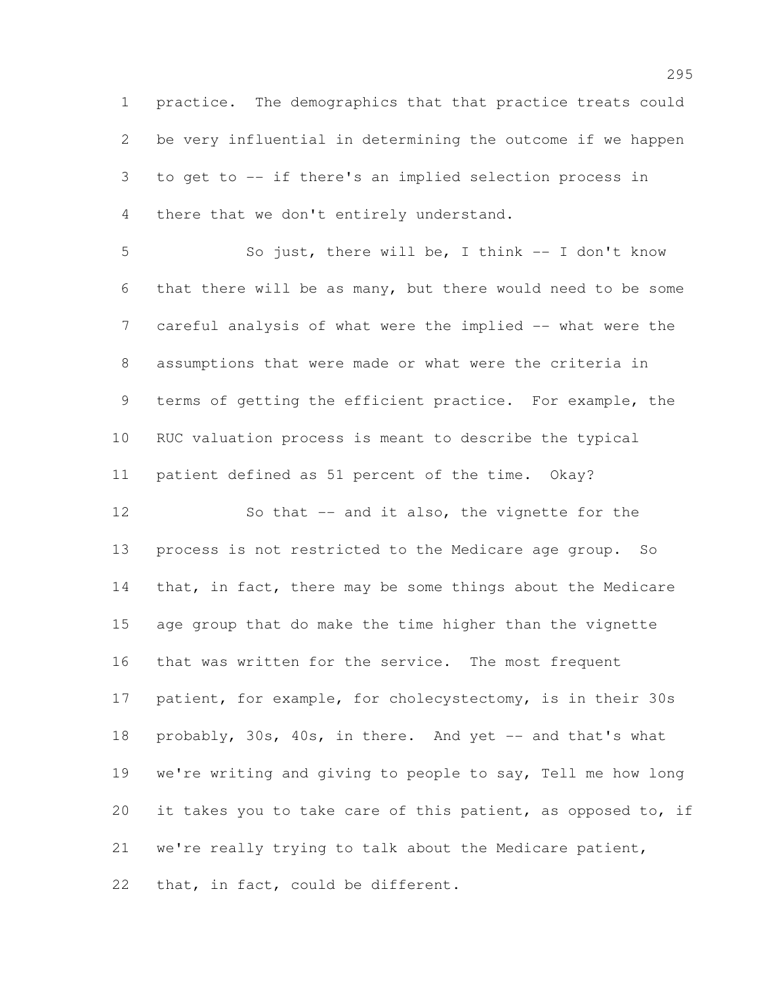practice. The demographics that that practice treats could be very influential in determining the outcome if we happen to get to -- if there's an implied selection process in there that we don't entirely understand.

 So just, there will be, I think -- I don't know that there will be as many, but there would need to be some 7 careful analysis of what were the implied -- what were the assumptions that were made or what were the criteria in terms of getting the efficient practice. For example, the RUC valuation process is meant to describe the typical patient defined as 51 percent of the time. Okay?

12 So that -- and it also, the vignette for the process is not restricted to the Medicare age group. So 14 that, in fact, there may be some things about the Medicare age group that do make the time higher than the vignette that was written for the service. The most frequent patient, for example, for cholecystectomy, is in their 30s 18 probably, 30s, 40s, in there. And yet -- and that's what we're writing and giving to people to say, Tell me how long 20 it takes you to take care of this patient, as opposed to, if we're really trying to talk about the Medicare patient, that, in fact, could be different.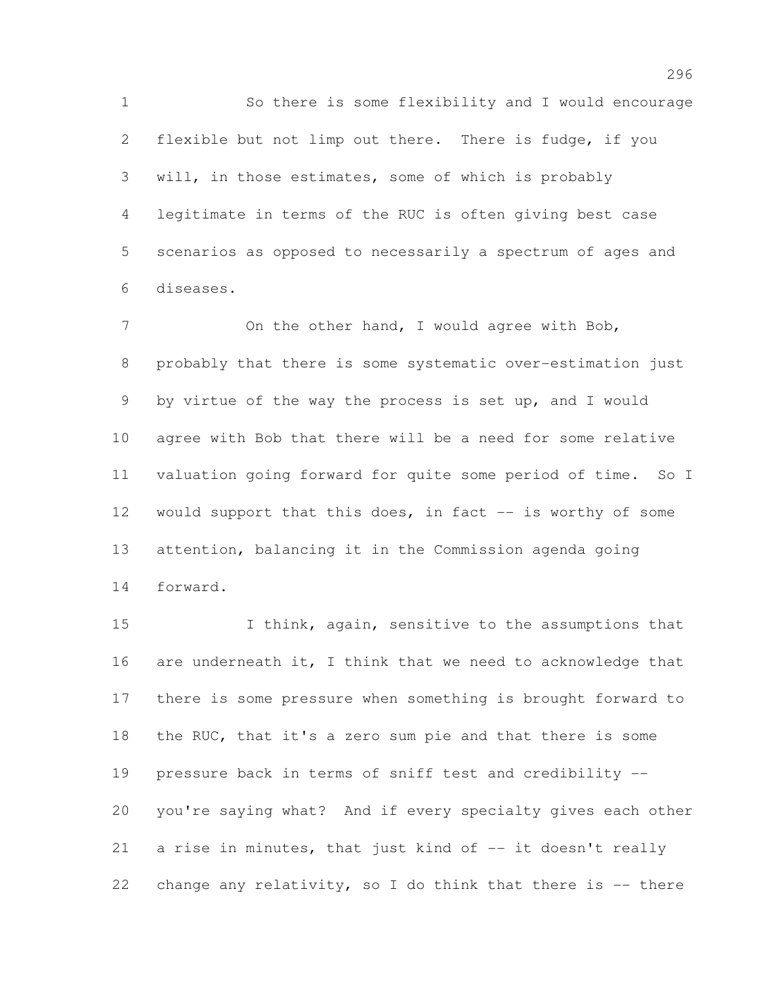So there is some flexibility and I would encourage flexible but not limp out there. There is fudge, if you will, in those estimates, some of which is probably legitimate in terms of the RUC is often giving best case scenarios as opposed to necessarily a spectrum of ages and diseases.

7 On the other hand, I would agree with Bob, probably that there is some systematic over-estimation just by virtue of the way the process is set up, and I would agree with Bob that there will be a need for some relative valuation going forward for quite some period of time. So I 12 would support that this does, in fact -- is worthy of some attention, balancing it in the Commission agenda going forward.

15 I think, again, sensitive to the assumptions that 16 are underneath it, I think that we need to acknowledge that there is some pressure when something is brought forward to 18 the RUC, that it's a zero sum pie and that there is some pressure back in terms of sniff test and credibility -- you're saying what? And if every specialty gives each other a rise in minutes, that just kind of -- it doesn't really change any relativity, so I do think that there is -- there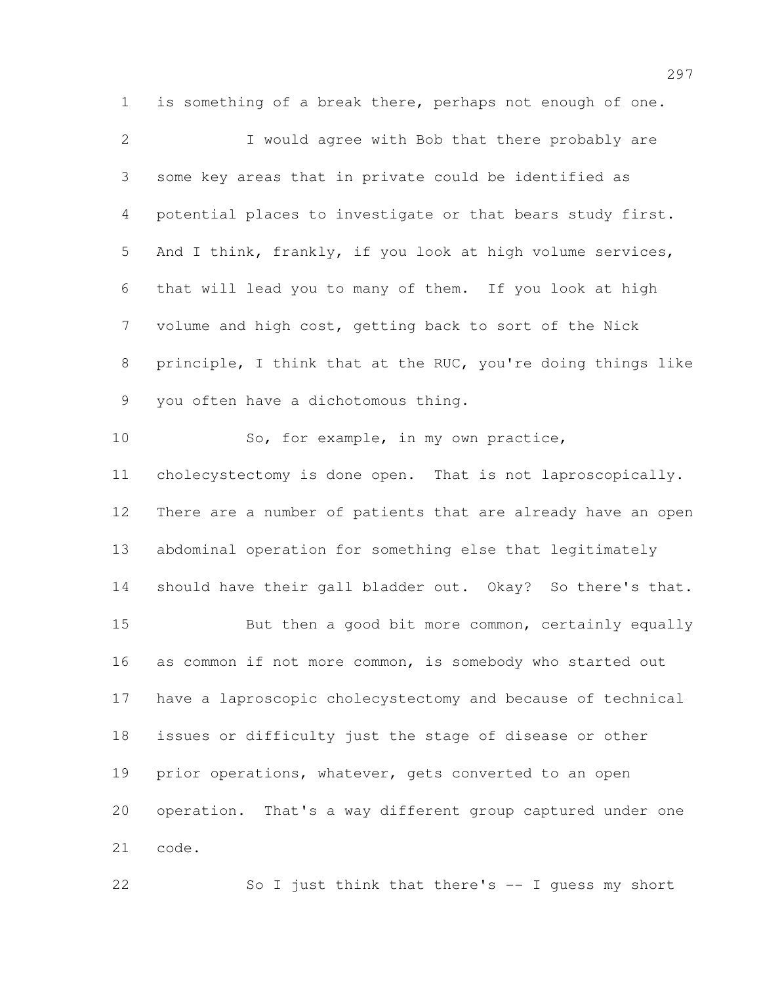is something of a break there, perhaps not enough of one. I would agree with Bob that there probably are some key areas that in private could be identified as potential places to investigate or that bears study first. And I think, frankly, if you look at high volume services, that will lead you to many of them. If you look at high volume and high cost, getting back to sort of the Nick principle, I think that at the RUC, you're doing things like you often have a dichotomous thing. So, for example, in my own practice, cholecystectomy is done open. That is not laproscopically. There are a number of patients that are already have an open abdominal operation for something else that legitimately should have their gall bladder out. Okay? So there's that. 15 But then a good bit more common, certainly equally as common if not more common, is somebody who started out have a laproscopic cholecystectomy and because of technical issues or difficulty just the stage of disease or other 19 prior operations, whatever, gets converted to an open operation. That's a way different group captured under one code.

So I just think that there's -- I guess my short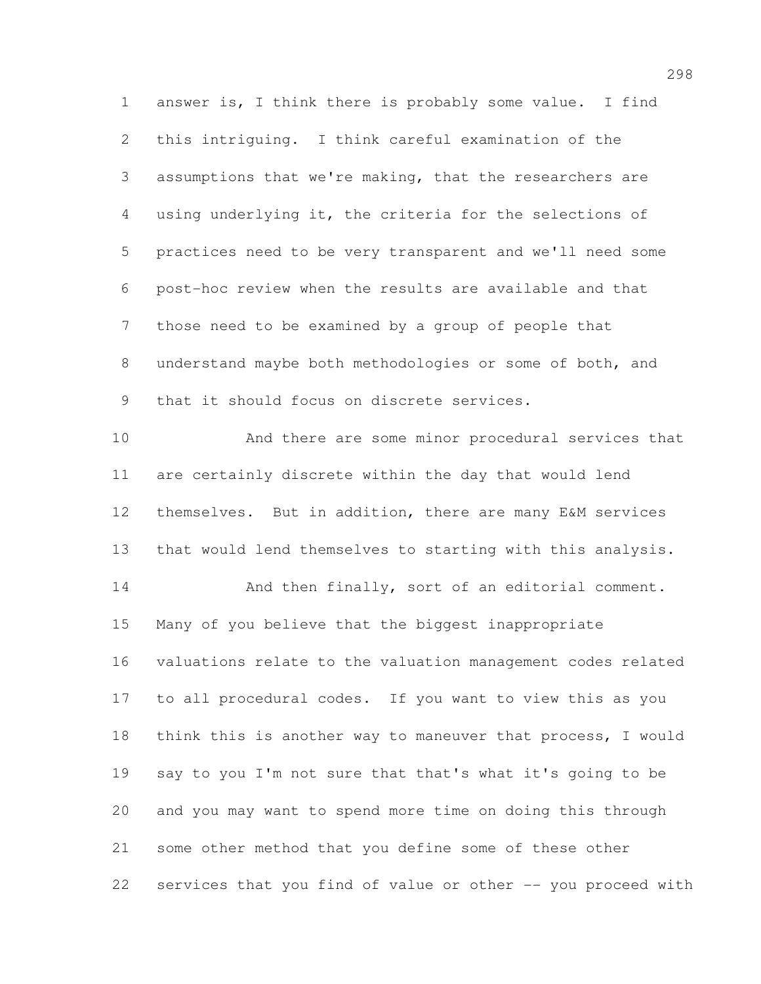answer is, I think there is probably some value. I find this intriguing. I think careful examination of the assumptions that we're making, that the researchers are using underlying it, the criteria for the selections of practices need to be very transparent and we'll need some post-hoc review when the results are available and that those need to be examined by a group of people that understand maybe both methodologies or some of both, and that it should focus on discrete services. And there are some minor procedural services that are certainly discrete within the day that would lend themselves. But in addition, there are many E&M services that would lend themselves to starting with this analysis. 14 And then finally, sort of an editorial comment. Many of you believe that the biggest inappropriate valuations relate to the valuation management codes related to all procedural codes. If you want to view this as you think this is another way to maneuver that process, I would say to you I'm not sure that that's what it's going to be and you may want to spend more time on doing this through some other method that you define some of these other services that you find of value or other -- you proceed with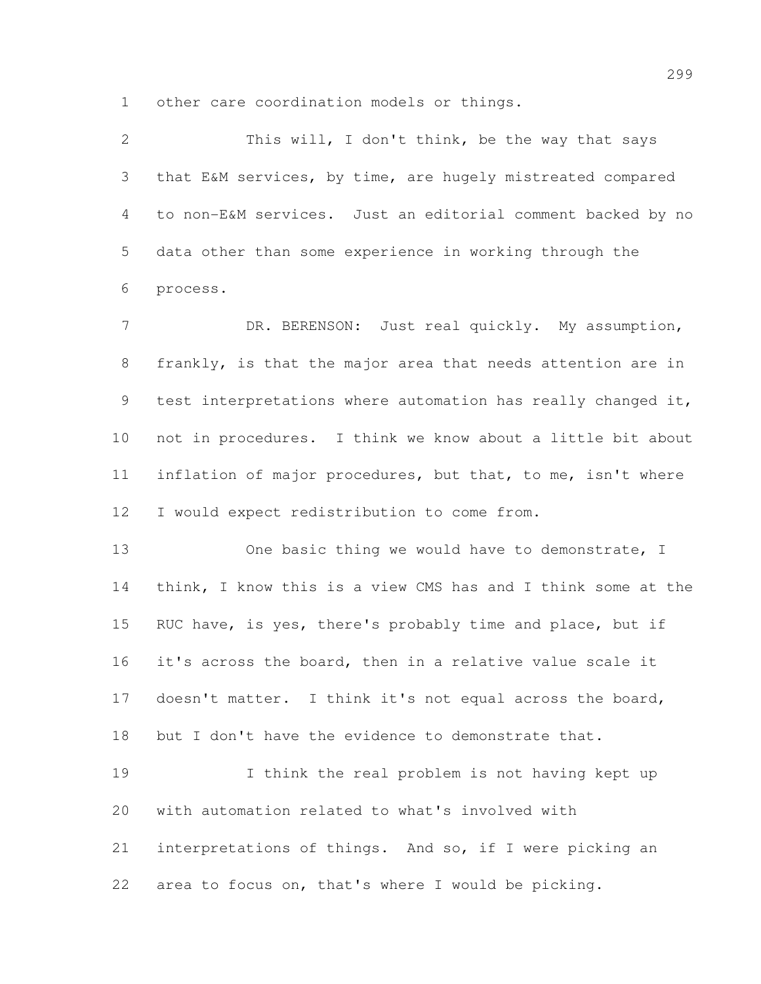other care coordination models or things.

 This will, I don't think, be the way that says that E&M services, by time, are hugely mistreated compared to non-E&M services. Just an editorial comment backed by no data other than some experience in working through the process. 7 DR. BERENSON: Just real quickly. My assumption, frankly, is that the major area that needs attention are in test interpretations where automation has really changed it, not in procedures. I think we know about a little bit about inflation of major procedures, but that, to me, isn't where I would expect redistribution to come from. 13 One basic thing we would have to demonstrate, I think, I know this is a view CMS has and I think some at the 15 RUC have, is yes, there's probably time and place, but if it's across the board, then in a relative value scale it doesn't matter. I think it's not equal across the board, but I don't have the evidence to demonstrate that. I think the real problem is not having kept up with automation related to what's involved with interpretations of things. And so, if I were picking an area to focus on, that's where I would be picking.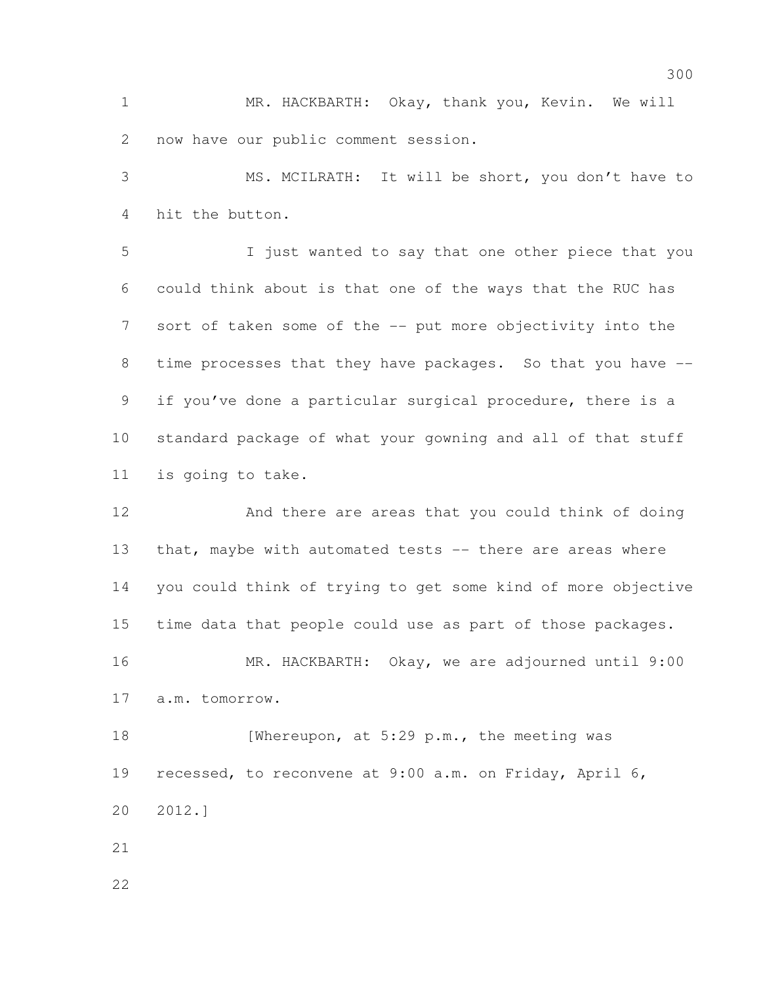MR. HACKBARTH: Okay, thank you, Kevin. We will now have our public comment session.

 MS. MCILRATH: It will be short, you don't have to hit the button.

 I just wanted to say that one other piece that you could think about is that one of the ways that the RUC has sort of taken some of the -- put more objectivity into the time processes that they have packages. So that you have -- if you've done a particular surgical procedure, there is a standard package of what your gowning and all of that stuff is going to take.

12 And there are areas that you could think of doing that, maybe with automated tests -- there are areas where you could think of trying to get some kind of more objective time data that people could use as part of those packages. MR. HACKBARTH: Okay, we are adjourned until 9:00 a.m. tomorrow. 18 [Whereupon, at 5:29 p.m., the meeting was recessed, to reconvene at 9:00 a.m. on Friday, April 6, 2012.]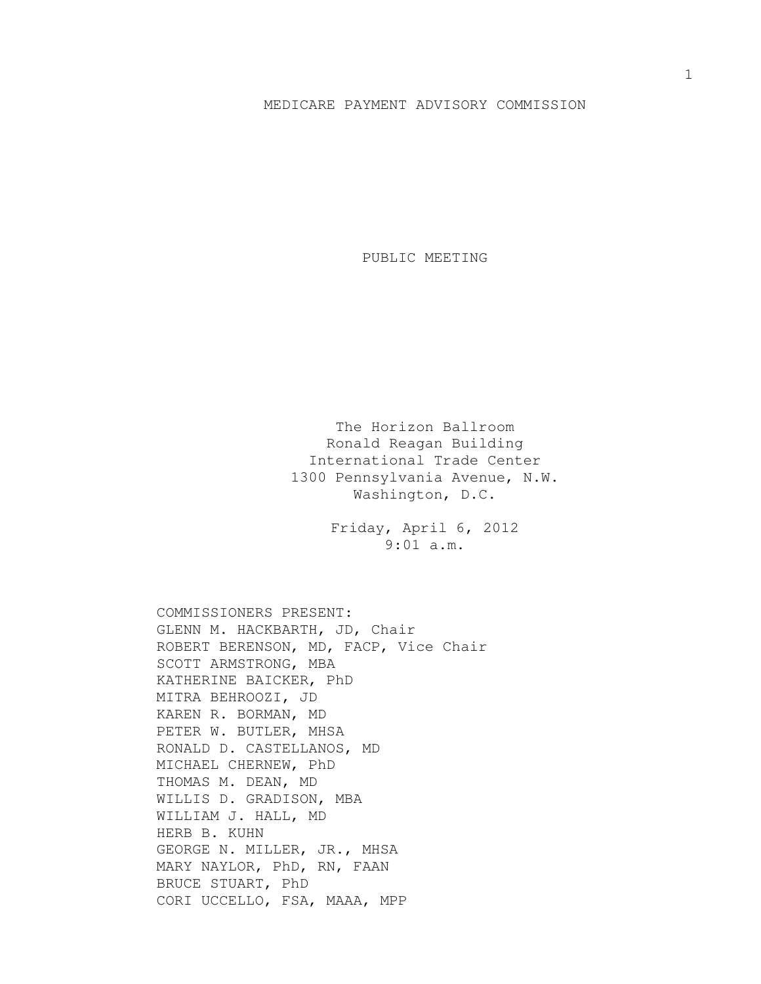## MEDICARE PAYMENT ADVISORY COMMISSION

PUBLIC MEETING

The Horizon Ballroom Ronald Reagan Building International Trade Center 1300 Pennsylvania Avenue, N.W. Washington, D.C.

> Friday, April 6, 2012 9:01 a.m.

COMMISSIONERS PRESENT: GLENN M. HACKBARTH, JD, Chair ROBERT BERENSON, MD, FACP, Vice Chair SCOTT ARMSTRONG, MBA KATHERINE BAICKER, PhD MITRA BEHROOZI, JD KAREN R. BORMAN, MD PETER W. BUTLER, MHSA RONALD D. CASTELLANOS, MD MICHAEL CHERNEW, PhD THOMAS M. DEAN, MD WILLIS D. GRADISON, MBA WILLIAM J. HALL, MD HERB B. KUHN GEORGE N. MILLER, JR., MHSA MARY NAYLOR, PhD, RN, FAAN BRUCE STUART, PhD CORI UCCELLO, FSA, MAAA, MPP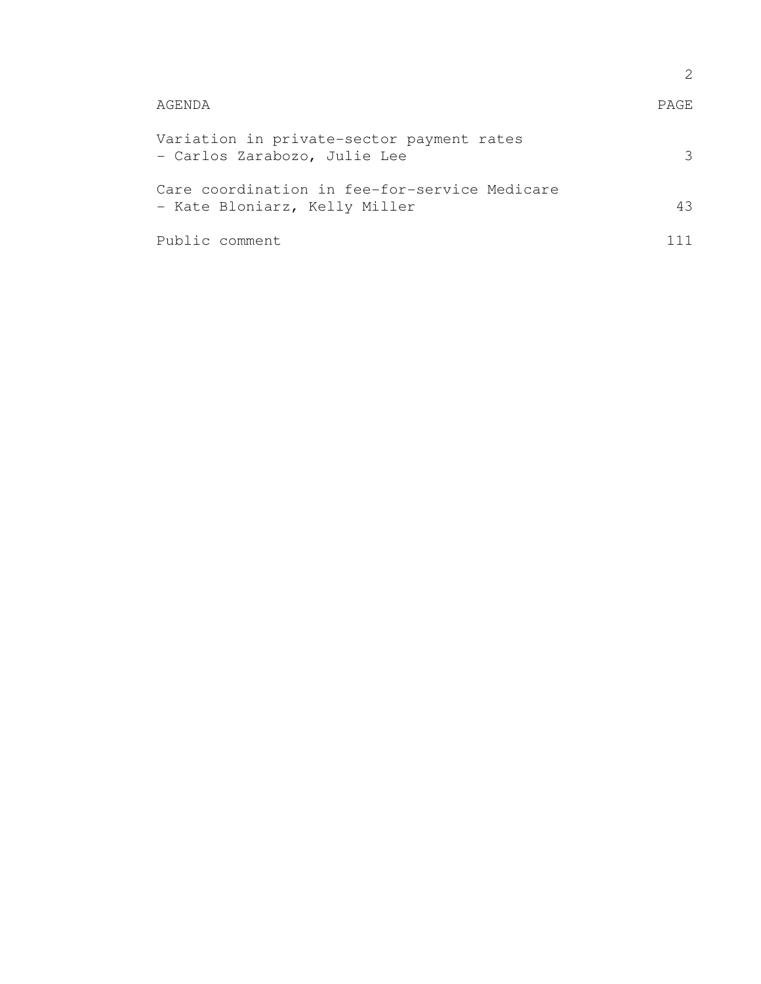| AGENDA                                                                         | PAGE. |
|--------------------------------------------------------------------------------|-------|
| Variation in private-sector payment rates<br>- Carlos Zarabozo, Julie Lee      | २     |
| Care coordination in fee-for-service Medicare<br>- Kate Bloniarz, Kelly Miller | 43    |
| Public comment                                                                 |       |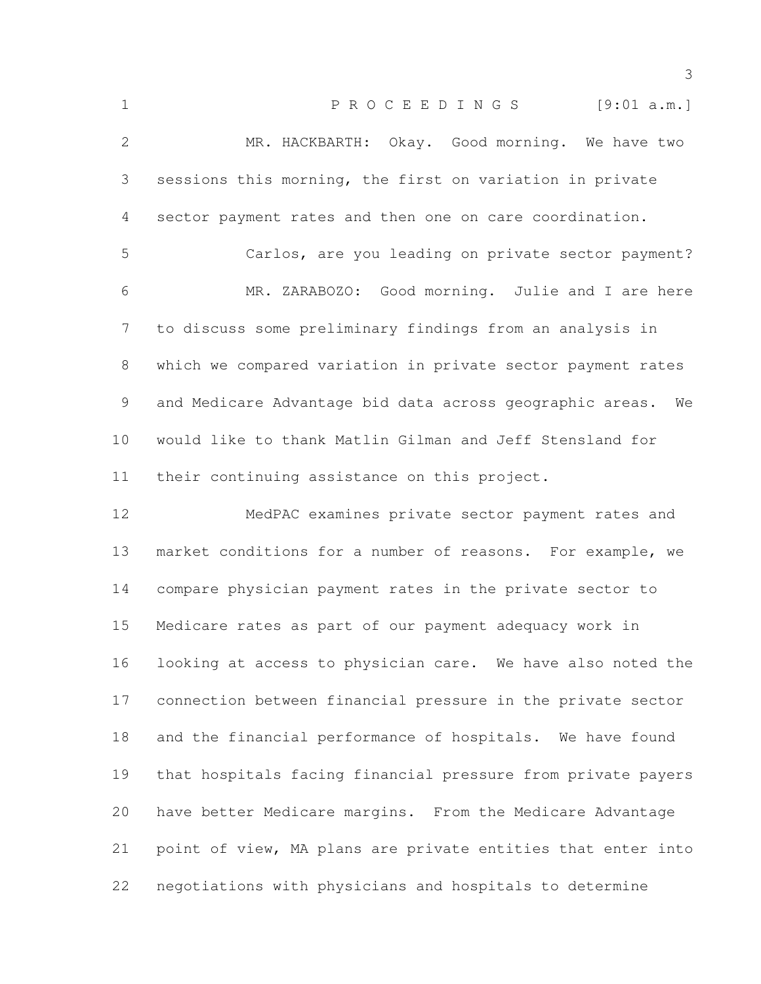| $\mathbf 1$  | PROCEEDINGS [9:01 a.m.]                                      |
|--------------|--------------------------------------------------------------|
| $\mathbf{2}$ | MR. HACKBARTH: Okay. Good morning. We have two               |
| 3            | sessions this morning, the first on variation in private     |
| 4            | sector payment rates and then one on care coordination.      |
| 5            | Carlos, are you leading on private sector payment?           |
| 6            | MR. ZARABOZO: Good morning. Julie and I are here             |
| 7            | to discuss some preliminary findings from an analysis in     |
| 8            | which we compared variation in private sector payment rates  |
| 9            | and Medicare Advantage bid data across geographic areas. We  |
| 10           | would like to thank Matlin Gilman and Jeff Stensland for     |
| 11           | their continuing assistance on this project.                 |
| 12           | MedPAC examines private sector payment rates and             |
| 13           | market conditions for a number of reasons. For example, we   |
| 14           | compare physician payment rates in the private sector to     |
| 15           | Medicare rates as part of our payment adequacy work in       |
| 16           | looking at access to physician care. We have also noted the  |
| 17           | connection between financial pressure in the private sector  |
| 18           | and the financial performance of hospitals. We have found    |
| 19           | that hospitals facing financial pressure from private payers |
| 20           | have better Medicare margins. From the Medicare Advantage    |
| 21           | point of view, MA plans are private entities that enter into |
| 22           | negotiations with physicians and hospitals to determine      |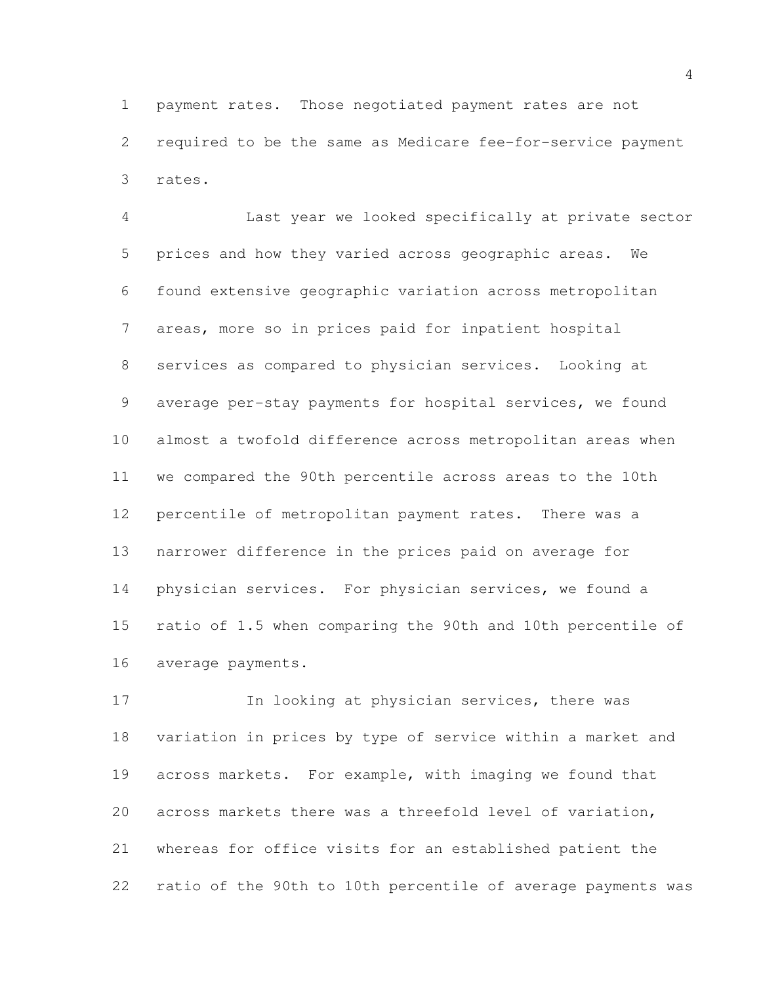payment rates. Those negotiated payment rates are not required to be the same as Medicare fee-for-service payment rates.

 Last year we looked specifically at private sector prices and how they varied across geographic areas. We found extensive geographic variation across metropolitan areas, more so in prices paid for inpatient hospital services as compared to physician services. Looking at average per-stay payments for hospital services, we found almost a twofold difference across metropolitan areas when we compared the 90th percentile across areas to the 10th percentile of metropolitan payment rates. There was a narrower difference in the prices paid on average for physician services. For physician services, we found a ratio of 1.5 when comparing the 90th and 10th percentile of average payments.

17 In looking at physician services, there was variation in prices by type of service within a market and across markets. For example, with imaging we found that across markets there was a threefold level of variation, whereas for office visits for an established patient the ratio of the 90th to 10th percentile of average payments was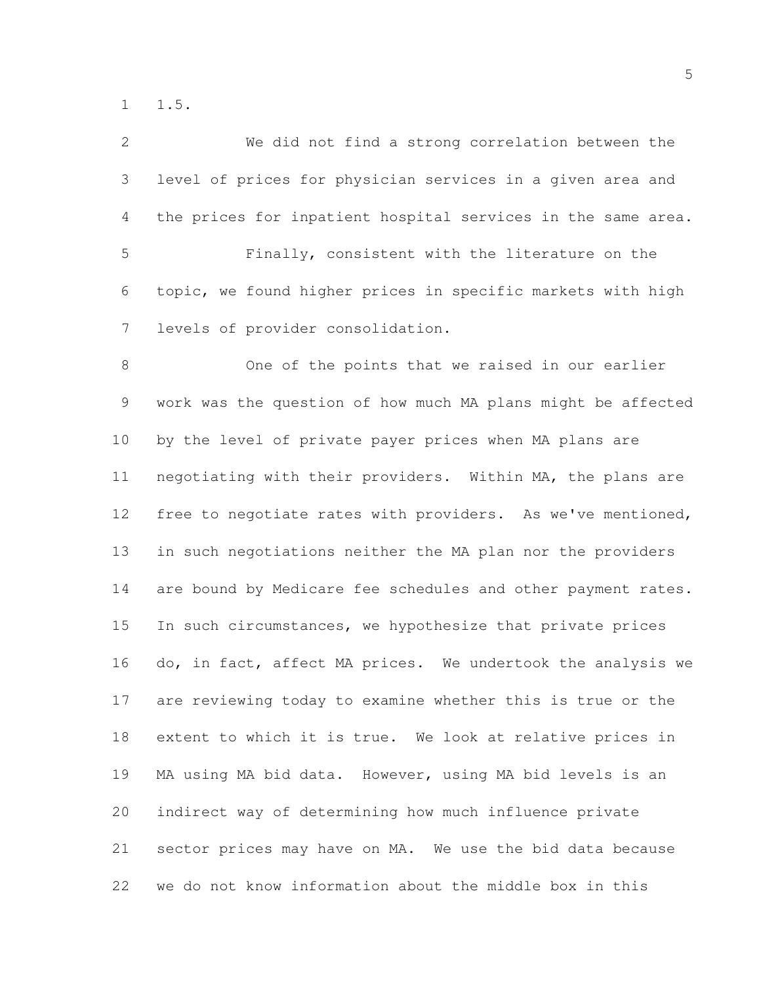1.5.

| 2              | We did not find a strong correlation between the             |
|----------------|--------------------------------------------------------------|
| 3              | level of prices for physician services in a given area and   |
| $\overline{4}$ | the prices for inpatient hospital services in the same area. |
| 5              | Finally, consistent with the literature on the               |
| 6              | topic, we found higher prices in specific markets with high  |
| $\overline{7}$ | levels of provider consolidation.                            |
| $\,8\,$        | One of the points that we raised in our earlier              |
| $\mathsf 9$    | work was the question of how much MA plans might be affected |
| 10             | by the level of private payer prices when MA plans are       |
| 11             | negotiating with their providers. Within MA, the plans are   |
| 12             | free to negotiate rates with providers. As we've mentioned,  |
| 13             | in such negotiations neither the MA plan nor the providers   |
| 14             | are bound by Medicare fee schedules and other payment rates. |
| 15             | In such circumstances, we hypothesize that private prices    |
| 16             | do, in fact, affect MA prices. We undertook the analysis we  |
| 17             | are reviewing today to examine whether this is true or the   |
| 18             | extent to which it is true. We look at relative prices in    |
| 19             | MA using MA bid data. However, using MA bid levels is an     |
| 20             | indirect way of determining how much influence private       |
| 21             | sector prices may have on MA. We use the bid data because    |
| 22             | we do not know information about the middle box in this      |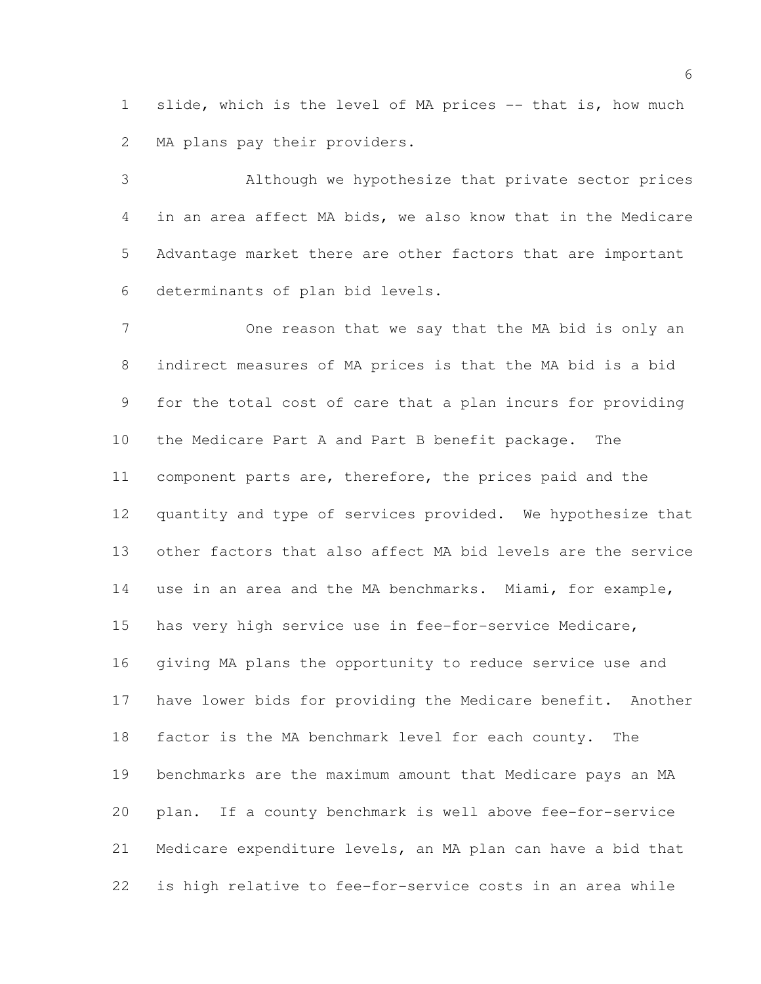1 slide, which is the level of MA prices -- that is, how much 2 MA plans pay their providers.

 Although we hypothesize that private sector prices in an area affect MA bids, we also know that in the Medicare Advantage market there are other factors that are important determinants of plan bid levels.

 One reason that we say that the MA bid is only an indirect measures of MA prices is that the MA bid is a bid for the total cost of care that a plan incurs for providing the Medicare Part A and Part B benefit package. The component parts are, therefore, the prices paid and the quantity and type of services provided. We hypothesize that other factors that also affect MA bid levels are the service use in an area and the MA benchmarks. Miami, for example, has very high service use in fee-for-service Medicare, giving MA plans the opportunity to reduce service use and have lower bids for providing the Medicare benefit. Another factor is the MA benchmark level for each county. The benchmarks are the maximum amount that Medicare pays an MA plan. If a county benchmark is well above fee-for-service Medicare expenditure levels, an MA plan can have a bid that is high relative to fee-for-service costs in an area while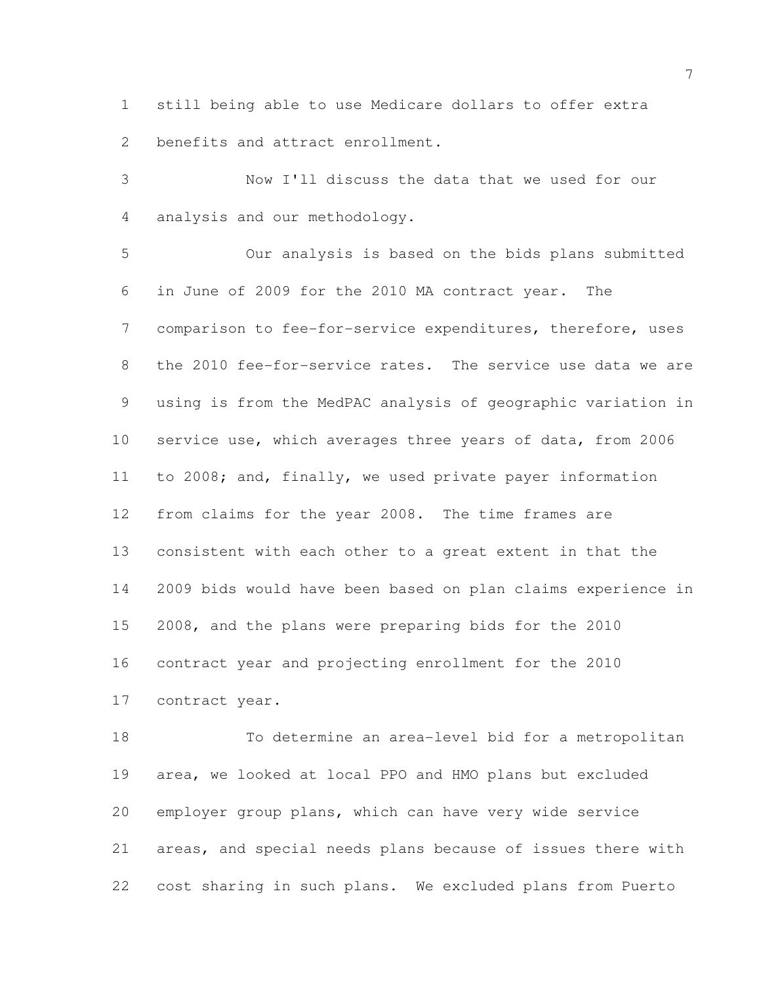still being able to use Medicare dollars to offer extra benefits and attract enrollment.

 Now I'll discuss the data that we used for our analysis and our methodology.

 Our analysis is based on the bids plans submitted in June of 2009 for the 2010 MA contract year. The comparison to fee-for-service expenditures, therefore, uses the 2010 fee-for-service rates. The service use data we are using is from the MedPAC analysis of geographic variation in service use, which averages three years of data, from 2006 to 2008; and, finally, we used private payer information from claims for the year 2008. The time frames are consistent with each other to a great extent in that the 2009 bids would have been based on plan claims experience in 2008, and the plans were preparing bids for the 2010 contract year and projecting enrollment for the 2010 contract year.

 To determine an area-level bid for a metropolitan area, we looked at local PPO and HMO plans but excluded employer group plans, which can have very wide service areas, and special needs plans because of issues there with cost sharing in such plans. We excluded plans from Puerto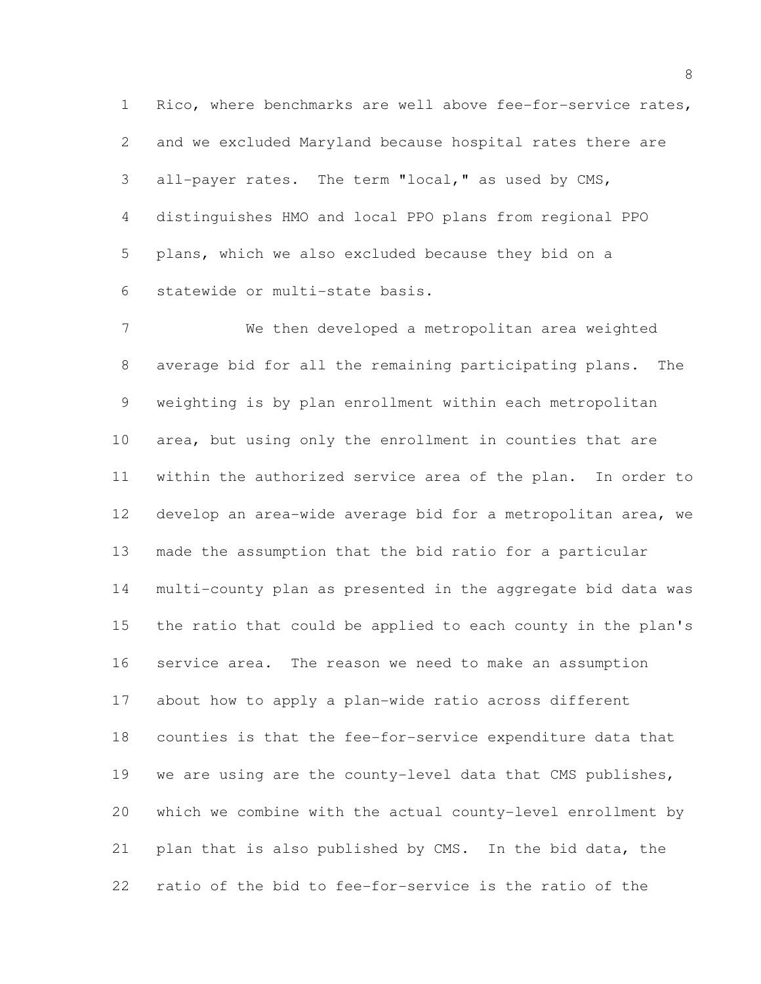Rico, where benchmarks are well above fee-for-service rates, and we excluded Maryland because hospital rates there are all-payer rates. The term "local," as used by CMS, distinguishes HMO and local PPO plans from regional PPO plans, which we also excluded because they bid on a statewide or multi-state basis.

 We then developed a metropolitan area weighted average bid for all the remaining participating plans. The weighting is by plan enrollment within each metropolitan area, but using only the enrollment in counties that are within the authorized service area of the plan. In order to develop an area-wide average bid for a metropolitan area, we made the assumption that the bid ratio for a particular multi-county plan as presented in the aggregate bid data was the ratio that could be applied to each county in the plan's service area. The reason we need to make an assumption about how to apply a plan-wide ratio across different counties is that the fee-for-service expenditure data that we are using are the county-level data that CMS publishes, which we combine with the actual county-level enrollment by plan that is also published by CMS. In the bid data, the ratio of the bid to fee-for-service is the ratio of the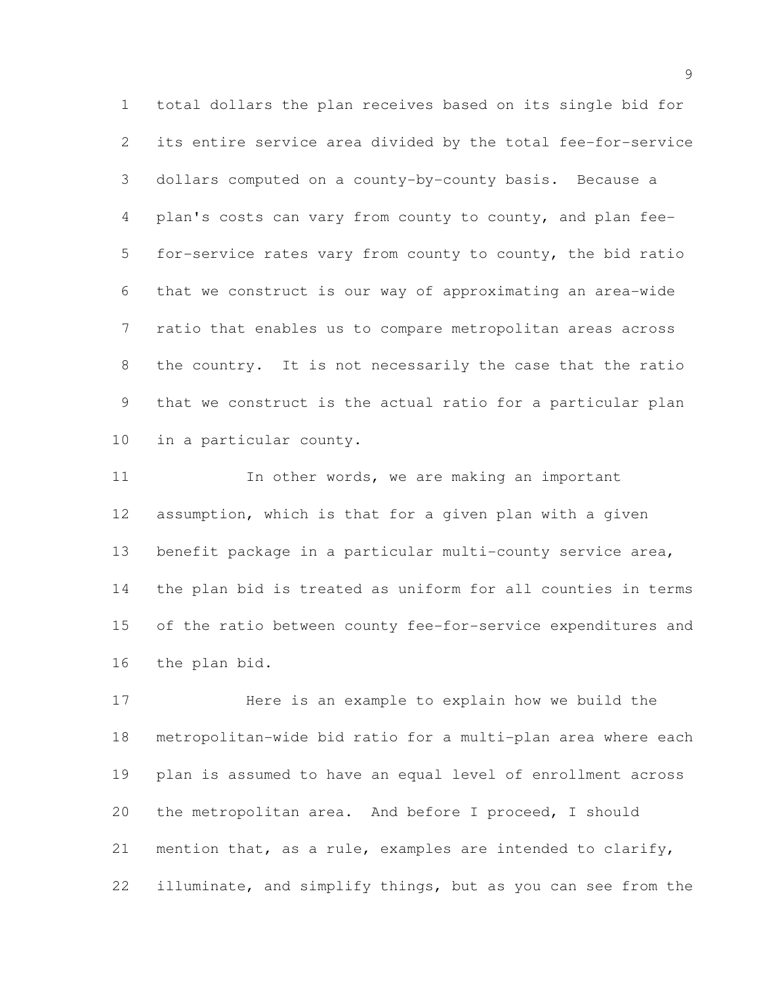total dollars the plan receives based on its single bid for its entire service area divided by the total fee-for-service dollars computed on a county-by-county basis. Because a plan's costs can vary from county to county, and plan fee- for-service rates vary from county to county, the bid ratio that we construct is our way of approximating an area-wide ratio that enables us to compare metropolitan areas across the country. It is not necessarily the case that the ratio that we construct is the actual ratio for a particular plan in a particular county.

11 11 In other words, we are making an important assumption, which is that for a given plan with a given benefit package in a particular multi-county service area, the plan bid is treated as uniform for all counties in terms of the ratio between county fee-for-service expenditures and the plan bid.

 Here is an example to explain how we build the metropolitan-wide bid ratio for a multi-plan area where each plan is assumed to have an equal level of enrollment across the metropolitan area. And before I proceed, I should mention that, as a rule, examples are intended to clarify, illuminate, and simplify things, but as you can see from the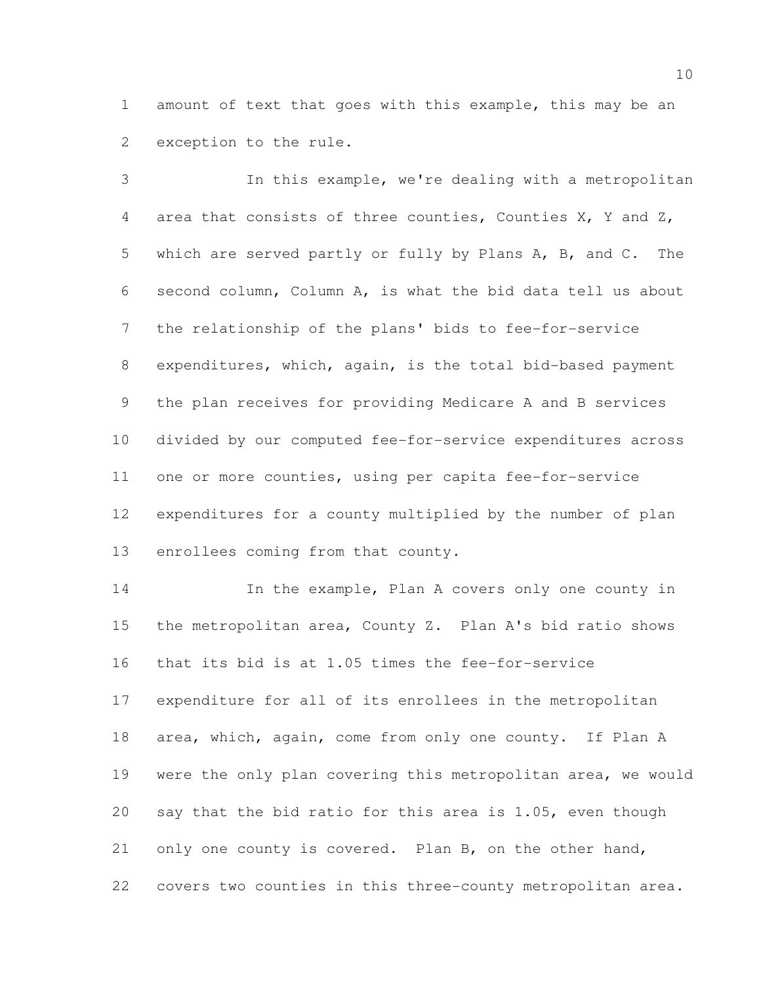amount of text that goes with this example, this may be an exception to the rule.

 In this example, we're dealing with a metropolitan area that consists of three counties, Counties X, Y and Z, which are served partly or fully by Plans A, B, and C. The second column, Column A, is what the bid data tell us about the relationship of the plans' bids to fee-for-service expenditures, which, again, is the total bid-based payment the plan receives for providing Medicare A and B services divided by our computed fee-for-service expenditures across one or more counties, using per capita fee-for-service expenditures for a county multiplied by the number of plan enrollees coming from that county.

14 In the example, Plan A covers only one county in the metropolitan area, County Z. Plan A's bid ratio shows that its bid is at 1.05 times the fee-for-service expenditure for all of its enrollees in the metropolitan area, which, again, come from only one county. If Plan A were the only plan covering this metropolitan area, we would say that the bid ratio for this area is 1.05, even though only one county is covered. Plan B, on the other hand, covers two counties in this three-county metropolitan area.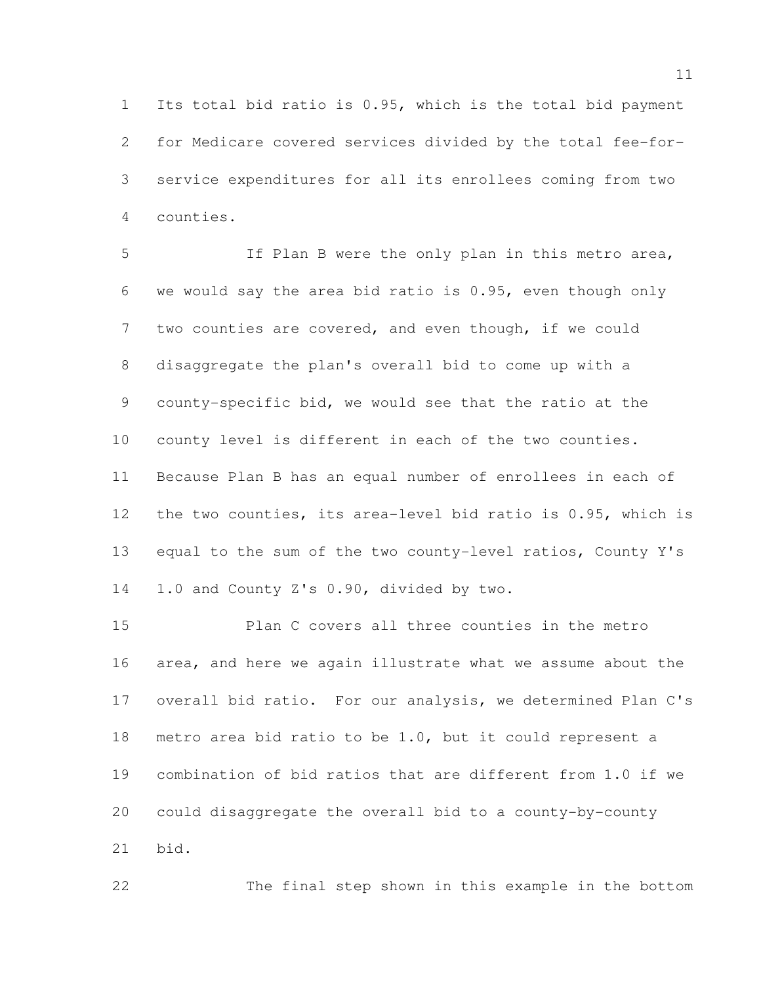Its total bid ratio is 0.95, which is the total bid payment for Medicare covered services divided by the total fee-for- service expenditures for all its enrollees coming from two counties.

 If Plan B were the only plan in this metro area, we would say the area bid ratio is 0.95, even though only 7 two counties are covered, and even though, if we could disaggregate the plan's overall bid to come up with a county-specific bid, we would see that the ratio at the county level is different in each of the two counties. Because Plan B has an equal number of enrollees in each of the two counties, its area-level bid ratio is 0.95, which is equal to the sum of the two county-level ratios, County Y's 1.0 and County Z's 0.90, divided by two.

 Plan C covers all three counties in the metro area, and here we again illustrate what we assume about the overall bid ratio. For our analysis, we determined Plan C's metro area bid ratio to be 1.0, but it could represent a combination of bid ratios that are different from 1.0 if we could disaggregate the overall bid to a county-by-county bid.

The final step shown in this example in the bottom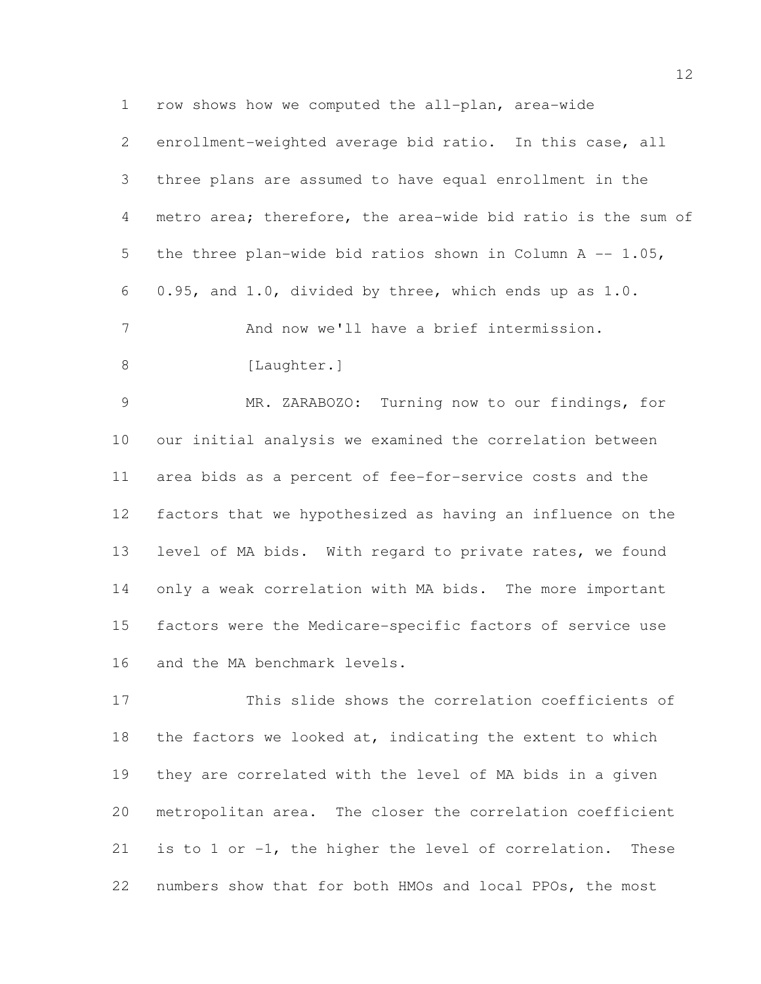row shows how we computed the all-plan, area-wide

|   | 2 enrollment-weighted average bid ratio. In this case, all   |
|---|--------------------------------------------------------------|
| 3 | three plans are assumed to have equal enrollment in the      |
| 4 | metro area; therefore, the area-wide bid ratio is the sum of |
| 5 | the three plan-wide bid ratios shown in Column A $-$ 1.05,   |
|   | 6 0.95, and 1.0, divided by three, which ends up as $1.0$ .  |
| 7 | And now we'll have a brief intermission.                     |
| 8 | [Laughter.]                                                  |
|   |                                                              |

 MR. ZARABOZO: Turning now to our findings, for our initial analysis we examined the correlation between area bids as a percent of fee-for-service costs and the factors that we hypothesized as having an influence on the level of MA bids. With regard to private rates, we found only a weak correlation with MA bids. The more important factors were the Medicare-specific factors of service use and the MA benchmark levels.

 This slide shows the correlation coefficients of the factors we looked at, indicating the extent to which they are correlated with the level of MA bids in a given metropolitan area. The closer the correlation coefficient is to 1 or -1, the higher the level of correlation. These numbers show that for both HMOs and local PPOs, the most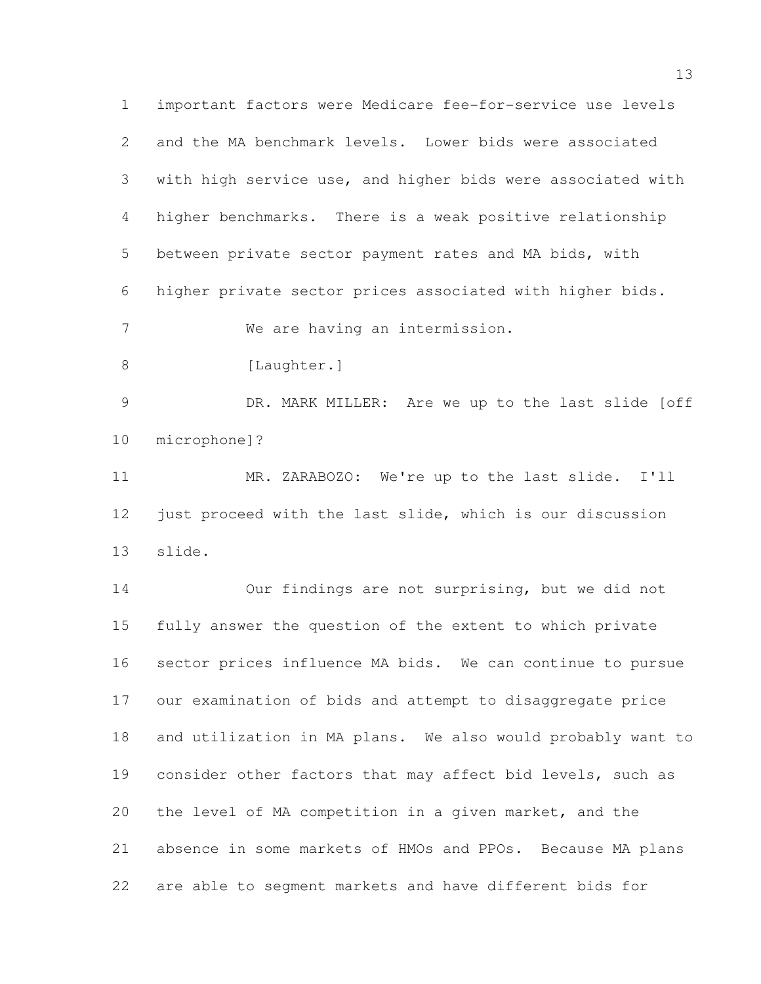important factors were Medicare fee-for-service use levels and the MA benchmark levels. Lower bids were associated with high service use, and higher bids were associated with higher benchmarks. There is a weak positive relationship between private sector payment rates and MA bids, with higher private sector prices associated with higher bids. We are having an intermission. 8 [Laughter.] DR. MARK MILLER: Are we up to the last slide [off microphone]? MR. ZARABOZO: We're up to the last slide. I'll just proceed with the last slide, which is our discussion slide.

 Our findings are not surprising, but we did not fully answer the question of the extent to which private sector prices influence MA bids. We can continue to pursue our examination of bids and attempt to disaggregate price and utilization in MA plans. We also would probably want to 19 consider other factors that may affect bid levels, such as the level of MA competition in a given market, and the absence in some markets of HMOs and PPOs. Because MA plans are able to segment markets and have different bids for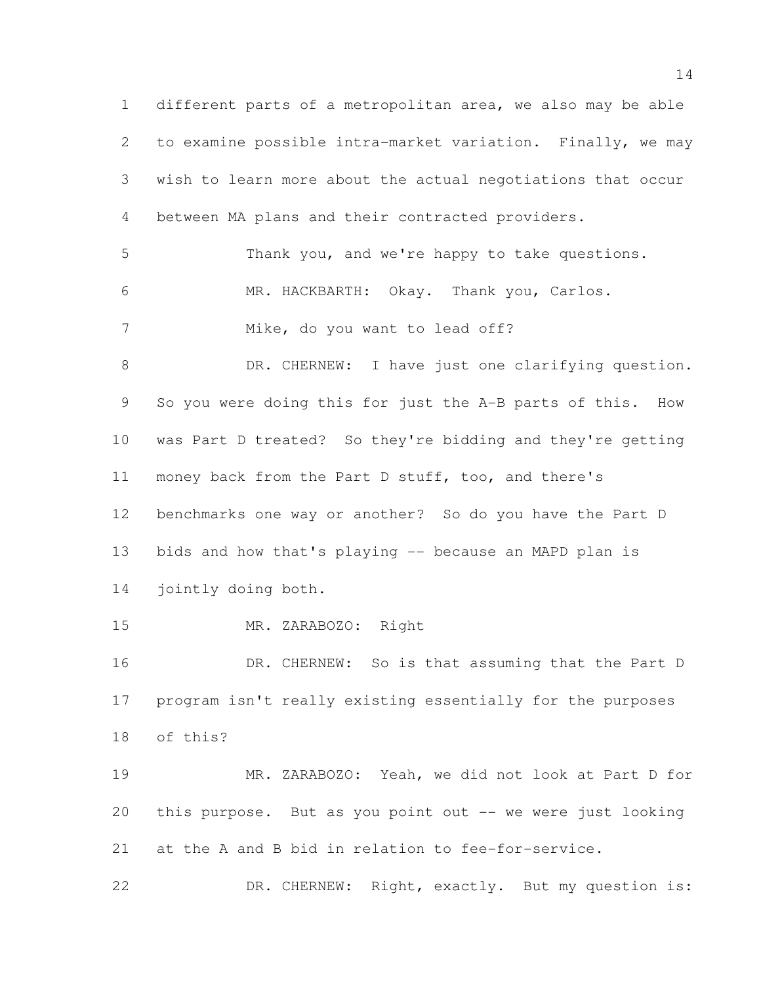different parts of a metropolitan area, we also may be able to examine possible intra-market variation. Finally, we may wish to learn more about the actual negotiations that occur between MA plans and their contracted providers. Thank you, and we're happy to take questions. MR. HACKBARTH: Okay. Thank you, Carlos. 7 Mike, do you want to lead off? 8 DR. CHERNEW: I have just one clarifying question. So you were doing this for just the A-B parts of this. How was Part D treated? So they're bidding and they're getting money back from the Part D stuff, too, and there's benchmarks one way or another? So do you have the Part D bids and how that's playing -- because an MAPD plan is jointly doing both. MR. ZARABOZO: Right 16 DR. CHERNEW: So is that assuming that the Part D program isn't really existing essentially for the purposes of this? MR. ZARABOZO: Yeah, we did not look at Part D for this purpose. But as you point out -- we were just looking at the A and B bid in relation to fee-for-service. DR. CHERNEW: Right, exactly. But my question is: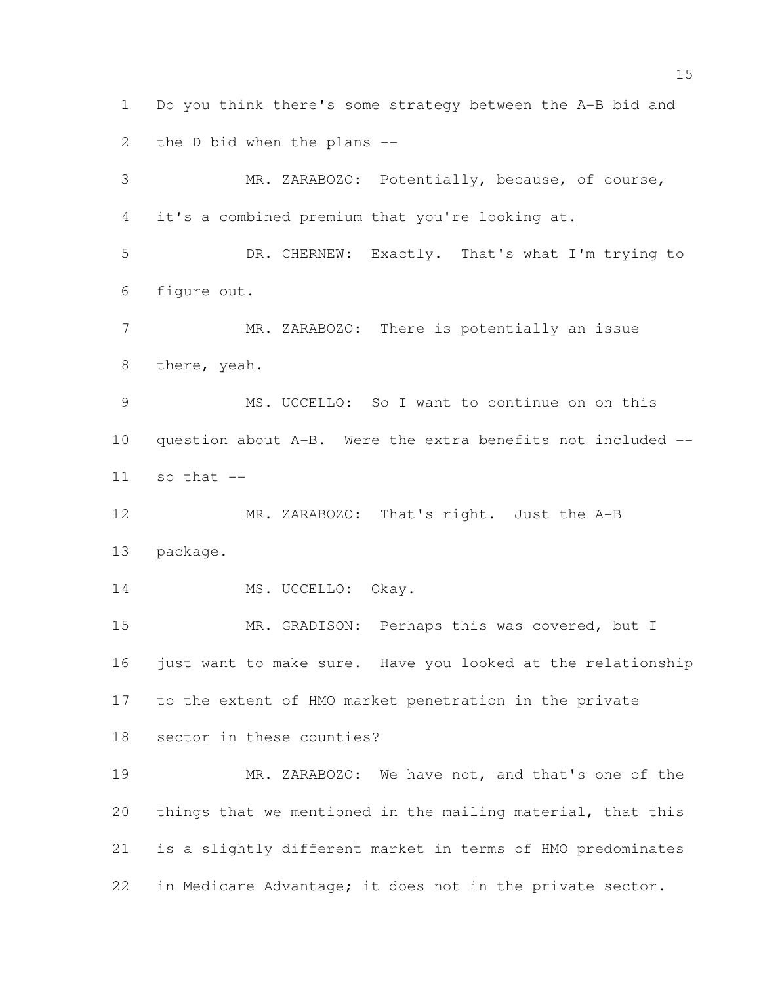Do you think there's some strategy between the A-B bid and the D bid when the plans -- MR. ZARABOZO: Potentially, because, of course, it's a combined premium that you're looking at. DR. CHERNEW: Exactly. That's what I'm trying to

figure out.

7 MR. ZARABOZO: There is potentially an issue there, yeah.

 MS. UCCELLO: So I want to continue on on this question about A-B. Were the extra benefits not included -- so that  $-$ 

12 MR. ZARABOZO: That's right. Just the A-B package.

14 MS. UCCELLO: Okay.

 MR. GRADISON: Perhaps this was covered, but I just want to make sure. Have you looked at the relationship to the extent of HMO market penetration in the private sector in these counties?

 MR. ZARABOZO: We have not, and that's one of the things that we mentioned in the mailing material, that this is a slightly different market in terms of HMO predominates in Medicare Advantage; it does not in the private sector.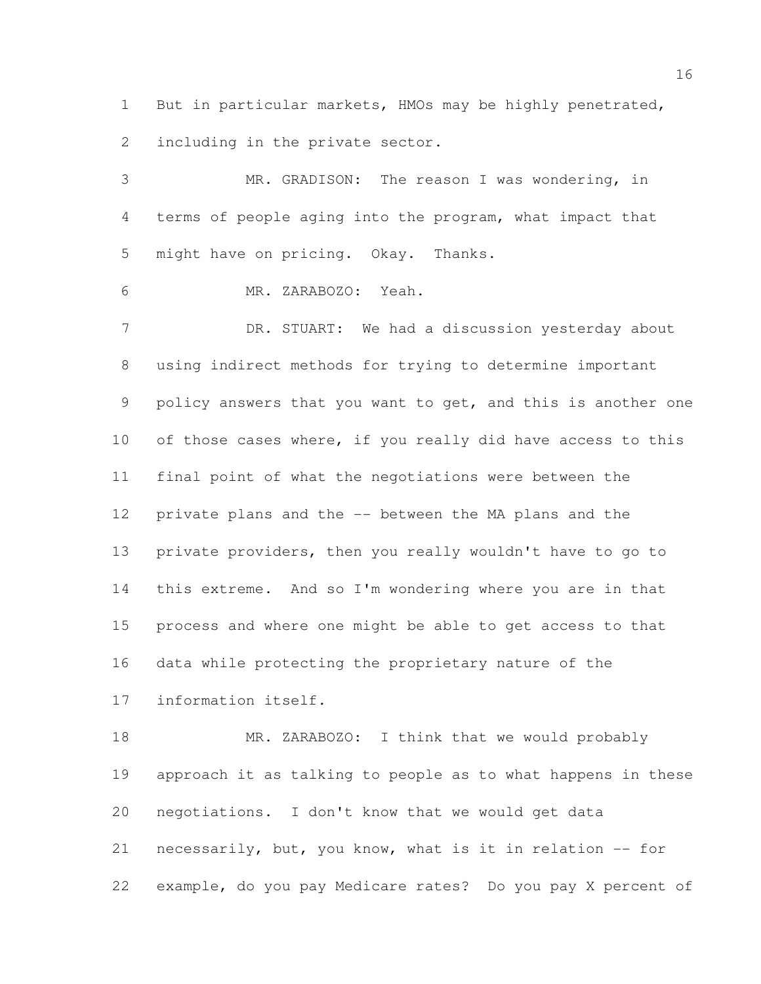But in particular markets, HMOs may be highly penetrated, including in the private sector.

 MR. GRADISON: The reason I was wondering, in terms of people aging into the program, what impact that might have on pricing. Okay. Thanks. MR. ZARABOZO: Yeah. DR. STUART: We had a discussion yesterday about using indirect methods for trying to determine important 9 policy answers that you want to get, and this is another one of those cases where, if you really did have access to this final point of what the negotiations were between the private plans and the -- between the MA plans and the private providers, then you really wouldn't have to go to this extreme. And so I'm wondering where you are in that process and where one might be able to get access to that data while protecting the proprietary nature of the information itself.

18 MR. ZARABOZO: I think that we would probably approach it as talking to people as to what happens in these negotiations. I don't know that we would get data necessarily, but, you know, what is it in relation -- for example, do you pay Medicare rates? Do you pay X percent of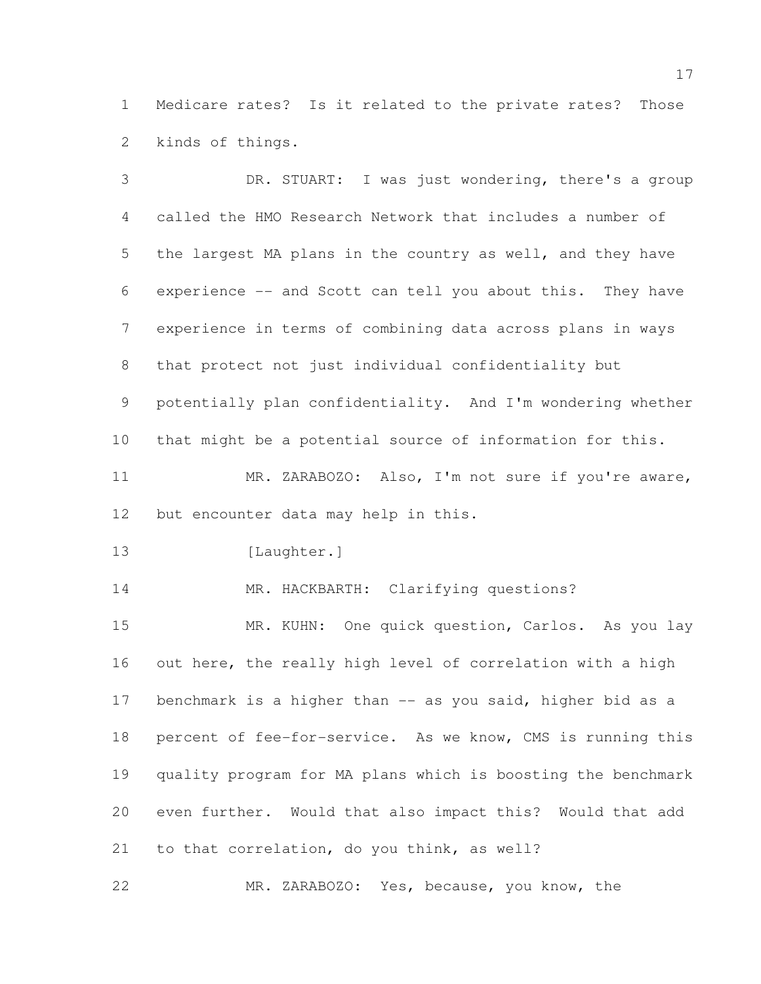Medicare rates? Is it related to the private rates? Those kinds of things.

 DR. STUART: I was just wondering, there's a group called the HMO Research Network that includes a number of the largest MA plans in the country as well, and they have experience -- and Scott can tell you about this. They have experience in terms of combining data across plans in ways that protect not just individual confidentiality but potentially plan confidentiality. And I'm wondering whether that might be a potential source of information for this. MR. ZARABOZO: Also, I'm not sure if you're aware, but encounter data may help in this. 13 [Laughter.] MR. HACKBARTH: Clarifying questions? 15 MR. KUHN: One quick question, Carlos. As you lay out here, the really high level of correlation with a high 17 benchmark is a higher than -- as you said, higher bid as a percent of fee-for-service. As we know, CMS is running this quality program for MA plans which is boosting the benchmark even further. Would that also impact this? Would that add to that correlation, do you think, as well? MR. ZARABOZO: Yes, because, you know, the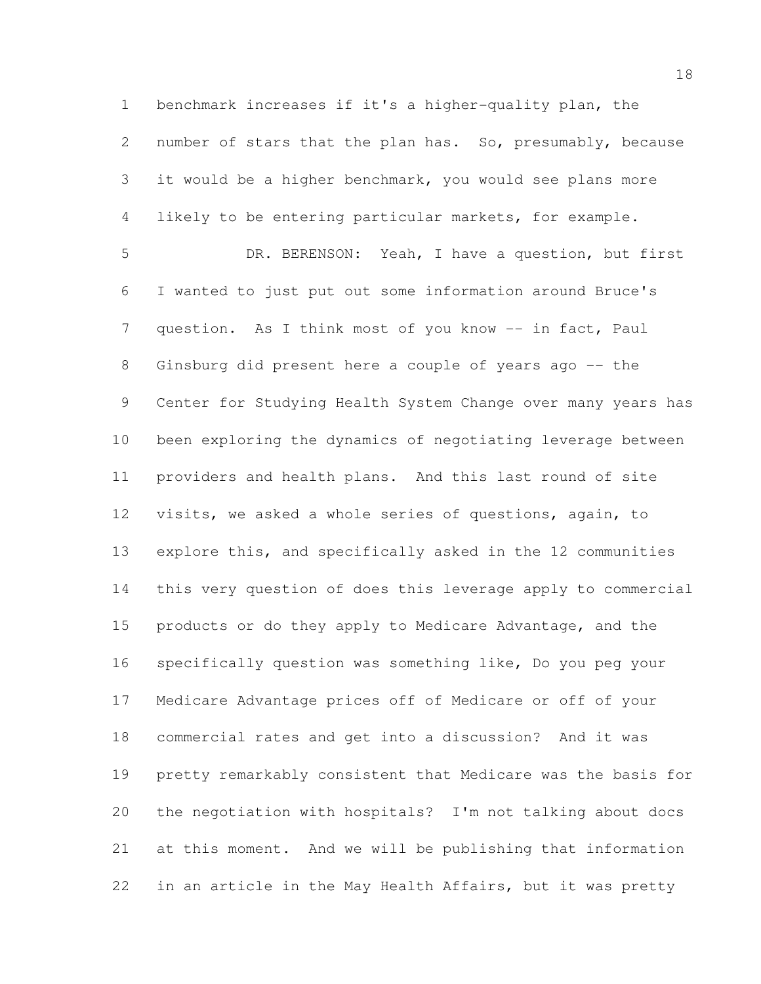benchmark increases if it's a higher-quality plan, the number of stars that the plan has. So, presumably, because it would be a higher benchmark, you would see plans more likely to be entering particular markets, for example. DR. BERENSON: Yeah, I have a question, but first I wanted to just put out some information around Bruce's 7 question. As I think most of you know -- in fact, Paul Ginsburg did present here a couple of years ago -- the Center for Studying Health System Change over many years has been exploring the dynamics of negotiating leverage between providers and health plans. And this last round of site visits, we asked a whole series of questions, again, to explore this, and specifically asked in the 12 communities this very question of does this leverage apply to commercial products or do they apply to Medicare Advantage, and the specifically question was something like, Do you peg your Medicare Advantage prices off of Medicare or off of your commercial rates and get into a discussion? And it was pretty remarkably consistent that Medicare was the basis for the negotiation with hospitals? I'm not talking about docs at this moment. And we will be publishing that information in an article in the May Health Affairs, but it was pretty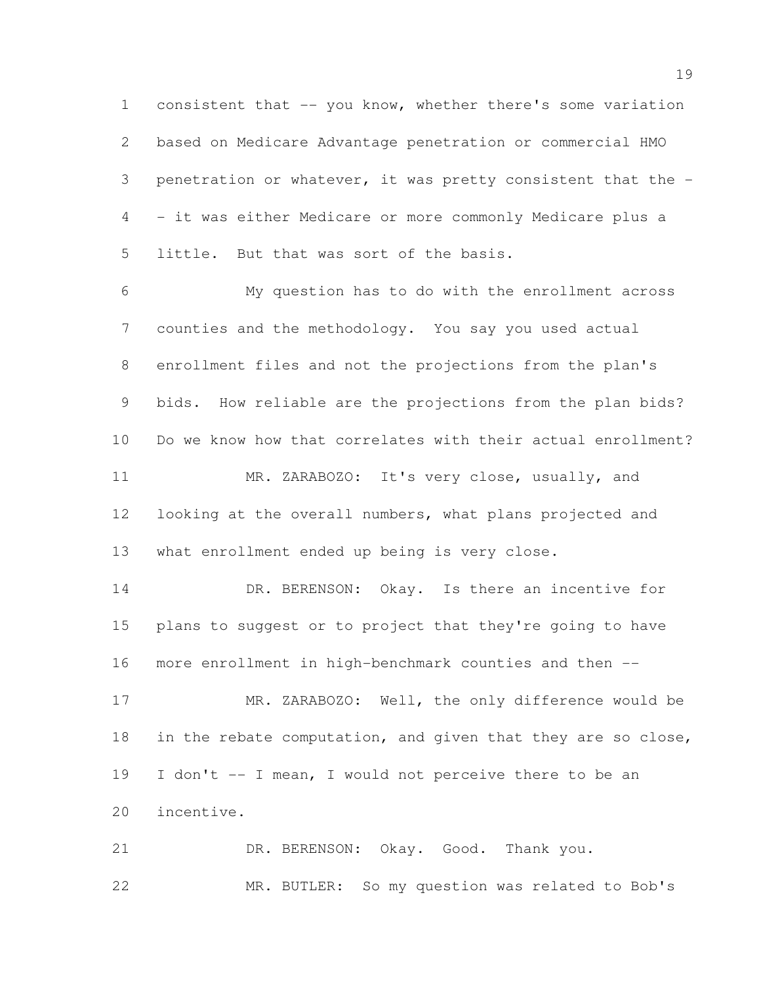consistent that -- you know, whether there's some variation based on Medicare Advantage penetration or commercial HMO penetration or whatever, it was pretty consistent that the - - it was either Medicare or more commonly Medicare plus a little. But that was sort of the basis.

 My question has to do with the enrollment across counties and the methodology. You say you used actual enrollment files and not the projections from the plan's bids. How reliable are the projections from the plan bids? Do we know how that correlates with their actual enrollment? MR. ZARABOZO: It's very close, usually, and looking at the overall numbers, what plans projected and what enrollment ended up being is very close.

14 DR. BERENSON: Okay. Is there an incentive for plans to suggest or to project that they're going to have more enrollment in high-benchmark counties and then --

 MR. ZARABOZO: Well, the only difference would be 18 in the rebate computation, and given that they are so close, I don't -- I mean, I would not perceive there to be an incentive.

 DR. BERENSON: Okay. Good. Thank you. MR. BUTLER: So my question was related to Bob's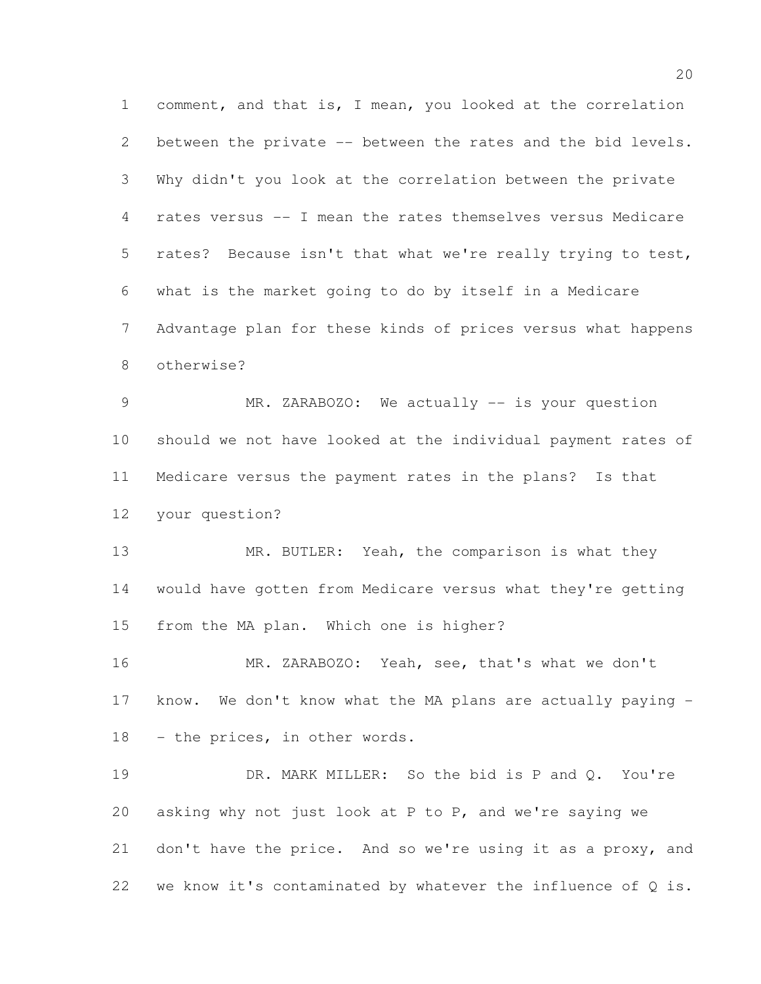comment, and that is, I mean, you looked at the correlation between the private -- between the rates and the bid levels. Why didn't you look at the correlation between the private rates versus -- I mean the rates themselves versus Medicare rates? Because isn't that what we're really trying to test, what is the market going to do by itself in a Medicare Advantage plan for these kinds of prices versus what happens otherwise? MR. ZARABOZO: We actually -- is your question

 should we not have looked at the individual payment rates of Medicare versus the payment rates in the plans? Is that your question?

13 MR. BUTLER: Yeah, the comparison is what they would have gotten from Medicare versus what they're getting from the MA plan. Which one is higher?

 MR. ZARABOZO: Yeah, see, that's what we don't know. We don't know what the MA plans are actually paying - - the prices, in other words.

 DR. MARK MILLER: So the bid is P and Q. You're asking why not just look at P to P, and we're saying we don't have the price. And so we're using it as a proxy, and 22 we know it's contaminated by whatever the influence of  $Q$  is.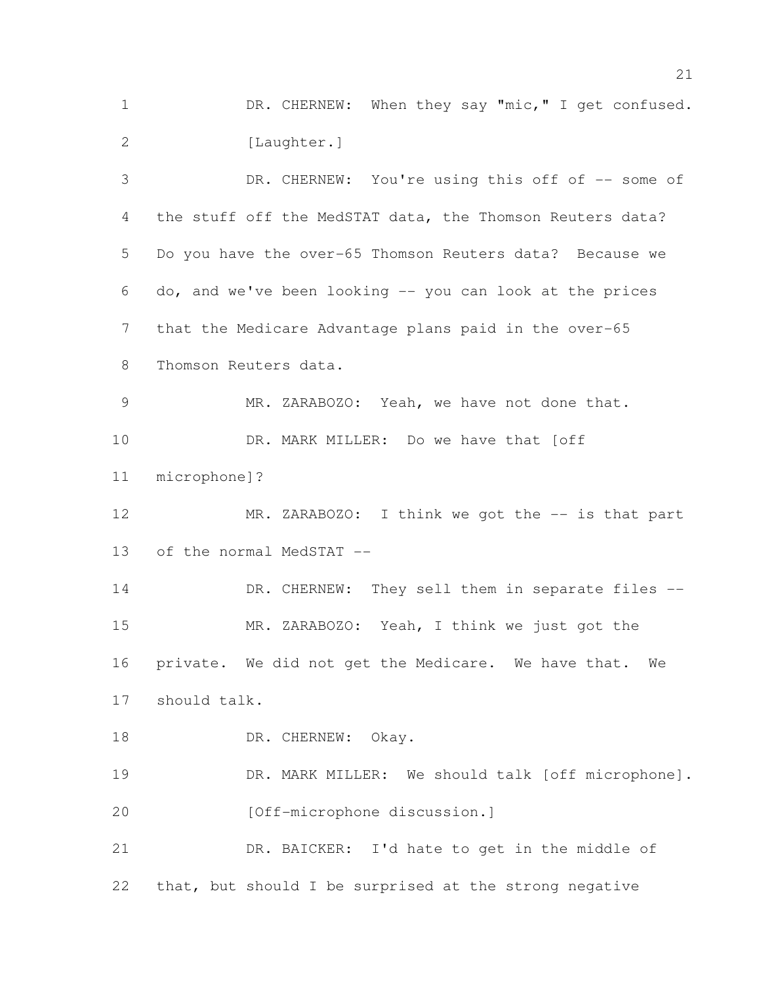1 DR. CHERNEW: When they say "mic," I get confused. 2 [Laughter.]

 DR. CHERNEW: You're using this off of -- some of the stuff off the MedSTAT data, the Thomson Reuters data? Do you have the over-65 Thomson Reuters data? Because we do, and we've been looking -- you can look at the prices that the Medicare Advantage plans paid in the over-65 Thomson Reuters data. MR. ZARABOZO: Yeah, we have not done that. DR. MARK MILLER: Do we have that [off microphone]? 12 MR. ZARABOZO: I think we got the -- is that part of the normal MedSTAT -- 14 DR. CHERNEW: They sell them in separate files -- MR. ZARABOZO: Yeah, I think we just got the private. We did not get the Medicare. We have that. We should talk. 18 DR. CHERNEW: Okay. 19 DR. MARK MILLER: We should talk [off microphone]. 20 [Off-microphone discussion.] DR. BAICKER: I'd hate to get in the middle of that, but should I be surprised at the strong negative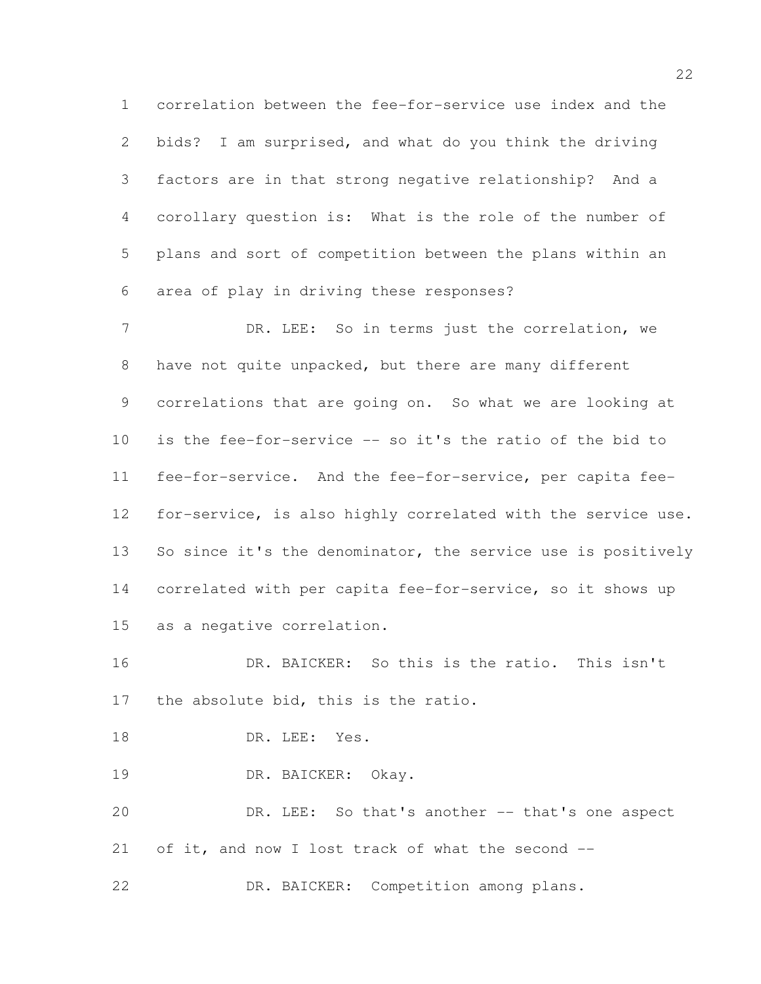correlation between the fee-for-service use index and the bids? I am surprised, and what do you think the driving factors are in that strong negative relationship? And a corollary question is: What is the role of the number of plans and sort of competition between the plans within an area of play in driving these responses?

7 DR. LEE: So in terms just the correlation, we have not quite unpacked, but there are many different correlations that are going on. So what we are looking at is the fee-for-service -- so it's the ratio of the bid to fee-for-service. And the fee-for-service, per capita fee- for-service, is also highly correlated with the service use. 13 So since it's the denominator, the service use is positively correlated with per capita fee-for-service, so it shows up as a negative correlation.

 DR. BAICKER: So this is the ratio. This isn't the absolute bid, this is the ratio.

- 18 DR. LEE: Yes.
- DR. BAICKER: Okay.

 DR. LEE: So that's another -- that's one aspect of it, and now I lost track of what the second --

DR. BAICKER: Competition among plans.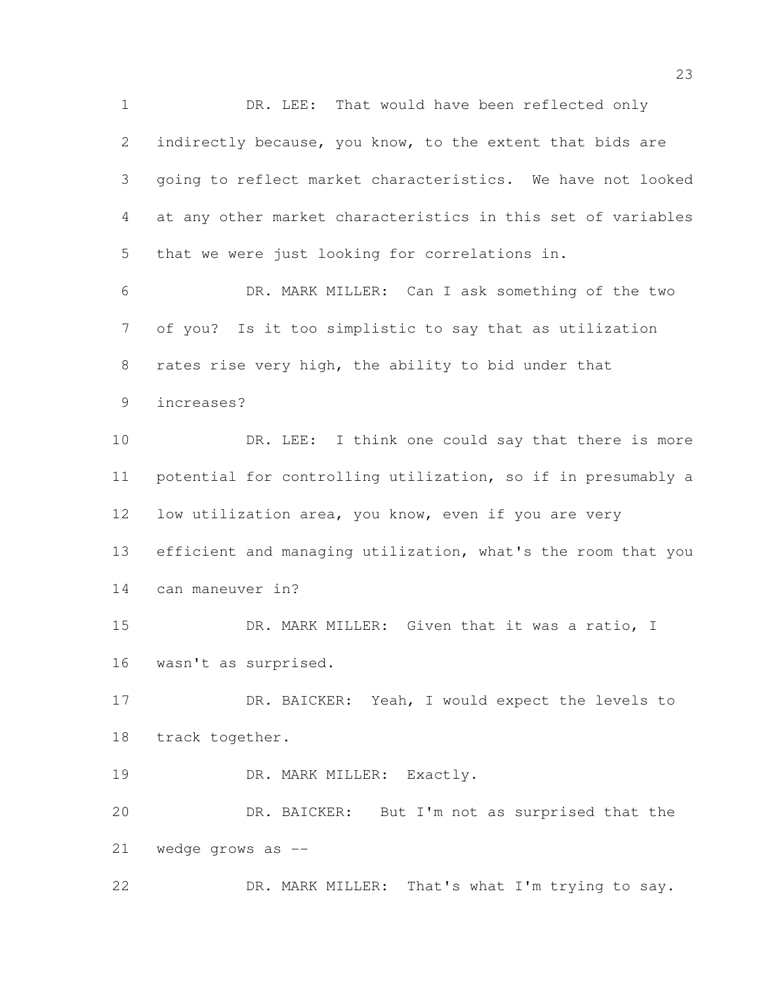DR. LEE: That would have been reflected only indirectly because, you know, to the extent that bids are going to reflect market characteristics. We have not looked at any other market characteristics in this set of variables that we were just looking for correlations in.

 DR. MARK MILLER: Can I ask something of the two of you? Is it too simplistic to say that as utilization rates rise very high, the ability to bid under that increases?

10 DR. LEE: I think one could say that there is more potential for controlling utilization, so if in presumably a low utilization area, you know, even if you are very efficient and managing utilization, what's the room that you can maneuver in?

15 DR. MARK MILLER: Given that it was a ratio, I wasn't as surprised.

 DR. BAICKER: Yeah, I would expect the levels to track together.

19 DR. MARK MILLER: Exactly.

 DR. BAICKER: But I'm not as surprised that the wedge grows as --

DR. MARK MILLER: That's what I'm trying to say.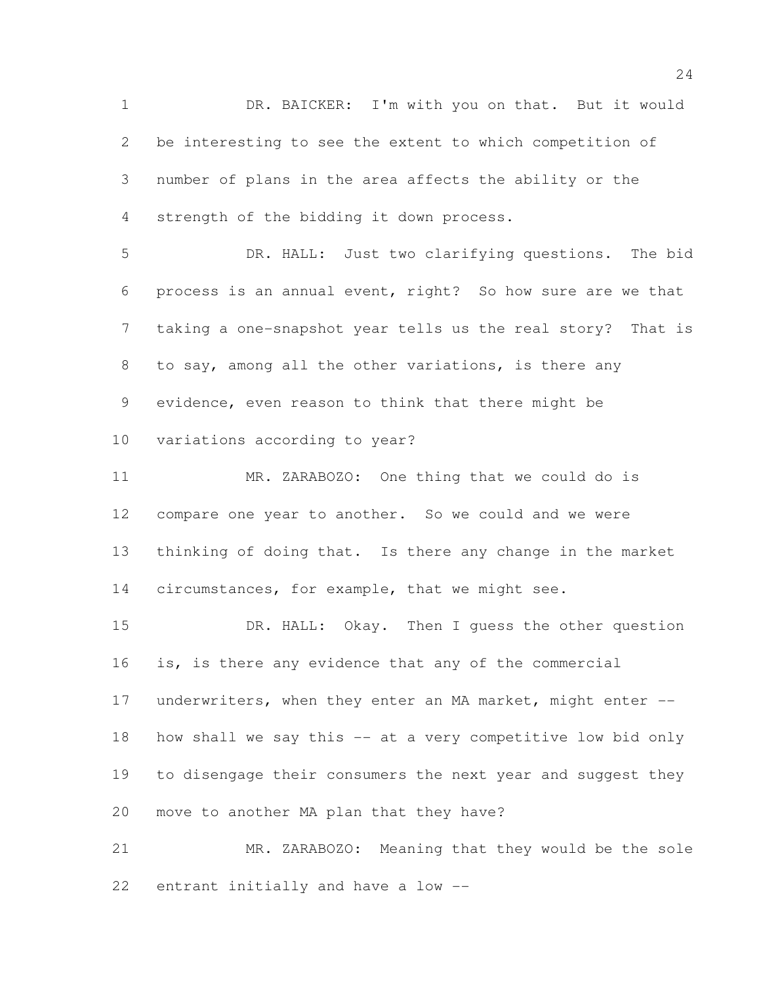DR. BAICKER: I'm with you on that. But it would be interesting to see the extent to which competition of number of plans in the area affects the ability or the strength of the bidding it down process. DR. HALL: Just two clarifying questions. The bid

 process is an annual event, right? So how sure are we that taking a one-snapshot year tells us the real story? That is to say, among all the other variations, is there any evidence, even reason to think that there might be variations according to year?

 MR. ZARABOZO: One thing that we could do is compare one year to another. So we could and we were thinking of doing that. Is there any change in the market 14 circumstances, for example, that we might see.

15 DR. HALL: Okay. Then I quess the other question is, is there any evidence that any of the commercial 17 underwriters, when they enter an MA market, might enter -- how shall we say this -- at a very competitive low bid only to disengage their consumers the next year and suggest they move to another MA plan that they have?

 MR. ZARABOZO: Meaning that they would be the sole entrant initially and have a low --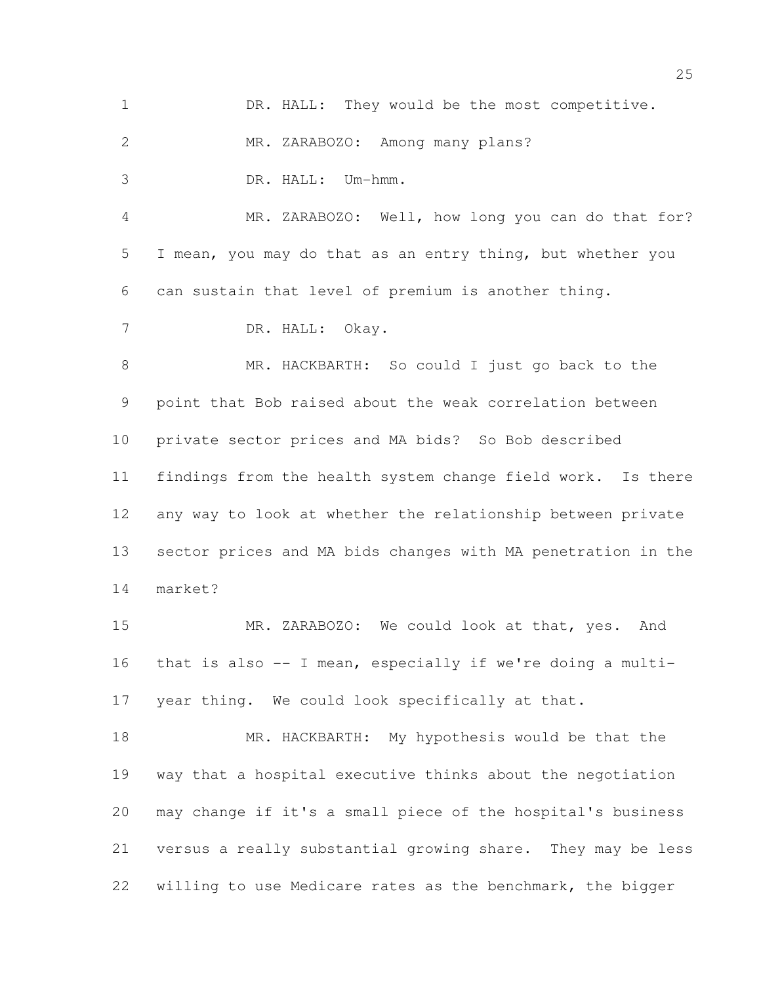DR. HALL: They would be the most competitive. MR. ZARABOZO: Among many plans? DR. HALL: Um-hmm. MR. ZARABOZO: Well, how long you can do that for? I mean, you may do that as an entry thing, but whether you can sustain that level of premium is another thing. DR. HALL: Okay. MR. HACKBARTH: So could I just go back to the point that Bob raised about the weak correlation between private sector prices and MA bids? So Bob described findings from the health system change field work. Is there any way to look at whether the relationship between private sector prices and MA bids changes with MA penetration in the market? MR. ZARABOZO: We could look at that, yes. And that is also -- I mean, especially if we're doing a multi- year thing. We could look specifically at that. MR. HACKBARTH: My hypothesis would be that the way that a hospital executive thinks about the negotiation may change if it's a small piece of the hospital's business versus a really substantial growing share. They may be less

willing to use Medicare rates as the benchmark, the bigger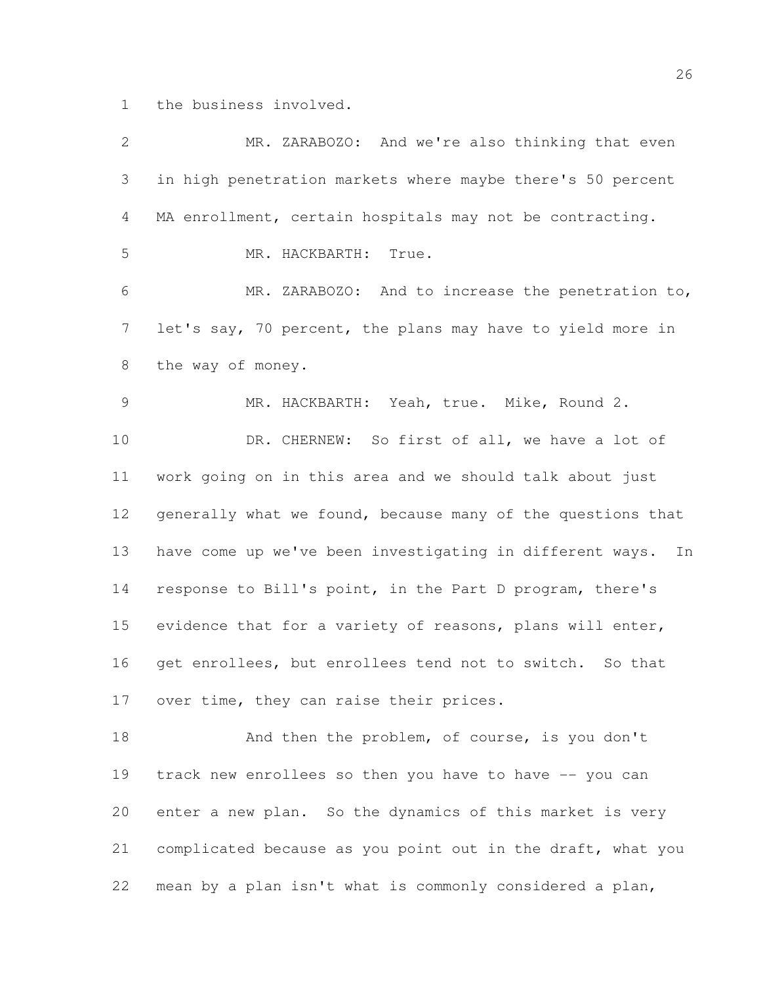the business involved.

| $\overline{2}$  | MR. ZARABOZO: And we're also thinking that even                |
|-----------------|----------------------------------------------------------------|
| 3               | in high penetration markets where maybe there's 50 percent     |
| 4               | MA enrollment, certain hospitals may not be contracting.       |
| 5               | MR. HACKBARTH:<br>True.                                        |
| 6               | MR. ZARABOZO: And to increase the penetration to,              |
| 7               | let's say, 70 percent, the plans may have to yield more in     |
| 8               | the way of money.                                              |
| 9               | MR. HACKBARTH: Yeah, true. Mike, Round 2.                      |
| 10              | DR. CHERNEW: So first of all, we have a lot of                 |
| 11              | work going on in this area and we should talk about just       |
| 12 <sup>°</sup> | generally what we found, because many of the questions that    |
| 13              | have come up we've been investigating in different ways.<br>In |
| 14              | response to Bill's point, in the Part D program, there's       |
| 15              | evidence that for a variety of reasons, plans will enter,      |
| 16              | get enrollees, but enrollees tend not to switch. So that       |
| 17              | over time, they can raise their prices.                        |
| 18              | And then the problem, of course, is you don't                  |
| 19              | track new enrollees so then you have to have -- you can        |
| 20              | enter a new plan. So the dynamics of this market is very       |
| 21              | complicated because as you point out in the draft, what you    |
| 22              | mean by a plan isn't what is commonly considered a plan,       |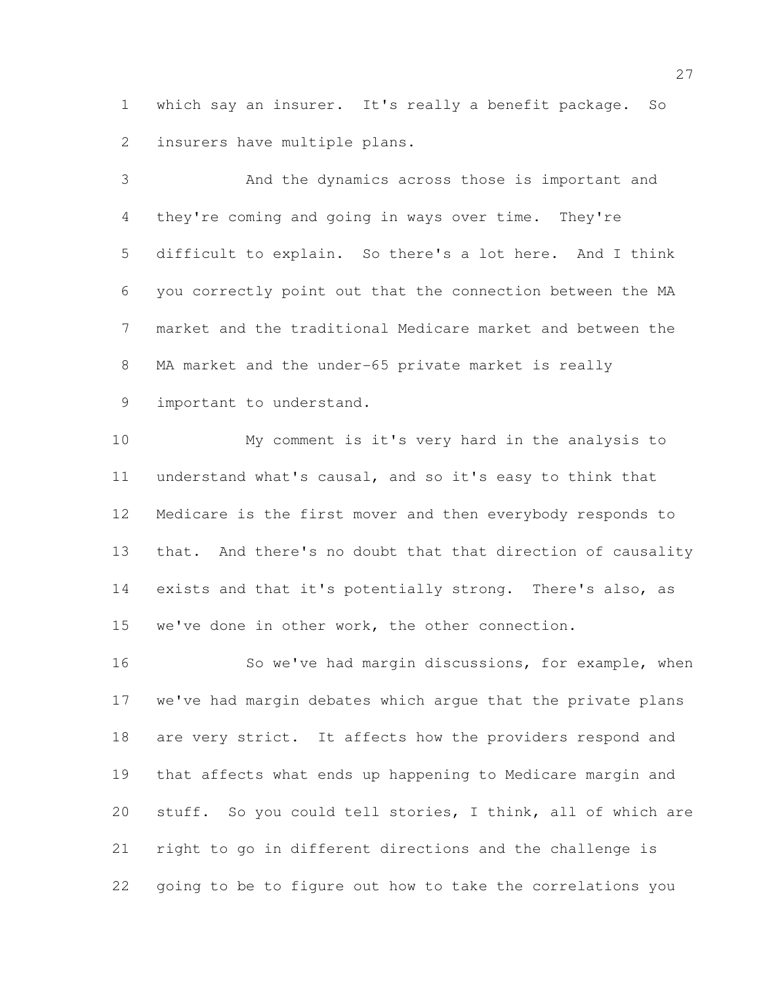which say an insurer. It's really a benefit package. So insurers have multiple plans.

 And the dynamics across those is important and they're coming and going in ways over time. They're difficult to explain. So there's a lot here. And I think you correctly point out that the connection between the MA market and the traditional Medicare market and between the MA market and the under-65 private market is really important to understand.

 My comment is it's very hard in the analysis to understand what's causal, and so it's easy to think that Medicare is the first mover and then everybody responds to that. And there's no doubt that that direction of causality exists and that it's potentially strong. There's also, as we've done in other work, the other connection.

 So we've had margin discussions, for example, when we've had margin debates which argue that the private plans 18 are very strict. It affects how the providers respond and that affects what ends up happening to Medicare margin and stuff. So you could tell stories, I think, all of which are right to go in different directions and the challenge is going to be to figure out how to take the correlations you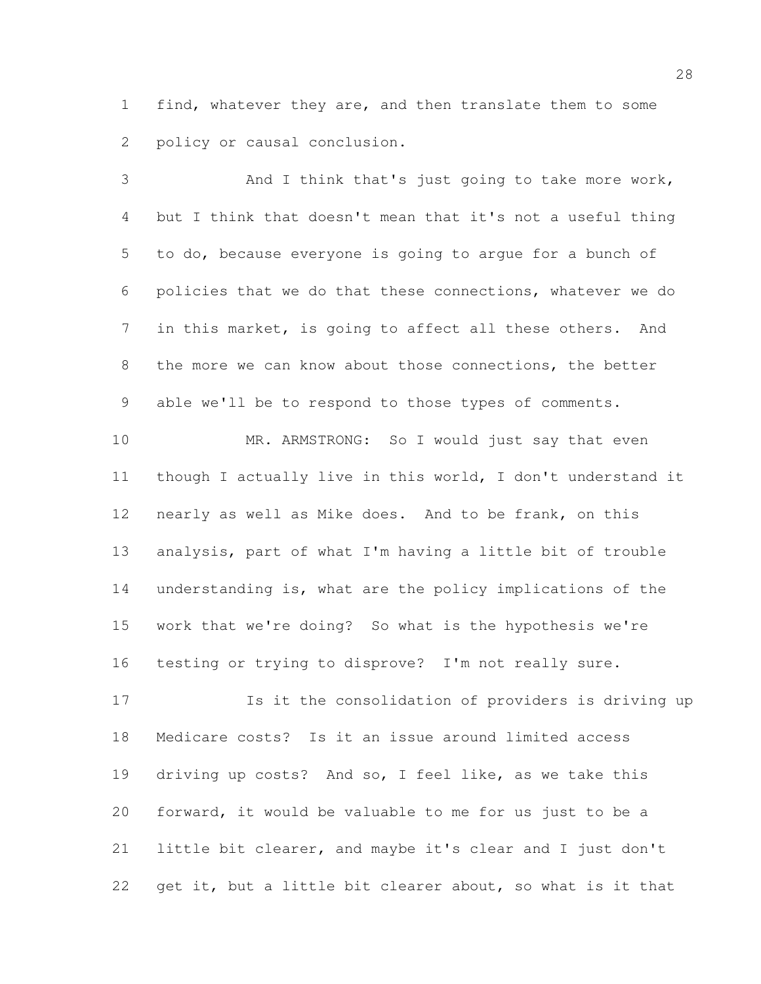find, whatever they are, and then translate them to some policy or causal conclusion.

 And I think that's just going to take more work, but I think that doesn't mean that it's not a useful thing to do, because everyone is going to argue for a bunch of policies that we do that these connections, whatever we do in this market, is going to affect all these others. And 8 the more we can know about those connections, the better able we'll be to respond to those types of comments.

 MR. ARMSTRONG: So I would just say that even though I actually live in this world, I don't understand it nearly as well as Mike does. And to be frank, on this analysis, part of what I'm having a little bit of trouble understanding is, what are the policy implications of the work that we're doing? So what is the hypothesis we're testing or trying to disprove? I'm not really sure.

 Is it the consolidation of providers is driving up Medicare costs? Is it an issue around limited access driving up costs? And so, I feel like, as we take this forward, it would be valuable to me for us just to be a little bit clearer, and maybe it's clear and I just don't 22 get it, but a little bit clearer about, so what is it that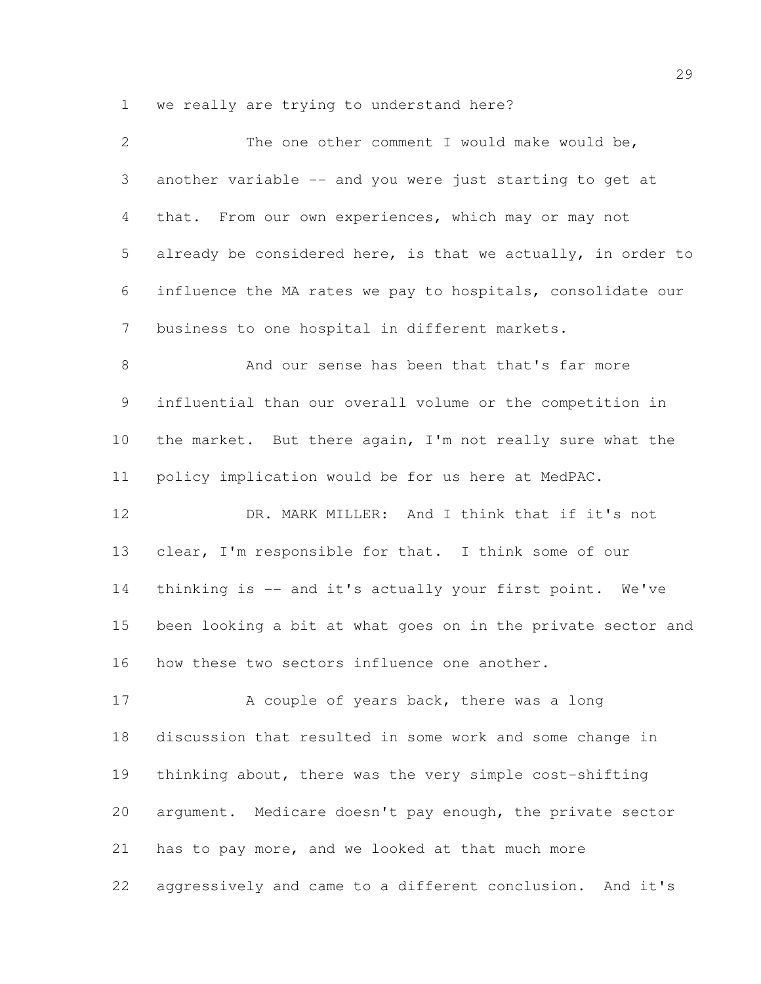we really are trying to understand here?

| 2               | The one other comment I would make would be,                 |
|-----------------|--------------------------------------------------------------|
| 3               | another variable -- and you were just starting to get at     |
| 4               | that. From our own experiences, which may or may not         |
| 5               | already be considered here, is that we actually, in order to |
| 6               | influence the MA rates we pay to hospitals, consolidate our  |
| $7\phantom{.0}$ | business to one hospital in different markets.               |
| 8               | And our sense has been that that's far more                  |
| 9               | influential than our overall volume or the competition in    |
| 10              | the market. But there again, I'm not really sure what the    |
| 11              | policy implication would be for us here at MedPAC.           |
| 12              | DR. MARK MILLER: And I think that if it's not                |
| 13              | clear, I'm responsible for that. I think some of our         |
| 14              | thinking is -- and it's actually your first point. We've     |
| 15              | been looking a bit at what goes on in the private sector and |
| 16              | how these two sectors influence one another.                 |
| 17              | A couple of years back, there was a long                     |
| 18              | discussion that resulted in some work and some change in     |
| 19              | thinking about, there was the very simple cost-shifting      |
| 20              | argument. Medicare doesn't pay enough, the private sector    |
| 21              | has to pay more, and we looked at that much more             |
| 22              | aggressively and came to a different conclusion. And it's    |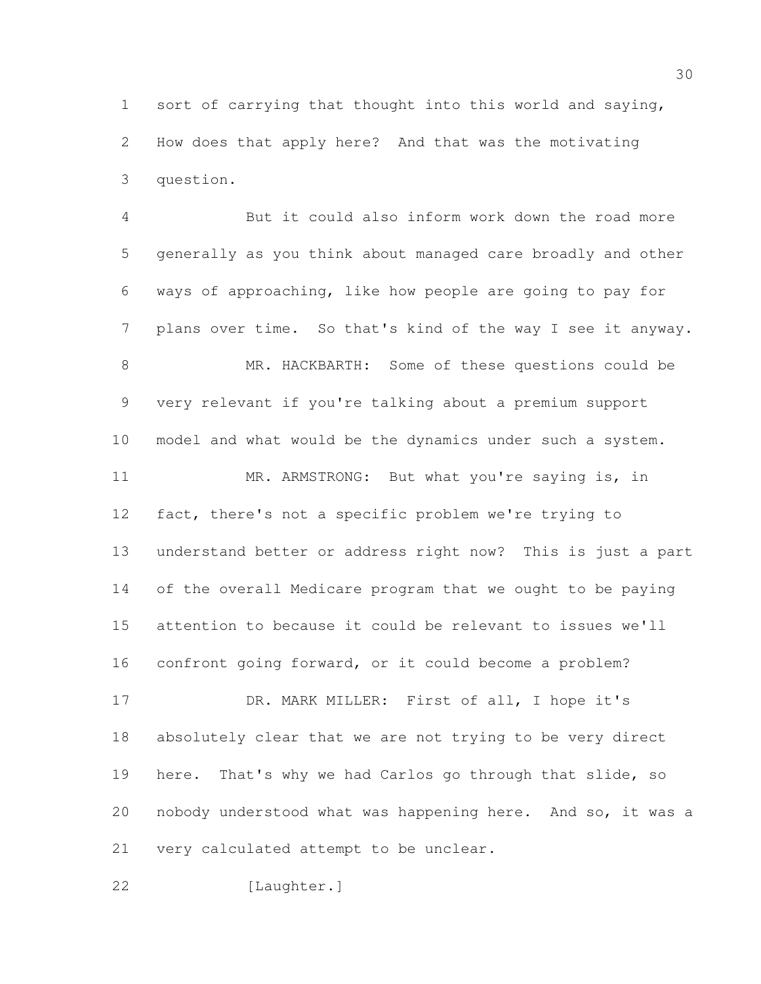sort of carrying that thought into this world and saying, How does that apply here? And that was the motivating question.

 But it could also inform work down the road more generally as you think about managed care broadly and other ways of approaching, like how people are going to pay for plans over time. So that's kind of the way I see it anyway. MR. HACKBARTH: Some of these questions could be very relevant if you're talking about a premium support model and what would be the dynamics under such a system. 11 MR. ARMSTRONG: But what you're saying is, in fact, there's not a specific problem we're trying to understand better or address right now? This is just a part of the overall Medicare program that we ought to be paying attention to because it could be relevant to issues we'll confront going forward, or it could become a problem? DR. MARK MILLER: First of all, I hope it's absolutely clear that we are not trying to be very direct here. That's why we had Carlos go through that slide, so nobody understood what was happening here. And so, it was a very calculated attempt to be unclear.

[Laughter.]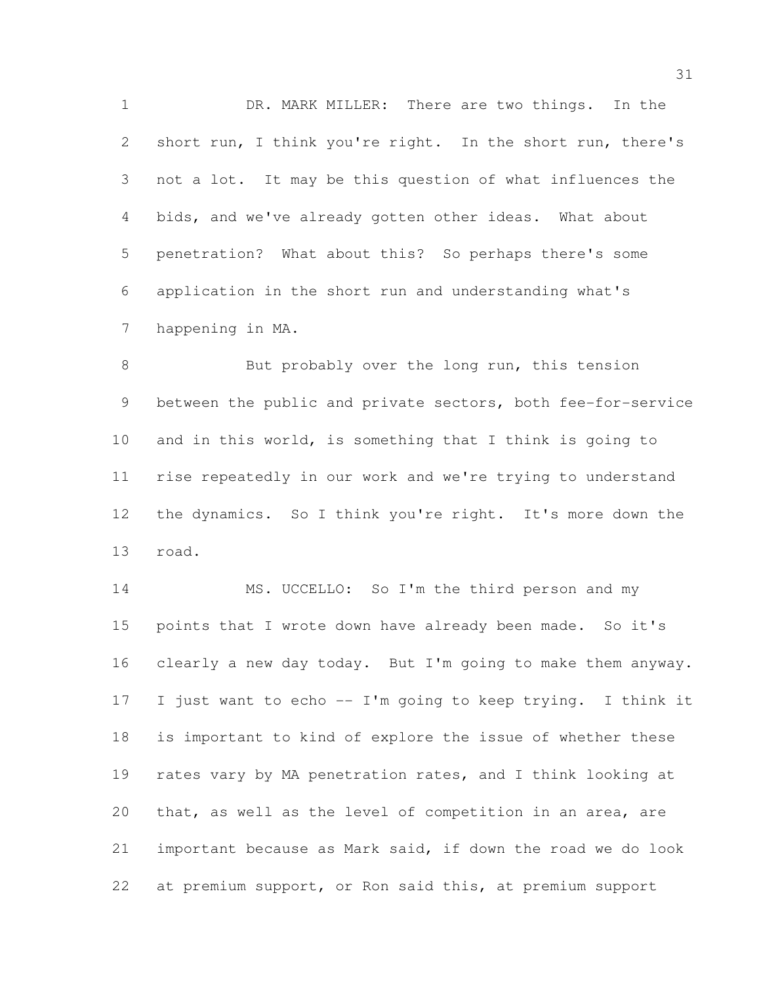DR. MARK MILLER: There are two things. In the 2 short run, I think you're right. In the short run, there's not a lot. It may be this question of what influences the bids, and we've already gotten other ideas. What about penetration? What about this? So perhaps there's some application in the short run and understanding what's happening in MA.

8 But probably over the long run, this tension between the public and private sectors, both fee-for-service and in this world, is something that I think is going to rise repeatedly in our work and we're trying to understand the dynamics. So I think you're right. It's more down the road.

14 MS. UCCELLO: So I'm the third person and my 15 points that I wrote down have already been made. So it's clearly a new day today. But I'm going to make them anyway. I just want to echo -- I'm going to keep trying. I think it is important to kind of explore the issue of whether these rates vary by MA penetration rates, and I think looking at that, as well as the level of competition in an area, are important because as Mark said, if down the road we do look at premium support, or Ron said this, at premium support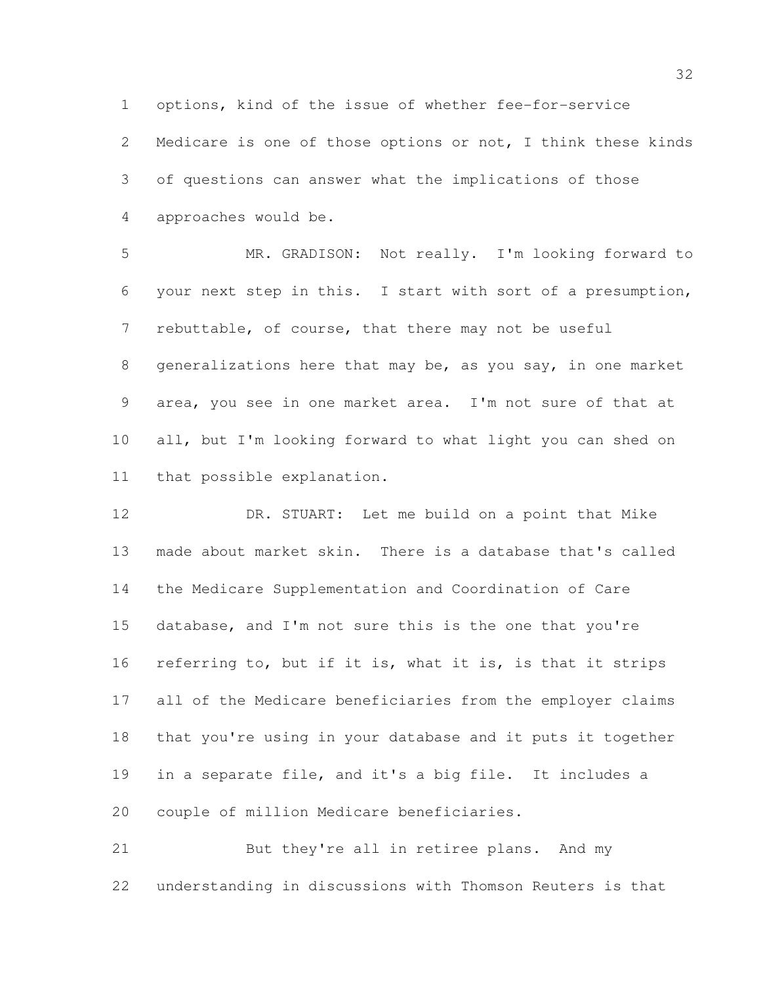options, kind of the issue of whether fee-for-service

 Medicare is one of those options or not, I think these kinds of questions can answer what the implications of those approaches would be.

 MR. GRADISON: Not really. I'm looking forward to your next step in this. I start with sort of a presumption, rebuttable, of course, that there may not be useful generalizations here that may be, as you say, in one market area, you see in one market area. I'm not sure of that at all, but I'm looking forward to what light you can shed on that possible explanation.

 DR. STUART: Let me build on a point that Mike made about market skin. There is a database that's called the Medicare Supplementation and Coordination of Care database, and I'm not sure this is the one that you're referring to, but if it is, what it is, is that it strips all of the Medicare beneficiaries from the employer claims that you're using in your database and it puts it together in a separate file, and it's a big file. It includes a couple of million Medicare beneficiaries.

 But they're all in retiree plans. And my understanding in discussions with Thomson Reuters is that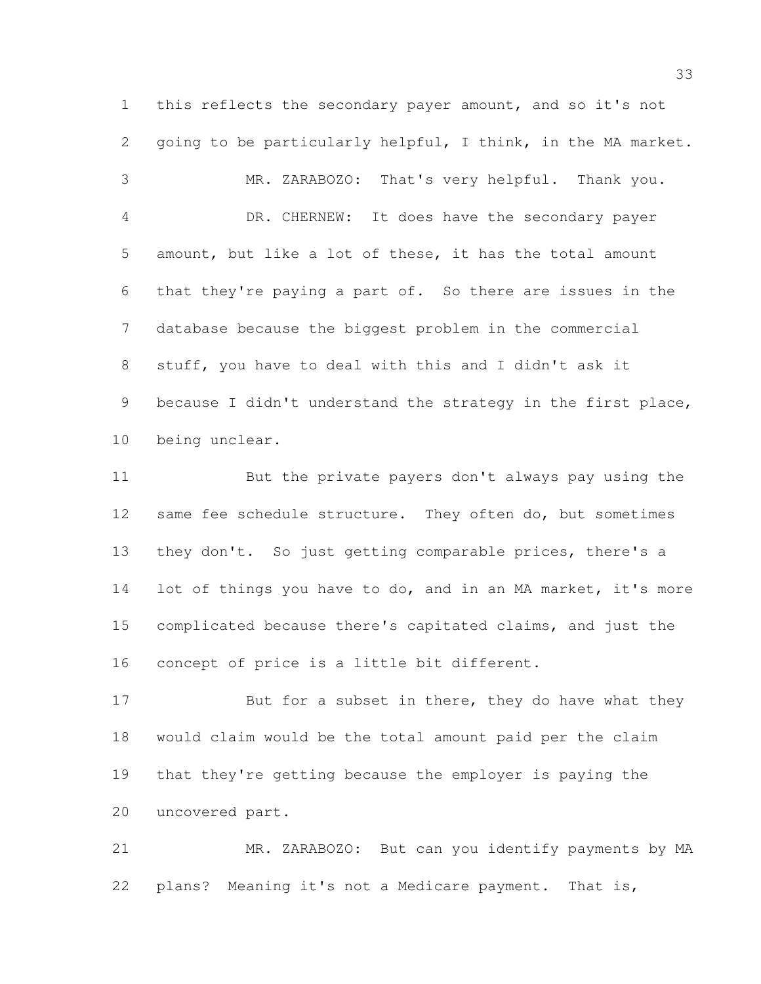this reflects the secondary payer amount, and so it's not going to be particularly helpful, I think, in the MA market. MR. ZARABOZO: That's very helpful. Thank you. DR. CHERNEW: It does have the secondary payer amount, but like a lot of these, it has the total amount that they're paying a part of. So there are issues in the database because the biggest problem in the commercial stuff, you have to deal with this and I didn't ask it 9 because I didn't understand the strategy in the first place, being unclear.

 But the private payers don't always pay using the 12 same fee schedule structure. They often do, but sometimes they don't. So just getting comparable prices, there's a 14 lot of things you have to do, and in an MA market, it's more complicated because there's capitated claims, and just the concept of price is a little bit different.

17 But for a subset in there, they do have what they would claim would be the total amount paid per the claim that they're getting because the employer is paying the uncovered part.

 MR. ZARABOZO: But can you identify payments by MA plans? Meaning it's not a Medicare payment. That is,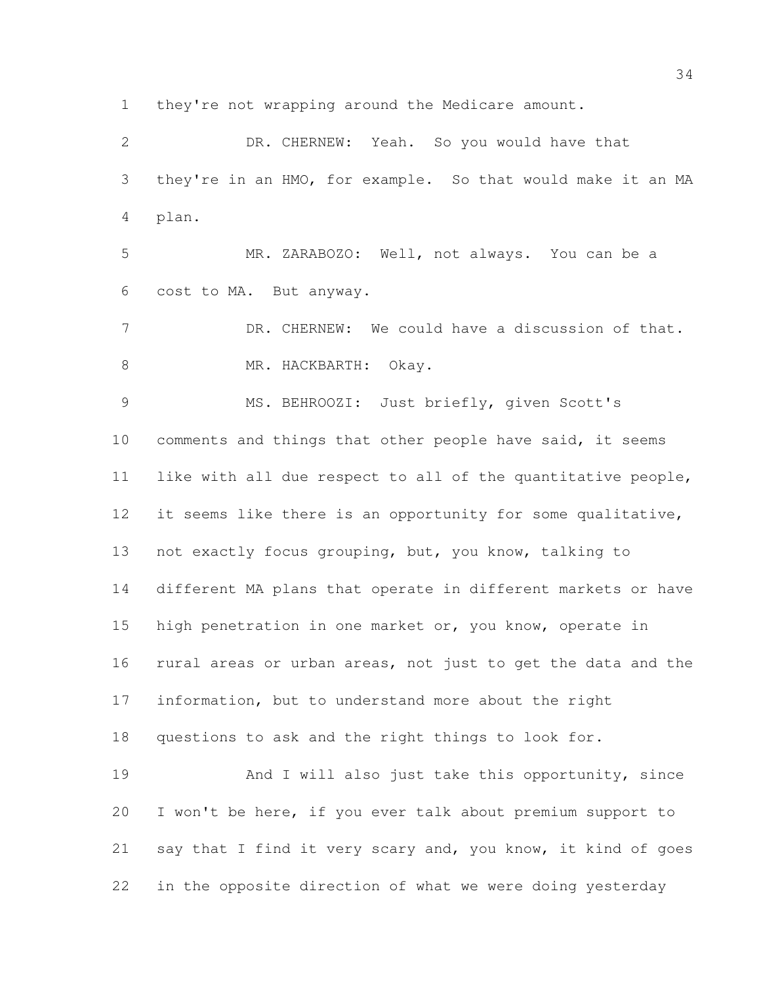they're not wrapping around the Medicare amount.

 DR. CHERNEW: Yeah. So you would have that they're in an HMO, for example. So that would make it an MA plan. MR. ZARABOZO: Well, not always. You can be a cost to MA. But anyway. 7 DR. CHERNEW: We could have a discussion of that. 8 MR. HACKBARTH: Okay. MS. BEHROOZI: Just briefly, given Scott's comments and things that other people have said, it seems like with all due respect to all of the quantitative people, it seems like there is an opportunity for some qualitative, not exactly focus grouping, but, you know, talking to different MA plans that operate in different markets or have high penetration in one market or, you know, operate in rural areas or urban areas, not just to get the data and the information, but to understand more about the right questions to ask and the right things to look for. 19 And I will also just take this opportunity, since I won't be here, if you ever talk about premium support to say that I find it very scary and, you know, it kind of goes

in the opposite direction of what we were doing yesterday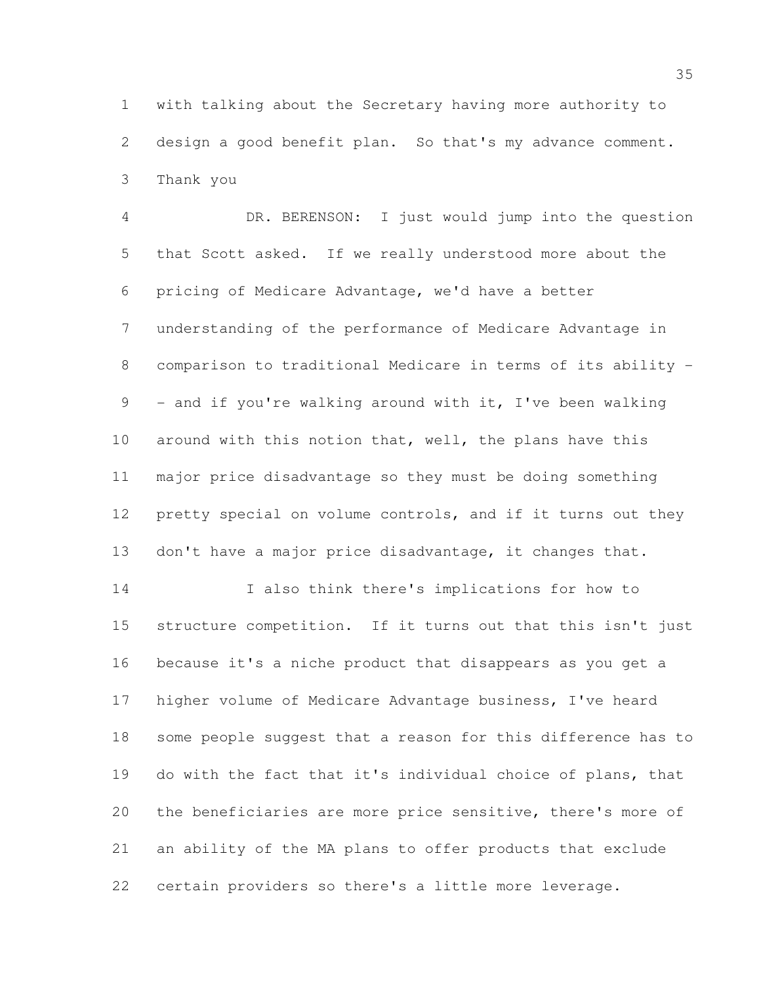with talking about the Secretary having more authority to design a good benefit plan. So that's my advance comment. Thank you

 DR. BERENSON: I just would jump into the question that Scott asked. If we really understood more about the pricing of Medicare Advantage, we'd have a better understanding of the performance of Medicare Advantage in comparison to traditional Medicare in terms of its ability - 9 - and if you're walking around with it, I've been walking 10 around with this notion that, well, the plans have this major price disadvantage so they must be doing something pretty special on volume controls, and if it turns out they don't have a major price disadvantage, it changes that.

 I also think there's implications for how to structure competition. If it turns out that this isn't just because it's a niche product that disappears as you get a higher volume of Medicare Advantage business, I've heard some people suggest that a reason for this difference has to do with the fact that it's individual choice of plans, that the beneficiaries are more price sensitive, there's more of an ability of the MA plans to offer products that exclude certain providers so there's a little more leverage.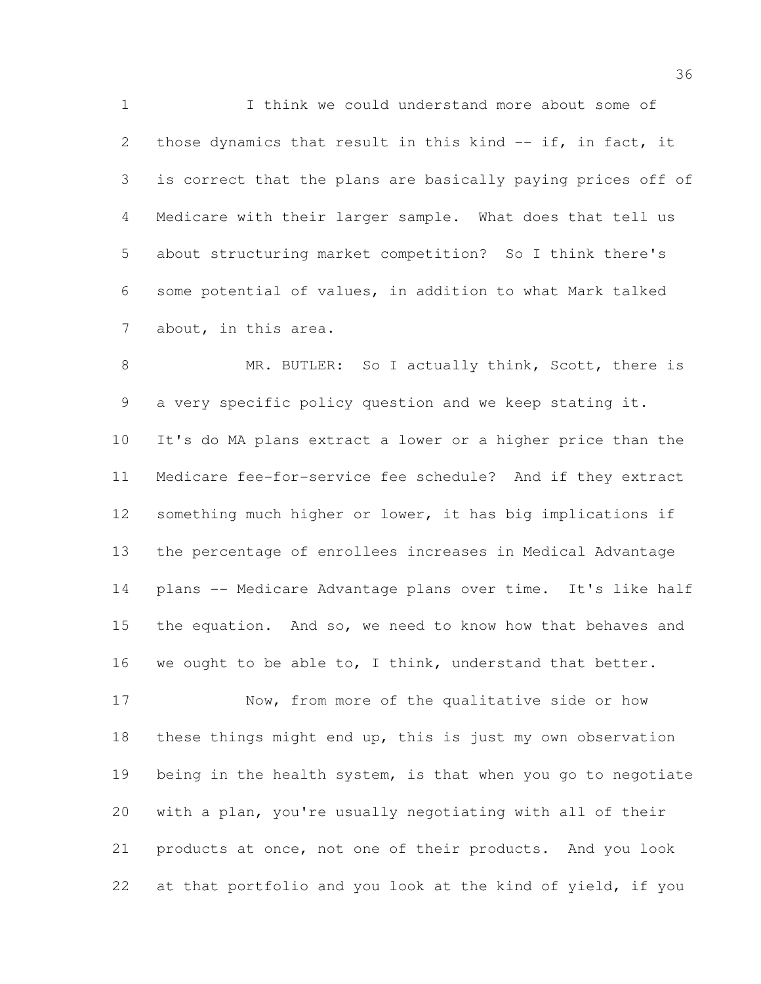I think we could understand more about some of 2 those dynamics that result in this kind -- if, in fact, it is correct that the plans are basically paying prices off of Medicare with their larger sample. What does that tell us about structuring market competition? So I think there's some potential of values, in addition to what Mark talked about, in this area.

8 MR. BUTLER: So I actually think, Scott, there is a very specific policy question and we keep stating it. It's do MA plans extract a lower or a higher price than the Medicare fee-for-service fee schedule? And if they extract 12 something much higher or lower, it has big implications if the percentage of enrollees increases in Medical Advantage plans -- Medicare Advantage plans over time. It's like half the equation. And so, we need to know how that behaves and 16 we ought to be able to, I think, understand that better.

 Now, from more of the qualitative side or how these things might end up, this is just my own observation being in the health system, is that when you go to negotiate with a plan, you're usually negotiating with all of their products at once, not one of their products. And you look at that portfolio and you look at the kind of yield, if you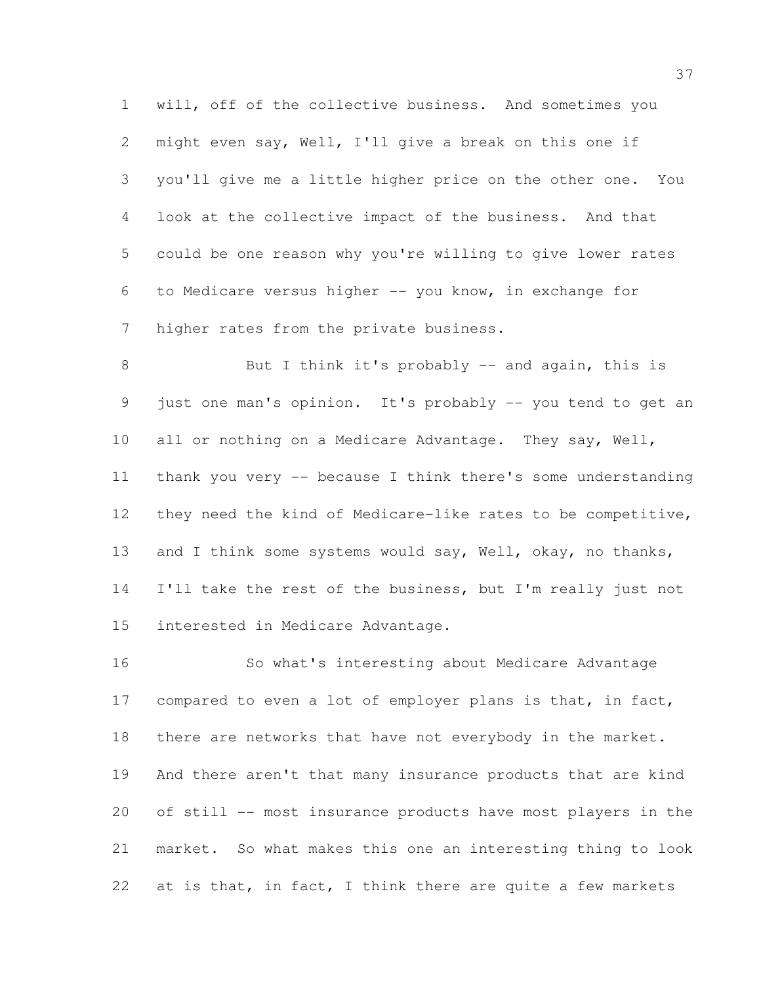will, off of the collective business. And sometimes you might even say, Well, I'll give a break on this one if you'll give me a little higher price on the other one. You look at the collective impact of the business. And that could be one reason why you're willing to give lower rates to Medicare versus higher -- you know, in exchange for higher rates from the private business.

8 But I think it's probably -- and again, this is just one man's opinion. It's probably -- you tend to get an all or nothing on a Medicare Advantage. They say, Well, thank you very -- because I think there's some understanding they need the kind of Medicare-like rates to be competitive, 13 and I think some systems would say, Well, okay, no thanks, 14 I'll take the rest of the business, but I'm really just not interested in Medicare Advantage.

 So what's interesting about Medicare Advantage 17 compared to even a lot of employer plans is that, in fact, 18 there are networks that have not everybody in the market. And there aren't that many insurance products that are kind of still -- most insurance products have most players in the market. So what makes this one an interesting thing to look 22 at is that, in fact, I think there are quite a few markets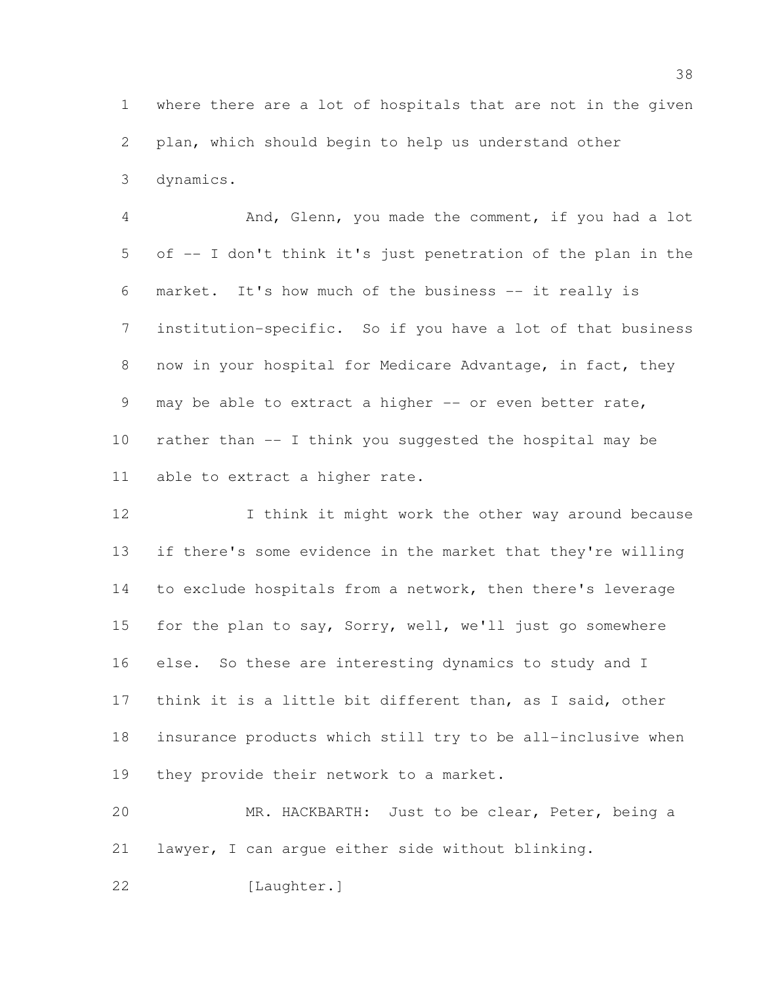where there are a lot of hospitals that are not in the given plan, which should begin to help us understand other dynamics.

 And, Glenn, you made the comment, if you had a lot of -- I don't think it's just penetration of the plan in the market. It's how much of the business -- it really is institution-specific. So if you have a lot of that business now in your hospital for Medicare Advantage, in fact, they 9 may be able to extract a higher -- or even better rate, rather than -- I think you suggested the hospital may be able to extract a higher rate.

12 I think it might work the other way around because if there's some evidence in the market that they're willing to exclude hospitals from a network, then there's leverage for the plan to say, Sorry, well, we'll just go somewhere else. So these are interesting dynamics to study and I think it is a little bit different than, as I said, other insurance products which still try to be all-inclusive when 19 they provide their network to a market.

 MR. HACKBARTH: Just to be clear, Peter, being a lawyer, I can argue either side without blinking.

[Laughter.]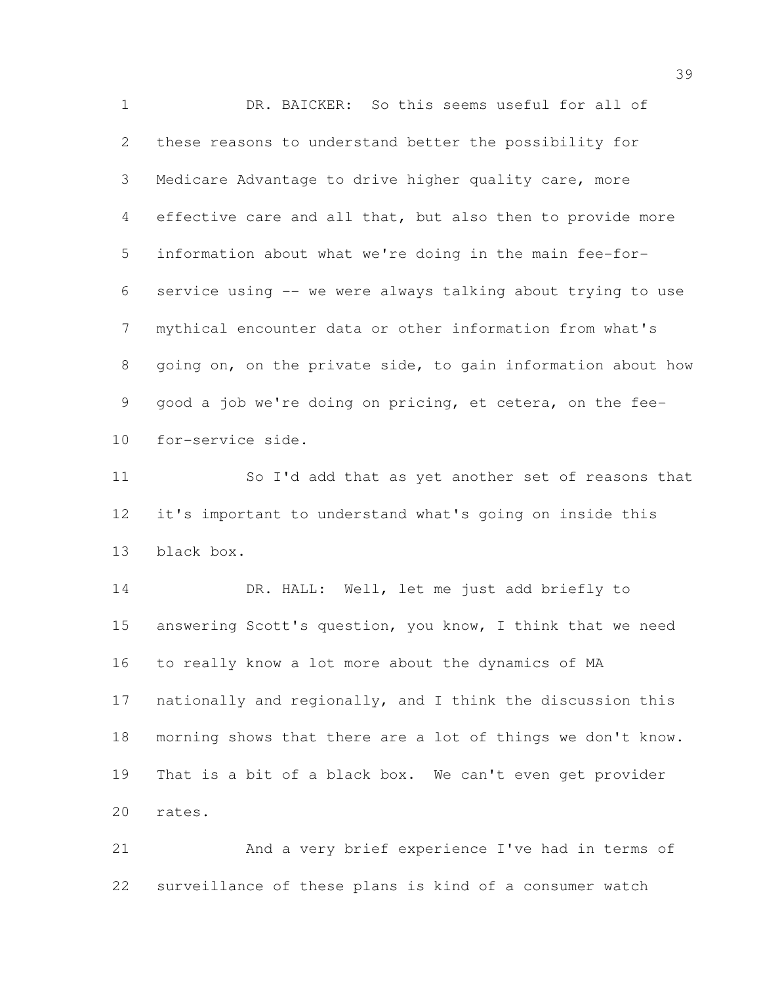DR. BAICKER: So this seems useful for all of these reasons to understand better the possibility for Medicare Advantage to drive higher quality care, more effective care and all that, but also then to provide more information about what we're doing in the main fee-for- service using -- we were always talking about trying to use mythical encounter data or other information from what's going on, on the private side, to gain information about how good a job we're doing on pricing, et cetera, on the fee-for-service side.

 So I'd add that as yet another set of reasons that it's important to understand what's going on inside this black box.

14 DR. HALL: Well, let me just add briefly to answering Scott's question, you know, I think that we need to really know a lot more about the dynamics of MA nationally and regionally, and I think the discussion this morning shows that there are a lot of things we don't know. That is a bit of a black box. We can't even get provider rates.

 And a very brief experience I've had in terms of surveillance of these plans is kind of a consumer watch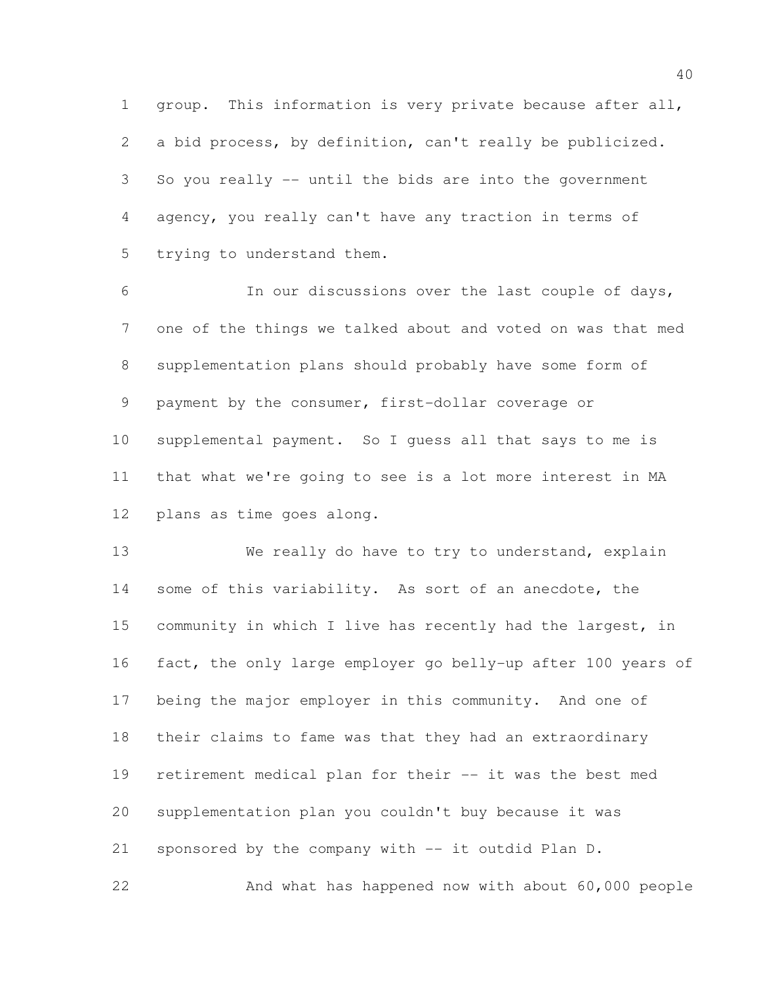group. This information is very private because after all, a bid process, by definition, can't really be publicized. So you really -- until the bids are into the government agency, you really can't have any traction in terms of trying to understand them.

 In our discussions over the last couple of days, one of the things we talked about and voted on was that med supplementation plans should probably have some form of payment by the consumer, first-dollar coverage or supplemental payment. So I guess all that says to me is that what we're going to see is a lot more interest in MA plans as time goes along.

13 We really do have to try to understand, explain 14 some of this variability. As sort of an anecdote, the community in which I live has recently had the largest, in fact, the only large employer go belly-up after 100 years of being the major employer in this community. And one of their claims to fame was that they had an extraordinary retirement medical plan for their -- it was the best med supplementation plan you couldn't buy because it was sponsored by the company with -- it outdid Plan D. And what has happened now with about 60,000 people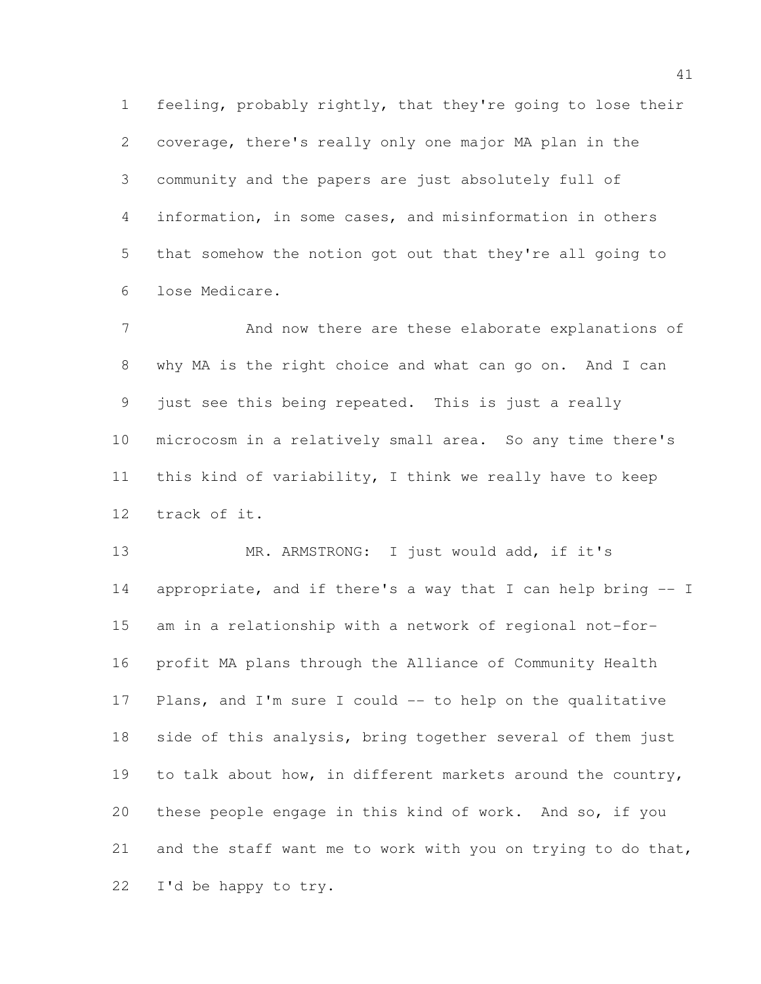feeling, probably rightly, that they're going to lose their coverage, there's really only one major MA plan in the community and the papers are just absolutely full of information, in some cases, and misinformation in others that somehow the notion got out that they're all going to lose Medicare.

 And now there are these elaborate explanations of why MA is the right choice and what can go on. And I can just see this being repeated. This is just a really microcosm in a relatively small area. So any time there's this kind of variability, I think we really have to keep track of it.

13 MR. ARMSTRONG: I just would add, if it's appropriate, and if there's a way that I can help bring -- I am in a relationship with a network of regional not-for- profit MA plans through the Alliance of Community Health Plans, and I'm sure I could -- to help on the qualitative side of this analysis, bring together several of them just 19 to talk about how, in different markets around the country, these people engage in this kind of work. And so, if you and the staff want me to work with you on trying to do that, I'd be happy to try.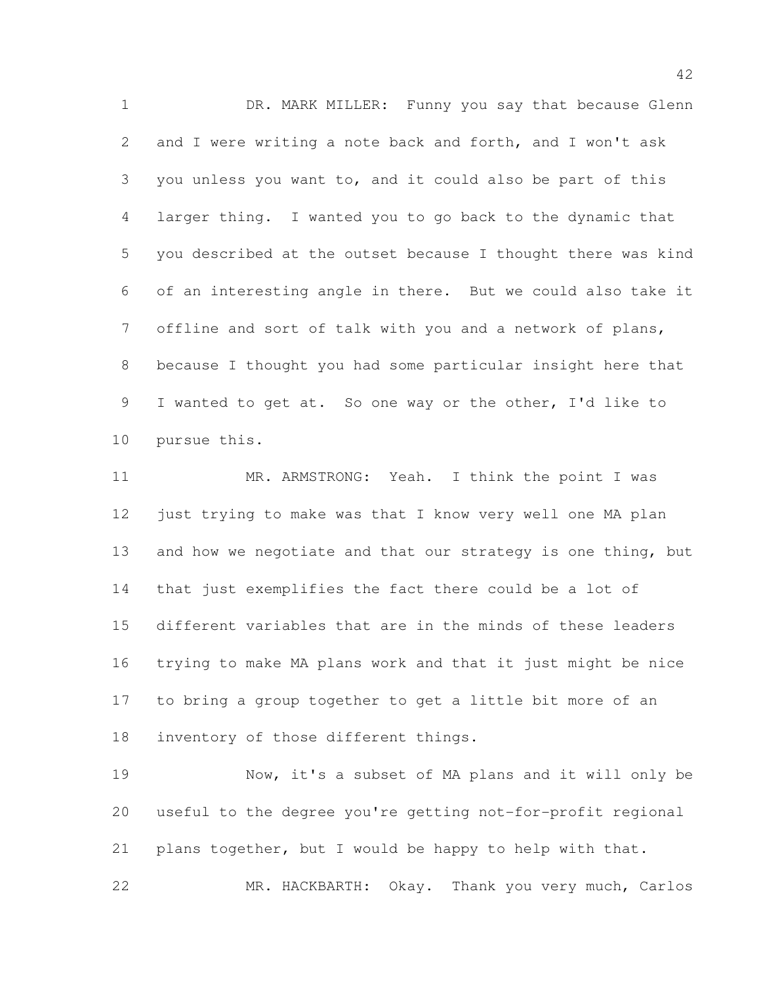DR. MARK MILLER: Funny you say that because Glenn and I were writing a note back and forth, and I won't ask you unless you want to, and it could also be part of this larger thing. I wanted you to go back to the dynamic that you described at the outset because I thought there was kind of an interesting angle in there. But we could also take it offline and sort of talk with you and a network of plans, because I thought you had some particular insight here that I wanted to get at. So one way or the other, I'd like to pursue this.

 MR. ARMSTRONG: Yeah. I think the point I was just trying to make was that I know very well one MA plan 13 and how we negotiate and that our strategy is one thing, but that just exemplifies the fact there could be a lot of different variables that are in the minds of these leaders trying to make MA plans work and that it just might be nice to bring a group together to get a little bit more of an inventory of those different things.

 Now, it's a subset of MA plans and it will only be useful to the degree you're getting not-for-profit regional plans together, but I would be happy to help with that. MR. HACKBARTH: Okay. Thank you very much, Carlos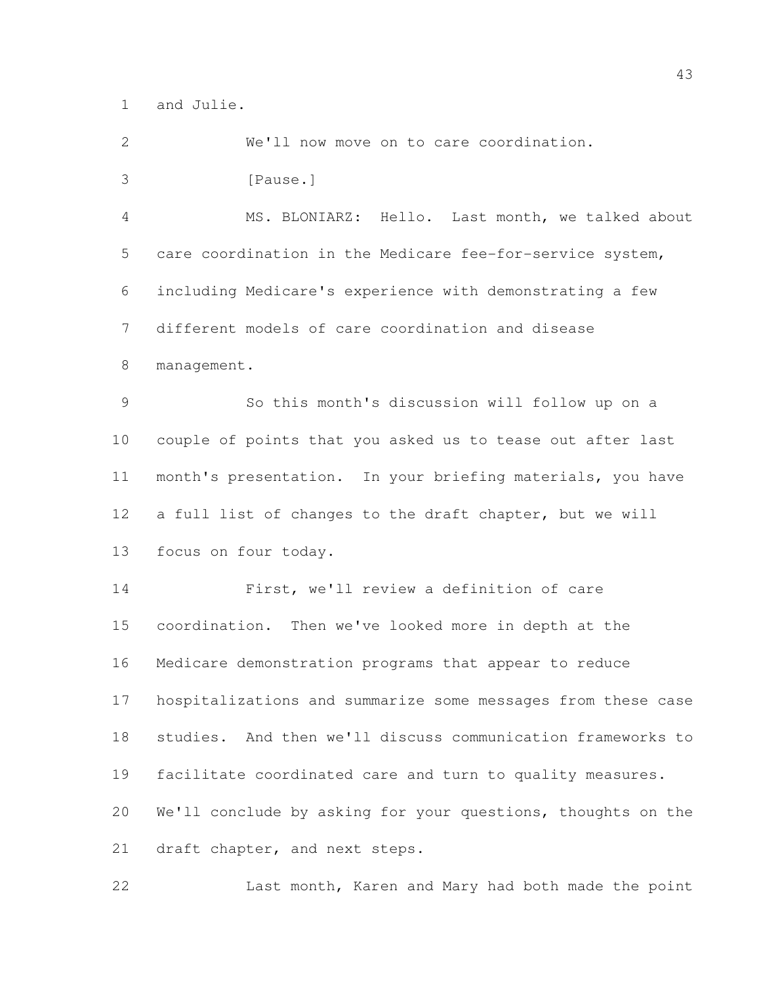and Julie.

 We'll now move on to care coordination. 3 [Pause.] MS. BLONIARZ: Hello. Last month, we talked about care coordination in the Medicare fee-for-service system, including Medicare's experience with demonstrating a few different models of care coordination and disease management. So this month's discussion will follow up on a couple of points that you asked us to tease out after last month's presentation. In your briefing materials, you have a full list of changes to the draft chapter, but we will focus on four today. First, we'll review a definition of care coordination. Then we've looked more in depth at the Medicare demonstration programs that appear to reduce hospitalizations and summarize some messages from these case studies. And then we'll discuss communication frameworks to facilitate coordinated care and turn to quality measures. We'll conclude by asking for your questions, thoughts on the 21 draft chapter, and next steps. Last month, Karen and Mary had both made the point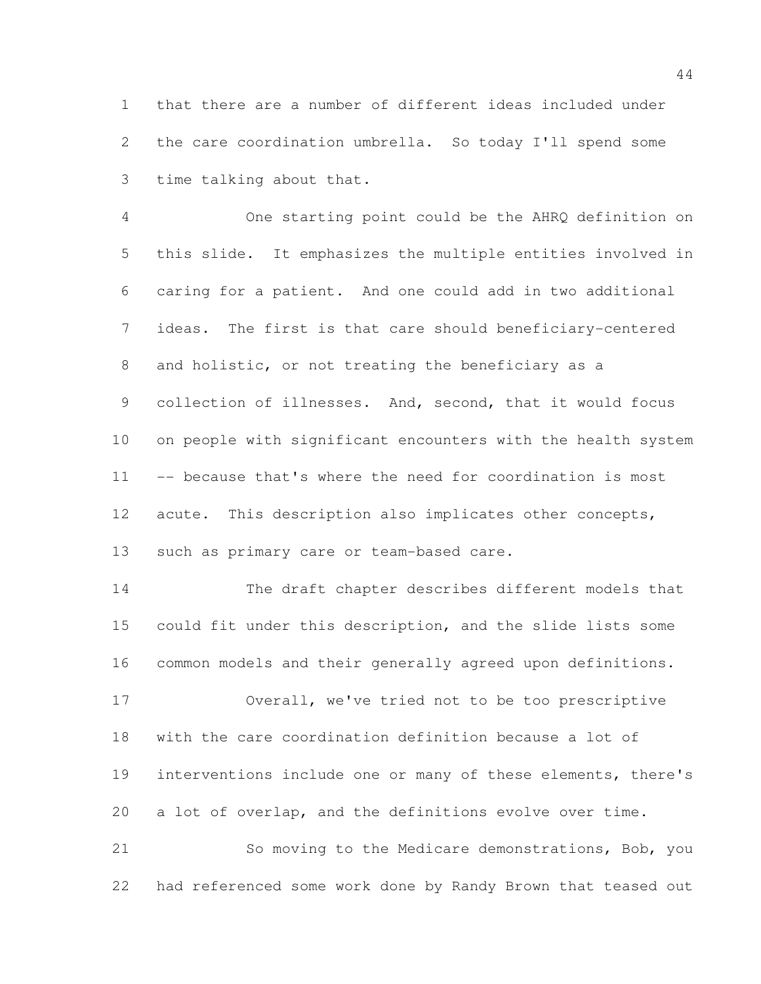that there are a number of different ideas included under the care coordination umbrella. So today I'll spend some time talking about that.

 One starting point could be the AHRQ definition on this slide. It emphasizes the multiple entities involved in caring for a patient. And one could add in two additional ideas. The first is that care should beneficiary-centered and holistic, or not treating the beneficiary as a 9 collection of illnesses. And, second, that it would focus on people with significant encounters with the health system -- because that's where the need for coordination is most acute. This description also implicates other concepts, 13 such as primary care or team-based care.

 The draft chapter describes different models that could fit under this description, and the slide lists some common models and their generally agreed upon definitions. Overall, we've tried not to be too prescriptive with the care coordination definition because a lot of

 interventions include one or many of these elements, there's a lot of overlap, and the definitions evolve over time.

 So moving to the Medicare demonstrations, Bob, you had referenced some work done by Randy Brown that teased out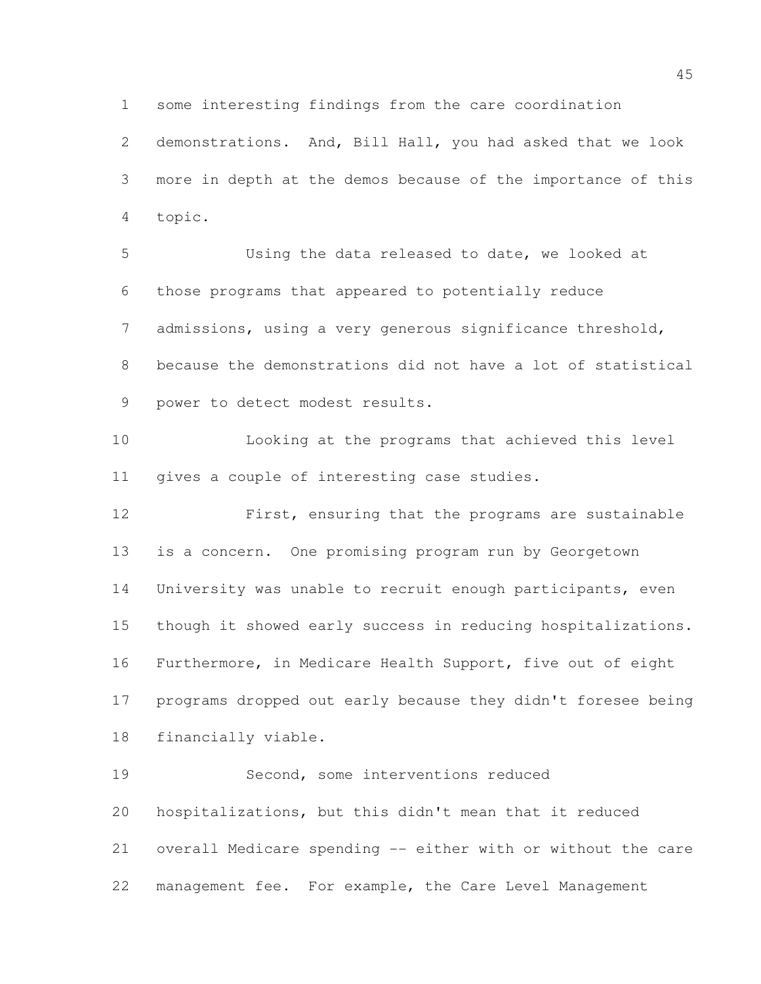some interesting findings from the care coordination

 demonstrations. And, Bill Hall, you had asked that we look more in depth at the demos because of the importance of this topic.

 Using the data released to date, we looked at those programs that appeared to potentially reduce admissions, using a very generous significance threshold, because the demonstrations did not have a lot of statistical power to detect modest results.

 Looking at the programs that achieved this level gives a couple of interesting case studies.

 First, ensuring that the programs are sustainable is a concern. One promising program run by Georgetown University was unable to recruit enough participants, even though it showed early success in reducing hospitalizations. Furthermore, in Medicare Health Support, five out of eight programs dropped out early because they didn't foresee being financially viable.

 Second, some interventions reduced hospitalizations, but this didn't mean that it reduced overall Medicare spending -- either with or without the care management fee. For example, the Care Level Management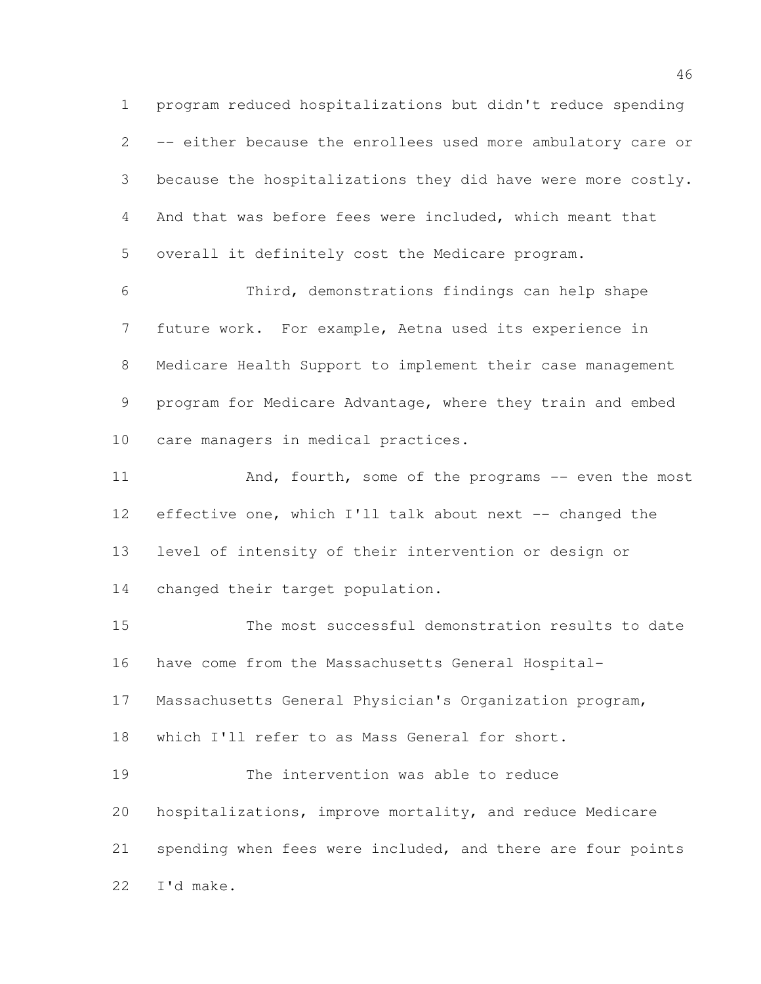program reduced hospitalizations but didn't reduce spending -- either because the enrollees used more ambulatory care or because the hospitalizations they did have were more costly. And that was before fees were included, which meant that overall it definitely cost the Medicare program.

 Third, demonstrations findings can help shape future work. For example, Aetna used its experience in Medicare Health Support to implement their case management program for Medicare Advantage, where they train and embed care managers in medical practices.

11 And, fourth, some of the programs -- even the most effective one, which I'll talk about next -- changed the level of intensity of their intervention or design or changed their target population.

 The most successful demonstration results to date have come from the Massachusetts General Hospital- Massachusetts General Physician's Organization program, which I'll refer to as Mass General for short. The intervention was able to reduce hospitalizations, improve mortality, and reduce Medicare spending when fees were included, and there are four points I'd make.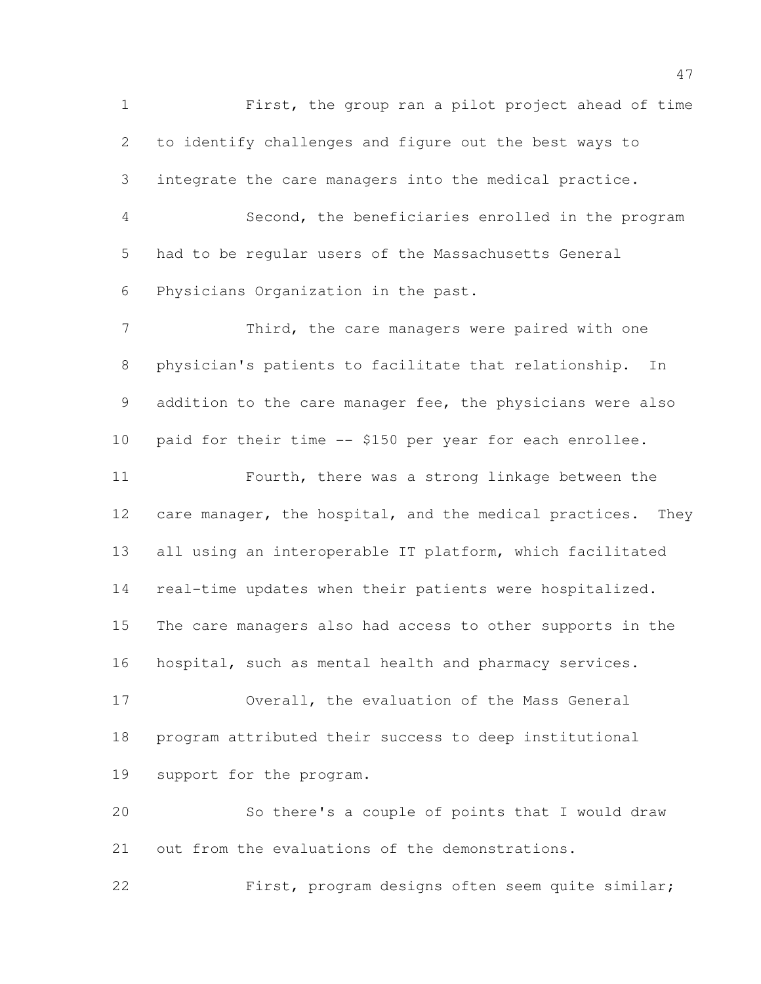First, the group ran a pilot project ahead of time to identify challenges and figure out the best ways to integrate the care managers into the medical practice. Second, the beneficiaries enrolled in the program had to be regular users of the Massachusetts General Physicians Organization in the past. 7 Third, the care managers were paired with one physician's patients to facilitate that relationship. In addition to the care manager fee, the physicians were also paid for their time -- \$150 per year for each enrollee. Fourth, there was a strong linkage between the 12 care manager, the hospital, and the medical practices. They all using an interoperable IT platform, which facilitated real-time updates when their patients were hospitalized. The care managers also had access to other supports in the hospital, such as mental health and pharmacy services. Overall, the evaluation of the Mass General program attributed their success to deep institutional support for the program. So there's a couple of points that I would draw out from the evaluations of the demonstrations. First, program designs often seem quite similar;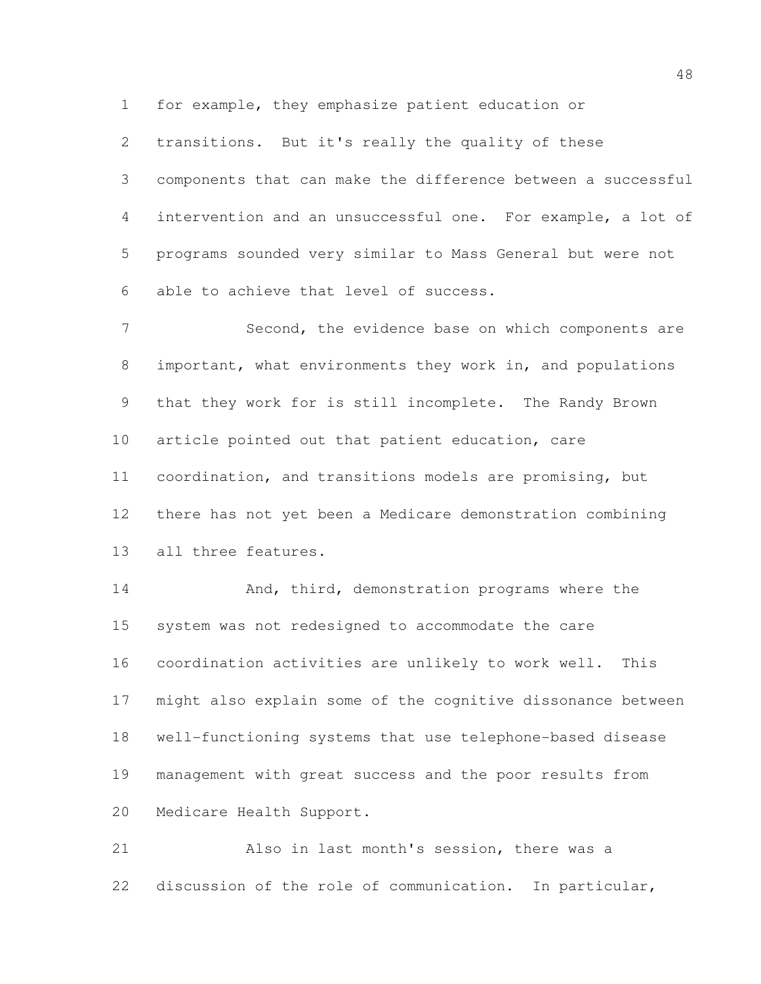for example, they emphasize patient education or

transitions. But it's really the quality of these

 components that can make the difference between a successful intervention and an unsuccessful one. For example, a lot of programs sounded very similar to Mass General but were not able to achieve that level of success.

7 Second, the evidence base on which components are important, what environments they work in, and populations that they work for is still incomplete. The Randy Brown article pointed out that patient education, care coordination, and transitions models are promising, but there has not yet been a Medicare demonstration combining all three features.

14 And, third, demonstration programs where the system was not redesigned to accommodate the care coordination activities are unlikely to work well. This might also explain some of the cognitive dissonance between well-functioning systems that use telephone-based disease management with great success and the poor results from Medicare Health Support.

 Also in last month's session, there was a discussion of the role of communication. In particular,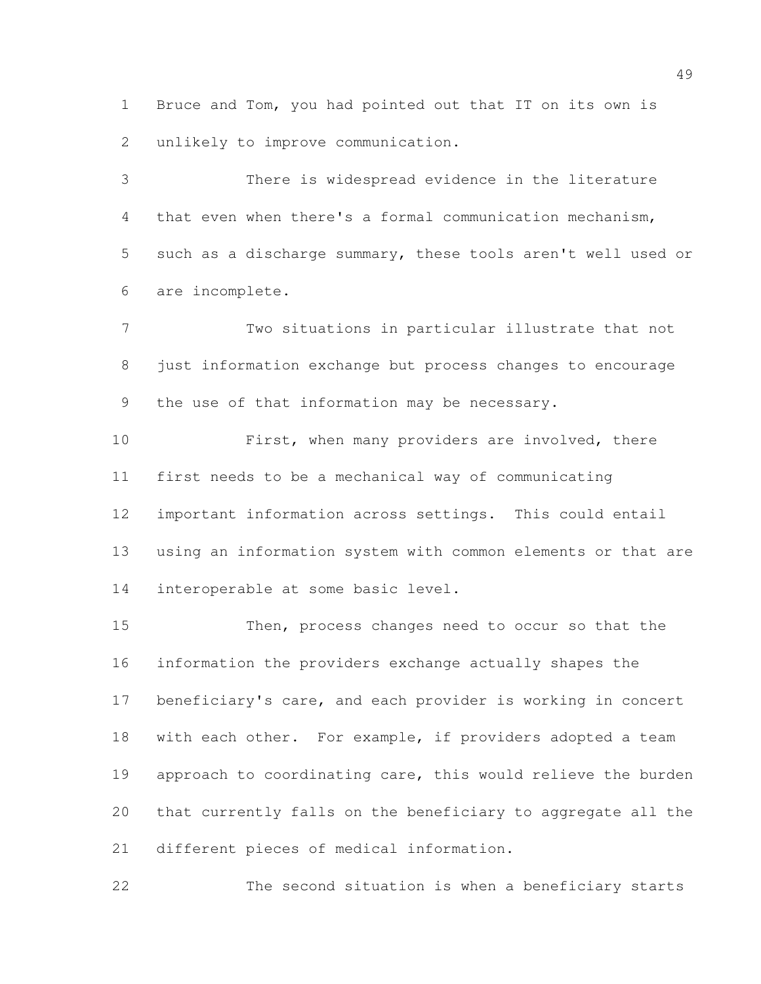Bruce and Tom, you had pointed out that IT on its own is unlikely to improve communication.

 There is widespread evidence in the literature that even when there's a formal communication mechanism, such as a discharge summary, these tools aren't well used or are incomplete.

 Two situations in particular illustrate that not just information exchange but process changes to encourage the use of that information may be necessary.

 First, when many providers are involved, there first needs to be a mechanical way of communicating important information across settings. This could entail using an information system with common elements or that are interoperable at some basic level.

 Then, process changes need to occur so that the information the providers exchange actually shapes the beneficiary's care, and each provider is working in concert 18 with each other. For example, if providers adopted a team approach to coordinating care, this would relieve the burden that currently falls on the beneficiary to aggregate all the different pieces of medical information.

The second situation is when a beneficiary starts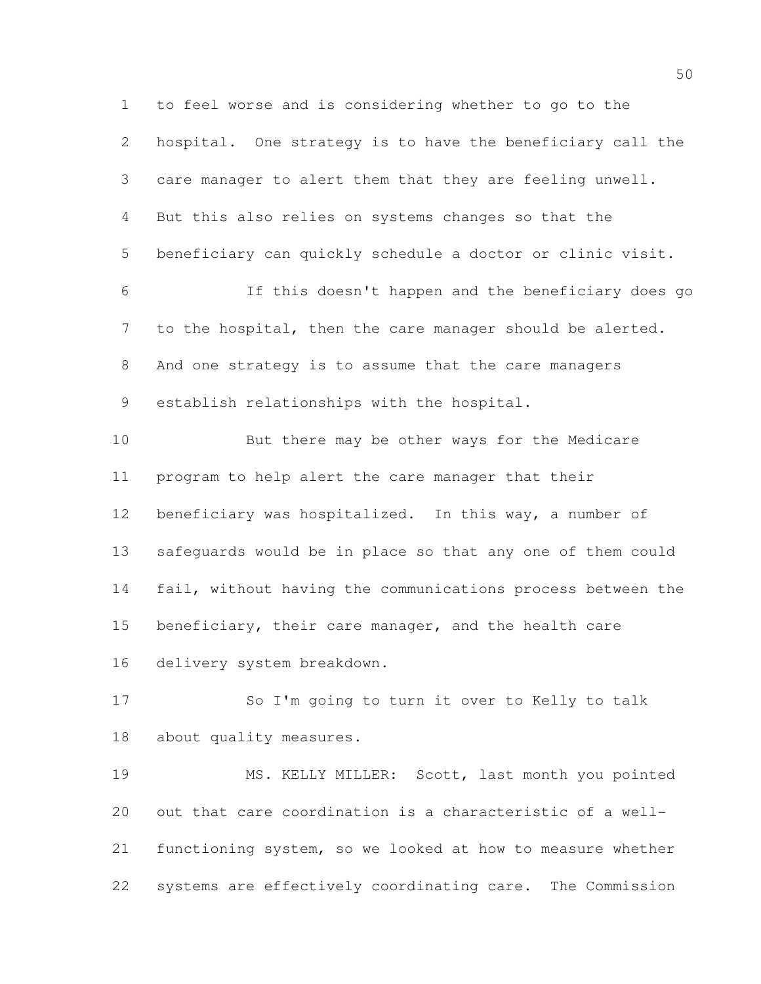to feel worse and is considering whether to go to the hospital. One strategy is to have the beneficiary call the care manager to alert them that they are feeling unwell. But this also relies on systems changes so that the beneficiary can quickly schedule a doctor or clinic visit. If this doesn't happen and the beneficiary does go to the hospital, then the care manager should be alerted. And one strategy is to assume that the care managers establish relationships with the hospital. But there may be other ways for the Medicare program to help alert the care manager that their beneficiary was hospitalized. In this way, a number of safeguards would be in place so that any one of them could fail, without having the communications process between the 15 beneficiary, their care manager, and the health care delivery system breakdown. So I'm going to turn it over to Kelly to talk about quality measures. MS. KELLY MILLER: Scott, last month you pointed out that care coordination is a characteristic of a well-

 functioning system, so we looked at how to measure whether systems are effectively coordinating care. The Commission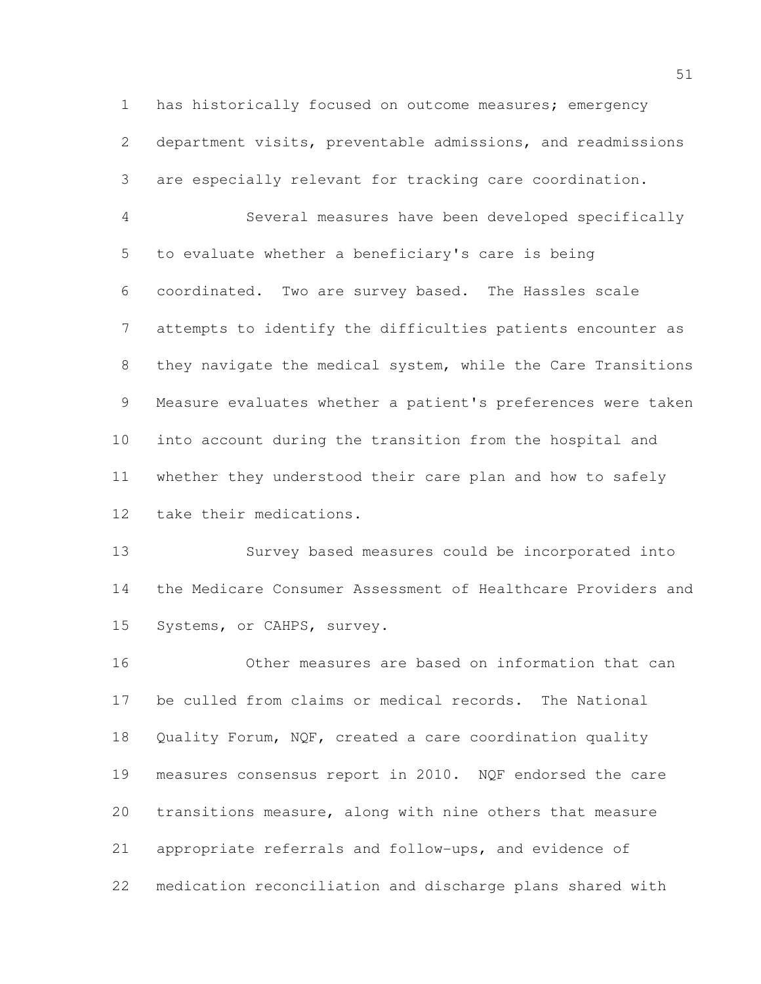has historically focused on outcome measures; emergency department visits, preventable admissions, and readmissions are especially relevant for tracking care coordination.

 Several measures have been developed specifically to evaluate whether a beneficiary's care is being coordinated. Two are survey based. The Hassles scale attempts to identify the difficulties patients encounter as they navigate the medical system, while the Care Transitions Measure evaluates whether a patient's preferences were taken into account during the transition from the hospital and whether they understood their care plan and how to safely take their medications.

 Survey based measures could be incorporated into the Medicare Consumer Assessment of Healthcare Providers and Systems, or CAHPS, survey.

 Other measures are based on information that can be culled from claims or medical records. The National Quality Forum, NQF, created a care coordination quality measures consensus report in 2010. NQF endorsed the care transitions measure, along with nine others that measure appropriate referrals and follow-ups, and evidence of medication reconciliation and discharge plans shared with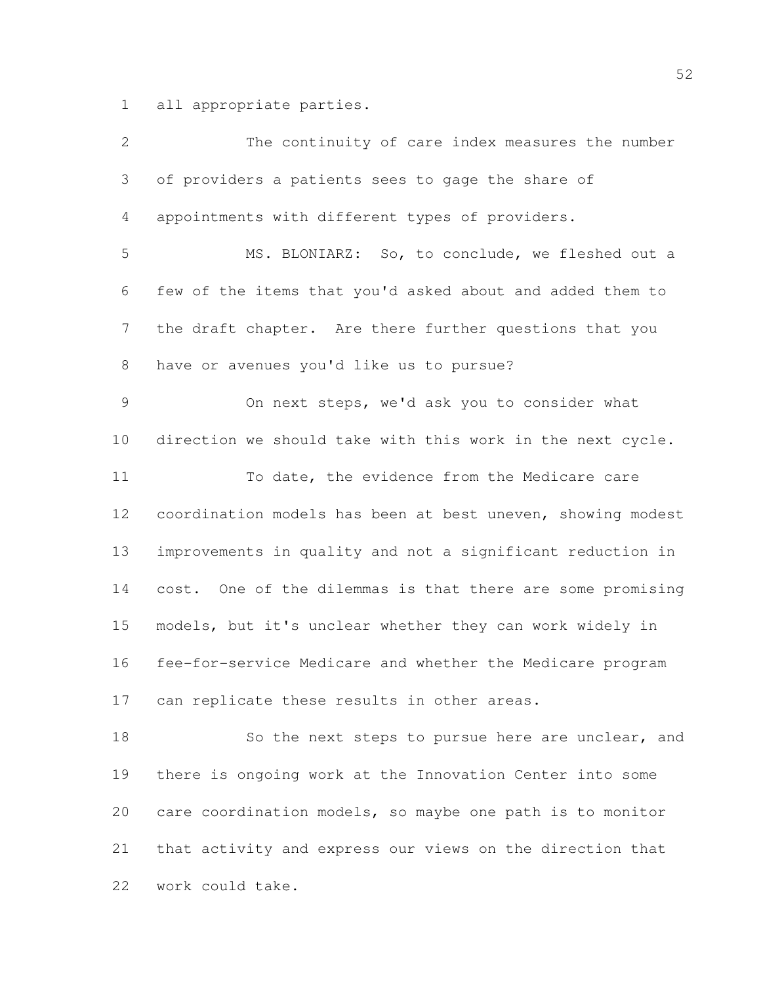all appropriate parties.

| $\mathbf{2}$ | The continuity of care index measures the number            |
|--------------|-------------------------------------------------------------|
| 3            | of providers a patients sees to gage the share of           |
| 4            | appointments with different types of providers.             |
| 5            | MS. BLONIARZ: So, to conclude, we fleshed out a             |
| 6            | few of the items that you'd asked about and added them to   |
| 7            | the draft chapter. Are there further questions that you     |
| 8            | have or avenues you'd like us to pursue?                    |
| 9            | On next steps, we'd ask you to consider what                |
| 10           | direction we should take with this work in the next cycle.  |
| 11           | To date, the evidence from the Medicare care                |
| 12           | coordination models has been at best uneven, showing modest |
| 13           | improvements in quality and not a significant reduction in  |
| 14           | cost. One of the dilemmas is that there are some promising  |
| 15           | models, but it's unclear whether they can work widely in    |
| 16           | fee-for-service Medicare and whether the Medicare program   |
| 17           | can replicate these results in other areas.                 |
| 18           | So the next steps to pursue here are unclear, and           |
| 19           | there is ongoing work at the Innovation Center into some    |
| 20           | care coordination models, so maybe one path is to monitor   |
| 21           | that activity and express our views on the direction that   |
| 22           | work could take.                                            |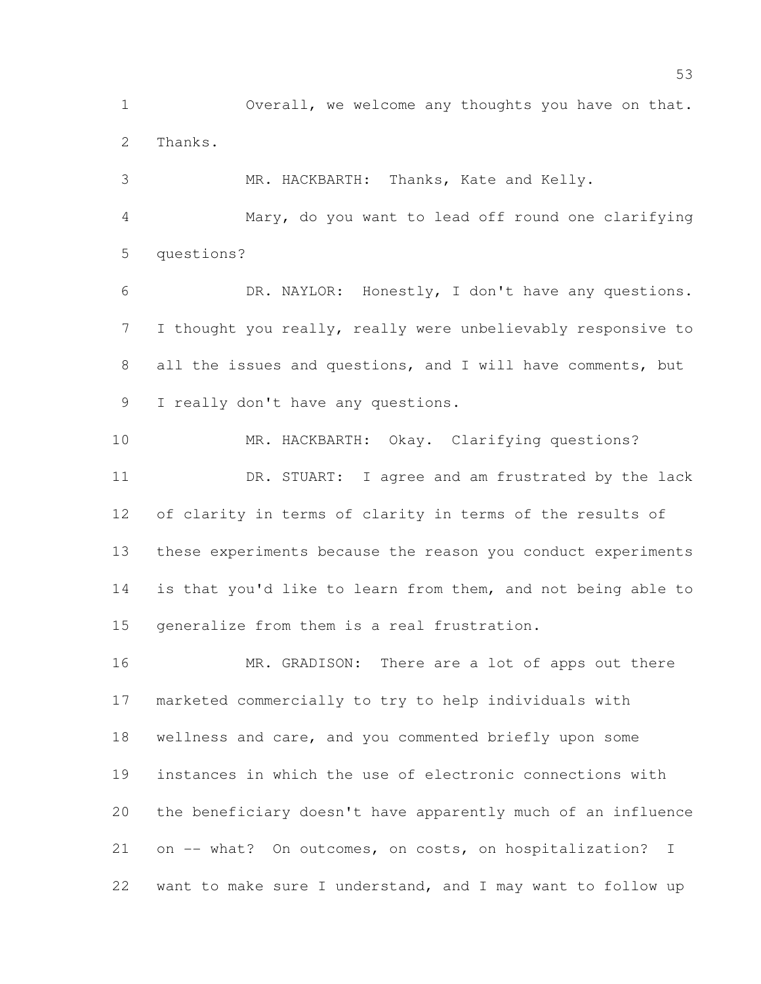Overall, we welcome any thoughts you have on that. Thanks.

 MR. HACKBARTH: Thanks, Kate and Kelly. Mary, do you want to lead off round one clarifying questions?

 DR. NAYLOR: Honestly, I don't have any questions. I thought you really, really were unbelievably responsive to all the issues and questions, and I will have comments, but I really don't have any questions.

 MR. HACKBARTH: Okay. Clarifying questions? DR. STUART: I agree and am frustrated by the lack of clarity in terms of clarity in terms of the results of these experiments because the reason you conduct experiments is that you'd like to learn from them, and not being able to generalize from them is a real frustration.

16 MR. GRADISON: There are a lot of apps out there marketed commercially to try to help individuals with wellness and care, and you commented briefly upon some instances in which the use of electronic connections with the beneficiary doesn't have apparently much of an influence on -- what? On outcomes, on costs, on hospitalization? I want to make sure I understand, and I may want to follow up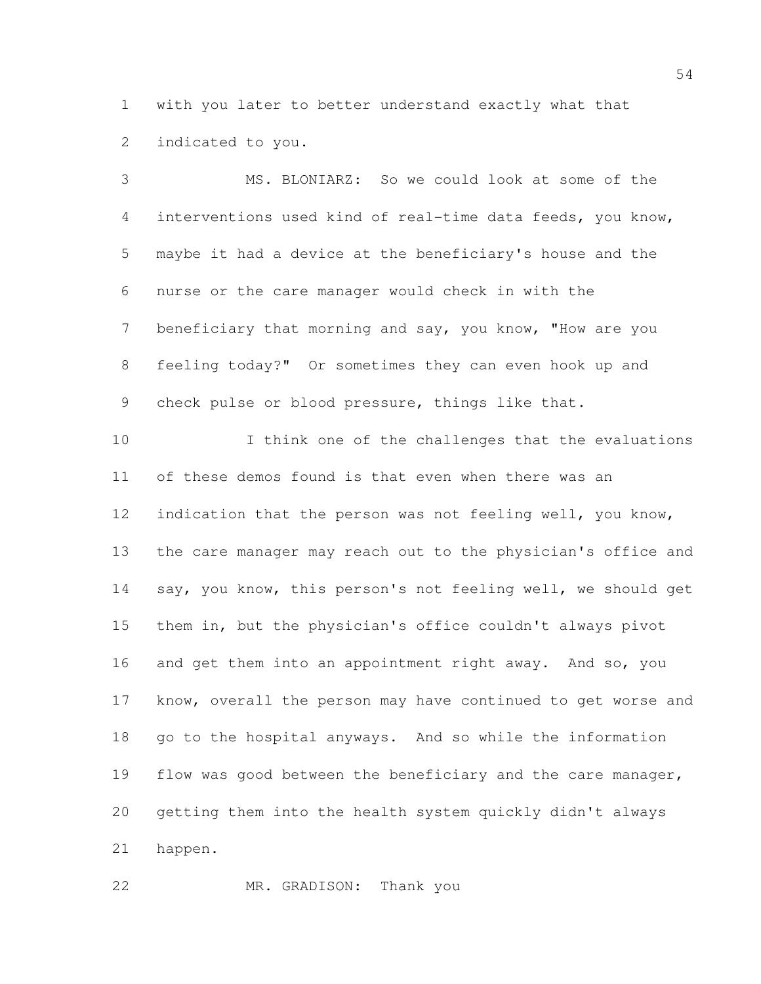with you later to better understand exactly what that indicated to you.

 MS. BLONIARZ: So we could look at some of the interventions used kind of real-time data feeds, you know, maybe it had a device at the beneficiary's house and the nurse or the care manager would check in with the beneficiary that morning and say, you know, "How are you feeling today?" Or sometimes they can even hook up and check pulse or blood pressure, things like that. I think one of the challenges that the evaluations of these demos found is that even when there was an indication that the person was not feeling well, you know, the care manager may reach out to the physician's office and say, you know, this person's not feeling well, we should get them in, but the physician's office couldn't always pivot 16 and get them into an appointment right away. And so, you know, overall the person may have continued to get worse and go to the hospital anyways. And so while the information 19 flow was good between the beneficiary and the care manager, getting them into the health system quickly didn't always happen.

MR. GRADISON: Thank you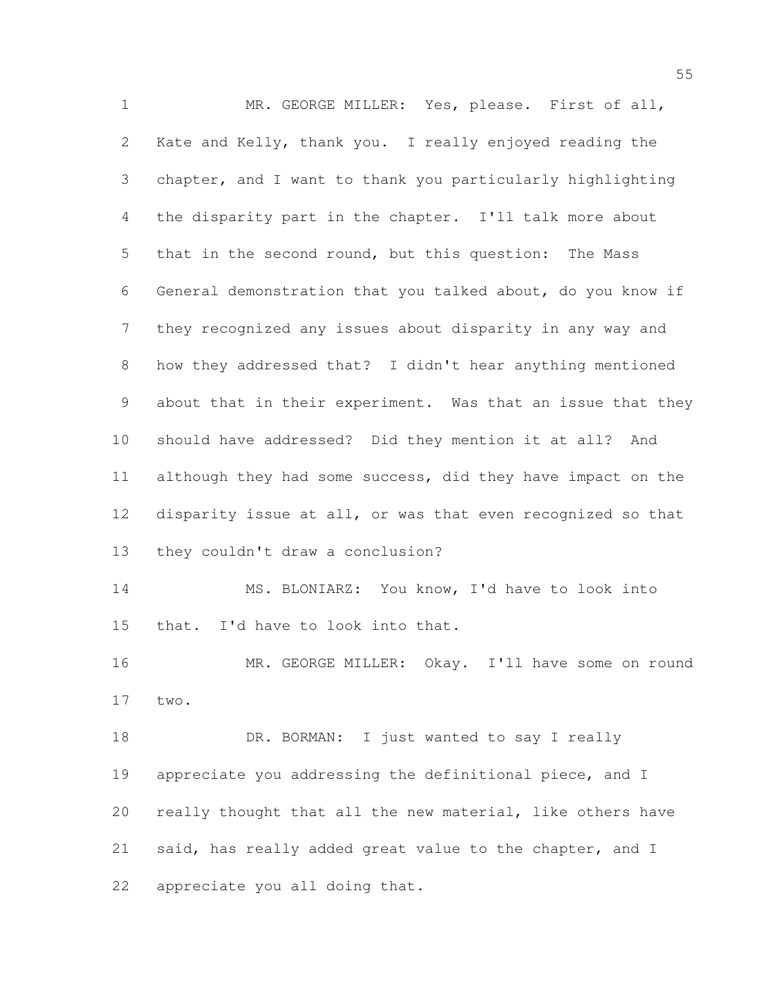MR. GEORGE MILLER: Yes, please. First of all, Kate and Kelly, thank you. I really enjoyed reading the chapter, and I want to thank you particularly highlighting the disparity part in the chapter. I'll talk more about that in the second round, but this question: The Mass General demonstration that you talked about, do you know if they recognized any issues about disparity in any way and how they addressed that? I didn't hear anything mentioned about that in their experiment. Was that an issue that they should have addressed? Did they mention it at all? And although they had some success, did they have impact on the disparity issue at all, or was that even recognized so that they couldn't draw a conclusion? MS. BLONIARZ: You know, I'd have to look into that. I'd have to look into that. 16 MR. GEORGE MILLER: Okay. I'll have some on round two. 18 DR. BORMAN: I just wanted to say I really appreciate you addressing the definitional piece, and I really thought that all the new material, like others have said, has really added great value to the chapter, and I appreciate you all doing that.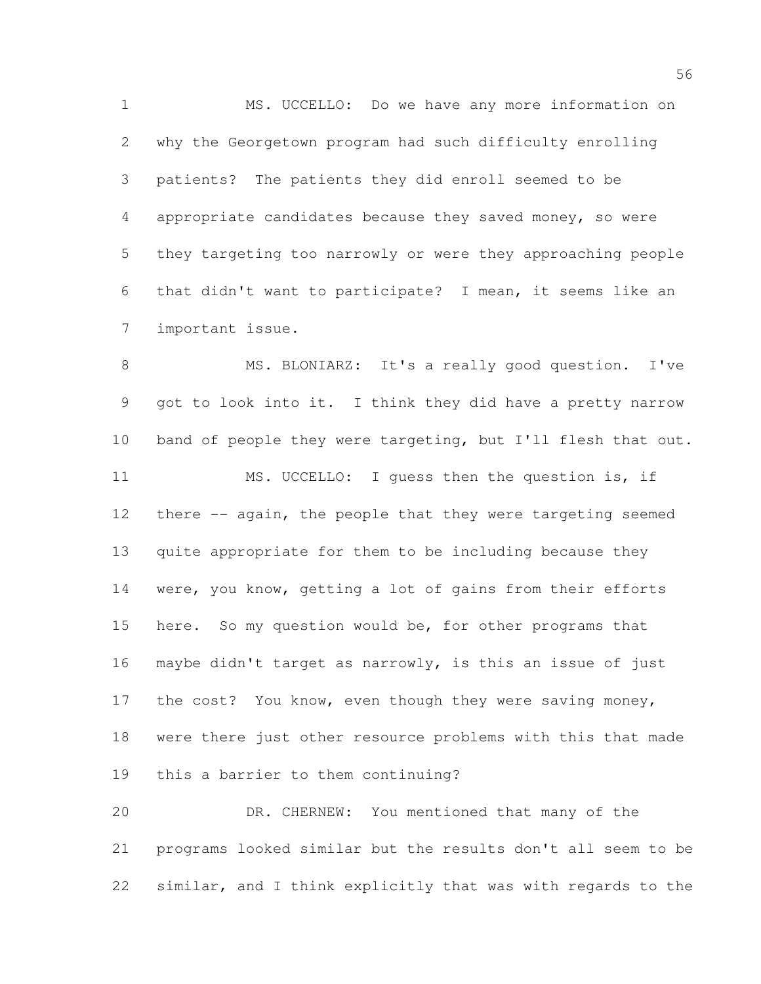MS. UCCELLO: Do we have any more information on why the Georgetown program had such difficulty enrolling patients? The patients they did enroll seemed to be appropriate candidates because they saved money, so were they targeting too narrowly or were they approaching people that didn't want to participate? I mean, it seems like an important issue.

 MS. BLONIARZ: It's a really good question. I've got to look into it. I think they did have a pretty narrow band of people they were targeting, but I'll flesh that out. MS. UCCELLO: I guess then the question is, if there -- again, the people that they were targeting seemed quite appropriate for them to be including because they were, you know, getting a lot of gains from their efforts here. So my question would be, for other programs that maybe didn't target as narrowly, is this an issue of just 17 the cost? You know, even though they were saving money, were there just other resource problems with this that made this a barrier to them continuing?

 DR. CHERNEW: You mentioned that many of the programs looked similar but the results don't all seem to be similar, and I think explicitly that was with regards to the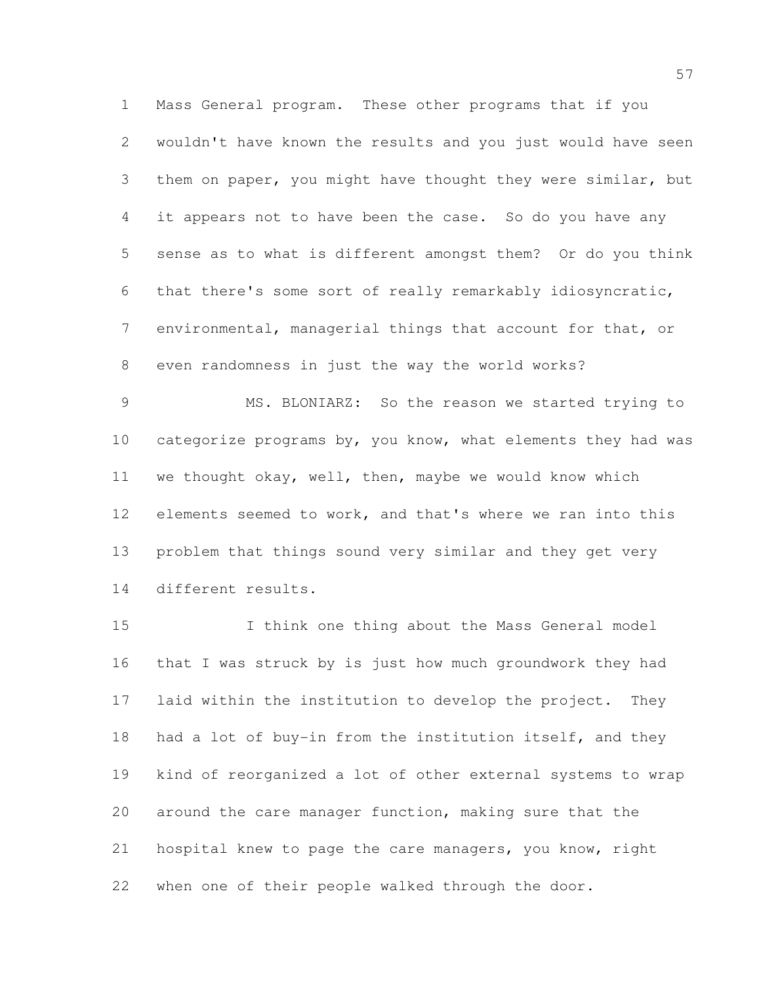Mass General program. These other programs that if you wouldn't have known the results and you just would have seen them on paper, you might have thought they were similar, but it appears not to have been the case. So do you have any sense as to what is different amongst them? Or do you think that there's some sort of really remarkably idiosyncratic, environmental, managerial things that account for that, or even randomness in just the way the world works?

 MS. BLONIARZ: So the reason we started trying to 10 categorize programs by, you know, what elements they had was we thought okay, well, then, maybe we would know which elements seemed to work, and that's where we ran into this problem that things sound very similar and they get very different results.

 I think one thing about the Mass General model that I was struck by is just how much groundwork they had laid within the institution to develop the project. They had a lot of buy-in from the institution itself, and they kind of reorganized a lot of other external systems to wrap around the care manager function, making sure that the hospital knew to page the care managers, you know, right when one of their people walked through the door.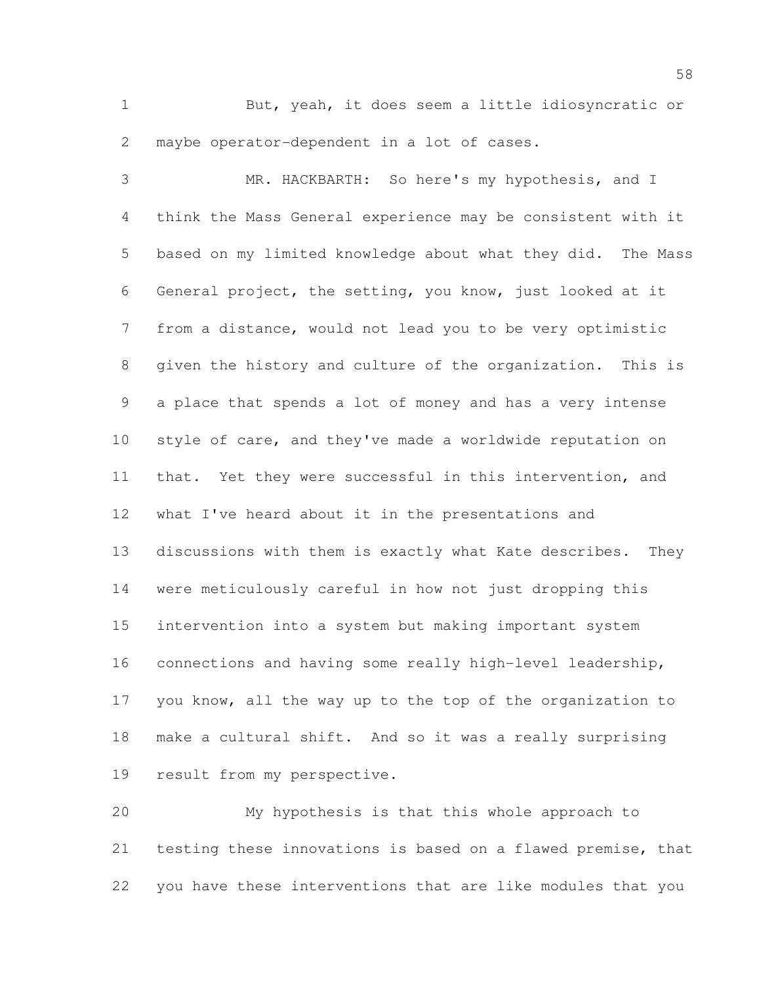But, yeah, it does seem a little idiosyncratic or maybe operator-dependent in a lot of cases.

 MR. HACKBARTH: So here's my hypothesis, and I think the Mass General experience may be consistent with it based on my limited knowledge about what they did. The Mass General project, the setting, you know, just looked at it from a distance, would not lead you to be very optimistic given the history and culture of the organization. This is a place that spends a lot of money and has a very intense style of care, and they've made a worldwide reputation on that. Yet they were successful in this intervention, and what I've heard about it in the presentations and discussions with them is exactly what Kate describes. They were meticulously careful in how not just dropping this intervention into a system but making important system connections and having some really high-level leadership, you know, all the way up to the top of the organization to make a cultural shift. And so it was a really surprising result from my perspective.

 My hypothesis is that this whole approach to testing these innovations is based on a flawed premise, that you have these interventions that are like modules that you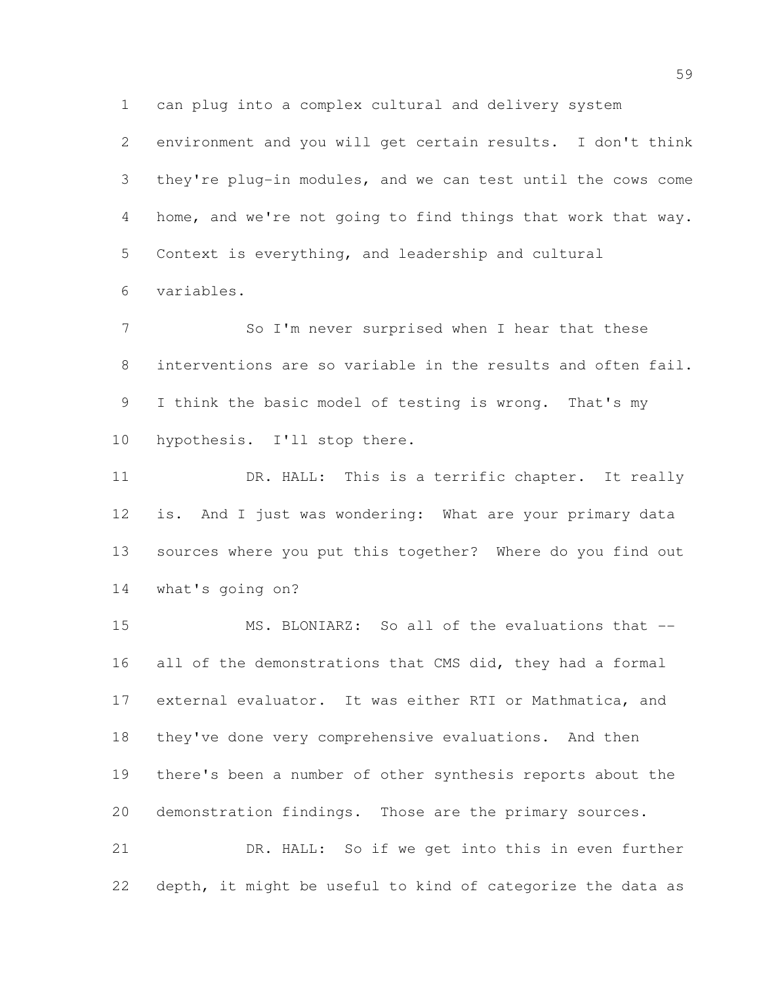can plug into a complex cultural and delivery system

 environment and you will get certain results. I don't think they're plug-in modules, and we can test until the cows come home, and we're not going to find things that work that way. Context is everything, and leadership and cultural variables.

7 So I'm never surprised when I hear that these interventions are so variable in the results and often fail. 9 I think the basic model of testing is wrong. That's my hypothesis. I'll stop there.

 DR. HALL: This is a terrific chapter. It really is. And I just was wondering: What are your primary data sources where you put this together? Where do you find out what's going on?

 MS. BLONIARZ: So all of the evaluations that -- 16 all of the demonstrations that CMS did, they had a formal external evaluator. It was either RTI or Mathmatica, and they've done very comprehensive evaluations. And then there's been a number of other synthesis reports about the demonstration findings. Those are the primary sources. DR. HALL: So if we get into this in even further

depth, it might be useful to kind of categorize the data as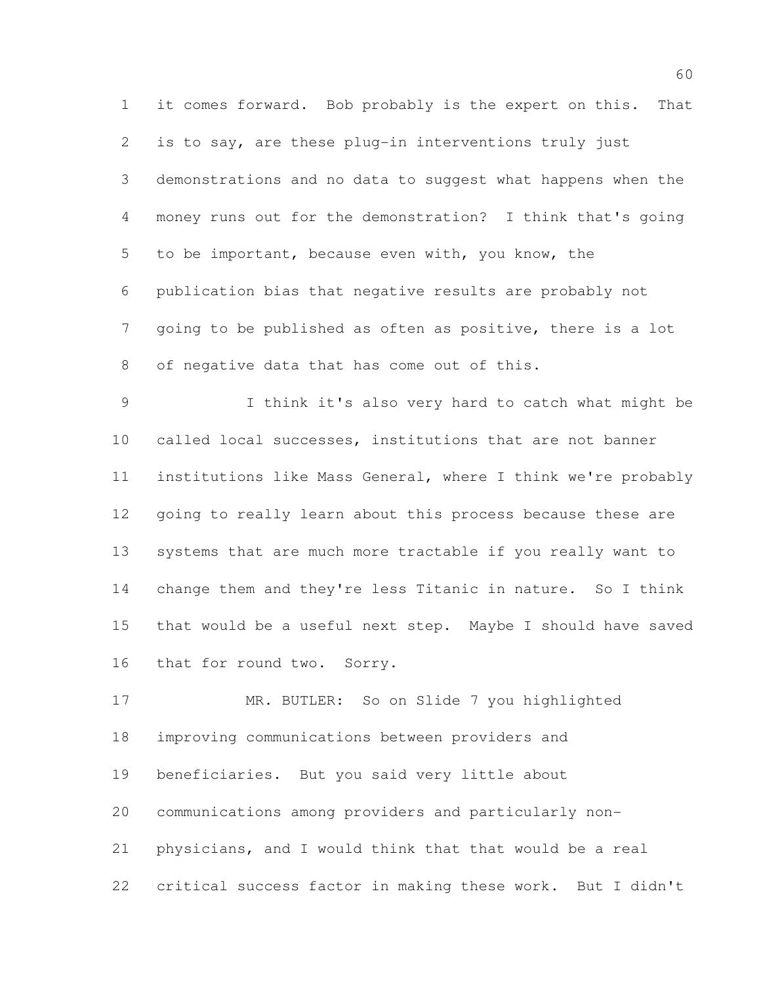it comes forward. Bob probably is the expert on this. That is to say, are these plug-in interventions truly just demonstrations and no data to suggest what happens when the money runs out for the demonstration? I think that's going to be important, because even with, you know, the publication bias that negative results are probably not going to be published as often as positive, there is a lot of negative data that has come out of this.

 I think it's also very hard to catch what might be called local successes, institutions that are not banner institutions like Mass General, where I think we're probably going to really learn about this process because these are systems that are much more tractable if you really want to change them and they're less Titanic in nature. So I think that would be a useful next step. Maybe I should have saved that for round two. Sorry.

 MR. BUTLER: So on Slide 7 you highlighted improving communications between providers and beneficiaries. But you said very little about communications among providers and particularly non- physicians, and I would think that that would be a real critical success factor in making these work. But I didn't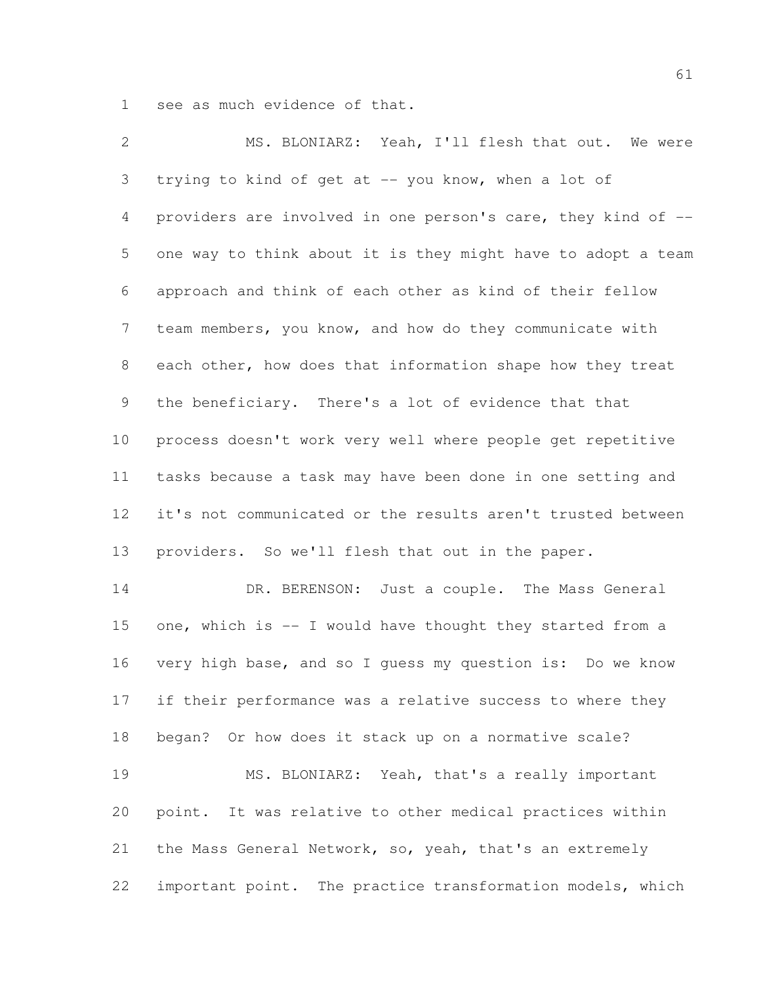see as much evidence of that.

| 2              | MS. BLONIARZ: Yeah, I'll flesh that out. We were             |
|----------------|--------------------------------------------------------------|
| 3              | trying to kind of get at -- you know, when a lot of          |
| $\overline{4}$ | providers are involved in one person's care, they kind of -- |
| 5              | one way to think about it is they might have to adopt a team |
| 6              | approach and think of each other as kind of their fellow     |
| $\overline{7}$ | team members, you know, and how do they communicate with     |
| 8              | each other, how does that information shape how they treat   |
| 9              | the beneficiary. There's a lot of evidence that that         |
| 10             | process doesn't work very well where people get repetitive   |
| 11             | tasks because a task may have been done in one setting and   |
| 12             | it's not communicated or the results aren't trusted between  |
| 13             | providers. So we'll flesh that out in the paper.             |
| 14             | DR. BERENSON: Just a couple. The Mass General                |
| 15             | one, which is -- I would have thought they started from a    |
| 16             | very high base, and so I guess my question is: Do we know    |
| 17             | if their performance was a relative success to where they    |
| 18             | began? Or how does it stack up on a normative scale?         |
| 19             | MS. BLONIARZ: Yeah, that's a really important                |
| 20             | point. It was relative to other medical practices within     |
| 21             | the Mass General Network, so, yeah, that's an extremely      |
| 22             | important point. The practice transformation models, which   |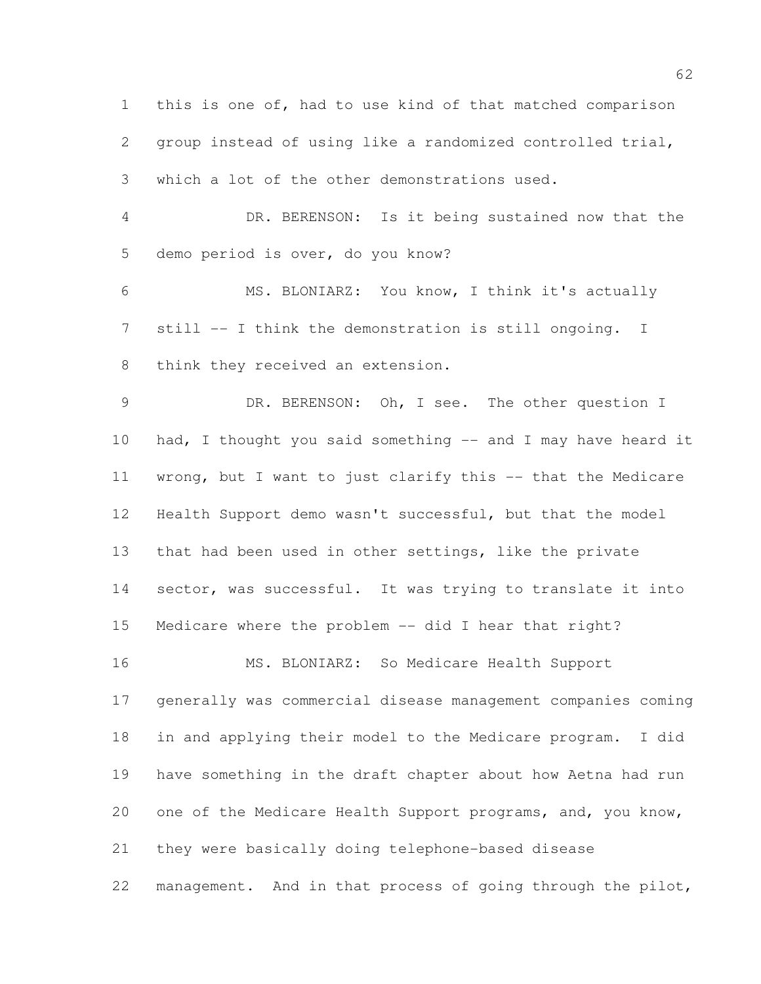this is one of, had to use kind of that matched comparison group instead of using like a randomized controlled trial, which a lot of the other demonstrations used. DR. BERENSON: Is it being sustained now that the demo period is over, do you know? MS. BLONIARZ: You know, I think it's actually still -- I think the demonstration is still ongoing. I think they received an extension. DR. BERENSON: Oh, I see. The other question I 10 had, I thought you said something -- and I may have heard it wrong, but I want to just clarify this -- that the Medicare Health Support demo wasn't successful, but that the model that had been used in other settings, like the private 14 sector, was successful. It was trying to translate it into Medicare where the problem -- did I hear that right? MS. BLONIARZ: So Medicare Health Support generally was commercial disease management companies coming in and applying their model to the Medicare program. I did have something in the draft chapter about how Aetna had run 20 one of the Medicare Health Support programs, and, you know, they were basically doing telephone-based disease management. And in that process of going through the pilot,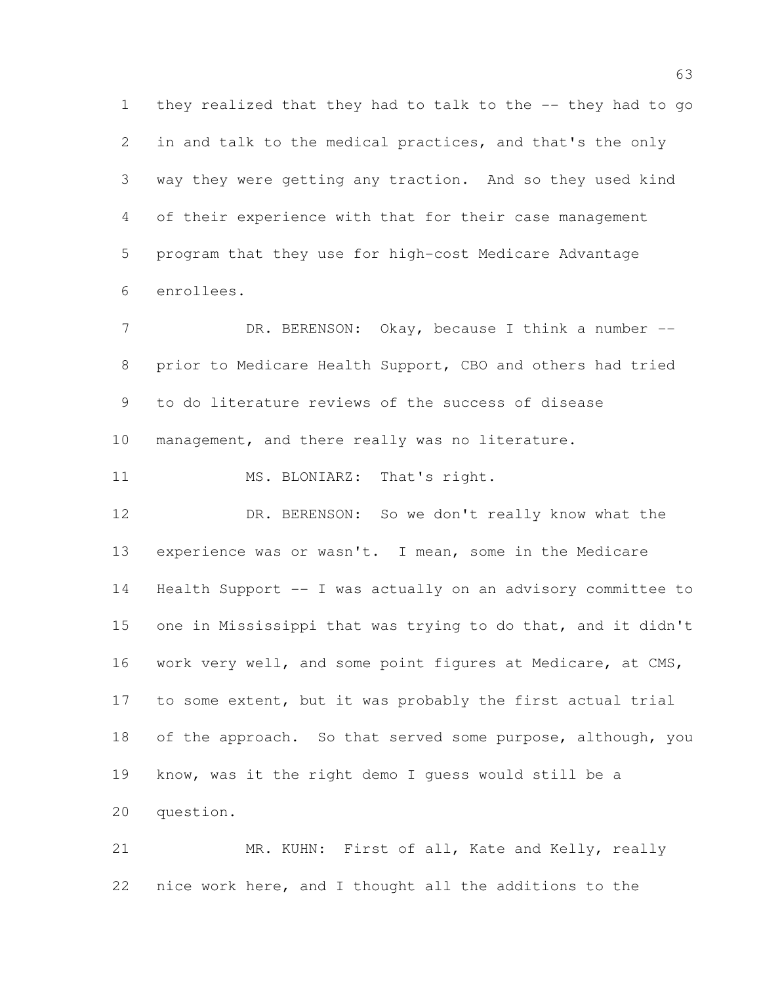they realized that they had to talk to the -- they had to go in and talk to the medical practices, and that's the only way they were getting any traction. And so they used kind of their experience with that for their case management program that they use for high-cost Medicare Advantage enrollees.

7 DR. BERENSON: Okay, because I think a number -- prior to Medicare Health Support, CBO and others had tried to do literature reviews of the success of disease management, and there really was no literature.

11 MS. BLONIARZ: That's right.

 DR. BERENSON: So we don't really know what the experience was or wasn't. I mean, some in the Medicare Health Support -- I was actually on an advisory committee to one in Mississippi that was trying to do that, and it didn't 16 work very well, and some point figures at Medicare, at CMS, to some extent, but it was probably the first actual trial 18 of the approach. So that served some purpose, although, you know, was it the right demo I guess would still be a question.

 MR. KUHN: First of all, Kate and Kelly, really nice work here, and I thought all the additions to the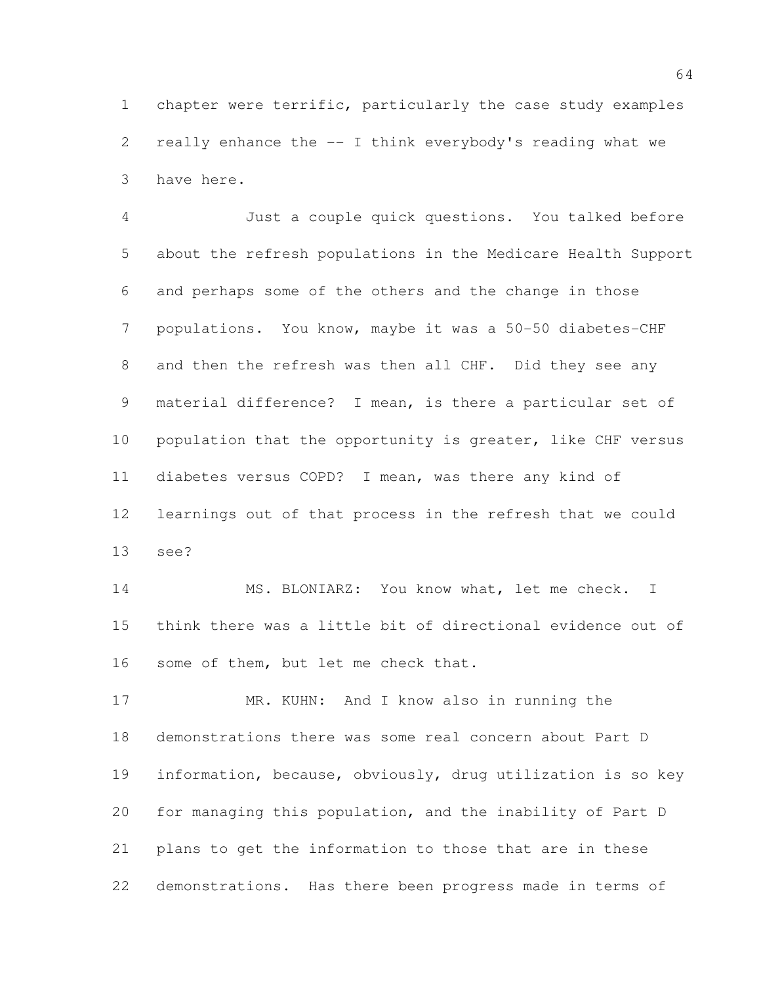chapter were terrific, particularly the case study examples really enhance the -- I think everybody's reading what we have here.

 Just a couple quick questions. You talked before about the refresh populations in the Medicare Health Support and perhaps some of the others and the change in those populations. You know, maybe it was a 50-50 diabetes-CHF 8 and then the refresh was then all CHF. Did they see any material difference? I mean, is there a particular set of 10 population that the opportunity is greater, like CHF versus diabetes versus COPD? I mean, was there any kind of learnings out of that process in the refresh that we could see?

 MS. BLONIARZ: You know what, let me check. I think there was a little bit of directional evidence out of some of them, but let me check that.

17 MR. KUHN: And I know also in running the demonstrations there was some real concern about Part D information, because, obviously, drug utilization is so key for managing this population, and the inability of Part D plans to get the information to those that are in these demonstrations. Has there been progress made in terms of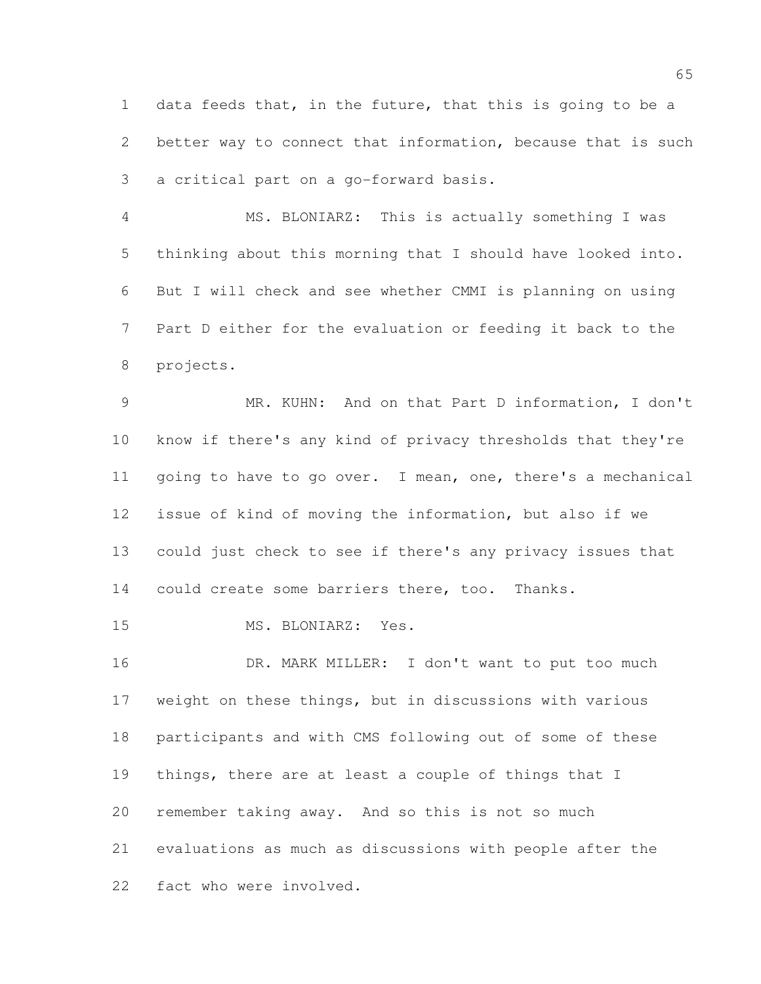data feeds that, in the future, that this is going to be a better way to connect that information, because that is such a critical part on a go-forward basis.

 MS. BLONIARZ: This is actually something I was thinking about this morning that I should have looked into. But I will check and see whether CMMI is planning on using Part D either for the evaluation or feeding it back to the projects.

 MR. KUHN: And on that Part D information, I don't know if there's any kind of privacy thresholds that they're going to have to go over. I mean, one, there's a mechanical issue of kind of moving the information, but also if we could just check to see if there's any privacy issues that 14 could create some barriers there, too. Thanks.

MS. BLONIARZ: Yes.

16 DR. MARK MILLER: I don't want to put too much weight on these things, but in discussions with various participants and with CMS following out of some of these things, there are at least a couple of things that I remember taking away. And so this is not so much evaluations as much as discussions with people after the fact who were involved.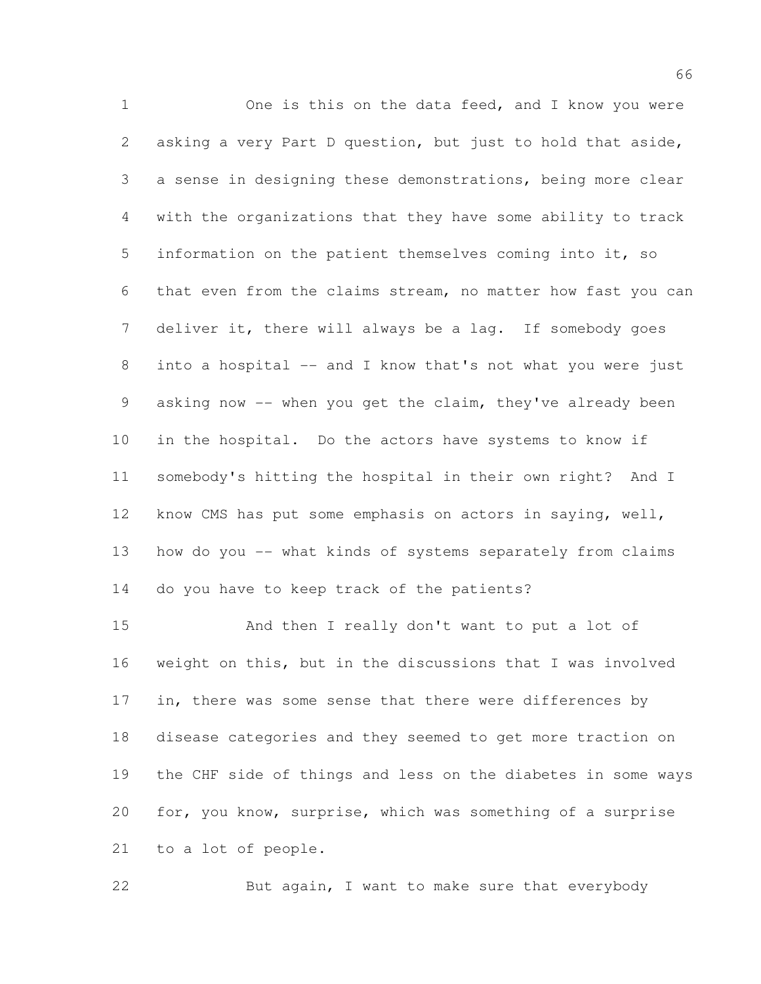One is this on the data feed, and I know you were asking a very Part D question, but just to hold that aside, a sense in designing these demonstrations, being more clear with the organizations that they have some ability to track information on the patient themselves coming into it, so that even from the claims stream, no matter how fast you can deliver it, there will always be a lag. If somebody goes 8 into a hospital -- and I know that's not what you were just 9 asking now -- when you get the claim, they've already been in the hospital. Do the actors have systems to know if somebody's hitting the hospital in their own right? And I know CMS has put some emphasis on actors in saying, well, how do you -- what kinds of systems separately from claims do you have to keep track of the patients?

 And then I really don't want to put a lot of weight on this, but in the discussions that I was involved 17 in, there was some sense that there were differences by disease categories and they seemed to get more traction on the CHF side of things and less on the diabetes in some ways for, you know, surprise, which was something of a surprise to a lot of people.

22 But again, I want to make sure that everybody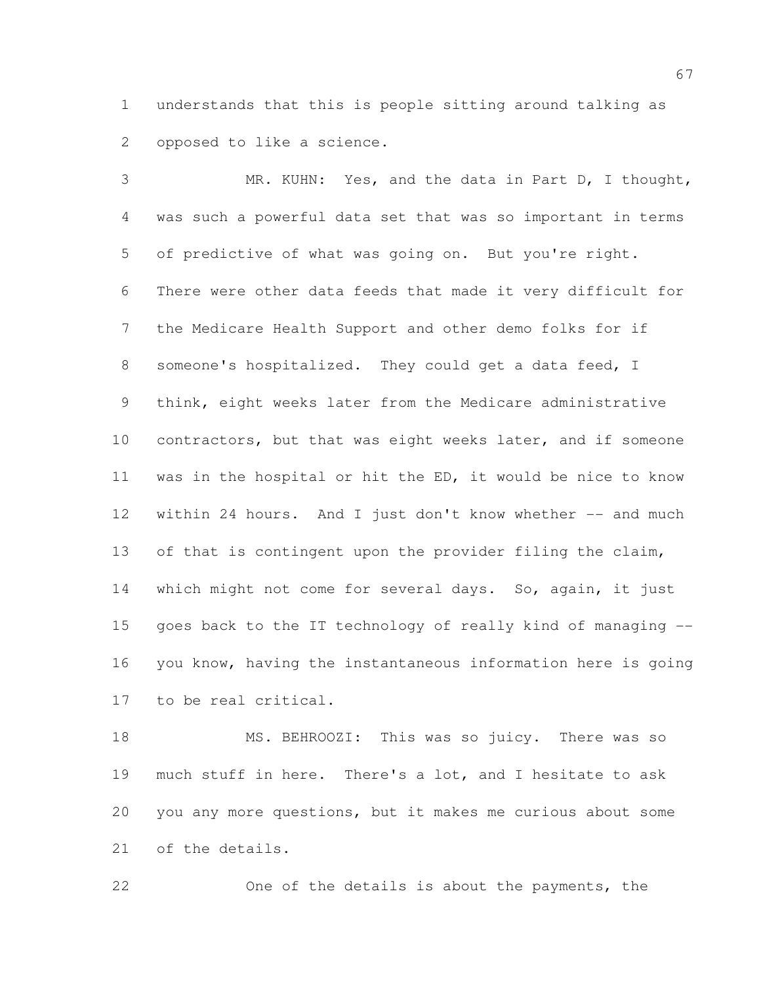understands that this is people sitting around talking as opposed to like a science.

 MR. KUHN: Yes, and the data in Part D, I thought, was such a powerful data set that was so important in terms of predictive of what was going on. But you're right. There were other data feeds that made it very difficult for the Medicare Health Support and other demo folks for if someone's hospitalized. They could get a data feed, I think, eight weeks later from the Medicare administrative contractors, but that was eight weeks later, and if someone was in the hospital or hit the ED, it would be nice to know 12 within 24 hours. And I just don't know whether -- and much 13 of that is contingent upon the provider filing the claim, 14 which might not come for several days. So, again, it just goes back to the IT technology of really kind of managing -- you know, having the instantaneous information here is going to be real critical.

 MS. BEHROOZI: This was so juicy. There was so much stuff in here. There's a lot, and I hesitate to ask you any more questions, but it makes me curious about some of the details.

One of the details is about the payments, the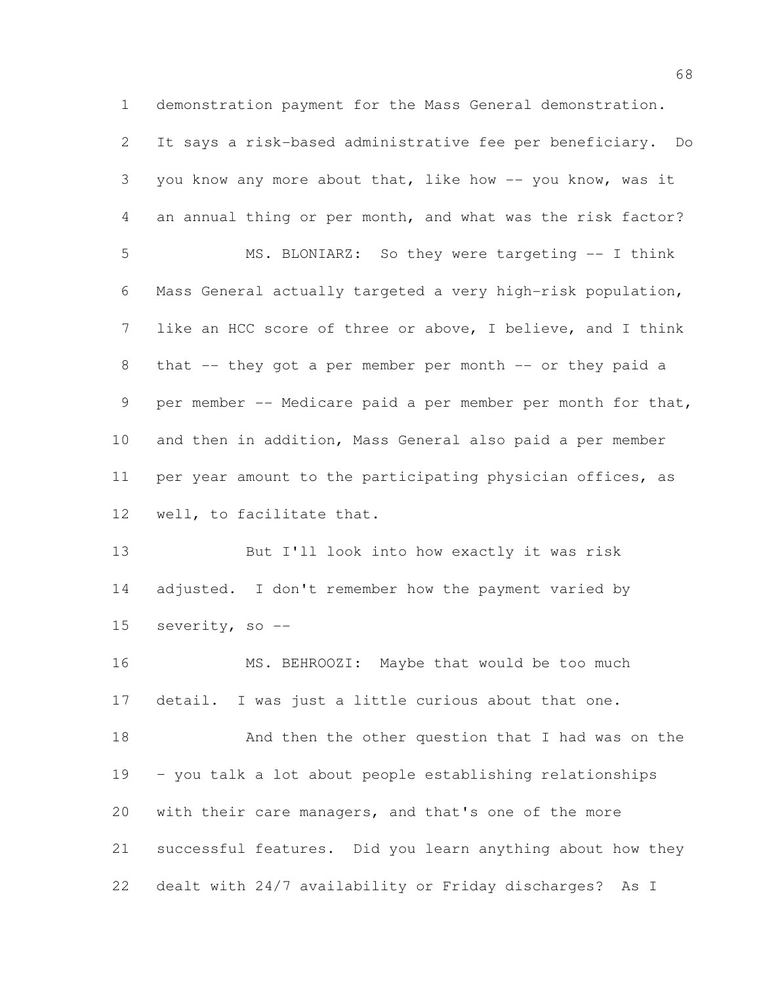demonstration payment for the Mass General demonstration.

 It says a risk-based administrative fee per beneficiary. Do you know any more about that, like how -- you know, was it an annual thing or per month, and what was the risk factor? MS. BLONIARZ: So they were targeting -- I think Mass General actually targeted a very high-risk population, like an HCC score of three or above, I believe, and I think 8 that -- they got a per member per month -- or they paid a 9 per member -- Medicare paid a per member per month for that, and then in addition, Mass General also paid a per member per year amount to the participating physician offices, as well, to facilitate that. But I'll look into how exactly it was risk 14 adjusted. I don't remember how the payment varied by severity, so -- MS. BEHROOZI: Maybe that would be too much detail. I was just a little curious about that one. 18 And then the other question that I had was on the – you talk a lot about people establishing relationships with their care managers, and that's one of the more successful features. Did you learn anything about how they dealt with 24/7 availability or Friday discharges? As I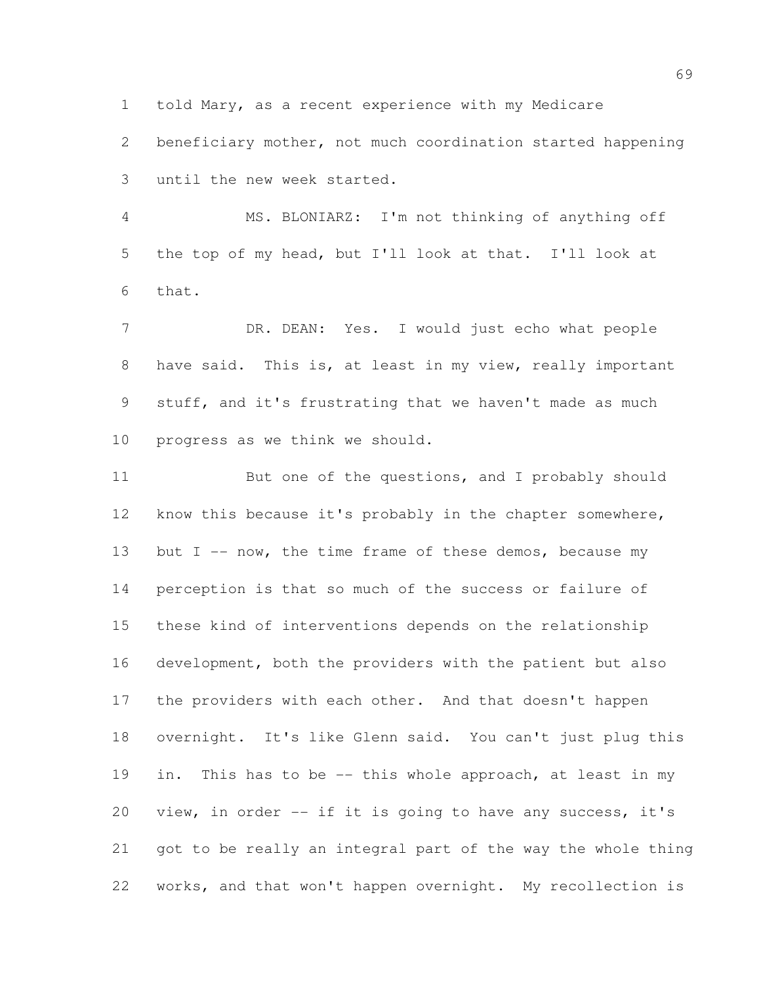told Mary, as a recent experience with my Medicare

 beneficiary mother, not much coordination started happening until the new week started.

 MS. BLONIARZ: I'm not thinking of anything off the top of my head, but I'll look at that. I'll look at that.

 DR. DEAN: Yes. I would just echo what people have said. This is, at least in my view, really important stuff, and it's frustrating that we haven't made as much progress as we think we should.

11 But one of the questions, and I probably should know this because it's probably in the chapter somewhere, 13 but  $I$  -- now, the time frame of these demos, because my perception is that so much of the success or failure of these kind of interventions depends on the relationship development, both the providers with the patient but also the providers with each other. And that doesn't happen overnight. It's like Glenn said. You can't just plug this in. This has to be -- this whole approach, at least in my view, in order -- if it is going to have any success, it's got to be really an integral part of the way the whole thing works, and that won't happen overnight. My recollection is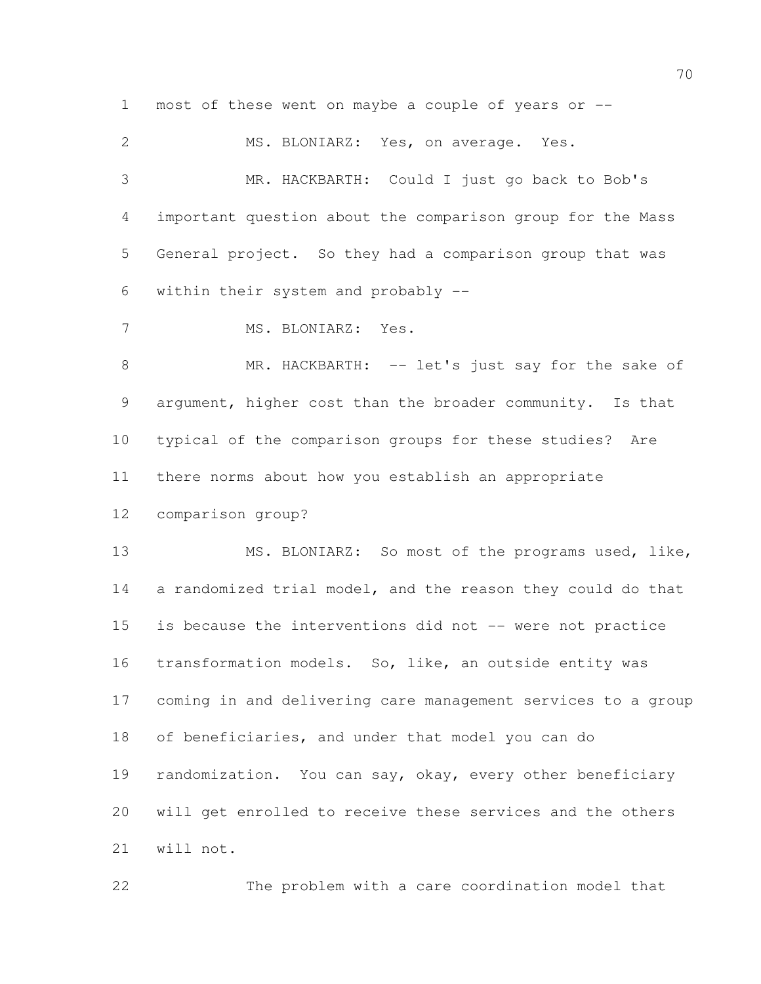most of these went on maybe a couple of years or --

| $\mathbf{2}$   | MS. BLONIARZ: Yes, on average. Yes.                          |
|----------------|--------------------------------------------------------------|
| 3              | MR. HACKBARTH: Could I just go back to Bob's                 |
| $\overline{4}$ | important question about the comparison group for the Mass   |
| 5              | General project. So they had a comparison group that was     |
| 6              | within their system and probably --                          |
| 7              | MS. BLONIARZ: Yes.                                           |
| $\,8\,$        | MR. HACKBARTH: -- let's just say for the sake of             |
| 9              | argument, higher cost than the broader community. Is that    |
| 10             | typical of the comparison groups for these studies? Are      |
| 11             | there norms about how you establish an appropriate           |
| 12             | comparison group?                                            |
| 13             | MS. BLONIARZ: So most of the programs used, like,            |
| 14             | a randomized trial model, and the reason they could do that  |
| 15             | is because the interventions did not -- were not practice    |
| 16             | transformation models. So, like, an outside entity was       |
| 17             | coming in and delivering care management services to a group |
| 18             | of beneficiaries, and under that model you can do            |
| 19             | randomization. You can say, okay, every other beneficiary    |
| 20             | will get enrolled to receive these services and the others   |
| 21             | will not.                                                    |

The problem with a care coordination model that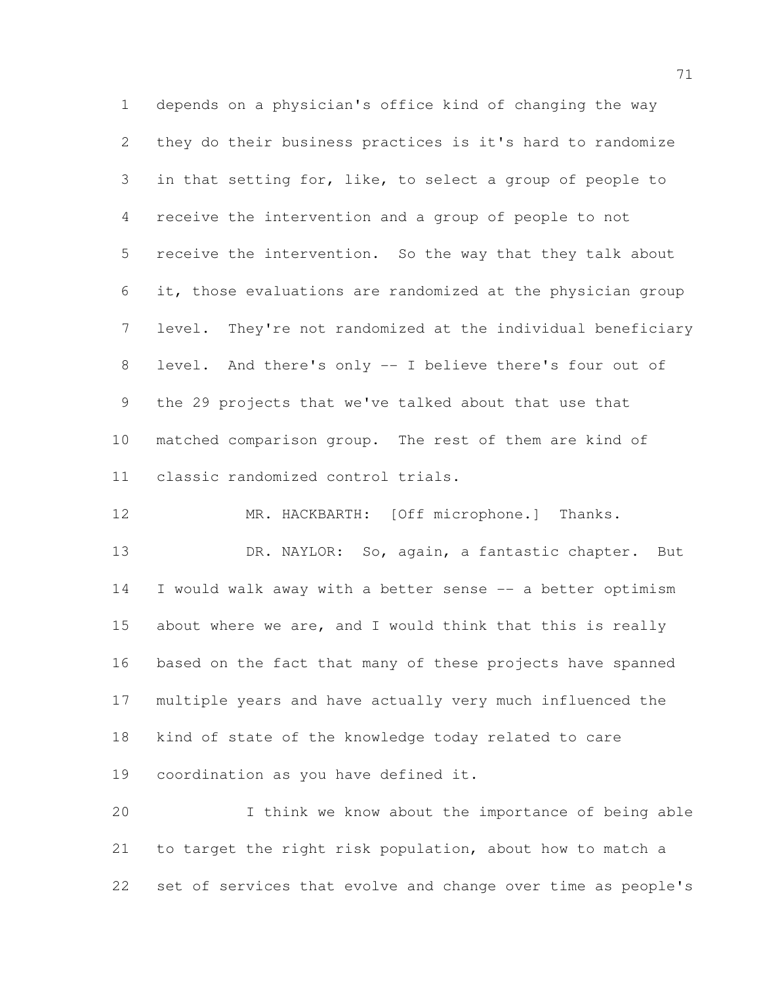depends on a physician's office kind of changing the way they do their business practices is it's hard to randomize in that setting for, like, to select a group of people to receive the intervention and a group of people to not receive the intervention. So the way that they talk about it, those evaluations are randomized at the physician group level. They're not randomized at the individual beneficiary level. And there's only -- I believe there's four out of the 29 projects that we've talked about that use that matched comparison group. The rest of them are kind of classic randomized control trials.

13 DR. NAYLOR: So, again, a fantastic chapter. But I would walk away with a better sense -- a better optimism 15 about where we are, and I would think that this is really based on the fact that many of these projects have spanned multiple years and have actually very much influenced the kind of state of the knowledge today related to care coordination as you have defined it.

MR. HACKBARTH: [Off microphone.] Thanks.

 I think we know about the importance of being able to target the right risk population, about how to match a set of services that evolve and change over time as people's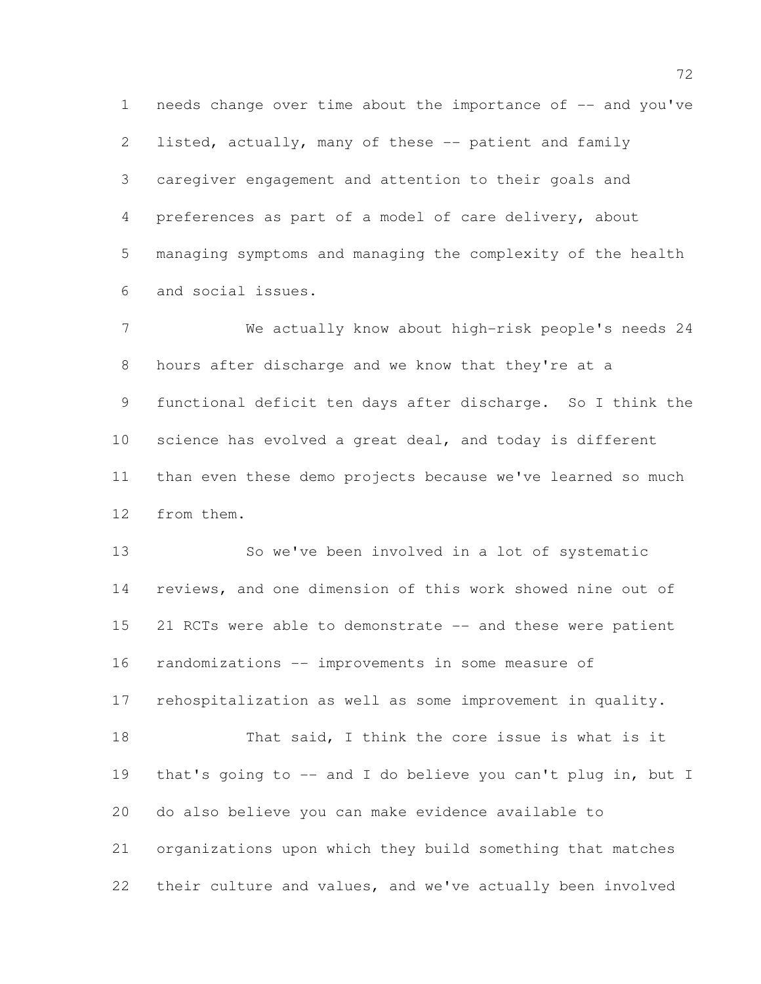1 needs change over time about the importance of -- and you've listed, actually, many of these -- patient and family caregiver engagement and attention to their goals and preferences as part of a model of care delivery, about managing symptoms and managing the complexity of the health and social issues.

 We actually know about high-risk people's needs 24 hours after discharge and we know that they're at a functional deficit ten days after discharge. So I think the science has evolved a great deal, and today is different than even these demo projects because we've learned so much from them.

 So we've been involved in a lot of systematic reviews, and one dimension of this work showed nine out of 21 RCTs were able to demonstrate -- and these were patient randomizations -- improvements in some measure of rehospitalization as well as some improvement in quality. That said, I think the core issue is what is it that's going to -- and I do believe you can't plug in, but I do also believe you can make evidence available to organizations upon which they build something that matches their culture and values, and we've actually been involved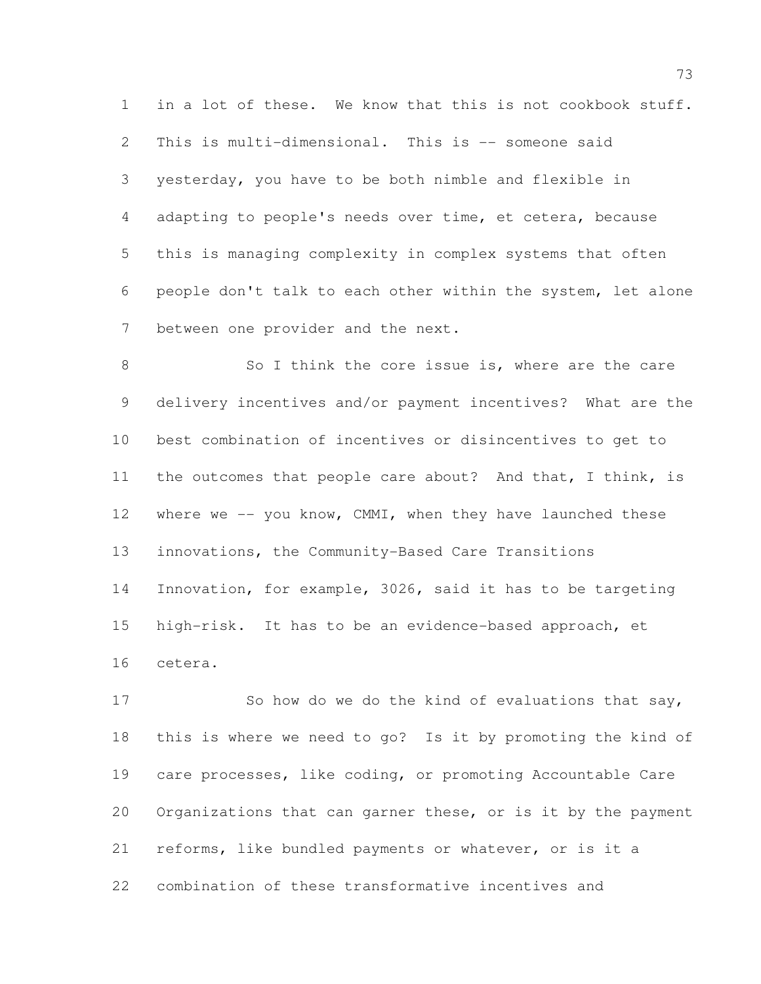in a lot of these. We know that this is not cookbook stuff. This is multi-dimensional. This is -- someone said yesterday, you have to be both nimble and flexible in adapting to people's needs over time, et cetera, because this is managing complexity in complex systems that often people don't talk to each other within the system, let alone between one provider and the next.

8 So I think the core issue is, where are the care delivery incentives and/or payment incentives? What are the best combination of incentives or disincentives to get to the outcomes that people care about? And that, I think, is 12 where we -- you know, CMMI, when they have launched these innovations, the Community-Based Care Transitions Innovation, for example, 3026, said it has to be targeting high-risk. It has to be an evidence-based approach, et cetera.

17 So how do we do the kind of evaluations that say, this is where we need to go? Is it by promoting the kind of care processes, like coding, or promoting Accountable Care Organizations that can garner these, or is it by the payment reforms, like bundled payments or whatever, or is it a combination of these transformative incentives and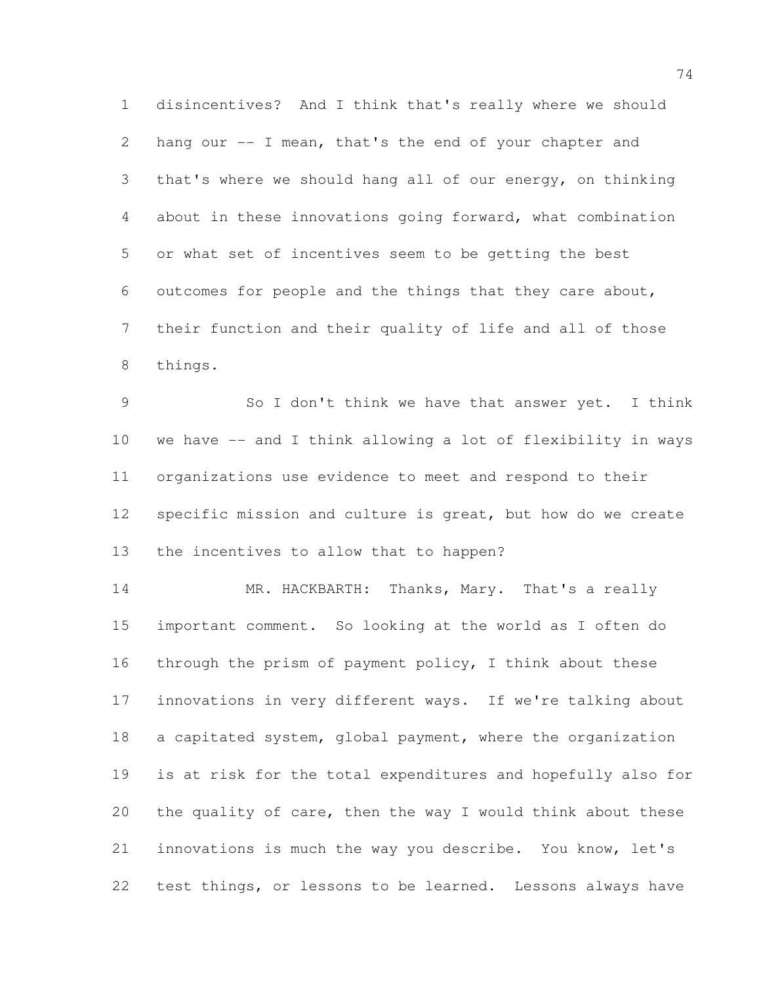disincentives? And I think that's really where we should hang our -- I mean, that's the end of your chapter and that's where we should hang all of our energy, on thinking about in these innovations going forward, what combination or what set of incentives seem to be getting the best outcomes for people and the things that they care about, their function and their quality of life and all of those things.

 So I don't think we have that answer yet. I think we have -- and I think allowing a lot of flexibility in ways organizations use evidence to meet and respond to their specific mission and culture is great, but how do we create the incentives to allow that to happen?

 MR. HACKBARTH: Thanks, Mary. That's a really important comment. So looking at the world as I often do through the prism of payment policy, I think about these innovations in very different ways. If we're talking about 18 a capitated system, global payment, where the organization is at risk for the total expenditures and hopefully also for 20 the quality of care, then the way I would think about these innovations is much the way you describe. You know, let's test things, or lessons to be learned. Lessons always have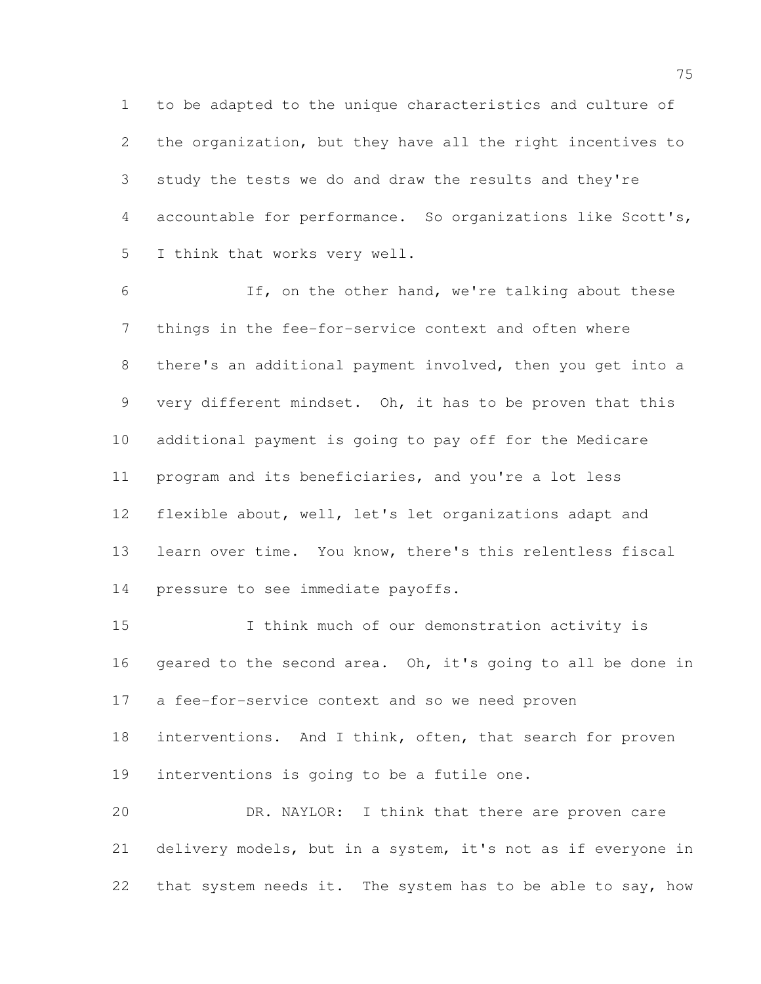to be adapted to the unique characteristics and culture of the organization, but they have all the right incentives to study the tests we do and draw the results and they're accountable for performance. So organizations like Scott's, I think that works very well.

 If, on the other hand, we're talking about these things in the fee-for-service context and often where there's an additional payment involved, then you get into a very different mindset. Oh, it has to be proven that this additional payment is going to pay off for the Medicare program and its beneficiaries, and you're a lot less flexible about, well, let's let organizations adapt and learn over time. You know, there's this relentless fiscal pressure to see immediate payoffs.

 I think much of our demonstration activity is geared to the second area. Oh, it's going to all be done in a fee-for-service context and so we need proven 18 interventions. And I think, often, that search for proven interventions is going to be a futile one. DR. NAYLOR: I think that there are proven care delivery models, but in a system, it's not as if everyone in

22 that system needs it. The system has to be able to say, how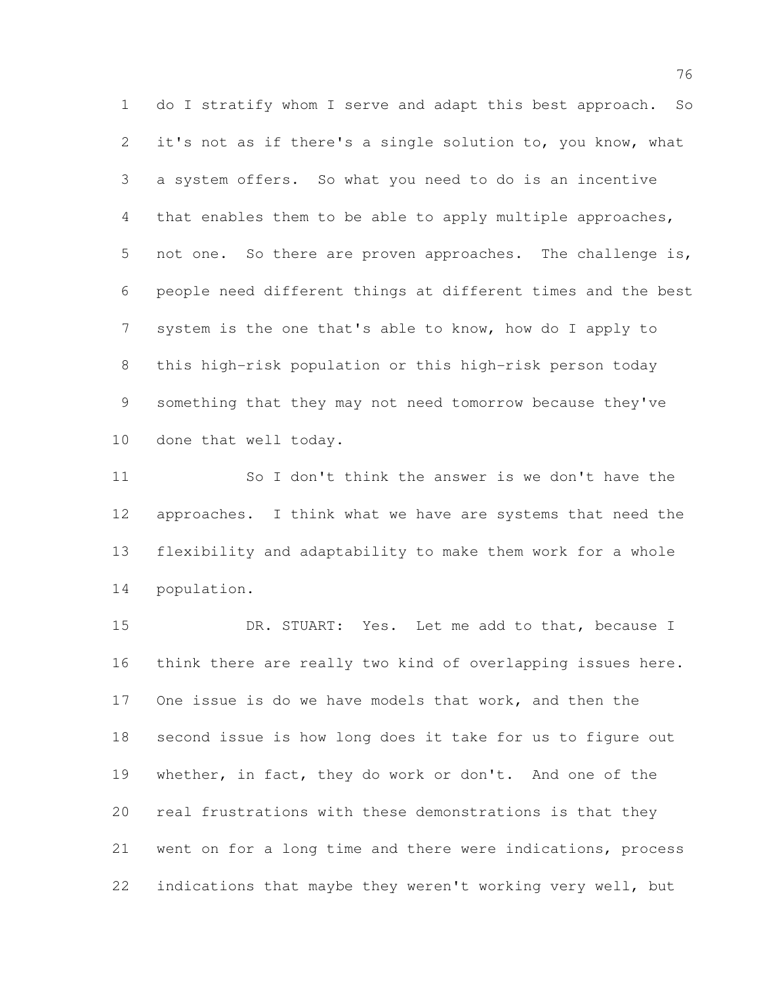do I stratify whom I serve and adapt this best approach. So 2 it's not as if there's a single solution to, you know, what a system offers. So what you need to do is an incentive that enables them to be able to apply multiple approaches, 5 not one. So there are proven approaches. The challenge is, people need different things at different times and the best system is the one that's able to know, how do I apply to this high-risk population or this high-risk person today something that they may not need tomorrow because they've done that well today.

 So I don't think the answer is we don't have the approaches. I think what we have are systems that need the flexibility and adaptability to make them work for a whole population.

 DR. STUART: Yes. Let me add to that, because I think there are really two kind of overlapping issues here. One issue is do we have models that work, and then the second issue is how long does it take for us to figure out whether, in fact, they do work or don't. And one of the real frustrations with these demonstrations is that they went on for a long time and there were indications, process indications that maybe they weren't working very well, but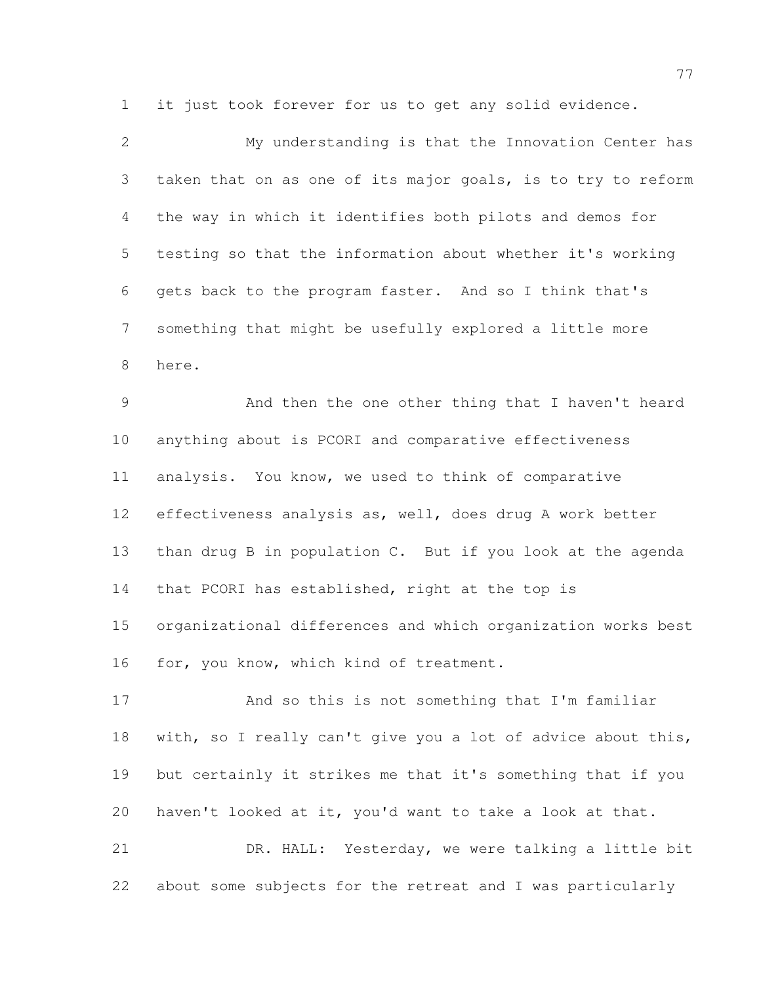it just took forever for us to get any solid evidence.

| 2              | My understanding is that the Innovation Center has           |
|----------------|--------------------------------------------------------------|
| 3              | taken that on as one of its major goals, is to try to reform |
| 4              | the way in which it identifies both pilots and demos for     |
| 5              | testing so that the information about whether it's working   |
| 6              | gets back to the program faster. And so I think that's       |
| 7              | something that might be usefully explored a little more      |
| 8              | here.                                                        |
| $\overline{9}$ | And then the one other thing that I haven't heard            |
| 10             | anything about is PCORI and comparative effectiveness        |
| 11             | analysis. You know, we used to think of comparative          |
| 12             | effectiveness analysis as, well, does drug A work better     |
| 13             | than drug B in population C. But if you look at the agenda   |
| 14             | that PCORI has established, right at the top is              |
| 15             | organizational differences and which organization works best |
| 16             | for, you know, which kind of treatment.                      |
| 17             | And so this is not something that I'm familiar               |
| 18             | with, so I really can't give you a lot of advice about this, |
| 19             | but certainly it strikes me that it's something that if you  |
|                |                                                              |

 DR. HALL: Yesterday, we were talking a little bit about some subjects for the retreat and I was particularly

haven't looked at it, you'd want to take a look at that.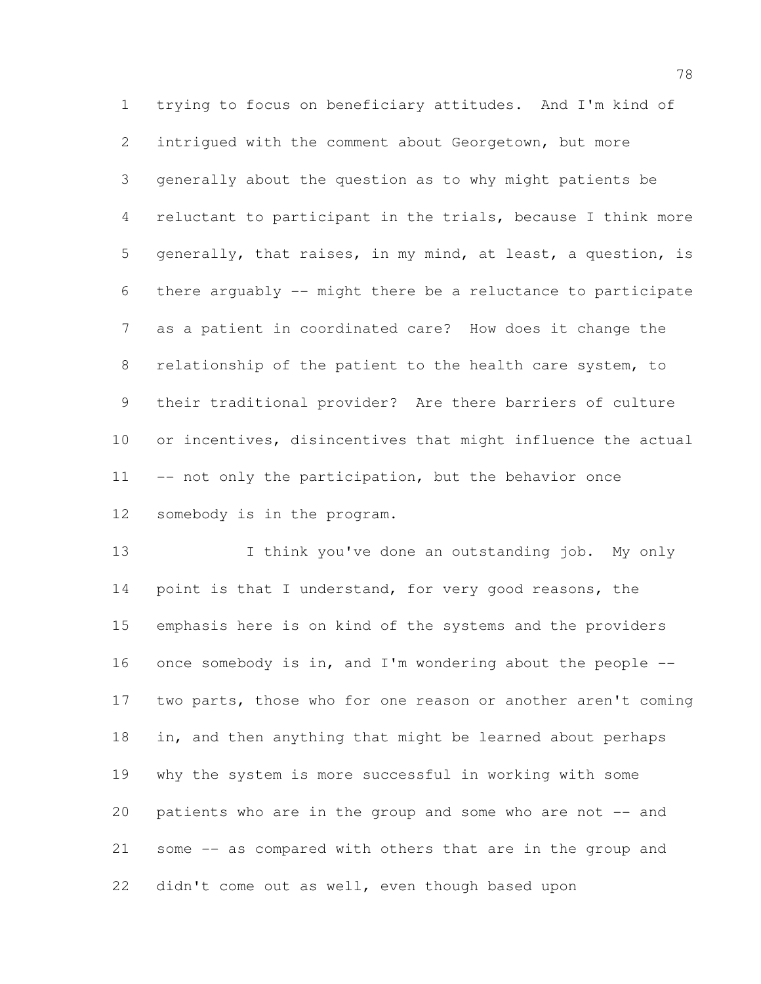trying to focus on beneficiary attitudes. And I'm kind of intrigued with the comment about Georgetown, but more generally about the question as to why might patients be reluctant to participant in the trials, because I think more generally, that raises, in my mind, at least, a question, is there arguably -- might there be a reluctance to participate as a patient in coordinated care? How does it change the relationship of the patient to the health care system, to their traditional provider? Are there barriers of culture or incentives, disincentives that might influence the actual 11 -- not only the participation, but the behavior once somebody is in the program.

13 I think you've done an outstanding job. My only 14 point is that I understand, for very good reasons, the emphasis here is on kind of the systems and the providers once somebody is in, and I'm wondering about the people -- two parts, those who for one reason or another aren't coming in, and then anything that might be learned about perhaps why the system is more successful in working with some patients who are in the group and some who are not -- and some -- as compared with others that are in the group and didn't come out as well, even though based upon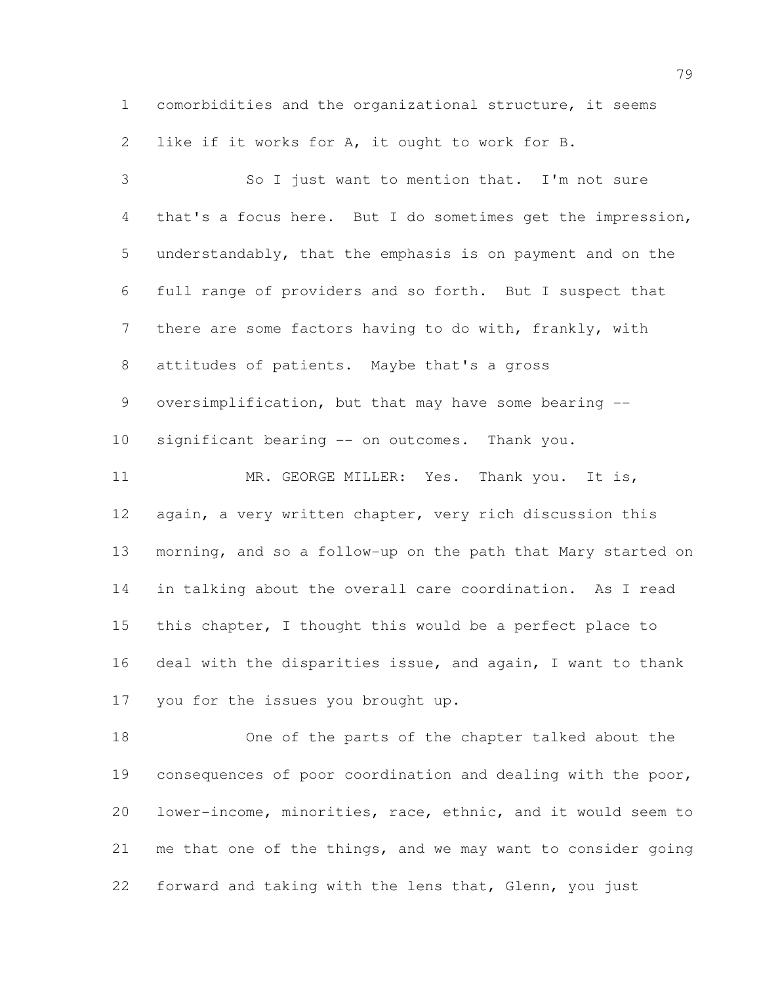comorbidities and the organizational structure, it seems like if it works for A, it ought to work for B.

 So I just want to mention that. I'm not sure that's a focus here. But I do sometimes get the impression, understandably, that the emphasis is on payment and on the full range of providers and so forth. But I suspect that there are some factors having to do with, frankly, with attitudes of patients. Maybe that's a gross 9 oversimplification, but that may have some bearing -- significant bearing -- on outcomes. Thank you. 11 MR. GEORGE MILLER: Yes. Thank you. It is, again, a very written chapter, very rich discussion this morning, and so a follow-up on the path that Mary started on in talking about the overall care coordination. As I read this chapter, I thought this would be a perfect place to deal with the disparities issue, and again, I want to thank you for the issues you brought up.

 One of the parts of the chapter talked about the consequences of poor coordination and dealing with the poor, lower-income, minorities, race, ethnic, and it would seem to me that one of the things, and we may want to consider going forward and taking with the lens that, Glenn, you just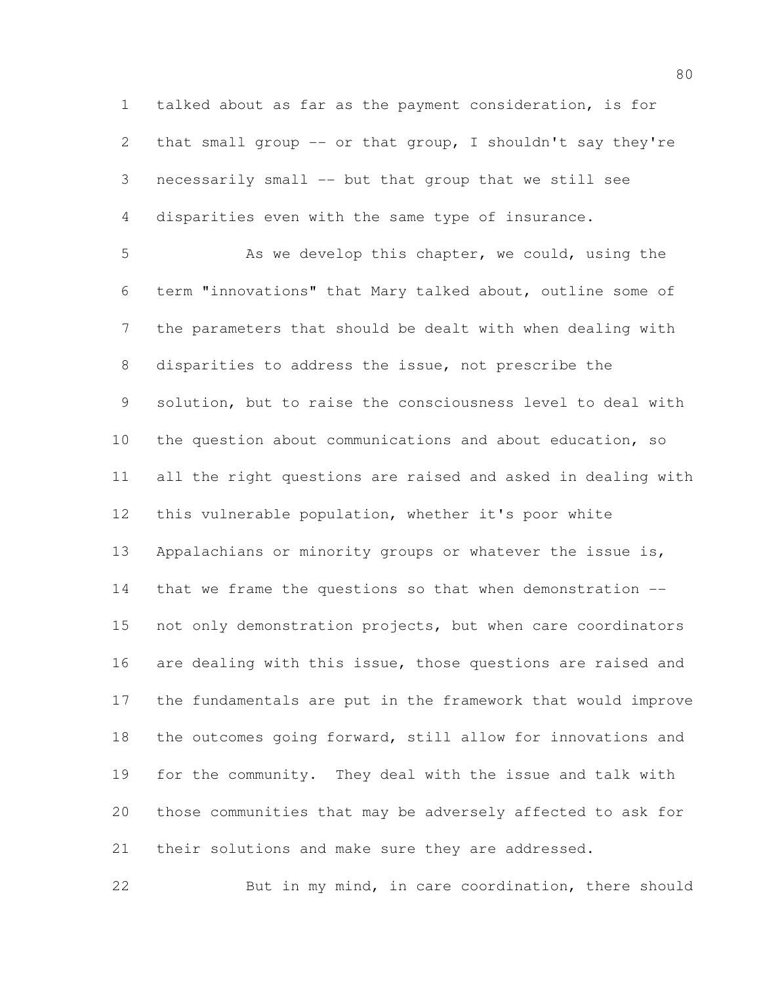talked about as far as the payment consideration, is for that small group -- or that group, I shouldn't say they're necessarily small -- but that group that we still see disparities even with the same type of insurance.

 As we develop this chapter, we could, using the term "innovations" that Mary talked about, outline some of the parameters that should be dealt with when dealing with disparities to address the issue, not prescribe the solution, but to raise the consciousness level to deal with the question about communications and about education, so all the right questions are raised and asked in dealing with this vulnerable population, whether it's poor white Appalachians or minority groups or whatever the issue is, that we frame the questions so that when demonstration -- 15 not only demonstration projects, but when care coordinators 16 are dealing with this issue, those questions are raised and the fundamentals are put in the framework that would improve the outcomes going forward, still allow for innovations and for the community. They deal with the issue and talk with those communities that may be adversely affected to ask for their solutions and make sure they are addressed.

But in my mind, in care coordination, there should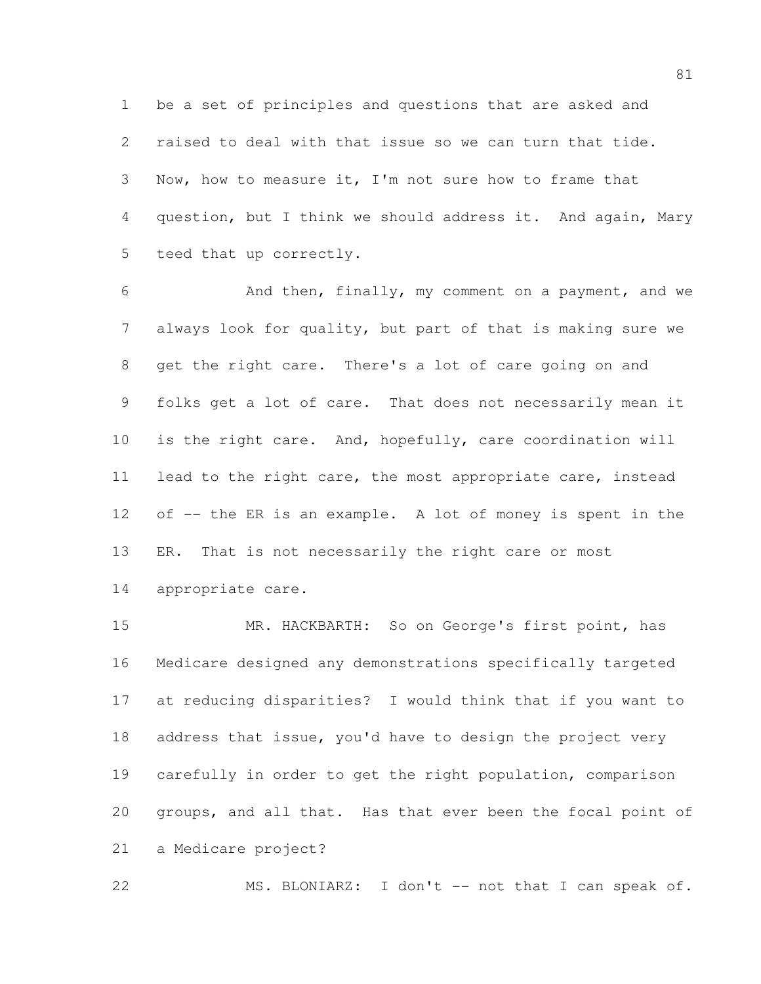be a set of principles and questions that are asked and raised to deal with that issue so we can turn that tide. Now, how to measure it, I'm not sure how to frame that question, but I think we should address it. And again, Mary teed that up correctly.

 And then, finally, my comment on a payment, and we always look for quality, but part of that is making sure we get the right care. There's a lot of care going on and folks get a lot of care. That does not necessarily mean it is the right care. And, hopefully, care coordination will 11 lead to the right care, the most appropriate care, instead 12 of  $-$  the ER is an example. A lot of money is spent in the ER. That is not necessarily the right care or most appropriate care.

15 MR. HACKBARTH: So on George's first point, has Medicare designed any demonstrations specifically targeted at reducing disparities? I would think that if you want to 18 address that issue, you'd have to design the project very carefully in order to get the right population, comparison groups, and all that. Has that ever been the focal point of a Medicare project?

MS. BLONIARZ: I don't -- not that I can speak of.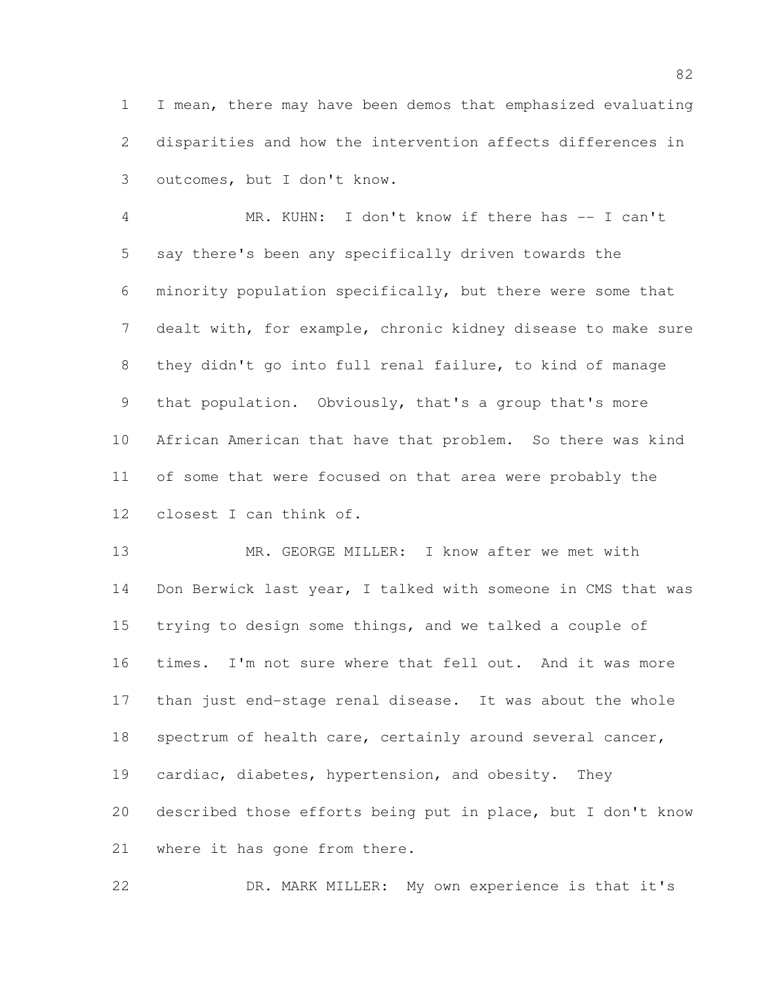I mean, there may have been demos that emphasized evaluating disparities and how the intervention affects differences in outcomes, but I don't know.

 MR. KUHN: I don't know if there has -- I can't say there's been any specifically driven towards the minority population specifically, but there were some that dealt with, for example, chronic kidney disease to make sure they didn't go into full renal failure, to kind of manage that population. Obviously, that's a group that's more African American that have that problem. So there was kind of some that were focused on that area were probably the closest I can think of.

 MR. GEORGE MILLER: I know after we met with Don Berwick last year, I talked with someone in CMS that was trying to design some things, and we talked a couple of times. I'm not sure where that fell out. And it was more than just end-stage renal disease. It was about the whole 18 spectrum of health care, certainly around several cancer, cardiac, diabetes, hypertension, and obesity. They described those efforts being put in place, but I don't know where it has gone from there.

DR. MARK MILLER: My own experience is that it's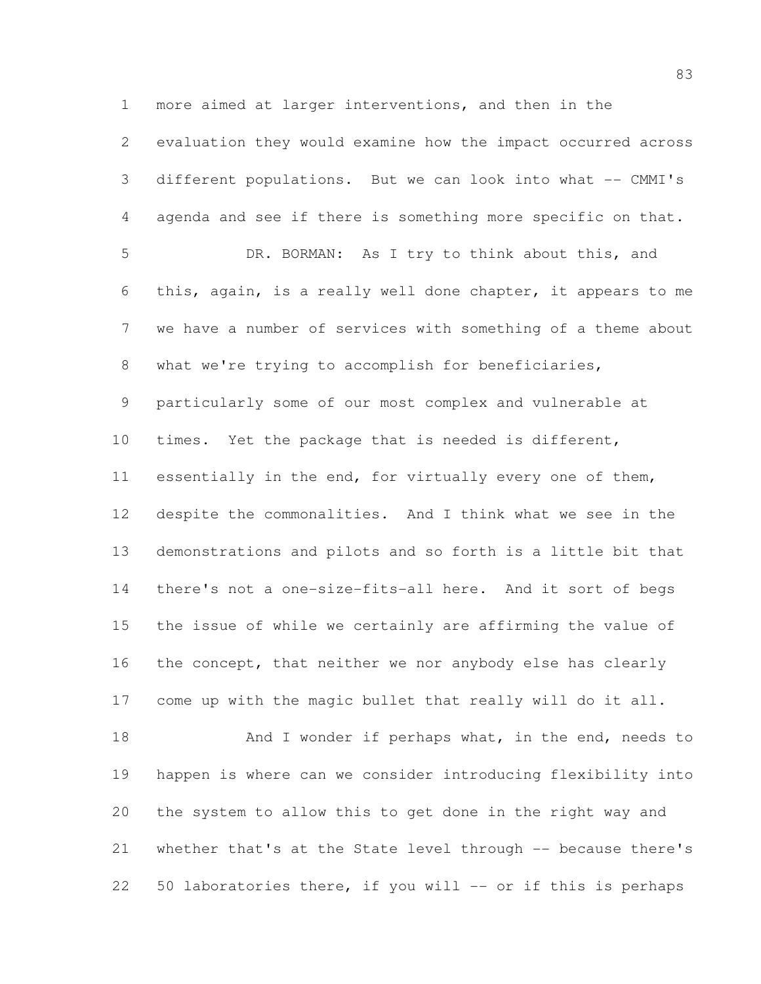more aimed at larger interventions, and then in the evaluation they would examine how the impact occurred across different populations. But we can look into what -- CMMI's agenda and see if there is something more specific on that. DR. BORMAN: As I try to think about this, and this, again, is a really well done chapter, it appears to me we have a number of services with something of a theme about what we're trying to accomplish for beneficiaries, particularly some of our most complex and vulnerable at times. Yet the package that is needed is different, 11 essentially in the end, for virtually every one of them, despite the commonalities. And I think what we see in the demonstrations and pilots and so forth is a little bit that there's not a one-size-fits-all here. And it sort of begs the issue of while we certainly are affirming the value of 16 the concept, that neither we nor anybody else has clearly come up with the magic bullet that really will do it all. 18 And I wonder if perhaps what, in the end, needs to

 happen is where can we consider introducing flexibility into the system to allow this to get done in the right way and whether that's at the State level through -- because there's 50 laboratories there, if you will -- or if this is perhaps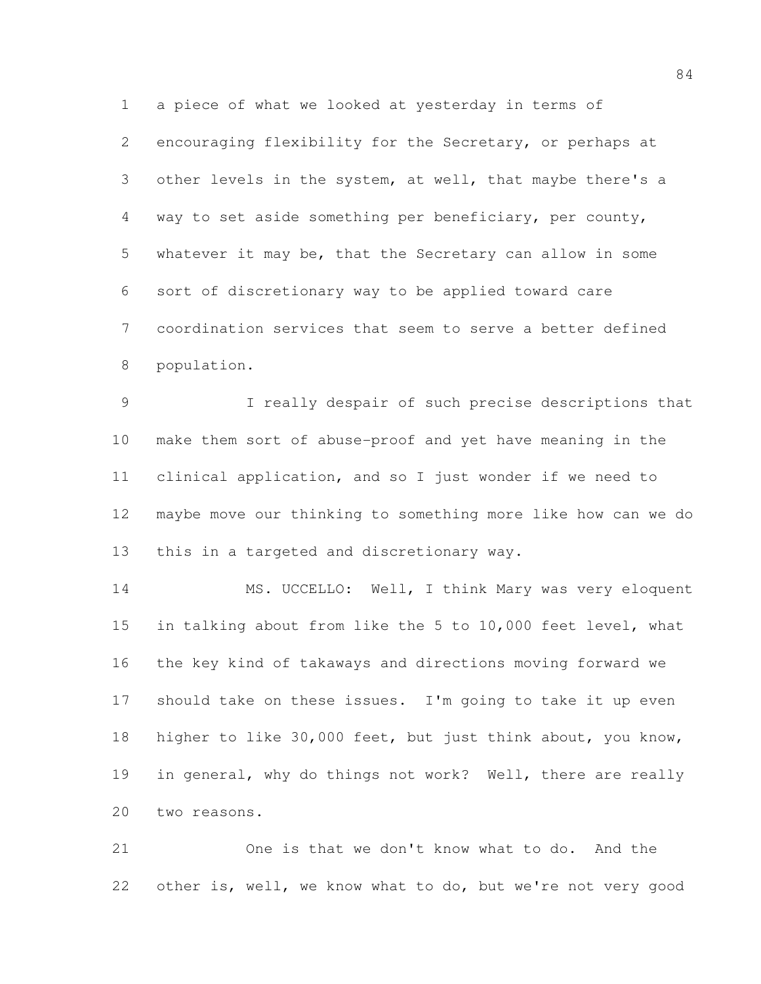a piece of what we looked at yesterday in terms of encouraging flexibility for the Secretary, or perhaps at other levels in the system, at well, that maybe there's a way to set aside something per beneficiary, per county, whatever it may be, that the Secretary can allow in some sort of discretionary way to be applied toward care coordination services that seem to serve a better defined population.

 I really despair of such precise descriptions that make them sort of abuse-proof and yet have meaning in the clinical application, and so I just wonder if we need to maybe move our thinking to something more like how can we do this in a targeted and discretionary way.

 MS. UCCELLO: Well, I think Mary was very eloquent in talking about from like the 5 to 10,000 feet level, what the key kind of takaways and directions moving forward we should take on these issues. I'm going to take it up even higher to like 30,000 feet, but just think about, you know, 19 in general, why do things not work? Well, there are really two reasons.

 One is that we don't know what to do. And the other is, well, we know what to do, but we're not very good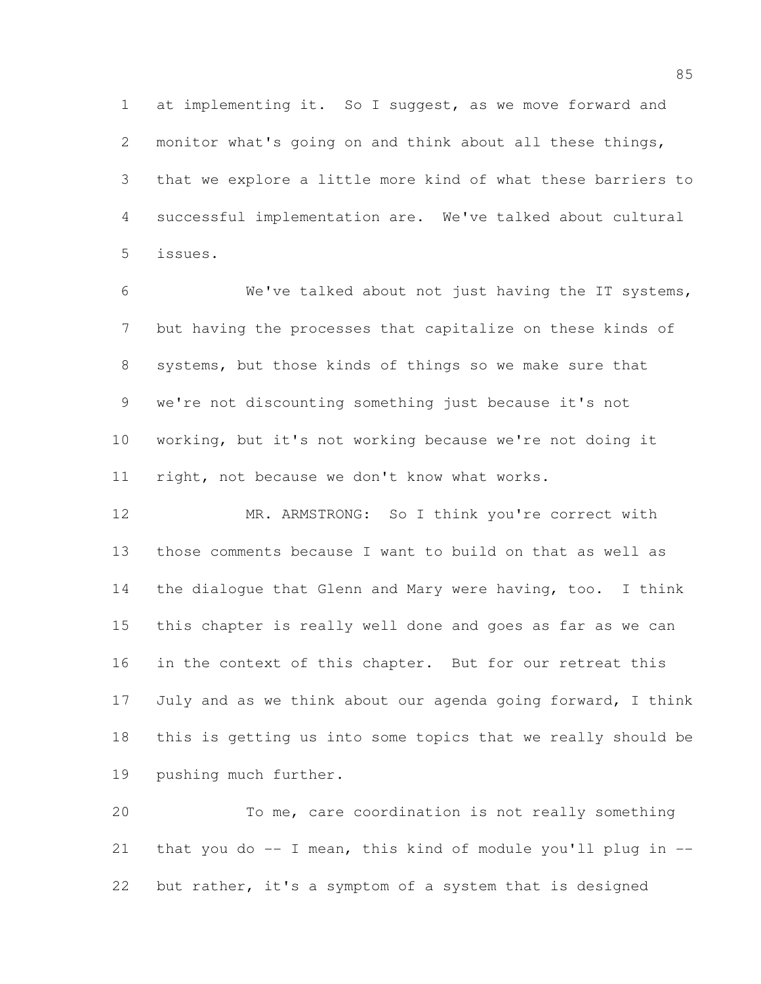at implementing it. So I suggest, as we move forward and monitor what's going on and think about all these things, that we explore a little more kind of what these barriers to successful implementation are. We've talked about cultural issues.

 We've talked about not just having the IT systems, but having the processes that capitalize on these kinds of systems, but those kinds of things so we make sure that we're not discounting something just because it's not working, but it's not working because we're not doing it right, not because we don't know what works.

 MR. ARMSTRONG: So I think you're correct with those comments because I want to build on that as well as the dialogue that Glenn and Mary were having, too. I think this chapter is really well done and goes as far as we can in the context of this chapter. But for our retreat this July and as we think about our agenda going forward, I think this is getting us into some topics that we really should be pushing much further.

 To me, care coordination is not really something 21 that you do  $-$ - I mean, this kind of module you'll plug in  $-$ -but rather, it's a symptom of a system that is designed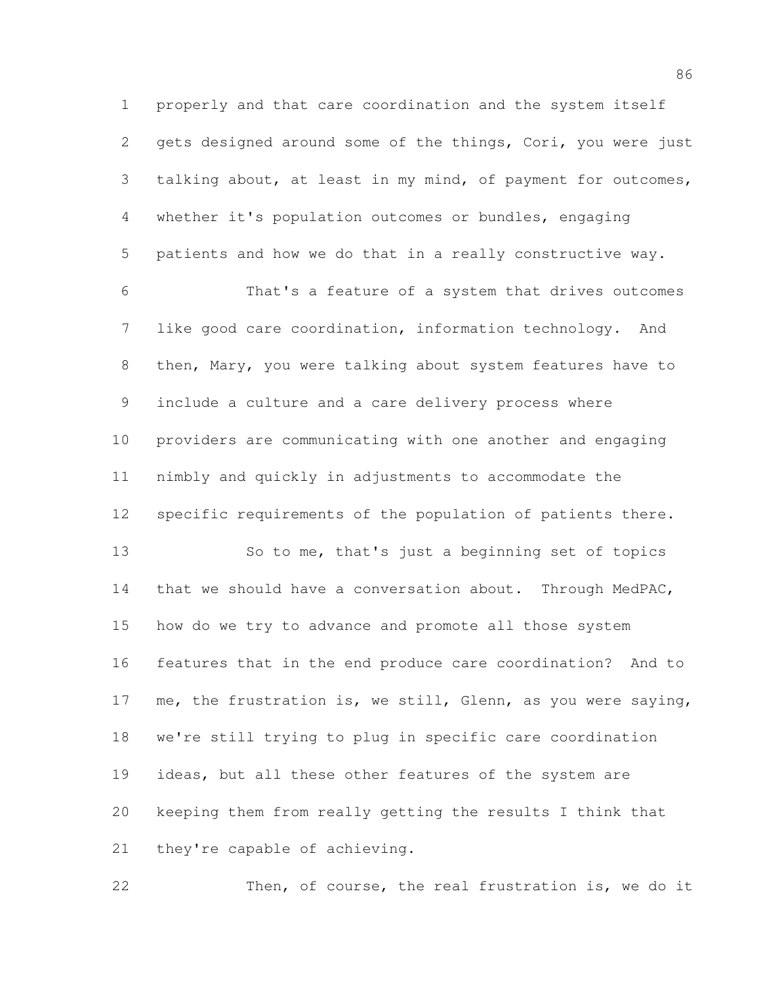properly and that care coordination and the system itself gets designed around some of the things, Cori, you were just talking about, at least in my mind, of payment for outcomes, whether it's population outcomes or bundles, engaging patients and how we do that in a really constructive way.

 That's a feature of a system that drives outcomes like good care coordination, information technology. And then, Mary, you were talking about system features have to include a culture and a care delivery process where providers are communicating with one another and engaging nimbly and quickly in adjustments to accommodate the specific requirements of the population of patients there.

13 So to me, that's just a beginning set of topics that we should have a conversation about. Through MedPAC, how do we try to advance and promote all those system features that in the end produce care coordination? And to me, the frustration is, we still, Glenn, as you were saying, we're still trying to plug in specific care coordination ideas, but all these other features of the system are keeping them from really getting the results I think that they're capable of achieving.

Then, of course, the real frustration is, we do it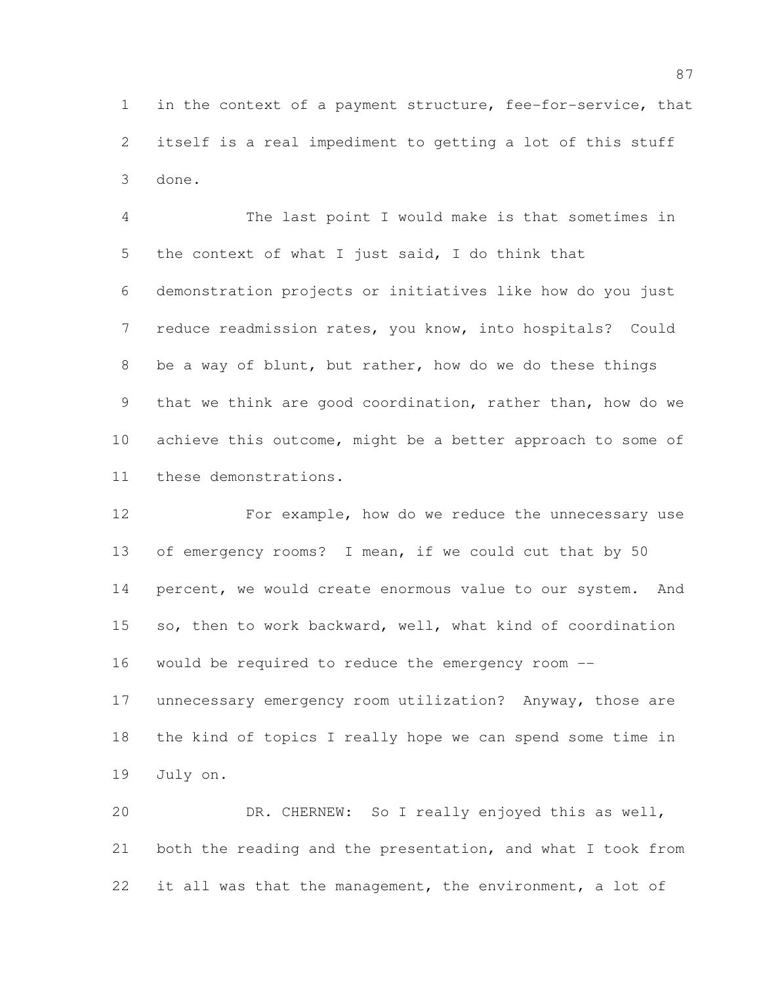in the context of a payment structure, fee-for-service, that itself is a real impediment to getting a lot of this stuff done.

 The last point I would make is that sometimes in the context of what I just said, I do think that demonstration projects or initiatives like how do you just reduce readmission rates, you know, into hospitals? Could be a way of blunt, but rather, how do we do these things that we think are good coordination, rather than, how do we achieve this outcome, might be a better approach to some of these demonstrations.

 For example, how do we reduce the unnecessary use of emergency rooms? I mean, if we could cut that by 50 14 percent, we would create enormous value to our system. And so, then to work backward, well, what kind of coordination would be required to reduce the emergency room --

 unnecessary emergency room utilization? Anyway, those are the kind of topics I really hope we can spend some time in July on.

 DR. CHERNEW: So I really enjoyed this as well, both the reading and the presentation, and what I took from 22 it all was that the management, the environment, a lot of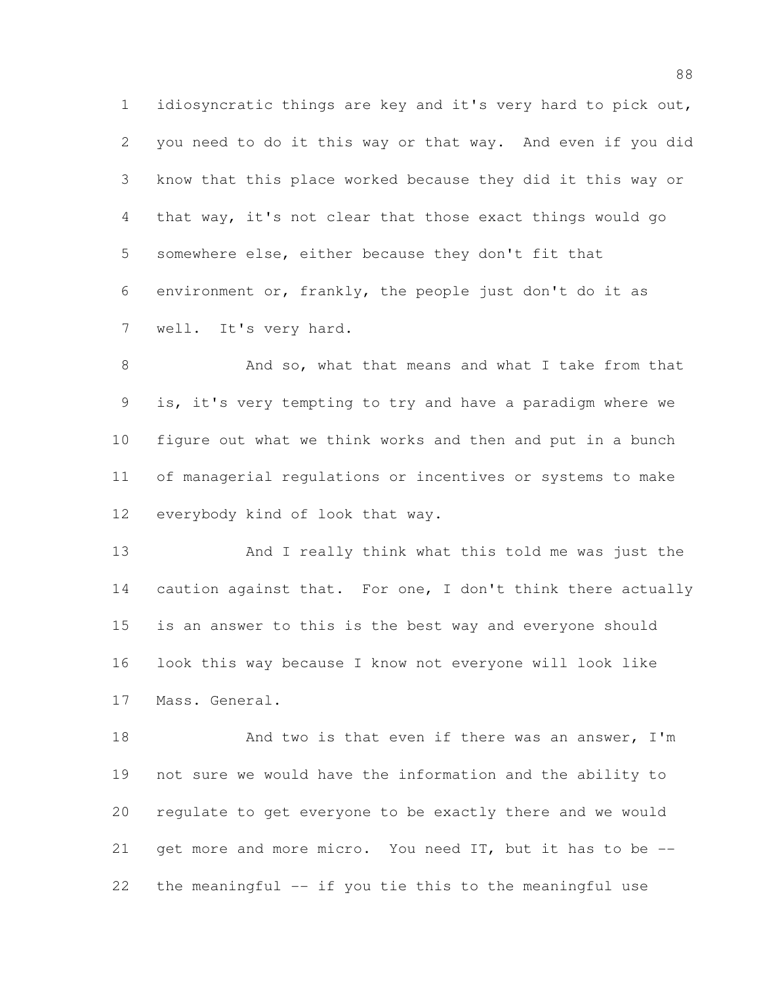idiosyncratic things are key and it's very hard to pick out, you need to do it this way or that way. And even if you did know that this place worked because they did it this way or that way, it's not clear that those exact things would go somewhere else, either because they don't fit that environment or, frankly, the people just don't do it as well. It's very hard.

8 And so, what that means and what I take from that is, it's very tempting to try and have a paradigm where we figure out what we think works and then and put in a bunch of managerial regulations or incentives or systems to make everybody kind of look that way.

 And I really think what this told me was just the 14 caution against that. For one, I don't think there actually is an answer to this is the best way and everyone should look this way because I know not everyone will look like Mass. General.

18 And two is that even if there was an answer, I'm not sure we would have the information and the ability to regulate to get everyone to be exactly there and we would get more and more micro. You need IT, but it has to be -- the meaningful -- if you tie this to the meaningful use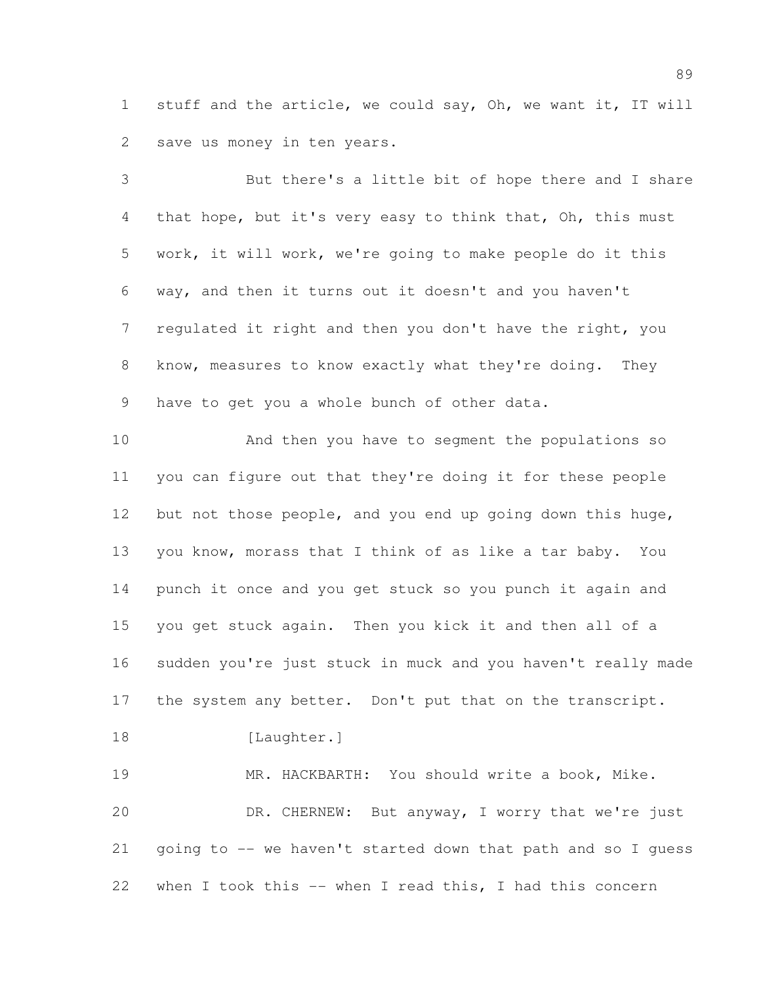stuff and the article, we could say, Oh, we want it, IT will save us money in ten years.

 But there's a little bit of hope there and I share that hope, but it's very easy to think that, Oh, this must work, it will work, we're going to make people do it this way, and then it turns out it doesn't and you haven't regulated it right and then you don't have the right, you know, measures to know exactly what they're doing. They have to get you a whole bunch of other data.

 And then you have to segment the populations so you can figure out that they're doing it for these people 12 but not those people, and you end up going down this huge, you know, morass that I think of as like a tar baby. You punch it once and you get stuck so you punch it again and you get stuck again. Then you kick it and then all of a sudden you're just stuck in muck and you haven't really made 17 the system any better. Don't put that on the transcript.

18 [Laughter.]

 MR. HACKBARTH: You should write a book, Mike. DR. CHERNEW: But anyway, I worry that we're just going to -- we haven't started down that path and so I guess when I took this -- when I read this, I had this concern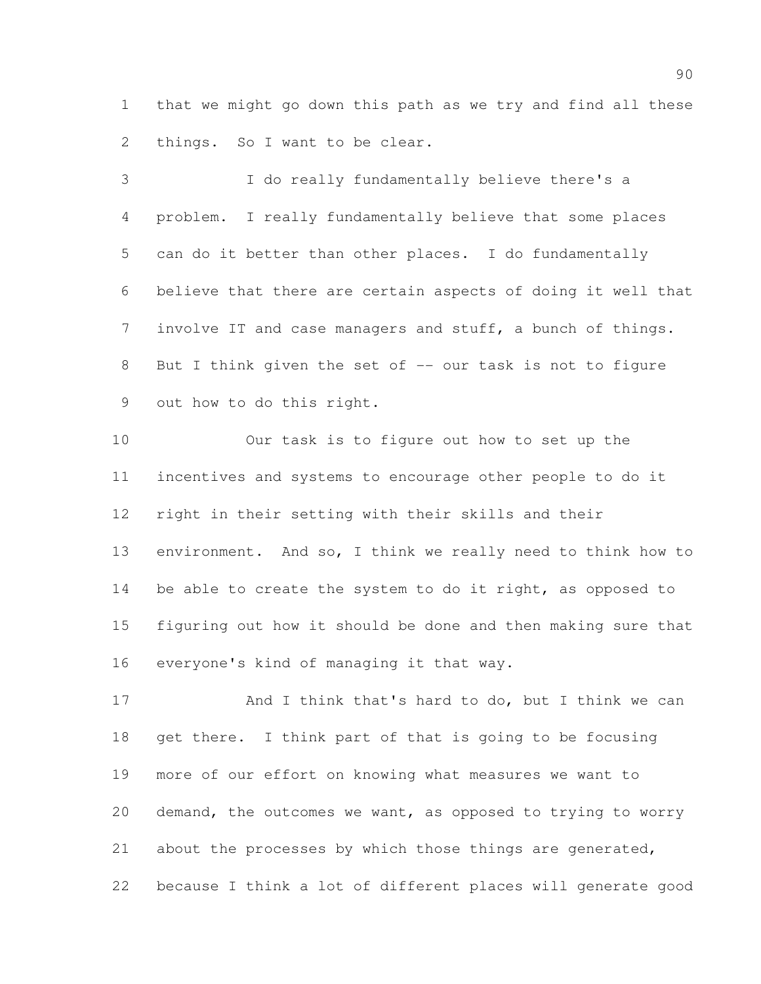that we might go down this path as we try and find all these things. So I want to be clear.

 I do really fundamentally believe there's a problem. I really fundamentally believe that some places can do it better than other places. I do fundamentally believe that there are certain aspects of doing it well that involve IT and case managers and stuff, a bunch of things. 8 But I think given the set of -- our task is not to figure out how to do this right.

 Our task is to figure out how to set up the incentives and systems to encourage other people to do it right in their setting with their skills and their environment. And so, I think we really need to think how to 14 be able to create the system to do it right, as opposed to figuring out how it should be done and then making sure that everyone's kind of managing it that way.

17 And I think that's hard to do, but I think we can get there. I think part of that is going to be focusing more of our effort on knowing what measures we want to demand, the outcomes we want, as opposed to trying to worry about the processes by which those things are generated, because I think a lot of different places will generate good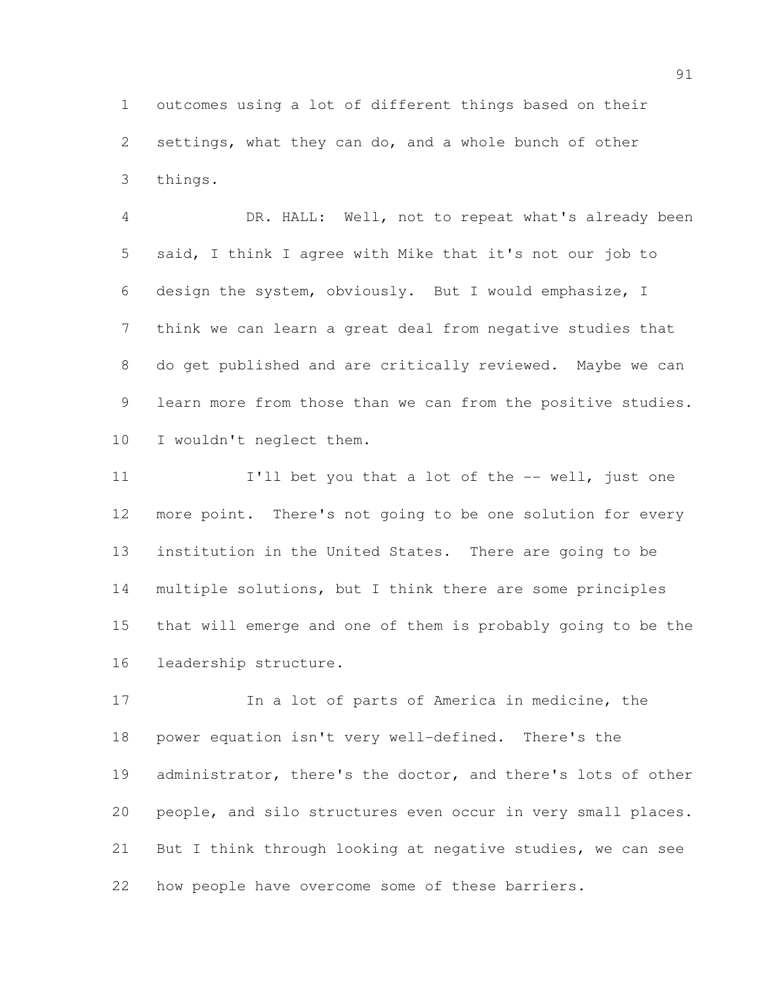outcomes using a lot of different things based on their settings, what they can do, and a whole bunch of other things.

 DR. HALL: Well, not to repeat what's already been said, I think I agree with Mike that it's not our job to design the system, obviously. But I would emphasize, I think we can learn a great deal from negative studies that do get published and are critically reviewed. Maybe we can 9 learn more from those than we can from the positive studies. 10 I wouldn't neglect them.

**I'll bet you that a lot of the -- well, just one**  more point. There's not going to be one solution for every institution in the United States. There are going to be multiple solutions, but I think there are some principles that will emerge and one of them is probably going to be the leadership structure.

 In a lot of parts of America in medicine, the power equation isn't very well-defined. There's the administrator, there's the doctor, and there's lots of other people, and silo structures even occur in very small places. But I think through looking at negative studies, we can see how people have overcome some of these barriers.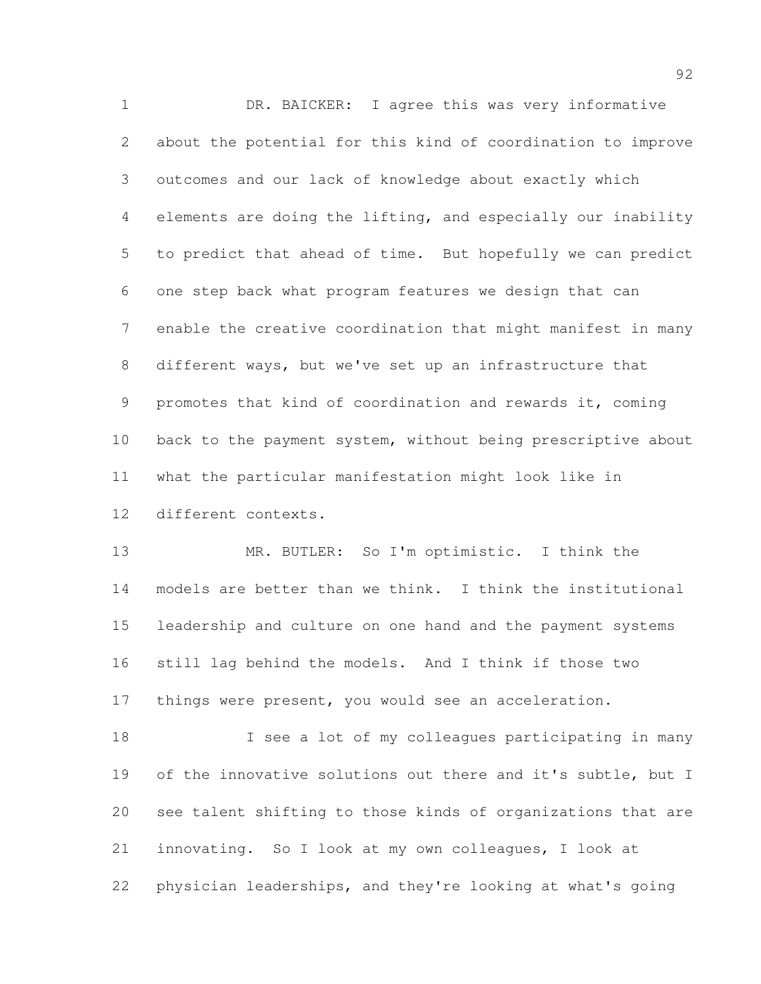DR. BAICKER: I agree this was very informative about the potential for this kind of coordination to improve outcomes and our lack of knowledge about exactly which elements are doing the lifting, and especially our inability to predict that ahead of time. But hopefully we can predict one step back what program features we design that can enable the creative coordination that might manifest in many different ways, but we've set up an infrastructure that promotes that kind of coordination and rewards it, coming back to the payment system, without being prescriptive about what the particular manifestation might look like in different contexts.

 MR. BUTLER: So I'm optimistic. I think the models are better than we think. I think the institutional leadership and culture on one hand and the payment systems still lag behind the models. And I think if those two 17 things were present, you would see an acceleration.

18 I see a lot of my colleagues participating in many of the innovative solutions out there and it's subtle, but I see talent shifting to those kinds of organizations that are innovating. So I look at my own colleagues, I look at physician leaderships, and they're looking at what's going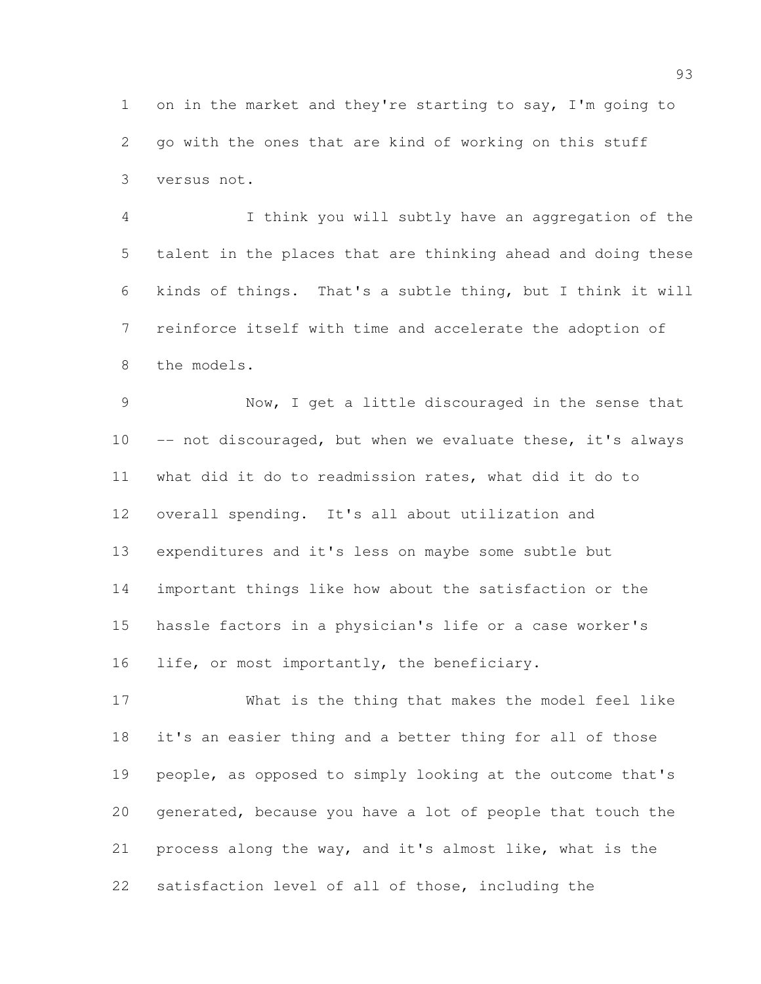on in the market and they're starting to say, I'm going to go with the ones that are kind of working on this stuff versus not.

 I think you will subtly have an aggregation of the talent in the places that are thinking ahead and doing these kinds of things. That's a subtle thing, but I think it will reinforce itself with time and accelerate the adoption of the models.

 Now, I get a little discouraged in the sense that 10 -- not discouraged, but when we evaluate these, it's always what did it do to readmission rates, what did it do to overall spending. It's all about utilization and expenditures and it's less on maybe some subtle but important things like how about the satisfaction or the hassle factors in a physician's life or a case worker's life, or most importantly, the beneficiary.

 What is the thing that makes the model feel like it's an easier thing and a better thing for all of those people, as opposed to simply looking at the outcome that's generated, because you have a lot of people that touch the process along the way, and it's almost like, what is the satisfaction level of all of those, including the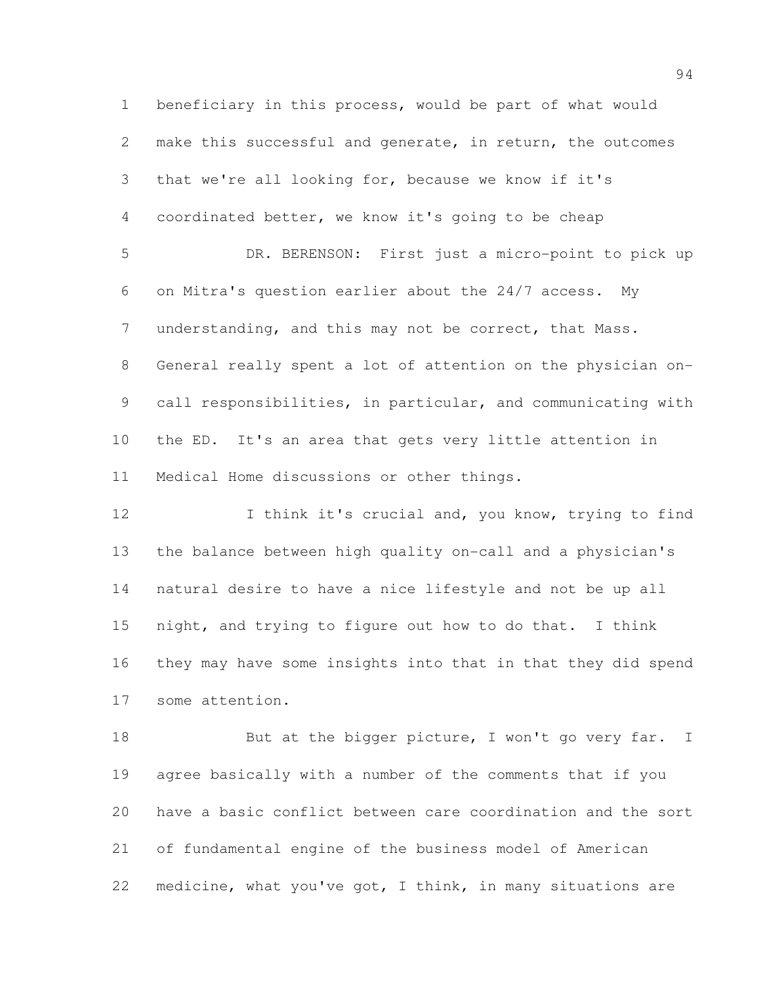beneficiary in this process, would be part of what would make this successful and generate, in return, the outcomes that we're all looking for, because we know if it's coordinated better, we know it's going to be cheap DR. BERENSON: First just a micro-point to pick up on Mitra's question earlier about the 24/7 access. My 7 understanding, and this may not be correct, that Mass. General really spent a lot of attention on the physician on- call responsibilities, in particular, and communicating with the ED. It's an area that gets very little attention in Medical Home discussions or other things.

12 I think it's crucial and, you know, trying to find the balance between high quality on-call and a physician's natural desire to have a nice lifestyle and not be up all night, and trying to figure out how to do that. I think they may have some insights into that in that they did spend some attention.

18 But at the bigger picture, I won't go very far. I agree basically with a number of the comments that if you have a basic conflict between care coordination and the sort of fundamental engine of the business model of American medicine, what you've got, I think, in many situations are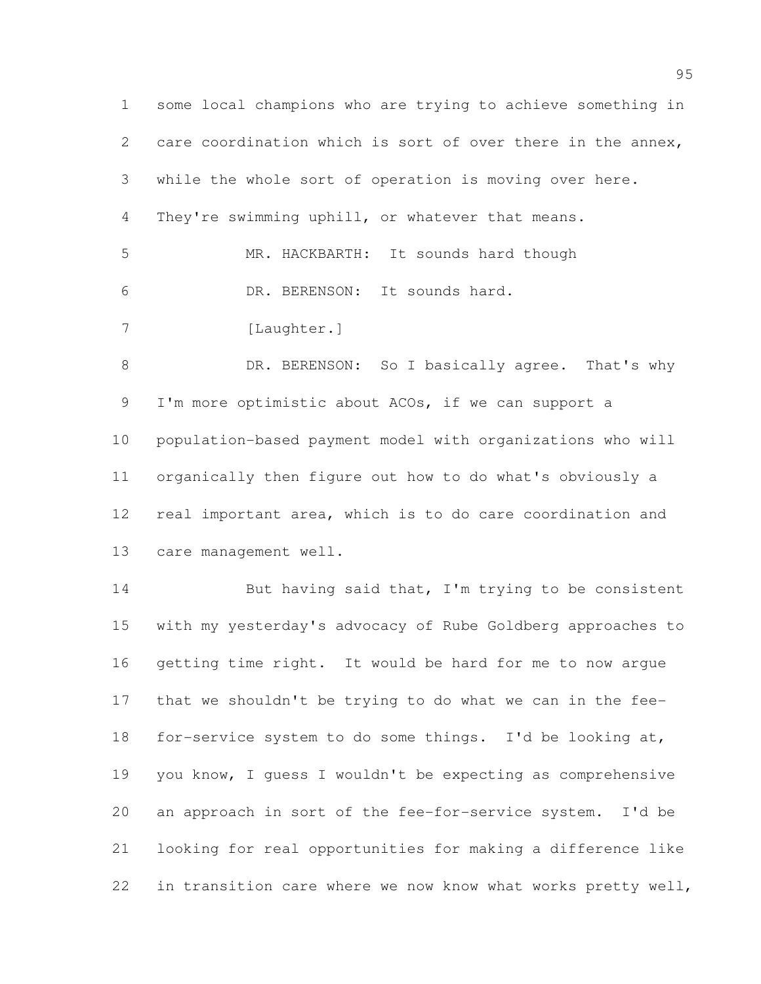some local champions who are trying to achieve something in care coordination which is sort of over there in the annex, while the whole sort of operation is moving over here. They're swimming uphill, or whatever that means. MR. HACKBARTH: It sounds hard though DR. BERENSON: It sounds hard. 7 [Laughter.] 8 DR. BERENSON: So I basically agree. That's why I'm more optimistic about ACOs, if we can support a population-based payment model with organizations who will organically then figure out how to do what's obviously a real important area, which is to do care coordination and care management well. But having said that, I'm trying to be consistent

 with my yesterday's advocacy of Rube Goldberg approaches to getting time right. It would be hard for me to now argue that we shouldn't be trying to do what we can in the fee- for-service system to do some things. I'd be looking at, you know, I guess I wouldn't be expecting as comprehensive an approach in sort of the fee-for-service system. I'd be looking for real opportunities for making a difference like 22 in transition care where we now know what works pretty well,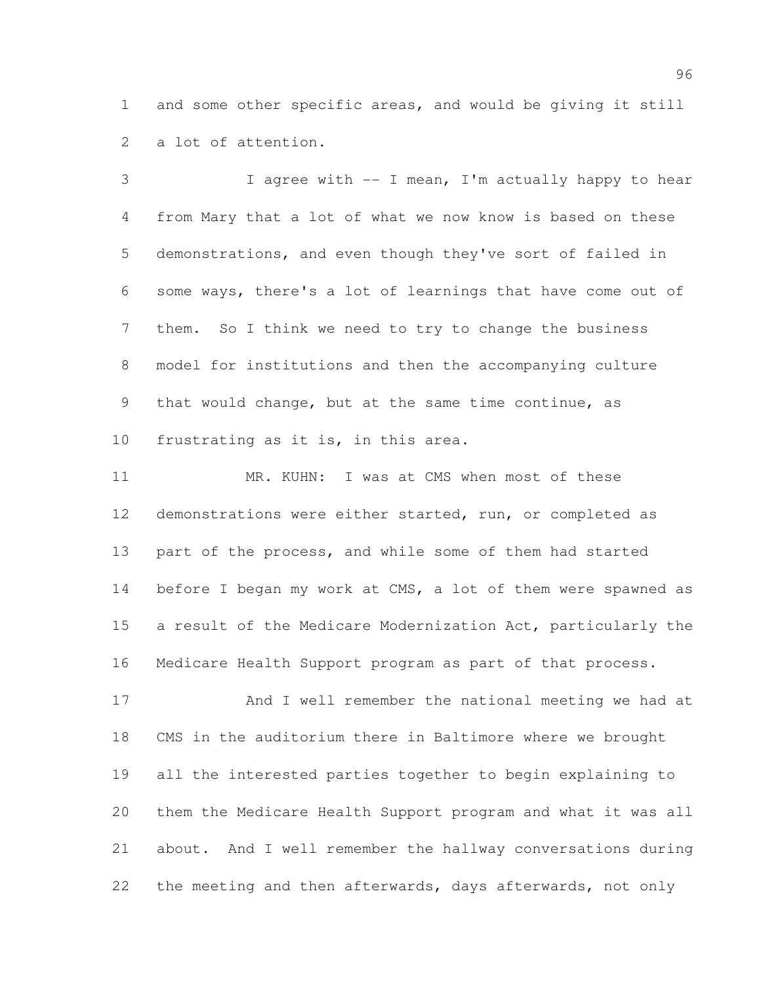and some other specific areas, and would be giving it still a lot of attention.

 I agree with -- I mean, I'm actually happy to hear from Mary that a lot of what we now know is based on these demonstrations, and even though they've sort of failed in some ways, there's a lot of learnings that have come out of them. So I think we need to try to change the business model for institutions and then the accompanying culture that would change, but at the same time continue, as frustrating as it is, in this area.

11 MR. KUHN: I was at CMS when most of these demonstrations were either started, run, or completed as part of the process, and while some of them had started 14 before I began my work at CMS, a lot of them were spawned as a result of the Medicare Modernization Act, particularly the Medicare Health Support program as part of that process.

 And I well remember the national meeting we had at CMS in the auditorium there in Baltimore where we brought all the interested parties together to begin explaining to them the Medicare Health Support program and what it was all about. And I well remember the hallway conversations during the meeting and then afterwards, days afterwards, not only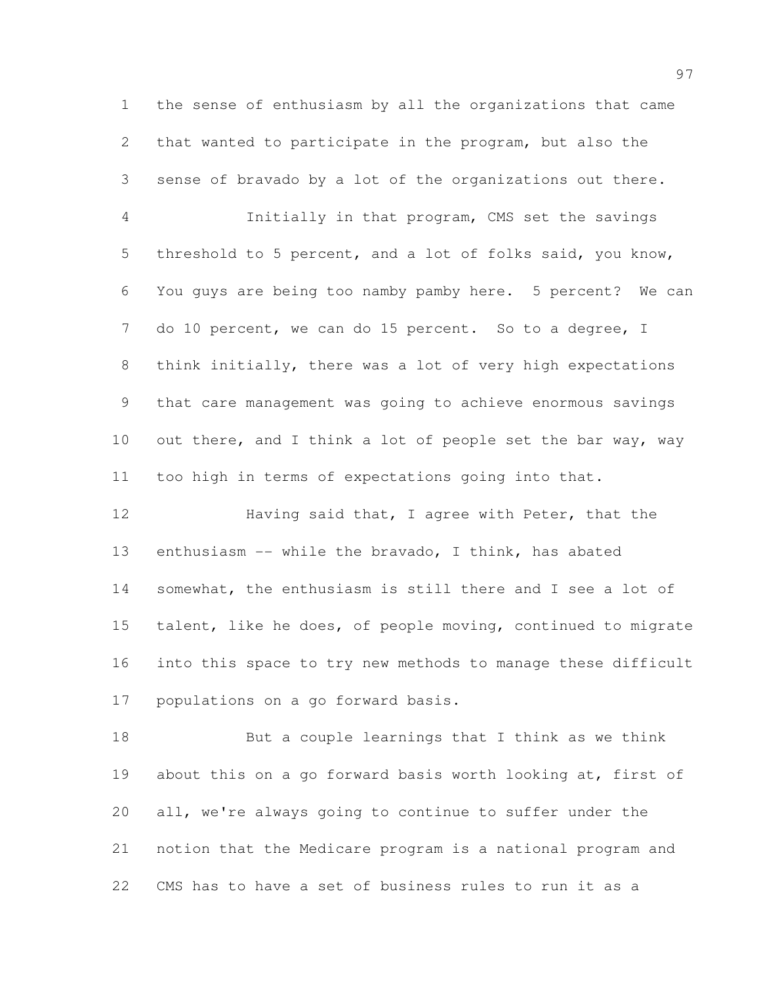the sense of enthusiasm by all the organizations that came that wanted to participate in the program, but also the sense of bravado by a lot of the organizations out there.

 Initially in that program, CMS set the savings threshold to 5 percent, and a lot of folks said, you know, You guys are being too namby pamby here. 5 percent? We can do 10 percent, we can do 15 percent. So to a degree, I think initially, there was a lot of very high expectations that care management was going to achieve enormous savings 10 out there, and I think a lot of people set the bar way, way too high in terms of expectations going into that.

**Having said that, I agree with Peter, that the**  enthusiasm -- while the bravado, I think, has abated somewhat, the enthusiasm is still there and I see a lot of talent, like he does, of people moving, continued to migrate into this space to try new methods to manage these difficult populations on a go forward basis.

 But a couple learnings that I think as we think about this on a go forward basis worth looking at, first of all, we're always going to continue to suffer under the notion that the Medicare program is a national program and CMS has to have a set of business rules to run it as a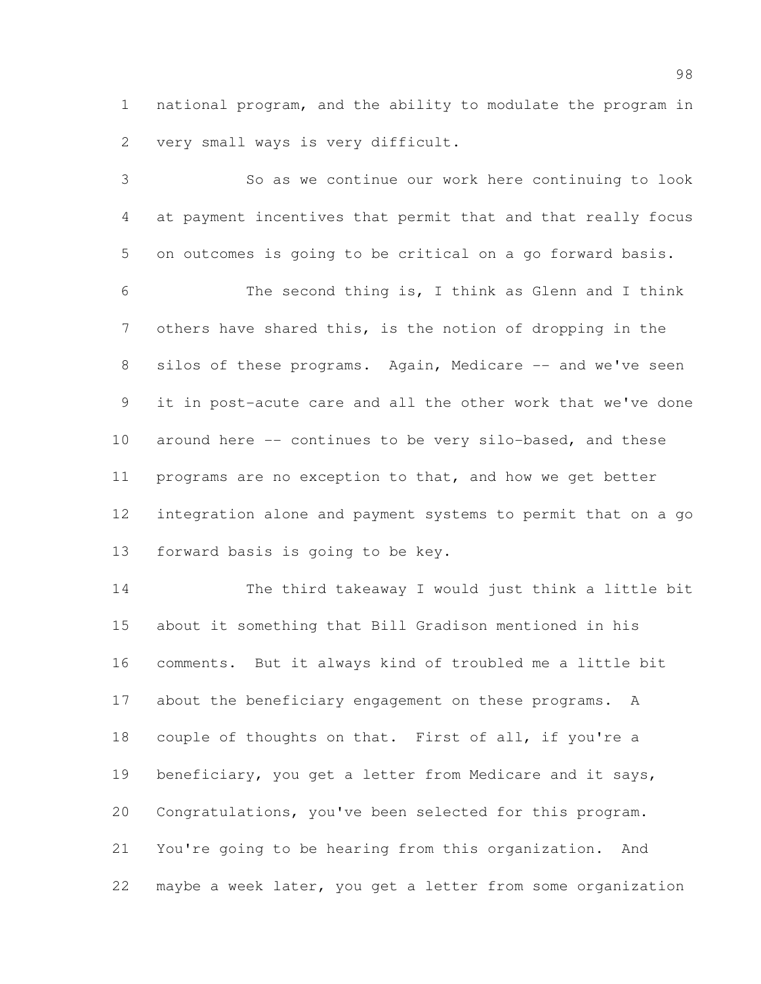national program, and the ability to modulate the program in very small ways is very difficult.

 So as we continue our work here continuing to look at payment incentives that permit that and that really focus on outcomes is going to be critical on a go forward basis. The second thing is, I think as Glenn and I think others have shared this, is the notion of dropping in the 8 silos of these programs. Again, Medicare -- and we've seen it in post-acute care and all the other work that we've done around here -- continues to be very silo-based, and these programs are no exception to that, and how we get better integration alone and payment systems to permit that on a go forward basis is going to be key.

 The third takeaway I would just think a little bit about it something that Bill Gradison mentioned in his comments. But it always kind of troubled me a little bit 17 about the beneficiary engagement on these programs. A couple of thoughts on that. First of all, if you're a 19 beneficiary, you get a letter from Medicare and it says, Congratulations, you've been selected for this program. You're going to be hearing from this organization. And maybe a week later, you get a letter from some organization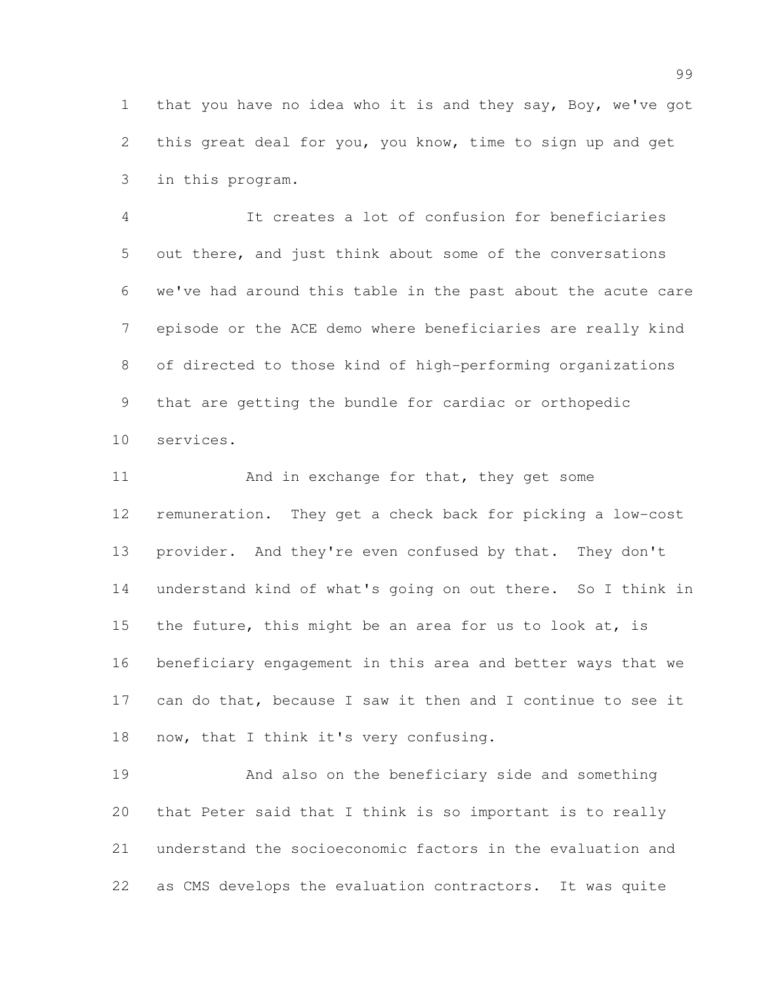that you have no idea who it is and they say, Boy, we've got this great deal for you, you know, time to sign up and get in this program.

 It creates a lot of confusion for beneficiaries out there, and just think about some of the conversations we've had around this table in the past about the acute care episode or the ACE demo where beneficiaries are really kind of directed to those kind of high-performing organizations that are getting the bundle for cardiac or orthopedic services.

11 And in exchange for that, they get some remuneration. They get a check back for picking a low-cost provider. And they're even confused by that. They don't understand kind of what's going on out there. So I think in the future, this might be an area for us to look at, is beneficiary engagement in this area and better ways that we can do that, because I saw it then and I continue to see it now, that I think it's very confusing.

 And also on the beneficiary side and something that Peter said that I think is so important is to really understand the socioeconomic factors in the evaluation and as CMS develops the evaluation contractors. It was quite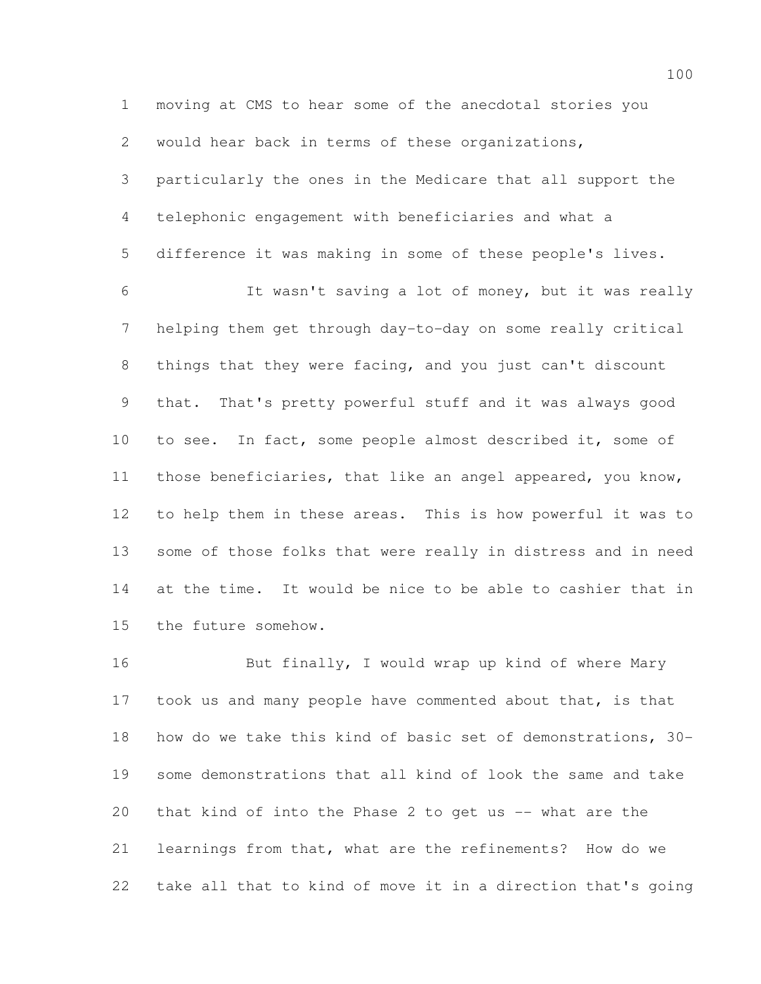moving at CMS to hear some of the anecdotal stories you would hear back in terms of these organizations, particularly the ones in the Medicare that all support the telephonic engagement with beneficiaries and what a difference it was making in some of these people's lives. It wasn't saving a lot of money, but it was really helping them get through day-to-day on some really critical things that they were facing, and you just can't discount that. That's pretty powerful stuff and it was always good to see. In fact, some people almost described it, some of those beneficiaries, that like an angel appeared, you know, to help them in these areas. This is how powerful it was to some of those folks that were really in distress and in need at the time. It would be nice to be able to cashier that in the future somehow.

16 But finally, I would wrap up kind of where Mary 17 took us and many people have commented about that, is that how do we take this kind of basic set of demonstrations, 30- some demonstrations that all kind of look the same and take that kind of into the Phase 2 to get us -- what are the learnings from that, what are the refinements? How do we take all that to kind of move it in a direction that's going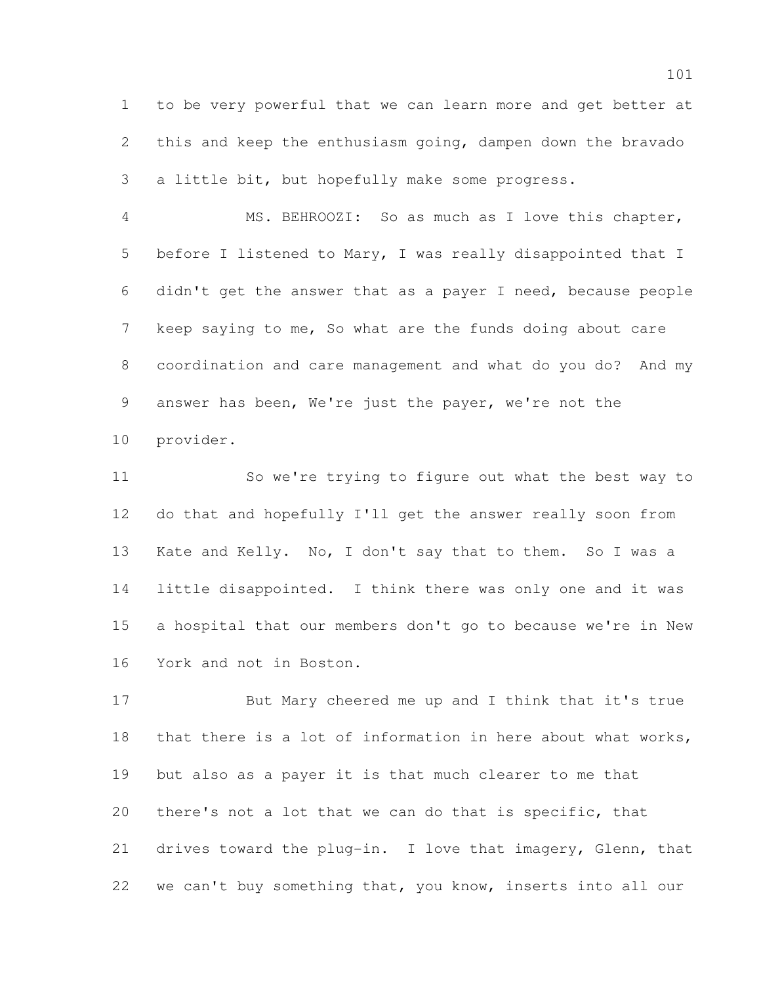to be very powerful that we can learn more and get better at this and keep the enthusiasm going, dampen down the bravado a little bit, but hopefully make some progress.

 MS. BEHROOZI: So as much as I love this chapter, before I listened to Mary, I was really disappointed that I didn't get the answer that as a payer I need, because people keep saying to me, So what are the funds doing about care coordination and care management and what do you do? And my answer has been, We're just the payer, we're not the provider.

 So we're trying to figure out what the best way to do that and hopefully I'll get the answer really soon from Kate and Kelly. No, I don't say that to them. So I was a little disappointed. I think there was only one and it was a hospital that our members don't go to because we're in New York and not in Boston.

 But Mary cheered me up and I think that it's true that there is a lot of information in here about what works, but also as a payer it is that much clearer to me that there's not a lot that we can do that is specific, that drives toward the plug-in. I love that imagery, Glenn, that we can't buy something that, you know, inserts into all our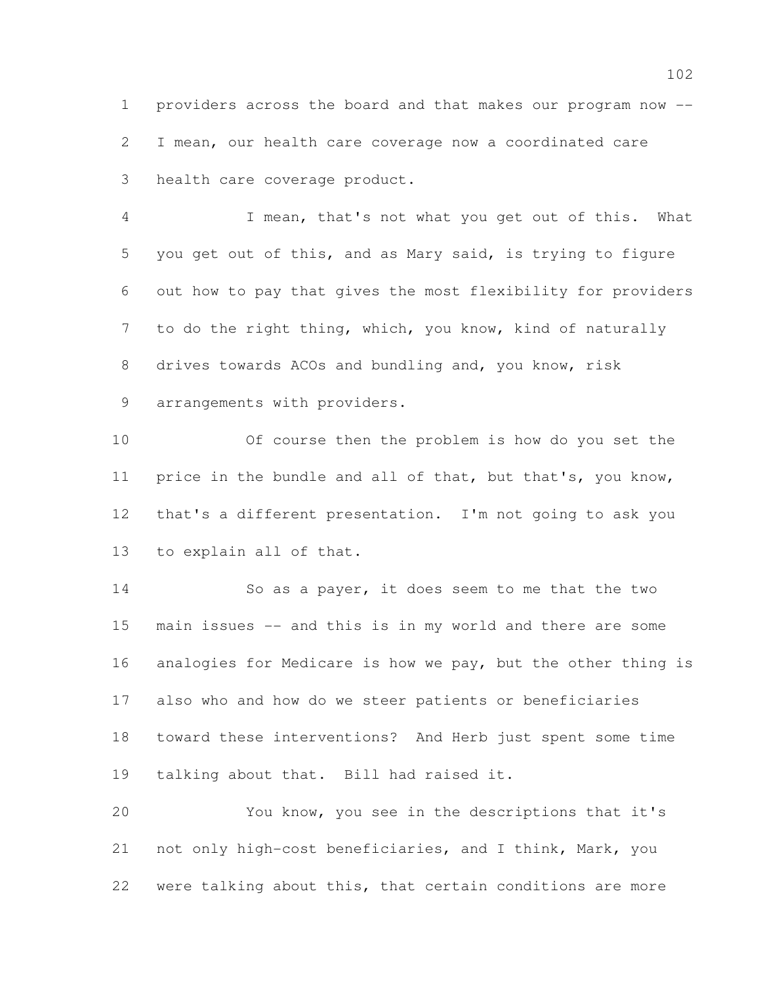providers across the board and that makes our program now -- I mean, our health care coverage now a coordinated care health care coverage product.

 I mean, that's not what you get out of this. What you get out of this, and as Mary said, is trying to figure out how to pay that gives the most flexibility for providers to do the right thing, which, you know, kind of naturally drives towards ACOs and bundling and, you know, risk 9 arrangements with providers.

 Of course then the problem is how do you set the 11 price in the bundle and all of that, but that's, you know, that's a different presentation. I'm not going to ask you to explain all of that.

 So as a payer, it does seem to me that the two main issues -- and this is in my world and there are some analogies for Medicare is how we pay, but the other thing is also who and how do we steer patients or beneficiaries toward these interventions? And Herb just spent some time talking about that. Bill had raised it.

 You know, you see in the descriptions that it's not only high-cost beneficiaries, and I think, Mark, you were talking about this, that certain conditions are more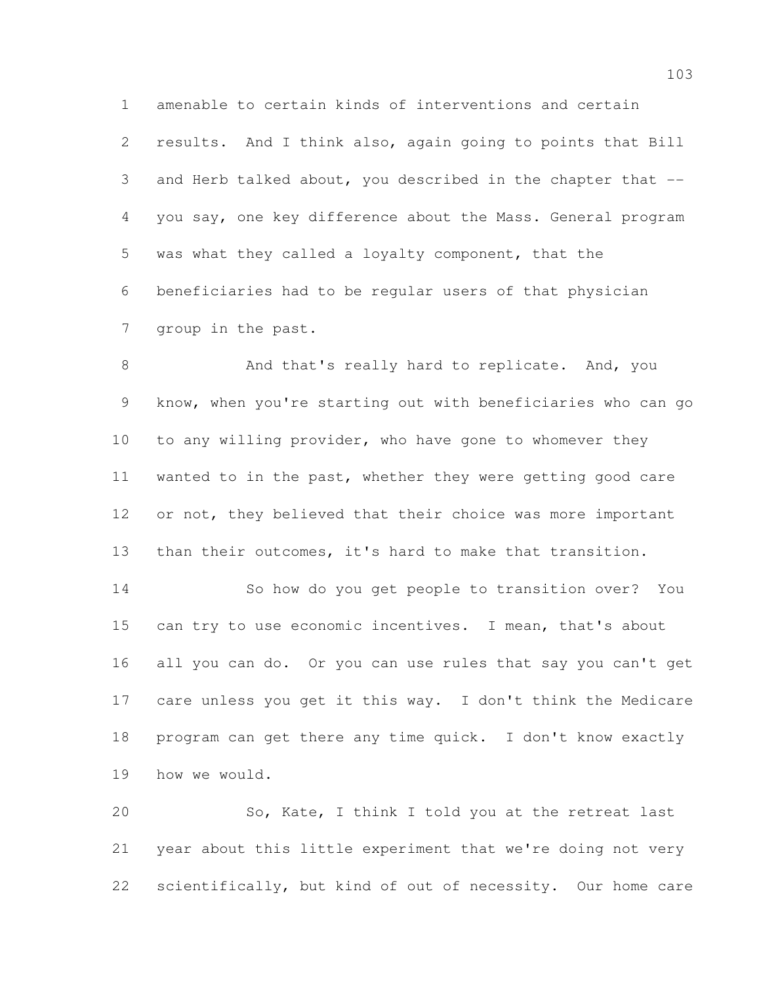amenable to certain kinds of interventions and certain results. And I think also, again going to points that Bill and Herb talked about, you described in the chapter that -- you say, one key difference about the Mass. General program was what they called a loyalty component, that the beneficiaries had to be regular users of that physician group in the past.

8 And that's really hard to replicate. And, you know, when you're starting out with beneficiaries who can go to any willing provider, who have gone to whomever they wanted to in the past, whether they were getting good care 12 or not, they believed that their choice was more important than their outcomes, it's hard to make that transition.

 So how do you get people to transition over? You can try to use economic incentives. I mean, that's about all you can do. Or you can use rules that say you can't get care unless you get it this way. I don't think the Medicare program can get there any time quick. I don't know exactly how we would.

 So, Kate, I think I told you at the retreat last year about this little experiment that we're doing not very scientifically, but kind of out of necessity. Our home care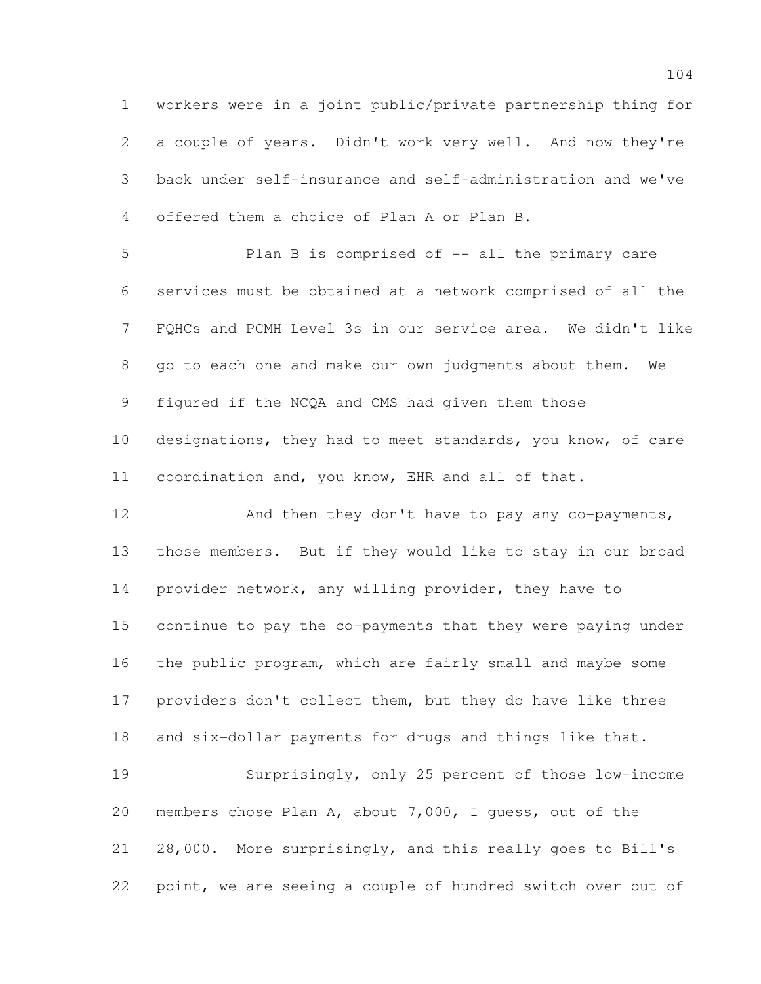workers were in a joint public/private partnership thing for a couple of years. Didn't work very well. And now they're back under self-insurance and self-administration and we've offered them a choice of Plan A or Plan B.

 Plan B is comprised of -- all the primary care services must be obtained at a network comprised of all the FQHCs and PCMH Level 3s in our service area. We didn't like go to each one and make our own judgments about them. We figured if the NCQA and CMS had given them those designations, they had to meet standards, you know, of care coordination and, you know, EHR and all of that.

12 And then they don't have to pay any co-payments, those members. But if they would like to stay in our broad 14 provider network, any willing provider, they have to continue to pay the co-payments that they were paying under the public program, which are fairly small and maybe some providers don't collect them, but they do have like three and six-dollar payments for drugs and things like that.

 Surprisingly, only 25 percent of those low-income members chose Plan A, about 7,000, I guess, out of the 28,000. More surprisingly, and this really goes to Bill's point, we are seeing a couple of hundred switch over out of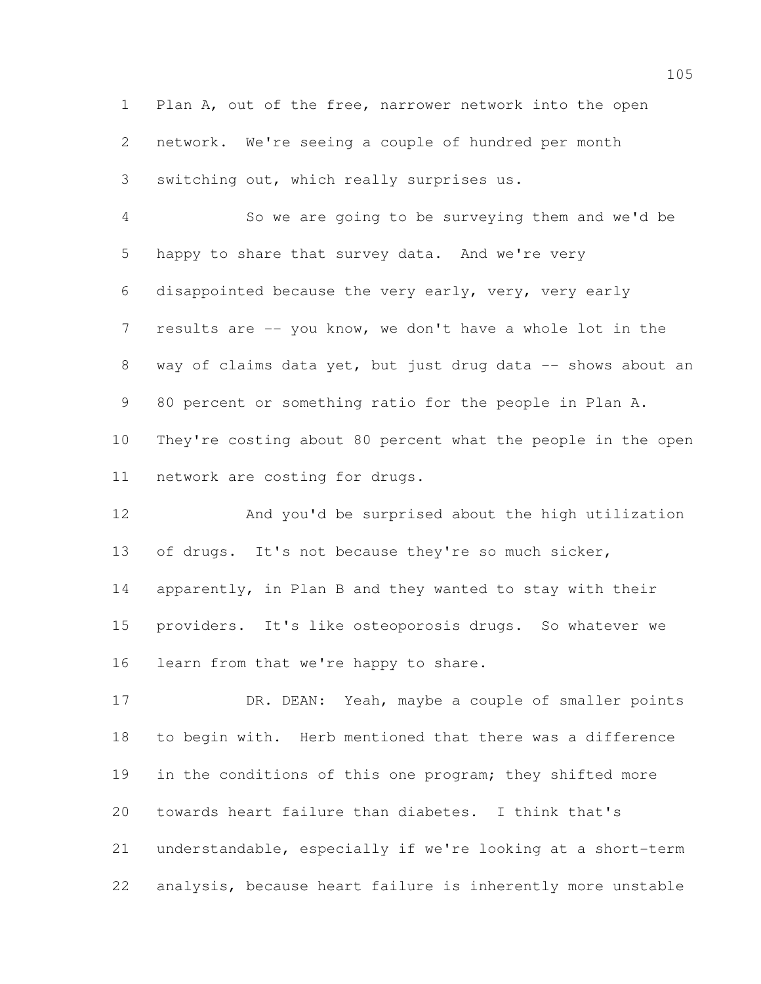Plan A, out of the free, narrower network into the open network. We're seeing a couple of hundred per month switching out, which really surprises us.

 So we are going to be surveying them and we'd be happy to share that survey data. And we're very disappointed because the very early, very, very early results are -- you know, we don't have a whole lot in the 8 way of claims data yet, but just drug data -- shows about an 80 percent or something ratio for the people in Plan A. They're costing about 80 percent what the people in the open network are costing for drugs.

 And you'd be surprised about the high utilization of drugs. It's not because they're so much sicker, apparently, in Plan B and they wanted to stay with their providers. It's like osteoporosis drugs. So whatever we learn from that we're happy to share.

17 DR. DEAN: Yeah, maybe a couple of smaller points to begin with. Herb mentioned that there was a difference 19 in the conditions of this one program; they shifted more towards heart failure than diabetes. I think that's understandable, especially if we're looking at a short-term analysis, because heart failure is inherently more unstable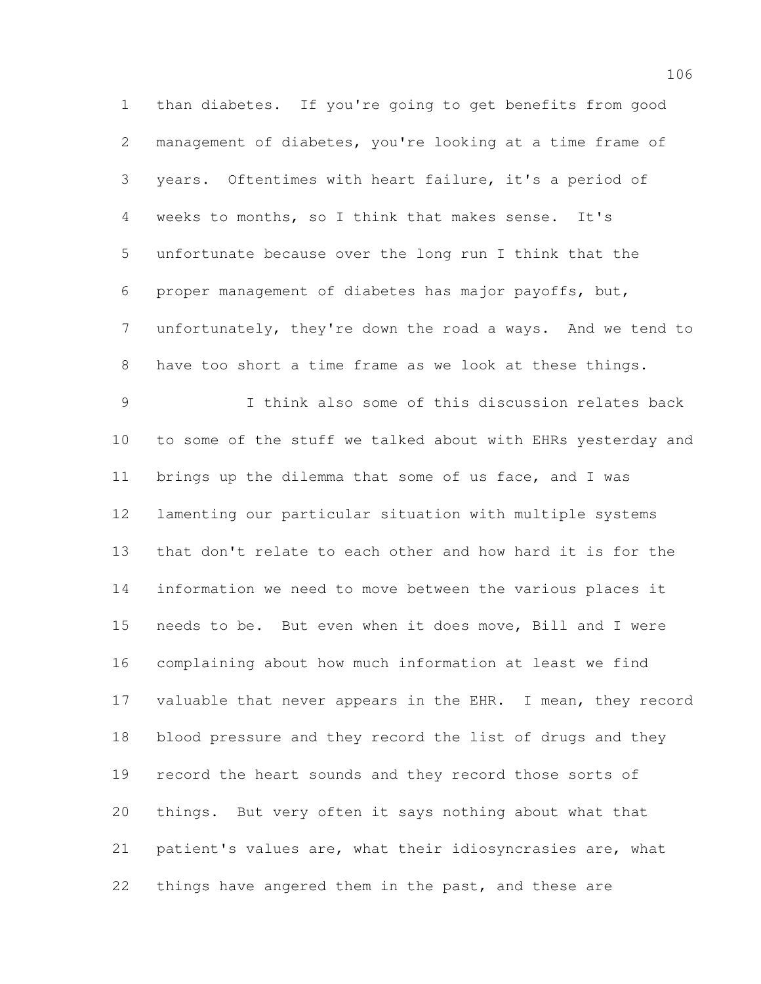than diabetes. If you're going to get benefits from good management of diabetes, you're looking at a time frame of years. Oftentimes with heart failure, it's a period of weeks to months, so I think that makes sense. It's unfortunate because over the long run I think that the proper management of diabetes has major payoffs, but, unfortunately, they're down the road a ways. And we tend to have too short a time frame as we look at these things. I think also some of this discussion relates back to some of the stuff we talked about with EHRs yesterday and brings up the dilemma that some of us face, and I was lamenting our particular situation with multiple systems that don't relate to each other and how hard it is for the information we need to move between the various places it needs to be. But even when it does move, Bill and I were complaining about how much information at least we find 17 valuable that never appears in the EHR. I mean, they record blood pressure and they record the list of drugs and they record the heart sounds and they record those sorts of things. But very often it says nothing about what that patient's values are, what their idiosyncrasies are, what things have angered them in the past, and these are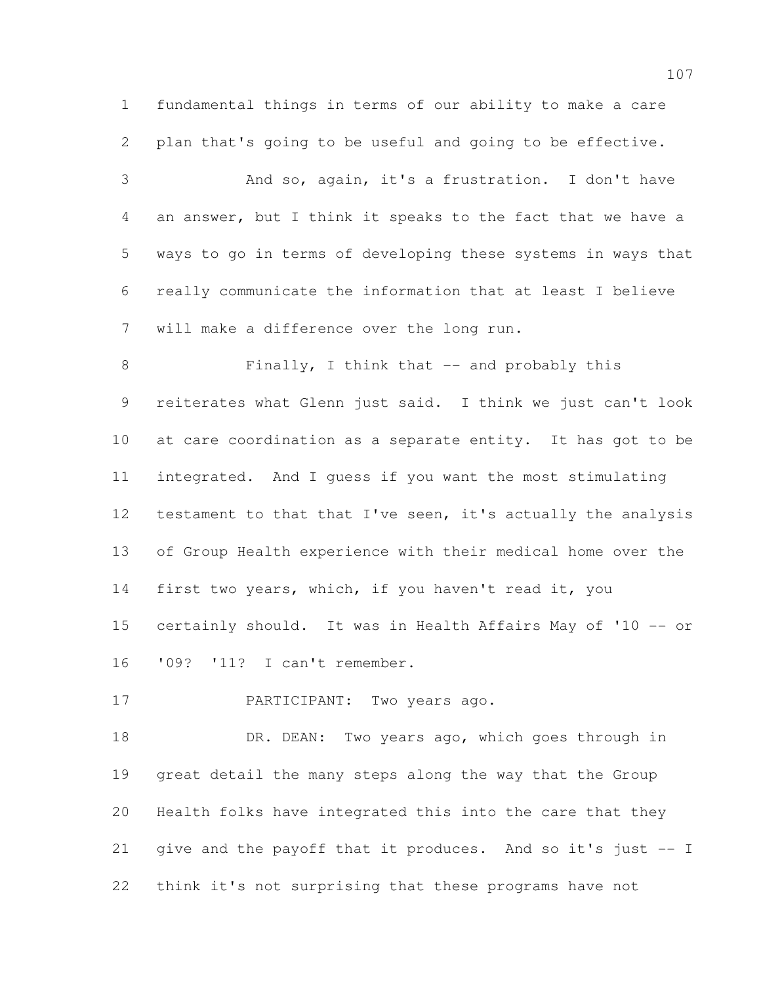fundamental things in terms of our ability to make a care plan that's going to be useful and going to be effective.

 And so, again, it's a frustration. I don't have an answer, but I think it speaks to the fact that we have a ways to go in terms of developing these systems in ways that really communicate the information that at least I believe will make a difference over the long run.

8 Finally, I think that -- and probably this reiterates what Glenn just said. I think we just can't look at care coordination as a separate entity. It has got to be integrated. And I guess if you want the most stimulating testament to that that I've seen, it's actually the analysis of Group Health experience with their medical home over the first two years, which, if you haven't read it, you certainly should. It was in Health Affairs May of '10 -- or '09? '11? I can't remember.

PARTICIPANT: Two years ago.

18 DR. DEAN: Two years ago, which goes through in great detail the many steps along the way that the Group Health folks have integrated this into the care that they give and the payoff that it produces. And so it's just -- I think it's not surprising that these programs have not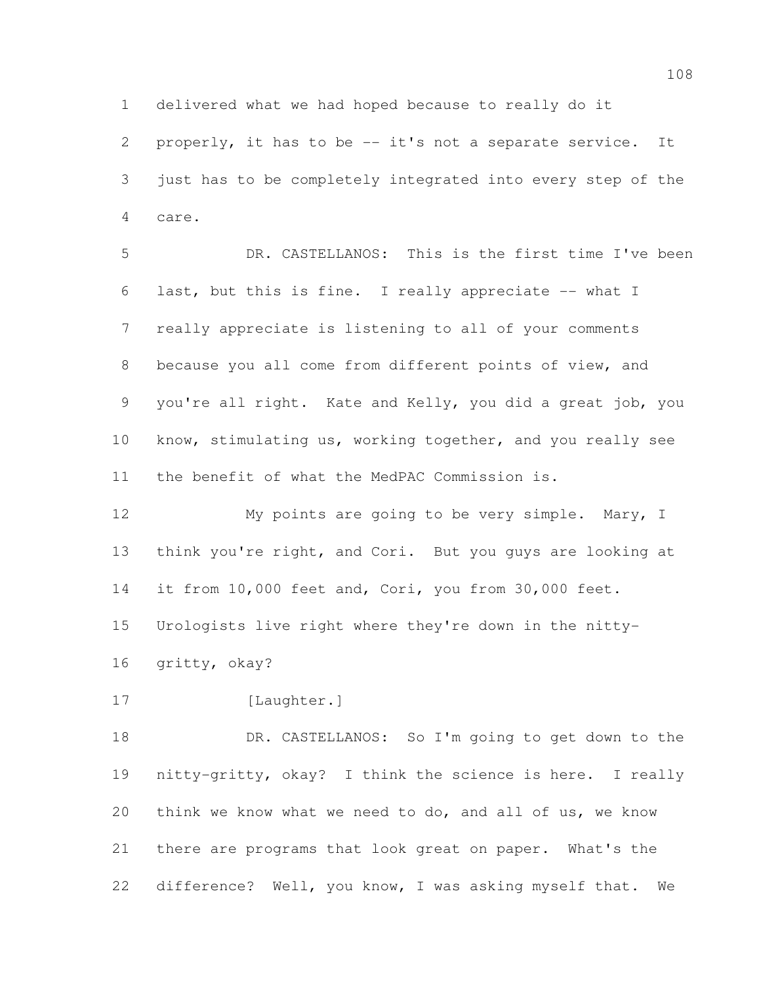delivered what we had hoped because to really do it

 properly, it has to be -- it's not a separate service. It just has to be completely integrated into every step of the care.

 DR. CASTELLANOS: This is the first time I've been last, but this is fine. I really appreciate -- what I really appreciate is listening to all of your comments because you all come from different points of view, and you're all right. Kate and Kelly, you did a great job, you know, stimulating us, working together, and you really see the benefit of what the MedPAC Commission is.

 My points are going to be very simple. Mary, I think you're right, and Cori. But you guys are looking at 14 it from 10,000 feet and, Cori, you from 30,000 feet. Urologists live right where they're down in the nitty-

gritty, okay?

17 [Laughter.]

 DR. CASTELLANOS: So I'm going to get down to the nitty-gritty, okay? I think the science is here. I really think we know what we need to do, and all of us, we know there are programs that look great on paper. What's the difference? Well, you know, I was asking myself that. We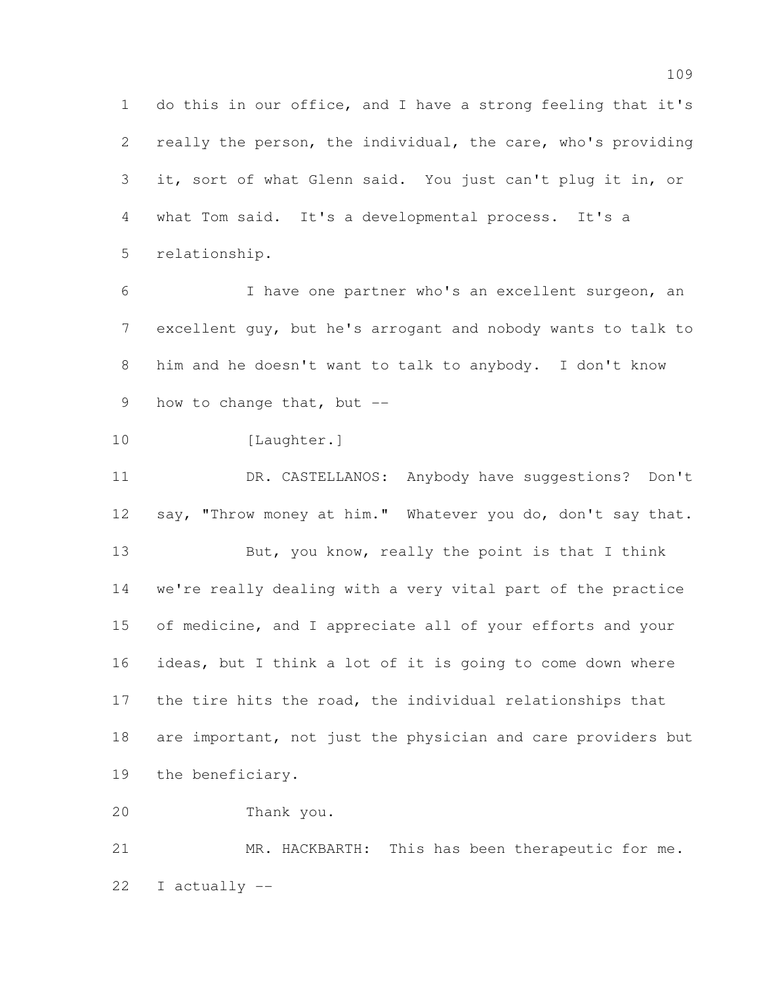do this in our office, and I have a strong feeling that it's really the person, the individual, the care, who's providing it, sort of what Glenn said. You just can't plug it in, or what Tom said. It's a developmental process. It's a relationship.

 I have one partner who's an excellent surgeon, an excellent guy, but he's arrogant and nobody wants to talk to him and he doesn't want to talk to anybody. I don't know 9 how to change that, but --

```
10 [Laughter.]
```
 DR. CASTELLANOS: Anybody have suggestions? Don't 12 say, "Throw money at him." Whatever you do, don't say that. 13 But, you know, really the point is that I think we're really dealing with a very vital part of the practice 15 of medicine, and I appreciate all of your efforts and your ideas, but I think a lot of it is going to come down where the tire hits the road, the individual relationships that are important, not just the physician and care providers but the beneficiary.

Thank you.

 MR. HACKBARTH: This has been therapeutic for me. I actually --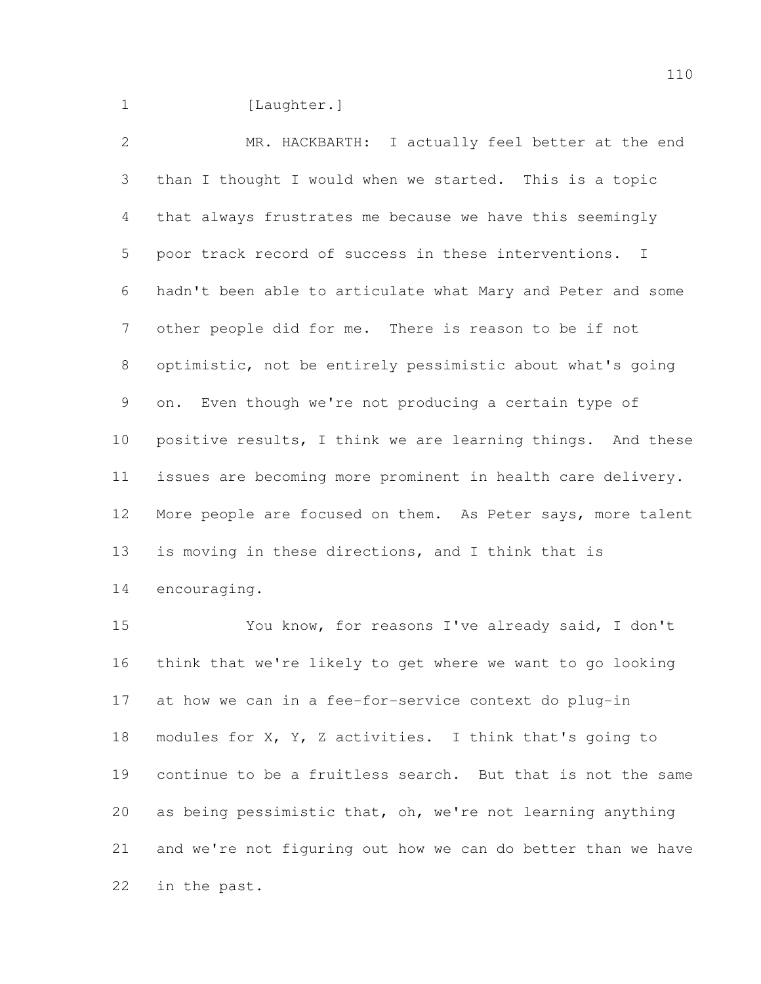1 [Laughter.]

 MR. HACKBARTH: I actually feel better at the end than I thought I would when we started. This is a topic that always frustrates me because we have this seemingly poor track record of success in these interventions. I hadn't been able to articulate what Mary and Peter and some other people did for me. There is reason to be if not optimistic, not be entirely pessimistic about what's going on. Even though we're not producing a certain type of positive results, I think we are learning things. And these issues are becoming more prominent in health care delivery. More people are focused on them. As Peter says, more talent is moving in these directions, and I think that is encouraging.

 You know, for reasons I've already said, I don't think that we're likely to get where we want to go looking at how we can in a fee-for-service context do plug-in modules for X, Y, Z activities. I think that's going to continue to be a fruitless search. But that is not the same as being pessimistic that, oh, we're not learning anything and we're not figuring out how we can do better than we have in the past.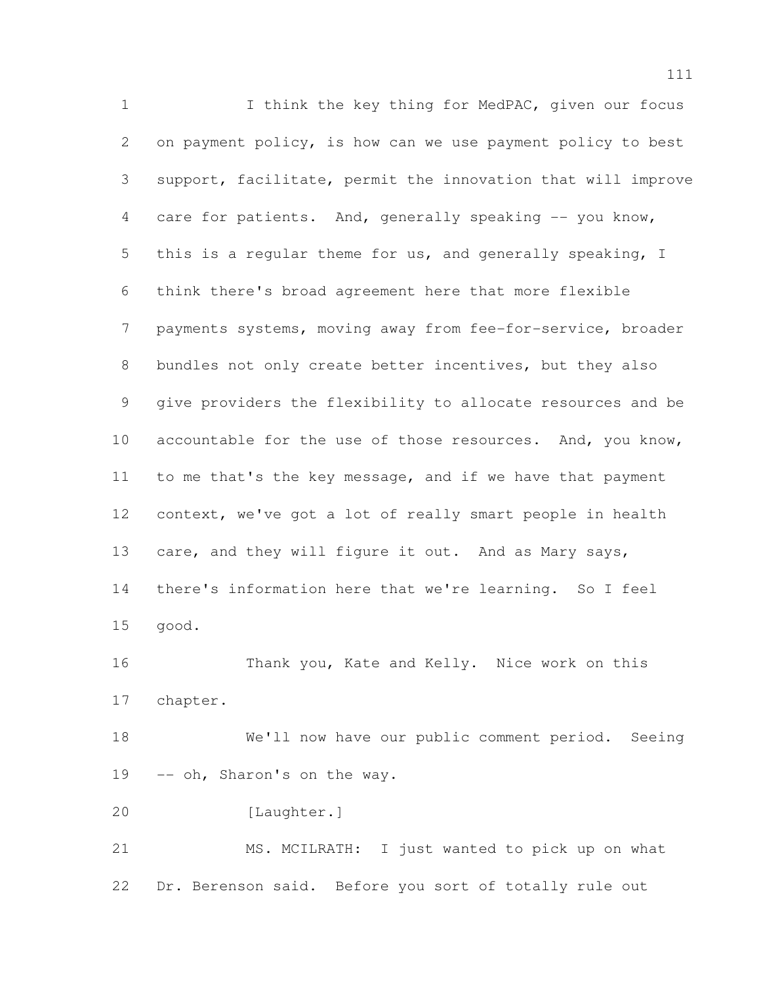1 1 I think the key thing for MedPAC, given our focus on payment policy, is how can we use payment policy to best support, facilitate, permit the innovation that will improve 4 care for patients. And, generally speaking -- you know, this is a regular theme for us, and generally speaking, I think there's broad agreement here that more flexible payments systems, moving away from fee-for-service, broader bundles not only create better incentives, but they also give providers the flexibility to allocate resources and be 10 accountable for the use of those resources. And, you know, 11 to me that's the key message, and if we have that payment context, we've got a lot of really smart people in health 13 care, and they will figure it out. And as Mary says, there's information here that we're learning. So I feel good. Thank you, Kate and Kelly. Nice work on this chapter. We'll now have our public comment period. Seeing 19 -- oh, Sharon's on the way. [Laughter.] MS. MCILRATH: I just wanted to pick up on what Dr. Berenson said. Before you sort of totally rule out